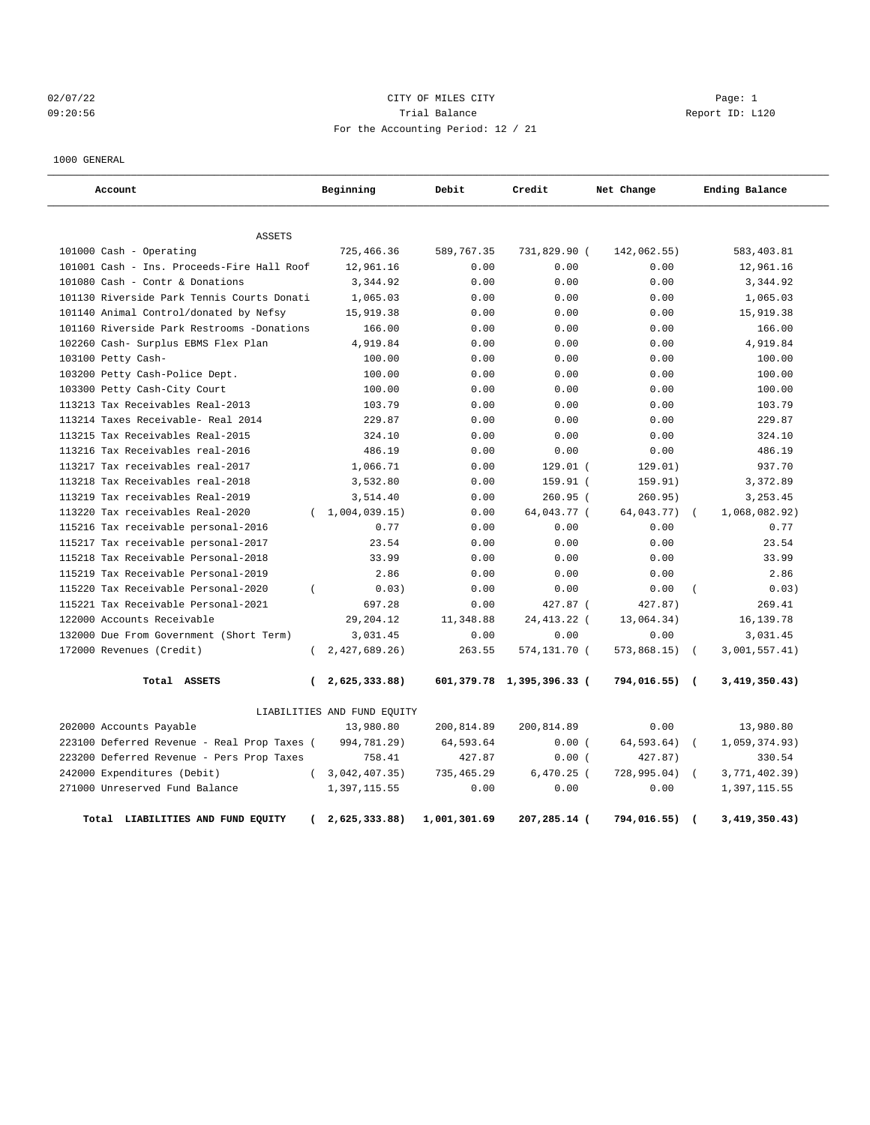# 02/07/22 Page: 1 CITY OF MILES CITY 09:20:56 Trial Balance Report ID: L120 For the Accounting Period: 12 / 21

1000 GENERAL

| Account                                     |              | Beginning                   | Debit        | Credit                    | Net Change  |                          | Ending Balance |
|---------------------------------------------|--------------|-----------------------------|--------------|---------------------------|-------------|--------------------------|----------------|
| <b>ASSETS</b>                               |              |                             |              |                           |             |                          |                |
| 101000 Cash - Operating                     |              | 725,466.36                  | 589,767.35   | 731,829.90 (              | 142,062.55) |                          | 583,403.81     |
| 101001 Cash - Ins. Proceeds-Fire Hall Roof  |              | 12,961.16                   | 0.00         | 0.00                      | 0.00        |                          | 12,961.16      |
| 101080 Cash - Contr & Donations             |              | 3,344.92                    | 0.00         | 0.00                      | 0.00        |                          | 3,344.92       |
| 101130 Riverside Park Tennis Courts Donati  |              | 1,065.03                    | 0.00         | 0.00                      | 0.00        |                          | 1,065.03       |
| 101140 Animal Control/donated by Nefsy      |              | 15,919.38                   | 0.00         | 0.00                      | 0.00        |                          | 15,919.38      |
| 101160 Riverside Park Restrooms -Donations  |              | 166.00                      | 0.00         | 0.00                      | 0.00        |                          | 166.00         |
| 102260 Cash- Surplus EBMS Flex Plan         |              | 4,919.84                    | 0.00         | 0.00                      | 0.00        |                          | 4,919.84       |
| 103100 Petty Cash-                          |              | 100.00                      | 0.00         | 0.00                      | 0.00        |                          | 100.00         |
| 103200 Petty Cash-Police Dept.              |              | 100.00                      | 0.00         | 0.00                      | 0.00        |                          | 100.00         |
| 103300 Petty Cash-City Court                |              | 100.00                      | 0.00         | 0.00                      | 0.00        |                          | 100.00         |
| 113213 Tax Receivables Real-2013            |              | 103.79                      | 0.00         | 0.00                      | 0.00        |                          | 103.79         |
| 113214 Taxes Receivable- Real 2014          |              | 229.87                      | 0.00         | 0.00                      | 0.00        |                          | 229.87         |
| 113215 Tax Receivables Real-2015            |              | 324.10                      | 0.00         | 0.00                      | 0.00        |                          | 324.10         |
| 113216 Tax Receivables real-2016            |              | 486.19                      | 0.00         | 0.00                      | 0.00        |                          | 486.19         |
| 113217 Tax receivables real-2017            |              | 1,066.71                    | 0.00         | $129.01$ (                | 129.01)     |                          | 937.70         |
| 113218 Tax Receivables real-2018            |              | 3,532.80                    | 0.00         | 159.91 (                  | 159.91)     |                          | 3,372.89       |
| 113219 Tax receivables Real-2019            |              | 3,514.40                    | 0.00         | $260.95$ (                | 260.95)     |                          | 3, 253.45      |
| 113220 Tax receivables Real-2020            | $\left($     | 1,004,039.15                | 0.00         | 64,043.77 (               | 64,043.77)  | $\left($                 | 1,068,082.92)  |
| 115216 Tax receivable personal-2016         |              | 0.77                        | 0.00         | 0.00                      | 0.00        |                          | 0.77           |
| 115217 Tax receivable personal-2017         |              | 23.54                       | 0.00         | 0.00                      | 0.00        |                          | 23.54          |
| 115218 Tax Receivable Personal-2018         |              | 33.99                       | 0.00         | 0.00                      | 0.00        |                          | 33.99          |
| 115219 Tax Receivable Personal-2019         |              | 2.86                        | 0.00         | 0.00                      | 0.00        |                          | 2.86           |
| 115220 Tax Receivable Personal-2020         |              | 0.03)                       | 0.00         | 0.00                      | 0.00        |                          | 0.03)          |
| 115221 Tax Receivable Personal-2021         |              | 697.28                      | 0.00         | 427.87 (                  | 427.87)     |                          | 269.41         |
| 122000 Accounts Receivable                  |              | 29,204.12                   | 11,348.88    | 24, 413. 22 (             | 13,064.34)  |                          | 16, 139. 78    |
| 132000 Due From Government (Short Term)     |              | 3,031.45                    | 0.00         | 0.00                      | 0.00        |                          | 3,031.45       |
| 172000 Revenues (Credit)                    | $\left($     | 2,427,689.26                | 263.55       | 574,131.70 (              | 573,868.15) | $\sqrt{ }$               | 3,001,557.41)  |
| Total ASSETS                                | <sup>-</sup> | 2,625,333.88)               |              | 601,379.78 1,395,396.33 ( | 794,016.55) | $\sqrt{ }$               | 3,419,350.43)  |
|                                             |              | LIABILITIES AND FUND EQUITY |              |                           |             |                          |                |
| 202000 Accounts Payable                     |              | 13,980.80                   | 200,814.89   | 200,814.89                | 0.00        |                          | 13,980.80      |
| 223100 Deferred Revenue - Real Prop Taxes ( |              | 994,781.29)                 | 64,593.64    | 0.00(                     | 64,593.64)  | $\sqrt{ }$               | 1,059,374.93)  |
| 223200 Deferred Revenue - Pers Prop Taxes   |              | 758.41                      | 427.87       | 0.00(                     | 427.87)     |                          | 330.54         |
| 242000 Expenditures (Debit)                 |              | (3,042,407.35)              | 735,465.29   | $6,470.25$ (              | 728,995.04) | $\sqrt{ }$               | 3,771,402.39)  |
| 271000 Unreserved Fund Balance              |              | 1,397,115.55                | 0.00         | 0.00                      | 0.00        |                          | 1,397,115.55   |
| Total LIABILITIES AND FUND EQUITY           |              | 2,625,333.88)               | 1,001,301.69 | 207,285.14 (              | 794,016.55) | $\overline{\phantom{a}}$ | 3,419,350.43)  |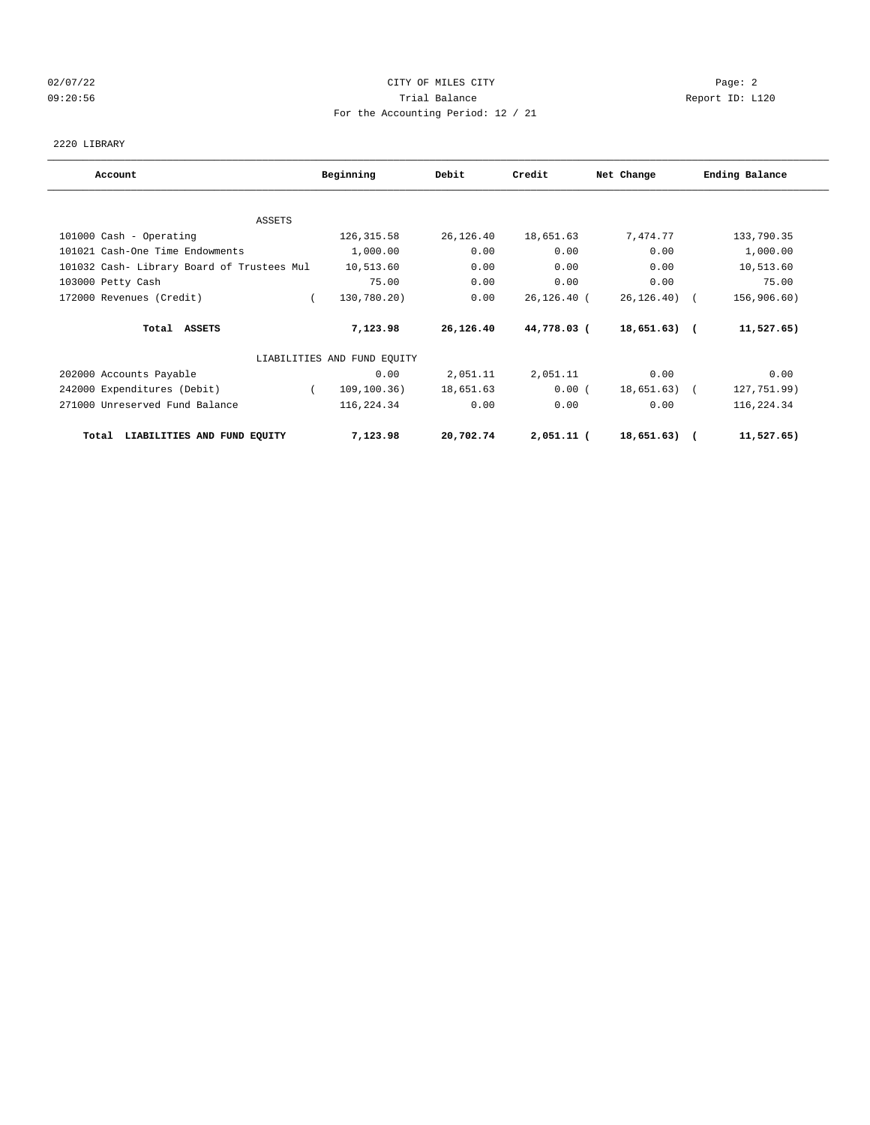# 02/07/22 Page: 2 09:20:56 Trial Balance Report ID: L120 For the Accounting Period: 12 / 21

2220 LIBRARY

| Account                                    | Beginning                   | Debit     | Credit       | Net Change      | Ending Balance |
|--------------------------------------------|-----------------------------|-----------|--------------|-----------------|----------------|
|                                            |                             |           |              |                 |                |
| ASSETS                                     |                             |           |              |                 |                |
| 101000 Cash - Operating                    | 126, 315.58                 | 26,126.40 | 18,651.63    | 7,474.77        | 133,790.35     |
| 101021 Cash-One Time Endowments            | 1,000.00                    | 0.00      | 0.00         | 0.00            | 1,000.00       |
| 101032 Cash- Library Board of Trustees Mul | 10,513.60                   | 0.00      | 0.00         | 0.00            | 10,513.60      |
| 103000 Petty Cash                          | 75.00                       | 0.00      | 0.00         | 0.00            | 75.00          |
| 172000 Revenues (Credit)                   | 130,780.20)                 | 0.00      | 26,126.40 (  | $26, 126, 40$ ( | 156,906.60)    |
| Total ASSETS                               | 7,123.98                    | 26,126.40 | 44,778.03 (  | $18,651.63)$ (  | 11,527.65)     |
|                                            | LIABILITIES AND FUND EQUITY |           |              |                 |                |
| 202000 Accounts Payable                    | 0.00                        | 2,051.11  | 2,051.11     | 0.00            | 0.00           |
| 242000 Expenditures (Debit)                | 109, 100.36)                | 18,651.63 | 0.00(        | $18,651.63$ (   | 127,751.99)    |
| 271000 Unreserved Fund Balance             | 116,224.34                  | 0.00      | 0.00         | 0.00            | 116,224.34     |
| LIABILITIES AND FUND EQUITY<br>Total       | 7,123.98                    | 20,702.74 | $2,051.11$ ( | 18,651.63)      | 11,527.65)     |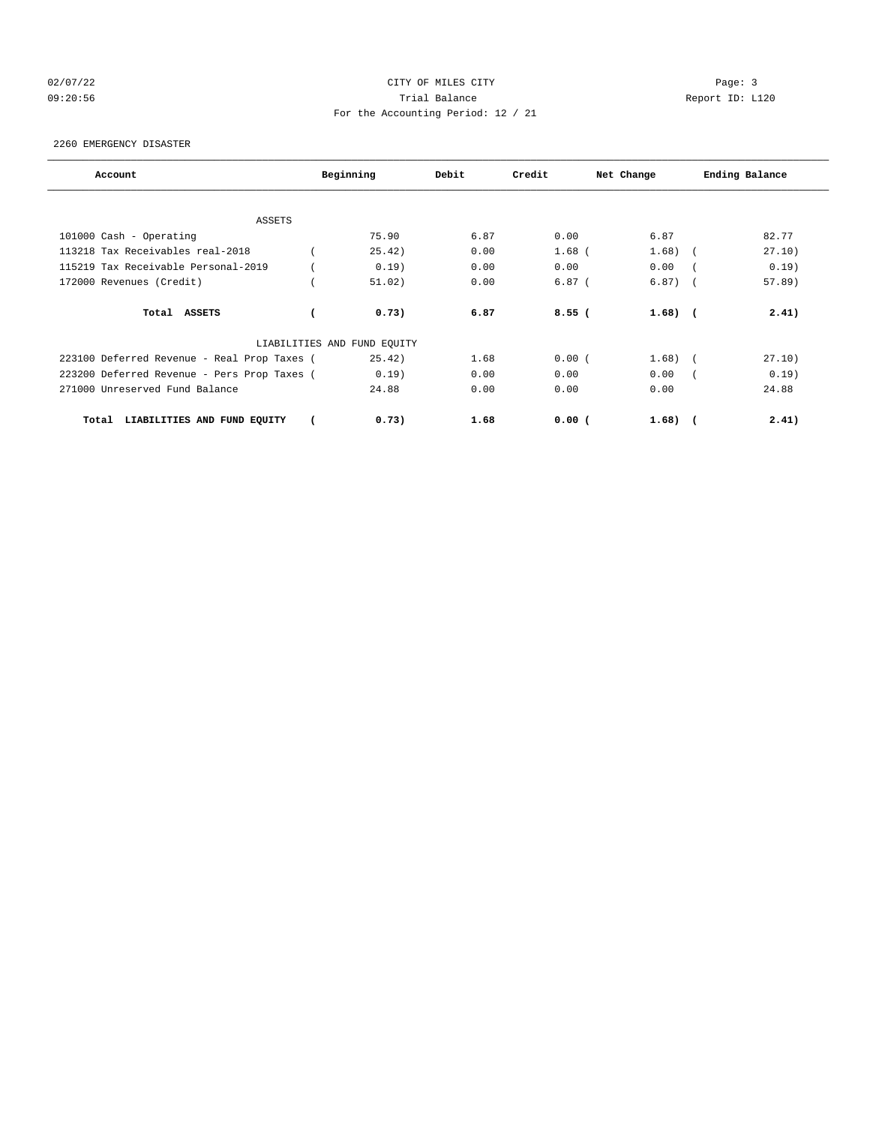# 02/07/22 Page: 3 Page: 3 Page: 3 09:20:56 Trial Balance Report ID: L120 For the Accounting Period: 12 / 21

2260 EMERGENCY DISASTER

| Account                                     | Beginning                   | Debit | Credit   | Net Change   | Ending Balance |
|---------------------------------------------|-----------------------------|-------|----------|--------------|----------------|
|                                             |                             |       |          |              |                |
| ASSETS                                      |                             |       |          |              |                |
| 101000 Cash - Operating                     | 75.90                       | 6.87  | 0.00     | 6.87         | 82.77          |
| 113218 Tax Receivables real-2018            | 25.42)                      | 0.00  | $1.68$ ( | 1.68)        | 27.10)         |
| 115219 Tax Receivable Personal-2019         | 0.19)                       | 0.00  | 0.00     | 0.00         | 0.19)          |
| 172000 Revenues (Credit)                    | 51.02)                      | 0.00  | $6.87$ ( | $6.87$ (     | $57.89$ )      |
| Total ASSETS                                | 0.73)                       | 6.87  | 8.55(    | $1.68$ ) $($ | 2.41)          |
|                                             | LIABILITIES AND FUND EQUITY |       |          |              |                |
| 223100 Deferred Revenue - Real Prop Taxes ( | 25.42)                      | 1.68  | 0.00(    | 1.68)        | 27.10)         |
| 223200 Deferred Revenue - Pers Prop Taxes ( | 0.19)                       | 0.00  | 0.00     | 0.00         | 0.19)          |
| 271000 Unreserved Fund Balance              | 24.88                       | 0.00  | 0.00     | 0.00         | 24.88          |
| LIABILITIES AND FUND EQUITY<br>Total        | 0.73)                       | 1.68  | 0.00(    | $1.68$ ) $($ | 2.41)          |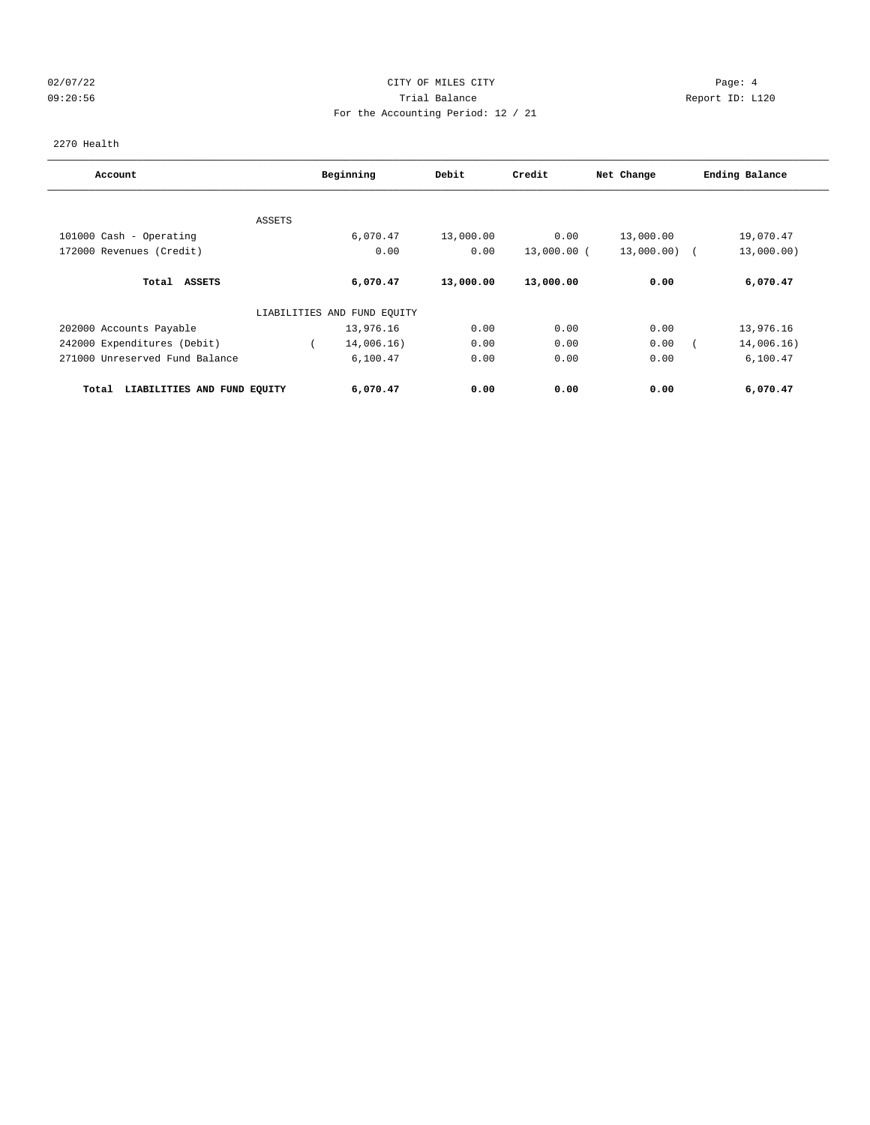# 02/07/22 Page: 4 Page: 4 09:20:56 Trial Balance Report ID: L120 For the Accounting Period: 12 / 21

2270 Health

| Account                              |        | Beginning                   | Debit     | Credit      | Net Change   | Ending Balance |
|--------------------------------------|--------|-----------------------------|-----------|-------------|--------------|----------------|
|                                      |        |                             |           |             |              |                |
|                                      | ASSETS |                             |           |             |              |                |
| 101000 Cash - Operating              |        | 6,070.47                    | 13,000.00 | 0.00        | 13,000.00    | 19,070.47      |
| 172000 Revenues (Credit)             |        | 0.00                        | 0.00      | 13,000.00 ( | 13,000.00) ( | 13,000.00)     |
| Total ASSETS                         |        | 6,070.47                    | 13,000.00 | 13,000.00   | 0.00         | 6,070.47       |
|                                      |        | LIABILITIES AND FUND EQUITY |           |             |              |                |
| 202000 Accounts Payable              |        | 13,976.16                   | 0.00      | 0.00        | 0.00         | 13,976.16      |
| 242000 Expenditures (Debit)          |        | 14,006.16)                  | 0.00      | 0.00        | 0.00         | 14,006.16)     |
| 271000 Unreserved Fund Balance       |        | 6,100.47                    | 0.00      | 0.00        | 0.00         | 6,100.47       |
| LIABILITIES AND FUND EQUITY<br>Total |        | 6,070.47                    | 0.00      | 0.00        | 0.00         | 6,070.47       |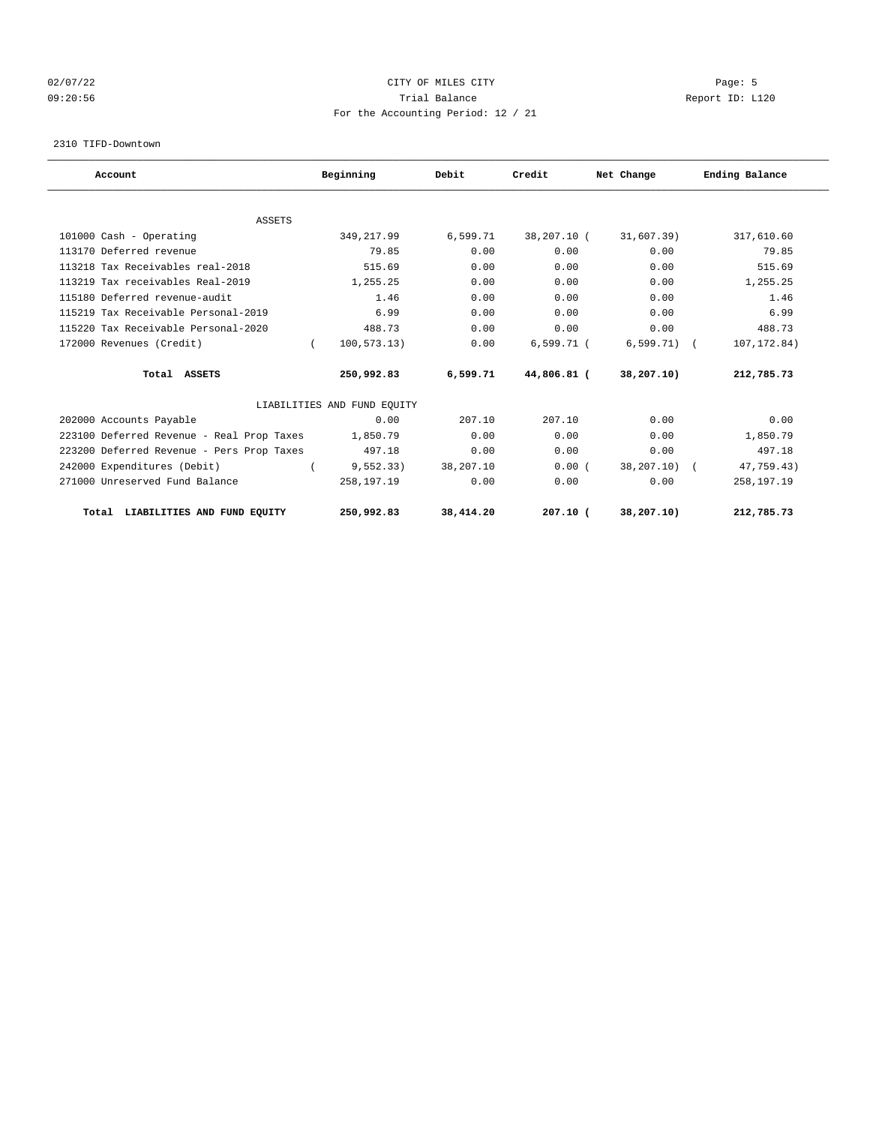# 02/07/22 Page: 5 Page: 5 Page: 5 Page: 5 Page: 5 Page: 5 Page: 5 Page: 5 Page: 5 Page: 5 09:20:56 Trial Balance Report ID: L120 For the Accounting Period: 12 / 21

2310 TIFD-Downtown

| Account                                   | Beginning                   | Debit     | Credit       | Net Change   | Ending Balance |
|-------------------------------------------|-----------------------------|-----------|--------------|--------------|----------------|
|                                           |                             |           |              |              |                |
| <b>ASSETS</b><br>101000 Cash - Operating  | 349, 217.99                 | 6,599.71  | 38,207.10 (  | 31,607.39)   | 317,610.60     |
| 113170 Deferred revenue                   | 79.85                       | 0.00      | 0.00         | 0.00         | 79.85          |
|                                           |                             |           |              |              | 515.69         |
| 113218 Tax Receivables real-2018          | 515.69                      | 0.00      | 0.00         | 0.00         |                |
| 113219 Tax receivables Real-2019          | 1,255.25                    | 0.00      | 0.00         | 0.00         | 1,255.25       |
| 115180 Deferred revenue-audit             | 1.46                        | 0.00      | 0.00         | 0.00         | 1.46           |
| 115219 Tax Receivable Personal-2019       | 6.99                        | 0.00      | 0.00         | 0.00         | 6.99           |
| 115220 Tax Receivable Personal-2020       | 488.73                      | 0.00      | 0.00         | 0.00         | 488.73         |
| 172000 Revenues (Credit)                  | 100, 573.13)<br>$\left($    | 0.00      | $6,599.71$ ( | $6,599.71$ ( | 107, 172.84)   |
| Total ASSETS                              | 250,992.83                  | 6,599.71  | 44,806.81 (  | 38,207.10)   | 212,785.73     |
|                                           | LIABILITIES AND FUND EQUITY |           |              |              |                |
| 202000 Accounts Payable                   | 0.00                        | 207.10    | 207.10       | 0.00         | 0.00           |
| 223100 Deferred Revenue - Real Prop Taxes | 1,850.79                    | 0.00      | 0.00         | 0.00         | 1,850.79       |
| 223200 Deferred Revenue - Pers Prop Taxes | 497.18                      | 0.00      | 0.00         | 0.00         | 497.18         |
| 242000 Expenditures (Debit)               | 9, 552.33)                  | 38,207.10 | 0.00(        | 38,207.10)   | 47,759.43)     |
| 271000 Unreserved Fund Balance            | 258,197.19                  | 0.00      | 0.00         | 0.00         | 258,197.19     |
| Total LIABILITIES AND FUND EQUITY         | 250,992.83                  | 38,414.20 | $207.10$ (   | 38,207.10)   | 212,785.73     |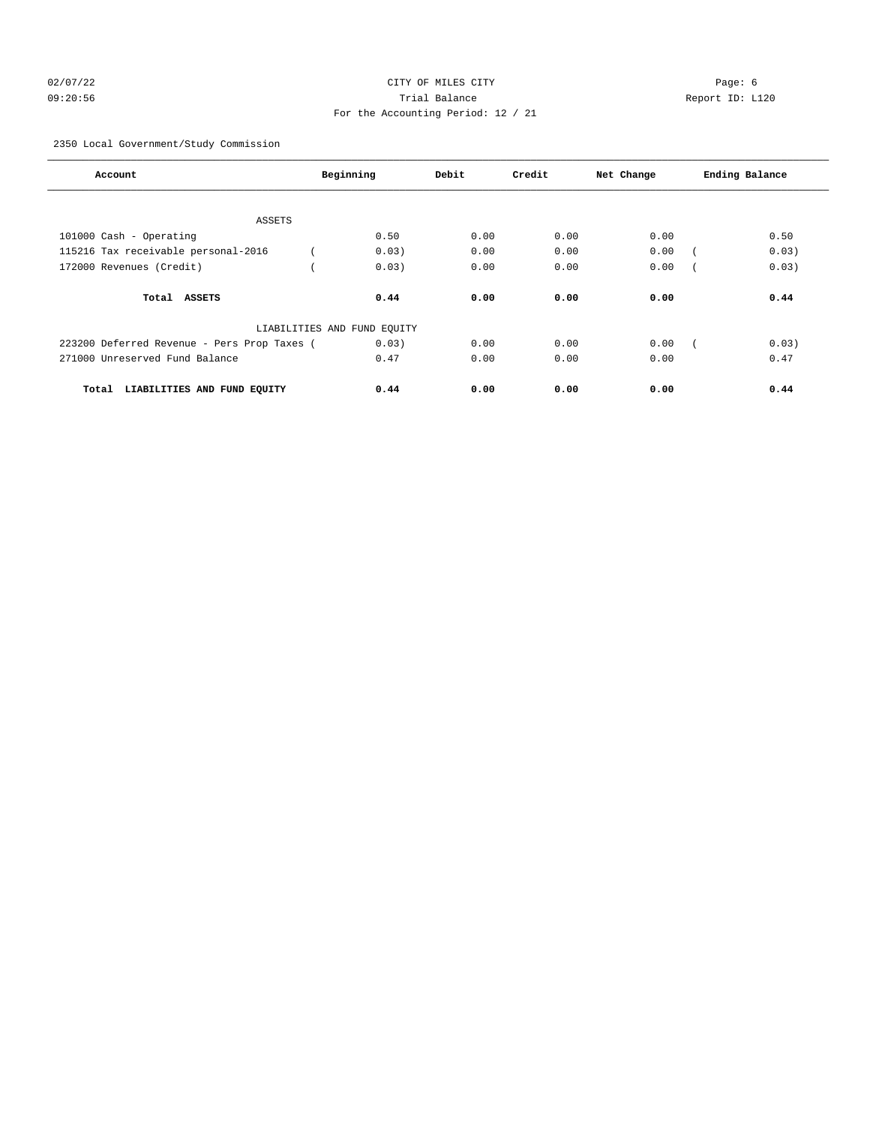# 02/07/22 Page: 6 Page: 6 Page: 6 Page: 6 Page: 6 Page: 6 Page: 6 Page: 6 Page: 6 Page: 6 Page: 6 Page: 6 Page: 6 Page: 6 Page: 6 Page: 6 Page: 6 Page: 6 Page: 6 Page: 6 Page: 6 Page: 6 Page: 6 Page: 6 Page: 6 Page: 6 Page: 09:20:56 Trial Balance Report ID: L120 For the Accounting Period: 12 / 21

2350 Local Government/Study Commission

| Account                                     | Beginning                   | Debit | Credit | Net Change | Ending Balance |
|---------------------------------------------|-----------------------------|-------|--------|------------|----------------|
|                                             |                             |       |        |            |                |
| <b>ASSETS</b>                               |                             |       |        |            |                |
| 101000 Cash - Operating                     | 0.50                        | 0.00  | 0.00   | 0.00       | 0.50           |
| 115216 Tax receivable personal-2016         | 0.03)                       | 0.00  | 0.00   | 0.00       | 0.03)          |
| 172000 Revenues (Credit)                    | 0.03)                       | 0.00  | 0.00   | 0.00       | 0.03)          |
| Total ASSETS                                | 0.44                        | 0.00  | 0.00   | 0.00       | 0.44           |
|                                             | LIABILITIES AND FUND EQUITY |       |        |            |                |
| 223200 Deferred Revenue - Pers Prop Taxes ( | 0.03)                       | 0.00  | 0.00   | 0.00       | 0.03)          |
| 271000 Unreserved Fund Balance              | 0.47                        | 0.00  | 0.00   | 0.00       | 0.47           |
| Total<br>LIABILITIES AND FUND EQUITY        | 0.44                        | 0.00  | 0.00   | 0.00       | 0.44           |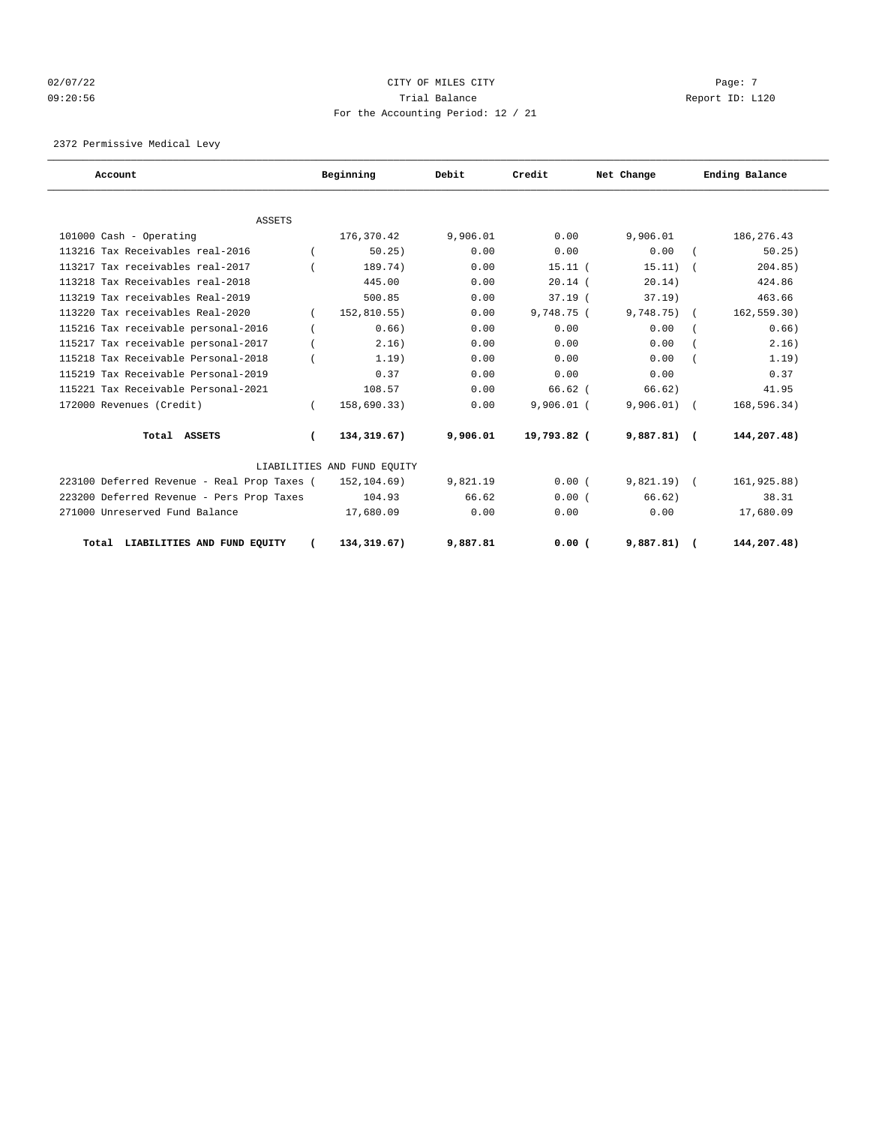# 02/07/22 Page: 7 Page: 7 Page: 7 Page: 7 Page: 7 Page: 7 Page: 7 Page: 7 Page: 7 Page: 7 09:20:56 Trial Balance Report ID: L120 For the Accounting Period: 12 / 21

2372 Permissive Medical Levy

| Account                                     |            | Beginning                   | Debit    | Credit       | Net Change    | Ending Balance |
|---------------------------------------------|------------|-----------------------------|----------|--------------|---------------|----------------|
|                                             |            |                             |          |              |               |                |
| <b>ASSETS</b>                               |            |                             |          |              |               |                |
| 101000 Cash - Operating                     |            | 176,370.42                  | 9,906.01 | 0.00         | 9,906.01      | 186, 276. 43   |
| 113216 Tax Receivables real-2016            |            | 50.25)                      | 0.00     | 0.00         | 0.00          | 50.25)         |
| 113217 Tax receivables real-2017            |            | 189.74)                     | 0.00     | $15.11$ $($  | 15.11)        | 204.85)        |
| 113218 Tax Receivables real-2018            |            | 445.00                      | 0.00     | $20.14$ (    | 20.14)        | 424.86         |
| 113219 Tax receivables Real-2019            |            | 500.85                      | 0.00     | $37.19$ (    | $37.19$ )     | 463.66         |
| 113220 Tax receivables Real-2020            |            | 152,810.55)                 | 0.00     | 9.748.75(    | 9,748.75)     | 162, 559.30)   |
| 115216 Tax receivable personal-2016         |            | 0.66)                       | 0.00     | 0.00         | 0.00          | 0.66)          |
| 115217 Tax receivable personal-2017         |            | 2, 16)                      | 0.00     | 0.00         | 0.00          | 2.16)          |
| 115218 Tax Receivable Personal-2018         |            | 1.19)                       | 0.00     | 0.00         | 0.00          | 1.19)          |
| 115219 Tax Receivable Personal-2019         |            | 0.37                        | 0.00     | 0.00         | 0.00          | 0.37           |
| 115221 Tax Receivable Personal-2021         |            | 108.57                      | 0.00     | $66.62$ (    | 66.62)        | 41.95          |
| 172000 Revenues (Credit)                    |            | 158,690.33)                 | 0.00     | $9,906.01$ ( | 9,906.01)     | 168,596.34)    |
| Total ASSETS                                | $\epsilon$ | 134,319.67)                 | 9,906.01 | 19,793.82 (  | $9,887.81)$ ( | 144,207.48)    |
|                                             |            | LIABILITIES AND FUND EQUITY |          |              |               |                |
| 223100 Deferred Revenue - Real Prop Taxes ( |            | 152,104.69)                 | 9,821.19 | 0.00(        | $9,821.19$ (  | 161,925.88)    |
| 223200 Deferred Revenue - Pers Prop Taxes   |            | 104.93                      | 66.62    | 0.00(        | 66.62)        | 38.31          |
| 271000 Unreserved Fund Balance              |            | 17,680.09                   | 0.00     | 0.00         | 0.00          | 17,680.09      |
| Total LIABILITIES AND FUND EQUITY           |            | 134, 319.67)                | 9,887.81 | 0.00(        | 9,887.81)     | 144,207.48)    |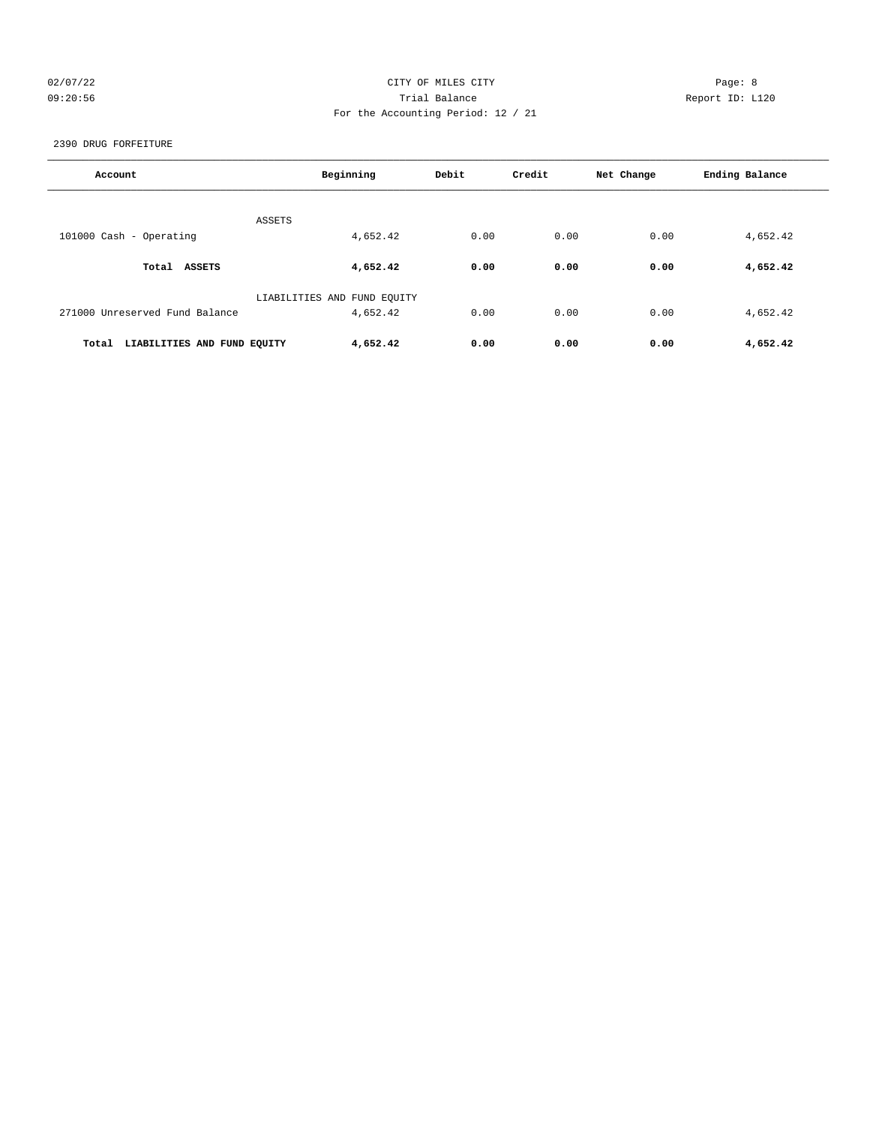# 02/07/22 Page: 8 CITY OF MILES CITY 09:20:56 Trial Balance Report ID: L120 For the Accounting Period: 12 / 21

2390 DRUG FORFEITURE

| Account                              | Beginning                   | Debit | Credit | Net Change | Ending Balance |
|--------------------------------------|-----------------------------|-------|--------|------------|----------------|
|                                      | ASSETS                      |       |        |            |                |
| 101000 Cash - Operating              | 4,652.42                    | 0.00  | 0.00   | 0.00       | 4,652.42       |
| Total ASSETS                         | 4,652.42                    | 0.00  | 0.00   | 0.00       | 4,652.42       |
|                                      | LIABILITIES AND FUND EQUITY |       |        |            |                |
| 271000 Unreserved Fund Balance       | 4,652.42                    | 0.00  | 0.00   | 0.00       | 4,652.42       |
| LIABILITIES AND FUND EQUITY<br>Total | 4,652.42                    | 0.00  | 0.00   | 0.00       | 4,652.42       |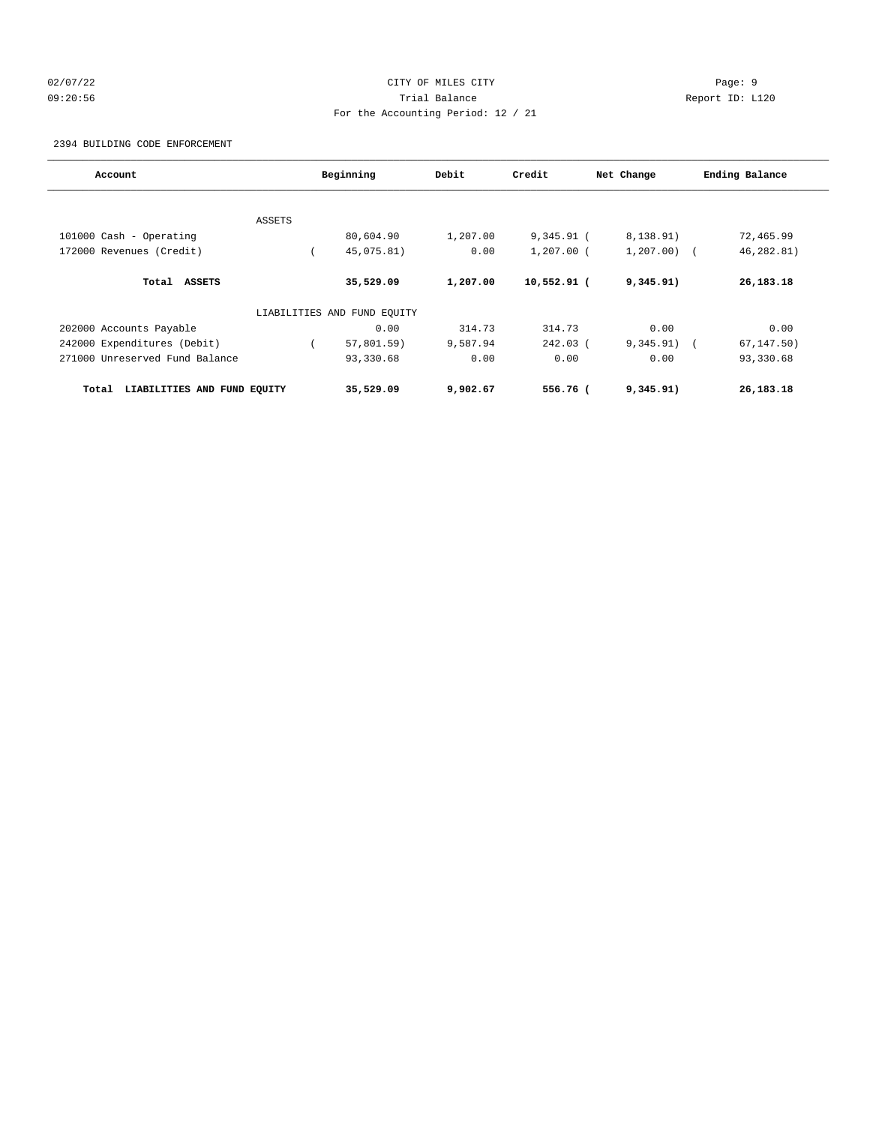# 02/07/22 Page: 9 09:20:56 Trial Balance Report ID: L120 For the Accounting Period: 12 / 21

### 2394 BUILDING CODE ENFORCEMENT

| Account                              |               | Beginning                   | Debit    | Credit       | Net Change   | Ending Balance |
|--------------------------------------|---------------|-----------------------------|----------|--------------|--------------|----------------|
|                                      |               |                             |          |              |              |                |
|                                      | <b>ASSETS</b> |                             |          |              |              |                |
| 101000 Cash - Operating              |               | 80,604.90                   | 1,207.00 | $9,345.91$ ( | 8,138.91)    | 72,465.99      |
| 172000 Revenues (Credit)             |               | 45,075.81)                  | 0.00     | $1,207.00$ ( | $1,207.00$ ( | 46,282.81)     |
| Total ASSETS                         |               | 35,529.09                   | 1,207.00 | 10,552.91 (  | 9,345.91)    | 26, 183. 18    |
|                                      |               | LIABILITIES AND FUND EQUITY |          |              |              |                |
| 202000 Accounts Payable              |               | 0.00                        | 314.73   | 314.73       | 0.00         | 0.00           |
| 242000 Expenditures (Debit)          |               | $57,801.59$ )               | 9,587.94 | $242.03$ (   | 9,345.91)    | 67, 147.50)    |
| 271000 Unreserved Fund Balance       |               | 93,330.68                   | 0.00     | 0.00         | 0.00         | 93,330.68      |
| LIABILITIES AND FUND EQUITY<br>Total |               | 35,529.09                   | 9,902.67 | 556.76 (     | 9,345.91)    | 26,183.18      |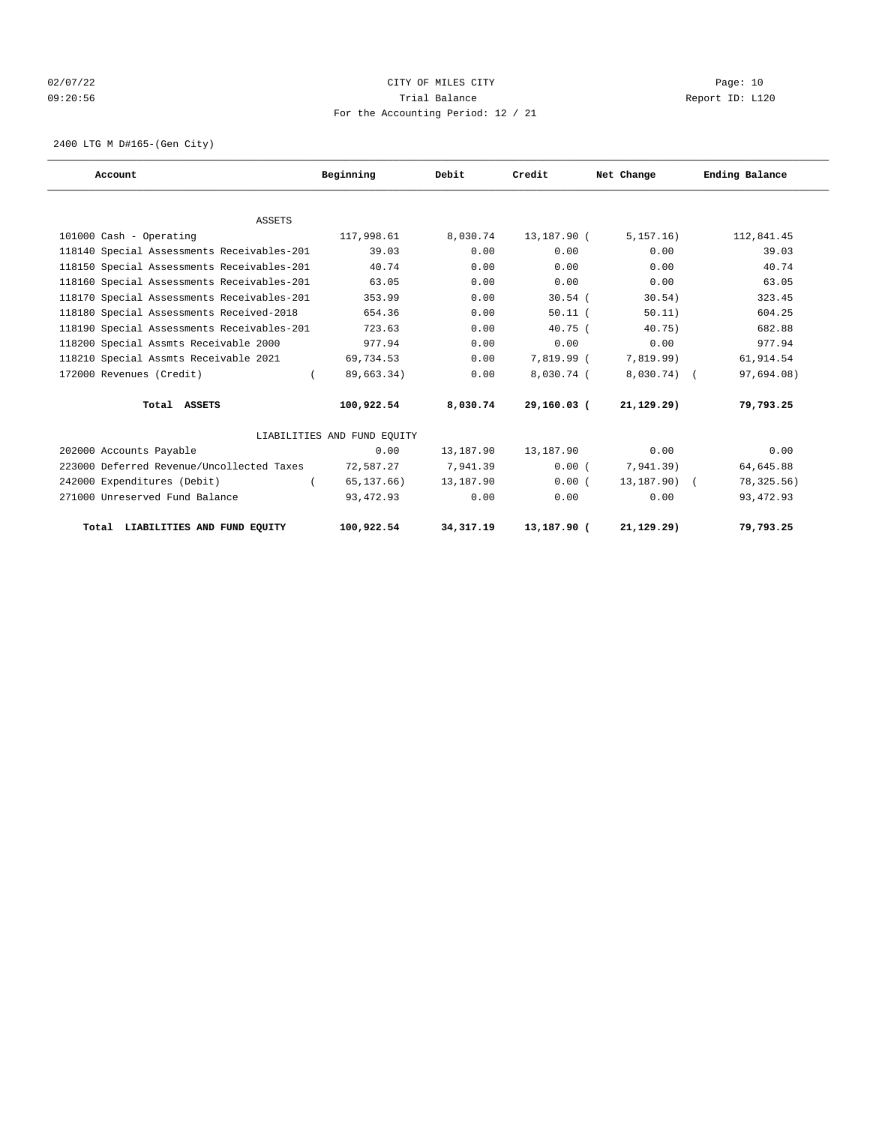# 02/07/22 Page: 10 09:20:56 Trial Balance Report ID: L120 For the Accounting Period: 12 / 21

2400 LTG M D#165-(Gen City)

| Account                                    | Beginning                   | Debit       | Credit      | Net Change      | Ending Balance |
|--------------------------------------------|-----------------------------|-------------|-------------|-----------------|----------------|
|                                            |                             |             |             |                 |                |
| <b>ASSETS</b>                              |                             |             |             |                 |                |
| 101000 Cash - Operating                    | 117,998.61                  | 8,030.74    | 13,187.90 ( | 5, 157, 16)     | 112,841.45     |
| 118140 Special Assessments Receivables-201 | 39.03                       | 0.00        | 0.00        | 0.00            | 39.03          |
| 118150 Special Assessments Receivables-201 | 40.74                       | 0.00        | 0.00        | 0.00            | 40.74          |
| 118160 Special Assessments Receivables-201 | 63.05                       | 0.00        | 0.00        | 0.00            | 63.05          |
| 118170 Special Assessments Receivables-201 | 353.99                      | 0.00        | $30.54$ (   | 30.54)          | 323.45         |
| 118180 Special Assessments Received-2018   | 654.36                      | 0.00        | $50.11$ $($ | 50.11)          | 604.25         |
| 118190 Special Assessments Receivables-201 | 723.63                      | 0.00        | $40.75$ (   | 40.75)          | 682.88         |
| 118200 Special Assmts Receivable 2000      | 977.94                      | 0.00        | 0.00        | 0.00            | 977.94         |
| 118210 Special Assmts Receivable 2021      | 69,734.53                   | 0.00        | 7,819.99 (  | 7,819.99)       | 61,914.54      |
| 172000 Revenues (Credit)                   | 89,663.34)                  | 0.00        | 8,030.74 (  | $8,030.74$ (    | 97,694.08)     |
| Total ASSETS                               | 100,922.54                  | 8,030.74    | 29,160.03 ( | 21, 129.29)     | 79,793.25      |
|                                            | LIABILITIES AND FUND EOUITY |             |             |                 |                |
| 202000 Accounts Payable                    | 0.00                        | 13,187.90   | 13,187.90   | 0.00            | 0.00           |
| 223000 Deferred Revenue/Uncollected Taxes  | 72,587.27                   | 7,941.39    | 0.00(       | 7,941.39)       | 64,645.88      |
| 242000 Expenditures (Debit)<br>$\left($    | 65,137.66)                  | 13,187.90   | 0.00(       | $13, 187, 90$ ( | 78, 325.56)    |
| 271000 Unreserved Fund Balance             | 93,472.93                   | 0.00        | 0.00        | 0.00            | 93, 472.93     |
| Total LIABILITIES AND FUND EOUITY          | 100,922.54                  | 34, 317. 19 | 13,187.90 ( | 21, 129.29)     | 79,793.25      |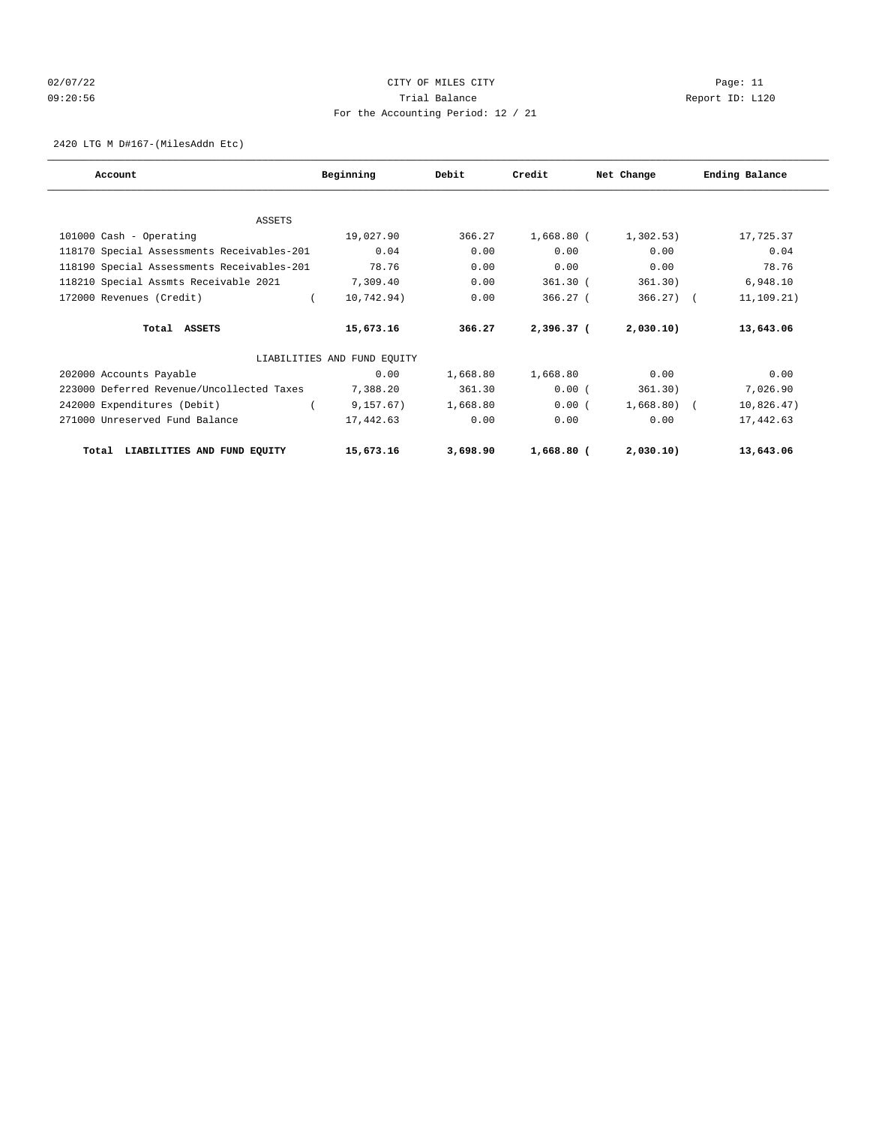# 02/07/22 Page: 11 CITY OF MILES CITY CONTROL Page: 11 09:20:56 Trial Balance Report ID: L120 For the Accounting Period: 12 / 21

2420 LTG M D#167-(MilesAddn Etc)

| Account                                    | Beginning                   | Debit    | Credit     | Net Change   | Ending Balance |
|--------------------------------------------|-----------------------------|----------|------------|--------------|----------------|
|                                            |                             |          |            |              |                |
| ASSETS                                     |                             |          |            |              |                |
| 101000 Cash - Operating                    | 19,027.90                   | 366.27   | 1,668.80 ( | 1,302.53)    | 17,725.37      |
| 118170 Special Assessments Receivables-201 | 0.04                        | 0.00     | 0.00       | 0.00         | 0.04           |
| 118190 Special Assessments Receivables-201 | 78.76                       | 0.00     | 0.00       | 0.00         | 78.76          |
| 118210 Special Assmts Receivable 2021      | 7,309.40                    | 0.00     | $361.30$ ( | 361.30)      | 6,948.10       |
| 172000 Revenues (Credit)                   | $\left($<br>10,742.94)      | 0.00     | 366.27(    | $366.27$ ) ( | 11,109.21)     |
| Total ASSETS                               | 15,673.16                   | 366.27   | 2,396.37 ( | 2,030.10)    | 13,643.06      |
|                                            | LIABILITIES AND FUND EQUITY |          |            |              |                |
| 202000 Accounts Payable                    | 0.00                        | 1,668.80 | 1,668.80   | 0.00         | 0.00           |
| 223000 Deferred Revenue/Uncollected Taxes  | 7,388.20                    | 361.30   | 0.00(      | 361.30)      | 7,026.90       |
| 242000 Expenditures (Debit)                | 9, 157.67)                  | 1,668.80 | 0.00(      | $1,668.80$ ( | 10,826.47)     |
| 271000 Unreserved Fund Balance             | 17,442.63                   | 0.00     | 0.00       | 0.00         | 17,442.63      |
| Total LIABILITIES AND FUND EQUITY          | 15,673.16                   | 3,698.90 | 1,668.80 ( | 2,030.10     | 13,643.06      |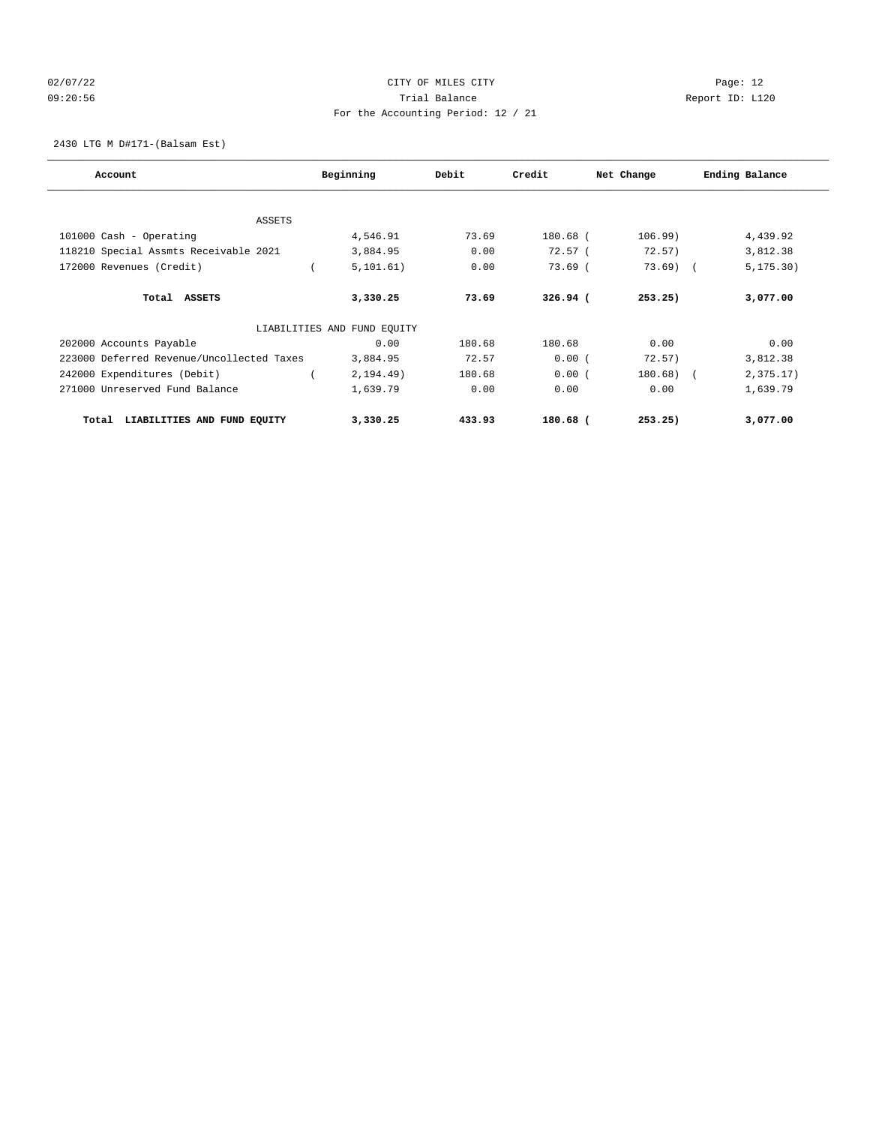# 02/07/22 Page: 12 09:20:56 Trial Balance Report ID: L120 For the Accounting Period: 12 / 21

2430 LTG M D#171-(Balsam Est)

| Account                                   | Beginning                   | Debit  | Credit     | Net Change | Ending Balance |
|-------------------------------------------|-----------------------------|--------|------------|------------|----------------|
|                                           |                             |        |            |            |                |
| <b>ASSETS</b>                             |                             |        |            |            |                |
| 101000 Cash - Operating                   | 4,546.91                    | 73.69  | 180.68 (   | 106.99)    | 4,439.92       |
| 118210 Special Assmts Receivable 2021     | 3,884.95                    | 0.00   | 72.57(     | 72.57)     | 3,812.38       |
| 172000 Revenues (Credit)                  | 5, 101.61)                  | 0.00   | $73.69$ (  | $73.69$ (  | 5, 175.30)     |
| Total ASSETS                              | 3,330.25                    | 73.69  | $326.94$ ( | 253.25)    | 3,077.00       |
|                                           | LIABILITIES AND FUND EQUITY |        |            |            |                |
| 202000 Accounts Payable                   | 0.00                        | 180.68 | 180.68     | 0.00       | 0.00           |
| 223000 Deferred Revenue/Uncollected Taxes | 3,884.95                    | 72.57  | 0.00(      | 72.57)     | 3,812.38       |
| 242000 Expenditures (Debit)               | 2, 194.49)                  | 180.68 | 0.00(      | 180.68) (  | 2,375.17)      |
| 271000 Unreserved Fund Balance            | 1,639.79                    | 0.00   | 0.00       | 0.00       | 1,639.79       |
| LIABILITIES AND FUND EQUITY<br>Total      | 3,330.25                    | 433.93 | 180.68 (   | 253.25)    | 3,077.00       |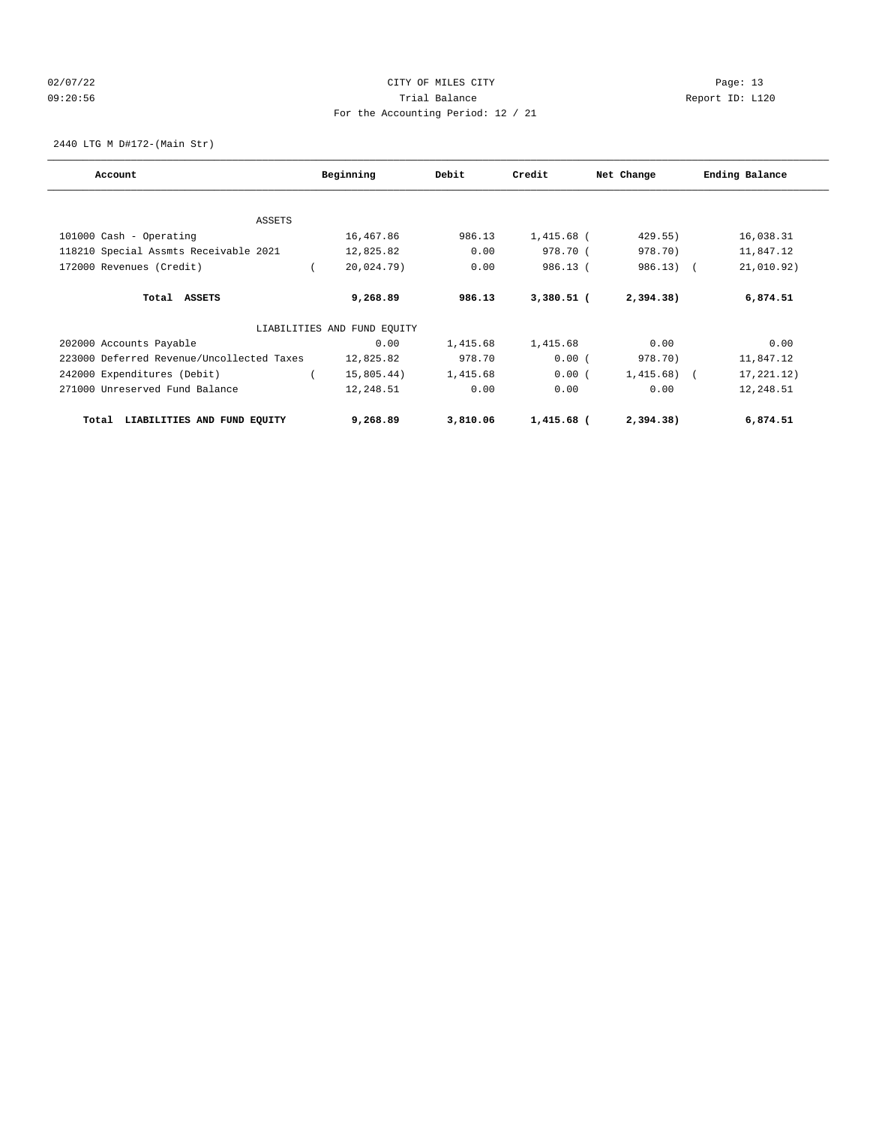# 02/07/22 Page: 13 09:20:56 Trial Balance Report ID: L120 For the Accounting Period: 12 / 21

2440 LTG M D#172-(Main Str)

| Account                                   | Beginning                   | Debit    | Credit       | Net Change   | Ending Balance |
|-------------------------------------------|-----------------------------|----------|--------------|--------------|----------------|
|                                           |                             |          |              |              |                |
| <b>ASSETS</b>                             |                             |          |              |              |                |
| 101000 Cash - Operating                   | 16,467.86                   | 986.13   | $1,415.68$ ( | 429.55)      | 16,038.31      |
| 118210 Special Assmts Receivable 2021     | 12,825.82                   | 0.00     | 978.70 (     | 978.70)      | 11,847.12      |
| 172000 Revenues (Credit)                  | 20,024.79)                  | 0.00     | 986.13 (     | $986.13$ (   | 21,010.92)     |
| Total ASSETS                              | 9,268.89                    | 986.13   | $3,380.51$ ( | 2,394.38)    | 6,874.51       |
|                                           | LIABILITIES AND FUND EQUITY |          |              |              |                |
| 202000 Accounts Payable                   | 0.00                        | 1,415.68 | 1,415.68     | 0.00         | 0.00           |
| 223000 Deferred Revenue/Uncollected Taxes | 12,825.82                   | 978.70   | 0.00(        | 978.70)      | 11,847.12      |
| 242000 Expenditures (Debit)               | 15,805.44)                  | 1,415.68 | 0.00(        | $1,415.68$ ( | 17,221.12)     |
| 271000 Unreserved Fund Balance            | 12,248.51                   | 0.00     | 0.00         | 0.00         | 12,248.51      |
| LIABILITIES AND FUND EQUITY<br>Total      | 9,268.89                    | 3,810.06 | 1,415.68 (   | 2,394.38)    | 6,874.51       |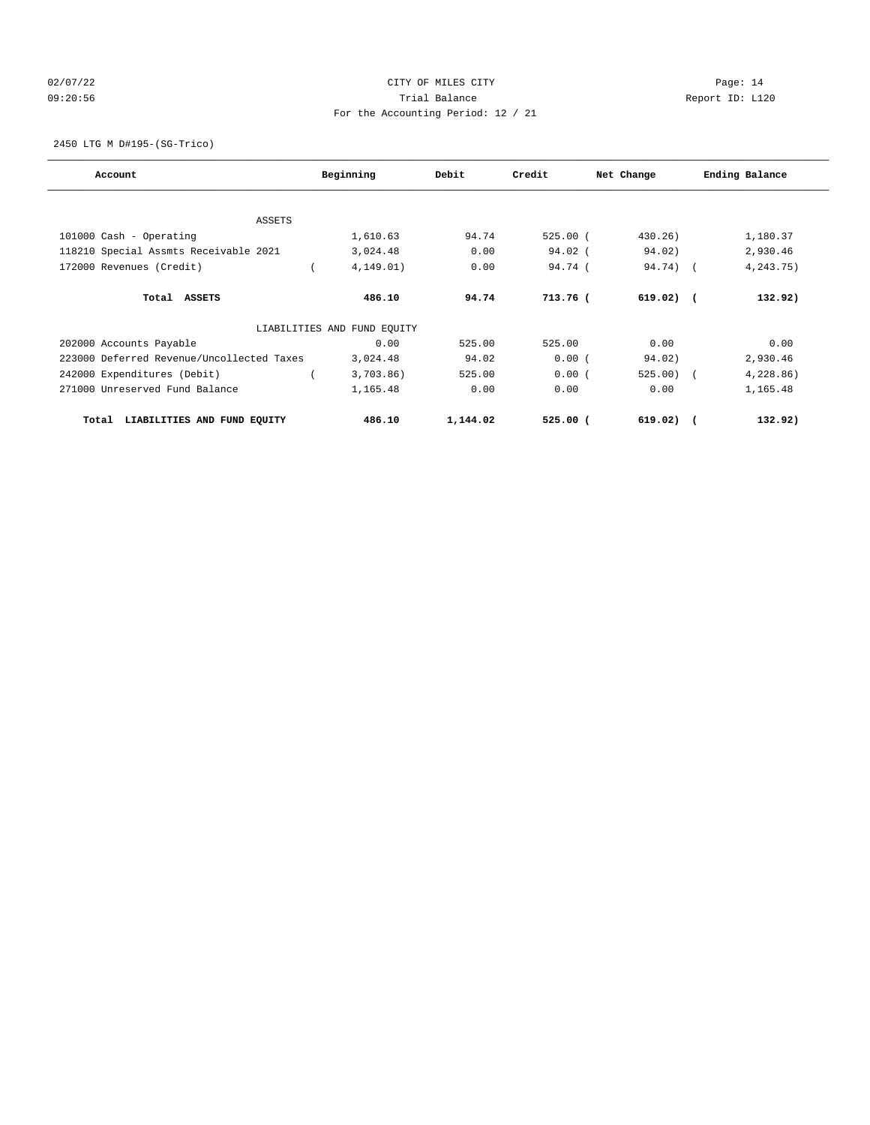# 02/07/22 Page: 14 09:20:56 Trial Balance Report ID: L120 For the Accounting Period: 12 / 21

2450 LTG M D#195-(SG-Trico)

| Account                                   | Beginning                   | Debit    | Credit     | Net Change  | Ending Balance |
|-------------------------------------------|-----------------------------|----------|------------|-------------|----------------|
|                                           |                             |          |            |             |                |
| <b>ASSETS</b>                             |                             |          |            |             |                |
| 101000 Cash - Operating                   | 1,610.63                    | 94.74    | $525.00$ ( | $430.26$ )  | 1,180.37       |
| 118210 Special Assmts Receivable 2021     | 3,024.48                    | 0.00     | $94.02$ (  | 94.02)      | 2,930.46       |
| 172000 Revenues (Credit)                  | 4, 149.01)                  | 0.00     | 94.74 (    | 94.74) (    | 4,243.75)      |
| Total ASSETS                              | 486.10                      | 94.74    | 713.76 (   | $619.02)$ ( | 132.92)        |
|                                           | LIABILITIES AND FUND EQUITY |          |            |             |                |
| 202000 Accounts Payable                   | 0.00                        | 525.00   | 525.00     | 0.00        | 0.00           |
| 223000 Deferred Revenue/Uncollected Taxes | 3,024.48                    | 94.02    | 0.00(      | 94.02)      | 2,930.46       |
| 242000 Expenditures (Debit)               | $3,703.86$ )                | 525.00   | 0.00(      | $525.00$ (  | 4,228.86)      |
| 271000 Unreserved Fund Balance            | 1,165.48                    | 0.00     | 0.00       | 0.00        | 1,165.48       |
| LIABILITIES AND FUND EQUITY<br>Total      | 486.10                      | 1,144.02 | $525.00$ ( | $619.02)$ ( | 132.92)        |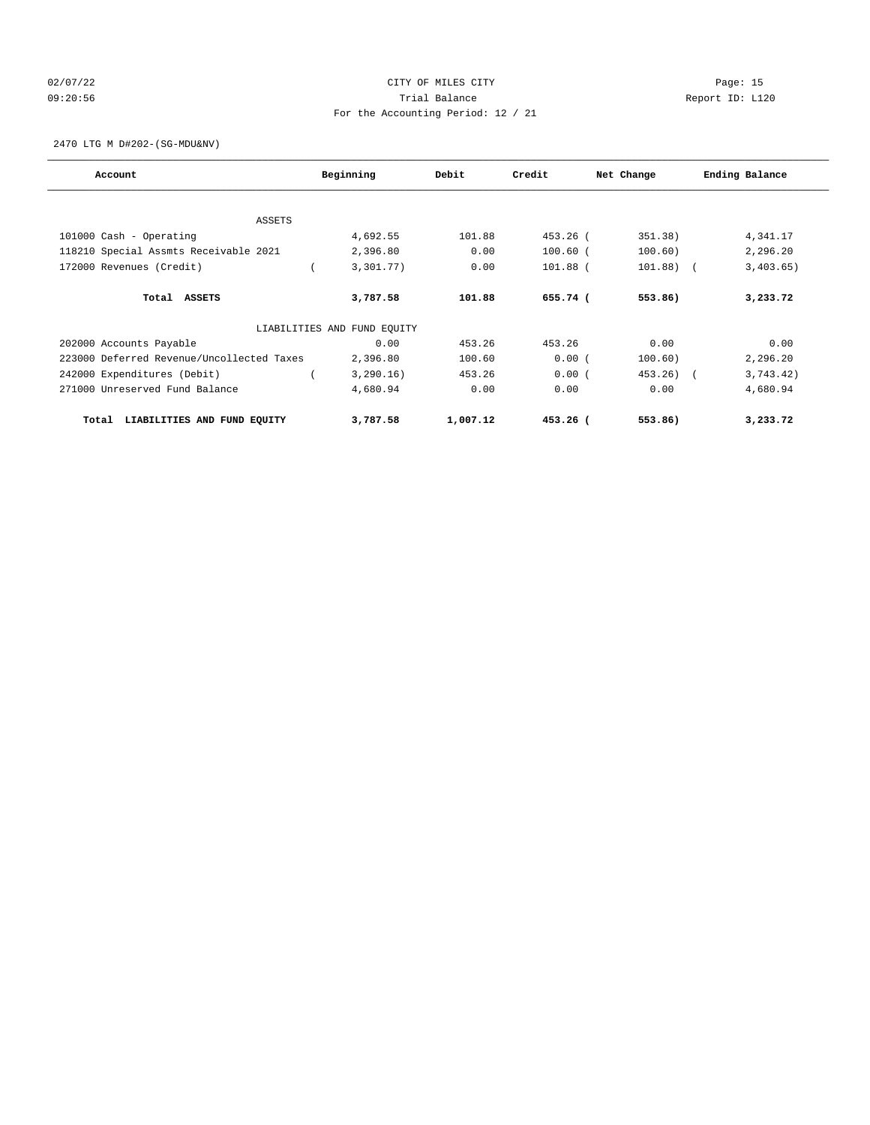# 02/07/22 Page: 15 09:20:56 Trial Balance Report ID: L120 For the Accounting Period: 12 / 21

2470 LTG M D#202-(SG-MDU&NV)

| Account                                   | Beginning                   | Debit    | Credit     | Net Change  | Ending Balance |
|-------------------------------------------|-----------------------------|----------|------------|-------------|----------------|
|                                           |                             |          |            |             |                |
| <b>ASSETS</b>                             |                             |          |            |             |                |
| 101000 Cash - Operating                   | 4,692.55                    | 101.88   | 453.26 (   | 351.38)     | 4,341.17       |
| 118210 Special Assmts Receivable 2021     | 2,396.80                    | 0.00     | $100.60$ ( | 100.60)     | 2,296.20       |
| 172000 Revenues (Credit)                  | 3,301.77)                   | 0.00     | $101.88$ ( | $101.88)$ ( | 3,403.65)      |
| Total ASSETS                              | 3,787.58                    | 101.88   | 655.74 (   | 553.86)     | 3,233.72       |
|                                           | LIABILITIES AND FUND EQUITY |          |            |             |                |
| 202000 Accounts Payable                   | 0.00                        | 453.26   | 453.26     | 0.00        | 0.00           |
| 223000 Deferred Revenue/Uncollected Taxes | 2,396.80                    | 100.60   | 0.00(      | 100.60)     | 2,296.20       |
| 242000 Expenditures (Debit)               | 3,290.16)                   | 453.26   | 0.00(      | 453.26) (   | 3,743.42)      |
| 271000 Unreserved Fund Balance            | 4,680.94                    | 0.00     | 0.00       | 0.00        | 4,680.94       |
| LIABILITIES AND FUND EQUITY<br>Total      | 3,787.58                    | 1,007.12 | $453.26$ ( | 553.86)     | 3,233.72       |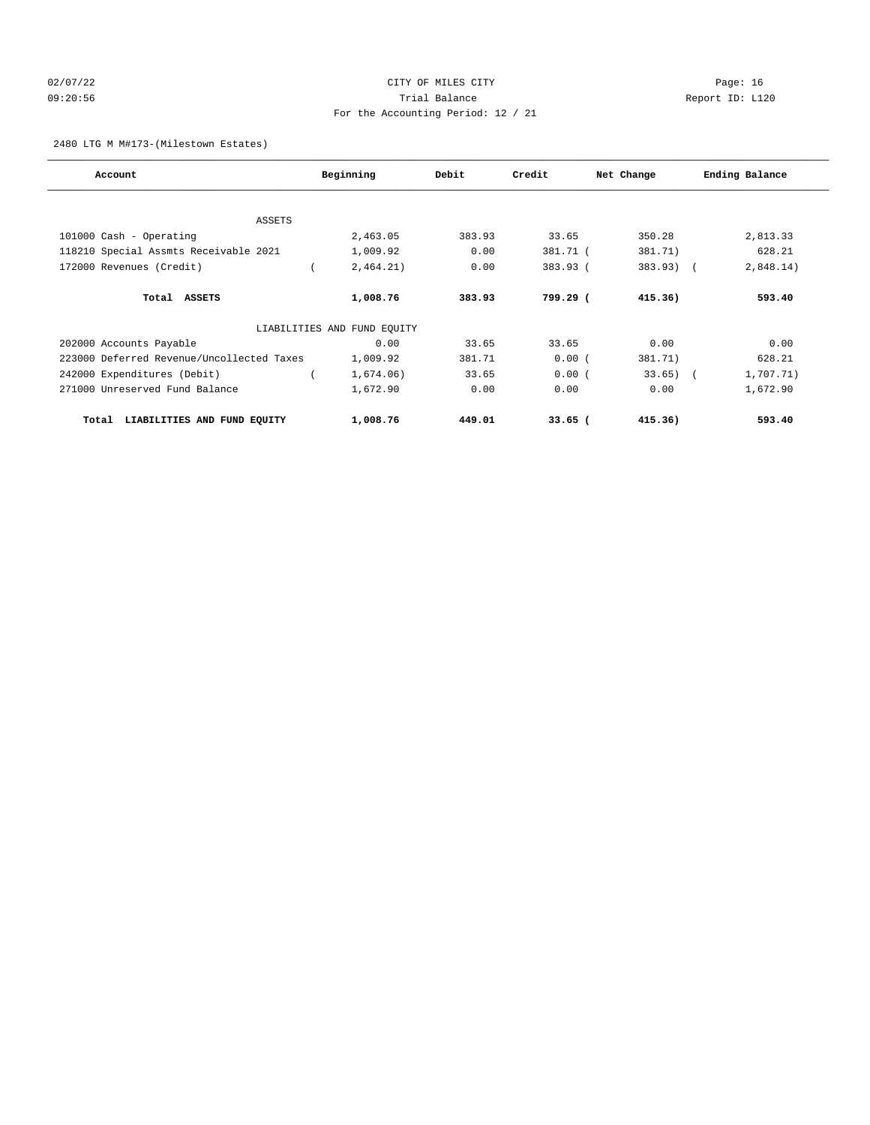# 02/07/22 Page: 16 09:20:56 Trial Balance Report ID: L120 For the Accounting Period: 12 / 21

### 2480 LTG M M#173-(Milestown Estates)

| Account                                   | Beginning                   | Debit  | Credit    | Net Change  | Ending Balance |
|-------------------------------------------|-----------------------------|--------|-----------|-------------|----------------|
|                                           |                             |        |           |             |                |
| <b>ASSETS</b>                             |                             |        |           |             |                |
| 101000 Cash - Operating                   | 2,463.05                    | 383.93 | 33.65     | 350.28      | 2,813.33       |
| 118210 Special Assmts Receivable 2021     | 1,009.92                    | 0.00   | 381.71 (  | 381.71)     | 628.21         |
| 172000 Revenues (Credit)                  | 2,464.21)                   | 0.00   | 383.93 (  | $383.93)$ ( | 2,848.14)      |
| Total ASSETS                              | 1,008.76                    | 383.93 | 799.29 (  | 415.36)     | 593.40         |
|                                           | LIABILITIES AND FUND EQUITY |        |           |             |                |
| 202000 Accounts Payable                   | 0.00                        | 33.65  | 33.65     | 0.00        | 0.00           |
| 223000 Deferred Revenue/Uncollected Taxes | 1,009.92                    | 381.71 | 0.00(     | 381.71)     | 628.21         |
| 242000 Expenditures (Debit)               | 1,674.06)                   | 33.65  | 0.00(     | $33.65)$ (  | 1,707.71)      |
| 271000 Unreserved Fund Balance            | 1,672.90                    | 0.00   | 0.00      | 0.00        | 1,672.90       |
| LIABILITIES AND FUND EQUITY<br>Total      | 1,008.76                    | 449.01 | $33.65$ ( | 415.36)     | 593.40         |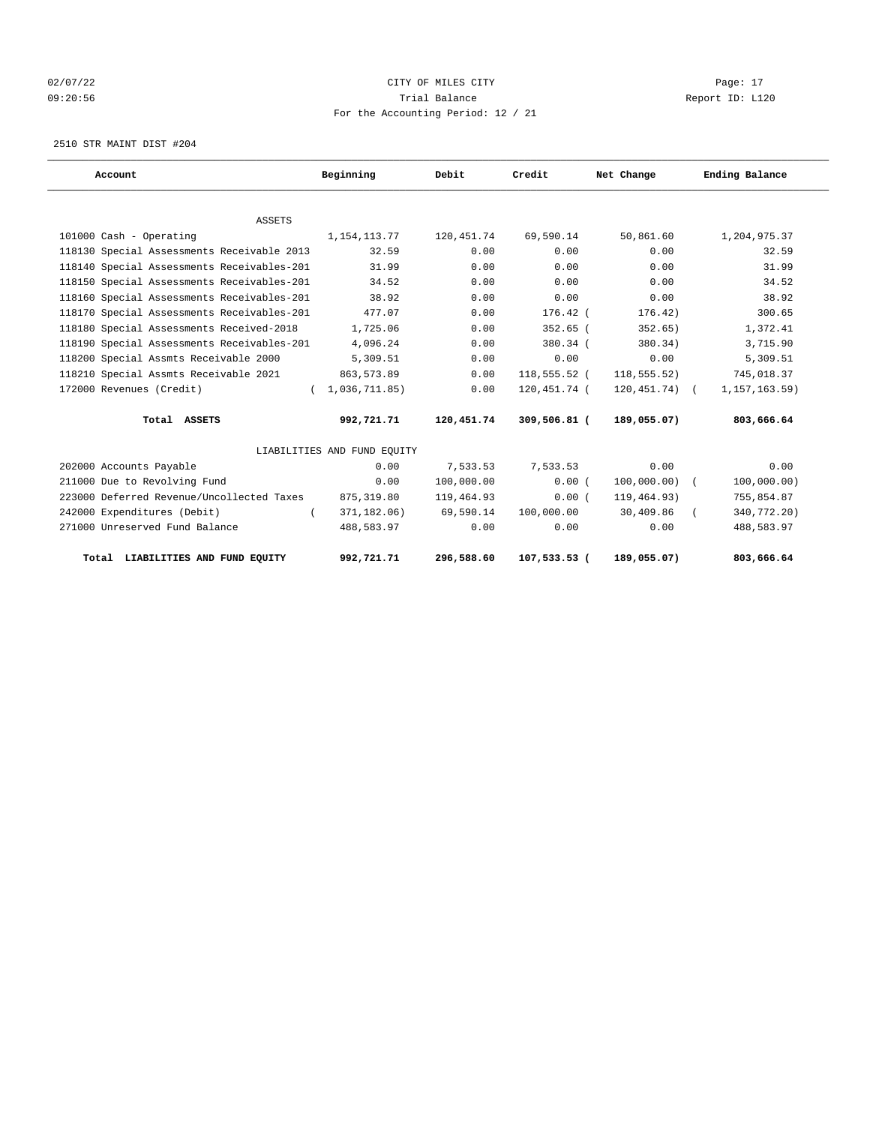# 02/07/22 Page: 17 CITY OF MILES CITY CONTROL Page: 17 09:20:56 Trial Balance Report ID: L120 For the Accounting Period: 12 / 21

2510 STR MAINT DIST #204

| Account                                    | Beginning                   | Debit      | Credit         | Net Change       | Ending Balance  |
|--------------------------------------------|-----------------------------|------------|----------------|------------------|-----------------|
|                                            |                             |            |                |                  |                 |
| <b>ASSETS</b>                              |                             |            |                |                  |                 |
| 101000 Cash - Operating                    | 1,154,113.77                | 120,451.74 | 69,590.14      | 50,861.60        | 1,204,975.37    |
| 118130 Special Assessments Receivable 2013 | 32.59                       | 0.00       | 0.00           | 0.00             | 32.59           |
| 118140 Special Assessments Receivables-201 | 31.99                       | 0.00       | 0.00           | 0.00             | 31.99           |
| 118150 Special Assessments Receivables-201 | 34.52                       | 0.00       | 0.00           | 0.00             | 34.52           |
| 118160 Special Assessments Receivables-201 | 38.92                       | 0.00       | 0.00           | 0.00             | 38.92           |
| 118170 Special Assessments Receivables-201 | 477.07                      | 0.00       | $176.42$ (     | 176.42)          | 300.65          |
| 118180 Special Assessments Received-2018   | 1,725.06                    | 0.00       | 352.65 (       | 352.65)          | 1,372.41        |
| 118190 Special Assessments Receivables-201 | 4,096.24                    | 0.00       | 380.34 (       | 380.34)          | 3,715.90        |
| 118200 Special Assmts Receivable 2000      | 5,309.51                    | 0.00       | 0.00           | 0.00             | 5,309.51        |
| 118210 Special Assmts Receivable 2021      | 863,573.89                  | 0.00       | $118,555.52$ ( | 118, 555.52)     | 745,018.37      |
| 172000 Revenues (Credit)                   | (1,036,711.85)              | 0.00       | 120,451.74 (   | $120, 451.74)$ ( | 1, 157, 163.59) |
| Total ASSETS                               | 992,721.71                  | 120,451.74 | 309,506.81 (   | 189,055.07)      | 803,666.64      |
|                                            | LIABILITIES AND FUND EQUITY |            |                |                  |                 |
| 202000 Accounts Payable                    | 0.00                        | 7,533.53   | 7,533.53       | 0.00             | 0.00            |
| 211000 Due to Revolving Fund               | 0.00                        | 100,000.00 | 0.00(          | $100,000.00)$ (  | 100,000.00)     |
| 223000 Deferred Revenue/Uncollected Taxes  | 875, 319.80                 | 119,464.93 | 0.00(          | 119,464.93)      | 755,854.87      |
| 242000 Expenditures (Debit)                | 371,182.06)                 | 69,590.14  | 100,000.00     | 30,409.86        | 340,772.20)     |
| 271000 Unreserved Fund Balance             | 488,583.97                  | 0.00       | 0.00           | 0.00             | 488,583.97      |
| Total LIABILITIES AND FUND EQUITY          | 992,721.71                  | 296,588.60 | 107,533.53 (   | 189,055.07)      | 803,666.64      |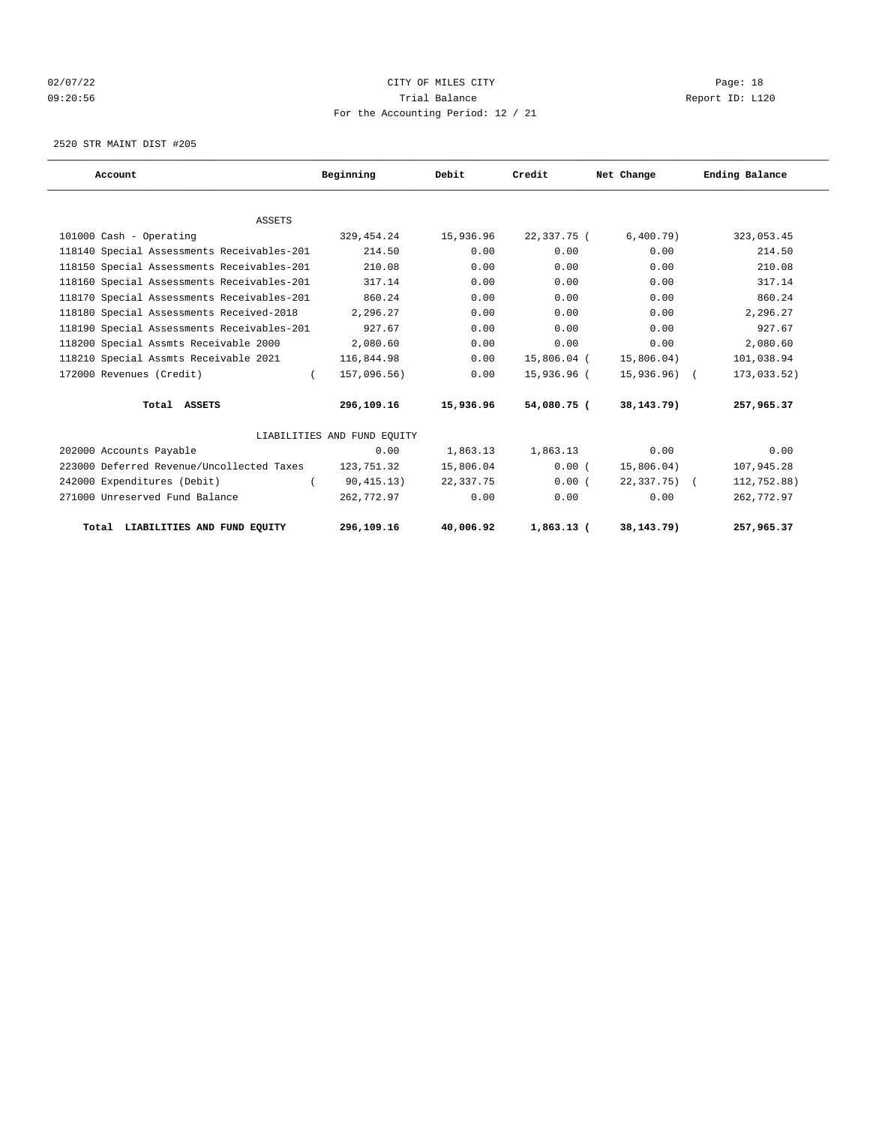# 02/07/22 Page: 18 09:20:56 Trial Balance Report ID: L120 For the Accounting Period: 12 / 21

2520 STR MAINT DIST #205

| Account                                    | Beginning                   | Debit     | Credit       | Net Change      | Ending Balance |
|--------------------------------------------|-----------------------------|-----------|--------------|-----------------|----------------|
|                                            |                             |           |              |                 |                |
| <b>ASSETS</b>                              |                             |           |              |                 |                |
| 101000 Cash - Operating                    | 329, 454.24                 | 15,936.96 | 22,337.75 (  | 6,400.79)       | 323,053.45     |
| 118140 Special Assessments Receivables-201 | 214.50                      | 0.00      | 0.00         | 0.00            | 214.50         |
| 118150 Special Assessments Receivables-201 | 210.08                      | 0.00      | 0.00         | 0.00            | 210.08         |
| 118160 Special Assessments Receivables-201 | 317.14                      | 0.00      | 0.00         | 0.00            | 317.14         |
| 118170 Special Assessments Receivables-201 | 860.24                      | 0.00      | 0.00         | 0.00            | 860.24         |
| 118180 Special Assessments Received-2018   | 2,296.27                    | 0.00      | 0.00         | 0.00            | 2,296.27       |
| 118190 Special Assessments Receivables-201 | 927.67                      | 0.00      | 0.00         | 0.00            | 927.67         |
| 118200 Special Assmts Receivable 2000      | 2,080.60                    | 0.00      | 0.00         | 0.00            | 2,080.60       |
| 118210 Special Assmts Receivable 2021      | 116,844.98                  | 0.00      | 15,806.04 (  | 15,806.04)      | 101,038.94     |
| 172000 Revenues (Credit)<br>$\left($       | 157,096.56)                 | 0.00      | 15,936.96 (  | $15,936.96)$ (  | 173,033.52)    |
| Total ASSETS                               | 296,109.16                  | 15,936.96 | 54,080.75 (  | 38,143.79)      | 257,965.37     |
|                                            | LIABILITIES AND FUND EQUITY |           |              |                 |                |
| 202000 Accounts Payable                    | 0.00                        | 1,863.13  | 1,863.13     | 0.00            | 0.00           |
| 223000 Deferred Revenue/Uncollected Taxes  | 123,751.32                  | 15,806.04 | 0.00(        | 15,806.04)      | 107,945.28     |
| 242000 Expenditures (Debit)<br>$\left($    | 90, 415.13)                 | 22,337.75 | 0.00(        | $22,337.75$ ) ( | 112,752.88)    |
| 271000 Unreserved Fund Balance             | 262,772.97                  | 0.00      | 0.00         | 0.00            | 262,772.97     |
| Total LIABILITIES AND FUND EOUITY          | 296,109.16                  | 40,006.92 | $1,863.13$ ( | 38, 143. 79)    | 257,965.37     |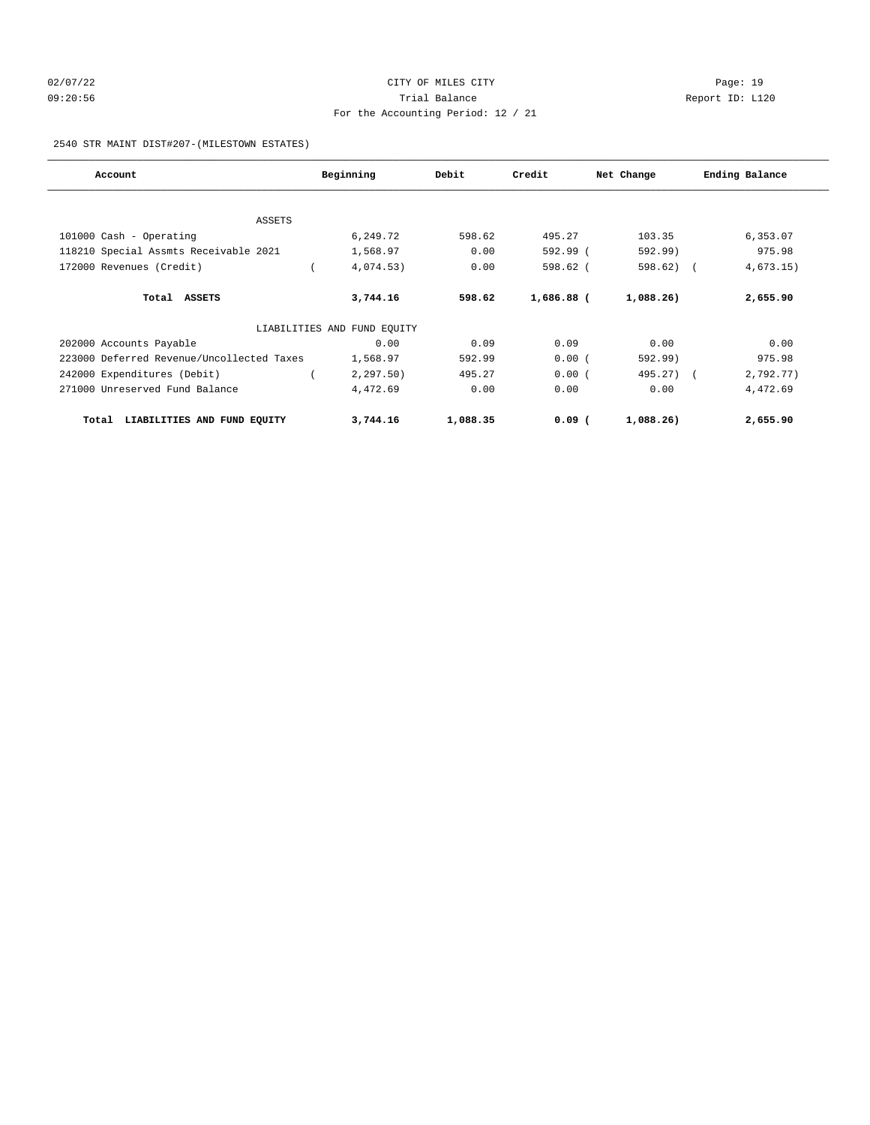# 02/07/22 Page: 19 09:20:56 Trial Balance Report ID: L120 For the Accounting Period: 12 / 21

### 2540 STR MAINT DIST#207-(MILESTOWN ESTATES)

| Account                                   | Beginning                   | Debit    | Credit     | Net Change |            | Ending Balance |
|-------------------------------------------|-----------------------------|----------|------------|------------|------------|----------------|
|                                           |                             |          |            |            |            |                |
| <b>ASSETS</b>                             |                             |          |            |            |            |                |
| 101000 Cash - Operating                   | 6,249.72                    | 598.62   | 495.27     | 103.35     |            | 6,353.07       |
| 118210 Special Assmts Receivable 2021     | 1,568.97                    | 0.00     | 592.99 (   | 592.99)    |            | 975.98         |
| 172000 Revenues (Credit)                  | 4,074.53)                   | 0.00     | $598.62$ ( | 598.62     | $\sqrt{2}$ | 4,673.15)      |
| Total ASSETS                              | 3,744.16                    | 598.62   | 1,686.88 ( | 1,088.26)  |            | 2,655.90       |
|                                           | LIABILITIES AND FUND EQUITY |          |            |            |            |                |
| 202000 Accounts Payable                   | 0.00                        | 0.09     | 0.09       | 0.00       |            | 0.00           |
| 223000 Deferred Revenue/Uncollected Taxes | 1,568.97                    | 592.99   | 0.00(      | 592.99)    |            | 975.98         |
| 242000 Expenditures (Debit)               | 2, 297.50)                  | 495.27   | 0.00(      | 495.27) (  |            | 2,792.77)      |
| 271000 Unreserved Fund Balance            | 4,472.69                    | 0.00     | 0.00       | 0.00       |            | 4,472.69       |
| LIABILITIES AND FUND EQUITY<br>Total      | 3,744.16                    | 1,088.35 | $0.09$ (   | 1,088.26)  |            | 2,655.90       |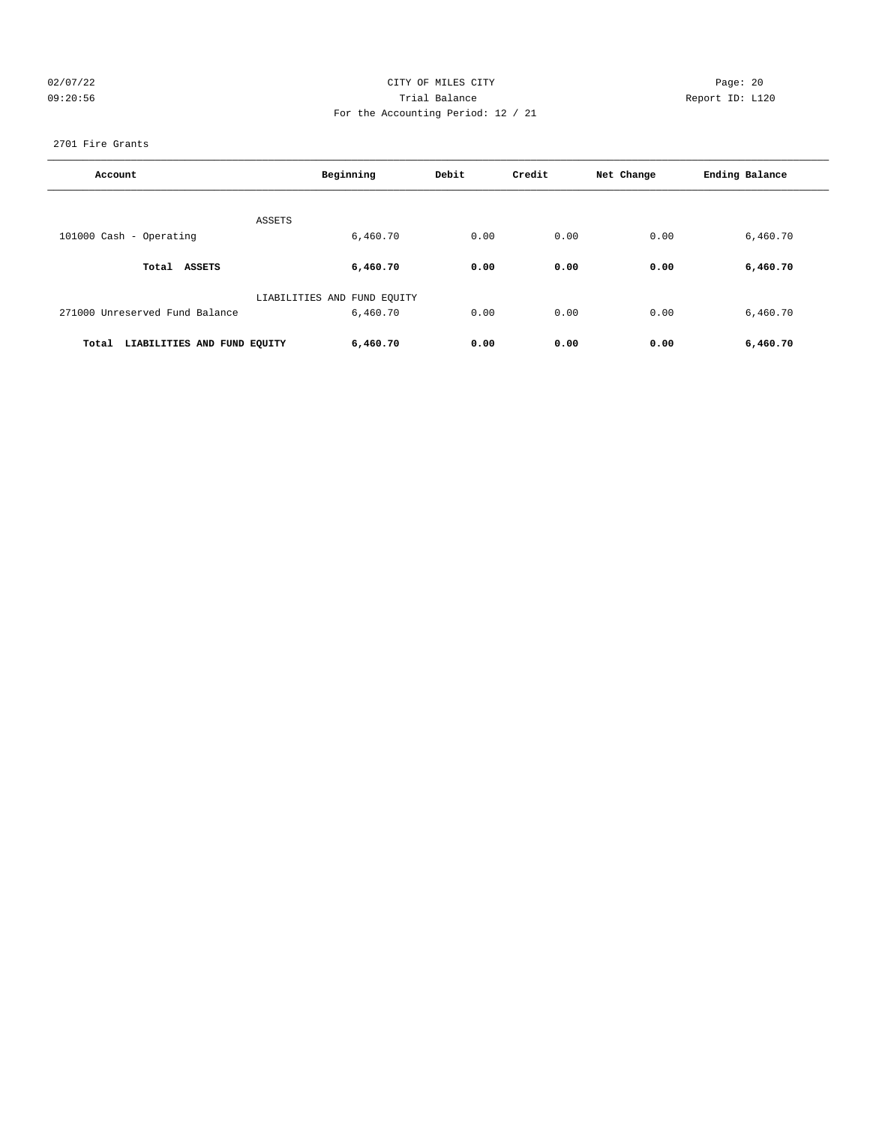# 02/07/22 Page: 20 09:20:56 Trial Balance Report ID: L120 For the Accounting Period: 12 / 21

### 2701 Fire Grants

| Account                              | Beginning                   | Debit | Credit | Net Change | Ending Balance |
|--------------------------------------|-----------------------------|-------|--------|------------|----------------|
| <b>ASSETS</b>                        |                             |       |        |            |                |
| 101000 Cash - Operating              | 6,460.70                    | 0.00  | 0.00   | 0.00       | 6,460.70       |
| Total ASSETS                         | 6,460.70                    | 0.00  | 0.00   | 0.00       | 6,460.70       |
|                                      | LIABILITIES AND FUND EQUITY |       |        |            |                |
| 271000 Unreserved Fund Balance       | 6,460.70                    | 0.00  | 0.00   | 0.00       | 6,460.70       |
| LIABILITIES AND FUND EQUITY<br>Total | 6,460.70                    | 0.00  | 0.00   | 0.00       | 6,460.70       |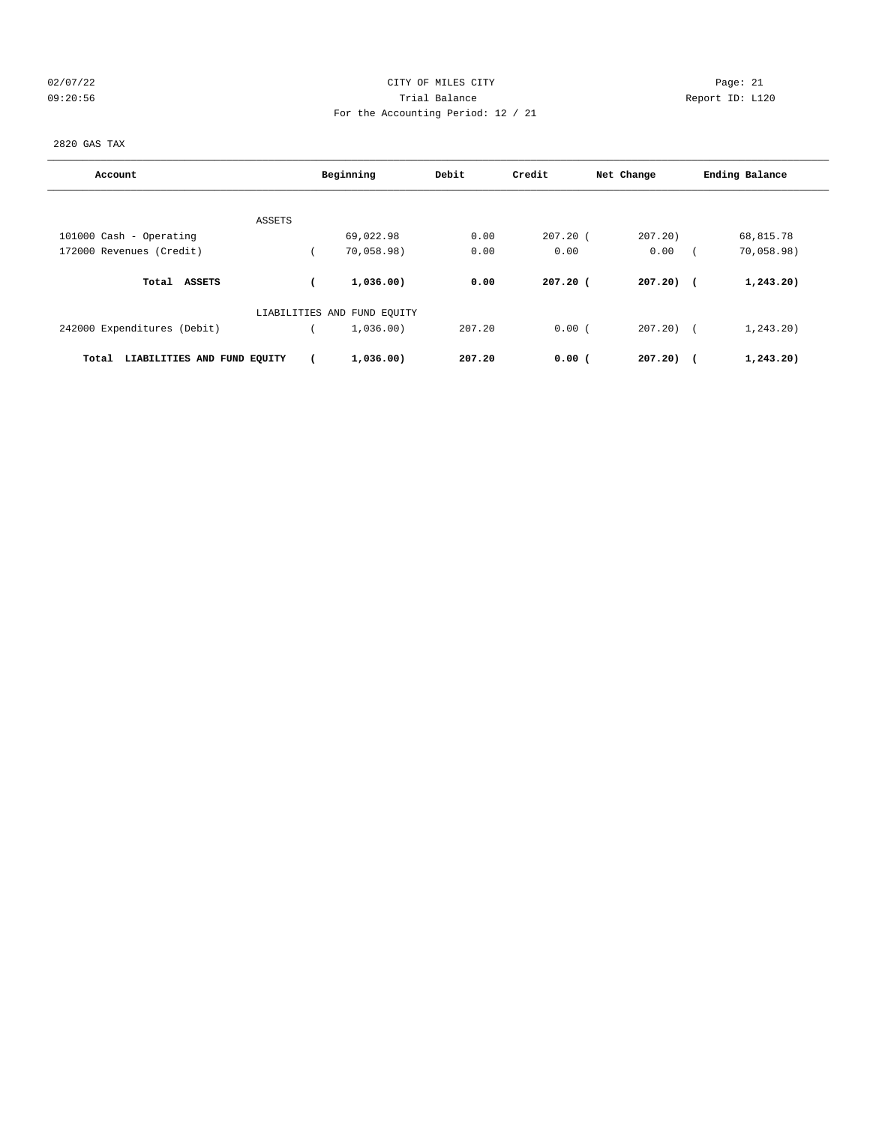# 02/07/22 Page: 21 CITY OF MILES CITY CONTROL Page: 21 09:20:56 Trial Balance Report ID: L120 For the Accounting Period: 12 / 21

2820 GAS TAX

| Account                              |        | Beginning                   | Debit  | Credit     | Net Change   | Ending Balance |
|--------------------------------------|--------|-----------------------------|--------|------------|--------------|----------------|
|                                      |        |                             |        |            |              |                |
|                                      | ASSETS |                             | 0.00   |            |              |                |
| 101000 Cash - Operating              |        | 69,022.98                   |        | $207.20$ ( | 207.20       | 68,815.78      |
| 172000 Revenues (Credit)             |        | 70,058.98)                  | 0.00   | 0.00       | 0.00         | 70,058.98)     |
| Total ASSETS                         |        | 1,036.00)                   | 0.00   | $207.20$ ( | $207.20$ (   | 1, 243.20)     |
|                                      |        | LIABILITIES AND FUND EQUITY |        |            |              |                |
| 242000 Expenditures (Debit)          |        | 1,036.00)                   | 207.20 | 0.00(      | $207.20$ ) ( | 1, 243.20      |
| LIABILITIES AND FUND EQUITY<br>Total |        | 1,036.00)                   | 207.20 | $0.00$ (   | $207.20$ (   | 1,243.20)      |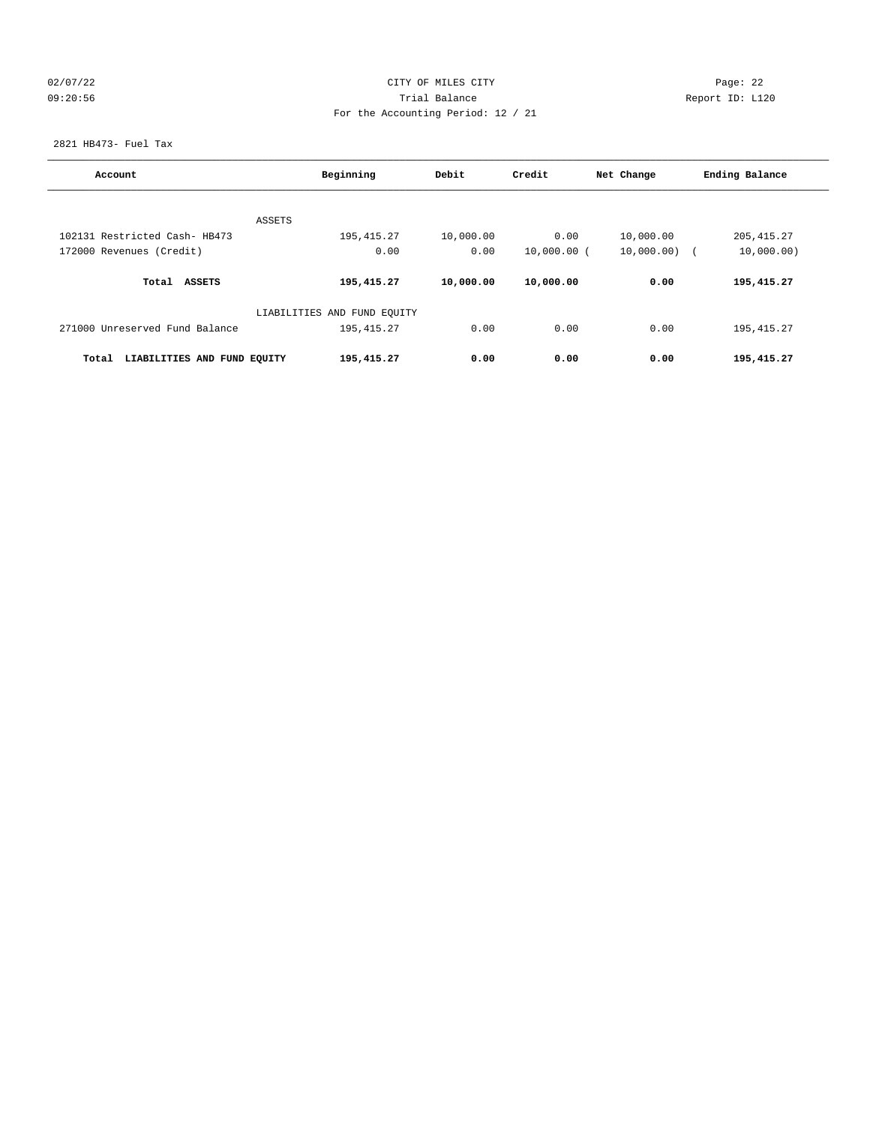# 02/07/22 Page: 22 09:20:56 Trial Balance Report ID: L120 For the Accounting Period: 12 / 21

2821 HB473- Fuel Tax

| Account                              | Beginning                   | Debit     | Credit        | Net Change | Ending Balance |
|--------------------------------------|-----------------------------|-----------|---------------|------------|----------------|
|                                      |                             |           |               |            |                |
| ASSETS                               |                             |           |               |            |                |
| 102131 Restricted Cash- HB473        | 195, 415.27                 | 10,000.00 | 0.00          | 10,000.00  | 205, 415.27    |
| 172000 Revenues (Credit)             | 0.00                        | 0.00      | $10,000.00$ ( | 10,000.00) | 10,000.00)     |
| Total ASSETS                         | 195,415.27                  | 10,000.00 | 10,000.00     | 0.00       | 195,415.27     |
|                                      | LIABILITIES AND FUND EQUITY |           |               |            |                |
| 271000 Unreserved Fund Balance       | 195, 415.27                 | 0.00      | 0.00          | 0.00       | 195, 415.27    |
| LIABILITIES AND FUND EQUITY<br>Total | 195,415.27                  | 0.00      | 0.00          | 0.00       | 195,415.27     |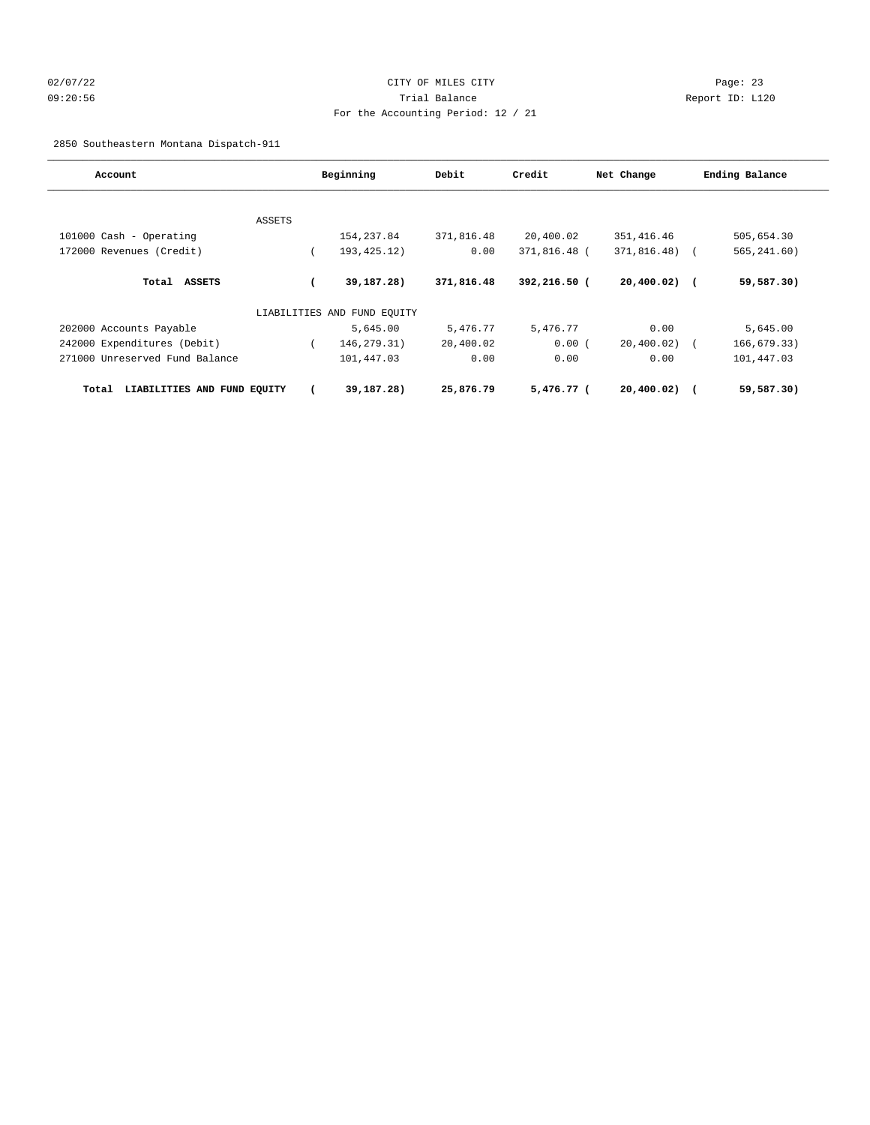# 02/07/22 Page: 23 09:20:56 Trial Balance Report ID: L120 For the Accounting Period: 12 / 21

2850 Southeastern Montana Dispatch-911

| Account                              |               | Beginning                   | Debit      | Credit       | Net Change     | Ending Balance |
|--------------------------------------|---------------|-----------------------------|------------|--------------|----------------|----------------|
|                                      |               |                             |            |              |                |                |
|                                      | <b>ASSETS</b> |                             |            |              |                |                |
| 101000 Cash - Operating              |               | 154, 237.84                 | 371,816.48 | 20,400.02    | 351, 416.46    | 505,654.30     |
| 172000 Revenues (Credit)             |               | 193, 425. 12)               | 0.00       | 371,816.48 ( | $371,816.48$ ( | 565, 241.60)   |
| Total ASSETS                         |               | 39,187.28)                  | 371,816.48 | 392,216.50 ( | $20,400.02)$ ( | 59,587.30)     |
|                                      |               | LIABILITIES AND FUND EQUITY |            |              |                |                |
| 202000 Accounts Payable              |               | 5,645.00                    | 5,476.77   | 5,476.77     | 0.00           | 5,645.00       |
| 242000 Expenditures (Debit)          |               | 146, 279. 31)               | 20,400.02  | 0.00(        | $20,400.02)$ ( | 166,679.33)    |
| 271000 Unreserved Fund Balance       |               | 101,447.03                  | 0.00       | 0.00         | 0.00           | 101,447.03     |
| LIABILITIES AND FUND EQUITY<br>Total |               | 39,187.28)                  | 25,876.79  | 5,476.77 (   | $20,400.02)$ ( | 59,587.30)     |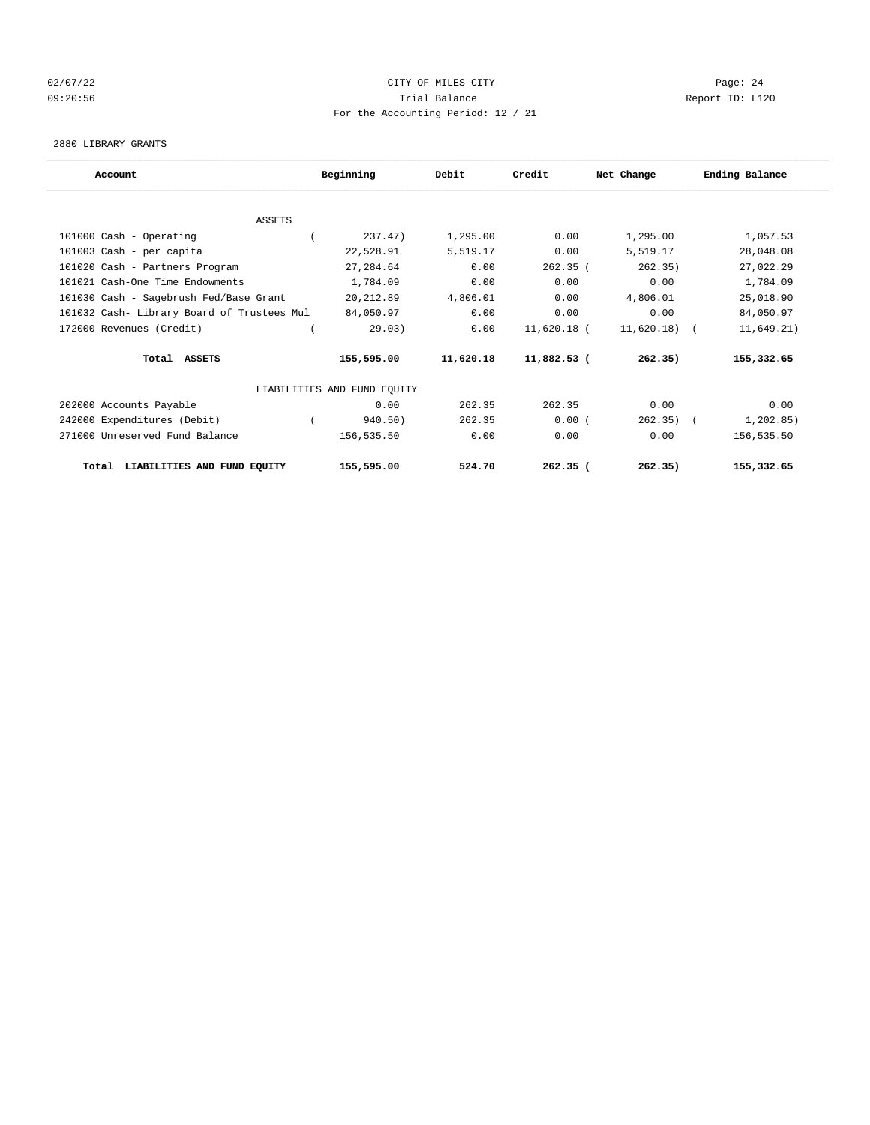# 02/07/22 Page: 24 09:20:56 Trial Balance Report ID: L120 For the Accounting Period: 12 / 21

#### 2880 LIBRARY GRANTS

| Account                                    | Beginning                   | Debit     | Credit        | Net Change    | Ending Balance |
|--------------------------------------------|-----------------------------|-----------|---------------|---------------|----------------|
|                                            |                             |           |               |               |                |
| <b>ASSETS</b>                              |                             |           |               |               |                |
| 101000 Cash - Operating                    | 237.47)                     | 1,295.00  | 0.00          | 1,295.00      | 1,057.53       |
| 101003 Cash - per capita                   | 22,528.91                   | 5,519.17  | 0.00          | 5,519.17      | 28,048.08      |
| 101020 Cash - Partners Program             | 27,284.64                   | 0.00      | $262.35$ (    | 262.35)       | 27,022.29      |
| 101021 Cash-One Time Endowments            | 1,784.09                    | 0.00      | 0.00          | 0.00          | 1,784.09       |
| 101030 Cash - Sagebrush Fed/Base Grant     | 20, 212.89                  | 4,806.01  | 0.00          | 4,806.01      | 25,018.90      |
| 101032 Cash- Library Board of Trustees Mul | 84,050.97                   | 0.00      | 0.00          | 0.00          | 84,050.97      |
| 172000 Revenues (Credit)                   | 29.03)                      | 0.00      | 11,620.18 (   | $11,620.18$ ( | 11,649.21)     |
| Total ASSETS                               | 155,595.00                  | 11,620.18 | $11,882.53$ ( | 262.35)       | 155,332.65     |
|                                            | LIABILITIES AND FUND EQUITY |           |               |               |                |
| 202000 Accounts Payable                    | 0.00                        | 262.35    | 262.35        | 0.00          | 0.00           |
| 242000 Expenditures (Debit)                | 940.50)                     | 262.35    | 0.00(         | 262.35)       | 1, 202.85)     |
| 271000 Unreserved Fund Balance             | 156,535.50                  | 0.00      | 0.00          | 0.00          | 156,535.50     |
| LIABILITIES AND FUND EQUITY<br>Total       | 155,595.00                  | 524.70    | $262.35$ (    | 262.35)       | 155,332.65     |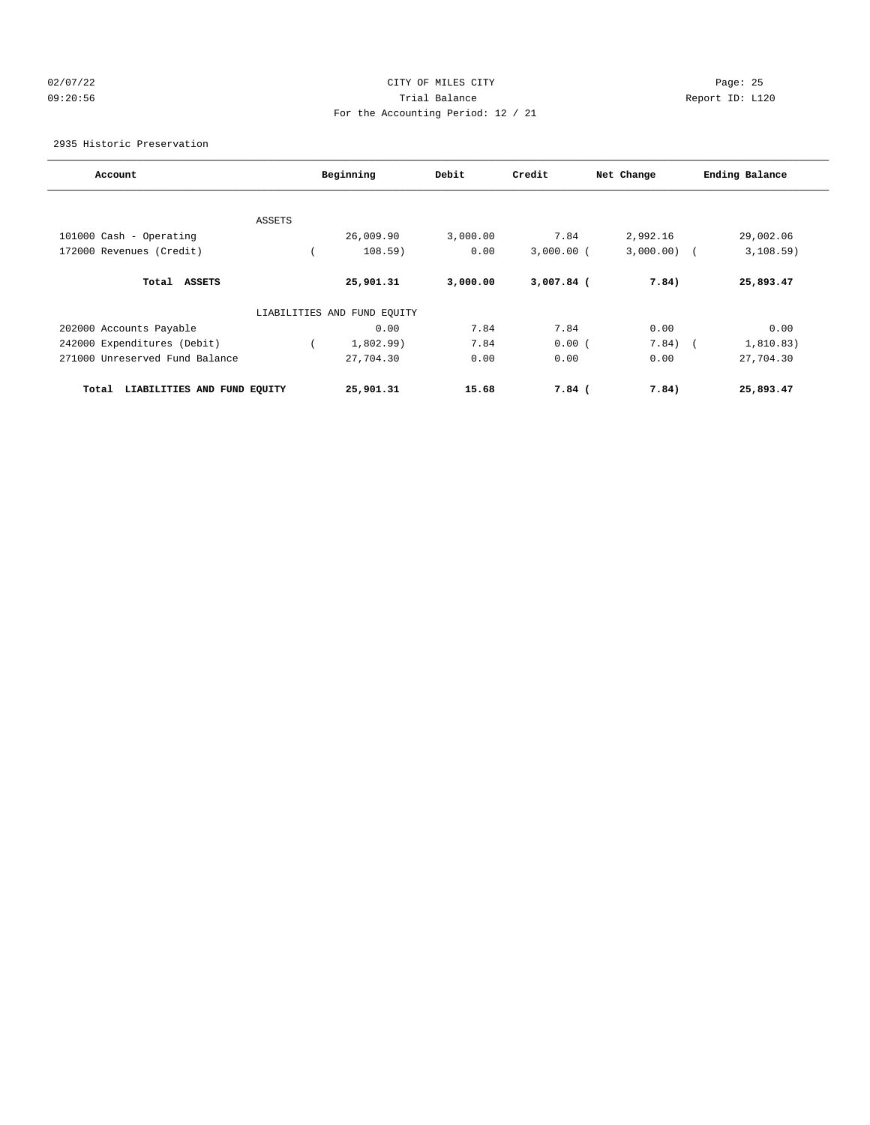# 02/07/22 Page: 25 09:20:56 Trial Balance Report ID: L120 For the Accounting Period: 12 / 21

2935 Historic Preservation

| Account                              |               | Beginning                   | Debit    | Credit       | Net Change | Ending Balance |
|--------------------------------------|---------------|-----------------------------|----------|--------------|------------|----------------|
|                                      |               |                             |          |              |            |                |
|                                      | <b>ASSETS</b> |                             |          |              |            |                |
| 101000 Cash - Operating              |               | 26,009.90                   | 3,000.00 | 7.84         | 2,992.16   | 29,002.06      |
| 172000 Revenues (Credit)             |               | 108.59)                     | 0.00     | $3,000.00$ ( | 3,000.00)  | 3,108.59)      |
| <b>ASSETS</b><br>Total               |               | 25,901.31                   | 3,000.00 | 3,007.84 (   | 7.84)      | 25,893.47      |
|                                      |               | LIABILITIES AND FUND EQUITY |          |              |            |                |
| 202000 Accounts Payable              |               | 0.00                        | 7.84     | 7.84         | 0.00       | 0.00           |
| 242000 Expenditures (Debit)          |               | 1,802.99)                   | 7.84     | 0.00(        | 7.84)      | 1,810.83)      |
| 271000 Unreserved Fund Balance       |               | 27,704.30                   | 0.00     | 0.00         | 0.00       | 27,704.30      |
| LIABILITIES AND FUND EQUITY<br>Total |               | 25,901.31                   | 15.68    | $7.84$ (     | 7.84)      | 25,893.47      |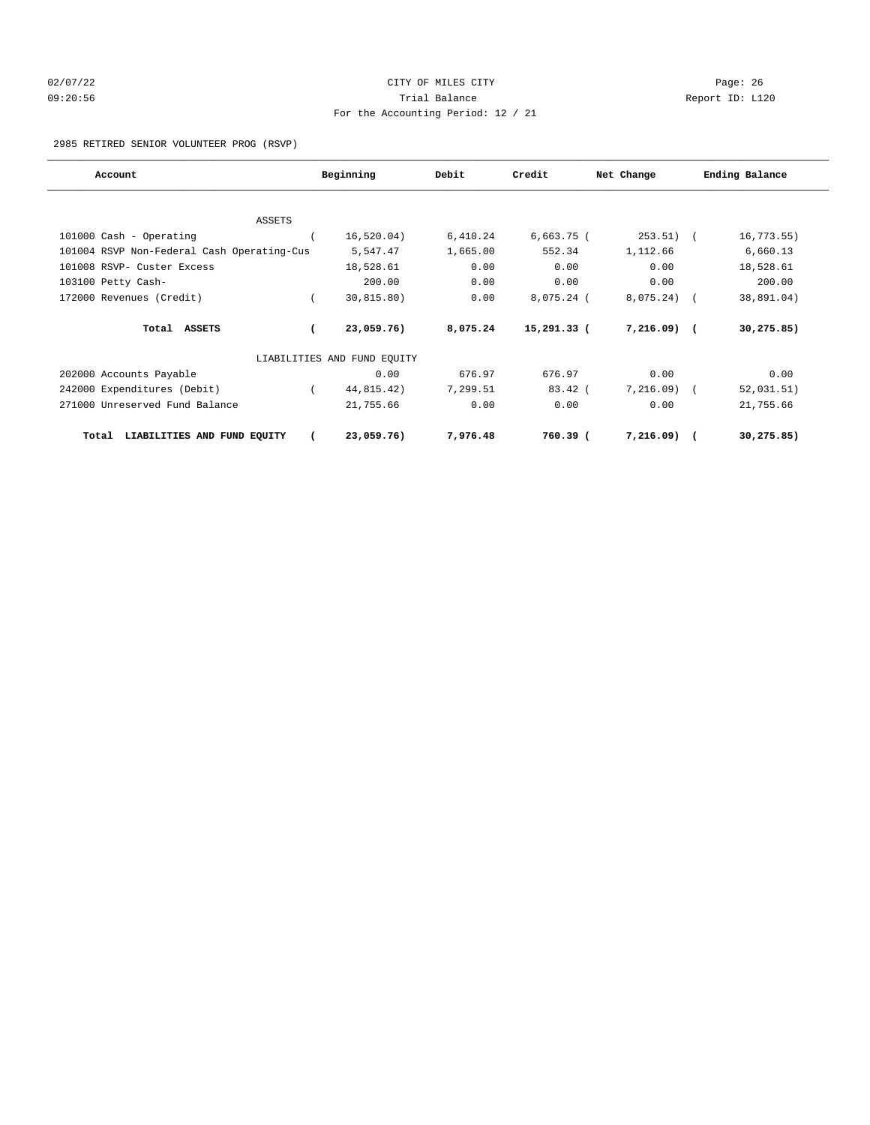# 02/07/22 Page: 26 09:20:56 Trial Balance Report ID: L120 For the Accounting Period: 12 / 21

2985 RETIRED SENIOR VOLUNTEER PROG (RSVP)

| Account                                    | Beginning                   | Debit    | Credit        | Net Change   | Ending Balance |
|--------------------------------------------|-----------------------------|----------|---------------|--------------|----------------|
|                                            |                             |          |               |              |                |
| ASSETS                                     |                             |          |               |              |                |
| 101000 Cash - Operating                    | 16, 520.04)                 | 6,410.24 | $6,663.75$ (  | 253.51)      | 16, 773.55)    |
| 101004 RSVP Non-Federal Cash Operating-Cus | 5,547.47                    | 1,665.00 | 552.34        | 1,112.66     | 6,660.13       |
| 101008 RSVP- Custer Excess                 | 18,528.61                   | 0.00     | 0.00          | 0.00         | 18,528.61      |
| 103100 Petty Cash-                         | 200.00                      | 0.00     | 0.00          | 0.00         | 200.00         |
| 172000 Revenues (Credit)                   | 30, 815.80)                 | 0.00     | 8,075.24 (    | 8,075.24)    | 38,891.04)     |
| Total ASSETS                               | 23,059.76)                  | 8,075.24 | $15,291.33$ ( | $7,216.09$ ( | 30, 275.85)    |
|                                            | LIABILITIES AND FUND EQUITY |          |               |              |                |
| 202000 Accounts Payable                    | 0.00                        | 676.97   | 676.97        | 0.00         | 0.00           |
| 242000 Expenditures (Debit)                | 44,815.42)                  | 7,299.51 | $83.42$ (     | 7,216.09)    | 52,031.51)     |
| 271000 Unreserved Fund Balance             | 21,755.66                   | 0.00     | 0.00          | 0.00         | 21,755.66      |
| LIABILITIES AND FUND EQUITY<br>Total       | 23,059.76)                  | 7,976.48 | $760.39$ (    | 7,216.09)    | 30,275.85)     |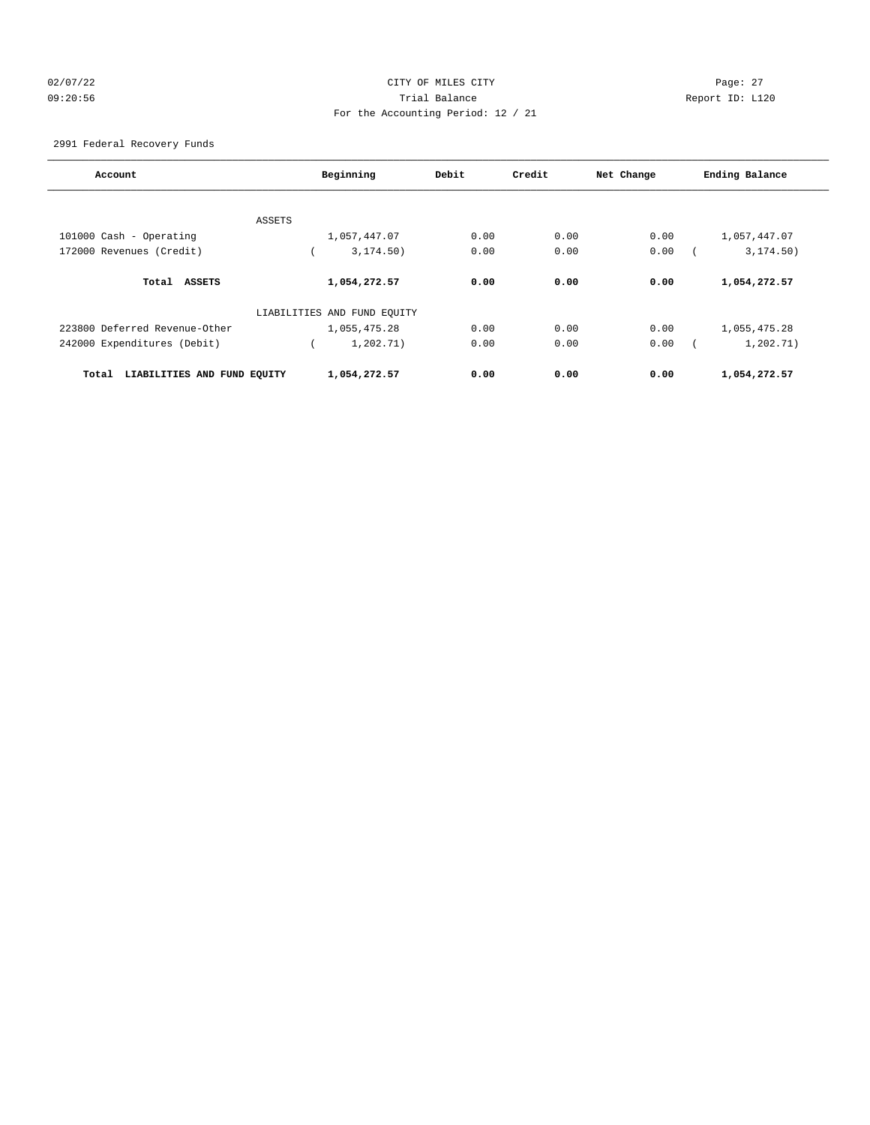# 02/07/22 Page: 27 09:20:56 Trial Balance Report ID: L120 For the Accounting Period: 12 / 21

2991 Federal Recovery Funds

| Account                              | Beginning                   | Debit | Credit | Net Change | Ending Balance |
|--------------------------------------|-----------------------------|-------|--------|------------|----------------|
| ASSETS                               |                             |       |        |            |                |
| 101000 Cash - Operating              | 1,057,447.07                | 0.00  | 0.00   | 0.00       | 1,057,447.07   |
| 172000 Revenues (Credit)             | 3, 174.50)                  | 0.00  | 0.00   | 0.00       | 3, 174.50)     |
| Total ASSETS                         | 1,054,272.57                | 0.00  | 0.00   | 0.00       | 1,054,272.57   |
|                                      | LIABILITIES AND FUND EQUITY |       |        |            |                |
| 223800 Deferred Revenue-Other        | 1,055,475.28                | 0.00  | 0.00   | 0.00       | 1,055,475.28   |
| 242000 Expenditures (Debit)          | 1,202.71)                   | 0.00  | 0.00   | 0.00       | 1,202.71)      |
| LIABILITIES AND FUND EQUITY<br>Total | 1,054,272.57                | 0.00  | 0.00   | 0.00       | 1,054,272.57   |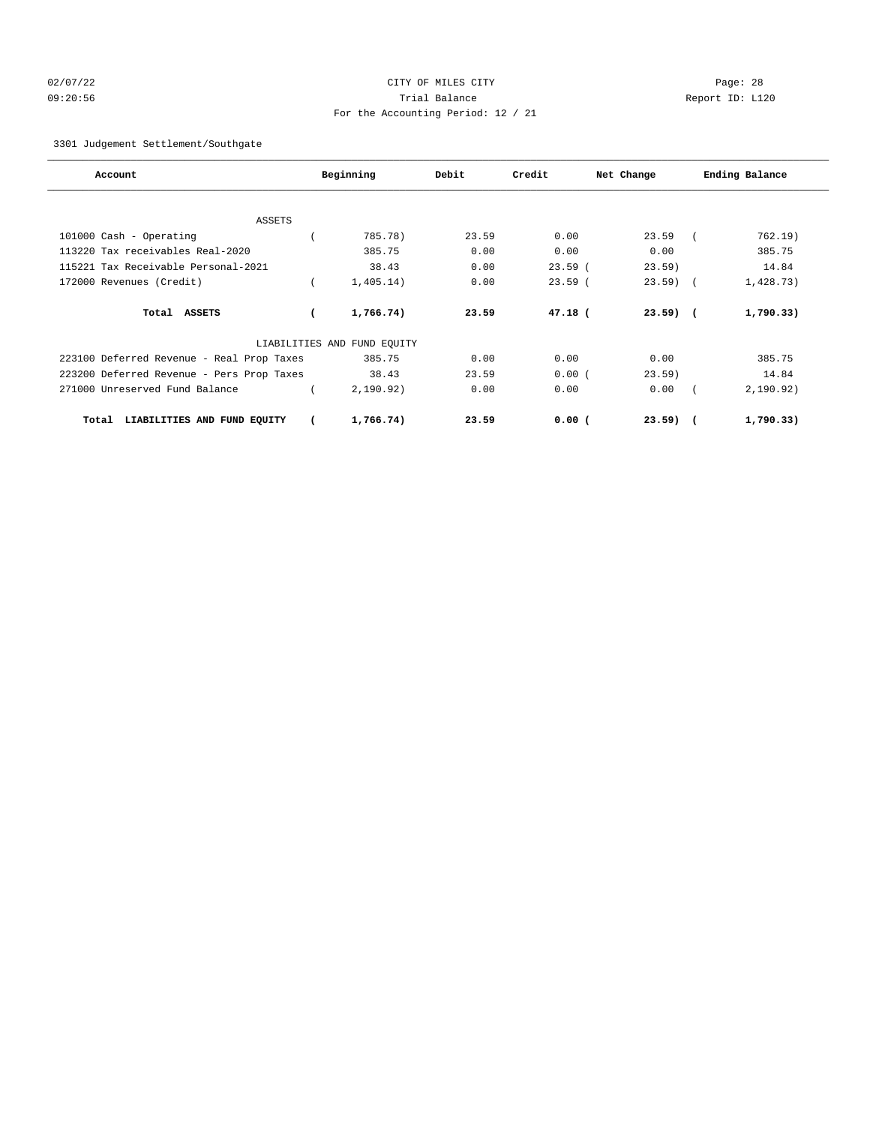# 02/07/22 Page: 28 09:20:56 Trial Balance Report ID: L120 For the Accounting Period: 12 / 21

3301 Judgement Settlement/Southgate

| Account                                   | Beginning                   | Debit | Credit    | Net Change | Ending Balance |
|-------------------------------------------|-----------------------------|-------|-----------|------------|----------------|
|                                           |                             |       |           |            |                |
| <b>ASSETS</b>                             |                             |       |           |            |                |
| 101000 Cash - Operating                   | 785.78)                     | 23.59 | 0.00      | 23.59      | 762.19)        |
| 113220 Tax receivables Real-2020          | 385.75                      | 0.00  | 0.00      | 0.00       | 385.75         |
| 115221 Tax Receivable Personal-2021       | 38.43                       | 0.00  | $23.59$ ( | $23.59$ )  | 14.84          |
| 172000 Revenues (Credit)                  | 1,405.14)                   | 0.00  | 23.59(    | $23.59$ (  | 1,428.73)      |
| Total ASSETS                              | 1,766.74)                   | 23.59 | $47.18$ ( | $23.59$ (  | 1,790.33)      |
|                                           | LIABILITIES AND FUND EQUITY |       |           |            |                |
| 223100 Deferred Revenue - Real Prop Taxes | 385.75                      | 0.00  | 0.00      | 0.00       | 385.75         |
| 223200 Deferred Revenue - Pers Prop Taxes | 38.43                       | 23.59 | 0.00(     | 23.59)     | 14.84          |
| 271000 Unreserved Fund Balance            | 2,190.92)                   | 0.00  | 0.00      | 0.00       | 2,190.92)      |
| LIABILITIES AND FUND EQUITY<br>Total      | 1,766.74)                   | 23.59 | 0.00(     | $23.59$ (  | 1,790.33)      |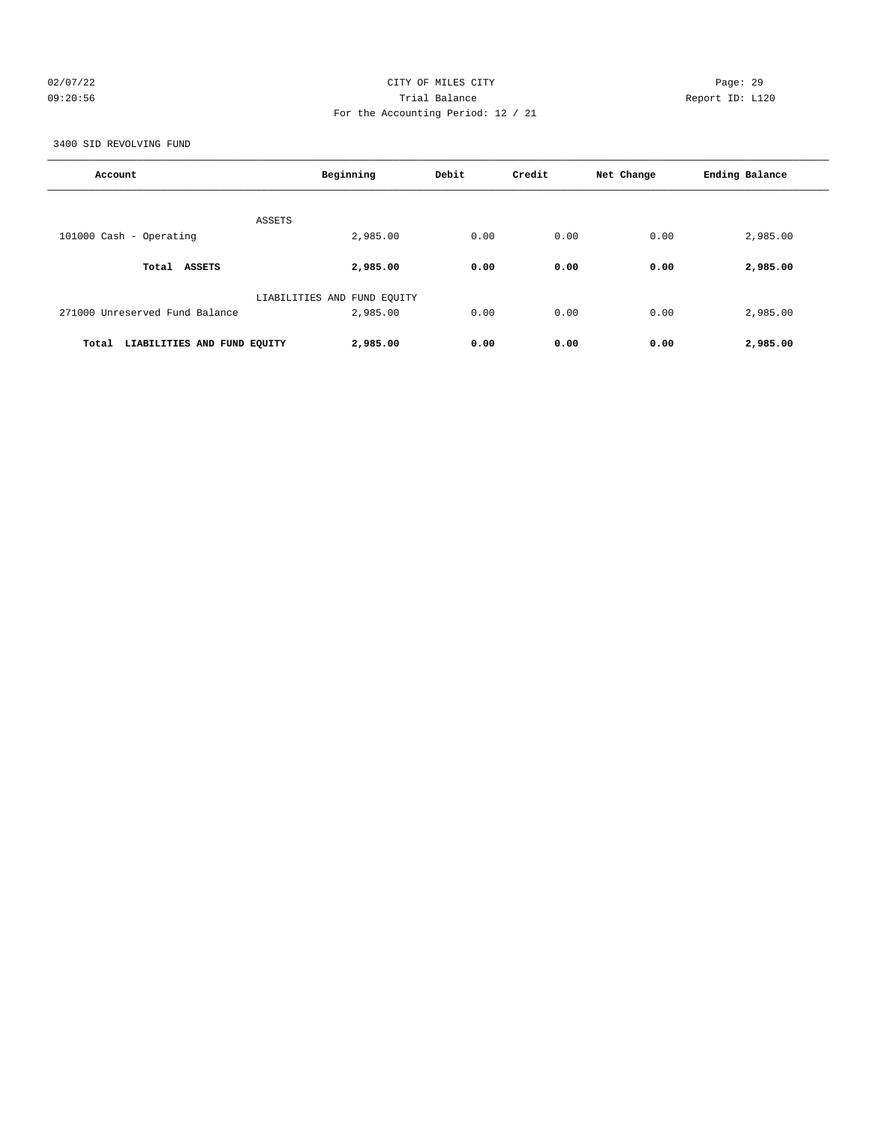# 02/07/22 Page: 29 09:20:56 Trial Balance Report ID: L120 For the Accounting Period: 12 / 21

3400 SID REVOLVING FUND

| Account                              | Beginning                   | Debit | Credit | Net Change | Ending Balance |
|--------------------------------------|-----------------------------|-------|--------|------------|----------------|
| ASSETS                               |                             |       |        |            |                |
| 101000 Cash - Operating              | 2,985.00                    | 0.00  | 0.00   | 0.00       | 2,985.00       |
| Total ASSETS                         | 2,985.00                    | 0.00  | 0.00   | 0.00       | 2,985.00       |
|                                      | LIABILITIES AND FUND EQUITY |       |        |            |                |
| 271000 Unreserved Fund Balance       | 2,985.00                    | 0.00  | 0.00   | 0.00       | 2,985.00       |
| Total<br>LIABILITIES AND FUND EQUITY | 2,985.00                    | 0.00  | 0.00   | 0.00       | 2,985.00       |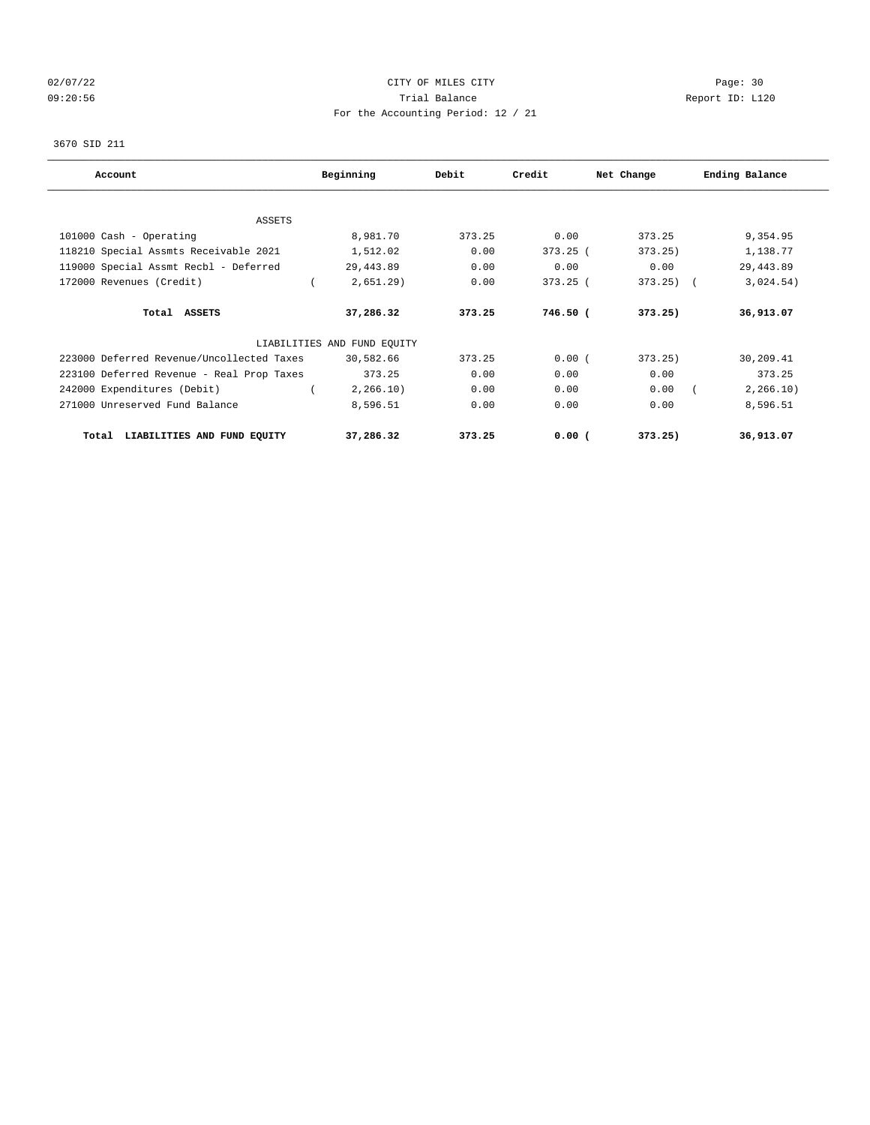# 02/07/22 Page: 30 09:20:56 Trial Balance Report ID: L120 For the Accounting Period: 12 / 21

### 3670 SID 211

| Account                                   | Beginning                   | Debit  | Credit     | Net Change | Ending Balance |
|-------------------------------------------|-----------------------------|--------|------------|------------|----------------|
|                                           |                             |        |            |            |                |
| <b>ASSETS</b><br>101000 Cash - Operating  | 8,981.70                    | 373.25 | 0.00       | 373.25     | 9,354.95       |
| 118210 Special Assmts Receivable 2021     | 1,512.02                    | 0.00   | $373.25$ ( | 373.25)    | 1,138.77       |
| 119000 Special Assmt Recbl - Deferred     | 29, 443.89                  | 0.00   | 0.00       | 0.00       | 29, 443.89     |
| 172000 Revenues (Credit)                  | 2,651.29)                   | 0.00   | $373.25$ ( | $373.25$ ( | 3,024.54)      |
| Total ASSETS                              | 37,286.32                   | 373.25 | 746.50 (   | 373.25)    | 36,913.07      |
|                                           | LIABILITIES AND FUND EQUITY |        |            |            |                |
| 223000 Deferred Revenue/Uncollected Taxes | 30,582.66                   | 373.25 | 0.00(      | 373.25)    | 30,209.41      |
| 223100 Deferred Revenue - Real Prop Taxes | 373.25                      | 0.00   | 0.00       | 0.00       | 373.25         |
| 242000 Expenditures (Debit)               | 2, 266.10)                  | 0.00   | 0.00       | 0.00       | 2, 266.10)     |
| 271000 Unreserved Fund Balance            | 8,596.51                    | 0.00   | 0.00       | 0.00       | 8,596.51       |
| LIABILITIES AND FUND EOUITY<br>Total      | 37,286.32                   | 373.25 | $0.00$ (   | 373.25)    | 36,913.07      |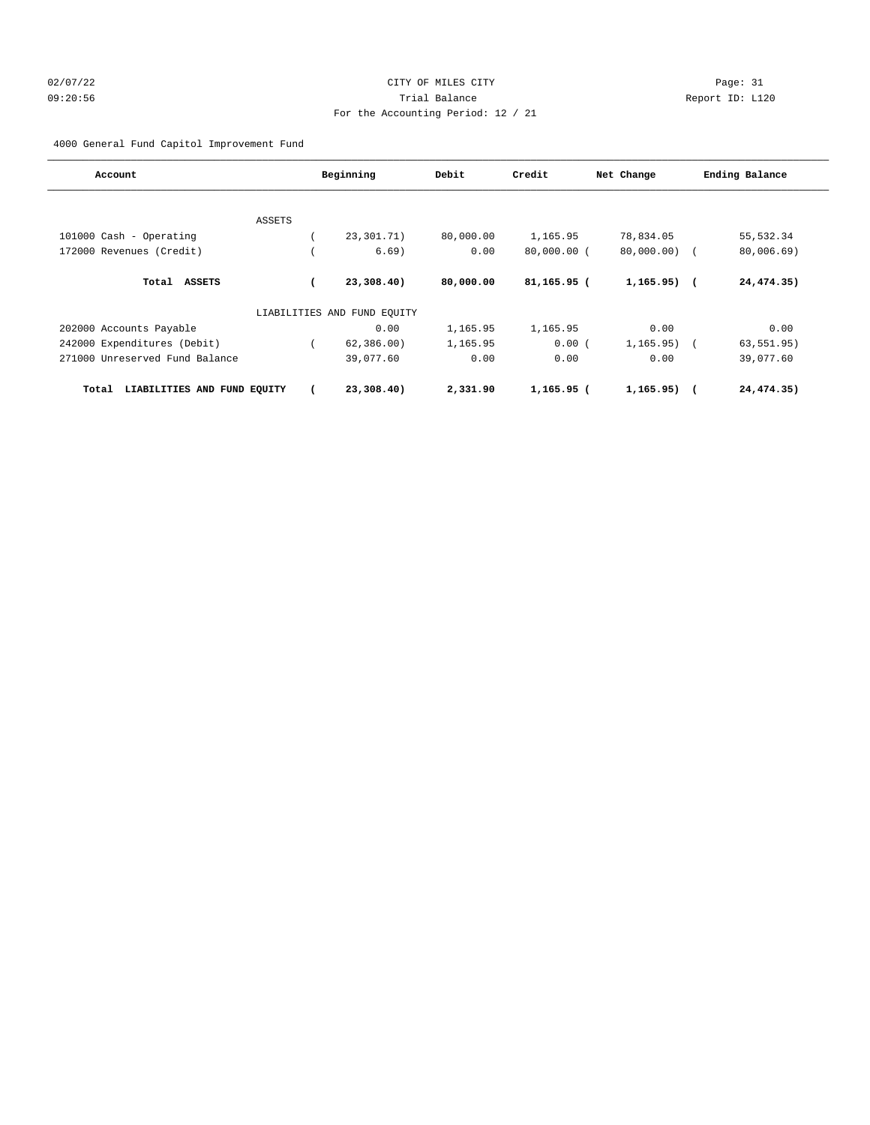# 02/07/22 Page: 31 09:20:56 Trial Balance Report ID: L120 For the Accounting Period: 12 / 21

4000 General Fund Capitol Improvement Fund

| Account                              |        | Beginning                   | Debit     | Credit        | Net Change     | Ending Balance |
|--------------------------------------|--------|-----------------------------|-----------|---------------|----------------|----------------|
|                                      |        |                             |           |               |                |                |
|                                      | ASSETS |                             |           |               |                |                |
| 101000 Cash - Operating              |        | 23, 301. 71)                | 80,000.00 | 1,165.95      | 78,834.05      | 55, 532.34     |
| 172000 Revenues (Credit)             |        | 6.69)                       | 0.00      | $80,000.00$ ( | 80,000.00) (   | 80,006.69)     |
| Total<br><b>ASSETS</b>               |        | 23,308.40)                  | 80,000.00 | 81,165.95 (   | $1,165.95)$ (  | 24,474.35)     |
|                                      |        | LIABILITIES AND FUND EQUITY |           |               |                |                |
| 202000 Accounts Payable              |        | 0.00                        | 1,165.95  | 1,165.95      | 0.00           | 0.00           |
| 242000 Expenditures (Debit)          |        | 62, 386, 00)                | 1,165.95  | 0.00(         | $1, 165.95)$ ( | 63, 551.95)    |
| 271000 Unreserved Fund Balance       |        | 39,077.60                   | 0.00      | 0.00          | 0.00           | 39,077.60      |
| LIABILITIES AND FUND EQUITY<br>Total |        | 23,308.40)                  | 2,331.90  | 1,165.95 (    | $1,165.95)$ (  | 24,474.35)     |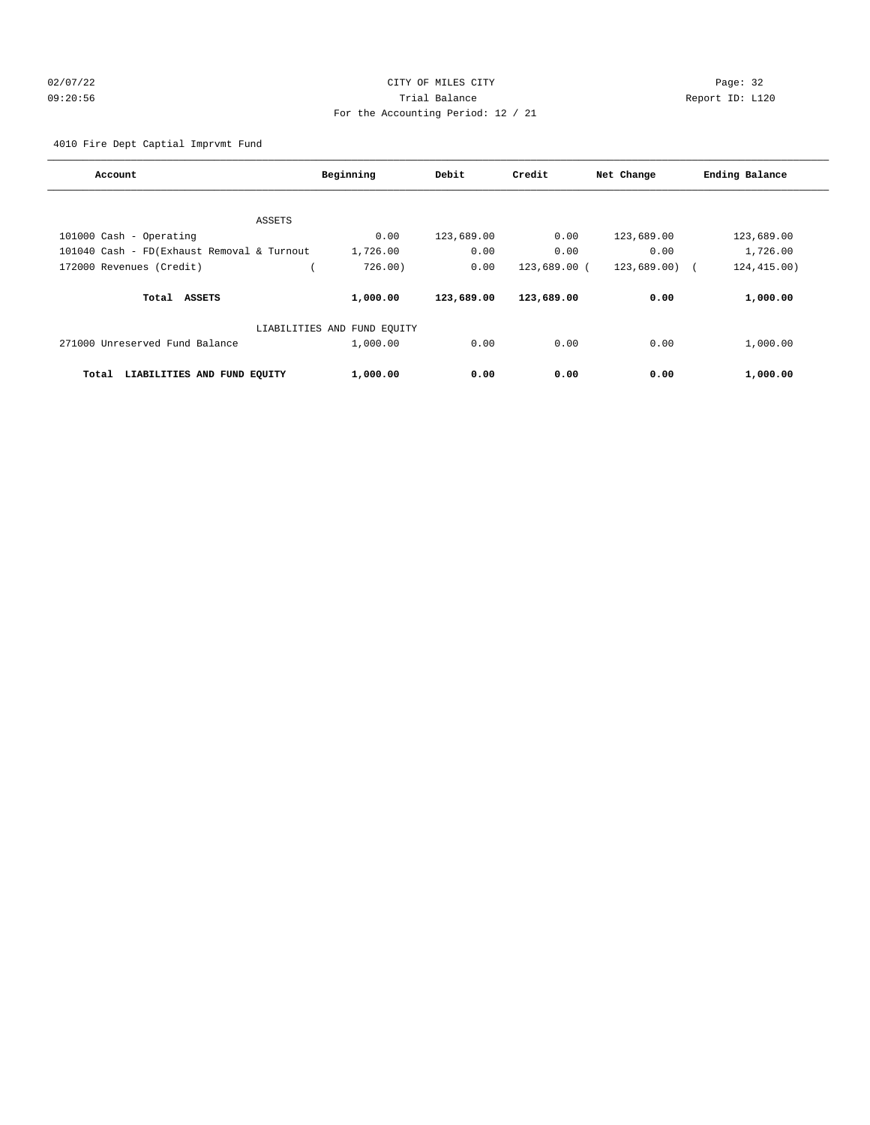# 02/07/22 Page: 32 09:20:56 Trial Balance Report ID: L120 For the Accounting Period: 12 / 21

4010 Fire Dept Captial Imprvmt Fund

| Account                                    | Beginning                   | Debit      | Credit       | Net Change  | Ending Balance |
|--------------------------------------------|-----------------------------|------------|--------------|-------------|----------------|
|                                            |                             |            |              |             |                |
| ASSETS                                     |                             |            |              |             |                |
| 101000 Cash - Operating                    | 0.00                        | 123,689.00 | 0.00         | 123,689.00  | 123,689.00     |
| 101040 Cash - FD(Exhaust Removal & Turnout | 1,726.00                    | 0.00       | 0.00         | 0.00        | 1,726.00       |
| 172000 Revenues (Credit)                   | 726.00)                     | 0.00       | 123,689.00 ( | 123,689.00) | 124, 415.00)   |
| Total ASSETS                               | 1,000.00                    | 123,689.00 | 123,689.00   | 0.00        | 1,000.00       |
|                                            | LIABILITIES AND FUND EQUITY |            |              |             |                |
| 271000 Unreserved Fund Balance             | 1,000.00                    | 0.00       | 0.00         | 0.00        | 1,000.00       |
| LIABILITIES AND FUND EQUITY<br>Total       | 1,000.00                    | 0.00       | 0.00         | 0.00        | 1,000.00       |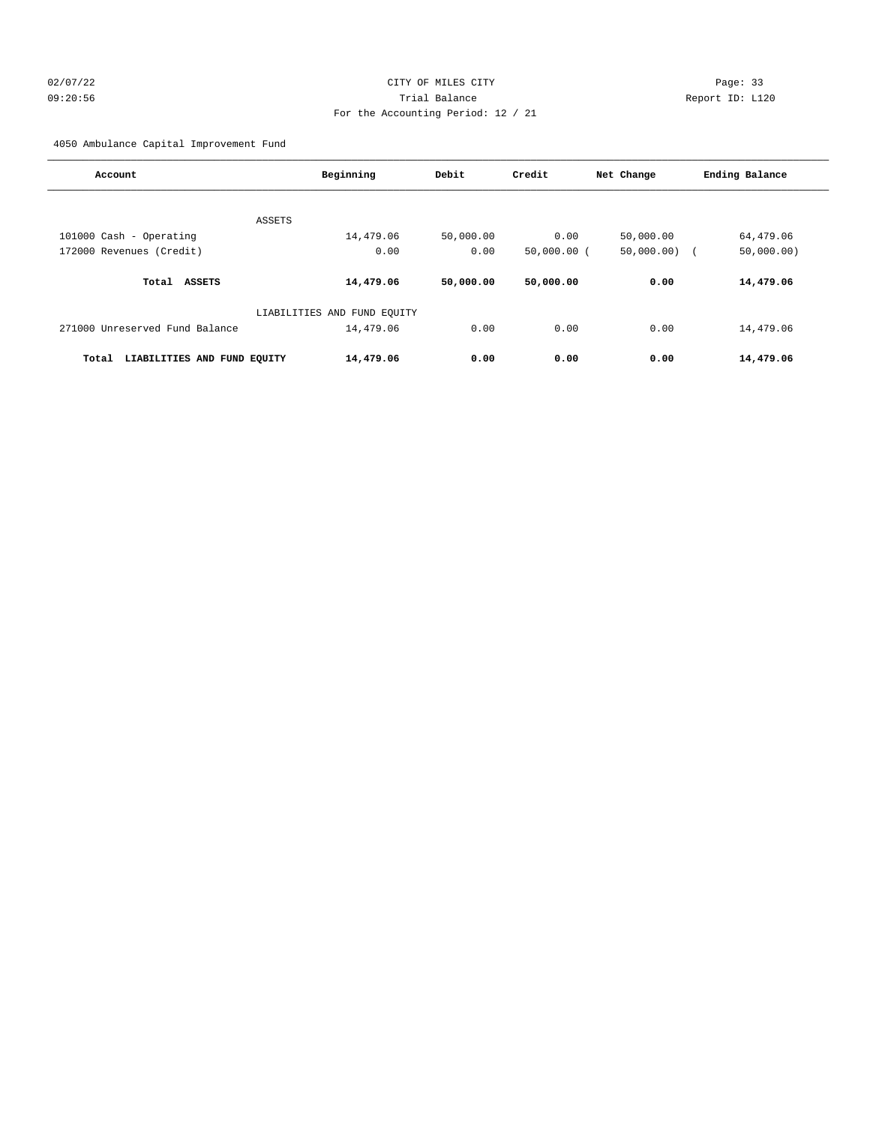# 02/07/22 Page: 33 09:20:56 Trial Balance Report ID: L120 For the Accounting Period: 12 / 21

4050 Ambulance Capital Improvement Fund

| Account                              | Beginning                   | Debit     | Credit        | Net Change | Ending Balance |
|--------------------------------------|-----------------------------|-----------|---------------|------------|----------------|
|                                      |                             |           |               |            |                |
| ASSETS                               |                             |           |               |            |                |
| 101000 Cash - Operating              | 14,479.06                   | 50,000.00 | 0.00          | 50,000.00  | 64,479.06      |
| 172000 Revenues (Credit)             | 0.00                        | 0.00      | $50,000.00$ ( | 50,000.00) | 50,000.00)     |
| Total<br><b>ASSETS</b>               | 14,479.06                   | 50,000.00 | 50,000.00     | 0.00       | 14,479.06      |
|                                      | LIABILITIES AND FUND EQUITY |           |               |            |                |
| 271000 Unreserved Fund Balance       | 14,479.06                   | 0.00      | 0.00          | 0.00       | 14,479.06      |
| LIABILITIES AND FUND EQUITY<br>Total | 14,479.06                   | 0.00      | 0.00          | 0.00       | 14,479.06      |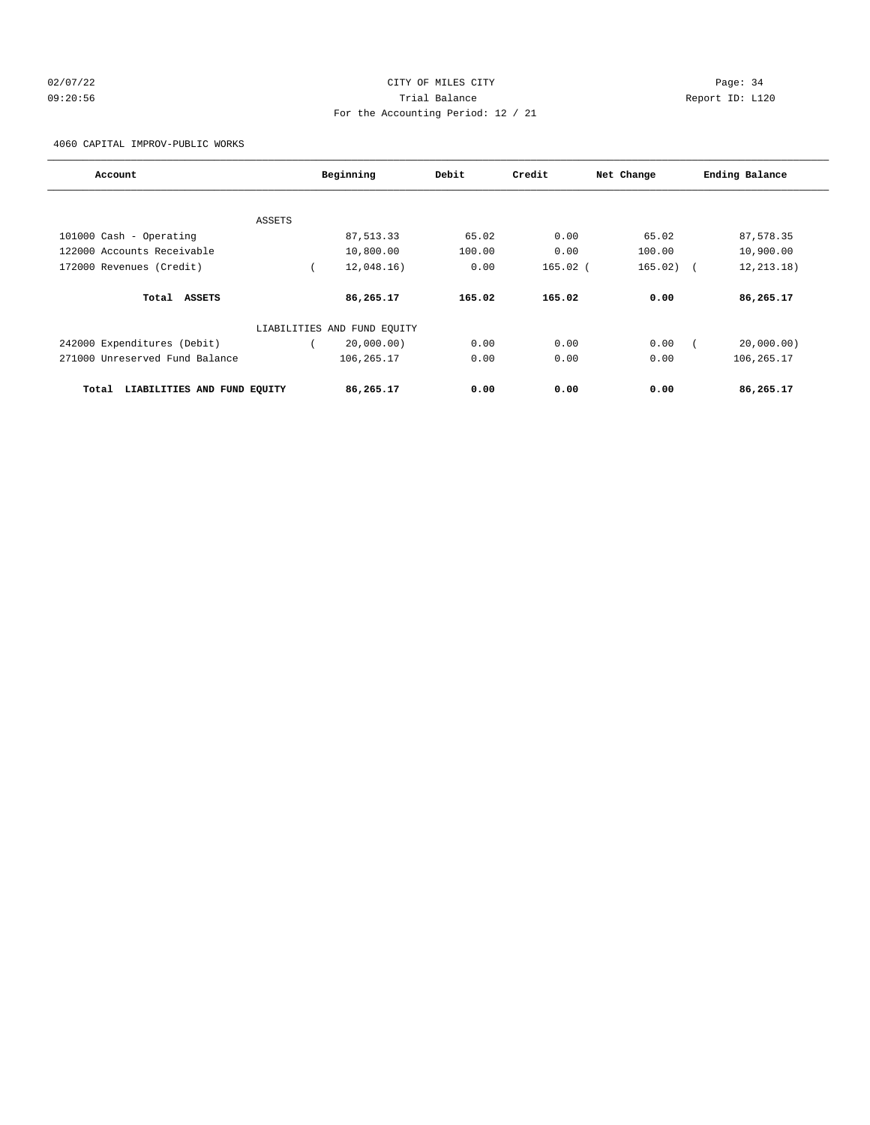# 02/07/22 Page: 34 09:20:56 Trial Balance Report ID: L120 For the Accounting Period: 12 / 21

4060 CAPITAL IMPROV-PUBLIC WORKS

| Account                              | Beginning                   | Debit  | Credit     | Net Change | Ending Balance             |
|--------------------------------------|-----------------------------|--------|------------|------------|----------------------------|
|                                      |                             |        |            |            |                            |
| <b>ASSETS</b>                        |                             |        |            |            |                            |
| 101000 Cash - Operating              | 87,513.33                   | 65.02  | 0.00       | 65.02      | 87,578.35                  |
| 122000 Accounts Receivable           | 10,800.00                   | 100.00 | 0.00       | 100.00     | 10,900.00                  |
| 172000 Revenues (Credit)             | 12,048.16)                  | 0.00   | $165.02$ ( | 165.02)    | 12, 213, 18)<br>$\sqrt{2}$ |
| Total ASSETS                         | 86,265.17                   | 165.02 | 165.02     | 0.00       | 86,265.17                  |
|                                      | LIABILITIES AND FUND EQUITY |        |            |            |                            |
| 242000 Expenditures (Debit)          | 20,000.00)                  | 0.00   | 0.00       | 0.00       | 20,000.00)                 |
| 271000 Unreserved Fund Balance       | 106,265.17                  | 0.00   | 0.00       | 0.00       | 106,265.17                 |
| Total<br>LIABILITIES AND FUND EQUITY | 86,265.17                   | 0.00   | 0.00       | 0.00       | 86,265.17                  |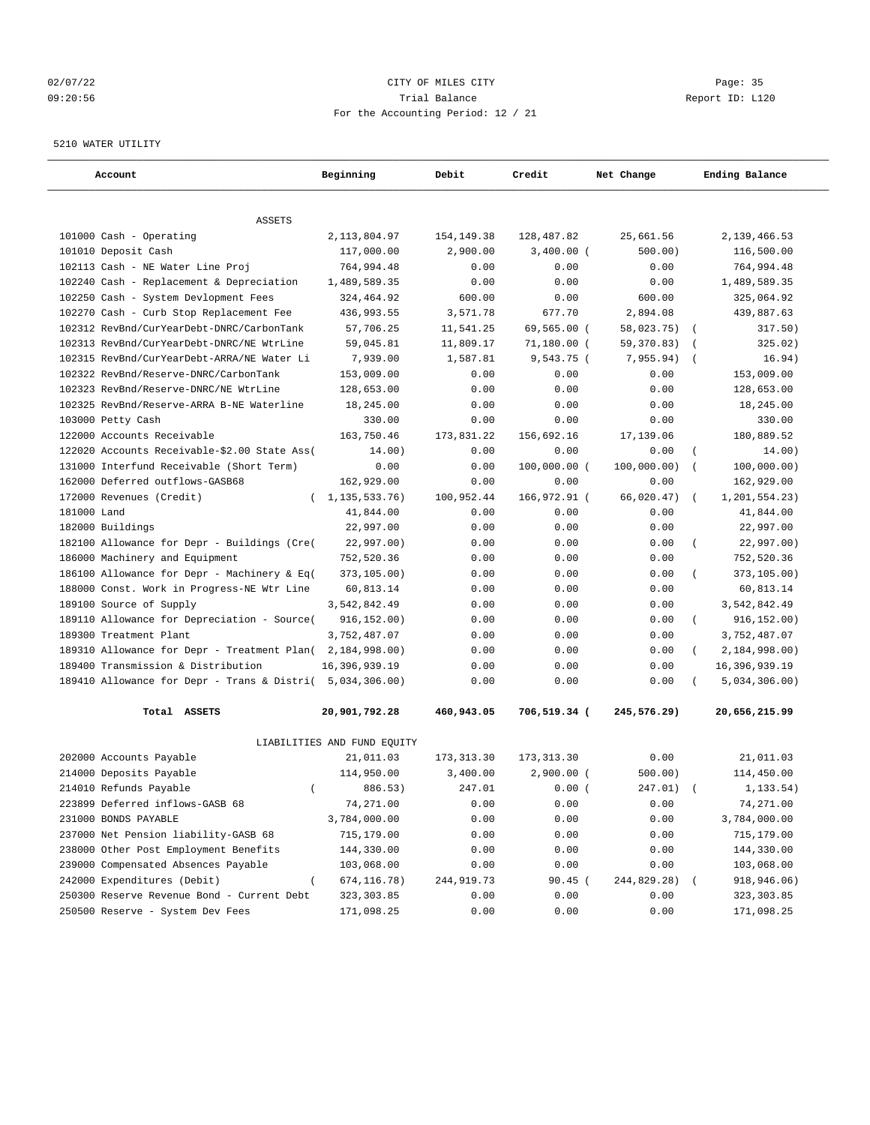# 02/07/22 Page: 35 09:20:56 Trial Balance Report ID: L120 For the Accounting Period: 12 / 21

#### 5210 WATER UTILITY

| Account                                                                     | Beginning                   | Debit       | Credit       | Net Change  | Ending Balance               |
|-----------------------------------------------------------------------------|-----------------------------|-------------|--------------|-------------|------------------------------|
| <b>ASSETS</b>                                                               |                             |             |              |             |                              |
| 101000 Cash - Operating                                                     | 2, 113, 804.97              | 154,149.38  | 128,487.82   | 25,661.56   | 2,139,466.53                 |
| 101010 Deposit Cash                                                         | 117,000.00                  | 2,900.00    | $3,400.00$ ( | 500.00)     | 116,500.00                   |
| 102113 Cash - NE Water Line Proj                                            | 764,994.48                  | 0.00        | 0.00         | 0.00        | 764,994.48                   |
| 102240 Cash - Replacement & Depreciation                                    | 1,489,589.35                | 0.00        | 0.00         | 0.00        | 1,489,589.35                 |
| 102250 Cash - System Devlopment Fees                                        | 324,464.92                  | 600.00      | 0.00         | 600.00      | 325,064.92                   |
| 102270 Cash - Curb Stop Replacement Fee                                     | 436,993.55                  | 3,571.78    | 677.70       | 2,894.08    | 439,887.63                   |
| 102312 RevBnd/CurYearDebt-DNRC/CarbonTank                                   | 57,706.25                   | 11,541.25   | 69,565.00 (  | 58,023.75)  | 317.50)<br>$\sqrt{ }$        |
| 102313 RevBnd/CurYearDebt-DNRC/NE WtrLine                                   | 59,045.81                   | 11,809.17   | 71,180.00 (  | 59,370.83)  | 325.02)                      |
| 102315 RevBnd/CurYearDebt-ARRA/NE Water Li                                  | 7,939.00                    | 1,587.81    | 9,543.75 (   | 7,955.94)   | 16.94)                       |
| 102322 RevBnd/Reserve-DNRC/CarbonTank                                       | 153,009.00                  | 0.00        | 0.00         | 0.00        | 153,009.00                   |
| 102323 RevBnd/Reserve-DNRC/NE WtrLine                                       | 128,653.00                  | 0.00        | 0.00         | 0.00        | 128,653.00                   |
| 102325 RevBnd/Reserve-ARRA B-NE Waterline                                   | 18,245.00                   | 0.00        | 0.00         | 0.00        | 18,245.00                    |
| 103000 Petty Cash                                                           | 330.00                      | 0.00        | 0.00         | 0.00        | 330.00                       |
| 122000 Accounts Receivable                                                  | 163,750.46                  | 173,831.22  | 156,692.16   | 17,139.06   | 180,889.52                   |
|                                                                             | 14.00)                      | 0.00        | 0.00         | 0.00        | 14.00)                       |
| 122020 Accounts Receivable-\$2.00 State Ass(                                |                             |             |              | 100,000.00) |                              |
| 131000 Interfund Receivable (Short Term)<br>162000 Deferred outflows-GASB68 | 0.00                        | 0.00        | 100,000.00 ( |             | 100,000.00)                  |
|                                                                             | 162,929.00                  | 0.00        | 0.00         | 0.00        | 162,929.00                   |
| 172000 Revenues (Credit)<br>$\left($                                        | 1,135,533.76)               | 100,952.44  | 166,972.91 ( | 66,020.47)  | 1, 201, 554.23<br>$\sqrt{2}$ |
| 181000 Land                                                                 | 41,844.00                   | 0.00        | 0.00         | 0.00        | 41,844.00                    |
| 182000 Buildings                                                            | 22,997.00                   | 0.00        | 0.00         | 0.00        | 22,997.00                    |
| 182100 Allowance for Depr - Buildings (Cre(                                 | 22,997.00)                  | 0.00        | 0.00         | 0.00        | 22,997.00)<br>$\left($       |
| 186000 Machinery and Equipment                                              | 752,520.36                  | 0.00        | 0.00         | 0.00        | 752,520.36                   |
| 186100 Allowance for Depr - Machinery & Eq(                                 | 373,105.00)                 | 0.00        | 0.00         | 0.00        | 373,105.00)                  |
| 188000 Const. Work in Progress-NE Wtr Line                                  | 60,813.14                   | 0.00        | 0.00         | 0.00        | 60,813.14                    |
| 189100 Source of Supply                                                     | 3,542,842.49                | 0.00        | 0.00         | 0.00        | 3,542,842.49                 |
| 189110 Allowance for Depreciation - Source(                                 | 916, 152.00)                | 0.00        | 0.00         | 0.00        | 916, 152.00)<br>$\left($     |
| 189300 Treatment Plant                                                      | 3,752,487.07                | 0.00        | 0.00         | 0.00        | 3,752,487.07                 |
| 189310 Allowance for Depr - Treatment Plan(                                 | 2,184,998.00)               | 0.00        | 0.00         | 0.00        | 2,184,998.00)<br>$\left($    |
| 189400 Transmission & Distribution                                          | 16,396,939.19               | 0.00        | 0.00         | 0.00        | 16,396,939.19                |
| 189410 Allowance for Depr - Trans & Distri(                                 | 5,034,306.00)               | 0.00        | 0.00         | 0.00        | 5,034,306.00)                |
| Total ASSETS                                                                | 20,901,792.28               | 460,943.05  | 706,519.34 ( | 245,576.29) | 20,656,215.99                |
|                                                                             | LIABILITIES AND FUND EQUITY |             |              |             |                              |
| 202000 Accounts Payable                                                     | 21,011.03                   | 173, 313.30 | 173, 313.30  | 0.00        | 21,011.03                    |
| 214000 Deposits Payable                                                     | 114,950.00                  | 3,400.00    | $2,900.00$ ( | 500.00)     | 114,450.00                   |
| 214010 Refunds Payable<br>$\left($                                          | 886.53)                     | 247.01      | 0.00(        | 247.01)     | 1, 133.54)                   |
| 223899 Deferred inflows-GASB 68                                             | 74,271.00                   | 0.00        | 0.00         | 0.00        | 74,271.00                    |
| 231000 BONDS PAYABLE                                                        | 3,784,000.00                | 0.00        | 0.00         | 0.00        | 3,784,000.00                 |
| 237000 Net Pension liability-GASB 68                                        | 715,179.00                  | 0.00        | 0.00         | 0.00        | 715,179.00                   |
| 238000 Other Post Employment Benefits                                       | 144,330.00                  | 0.00        | 0.00         | 0.00        | 144,330.00                   |
| 239000 Compensated Absences Payable                                         | 103,068.00                  | 0.00        | 0.00         | 0.00        | 103,068.00                   |
| 242000 Expenditures (Debit)<br>$\left($                                     | 674,116.78)                 | 244,919.73  | 90.45 (      | 244,829.28) | 918,946.06)                  |
| 250300 Reserve Revenue Bond - Current Debt                                  | 323, 303.85                 | 0.00        | 0.00         | 0.00        | 323,303.85                   |
| 250500 Reserve - System Dev Fees                                            | 171,098.25                  | 0.00        | 0.00         | 0.00        | 171,098.25                   |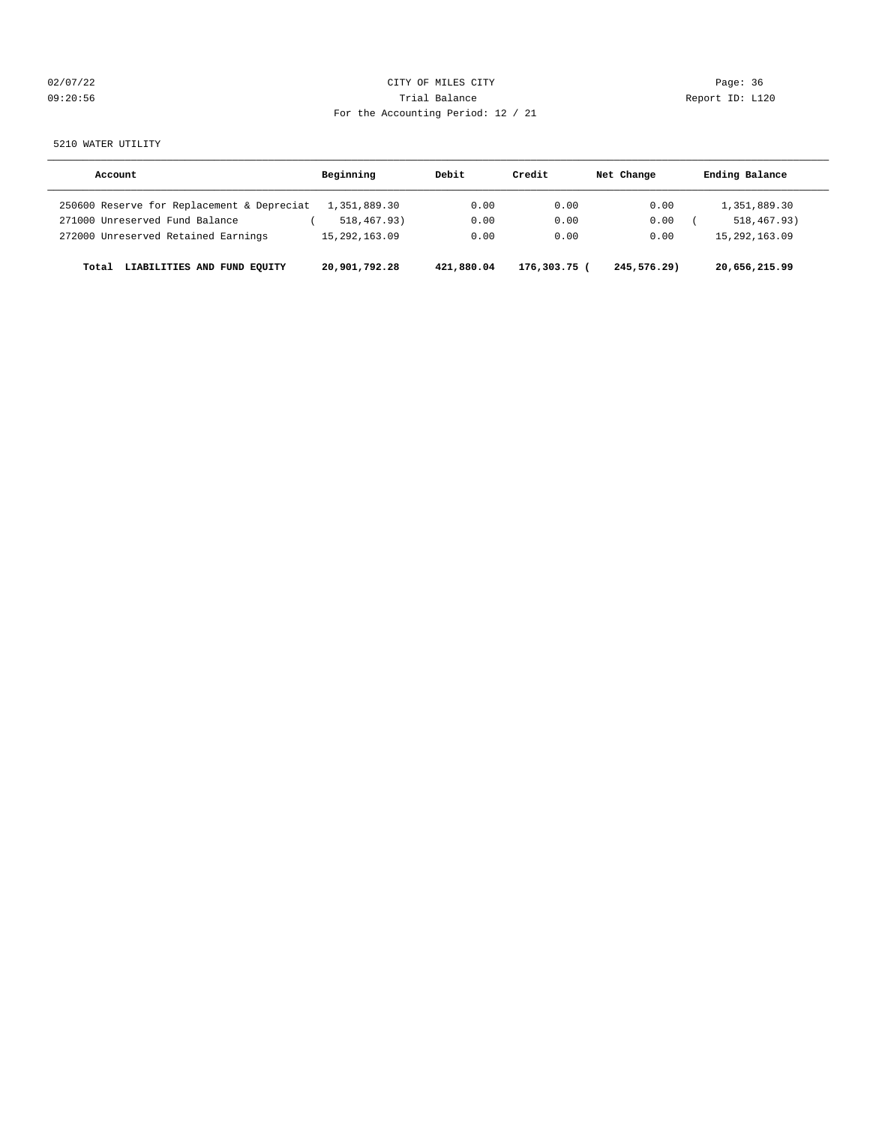| 02/07/22 |  |
|----------|--|
| 09:20:56 |  |

# CITY OF MILES CITY **Example 2020** Page: 36 Trial Balance and Communicated Report ID: L120 For the Accounting Period: 12 / 21

5210 WATER UTILITY

| Account                                    | Beginning        | Debit      | Credit       | Net Change  | Ending Balance   |
|--------------------------------------------|------------------|------------|--------------|-------------|------------------|
| 250600 Reserve for Replacement & Depreciat | 1,351,889.30     | 0.00       | 0.00         | 0.00        | 1,351,889.30     |
| 271000 Unreserved Fund Balance             | 518,467.93)      | 0.00       | 0.00         | 0.00        | 518,467.93)      |
| 272000 Unreserved Retained Earnings        | 15, 292, 163, 09 | 0.00       | 0.00         | 0.00        | 15, 292, 163, 09 |
| LIABILITIES AND FUND EOUITY<br>Total       | 20,901,792.28    | 421,880.04 | 176,303.75 ( | 245,576.29) | 20,656,215.99    |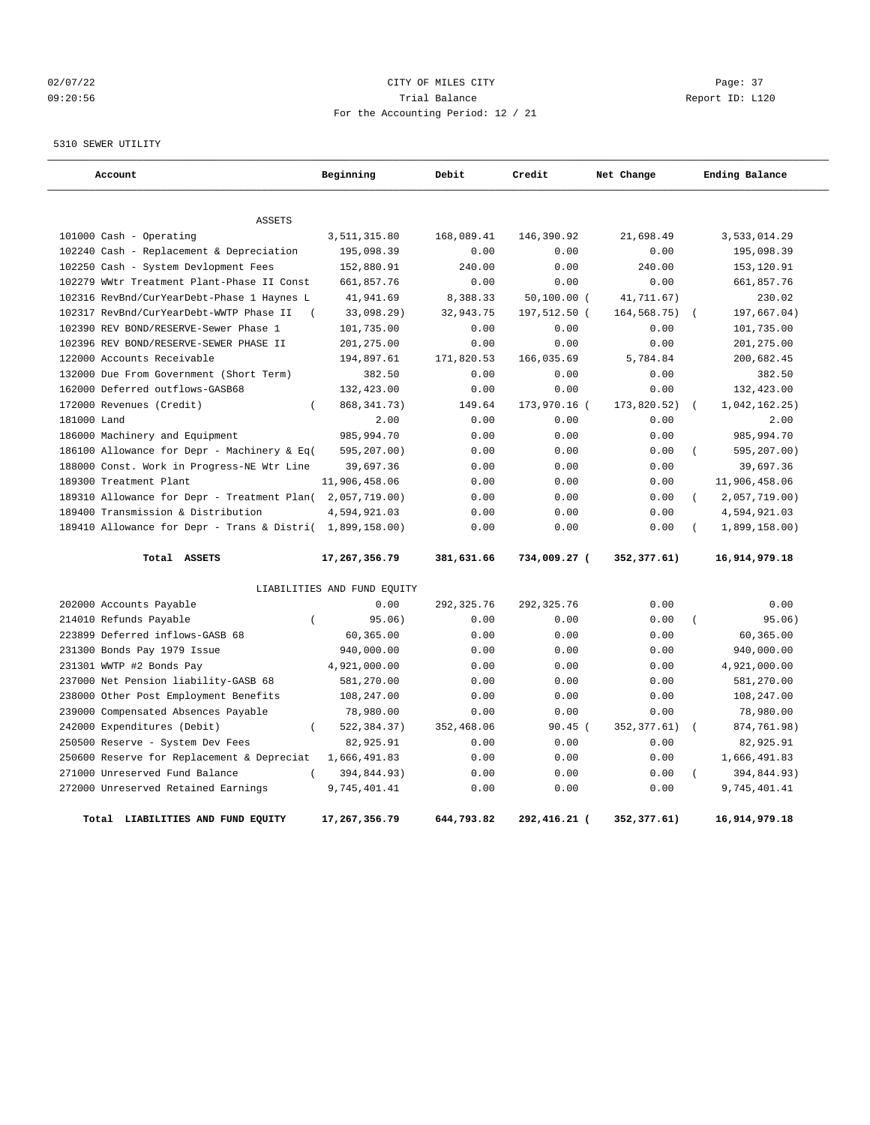## 02/07/22 Page: 37 09:20:56 Trial Balance Report ID: L120 For the Accounting Period: 12 / 21

5310 SEWER UTILITY

| Account                                                   | Beginning                   | Debit       | Credit         | Net Change    | Ending Balance                |
|-----------------------------------------------------------|-----------------------------|-------------|----------------|---------------|-------------------------------|
|                                                           |                             |             |                |               |                               |
| <b>ASSETS</b>                                             |                             |             |                |               |                               |
| 101000 Cash - Operating                                   | 3,511,315.80                | 168,089.41  | 146,390.92     | 21,698.49     | 3,533,014.29                  |
| 102240 Cash - Replacement & Depreciation                  | 195,098.39                  | 0.00        | 0.00           | 0.00          | 195,098.39                    |
| 102250 Cash - System Devlopment Fees                      | 152,880.91                  | 240.00      | 0.00           | 240.00        | 153,120.91                    |
| 102279 WWtr Treatment Plant-Phase II Const                | 661,857.76                  | 0.00        | 0.00           | 0.00          | 661,857.76                    |
| 102316 RevBnd/CurYearDebt-Phase 1 Haynes L                | 41,941.69                   | 8,388.33    | $50, 100.00$ ( | 41,711.67)    | 230.02                        |
| 102317 RevBnd/CurYearDebt-WWTP Phase II                   | 33,098.29)                  | 32,943.75   | 197,512.50 (   | 164, 568. 75) | 197,667.04)                   |
| 102390 REV BOND/RESERVE-Sewer Phase 1                     | 101,735.00                  | 0.00        | 0.00           | 0.00          | 101,735.00                    |
| 102396 REV BOND/RESERVE-SEWER PHASE II                    | 201,275.00                  | 0.00        | 0.00           | 0.00          | 201,275.00                    |
| 122000 Accounts Receivable                                | 194,897.61                  | 171,820.53  | 166,035.69     | 5,784.84      | 200,682.45                    |
| 132000 Due From Government (Short Term)                   | 382.50                      | 0.00        | 0.00           | 0.00          | 382.50                        |
| 162000 Deferred outflows-GASB68                           | 132,423.00                  | 0.00        | 0.00           | 0.00          | 132,423.00                    |
| 172000 Revenues (Credit)<br>$\left($                      | 868, 341. 73)               | 149.64      | 173,970.16 (   | 173,820.52)   | 1,042,162.25)<br>$\left($     |
| 181000 Land                                               | 2.00                        | 0.00        | 0.00           | 0.00          | 2.00                          |
| 186000 Machinery and Equipment                            | 985,994.70                  | 0.00        | 0.00           | 0.00          | 985,994.70                    |
| 186100 Allowance for Depr - Machinery & Eq(               | 595,207.00)                 | 0.00        | 0.00           | 0.00          | 595,207.00)<br>$\left($       |
| 188000 Const. Work in Progress-NE Wtr Line                | 39,697.36                   | 0.00        | 0.00           | 0.00          | 39,697.36                     |
| 189300 Treatment Plant                                    | 11,906,458.06               | 0.00        | 0.00           | 0.00          | 11,906,458.06                 |
| 189310 Allowance for Depr - Treatment Plan(2,057,719.00)  |                             | 0.00        | 0.00           | 0.00          | 2,057,719.00)<br>$\left($     |
| 189400 Transmission & Distribution                        | 4,594,921.03                | 0.00        | 0.00           | 0.00          | 4,594,921.03                  |
| 189410 Allowance for Depr - Trans & Distri( 1,899,158.00) |                             | 0.00        | 0.00           | 0.00          | 1,899,158.00)                 |
| Total ASSETS                                              | 17,267,356.79               | 381,631.66  | 734,009.27 (   | 352,377.61)   | 16,914,979.18                 |
|                                                           | LIABILITIES AND FUND EQUITY |             |                |               |                               |
| 202000 Accounts Payable                                   | 0.00                        | 292, 325.76 | 292, 325.76    | 0.00          | 0.00                          |
| 214010 Refunds Payable<br>$\overline{(\ }$                | 95.06)                      | 0.00        | 0.00           | 0.00          | $\overline{(\ }$<br>95.06)    |
| 223899 Deferred inflows-GASB 68                           | 60,365.00                   | 0.00        | 0.00           | 0.00          | 60,365.00                     |
| 231300 Bonds Pay 1979 Issue                               | 940,000.00                  | 0.00        | 0.00           | 0.00          | 940,000.00                    |
| 231301 WWTP #2 Bonds Pay                                  | 4,921,000.00                | 0.00        | 0.00           | 0.00          | 4,921,000.00                  |
| 237000 Net Pension liability-GASB 68                      | 581,270.00                  | 0.00        | 0.00           | 0.00          | 581,270.00                    |
| 238000 Other Post Employment Benefits                     | 108,247.00                  | 0.00        | 0.00           | 0.00          | 108,247.00                    |
| 239000 Compensated Absences Payable                       | 78,980.00                   | 0.00        | 0.00           | 0.00          | 78,980.00                     |
| 242000 Expenditures (Debit)<br>$\overline{(\cdot)}$       | 522,384.37)                 | 352,468.06  | $90.45$ (      | 352, 377.61)  | 874,761.98)<br>$\overline{ }$ |
| 250500 Reserve - System Dev Fees                          | 82,925.91                   | 0.00        | 0.00           | 0.00          | 82,925.91                     |
| 250600 Reserve for Replacement & Depreciat                | 1,666,491.83                | 0.00        | 0.00           | 0.00          | 1,666,491.83                  |
| 271000 Unreserved Fund Balance                            | 394,844.93)                 | 0.00        | 0.00           | 0.00          | 394,844.93)                   |
| 272000 Unreserved Retained Earnings                       | 9,745,401.41                | 0.00        | 0.00           | 0.00          | 9,745,401.41                  |
| Total LIABILITIES AND FUND EQUITY                         | 17,267,356.79               | 644,793.82  | 292,416.21 (   | 352,377.61)   | 16,914,979.18                 |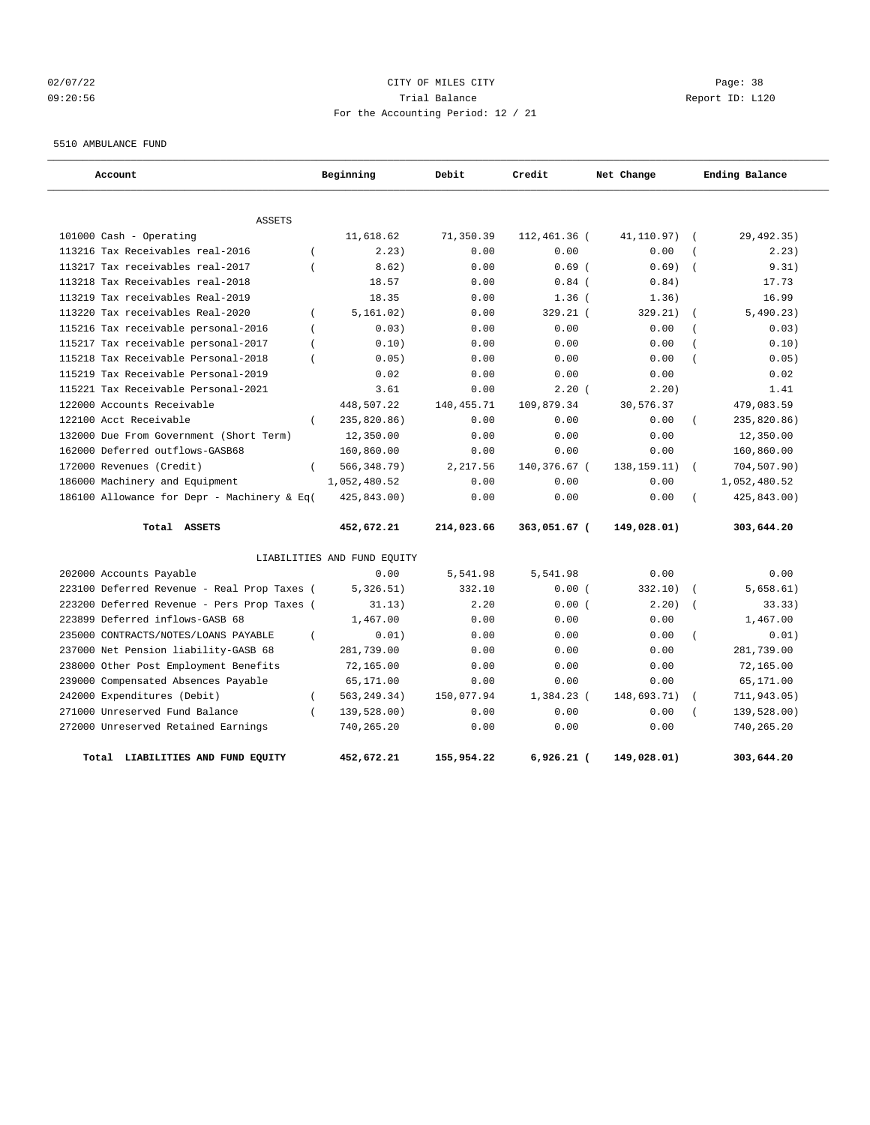## 02/07/22 Page: 38 09:20:56 Trial Balance Report ID: L120 For the Accounting Period: 12 / 21

5510 AMBULANCE FUND

| Account                                               | Beginning                   | Debit        | Credit       | Net Change    | Ending Balance          |
|-------------------------------------------------------|-----------------------------|--------------|--------------|---------------|-------------------------|
| <b>ASSETS</b>                                         |                             |              |              |               |                         |
| 101000 Cash - Operating                               | 11,618.62                   | 71,350.39    | 112,461.36 ( | 41,110.97)    | 29,492.35)<br>$\left($  |
| 113216 Tax Receivables real-2016                      | 2.23)                       | 0.00         | 0.00         | 0.00          | 2.23)                   |
| 113217 Tax receivables real-2017                      | 8.62)                       | 0.00         | 0.69(        | 0.69)         | 9.31)                   |
| 113218 Tax Receivables real-2018                      | 18.57                       | 0.00         | $0.84$ (     | 0.84)         | 17.73                   |
| 113219 Tax receivables Real-2019                      | 18.35                       | 0.00         | $1.36$ (     | 1.36)         | 16.99                   |
| 113220 Tax receivables Real-2020<br>$\left($          | 5, 161, 02)                 | 0.00         | 329.21 (     | 329.21)       | 5,490.23)               |
| 115216 Tax receivable personal-2016<br>$\overline{ }$ | 0.03)                       | 0.00         | 0.00         | 0.00          | 0.03)                   |
| 115217 Tax receivable personal-2017<br>$\overline{ }$ | 0.10)                       | 0.00         | 0.00         | 0.00          | 0.10)                   |
| 115218 Tax Receivable Personal-2018<br>$\overline{ }$ | 0.05)                       | 0.00         | 0.00         | 0.00          | 0.05)                   |
| 115219 Tax Receivable Personal-2019                   | 0.02                        | 0.00         | 0.00         | 0.00          | 0.02                    |
| 115221 Tax Receivable Personal-2021                   | 3.61                        | 0.00         | 2.20(        | 2.20)         | 1.41                    |
| 122000 Accounts Receivable                            | 448,507.22                  | 140, 455. 71 | 109,879.34   | 30,576.37     | 479,083.59              |
| 122100 Acct Receivable<br>$\left($                    | 235,820.86)                 | 0.00         | 0.00         | 0.00          | 235,820.86)             |
| 132000 Due From Government (Short Term)               | 12,350.00                   | 0.00         | 0.00         | 0.00          | 12,350.00               |
| 162000 Deferred outflows-GASB68                       | 160,860.00                  | 0.00         | 0.00         | 0.00          | 160,860.00              |
| 172000 Revenues (Credit)<br>$\left($                  | 566, 348.79)                | 2.217.56     | 140,376.67 ( | 138, 159. 11) | 704,507.90)<br>$\left($ |
| 186000 Machinery and Equipment                        | 1,052,480.52                | 0.00         | 0.00         | 0.00          | 1,052,480.52            |
| 186100 Allowance for Depr - Machinery & Eq(           | 425,843.00)                 | 0.00         | 0.00         | 0.00          | 425,843.00)             |
| Total ASSETS                                          | 452,672.21                  | 214,023.66   | 363,051.67 ( | 149,028.01)   | 303,644.20              |
|                                                       | LIABILITIES AND FUND EQUITY |              |              |               |                         |
| 202000 Accounts Payable                               | 0.00                        | 5,541.98     | 5,541.98     | 0.00          | 0.00                    |
| 223100 Deferred Revenue - Real Prop Taxes (           | 5,326.51)                   | 332.10       | 0.00(        | 332.10)       | 5,658.61)<br>$\left($   |
| 223200 Deferred Revenue - Pers Prop Taxes (           | 31.13)                      | 2.20         | 0.00(        | 2.20)         | 33.33)<br>$\sqrt{2}$    |
| 223899 Deferred inflows-GASB 68                       | 1,467.00                    | 0.00         | 0.00         | 0.00          | 1,467.00                |
| 235000 CONTRACTS/NOTES/LOANS PAYABLE<br>$\left($      | 0.01)                       | 0.00         | 0.00         | 0.00          | 0.01)<br>$\left($       |
| 237000 Net Pension liability-GASB 68                  | 281,739.00                  | 0.00         | 0.00         | 0.00          | 281,739.00              |
| 238000 Other Post Employment Benefits                 | 72,165.00                   | 0.00         | 0.00         | 0.00          | 72,165.00               |
| 239000 Compensated Absences Payable                   | 65,171.00                   | 0.00         | 0.00         | 0.00          | 65,171.00               |
| 242000 Expenditures (Debit)<br>$\left($               | 563, 249. 34)               | 150,077.94   | $1,384.23$ ( | 148,693.71)   | 711,943.05)             |
| 271000 Unreserved Fund Balance<br>$\left($            | 139,528.00)                 | 0.00         | 0.00         | 0.00          | 139,528.00)             |
| 272000 Unreserved Retained Earnings                   | 740,265.20                  | 0.00         | 0.00         | 0.00          | 740,265.20              |
| Total<br>LIABILITIES AND FUND EQUITY                  | 452,672.21                  | 155,954.22   | $6,926.21$ ( | 149,028.01)   | 303,644.20              |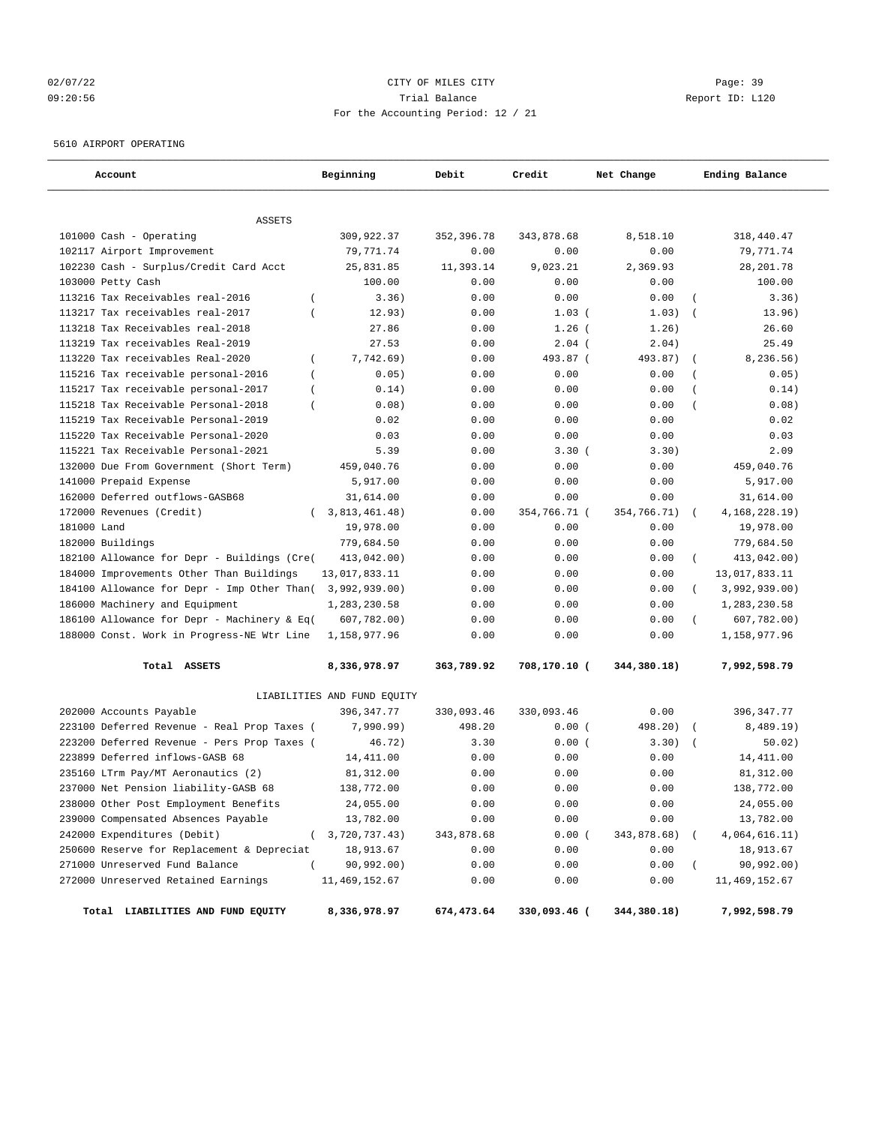## 02/07/22 Page: 39 09:20:56 Trial Balance Report ID: L120 For the Accounting Period: 12 / 21

5610 AIRPORT OPERATING

| Account                                     | Beginning                     | Debit      | Credit       | Net Change  | Ending Balance              |
|---------------------------------------------|-------------------------------|------------|--------------|-------------|-----------------------------|
| <b>ASSETS</b>                               |                               |            |              |             |                             |
| 101000 Cash - Operating                     | 309,922.37                    | 352,396.78 | 343,878.68   | 8,518.10    | 318,440.47                  |
| 102117 Airport Improvement                  | 79,771.74                     | 0.00       | 0.00         | 0.00        | 79,771.74                   |
| 102230 Cash - Surplus/Credit Card Acct      | 25,831.85                     | 11,393.14  | 9,023.21     | 2,369.93    | 28, 201.78                  |
| 103000 Petty Cash                           | 100.00                        | 0.00       | 0.00         | 0.00        | 100.00                      |
| 113216 Tax Receivables real-2016            | 3.36)<br>$\overline{ }$       | 0.00       | 0.00         | 0.00        | 3.36)                       |
| 113217 Tax receivables real-2017            | 12.93)                        | 0.00       | 1.03(        | 1.03)       | 13.96)                      |
| 113218 Tax Receivables real-2018            | 27.86                         | 0.00       | $1.26$ (     | 1.26)       | 26.60                       |
| 113219 Tax receivables Real-2019            | 27.53                         | 0.00       | $2.04$ (     | 2.04)       | 25.49                       |
| 113220 Tax receivables Real-2020            | $\overline{(\ }$<br>7,742.69) | 0.00       | 493.87 (     | 493.87)     | 8,236.56)<br>$\overline{ }$ |
| 115216 Tax receivable personal-2016         | 0.05)<br>$\left($             | 0.00       | 0.00         | 0.00        | 0.05)                       |
| 115217 Tax receivable personal-2017         | 0.14)                         | 0.00       | 0.00         | 0.00        | 0.14)                       |
| 115218 Tax Receivable Personal-2018         | 0.08)                         | 0.00       | 0.00         | 0.00        | 0.08)<br>$\left($           |
| 115219 Tax Receivable Personal-2019         | 0.02                          | 0.00       | 0.00         | 0.00        | 0.02                        |
| 115220 Tax Receivable Personal-2020         | 0.03                          | 0.00       | 0.00         | 0.00        | 0.03                        |
| 115221 Tax Receivable Personal-2021         | 5.39                          | 0.00       | 3.30(        | 3.30)       | 2.09                        |
| 132000 Due From Government (Short Term)     | 459,040.76                    | 0.00       | 0.00         | 0.00        | 459,040.76                  |
| 141000 Prepaid Expense                      | 5,917.00                      | 0.00       | 0.00         | 0.00        | 5,917.00                    |
| 162000 Deferred outflows-GASB68             | 31,614.00                     | 0.00       | 0.00         | 0.00        | 31,614.00                   |
| 172000 Revenues (Credit)                    | 3,813,461.48)                 | 0.00       | 354,766.71 ( | 354,766.71) | 4, 168, 228. 19)            |
| 181000 Land                                 | 19,978.00                     | 0.00       | 0.00         | 0.00        | 19,978.00                   |
| 182000 Buildings                            | 779,684.50                    | 0.00       | 0.00         | 0.00        | 779,684.50                  |
| 182100 Allowance for Depr - Buildings (Cre( | 413,042.00)                   | 0.00       | 0.00         | 0.00        | 413,042.00)<br>$\left($     |
| 184000 Improvements Other Than Buildings    | 13,017,833.11                 | 0.00       | 0.00         | 0.00        | 13,017,833.11               |
| 184100 Allowance for Depr - Imp Other Than( | 3,992,939.00)                 | 0.00       | 0.00         | 0.00        | 3,992,939.00)               |
| 186000 Machinery and Equipment              | 1,283,230.58                  | 0.00       | 0.00         | 0.00        | 1,283,230.58                |
| 186100 Allowance for Depr - Machinery & Eq( | 607,782.00)                   | 0.00       | 0.00         | 0.00        | 607,782.00)                 |
| 188000 Const. Work in Progress-NE Wtr Line  | 1,158,977.96                  | 0.00       | 0.00         | 0.00        | 1,158,977.96                |
| Total ASSETS                                | 8,336,978.97                  | 363,789.92 | 708,170.10 ( | 344,380.18) | 7,992,598.79                |
|                                             | LIABILITIES AND FUND EQUITY   |            |              |             |                             |
| 202000 Accounts Payable                     | 396, 347.77                   | 330,093.46 | 330,093.46   | 0.00        | 396,347.77                  |
| 223100 Deferred Revenue - Real Prop Taxes ( | 7,990.99)                     | 498.20     | 0.00(        | 498.20)     | 8,489.19)                   |
| 223200 Deferred Revenue - Pers Prop Taxes ( | 46.72)                        | 3.30       | 0.00(        | 3.30)       | 50.02)<br>$\sqrt{ }$        |
| 223899 Deferred inflows-GASB 68             | 14,411.00                     | 0.00       | 0.00         | 0.00        | 14, 411.00                  |
| 235160 LTrm Pay/MT Aeronautics (2)          | 81,312.00                     | 0.00       | 0.00         | 0.00        | 81,312.00                   |
| 237000 Net Pension liability-GASB 68        | 138,772.00                    | 0.00       | 0.00         | 0.00        | 138,772.00                  |
| 238000 Other Post Employment Benefits       | 24,055.00                     | 0.00       | 0.00         | 0.00        | 24,055.00                   |
| 239000 Compensated Absences Payable         | 13,782.00                     | 0.00       | 0.00         | 0.00        | 13,782.00                   |
| 242000 Expenditures (Debit)                 | 3,720,737.43)<br>$\left($     | 343,878.68 | 0.00(        | 343,878.68) | 4,064,616.11)               |
| 250600 Reserve for Replacement & Depreciat  | 18,913.67                     | 0.00       | 0.00         | 0.00        | 18,913.67                   |
| 271000 Unreserved Fund Balance              | 90,992.00)                    | 0.00       | 0.00         | 0.00        | 90,992.00)<br>$\left($      |
| 272000 Unreserved Retained Earnings         | 11, 469, 152.67               | 0.00       | 0.00         | 0.00        | 11, 469, 152.67             |
| Total LIABILITIES AND FUND EQUITY           | 8,336,978.97                  | 674,473.64 | 330,093.46 ( | 344,380.18) | 7,992,598.79                |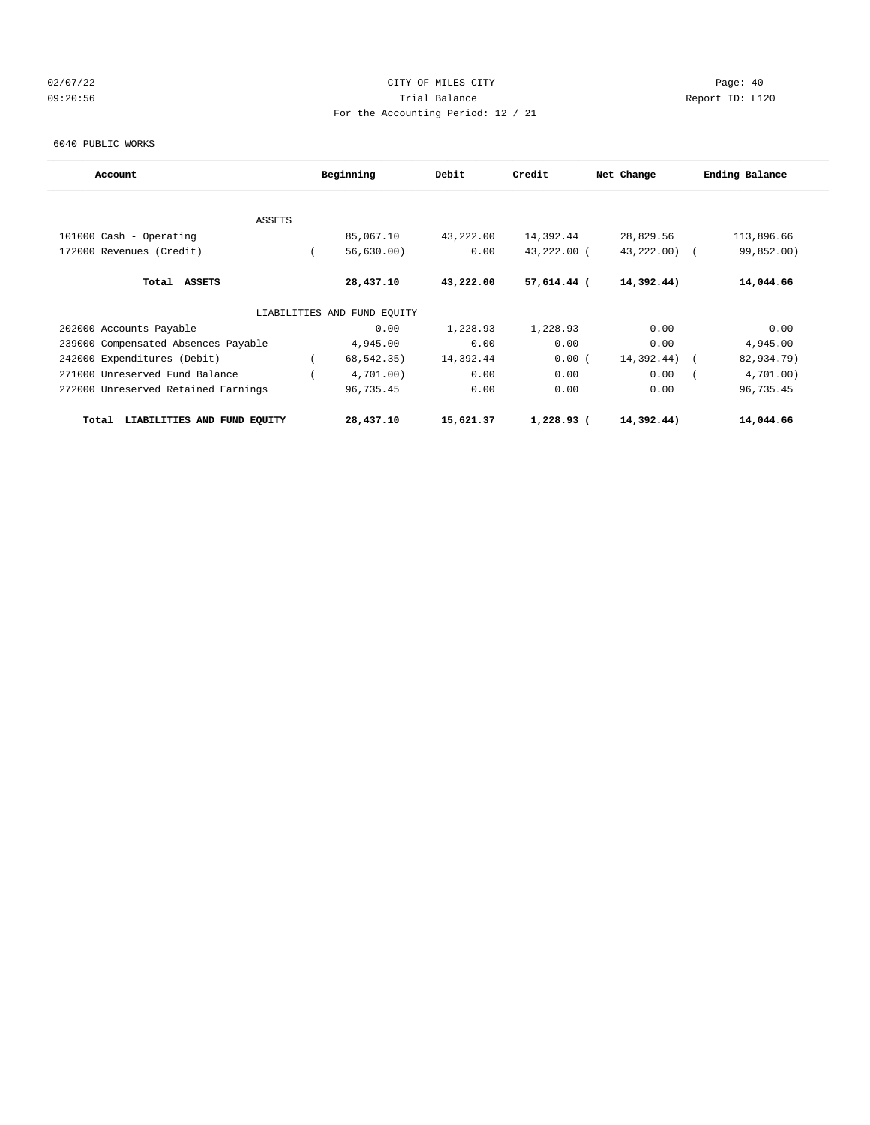## 02/07/22 Page: 40 09:20:56 Trial Balance Report ID: L120 For the Accounting Period: 12 / 21

6040 PUBLIC WORKS

| Account                              | Beginning                   | Debit     | Credit      | Net Change | Ending Balance |            |
|--------------------------------------|-----------------------------|-----------|-------------|------------|----------------|------------|
|                                      |                             |           |             |            |                |            |
| ASSETS                               |                             |           |             |            |                |            |
| 101000 Cash - Operating              | 85,067.10                   | 43,222.00 | 14,392.44   | 28,829.56  | 113,896.66     |            |
| 172000 Revenues (Credit)             | 56,630.00)                  | 0.00      | 43,222.00 ( | 43,222.00) |                | 99,852.00) |
| Total ASSETS                         | 28,437.10                   | 43,222.00 | 57,614.44 ( | 14,392.44) | 14,044.66      |            |
|                                      | LIABILITIES AND FUND EQUITY |           |             |            |                |            |
| 202000 Accounts Payable              | 0.00                        | 1,228.93  | 1,228.93    | 0.00       |                | 0.00       |
| 239000 Compensated Absences Payable  | 4,945.00                    | 0.00      | 0.00        | 0.00       |                | 4,945.00   |
| 242000 Expenditures (Debit)          | 68,542.35)                  | 14,392.44 | 0.00(       | 14,392.44) |                | 82,934.79) |
| 271000 Unreserved Fund Balance       | 4,701.00)                   | 0.00      | 0.00        | 0.00       |                | 4,701.00)  |
| 272000 Unreserved Retained Earnings  | 96,735.45                   | 0.00      | 0.00        | 0.00       | 96,735.45      |            |
| LIABILITIES AND FUND EQUITY<br>Total | 28,437.10                   | 15,621.37 | 1,228.93 (  | 14,392.44) | 14,044.66      |            |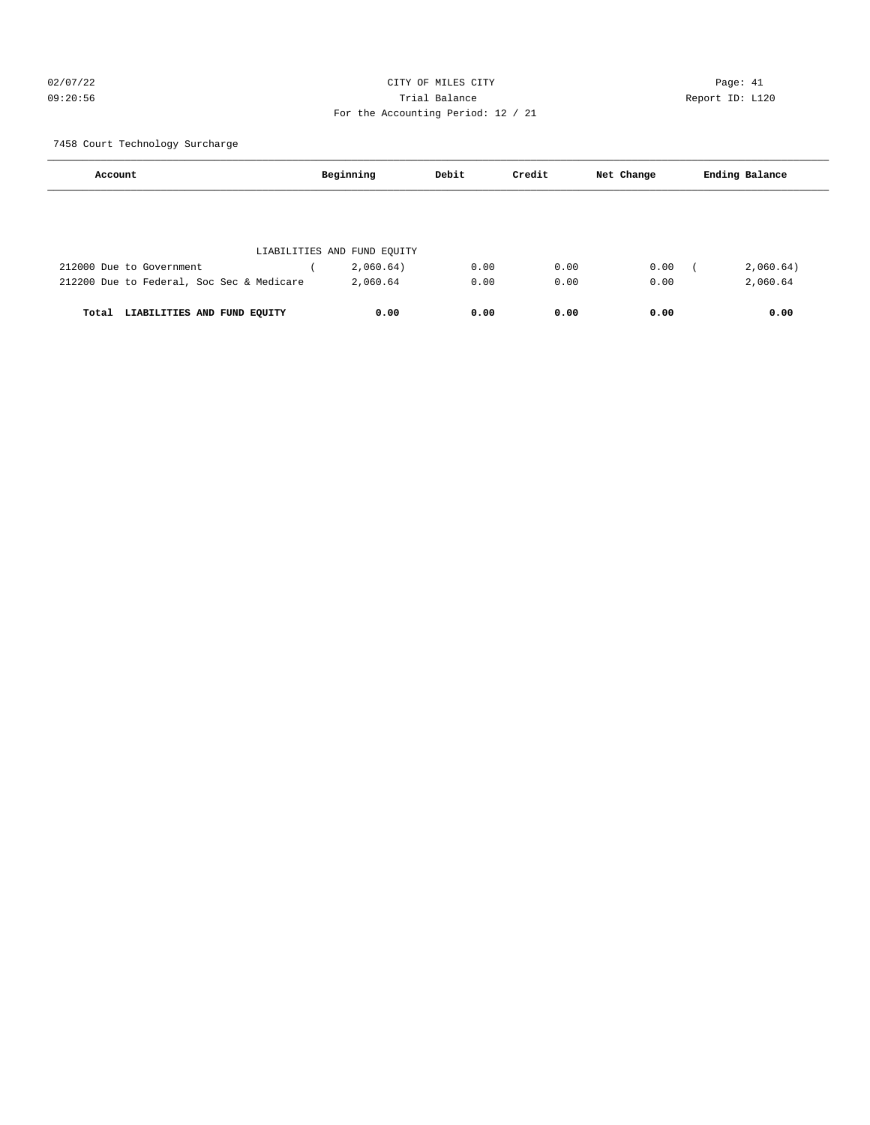## 02/07/22 Page: 41 CITY OF MILES CITY CONTROL Page: 41 09:20:56 Trial Balance Report ID: L120 For the Accounting Period: 12 / 21

#### 7458 Court Technology Surcharge

| Account                                   | Beginning                   | Debit | Credit | Net Change | Ending Balance |
|-------------------------------------------|-----------------------------|-------|--------|------------|----------------|
|                                           |                             |       |        |            |                |
|                                           | LIABILITIES AND FUND EQUITY |       |        |            |                |
| 212000 Due to Government                  | 2,060.64)                   | 0.00  | 0.00   | 0.00       | 2,060.64)      |
| 212200 Due to Federal, Soc Sec & Medicare | 2,060.64                    | 0.00  | 0.00   | 0.00       | 2,060.64       |
| LIABILITIES AND FUND EQUITY<br>Total      | 0.00                        | 0.00  | 0.00   | 0.00       | 0.00           |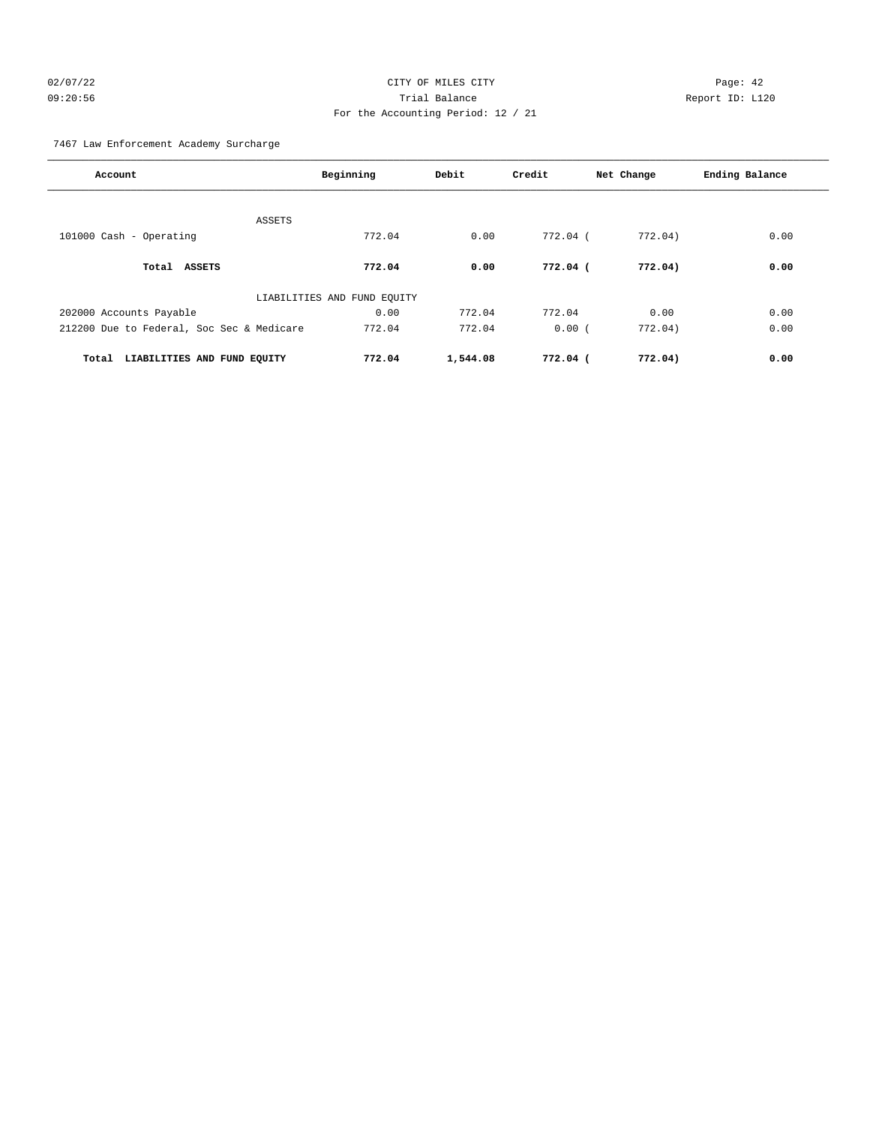## 02/07/22 Page: 42 09:20:56 Trial Balance Report ID: L120 For the Accounting Period: 12 / 21

#### 7467 Law Enforcement Academy Surcharge

| Account                                   | Beginning                   | Debit    | Credit   | Net Change | Ending Balance |
|-------------------------------------------|-----------------------------|----------|----------|------------|----------------|
|                                           |                             |          |          |            |                |
| ASSETS<br>101000 Cash - Operating         | 772.04                      | 0.00     | 772.04 ( | 772.04)    | 0.00           |
|                                           |                             |          |          |            |                |
| Total ASSETS                              | 772.04                      | 0.00     | 772.04 ( | 772.04)    | 0.00           |
|                                           | LIABILITIES AND FUND EQUITY |          |          |            |                |
| 202000 Accounts Payable                   | 0.00                        | 772.04   | 772.04   | 0.00       | 0.00           |
| 212200 Due to Federal, Soc Sec & Medicare | 772.04                      | 772.04   | 0.00(    | 772.04)    | 0.00           |
| LIABILITIES AND FUND EQUITY<br>Total      | 772.04                      | 1,544.08 | 772.04 ( | 772.04)    | 0.00           |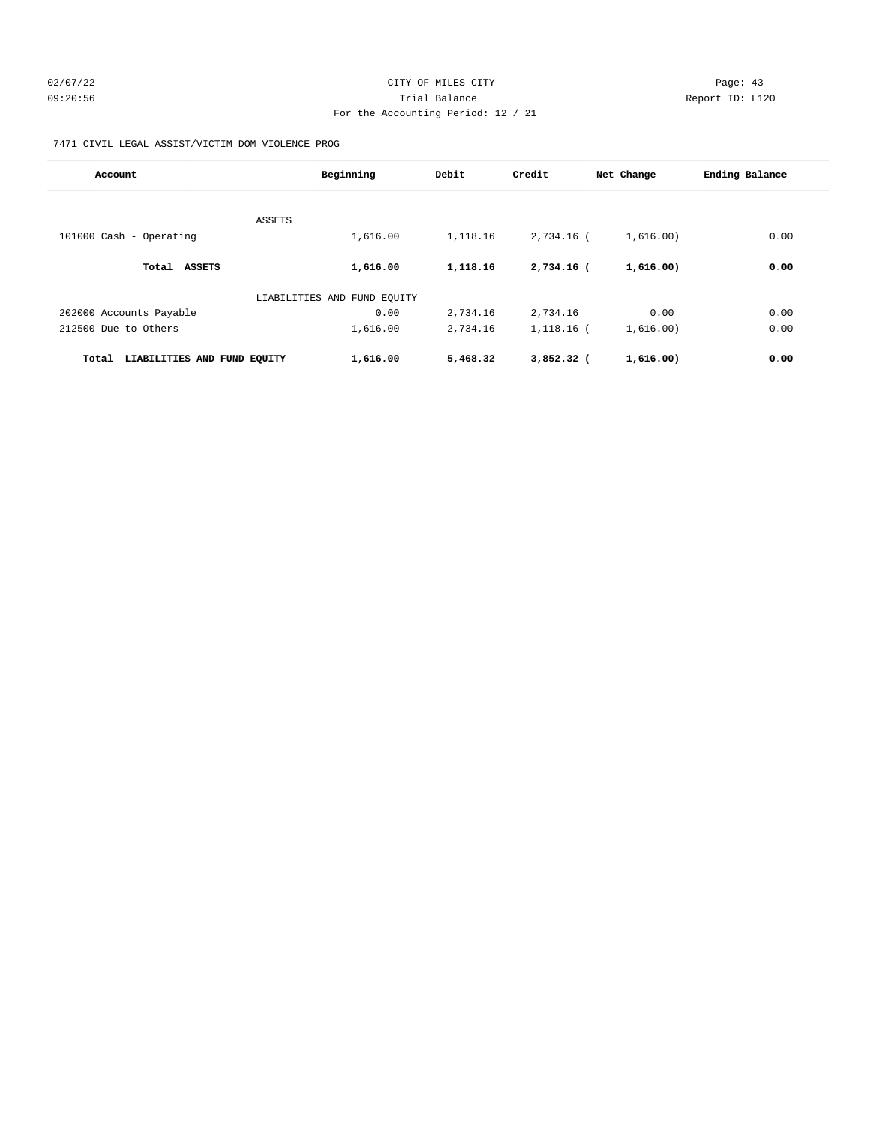7471 CIVIL LEGAL ASSIST/VICTIM DOM VIOLENCE PROG

| Account                              | Beginning                   | Debit    | Credit       | Net Change | Ending Balance |
|--------------------------------------|-----------------------------|----------|--------------|------------|----------------|
|                                      |                             |          |              |            |                |
| ASSETS                               |                             |          |              |            |                |
| 101000 Cash - Operating              | 1,616.00                    | 1,118.16 | 2,734.16 (   | 1,616.00)  | 0.00           |
| Total ASSETS                         | 1,616.00                    | 1,118.16 | 2,734.16 (   | 1,616.00)  | 0.00           |
|                                      | LIABILITIES AND FUND EQUITY |          |              |            |                |
| 202000 Accounts Payable              | 0.00                        | 2,734.16 | 2,734.16     | 0.00       | 0.00           |
| 212500 Due to Others                 | 1,616.00                    | 2,734.16 | 1,118.16 (   | 1,616.00)  | 0.00           |
| Total<br>LIABILITIES AND FUND EQUITY | 1,616.00                    | 5,468.32 | $3,852.32$ ( | 1,616.00)  | 0.00           |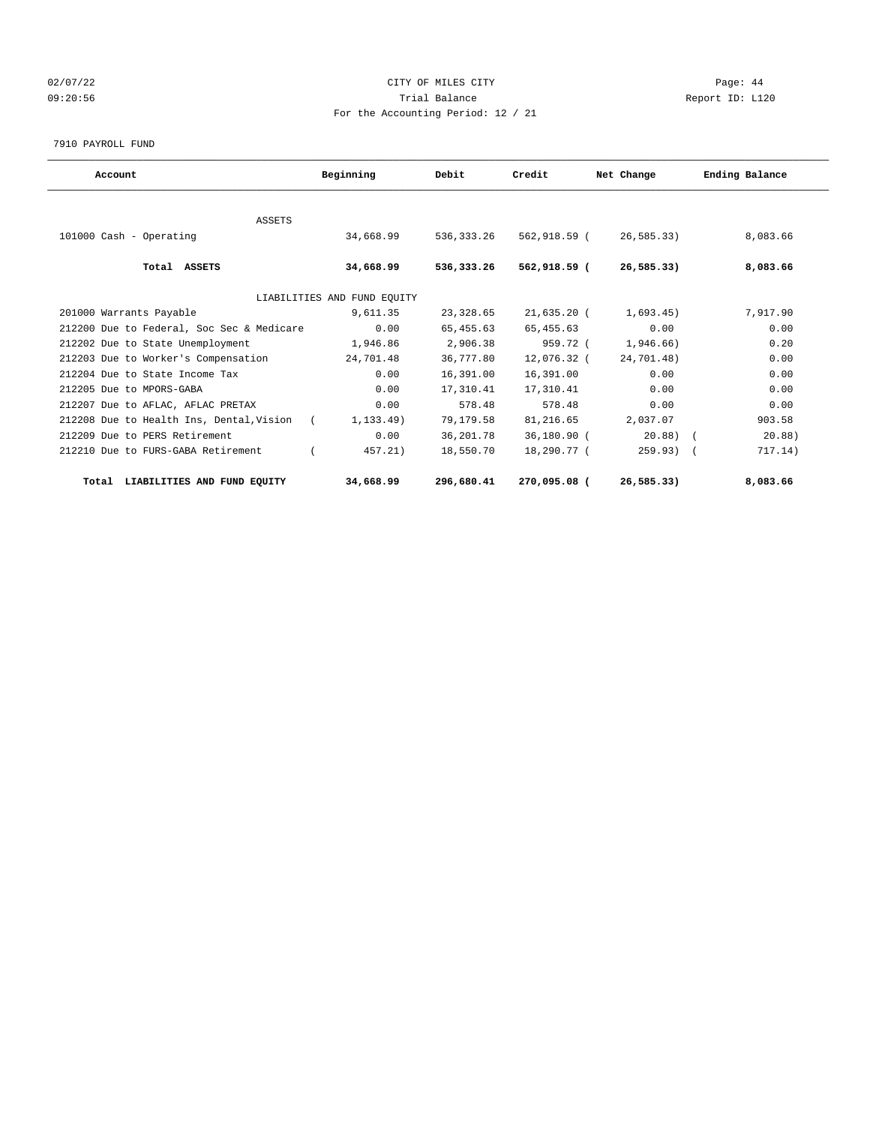## 02/07/22 Page: 44 09:20:56 Trial Balance Report ID: L120 For the Accounting Period: 12 / 21

#### 7910 PAYROLL FUND

| Account                                                | Beginning                   | Debit        | Credit       | Net Change    | Ending Balance |
|--------------------------------------------------------|-----------------------------|--------------|--------------|---------------|----------------|
|                                                        |                             |              |              |               |                |
| <b>ASSETS</b><br>101000 Cash - Operating               | 34,668.99                   | 536, 333, 26 | 562,918.59 ( | 26.585.33     | 8,083.66       |
| Total ASSETS                                           | 34,668.99                   | 536,333.26   | 562,918.59 ( | 26,585.33)    | 8,083.66       |
|                                                        | LIABILITIES AND FUND EOUITY |              |              |               |                |
| 201000 Warrants Payable                                | 9,611.35                    | 23,328.65    | 21,635.20 (  | 1.693.45)     | 7,917.90       |
| 212200 Due to Federal, Soc Sec & Medicare              | 0.00                        | 65,455.63    | 65, 455. 63  | 0.00          | 0.00           |
| 212202 Due to State Unemployment                       | 1,946.86                    | 2,906.38     | 959.72 (     | 1,946.66)     | 0.20           |
| 212203 Due to Worker's Compensation                    | 24,701.48                   | 36,777.80    | 12,076.32 (  | 24,701.48)    | 0.00           |
| 212204 Due to State Income Tax                         | 0.00                        | 16,391.00    | 16,391.00    | 0.00          | 0.00           |
| 212205 Due to MPORS-GABA                               | 0.00                        | 17,310.41    | 17,310.41    | 0.00          | 0.00           |
| 212207 Due to AFLAC, AFLAC PRETAX                      | 0.00                        | 578.48       | 578.48       | 0.00          | 0.00           |
| 212208 Due to Health Ins, Dental, Vision<br>$\sqrt{2}$ | 1,133.49)                   | 79,179.58    | 81,216.65    | 2,037.07      | 903.58         |
| 212209 Due to PERS Retirement                          | 0.00                        | 36,201.78    | 36,180.90 (  | $20.88$ ) $($ | 20.88          |
| 212210 Due to FURS-GABA Retirement                     | 457.21)                     | 18,550.70    | 18,290.77 (  | $259.93)$ (   | 717.14)        |
| LIABILITIES AND FUND EQUITY<br>Total                   | 34,668.99                   | 296,680.41   | 270,095.08 ( | 26, 585, 33)  | 8,083.66       |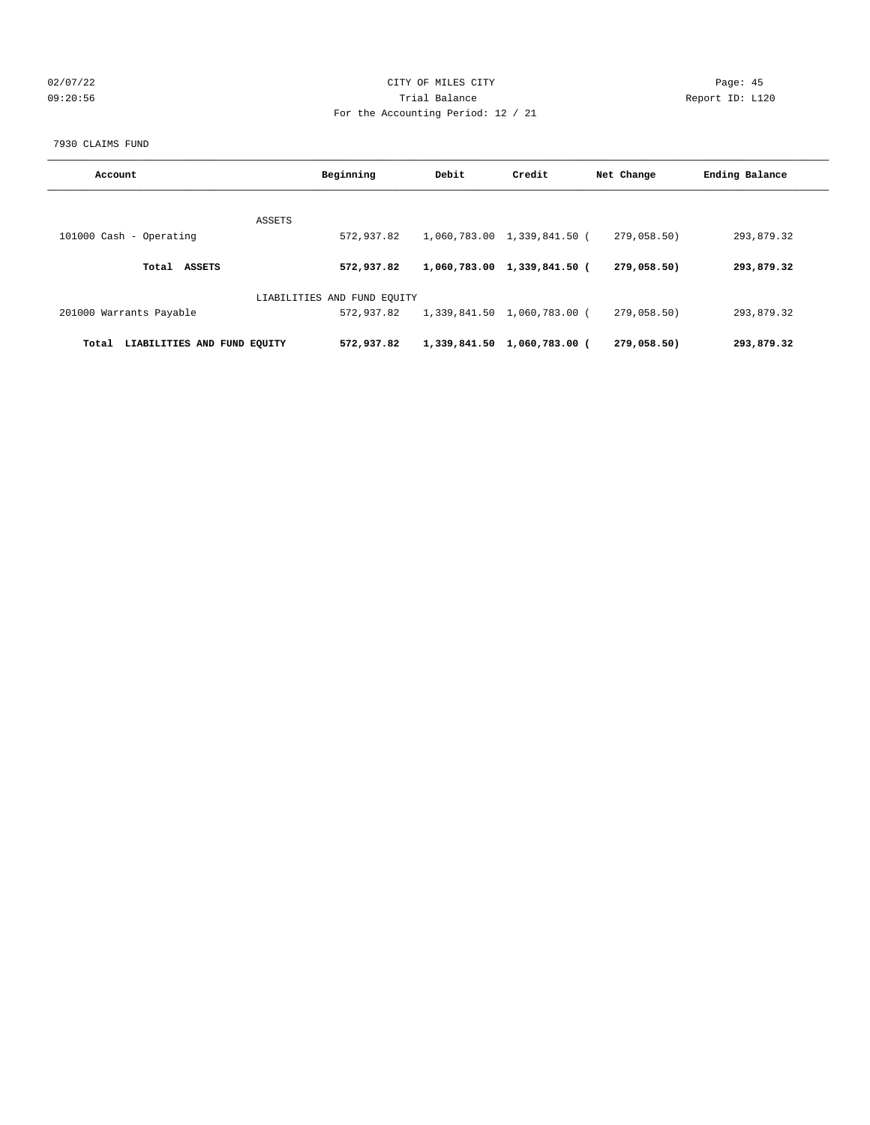## 02/07/22 Page: 45 09:20:56 Trial Balance Report ID: L120 For the Accounting Period: 12 / 21

#### 7930 CLAIMS FUND

| Account                              | Beginning                   | Debit        | Credit                      | Net Change  | Ending Balance |
|--------------------------------------|-----------------------------|--------------|-----------------------------|-------------|----------------|
|                                      | ASSETS                      |              |                             |             |                |
| 101000 Cash - Operating              | 572,937.82                  |              | 1,060,783.00 1,339,841.50 ( | 279,058.50) | 293,879.32     |
| <b>ASSETS</b><br>Total               | 572,937.82                  | 1,060,783.00 | 1,339,841.50 (              | 279,058.50) | 293,879.32     |
|                                      | LIABILITIES AND FUND EQUITY |              |                             |             |                |
| 201000 Warrants Payable              | 572,937.82                  |              | 1,339,841.50 1,060,783.00 ( | 279,058.50) | 293,879.32     |
| LIABILITIES AND FUND EQUITY<br>Total | 572,937.82                  |              | 1,339,841.50 1,060,783.00 ( | 279,058,50) | 293,879.32     |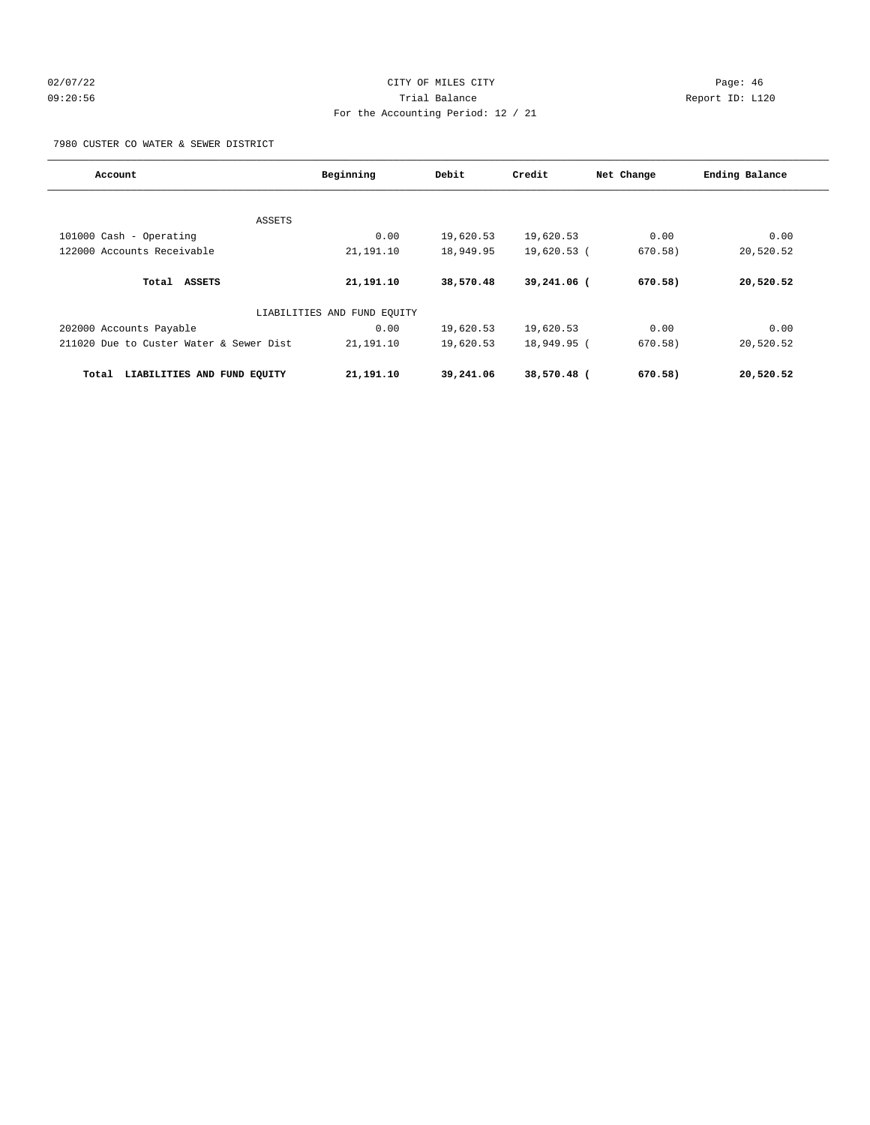## 02/07/22 Page: 46 09:20:56 Trial Balance Report ID: L120 For the Accounting Period: 12 / 21

7980 CUSTER CO WATER & SEWER DISTRICT

| Account                                 | Beginning                   | Debit     | Credit      | Net Change | Ending Balance |
|-----------------------------------------|-----------------------------|-----------|-------------|------------|----------------|
| ASSETS                                  |                             |           |             |            |                |
| 101000 Cash - Operating                 | 0.00                        | 19,620.53 | 19,620.53   | 0.00       | 0.00           |
| 122000 Accounts Receivable              | 21,191.10                   | 18,949.95 | 19,620.53 ( | 670.58)    | 20,520.52      |
| ASSETS<br>Total                         | 21,191.10                   | 38,570.48 | 39,241.06 ( | 670.58)    | 20,520.52      |
|                                         | LIABILITIES AND FUND EOUITY |           |             |            |                |
| 202000 Accounts Payable                 | 0.00                        | 19,620.53 | 19,620.53   | 0.00       | 0.00           |
| 211020 Due to Custer Water & Sewer Dist | 21,191.10                   | 19,620.53 | 18,949.95 ( | 670.58)    | 20,520.52      |
| LIABILITIES AND FUND EQUITY<br>Total    | 21,191.10                   | 39,241.06 | 38,570.48 ( | 670.58)    | 20,520.52      |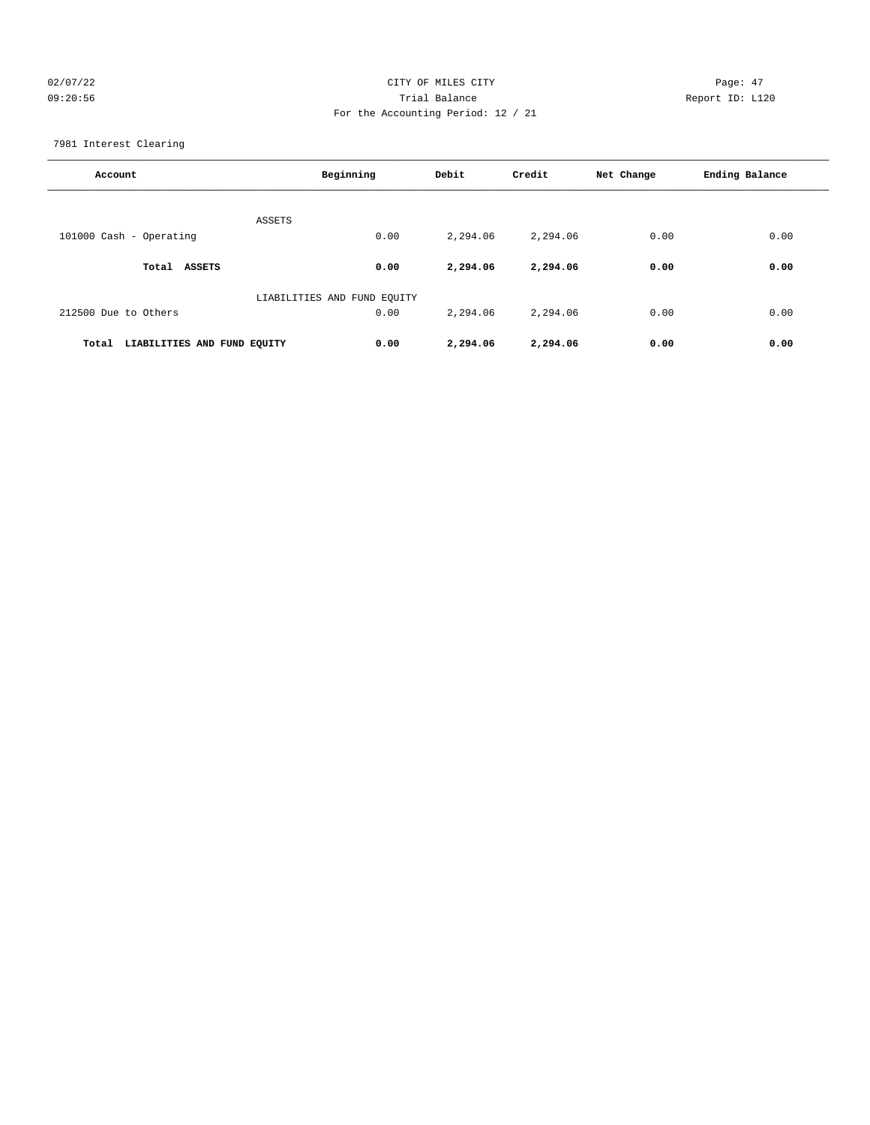## 02/07/22 Page: 47 09:20:56 Trial Balance Report ID: L120 For the Accounting Period: 12 / 21

7981 Interest Clearing

| Account                              | Beginning                   | Debit    | Credit   | Net Change | Ending Balance |
|--------------------------------------|-----------------------------|----------|----------|------------|----------------|
|                                      | ASSETS                      |          |          |            |                |
| 101000 Cash - Operating              | 0.00                        | 2,294.06 | 2,294.06 | 0.00       | 0.00           |
| Total<br><b>ASSETS</b>               | 0.00                        | 2,294.06 | 2,294.06 | 0.00       | 0.00           |
|                                      | LIABILITIES AND FUND EQUITY |          |          |            |                |
| 212500 Due to Others                 | 0.00                        | 2,294.06 | 2,294.06 | 0.00       | 0.00           |
| LIABILITIES AND FUND EQUITY<br>Total | 0.00                        | 2,294.06 | 2,294.06 | 0.00       | 0.00           |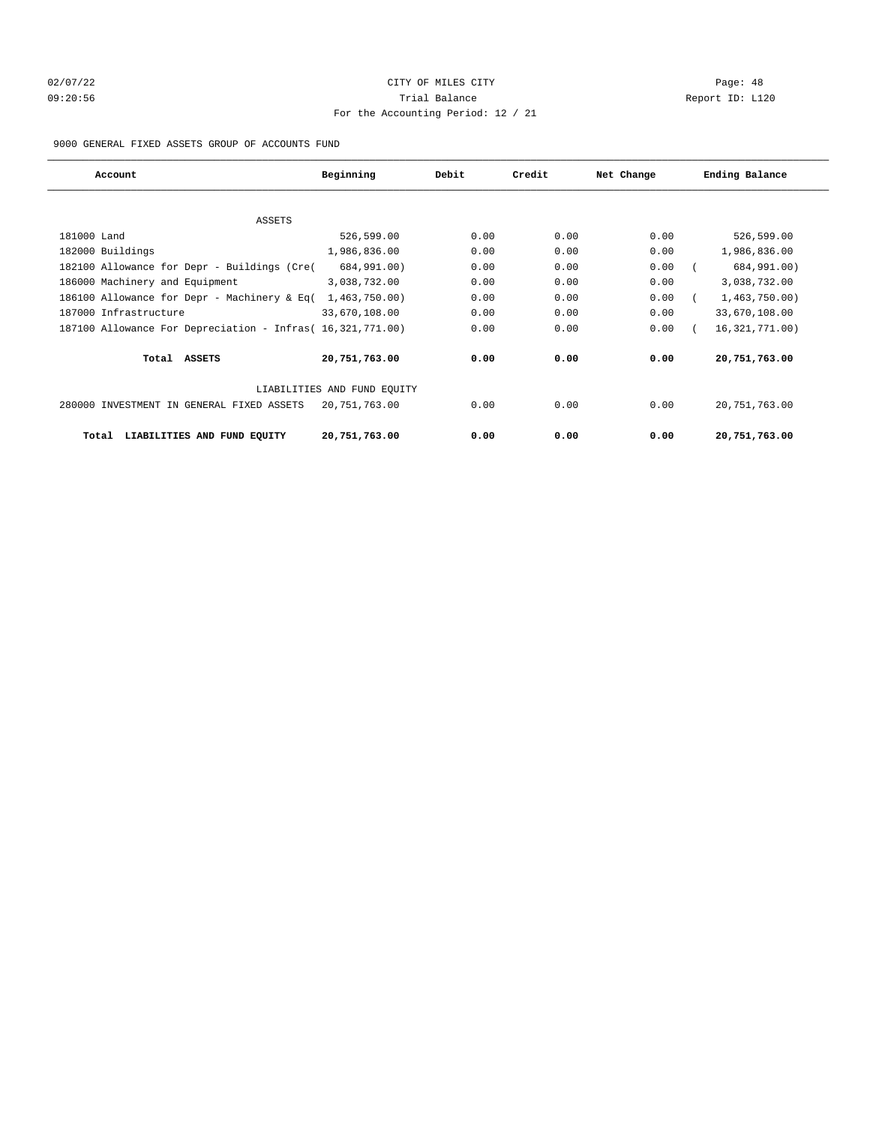# 02/07/22 Page: 48 09:20:56 Trial Balance Report ID: L120 For the Accounting Period: 12 / 21

9000 GENERAL FIXED ASSETS GROUP OF ACCOUNTS FUND

| Account                                                    | Beginning                   | Debit | Credit | Net Change | Ending Balance   |
|------------------------------------------------------------|-----------------------------|-------|--------|------------|------------------|
|                                                            |                             |       |        |            |                  |
| ASSETS                                                     |                             |       |        |            |                  |
| 181000 Land                                                | 526,599.00                  | 0.00  | 0.00   | 0.00       | 526,599.00       |
| 182000 Buildings                                           | 1,986,836.00                | 0.00  | 0.00   | 0.00       | 1,986,836.00     |
| 182100 Allowance for Depr - Buildings (Cre(                | 684,991.00)                 | 0.00  | 0.00   | 0.00       | 684,991.00)      |
| 186000 Machinery and Equipment                             | 3,038,732.00                | 0.00  | 0.00   | 0.00       | 3,038,732.00     |
| 186100 Allowance for Depr - Machinery & Eq(                | 1,463,750.00)               | 0.00  | 0.00   | 0.00       | 1,463,750.00     |
| 187000 Infrastructure                                      | 33,670,108.00               | 0.00  | 0.00   | 0.00       | 33,670,108.00    |
| 187100 Allowance For Depreciation - Infras (16,321,771.00) |                             | 0.00  | 0.00   | 0.00       | 16, 321, 771.00) |
| Total ASSETS                                               | 20,751,763.00               | 0.00  | 0.00   | 0.00       | 20,751,763.00    |
|                                                            | LIABILITIES AND FUND EQUITY |       |        |            |                  |
| 280000 INVESTMENT IN GENERAL FIXED ASSETS                  | 20,751,763.00               | 0.00  | 0.00   | 0.00       | 20,751,763.00    |
| LIABILITIES AND FUND EQUITY<br>Total                       | 20,751,763.00               | 0.00  | 0.00   | 0.00       | 20,751,763.00    |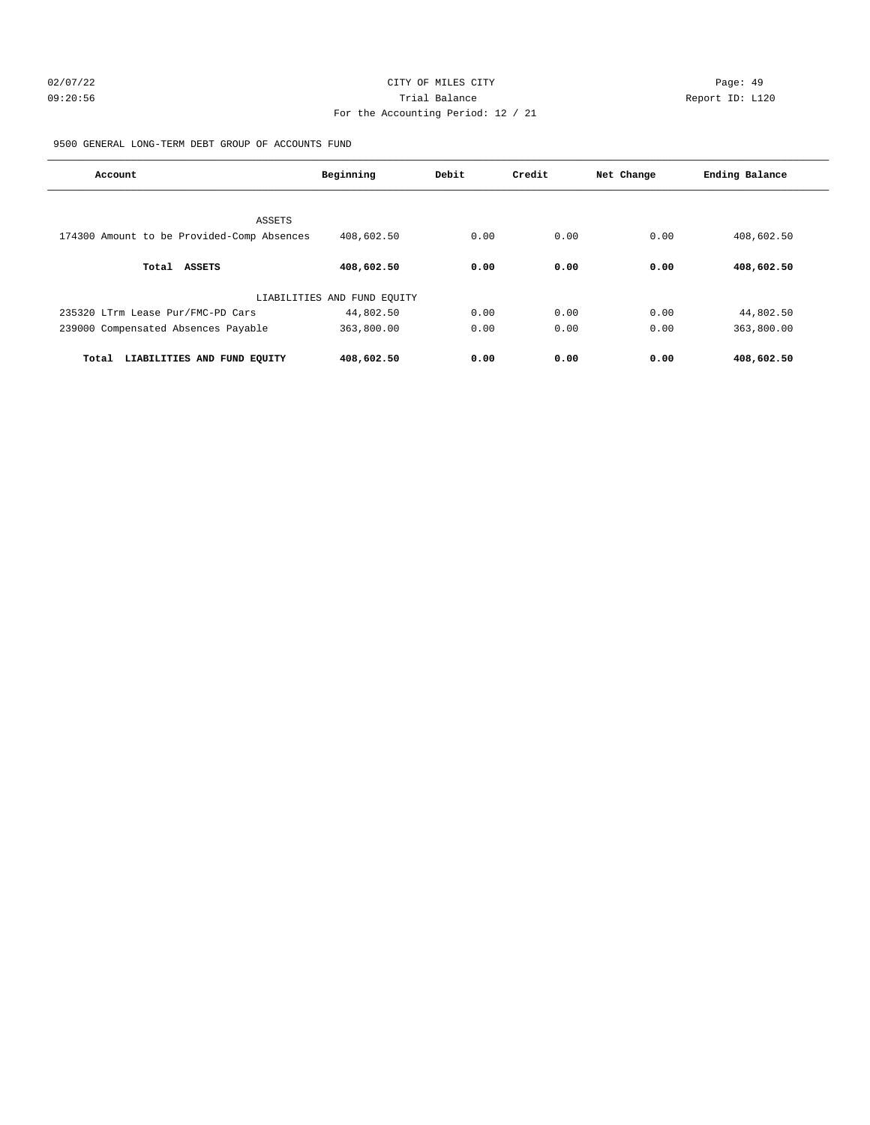# 02/07/22 Page: 49 09:20:56 Trial Balance Report ID: L120 For the Accounting Period: 12 / 21

9500 GENERAL LONG-TERM DEBT GROUP OF ACCOUNTS FUND

| Account                                    | Beginning                   | Debit | Credit | Net Change | Ending Balance |
|--------------------------------------------|-----------------------------|-------|--------|------------|----------------|
| ASSETS                                     |                             |       |        |            |                |
| 174300 Amount to be Provided-Comp Absences | 408,602.50                  | 0.00  | 0.00   | 0.00       | 408,602.50     |
| <b>ASSETS</b><br>Total                     | 408,602.50                  | 0.00  | 0.00   | 0.00       | 408,602.50     |
|                                            | LIABILITIES AND FUND EQUITY |       |        |            |                |
| 235320 LTrm Lease Pur/FMC-PD Cars          | 44,802.50                   | 0.00  | 0.00   | 0.00       | 44,802.50      |
| 239000 Compensated Absences Payable        | 363,800.00                  | 0.00  | 0.00   | 0.00       | 363,800.00     |
| LIABILITIES AND FUND EQUITY<br>Total       | 408,602.50                  | 0.00  | 0.00   | 0.00       | 408,602.50     |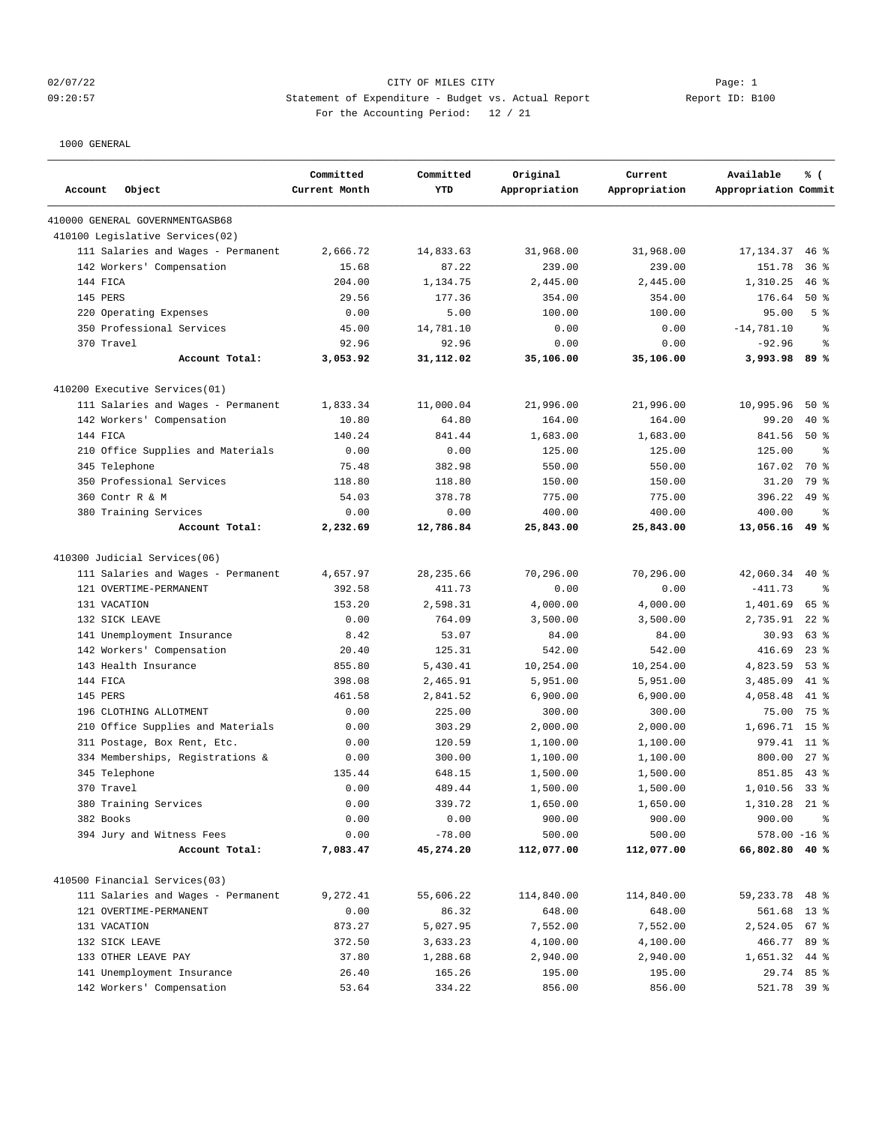## 02/07/22 CITY OF MILES CITY Page: 1 09:20:57 Statement of Expenditure - Budget vs. Actual Report Changer Report ID: B100 For the Accounting Period: 12 / 21

| Account<br>Object                  | Committed<br>Current Month | Committed<br><b>YTD</b> | Original<br>Appropriation | Current<br>Appropriation | Available<br>Appropriation Commit | % (             |
|------------------------------------|----------------------------|-------------------------|---------------------------|--------------------------|-----------------------------------|-----------------|
| 410000 GENERAL GOVERNMENTGASB68    |                            |                         |                           |                          |                                   |                 |
| 410100 Legislative Services(02)    |                            |                         |                           |                          |                                   |                 |
| 111 Salaries and Wages - Permanent | 2,666.72                   | 14,833.63               | 31,968.00                 | 31,968.00                | 17, 134.37                        | $46*$           |
| 142 Workers' Compensation          | 15.68                      | 87.22                   | 239.00                    | 239.00                   | 151.78                            | 36 <sup>8</sup> |
| 144 FICA                           | 204.00                     | 1,134.75                | 2,445.00                  | 2,445.00                 | 1,310.25                          | $46$ %          |
| 145 PERS                           | 29.56                      | 177.36                  | 354.00                    | 354.00                   | 176.64                            | $50*$           |
| 220 Operating Expenses             | 0.00                       | 5.00                    | 100.00                    | 100.00                   | 95.00                             | 5 <sup>8</sup>  |
| 350 Professional Services          | 45.00                      | 14,781.10               | 0.00                      | 0.00                     | $-14,781.10$                      | န္              |
| 370 Travel                         | 92.96                      | 92.96                   | 0.00                      | 0.00                     | $-92.96$                          | နွ              |
| Account Total:                     | 3,053.92                   | 31,112.02               | 35,106.00                 | 35,106.00                | 3,993.98                          | 89 %            |
| 410200 Executive Services(01)      |                            |                         |                           |                          |                                   |                 |
| 111 Salaries and Wages - Permanent | 1,833.34                   | 11,000.04               | 21,996.00                 | 21,996.00                | 10,995.96                         | $50*$           |
| 142 Workers' Compensation          | 10.80                      | 64.80                   | 164.00                    | 164.00                   | 99.20                             | $40*$           |
| 144 FICA                           | 140.24                     | 841.44                  | 1,683.00                  | 1,683.00                 | 841.56                            | 50%             |
| 210 Office Supplies and Materials  | 0.00                       | 0.00                    | 125.00                    | 125.00                   | 125.00                            | ್ಠಿ             |
| 345 Telephone                      | 75.48                      | 382.98                  | 550.00                    | 550.00                   | 167.02                            | 70 %            |
| 350 Professional Services          | 118.80                     | 118.80                  | 150.00                    | 150.00                   | 31.20                             | 79 %            |
| 360 Contr R & M                    | 54.03                      | 378.78                  | 775.00                    | 775.00                   | 396.22                            | $49*$           |
| 380 Training Services              | 0.00                       | 0.00                    | 400.00                    | 400.00                   | 400.00                            | နွ              |
| Account Total:                     | 2,232.69                   | 12,786.84               | 25,843.00                 | 25,843.00                | 13,056.16                         | 49 %            |
| 410300 Judicial Services(06)       |                            |                         |                           |                          |                                   |                 |
| 111 Salaries and Wages - Permanent | 4,657.97                   | 28, 235.66              | 70,296.00                 | 70,296.00                | 42,060.34                         | $40*$           |
| 121 OVERTIME-PERMANENT             | 392.58                     | 411.73                  | 0.00                      | 0.00                     | $-411.73$                         | နွ              |
| 131 VACATION                       | 153.20                     | 2,598.31                | 4,000.00                  | 4,000.00                 | 1,401.69                          | 65 %            |
| 132 SICK LEAVE                     | 0.00                       | 764.09                  | 3,500.00                  | 3,500.00                 | 2,735.91                          | $22$ $%$        |
| 141 Unemployment Insurance         | 8.42                       | 53.07                   | 84.00                     | 84.00                    | 30.93                             | 63%             |
| 142 Workers' Compensation          | 20.40                      | 125.31                  | 542.00                    | 542.00                   | 416.69                            | $23$ %          |
| 143 Health Insurance               | 855.80                     | 5,430.41                | 10,254.00                 | 10,254.00                | 4,823.59                          | $53$ $%$        |
| 144 FICA                           | 398.08                     | 2,465.91                | 5,951.00                  | 5,951.00                 | 3,485.09                          | 41 %            |
| 145 PERS                           | 461.58                     | 2,841.52                | 6,900.00                  | 6,900.00                 | 4,058.48                          | $41*$           |
| 196 CLOTHING ALLOTMENT             | 0.00                       | 225.00                  | 300.00                    | 300.00                   | 75.00                             | 75 %            |
| 210 Office Supplies and Materials  | 0.00                       | 303.29                  | 2,000.00                  | 2.000.00                 | 1,696.71                          | 15 <sup>8</sup> |
| 311 Postage, Box Rent, Etc.        | 0.00                       | 120.59                  | 1,100.00                  | 1,100.00                 | 979.41                            | $11$ %          |
| 334 Memberships, Registrations &   | 0.00                       | 300.00                  | 1,100.00                  | 1,100.00                 | 800.00                            | $27$ $%$        |
| 345 Telephone                      | 135.44                     | 648.15                  | 1,500.00                  | 1,500.00                 | 851.85                            | $43*$           |
| 370 Travel                         | 0.00                       | 489.44                  | 1,500.00                  | 1,500.00                 | 1,010.56                          | 338             |
| 380 Training Services              | 0.00                       | 339.72                  | 1,650.00                  | 1,650.00                 | 1,310.28                          | $21$ %          |
| 382 Books                          | 0.00                       | 0.00                    | 900.00                    | 900.00                   | 900.00                            | ిం              |
| 394 Jury and Witness Fees          | 0.00                       | $-78.00$                | 500.00                    | 500.00                   | $578.00 - 16$ %                   |                 |
| Account Total:                     | 7,083.47                   | 45,274.20               | 112,077.00                | 112,077.00               | 66,802.80 40 %                    |                 |
| 410500 Financial Services(03)      |                            |                         |                           |                          |                                   |                 |
| 111 Salaries and Wages - Permanent | 9,272.41                   | 55,606.22               | 114,840.00                | 114,840.00               | 59,233.78 48 %                    |                 |
| 121 OVERTIME-PERMANENT             | 0.00                       | 86.32                   | 648.00                    | 648.00                   | 561.68                            | $13*$           |
| 131 VACATION                       | 873.27                     | 5,027.95                | 7,552.00                  | 7,552.00                 | 2,524.05 67 %                     |                 |
| 132 SICK LEAVE                     | 372.50                     | 3,633.23                | 4,100.00                  | 4,100.00                 | 466.77                            | 89 %            |
| 133 OTHER LEAVE PAY                | 37.80                      | 1,288.68                | 2,940.00                  | 2,940.00                 | 1,651.32 44 %                     |                 |
| 141 Unemployment Insurance         | 26.40                      | 165.26                  | 195.00                    | 195.00                   | 29.74 85 %                        |                 |
| 142 Workers' Compensation          | 53.64                      | 334.22                  | 856.00                    | 856.00                   | 521.78 39 %                       |                 |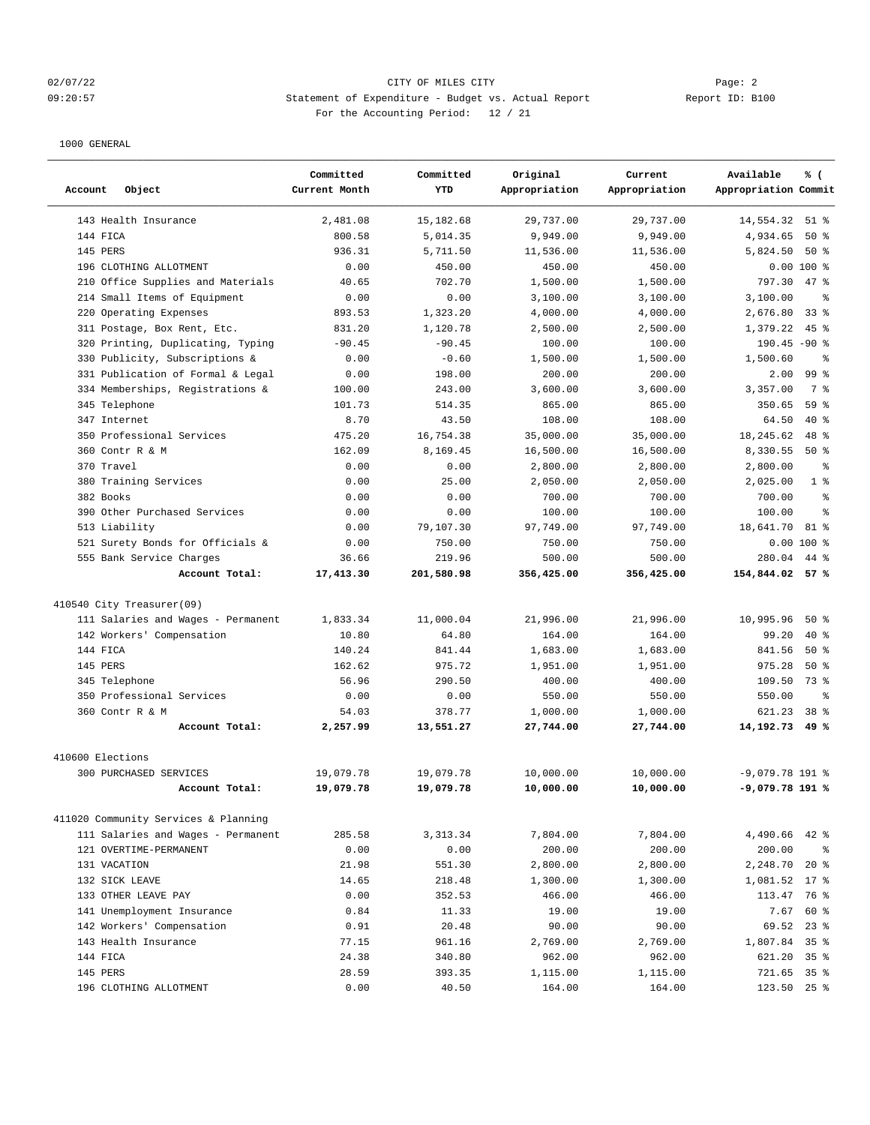## 02/07/22 Page: 2 09:20:57 Statement of Expenditure - Budget vs. Actual Report Changer Report ID: B100 For the Accounting Period: 12 / 21

| Account<br>Object                               | Committed<br>Current Month | Committed<br><b>YTD</b> | Original<br>Appropriation | Current<br>Appropriation | Available<br>% (<br>Appropriation Commit |
|-------------------------------------------------|----------------------------|-------------------------|---------------------------|--------------------------|------------------------------------------|
| 143 Health Insurance                            | 2,481.08                   | 15,182.68               | 29,737.00                 | 29,737.00                | 14,554.32<br>51 %                        |
| 144 FICA                                        | 800.58                     | 5,014.35                | 9,949.00                  | 9,949.00                 | 4,934.65<br>50%                          |
| 145 PERS                                        | 936.31                     | 5,711.50                | 11,536.00                 | 11,536.00                | 50%<br>5,824.50                          |
| 196 CLOTHING ALLOTMENT                          | 0.00                       | 450.00                  | 450.00                    | 450.00                   | $0.00100$ %                              |
| 210 Office Supplies and Materials               | 40.65                      | 702.70                  | 1,500.00                  | 1,500.00                 | 797.30<br>$47$ %                         |
| 214 Small Items of Equipment                    | 0.00                       | 0.00                    | 3,100.00                  | 3,100.00                 | 3,100.00<br>နွ                           |
| 220 Operating Expenses                          | 893.53                     | 1,323.20                | 4,000.00                  | 4,000.00                 | 2,676.80<br>338                          |
| 311 Postage, Box Rent, Etc.                     | 831.20                     | 1,120.78                | 2,500.00                  | 2,500.00                 | 1,379.22<br>$45$ %                       |
| 320 Printing, Duplicating, Typing               | $-90.45$                   | $-90.45$                | 100.00                    | 100.00                   | $190.45 - 90$ %                          |
| 330<br>Publicity, Subscriptions &               | 0.00                       | $-0.60$                 | 1,500.00                  | 1,500.00                 | 1,500.60<br>ి                            |
| 331 Publication of Formal & Legal               | 0.00                       | 198.00                  | 200.00                    | 200.00                   | 99 <sup>8</sup><br>2.00                  |
| 334 Memberships, Registrations &                | 100.00                     | 243.00                  | 3,600.00                  | 3,600.00                 | 7 <sup>8</sup><br>3,357.00               |
| 345 Telephone                                   | 101.73                     | 514.35                  | 865.00                    | 865.00                   | 59 <sup>8</sup><br>350.65                |
| 347 Internet                                    | 8.70                       | 43.50                   | 108.00                    | 108.00                   | 64.50<br>$40*$                           |
| 350 Professional Services                       | 475.20                     | 16,754.38               | 35,000.00                 | 35,000.00                | 18,245.62<br>48 %                        |
| 360 Contr R & M                                 | 162.09                     | 8,169.45                | 16,500.00                 | 16,500.00                | 8,330.55<br>50%                          |
| 370 Travel                                      | 0.00                       | 0.00                    | 2,800.00                  | 2,800.00                 | 2,800.00<br>ి                            |
| 380 Training Services                           | 0.00                       | 25.00                   | 2,050.00                  | 2,050.00                 | 1 <sup>8</sup><br>2,025.00               |
| 382 Books                                       | 0.00                       | 0.00                    | 700.00                    | 700.00                   | 700.00<br>ి                              |
| 390 Other Purchased Services                    | 0.00                       | 0.00                    | 100.00                    | 100.00                   | 100.00<br>$\approx$                      |
| 513 Liability                                   | 0.00                       | 79,107.30               | 97,749.00                 | 97,749.00                | 18,641.70<br>81 %                        |
| 521 Surety Bonds for Officials &                | 0.00                       | 750.00                  | 750.00                    | 750.00                   | $0.00100$ %                              |
| 555 Bank Service Charges                        | 36.66                      | 219.96                  | 500.00                    | 500.00                   | 280.04<br>44 %                           |
| Account Total:                                  | 17,413.30                  | 201,580.98              | 356,425.00                | 356,425.00               | 154,844.02 57 %                          |
| 410540 City Treasurer(09)                       |                            |                         |                           |                          |                                          |
| 111 Salaries and Wages - Permanent              | 1,833.34                   | 11,000.04               | 21,996.00                 | 21,996.00                | 10,995.96<br>50%                         |
| 142 Workers' Compensation                       | 10.80                      | 64.80                   | 164.00                    | 164.00                   | 99.20<br>$40*$                           |
| 144 FICA                                        | 140.24                     | 841.44                  | 1,683.00                  | 1,683.00                 | 841.56<br>50%                            |
| 145 PERS                                        | 162.62                     | 975.72                  | 1,951.00                  | 1,951.00                 | 50%<br>975.28                            |
| 345 Telephone                                   | 56.96                      | 290.50                  | 400.00                    | 400.00                   | 109.50<br>73 %                           |
| 350 Professional Services                       | 0.00                       | 0.00                    | 550.00                    | 550.00                   | 550.00<br>$\approx$                      |
| 360 Contr R & M                                 | 54.03                      | 378.77                  | 1,000.00                  | 1,000.00                 | 38 <sup>8</sup><br>621.23                |
| Account Total:                                  | 2,257.99                   | 13,551.27               | 27,744.00                 | 27,744.00                | 14,192.73<br>49 %                        |
|                                                 |                            |                         |                           |                          |                                          |
| 410600 Elections                                |                            |                         |                           |                          |                                          |
| <b>300 PURCHASED SERVICES</b><br>Account Total: | 19,079.78<br>19,079.78     | 19,079.78<br>19,079.78  | 10,000.00<br>10,000.00    | 10,000.00<br>10,000.00   | $-9,079.78$ 191 %<br>-9,079.78 191 %     |
|                                                 |                            |                         |                           |                          |                                          |
| 411020 Community Services & Planning            |                            |                         |                           |                          |                                          |
| 111 Salaries and Wages - Permanent              | 285.58                     | 3, 313.34               | 7,804.00                  | 7,804.00                 | 4,490.66<br>$42$ %                       |
| 121 OVERTIME-PERMANENT                          | 0.00                       | 0.00                    | 200.00                    | 200.00                   | 200.00<br>ႜ                              |
| 131 VACATION                                    | 21.98                      | 551.30                  | 2,800.00                  | 2,800.00                 | 2,248.70<br>$20*$                        |
| 132 SICK LEAVE                                  | 14.65                      | 218.48                  | 1,300.00                  | 1,300.00                 | 1,081.52<br>$17*$                        |
| 133 OTHER LEAVE PAY                             | 0.00                       | 352.53                  | 466.00                    | 466.00                   | 113.47<br>76 %                           |
| 141 Unemployment Insurance                      | 0.84                       | 11.33                   | 19.00                     | 19.00                    | 60 %<br>7.67                             |
| 142 Workers' Compensation                       | 0.91                       | 20.48                   | 90.00                     | 90.00                    | 69.52<br>$23$ %                          |
| 143 Health Insurance                            | 77.15                      | 961.16                  | 2,769.00                  | 2,769.00                 | 1,807.84<br>35%                          |
| 144 FICA                                        | 24.38                      | 340.80                  | 962.00                    | 962.00                   | 621.20<br>35%                            |
| 145 PERS                                        | 28.59                      | 393.35                  | 1,115.00                  | 1,115.00                 | 721.65<br>35 <sup>8</sup>                |
| 196 CLOTHING ALLOTMENT                          | 0.00                       | 40.50                   | 164.00                    | 164.00                   | 123.50 25 %                              |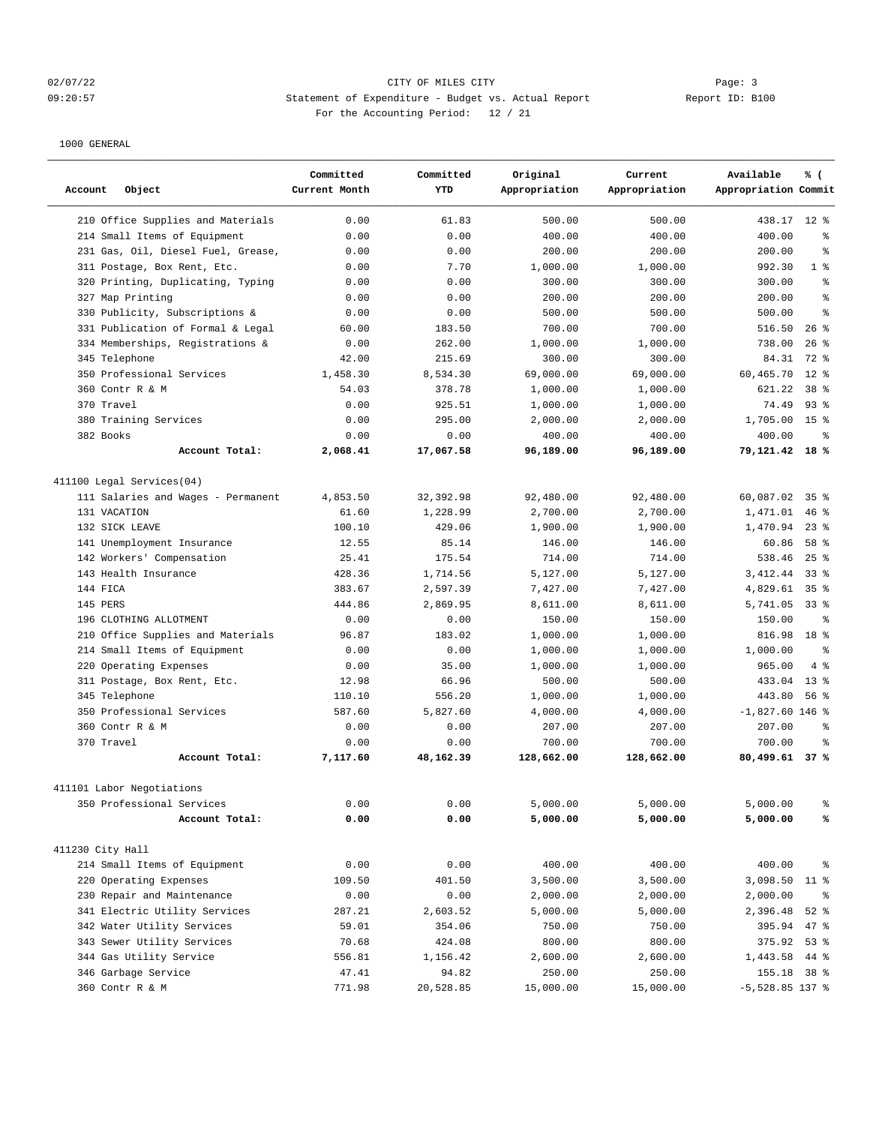## 02/07/22 Page: 3 Page: 3 09:20:57 Statement of Expenditure - Budget vs. Actual Report Changer Report ID: B100 For the Accounting Period: 12 / 21

| Account<br>Object                    | Committed<br>Current Month | Committed<br><b>YTD</b> | Original<br>Appropriation | Current<br>Appropriation | Available<br>% (<br>Appropriation Commit |
|--------------------------------------|----------------------------|-------------------------|---------------------------|--------------------------|------------------------------------------|
| 210 Office Supplies and Materials    | 0.00                       | 61.83                   | 500.00                    | 500.00                   | 438.17 12 %                              |
| 214 Small Items of Equipment         | 0.00                       | 0.00                    | 400.00                    | 400.00                   | 400.00<br>ま                              |
| 231 Gas, Oil, Diesel Fuel, Grease,   | 0.00                       | 0.00                    | 200.00                    | 200.00                   | 200.00<br>ま                              |
| 311 Postage, Box Rent, Etc.          | 0.00                       | 7.70                    | 1,000.00                  | 1,000.00                 | 992.30<br>1 <sup>8</sup>                 |
| Printing, Duplicating, Typing<br>320 | 0.00                       | 0.00                    | 300.00                    | 300.00                   | 300.00<br>る                              |
| 327 Map Printing                     | 0.00                       | 0.00                    | 200.00                    | 200.00                   | 200.00<br>る                              |
| 330 Publicity, Subscriptions &       | 0.00                       | 0.00                    | 500.00                    | 500.00                   | 500.00<br>$\approx$                      |
| 331 Publication of Formal & Legal    | 60.00                      | 183.50                  | 700.00                    | 700.00                   | 516.50<br>$26$ %                         |
| 334 Memberships, Registrations &     | 0.00                       | 262.00                  | 1,000.00                  | 1,000.00                 | 738.00<br>$26$ %                         |
| 345 Telephone                        | 42.00                      | 215.69                  | 300.00                    | 300.00                   | 72 %<br>84.31                            |
| 350 Professional Services            | 1,458.30                   | 8,534.30                | 69,000.00                 | 69,000.00                | $12*$<br>60,465.70                       |
| 360 Contr R & M                      | 54.03                      | 378.78                  | 1,000.00                  | 1,000.00                 | 621.22<br>38 <sup>8</sup>                |
| 370 Travel                           | 0.00                       | 925.51                  | 1,000.00                  | 1,000.00                 | 74.49<br>$93$ $%$                        |
| 380 Training Services                | 0.00                       | 295.00                  | 2,000.00                  | 2,000.00                 | 1,705.00<br>15 <sup>8</sup>              |
| 382 Books                            | 0.00                       | 0.00                    | 400.00                    | 400.00                   | 400.00<br>る                              |
| Account Total:                       | 2,068.41                   | 17,067.58               | 96,189.00                 | 96,189.00                | 79,121.42 18 %                           |
| 411100 Legal Services(04)            |                            |                         |                           |                          |                                          |
| 111 Salaries and Wages - Permanent   | 4,853.50                   | 32, 392.98              | 92,480.00                 | 92,480.00                | 60,087.02<br>35%                         |
| 131 VACATION                         | 61.60                      | 1,228.99                | 2,700.00                  | 2,700.00                 | 1,471.01<br>$46$ %                       |
| 132 SICK LEAVE                       | 100.10                     | 429.06                  | 1,900.00                  | 1,900.00                 | $23$ $%$<br>1,470.94                     |
| 141 Unemployment Insurance           | 12.55                      | 85.14                   | 146.00                    | 146.00                   | 60.86<br>58 <sup>8</sup>                 |
| 142 Workers' Compensation            | 25.41                      | 175.54                  | 714.00                    | 714.00                   | 538.46<br>$25$ $%$                       |
| 143 Health Insurance                 | 428.36                     | 1,714.56                | 5,127.00                  | 5,127.00                 | 3, 412.44<br>338                         |
| 144 FICA                             | 383.67                     | 2,597.39                | 7,427.00                  | 7,427.00                 | 4,829.61<br>35 <sup>8</sup>              |
| 145 PERS                             | 444.86                     | 2,869.95                | 8,611.00                  | 8,611.00                 | 5,741.05<br>338                          |
| 196 CLOTHING ALLOTMENT               | 0.00                       | 0.00                    | 150.00                    | 150.00                   | 150.00<br>နွ                             |
| 210 Office Supplies and Materials    | 96.87                      | 183.02                  | 1,000.00                  | 1,000.00                 | 816.98<br>18 <sup>8</sup>                |
| 214 Small Items of Equipment         | 0.00                       | 0.00                    | 1,000.00                  | 1,000.00                 | 1,000.00<br>る                            |
| Operating Expenses<br>220            | 0.00                       | 35.00                   | 1,000.00                  | 1,000.00                 | 965.00<br>4%                             |
| 311 Postage, Box Rent, Etc.          | 12.98                      | 66.96                   | 500.00                    | 500.00                   | 13 <sup>8</sup><br>433.04                |
| 345 Telephone                        | 110.10                     | 556.20                  | 1,000.00                  | 1,000.00                 | 443.80<br>56%                            |
| 350 Professional Services            | 587.60                     | 5,827.60                | 4,000.00                  | 4,000.00                 | $-1,827.60$ 146 %                        |
| 360 Contr R & M                      | 0.00                       | 0.00                    | 207.00                    | 207.00                   | 207.00<br>昙                              |
| 370 Travel                           | 0.00                       | 0.00                    | 700.00                    | 700.00                   | 700.00<br>る                              |
| Account Total:                       | 7,117.60                   | 48,162.39               | 128,662.00                | 128,662.00               | 80,499.61 37 %                           |
| 411101 Labor Negotiations            |                            |                         |                           |                          |                                          |
| 350 Professional Services            | 0.00                       | 0.00                    | 5,000.00                  | 5,000.00                 | 5,000.00<br>နွ                           |
| Account Total:                       | 0.00                       | 0.00                    | 5,000.00                  | 5,000.00                 | 5,000.00<br>℁                            |
| 411230 City Hall                     |                            |                         |                           |                          |                                          |
| 214 Small Items of Equipment         | 0.00                       | 0.00                    | 400.00                    | 400.00                   | 400.00<br>နွ                             |
| 220 Operating Expenses               | 109.50                     | 401.50                  | 3,500.00                  | 3,500.00                 | 3,098.50 11 %                            |
| 230 Repair and Maintenance           | 0.00                       | 0.00                    | 2,000.00                  | 2,000.00                 | 2,000.00<br>ိစ                           |
| 341 Electric Utility Services        | 287.21                     | 2,603.52                | 5,000.00                  | 5,000.00                 | 2,396.48<br>$52$ $%$                     |
| 342 Water Utility Services           | 59.01                      | 354.06                  | 750.00                    | 750.00                   | 395.94<br>$47$ %                         |
| 343 Sewer Utility Services           | 70.68                      | 424.08                  | 800.00                    | 800.00                   | 375.92<br>53%                            |
| 344 Gas Utility Service              | 556.81                     | 1,156.42                | 2,600.00                  | 2,600.00                 | 1,443.58 44 %                            |
| 346 Garbage Service                  | 47.41                      | 94.82                   | 250.00                    | 250.00                   | 155.18 38 %                              |
| 360 Contr R & M                      | 771.98                     | 20,528.85               | 15,000.00                 | 15,000.00                | $-5,528.85$ 137 %                        |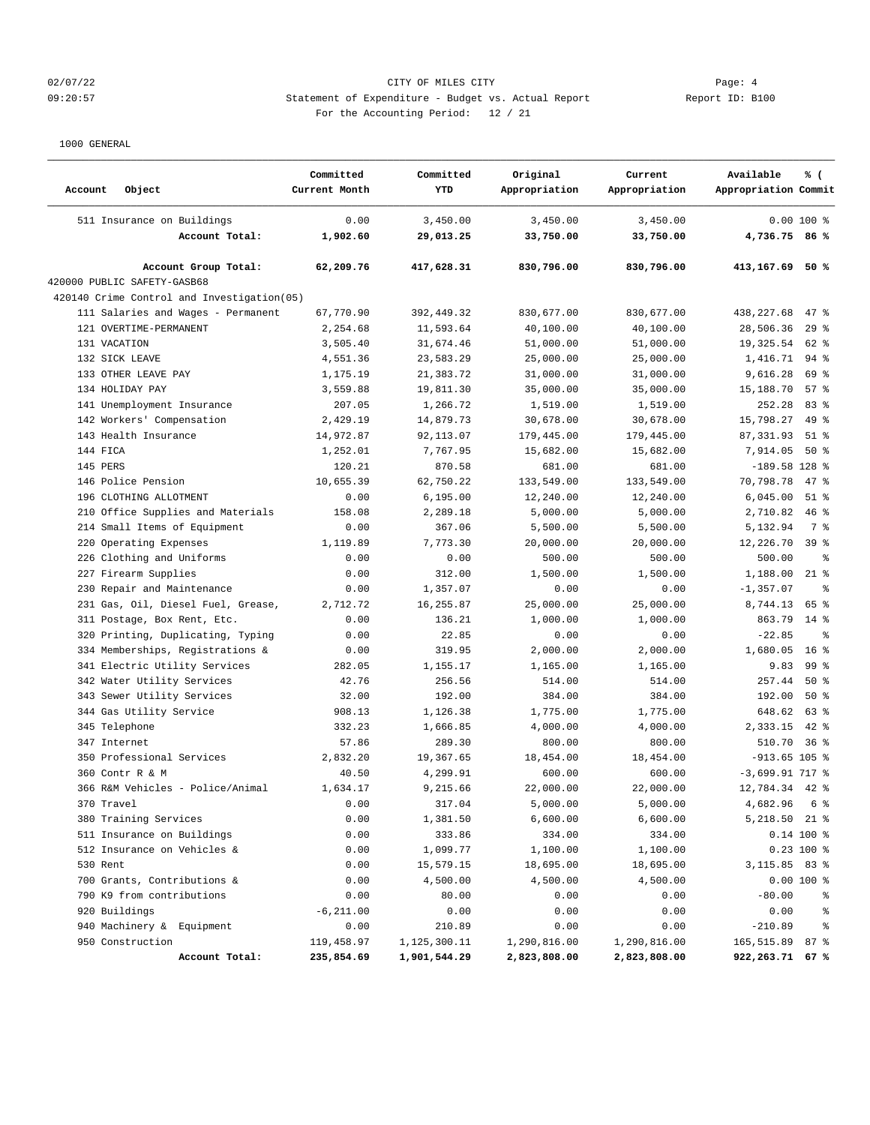## 02/07/22 Page: 4 CITY OF MILES CITY 09:20:57 Statement of Expenditure - Budget vs. Actual Report Report ID: B100 For the Accounting Period: 12 / 21

| Account      | Object                                      | Committed<br>Current Month | Committed<br>YTD | Original<br>Appropriation | Current<br>Appropriation | Available<br>Appropriation Commit | % (             |
|--------------|---------------------------------------------|----------------------------|------------------|---------------------------|--------------------------|-----------------------------------|-----------------|
|              | 511 Insurance on Buildings                  | 0.00                       | 3,450.00         | 3,450.00                  | 3,450.00                 |                                   | $0.00100$ %     |
|              | Account Total:                              | 1,902.60                   | 29,013.25        | 33,750.00                 | 33,750.00                | 4,736.75 86 %                     |                 |
|              | Account Group Total:                        | 62,209.76                  | 417,628.31       | 830,796.00                | 830,796.00               | 413,167.69 50 %                   |                 |
|              | 420000 PUBLIC SAFETY-GASB68                 |                            |                  |                           |                          |                                   |                 |
|              | 420140 Crime Control and Investigation (05) |                            |                  |                           |                          |                                   |                 |
|              | 111 Salaries and Wages - Permanent          | 67,770.90                  | 392,449.32       | 830,677.00                | 830,677.00               | 438,227.68                        | $47$ %          |
|              | 121 OVERTIME-PERMANENT                      | 2,254.68                   | 11,593.64        | 40,100.00                 | 40,100.00                | 28,506.36                         | 29%             |
| 131 VACATION |                                             | 3,505.40                   | 31,674.46        | 51,000.00                 | 51,000.00                | 19,325.54                         | 62 %            |
|              | 132 SICK LEAVE                              | 4,551.36                   | 23,583.29        | 25,000.00                 | 25,000.00                | 1,416.71                          | $94$ %          |
|              | 133 OTHER LEAVE PAY                         | 1,175.19                   | 21,383.72        | 31,000.00                 | 31,000.00                | 9,616.28                          | 69 %            |
|              | 134 HOLIDAY PAY                             | 3,559.88                   | 19,811.30        | 35,000.00                 | 35,000.00                | 15,188.70                         | 57%             |
|              | 141 Unemployment Insurance                  | 207.05                     | 1,266.72         | 1,519.00                  | 1,519.00                 | 252.28                            | 83%             |
|              | 142 Workers' Compensation                   | 2,429.19                   | 14,879.73        | 30,678.00                 | 30,678.00                | 15,798.27                         | $49*$           |
|              | 143 Health Insurance                        | 14,972.87                  | 92, 113.07       | 179,445.00                | 179,445.00               | 87, 331.93                        | $51$ %          |
| 144 FICA     |                                             | 1,252.01                   | 7,767.95         | 15,682.00                 | 15,682.00                | 7,914.05                          | $50*$           |
| 145 PERS     |                                             | 120.21                     | 870.58           | 681.00                    | 681.00                   | $-189.58$ 128 %                   |                 |
|              | 146 Police Pension                          | 10,655.39                  | 62,750.22        | 133,549.00                | 133,549.00               | 70,798.78                         | $47*$           |
|              | 196 CLOTHING ALLOTMENT                      | 0.00                       | 6, 195.00        | 12,240.00                 | 12,240.00                | 6,045.00                          | $51$ %          |
|              | 210 Office Supplies and Materials           | 158.08                     | 2,289.18         | 5,000.00                  | 5,000.00                 | 2,710.82                          | $46$ %          |
|              | 214 Small Items of Equipment                | 0.00                       | 367.06           | 5,500.00                  | 5,500.00                 | 5,132.94                          | 7 %             |
|              | 220 Operating Expenses                      | 1,119.89                   | 7,773.30         | 20,000.00                 | 20,000.00                | 12,226.70                         | 39 <sup>8</sup> |
|              | 226 Clothing and Uniforms                   | 0.00                       | 0.00             | 500.00                    | 500.00                   | 500.00                            | နွ              |
|              | 227 Firearm Supplies                        | 0.00                       | 312.00           | 1,500.00                  | 1,500.00                 | 1,188.00                          | $21$ %          |
|              | 230 Repair and Maintenance                  | 0.00                       | 1,357.07         | 0.00                      | 0.00                     | $-1, 357.07$                      | ి               |
|              | 231 Gas, Oil, Diesel Fuel, Grease,          | 2,712.72                   | 16, 255.87       | 25,000.00                 | 25,000.00                | 8,744.13                          | 65 %            |
|              | 311 Postage, Box Rent, Etc.                 | 0.00                       | 136.21           | 1,000.00                  | 1,000.00                 | 863.79                            | $14*$           |
|              | 320 Printing, Duplicating, Typing           | 0.00                       | 22.85            | 0.00                      | 0.00                     | $-22.85$                          | る               |
|              | 334 Memberships, Registrations &            | 0.00                       | 319.95           | 2,000.00                  | 2,000.00                 | 1,680.05                          | 16 <sup>8</sup> |
|              | 341 Electric Utility Services               | 282.05                     | 1,155.17         | 1,165.00                  | 1,165.00                 | 9.83                              | 99 <sup>8</sup> |
|              | 342 Water Utility Services                  | 42.76                      | 256.56           | 514.00                    | 514.00                   | 257.44                            | 50%             |
|              | 343 Sewer Utility Services                  | 32.00                      | 192.00           | 384.00                    | 384.00                   | 192.00                            | $50*$           |
|              | 344 Gas Utility Service                     | 908.13                     | 1,126.38         | 1,775.00                  | 1,775.00                 | 648.62                            | 63%             |
|              | 345 Telephone                               | 332.23                     | 1,666.85         | 4,000.00                  | 4,000.00                 | 2,333.15                          | $42$ %          |
| 347 Internet |                                             | 57.86                      | 289.30           | 800.00                    | 800.00                   | 510.70                            | 36%             |
|              | 350 Professional Services                   | 2,832.20                   | 19,367.65        | 18,454.00                 | 18,454.00                | $-913.65$ 105 %                   |                 |
|              | 360 Contr R & M                             | 40.50                      | 4,299.91         | 600.00                    | 600.00                   | $-3,699.9177$ %                   |                 |
|              | 366 R&M Vehicles - Police/Animal            | 1,634.17                   | 9,215.66         | 22,000.00                 | 22,000.00                | 12,784.34                         | $42$ %          |
| 370 Travel   |                                             | 0.00                       | 317.04           | 5,000.00                  | 5,000.00                 | 4,682.96                          | 6 %             |
|              | 380 Training Services                       | 0.00                       | 1,381.50         | 6,600.00                  | 6,600.00                 | 5,218.50 21 %                     |                 |
|              | 511 Insurance on Buildings                  | 0.00                       | 333.86           | 334.00                    | 334.00                   |                                   | 0.14 100 %      |
|              | 512 Insurance on Vehicles &                 | 0.00                       | 1,099.77         | 1,100.00                  | 1,100.00                 |                                   | 0.23 100 %      |
| 530 Rent     |                                             | 0.00                       | 15,579.15        | 18,695.00                 | 18,695.00                | 3, 115.85 83 %                    |                 |
|              | 700 Grants, Contributions &                 | 0.00                       | 4,500.00         | 4,500.00                  | 4,500.00                 |                                   | $0.00100$ %     |
|              | 790 K9 from contributions                   | 0.00                       | 80.00            | 0.00                      | 0.00                     | $-80.00$                          | $\frac{8}{6}$   |
|              | 920 Buildings                               | $-6, 211.00$               | 0.00             | 0.00                      | 0.00                     | 0.00                              | $\frac{6}{6}$   |
|              | 940 Machinery & Equipment                   | 0.00                       | 210.89           | 0.00                      | 0.00                     | $-210.89$                         | ್ಠಿ             |
|              | 950 Construction                            | 119,458.97                 | 1,125,300.11     | 1,290,816.00              | 1,290,816.00             | 165,515.89 87 %                   |                 |
|              | Account Total:                              | 235,854.69                 | 1,901,544.29     | 2,823,808.00              | 2,823,808.00             | 922,263.71 67 %                   |                 |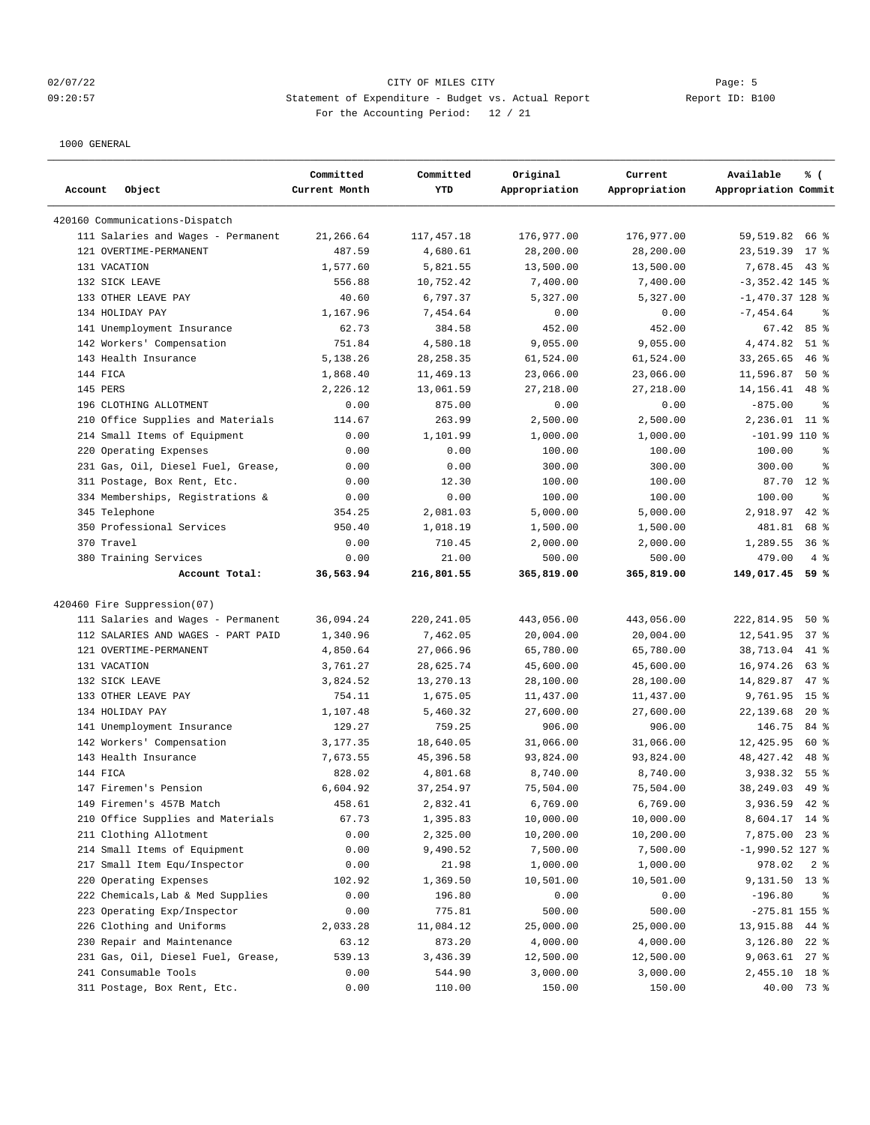## 02/07/22 Page: 5 Page: 5 Page: 5 Page: 5 Page: 5 Page: 5 Page: 5 09:20:57 Statement of Expenditure - Budget vs. Actual Report Changer Report ID: B100 For the Accounting Period: 12 / 21

| Account      | Object                                  | Committed<br>Current Month | Committed<br>YTD    | Original<br>Appropriation | Current<br>Appropriation | Available<br>% (<br>Appropriation Commit |
|--------------|-----------------------------------------|----------------------------|---------------------|---------------------------|--------------------------|------------------------------------------|
|              | 420160 Communications-Dispatch          |                            |                     |                           |                          |                                          |
|              | 111 Salaries and Wages - Permanent      | 21,266.64                  | 117, 457.18         | 176,977.00                | 176,977.00               | 59,519.82<br>66 %                        |
|              | 121 OVERTIME-PERMANENT                  | 487.59                     | 4,680.61            | 28,200.00                 | 28,200.00                | 23,519.39<br>$17*$                       |
| 131 VACATION |                                         | 1,577.60                   | 5,821.55            | 13,500.00                 | 13,500.00                | 7,678.45<br>$43$ %                       |
|              | 132 SICK LEAVE                          | 556.88                     | 10,752.42           | 7,400.00                  | 7,400.00                 | $-3,352.42$ 145 %                        |
|              | 133 OTHER LEAVE PAY                     | 40.60                      | 6,797.37            | 5,327.00                  | 5,327.00                 | $-1,470.37$ 128 %                        |
|              | 134 HOLIDAY PAY                         | 1,167.96                   | 7,454.64            | 0.00                      | 0.00                     | $-7, 454.64$<br>る                        |
|              | 141 Unemployment Insurance              | 62.73                      | 384.58              | 452.00                    | 452.00                   | 85%<br>67.42                             |
|              | 142 Workers' Compensation               | 751.84                     | 4,580.18            | 9,055.00                  | 9,055.00                 | 4,474.82<br>$51$ %                       |
|              | 143 Health Insurance                    | 5,138.26                   | 28, 258.35          | 61,524.00                 | 61,524.00                | 33, 265.65<br>$46$ %                     |
| 144 FICA     |                                         | 1,868.40                   | 11,469.13           | 23,066.00                 | 23,066.00                | 11,596.87<br>$50*$                       |
| 145 PERS     |                                         | 2,226.12                   | 13,061.59           | 27,218.00                 | 27,218.00                | 14, 156. 41<br>$48$ %                    |
|              | 196 CLOTHING ALLOTMENT                  | 0.00                       | 875.00              | 0.00                      | 0.00                     | $-875.00$<br>る                           |
|              | 210 Office Supplies and Materials       | 114.67                     | 263.99              | 2,500.00                  | 2,500.00                 | 2,236.01 11 %                            |
|              | 214 Small Items of Equipment            | 0.00                       | 1,101.99            | 1,000.00                  | 1,000.00                 | $-101.99$ 110 %                          |
|              | 220 Operating Expenses                  | 0.00                       | 0.00                | 100.00                    | 100.00                   | 100.00<br>る                              |
|              | 231 Gas, Oil, Diesel Fuel, Grease,      | 0.00                       | 0.00                | 300.00                    | 300.00                   | 300.00<br>る                              |
|              | 311 Postage, Box Rent, Etc.             | 0.00                       | 12.30               | 100.00                    | 100.00                   | $12*$<br>87.70                           |
|              | 334 Memberships, Registrations &        | 0.00                       | 0.00                | 100.00                    | 100.00                   | $\approx$<br>100.00                      |
|              |                                         | 354.25                     |                     |                           | 5,000.00                 | 2,918.97<br>$42$ %                       |
|              | 345 Telephone                           |                            | 2,081.03            | 5,000.00                  |                          |                                          |
| 370 Travel   | 350 Professional Services               | 950.40                     | 1,018.19            | 1,500.00                  | 1,500.00                 | 481.81<br>68 %                           |
|              |                                         | 0.00                       | 710.45              | 2,000.00<br>500.00        | 2,000.00                 | 36%<br>1,289.55<br>4%                    |
|              | 380 Training Services<br>Account Total: | 0.00<br>36,563.94          | 21.00<br>216,801.55 | 365,819.00                | 500.00<br>365,819.00     | 479.00<br>149,017.45 59 %                |
|              |                                         |                            |                     |                           |                          |                                          |
|              | 420460 Fire Suppression(07)             |                            |                     |                           |                          |                                          |
|              | 111 Salaries and Wages - Permanent      | 36,094.24                  | 220, 241.05         | 443,056.00                | 443,056.00               | 222,814.95<br>50%                        |
|              | 112 SALARIES AND WAGES - PART PAID      | 1,340.96                   | 7,462.05            | 20,004.00                 | 20,004.00                | 37%<br>12,541.95                         |
|              | 121 OVERTIME-PERMANENT                  | 4,850.64                   | 27,066.96           | 65,780.00                 | 65,780.00                | 38,713.04<br>$41$ %                      |
| 131 VACATION |                                         | 3,761.27                   | 28,625.74           | 45,600.00                 | 45,600.00                | 16,974.26<br>63 %                        |
|              | 132 SICK LEAVE                          | 3,824.52                   | 13,270.13           | 28,100.00                 | 28,100.00                | 47 %<br>14,829.87                        |
|              | 133 OTHER LEAVE PAY                     | 754.11                     | 1,675.05            | 11,437.00                 | 11,437.00                | 9,761.95<br>15 <sup>8</sup>              |
|              | 134 HOLIDAY PAY                         | 1,107.48                   | 5,460.32            | 27,600.00                 | 27,600.00                | 22,139.68<br>$20*$                       |
|              | 141 Unemployment Insurance              | 129.27                     | 759.25              | 906.00                    | 906.00                   | 146.75<br>84 %                           |
|              | 142 Workers' Compensation               | 3,177.35                   | 18,640.05           | 31,066.00                 | 31,066.00                | 12,425.95<br>60 %                        |
|              | 143 Health Insurance                    | 7,673.55                   | 45, 396.58          | 93,824.00                 | 93,824.00                | 48, 427. 42<br>48 %                      |
| 144 FICA     |                                         | 828.02                     | 4,801.68            | 8,740.00                  | 8,740.00                 | 55 <sup>8</sup><br>3,938.32              |
|              | 147 Firemen's Pension                   | 6,604.92                   | 37, 254.97          | 75,504.00                 | 75,504.00                | $49*$<br>38,249.03                       |
|              | 149 Firemen's 457B Match                | 458.61                     | 2,832.41            | 6,769.00                  | 6,769.00                 | 3,936.59<br>$42$ %                       |
|              | 210 Office Supplies and Materials       | 67.73                      | 1,395.83            | 10,000.00                 | 10,000.00                | 8,604.17 14 %                            |
|              | 211 Clothing Allotment                  | 0.00                       | 2,325.00            | 10,200.00                 | 10,200.00                | 7,875.00<br>$23$ $%$                     |
|              | 214 Small Items of Equipment            | 0.00                       | 9,490.52            | 7,500.00                  | 7,500.00                 | $-1,990.52$ 127 %                        |
|              | 217 Small Item Equ/Inspector            | 0.00                       | 21.98               | 1,000.00                  | 1,000.00                 | 978.02<br>2%                             |
|              | 220 Operating Expenses                  | 102.92                     | 1,369.50            | 10,501.00                 | 10,501.00                | 9,131.50<br>$13*$                        |
|              | 222 Chemicals, Lab & Med Supplies       | 0.00                       | 196.80              | 0.00                      | 0.00                     | $-196.80$<br>ႜၟ                          |
|              | 223 Operating Exp/Inspector             | 0.00                       | 775.81              | 500.00                    | 500.00                   | $-275.81$ 155 %                          |
|              | 226 Clothing and Uniforms               | 2,033.28                   | 11,084.12           | 25,000.00                 | 25,000.00                | 13,915.88 44 %                           |
|              | 230 Repair and Maintenance              | 63.12                      | 873.20              | 4,000.00                  | 4,000.00                 | 3,126.80<br>$22$ %                       |
|              | 231 Gas, Oil, Diesel Fuel, Grease,      | 539.13                     | 3,436.39            | 12,500.00                 | 12,500.00                | 9,063.61 27 %                            |
|              | 241 Consumable Tools                    | 0.00                       | 544.90              | 3,000.00                  | 3,000.00                 | 2,455.10 18 %                            |
|              | 311 Postage, Box Rent, Etc.             | 0.00                       | 110.00              | 150.00                    | 150.00                   | 40.00 73 %                               |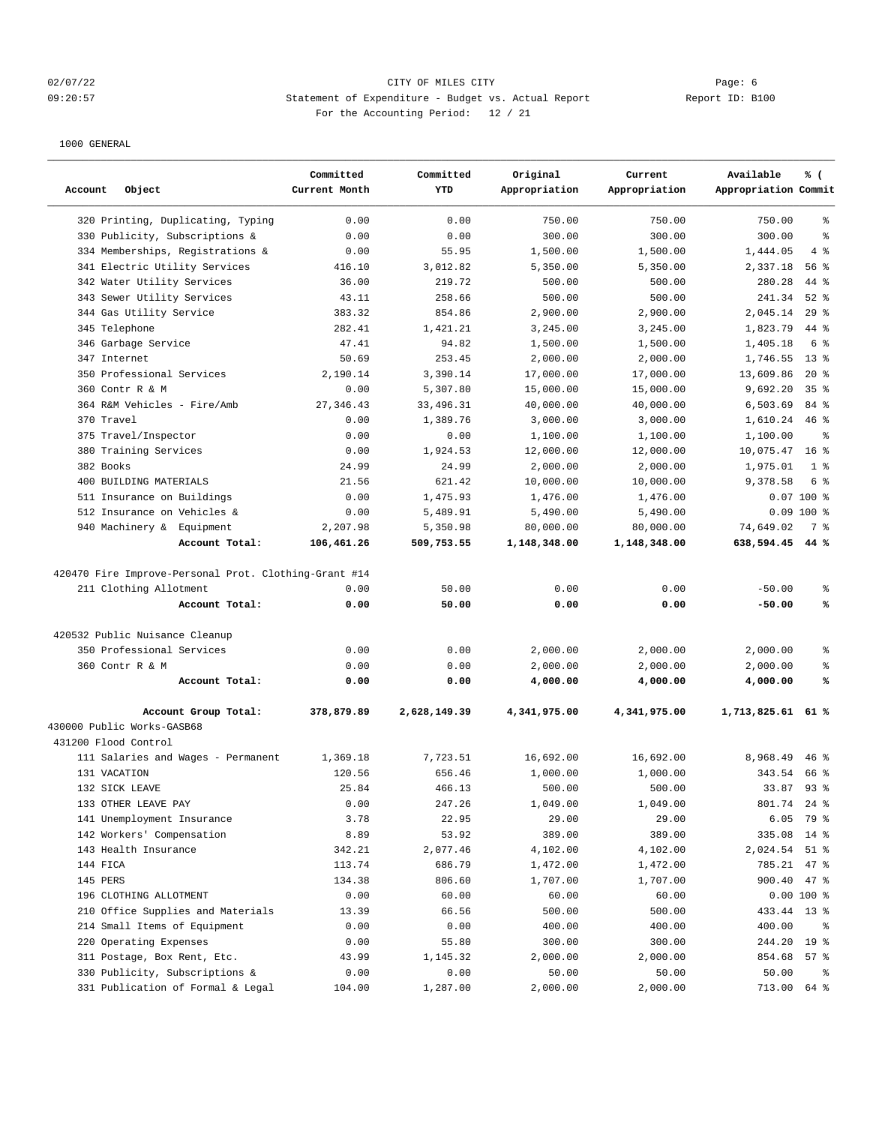## 02/07/22 Page: 6 CITY OF MILES CITY 09:20:57 Statement of Expenditure - Budget vs. Actual Report Changer Report ID: B100 For the Accounting Period: 12 / 21

| 320 Printing, Duplicating, Typing<br>0.00<br>0.00<br>750.00<br>750.00<br>750.00<br>နွ<br>330 Publicity, Subscriptions &<br>0.00<br>0.00<br>300.00<br>300.00<br>300.00<br>နွ<br>334 Memberships, Registrations &<br>55.95<br>4%<br>0.00<br>1,500.00<br>1,500.00<br>1,444.05<br>341 Electric Utility Services<br>416.10<br>3,012.82<br>5,350.00<br>5,350.00<br>2,337.18<br>56%<br>219.72<br>342 Water Utility Services<br>36.00<br>500.00<br>500.00<br>280.28<br>44 %<br>343 Sewer Utility Services<br>258.66<br>500.00<br>$52$ $%$<br>43.11<br>500.00<br>241.34<br>344 Gas Utility Service<br>383.32<br>854.86<br>2,900.00<br>2,900.00<br>2,045.14<br>29%<br>345 Telephone<br>282.41<br>44 %<br>1,421.21<br>3,245.00<br>3,245.00<br>1,823.79<br>346 Garbage Service<br>47.41<br>94.82<br>1,500.00<br>1,500.00<br>1,405.18<br>6 %<br>347 Internet<br>50.69<br>253.45<br>2,000.00<br>2,000.00<br>1,746.55<br>$13*$<br>17,000.00<br>20%<br>350 Professional Services<br>2,190.14<br>3,390.14<br>17,000.00<br>13,609.86<br>360 Contr R & M<br>0.00<br>5,307.80<br>15,000.00<br>15,000.00<br>9,692.20<br>35 <sup>8</sup><br>364 R&M Vehicles - Fire/Amb<br>27, 346.43<br>33, 496.31<br>40,000.00<br>84 %<br>40,000.00<br>6,503.69<br>370 Travel<br>0.00<br>1,389.76<br>3,000.00<br>3,000.00<br>1,610.24<br>46%<br>375 Travel/Inspector<br>0.00<br>0.00<br>1,100.00<br>1,100.00<br>1,100.00<br>နွ<br>12,000.00<br>12,000.00<br>380 Training Services<br>0.00<br>1,924.53<br>10,075.47<br>16 <sup>8</sup><br>382 Books<br>24.99<br>24.99<br>2,000.00<br>2,000.00<br>1,975.01<br>1 <sup>8</sup><br>400 BUILDING MATERIALS<br>621.42<br>10,000.00<br>6 %<br>21.56<br>10,000.00<br>9,378.58<br>511 Insurance on Buildings<br>0.00<br>1,475.93<br>1,476.00<br>1,476.00<br>$0.07100$ %<br>512 Insurance on Vehicles &<br>0.00<br>5,489.91<br>5,490.00<br>5,490.00<br>$0.09$ 100 %<br>940 Machinery & Equipment<br>2,207.98<br>5,350.98<br>80,000.00<br>80,000.00<br>74,649.02<br>7 %<br>Account Total:<br>106,461.26<br>1,148,348.00<br>1,148,348.00<br>638,594.45 44 %<br>509,753.55<br>420470 Fire Improve-Personal Prot. Clothing-Grant #14<br>211 Clothing Allotment<br>0.00<br>50.00<br>0.00<br>0.00<br>$-50.00$<br>ႜ<br>0.00<br>50.00<br>0.00<br>0.00<br>℁<br>Account Total:<br>$-50.00$<br>420532 Public Nuisance Cleanup<br>350 Professional Services<br>0.00<br>0.00<br>2,000.00<br>2,000.00<br>2,000.00<br>ႜ<br>360 Contr R & M<br>0.00<br>0.00<br>2,000.00<br>2,000.00<br>2,000.00<br>್ಠಿ<br>0.00<br>0.00<br>4,000.00<br>4,000.00<br>4,000.00<br>℁<br>Account Total:<br>Account Group Total:<br>378,879.89<br>2,628,149.39<br>4,341,975.00<br>4,341,975.00<br>1,713,825.61 61 %<br>430000 Public Works-GASB68<br>431200 Flood Control<br>111 Salaries and Wages - Permanent<br>7,723.51<br>16,692.00<br>16,692.00<br>8,968.49<br>$46$ %<br>1,369.18<br>656.46<br>131 VACATION<br>120.56<br>1,000.00<br>1,000.00<br>343.54<br>66 %<br>132 SICK LEAVE<br>25.84<br>466.13<br>33.87<br>$93$ $%$<br>500.00<br>500.00<br>133 OTHER LEAVE PAY<br>0.00<br>247.26<br>1,049.00<br>1,049.00<br>801.74<br>$24$ %<br>141 Unemployment Insurance<br>3.78<br>22.95<br>29.00<br>29.00<br>6.05<br>79 %<br>142 Workers' Compensation<br>8.89<br>53.92<br>389.00<br>389.00<br>335.08<br>$14$ %<br>143 Health Insurance<br>342.21<br>2,077.46<br>4,102.00<br>4,102.00<br>2,024.54<br>$51$ %<br>144 FICA<br>113.74<br>686.79<br>1,472.00<br>1,472.00<br>785.21<br>47 %<br>145 PERS<br>134.38<br>806.60<br>900.40 47 %<br>1,707.00<br>1,707.00<br>196 CLOTHING ALLOTMENT<br>0.00<br>60.00<br>$0.00100$ %<br>60.00<br>60.00<br>210 Office Supplies and Materials<br>13.39<br>66.56<br>500.00<br>500.00<br>433.44 13 %<br>214 Small Items of Equipment<br>0.00<br>0.00<br>400.00<br>400.00<br>400.00<br>ಿ<br>220 Operating Expenses<br>0.00<br>55.80<br>300.00<br>19 <sup>°</sup><br>300.00<br>244.20<br>43.99<br>1,145.32<br>2,000.00<br>2,000.00<br>854.68<br>311 Postage, Box Rent, Etc.<br>57%<br>330 Publicity, Subscriptions &<br>0.00<br>0.00<br>50.00<br>50.00<br>50.00<br>$\frac{6}{6}$ | Account<br>Object                 | Committed<br>Current Month | Committed<br>YTD | Original<br>Appropriation | Current<br>Appropriation | Available<br>% (<br>Appropriation Commit |
|------------------------------------------------------------------------------------------------------------------------------------------------------------------------------------------------------------------------------------------------------------------------------------------------------------------------------------------------------------------------------------------------------------------------------------------------------------------------------------------------------------------------------------------------------------------------------------------------------------------------------------------------------------------------------------------------------------------------------------------------------------------------------------------------------------------------------------------------------------------------------------------------------------------------------------------------------------------------------------------------------------------------------------------------------------------------------------------------------------------------------------------------------------------------------------------------------------------------------------------------------------------------------------------------------------------------------------------------------------------------------------------------------------------------------------------------------------------------------------------------------------------------------------------------------------------------------------------------------------------------------------------------------------------------------------------------------------------------------------------------------------------------------------------------------------------------------------------------------------------------------------------------------------------------------------------------------------------------------------------------------------------------------------------------------------------------------------------------------------------------------------------------------------------------------------------------------------------------------------------------------------------------------------------------------------------------------------------------------------------------------------------------------------------------------------------------------------------------------------------------------------------------------------------------------------------------------------------------------------------------------------------------------------------------------------------------------------------------------------------------------------------------------------------------------------------------------------------------------------------------------------------------------------------------------------------------------------------------------------------------------------------------------------------------------------------------------------------------------------------------------------------------------------------------------------------------------------------------------------------------------------------------------------------------------------------------------------------------------------------------------------------------------------------------------------------------------------------------------------------------------------------------------------------------------------------------------------------------------------------------------------------------------------------------------------------------------------------------------------------------------------------------------------------------------------------------------------------------------------------------------------------------------------------------------------------------------------------------------------------------------------------------------------------------------------------------|-----------------------------------|----------------------------|------------------|---------------------------|--------------------------|------------------------------------------|
|                                                                                                                                                                                                                                                                                                                                                                                                                                                                                                                                                                                                                                                                                                                                                                                                                                                                                                                                                                                                                                                                                                                                                                                                                                                                                                                                                                                                                                                                                                                                                                                                                                                                                                                                                                                                                                                                                                                                                                                                                                                                                                                                                                                                                                                                                                                                                                                                                                                                                                                                                                                                                                                                                                                                                                                                                                                                                                                                                                                                                                                                                                                                                                                                                                                                                                                                                                                                                                                                                                                                                                                                                                                                                                                                                                                                                                                                                                                                                                                                                                                                        |                                   |                            |                  |                           |                          |                                          |
|                                                                                                                                                                                                                                                                                                                                                                                                                                                                                                                                                                                                                                                                                                                                                                                                                                                                                                                                                                                                                                                                                                                                                                                                                                                                                                                                                                                                                                                                                                                                                                                                                                                                                                                                                                                                                                                                                                                                                                                                                                                                                                                                                                                                                                                                                                                                                                                                                                                                                                                                                                                                                                                                                                                                                                                                                                                                                                                                                                                                                                                                                                                                                                                                                                                                                                                                                                                                                                                                                                                                                                                                                                                                                                                                                                                                                                                                                                                                                                                                                                                                        |                                   |                            |                  |                           |                          |                                          |
|                                                                                                                                                                                                                                                                                                                                                                                                                                                                                                                                                                                                                                                                                                                                                                                                                                                                                                                                                                                                                                                                                                                                                                                                                                                                                                                                                                                                                                                                                                                                                                                                                                                                                                                                                                                                                                                                                                                                                                                                                                                                                                                                                                                                                                                                                                                                                                                                                                                                                                                                                                                                                                                                                                                                                                                                                                                                                                                                                                                                                                                                                                                                                                                                                                                                                                                                                                                                                                                                                                                                                                                                                                                                                                                                                                                                                                                                                                                                                                                                                                                                        |                                   |                            |                  |                           |                          |                                          |
|                                                                                                                                                                                                                                                                                                                                                                                                                                                                                                                                                                                                                                                                                                                                                                                                                                                                                                                                                                                                                                                                                                                                                                                                                                                                                                                                                                                                                                                                                                                                                                                                                                                                                                                                                                                                                                                                                                                                                                                                                                                                                                                                                                                                                                                                                                                                                                                                                                                                                                                                                                                                                                                                                                                                                                                                                                                                                                                                                                                                                                                                                                                                                                                                                                                                                                                                                                                                                                                                                                                                                                                                                                                                                                                                                                                                                                                                                                                                                                                                                                                                        |                                   |                            |                  |                           |                          |                                          |
|                                                                                                                                                                                                                                                                                                                                                                                                                                                                                                                                                                                                                                                                                                                                                                                                                                                                                                                                                                                                                                                                                                                                                                                                                                                                                                                                                                                                                                                                                                                                                                                                                                                                                                                                                                                                                                                                                                                                                                                                                                                                                                                                                                                                                                                                                                                                                                                                                                                                                                                                                                                                                                                                                                                                                                                                                                                                                                                                                                                                                                                                                                                                                                                                                                                                                                                                                                                                                                                                                                                                                                                                                                                                                                                                                                                                                                                                                                                                                                                                                                                                        |                                   |                            |                  |                           |                          |                                          |
|                                                                                                                                                                                                                                                                                                                                                                                                                                                                                                                                                                                                                                                                                                                                                                                                                                                                                                                                                                                                                                                                                                                                                                                                                                                                                                                                                                                                                                                                                                                                                                                                                                                                                                                                                                                                                                                                                                                                                                                                                                                                                                                                                                                                                                                                                                                                                                                                                                                                                                                                                                                                                                                                                                                                                                                                                                                                                                                                                                                                                                                                                                                                                                                                                                                                                                                                                                                                                                                                                                                                                                                                                                                                                                                                                                                                                                                                                                                                                                                                                                                                        |                                   |                            |                  |                           |                          |                                          |
|                                                                                                                                                                                                                                                                                                                                                                                                                                                                                                                                                                                                                                                                                                                                                                                                                                                                                                                                                                                                                                                                                                                                                                                                                                                                                                                                                                                                                                                                                                                                                                                                                                                                                                                                                                                                                                                                                                                                                                                                                                                                                                                                                                                                                                                                                                                                                                                                                                                                                                                                                                                                                                                                                                                                                                                                                                                                                                                                                                                                                                                                                                                                                                                                                                                                                                                                                                                                                                                                                                                                                                                                                                                                                                                                                                                                                                                                                                                                                                                                                                                                        |                                   |                            |                  |                           |                          |                                          |
|                                                                                                                                                                                                                                                                                                                                                                                                                                                                                                                                                                                                                                                                                                                                                                                                                                                                                                                                                                                                                                                                                                                                                                                                                                                                                                                                                                                                                                                                                                                                                                                                                                                                                                                                                                                                                                                                                                                                                                                                                                                                                                                                                                                                                                                                                                                                                                                                                                                                                                                                                                                                                                                                                                                                                                                                                                                                                                                                                                                                                                                                                                                                                                                                                                                                                                                                                                                                                                                                                                                                                                                                                                                                                                                                                                                                                                                                                                                                                                                                                                                                        |                                   |                            |                  |                           |                          |                                          |
|                                                                                                                                                                                                                                                                                                                                                                                                                                                                                                                                                                                                                                                                                                                                                                                                                                                                                                                                                                                                                                                                                                                                                                                                                                                                                                                                                                                                                                                                                                                                                                                                                                                                                                                                                                                                                                                                                                                                                                                                                                                                                                                                                                                                                                                                                                                                                                                                                                                                                                                                                                                                                                                                                                                                                                                                                                                                                                                                                                                                                                                                                                                                                                                                                                                                                                                                                                                                                                                                                                                                                                                                                                                                                                                                                                                                                                                                                                                                                                                                                                                                        |                                   |                            |                  |                           |                          |                                          |
|                                                                                                                                                                                                                                                                                                                                                                                                                                                                                                                                                                                                                                                                                                                                                                                                                                                                                                                                                                                                                                                                                                                                                                                                                                                                                                                                                                                                                                                                                                                                                                                                                                                                                                                                                                                                                                                                                                                                                                                                                                                                                                                                                                                                                                                                                                                                                                                                                                                                                                                                                                                                                                                                                                                                                                                                                                                                                                                                                                                                                                                                                                                                                                                                                                                                                                                                                                                                                                                                                                                                                                                                                                                                                                                                                                                                                                                                                                                                                                                                                                                                        |                                   |                            |                  |                           |                          |                                          |
|                                                                                                                                                                                                                                                                                                                                                                                                                                                                                                                                                                                                                                                                                                                                                                                                                                                                                                                                                                                                                                                                                                                                                                                                                                                                                                                                                                                                                                                                                                                                                                                                                                                                                                                                                                                                                                                                                                                                                                                                                                                                                                                                                                                                                                                                                                                                                                                                                                                                                                                                                                                                                                                                                                                                                                                                                                                                                                                                                                                                                                                                                                                                                                                                                                                                                                                                                                                                                                                                                                                                                                                                                                                                                                                                                                                                                                                                                                                                                                                                                                                                        |                                   |                            |                  |                           |                          |                                          |
|                                                                                                                                                                                                                                                                                                                                                                                                                                                                                                                                                                                                                                                                                                                                                                                                                                                                                                                                                                                                                                                                                                                                                                                                                                                                                                                                                                                                                                                                                                                                                                                                                                                                                                                                                                                                                                                                                                                                                                                                                                                                                                                                                                                                                                                                                                                                                                                                                                                                                                                                                                                                                                                                                                                                                                                                                                                                                                                                                                                                                                                                                                                                                                                                                                                                                                                                                                                                                                                                                                                                                                                                                                                                                                                                                                                                                                                                                                                                                                                                                                                                        |                                   |                            |                  |                           |                          |                                          |
|                                                                                                                                                                                                                                                                                                                                                                                                                                                                                                                                                                                                                                                                                                                                                                                                                                                                                                                                                                                                                                                                                                                                                                                                                                                                                                                                                                                                                                                                                                                                                                                                                                                                                                                                                                                                                                                                                                                                                                                                                                                                                                                                                                                                                                                                                                                                                                                                                                                                                                                                                                                                                                                                                                                                                                                                                                                                                                                                                                                                                                                                                                                                                                                                                                                                                                                                                                                                                                                                                                                                                                                                                                                                                                                                                                                                                                                                                                                                                                                                                                                                        |                                   |                            |                  |                           |                          |                                          |
|                                                                                                                                                                                                                                                                                                                                                                                                                                                                                                                                                                                                                                                                                                                                                                                                                                                                                                                                                                                                                                                                                                                                                                                                                                                                                                                                                                                                                                                                                                                                                                                                                                                                                                                                                                                                                                                                                                                                                                                                                                                                                                                                                                                                                                                                                                                                                                                                                                                                                                                                                                                                                                                                                                                                                                                                                                                                                                                                                                                                                                                                                                                                                                                                                                                                                                                                                                                                                                                                                                                                                                                                                                                                                                                                                                                                                                                                                                                                                                                                                                                                        |                                   |                            |                  |                           |                          |                                          |
|                                                                                                                                                                                                                                                                                                                                                                                                                                                                                                                                                                                                                                                                                                                                                                                                                                                                                                                                                                                                                                                                                                                                                                                                                                                                                                                                                                                                                                                                                                                                                                                                                                                                                                                                                                                                                                                                                                                                                                                                                                                                                                                                                                                                                                                                                                                                                                                                                                                                                                                                                                                                                                                                                                                                                                                                                                                                                                                                                                                                                                                                                                                                                                                                                                                                                                                                                                                                                                                                                                                                                                                                                                                                                                                                                                                                                                                                                                                                                                                                                                                                        |                                   |                            |                  |                           |                          |                                          |
|                                                                                                                                                                                                                                                                                                                                                                                                                                                                                                                                                                                                                                                                                                                                                                                                                                                                                                                                                                                                                                                                                                                                                                                                                                                                                                                                                                                                                                                                                                                                                                                                                                                                                                                                                                                                                                                                                                                                                                                                                                                                                                                                                                                                                                                                                                                                                                                                                                                                                                                                                                                                                                                                                                                                                                                                                                                                                                                                                                                                                                                                                                                                                                                                                                                                                                                                                                                                                                                                                                                                                                                                                                                                                                                                                                                                                                                                                                                                                                                                                                                                        |                                   |                            |                  |                           |                          |                                          |
|                                                                                                                                                                                                                                                                                                                                                                                                                                                                                                                                                                                                                                                                                                                                                                                                                                                                                                                                                                                                                                                                                                                                                                                                                                                                                                                                                                                                                                                                                                                                                                                                                                                                                                                                                                                                                                                                                                                                                                                                                                                                                                                                                                                                                                                                                                                                                                                                                                                                                                                                                                                                                                                                                                                                                                                                                                                                                                                                                                                                                                                                                                                                                                                                                                                                                                                                                                                                                                                                                                                                                                                                                                                                                                                                                                                                                                                                                                                                                                                                                                                                        |                                   |                            |                  |                           |                          |                                          |
|                                                                                                                                                                                                                                                                                                                                                                                                                                                                                                                                                                                                                                                                                                                                                                                                                                                                                                                                                                                                                                                                                                                                                                                                                                                                                                                                                                                                                                                                                                                                                                                                                                                                                                                                                                                                                                                                                                                                                                                                                                                                                                                                                                                                                                                                                                                                                                                                                                                                                                                                                                                                                                                                                                                                                                                                                                                                                                                                                                                                                                                                                                                                                                                                                                                                                                                                                                                                                                                                                                                                                                                                                                                                                                                                                                                                                                                                                                                                                                                                                                                                        |                                   |                            |                  |                           |                          |                                          |
|                                                                                                                                                                                                                                                                                                                                                                                                                                                                                                                                                                                                                                                                                                                                                                                                                                                                                                                                                                                                                                                                                                                                                                                                                                                                                                                                                                                                                                                                                                                                                                                                                                                                                                                                                                                                                                                                                                                                                                                                                                                                                                                                                                                                                                                                                                                                                                                                                                                                                                                                                                                                                                                                                                                                                                                                                                                                                                                                                                                                                                                                                                                                                                                                                                                                                                                                                                                                                                                                                                                                                                                                                                                                                                                                                                                                                                                                                                                                                                                                                                                                        |                                   |                            |                  |                           |                          |                                          |
|                                                                                                                                                                                                                                                                                                                                                                                                                                                                                                                                                                                                                                                                                                                                                                                                                                                                                                                                                                                                                                                                                                                                                                                                                                                                                                                                                                                                                                                                                                                                                                                                                                                                                                                                                                                                                                                                                                                                                                                                                                                                                                                                                                                                                                                                                                                                                                                                                                                                                                                                                                                                                                                                                                                                                                                                                                                                                                                                                                                                                                                                                                                                                                                                                                                                                                                                                                                                                                                                                                                                                                                                                                                                                                                                                                                                                                                                                                                                                                                                                                                                        |                                   |                            |                  |                           |                          |                                          |
|                                                                                                                                                                                                                                                                                                                                                                                                                                                                                                                                                                                                                                                                                                                                                                                                                                                                                                                                                                                                                                                                                                                                                                                                                                                                                                                                                                                                                                                                                                                                                                                                                                                                                                                                                                                                                                                                                                                                                                                                                                                                                                                                                                                                                                                                                                                                                                                                                                                                                                                                                                                                                                                                                                                                                                                                                                                                                                                                                                                                                                                                                                                                                                                                                                                                                                                                                                                                                                                                                                                                                                                                                                                                                                                                                                                                                                                                                                                                                                                                                                                                        |                                   |                            |                  |                           |                          |                                          |
|                                                                                                                                                                                                                                                                                                                                                                                                                                                                                                                                                                                                                                                                                                                                                                                                                                                                                                                                                                                                                                                                                                                                                                                                                                                                                                                                                                                                                                                                                                                                                                                                                                                                                                                                                                                                                                                                                                                                                                                                                                                                                                                                                                                                                                                                                                                                                                                                                                                                                                                                                                                                                                                                                                                                                                                                                                                                                                                                                                                                                                                                                                                                                                                                                                                                                                                                                                                                                                                                                                                                                                                                                                                                                                                                                                                                                                                                                                                                                                                                                                                                        |                                   |                            |                  |                           |                          |                                          |
|                                                                                                                                                                                                                                                                                                                                                                                                                                                                                                                                                                                                                                                                                                                                                                                                                                                                                                                                                                                                                                                                                                                                                                                                                                                                                                                                                                                                                                                                                                                                                                                                                                                                                                                                                                                                                                                                                                                                                                                                                                                                                                                                                                                                                                                                                                                                                                                                                                                                                                                                                                                                                                                                                                                                                                                                                                                                                                                                                                                                                                                                                                                                                                                                                                                                                                                                                                                                                                                                                                                                                                                                                                                                                                                                                                                                                                                                                                                                                                                                                                                                        |                                   |                            |                  |                           |                          |                                          |
|                                                                                                                                                                                                                                                                                                                                                                                                                                                                                                                                                                                                                                                                                                                                                                                                                                                                                                                                                                                                                                                                                                                                                                                                                                                                                                                                                                                                                                                                                                                                                                                                                                                                                                                                                                                                                                                                                                                                                                                                                                                                                                                                                                                                                                                                                                                                                                                                                                                                                                                                                                                                                                                                                                                                                                                                                                                                                                                                                                                                                                                                                                                                                                                                                                                                                                                                                                                                                                                                                                                                                                                                                                                                                                                                                                                                                                                                                                                                                                                                                                                                        |                                   |                            |                  |                           |                          |                                          |
|                                                                                                                                                                                                                                                                                                                                                                                                                                                                                                                                                                                                                                                                                                                                                                                                                                                                                                                                                                                                                                                                                                                                                                                                                                                                                                                                                                                                                                                                                                                                                                                                                                                                                                                                                                                                                                                                                                                                                                                                                                                                                                                                                                                                                                                                                                                                                                                                                                                                                                                                                                                                                                                                                                                                                                                                                                                                                                                                                                                                                                                                                                                                                                                                                                                                                                                                                                                                                                                                                                                                                                                                                                                                                                                                                                                                                                                                                                                                                                                                                                                                        |                                   |                            |                  |                           |                          |                                          |
|                                                                                                                                                                                                                                                                                                                                                                                                                                                                                                                                                                                                                                                                                                                                                                                                                                                                                                                                                                                                                                                                                                                                                                                                                                                                                                                                                                                                                                                                                                                                                                                                                                                                                                                                                                                                                                                                                                                                                                                                                                                                                                                                                                                                                                                                                                                                                                                                                                                                                                                                                                                                                                                                                                                                                                                                                                                                                                                                                                                                                                                                                                                                                                                                                                                                                                                                                                                                                                                                                                                                                                                                                                                                                                                                                                                                                                                                                                                                                                                                                                                                        |                                   |                            |                  |                           |                          |                                          |
|                                                                                                                                                                                                                                                                                                                                                                                                                                                                                                                                                                                                                                                                                                                                                                                                                                                                                                                                                                                                                                                                                                                                                                                                                                                                                                                                                                                                                                                                                                                                                                                                                                                                                                                                                                                                                                                                                                                                                                                                                                                                                                                                                                                                                                                                                                                                                                                                                                                                                                                                                                                                                                                                                                                                                                                                                                                                                                                                                                                                                                                                                                                                                                                                                                                                                                                                                                                                                                                                                                                                                                                                                                                                                                                                                                                                                                                                                                                                                                                                                                                                        |                                   |                            |                  |                           |                          |                                          |
|                                                                                                                                                                                                                                                                                                                                                                                                                                                                                                                                                                                                                                                                                                                                                                                                                                                                                                                                                                                                                                                                                                                                                                                                                                                                                                                                                                                                                                                                                                                                                                                                                                                                                                                                                                                                                                                                                                                                                                                                                                                                                                                                                                                                                                                                                                                                                                                                                                                                                                                                                                                                                                                                                                                                                                                                                                                                                                                                                                                                                                                                                                                                                                                                                                                                                                                                                                                                                                                                                                                                                                                                                                                                                                                                                                                                                                                                                                                                                                                                                                                                        |                                   |                            |                  |                           |                          |                                          |
|                                                                                                                                                                                                                                                                                                                                                                                                                                                                                                                                                                                                                                                                                                                                                                                                                                                                                                                                                                                                                                                                                                                                                                                                                                                                                                                                                                                                                                                                                                                                                                                                                                                                                                                                                                                                                                                                                                                                                                                                                                                                                                                                                                                                                                                                                                                                                                                                                                                                                                                                                                                                                                                                                                                                                                                                                                                                                                                                                                                                                                                                                                                                                                                                                                                                                                                                                                                                                                                                                                                                                                                                                                                                                                                                                                                                                                                                                                                                                                                                                                                                        |                                   |                            |                  |                           |                          |                                          |
|                                                                                                                                                                                                                                                                                                                                                                                                                                                                                                                                                                                                                                                                                                                                                                                                                                                                                                                                                                                                                                                                                                                                                                                                                                                                                                                                                                                                                                                                                                                                                                                                                                                                                                                                                                                                                                                                                                                                                                                                                                                                                                                                                                                                                                                                                                                                                                                                                                                                                                                                                                                                                                                                                                                                                                                                                                                                                                                                                                                                                                                                                                                                                                                                                                                                                                                                                                                                                                                                                                                                                                                                                                                                                                                                                                                                                                                                                                                                                                                                                                                                        |                                   |                            |                  |                           |                          |                                          |
|                                                                                                                                                                                                                                                                                                                                                                                                                                                                                                                                                                                                                                                                                                                                                                                                                                                                                                                                                                                                                                                                                                                                                                                                                                                                                                                                                                                                                                                                                                                                                                                                                                                                                                                                                                                                                                                                                                                                                                                                                                                                                                                                                                                                                                                                                                                                                                                                                                                                                                                                                                                                                                                                                                                                                                                                                                                                                                                                                                                                                                                                                                                                                                                                                                                                                                                                                                                                                                                                                                                                                                                                                                                                                                                                                                                                                                                                                                                                                                                                                                                                        |                                   |                            |                  |                           |                          |                                          |
|                                                                                                                                                                                                                                                                                                                                                                                                                                                                                                                                                                                                                                                                                                                                                                                                                                                                                                                                                                                                                                                                                                                                                                                                                                                                                                                                                                                                                                                                                                                                                                                                                                                                                                                                                                                                                                                                                                                                                                                                                                                                                                                                                                                                                                                                                                                                                                                                                                                                                                                                                                                                                                                                                                                                                                                                                                                                                                                                                                                                                                                                                                                                                                                                                                                                                                                                                                                                                                                                                                                                                                                                                                                                                                                                                                                                                                                                                                                                                                                                                                                                        |                                   |                            |                  |                           |                          |                                          |
|                                                                                                                                                                                                                                                                                                                                                                                                                                                                                                                                                                                                                                                                                                                                                                                                                                                                                                                                                                                                                                                                                                                                                                                                                                                                                                                                                                                                                                                                                                                                                                                                                                                                                                                                                                                                                                                                                                                                                                                                                                                                                                                                                                                                                                                                                                                                                                                                                                                                                                                                                                                                                                                                                                                                                                                                                                                                                                                                                                                                                                                                                                                                                                                                                                                                                                                                                                                                                                                                                                                                                                                                                                                                                                                                                                                                                                                                                                                                                                                                                                                                        |                                   |                            |                  |                           |                          |                                          |
|                                                                                                                                                                                                                                                                                                                                                                                                                                                                                                                                                                                                                                                                                                                                                                                                                                                                                                                                                                                                                                                                                                                                                                                                                                                                                                                                                                                                                                                                                                                                                                                                                                                                                                                                                                                                                                                                                                                                                                                                                                                                                                                                                                                                                                                                                                                                                                                                                                                                                                                                                                                                                                                                                                                                                                                                                                                                                                                                                                                                                                                                                                                                                                                                                                                                                                                                                                                                                                                                                                                                                                                                                                                                                                                                                                                                                                                                                                                                                                                                                                                                        |                                   |                            |                  |                           |                          |                                          |
|                                                                                                                                                                                                                                                                                                                                                                                                                                                                                                                                                                                                                                                                                                                                                                                                                                                                                                                                                                                                                                                                                                                                                                                                                                                                                                                                                                                                                                                                                                                                                                                                                                                                                                                                                                                                                                                                                                                                                                                                                                                                                                                                                                                                                                                                                                                                                                                                                                                                                                                                                                                                                                                                                                                                                                                                                                                                                                                                                                                                                                                                                                                                                                                                                                                                                                                                                                                                                                                                                                                                                                                                                                                                                                                                                                                                                                                                                                                                                                                                                                                                        |                                   |                            |                  |                           |                          |                                          |
|                                                                                                                                                                                                                                                                                                                                                                                                                                                                                                                                                                                                                                                                                                                                                                                                                                                                                                                                                                                                                                                                                                                                                                                                                                                                                                                                                                                                                                                                                                                                                                                                                                                                                                                                                                                                                                                                                                                                                                                                                                                                                                                                                                                                                                                                                                                                                                                                                                                                                                                                                                                                                                                                                                                                                                                                                                                                                                                                                                                                                                                                                                                                                                                                                                                                                                                                                                                                                                                                                                                                                                                                                                                                                                                                                                                                                                                                                                                                                                                                                                                                        |                                   |                            |                  |                           |                          |                                          |
|                                                                                                                                                                                                                                                                                                                                                                                                                                                                                                                                                                                                                                                                                                                                                                                                                                                                                                                                                                                                                                                                                                                                                                                                                                                                                                                                                                                                                                                                                                                                                                                                                                                                                                                                                                                                                                                                                                                                                                                                                                                                                                                                                                                                                                                                                                                                                                                                                                                                                                                                                                                                                                                                                                                                                                                                                                                                                                                                                                                                                                                                                                                                                                                                                                                                                                                                                                                                                                                                                                                                                                                                                                                                                                                                                                                                                                                                                                                                                                                                                                                                        |                                   |                            |                  |                           |                          |                                          |
|                                                                                                                                                                                                                                                                                                                                                                                                                                                                                                                                                                                                                                                                                                                                                                                                                                                                                                                                                                                                                                                                                                                                                                                                                                                                                                                                                                                                                                                                                                                                                                                                                                                                                                                                                                                                                                                                                                                                                                                                                                                                                                                                                                                                                                                                                                                                                                                                                                                                                                                                                                                                                                                                                                                                                                                                                                                                                                                                                                                                                                                                                                                                                                                                                                                                                                                                                                                                                                                                                                                                                                                                                                                                                                                                                                                                                                                                                                                                                                                                                                                                        |                                   |                            |                  |                           |                          |                                          |
|                                                                                                                                                                                                                                                                                                                                                                                                                                                                                                                                                                                                                                                                                                                                                                                                                                                                                                                                                                                                                                                                                                                                                                                                                                                                                                                                                                                                                                                                                                                                                                                                                                                                                                                                                                                                                                                                                                                                                                                                                                                                                                                                                                                                                                                                                                                                                                                                                                                                                                                                                                                                                                                                                                                                                                                                                                                                                                                                                                                                                                                                                                                                                                                                                                                                                                                                                                                                                                                                                                                                                                                                                                                                                                                                                                                                                                                                                                                                                                                                                                                                        |                                   |                            |                  |                           |                          |                                          |
|                                                                                                                                                                                                                                                                                                                                                                                                                                                                                                                                                                                                                                                                                                                                                                                                                                                                                                                                                                                                                                                                                                                                                                                                                                                                                                                                                                                                                                                                                                                                                                                                                                                                                                                                                                                                                                                                                                                                                                                                                                                                                                                                                                                                                                                                                                                                                                                                                                                                                                                                                                                                                                                                                                                                                                                                                                                                                                                                                                                                                                                                                                                                                                                                                                                                                                                                                                                                                                                                                                                                                                                                                                                                                                                                                                                                                                                                                                                                                                                                                                                                        |                                   |                            |                  |                           |                          |                                          |
|                                                                                                                                                                                                                                                                                                                                                                                                                                                                                                                                                                                                                                                                                                                                                                                                                                                                                                                                                                                                                                                                                                                                                                                                                                                                                                                                                                                                                                                                                                                                                                                                                                                                                                                                                                                                                                                                                                                                                                                                                                                                                                                                                                                                                                                                                                                                                                                                                                                                                                                                                                                                                                                                                                                                                                                                                                                                                                                                                                                                                                                                                                                                                                                                                                                                                                                                                                                                                                                                                                                                                                                                                                                                                                                                                                                                                                                                                                                                                                                                                                                                        |                                   |                            |                  |                           |                          |                                          |
|                                                                                                                                                                                                                                                                                                                                                                                                                                                                                                                                                                                                                                                                                                                                                                                                                                                                                                                                                                                                                                                                                                                                                                                                                                                                                                                                                                                                                                                                                                                                                                                                                                                                                                                                                                                                                                                                                                                                                                                                                                                                                                                                                                                                                                                                                                                                                                                                                                                                                                                                                                                                                                                                                                                                                                                                                                                                                                                                                                                                                                                                                                                                                                                                                                                                                                                                                                                                                                                                                                                                                                                                                                                                                                                                                                                                                                                                                                                                                                                                                                                                        |                                   |                            |                  |                           |                          |                                          |
|                                                                                                                                                                                                                                                                                                                                                                                                                                                                                                                                                                                                                                                                                                                                                                                                                                                                                                                                                                                                                                                                                                                                                                                                                                                                                                                                                                                                                                                                                                                                                                                                                                                                                                                                                                                                                                                                                                                                                                                                                                                                                                                                                                                                                                                                                                                                                                                                                                                                                                                                                                                                                                                                                                                                                                                                                                                                                                                                                                                                                                                                                                                                                                                                                                                                                                                                                                                                                                                                                                                                                                                                                                                                                                                                                                                                                                                                                                                                                                                                                                                                        |                                   |                            |                  |                           |                          |                                          |
|                                                                                                                                                                                                                                                                                                                                                                                                                                                                                                                                                                                                                                                                                                                                                                                                                                                                                                                                                                                                                                                                                                                                                                                                                                                                                                                                                                                                                                                                                                                                                                                                                                                                                                                                                                                                                                                                                                                                                                                                                                                                                                                                                                                                                                                                                                                                                                                                                                                                                                                                                                                                                                                                                                                                                                                                                                                                                                                                                                                                                                                                                                                                                                                                                                                                                                                                                                                                                                                                                                                                                                                                                                                                                                                                                                                                                                                                                                                                                                                                                                                                        |                                   |                            |                  |                           |                          |                                          |
|                                                                                                                                                                                                                                                                                                                                                                                                                                                                                                                                                                                                                                                                                                                                                                                                                                                                                                                                                                                                                                                                                                                                                                                                                                                                                                                                                                                                                                                                                                                                                                                                                                                                                                                                                                                                                                                                                                                                                                                                                                                                                                                                                                                                                                                                                                                                                                                                                                                                                                                                                                                                                                                                                                                                                                                                                                                                                                                                                                                                                                                                                                                                                                                                                                                                                                                                                                                                                                                                                                                                                                                                                                                                                                                                                                                                                                                                                                                                                                                                                                                                        |                                   |                            |                  |                           |                          |                                          |
|                                                                                                                                                                                                                                                                                                                                                                                                                                                                                                                                                                                                                                                                                                                                                                                                                                                                                                                                                                                                                                                                                                                                                                                                                                                                                                                                                                                                                                                                                                                                                                                                                                                                                                                                                                                                                                                                                                                                                                                                                                                                                                                                                                                                                                                                                                                                                                                                                                                                                                                                                                                                                                                                                                                                                                                                                                                                                                                                                                                                                                                                                                                                                                                                                                                                                                                                                                                                                                                                                                                                                                                                                                                                                                                                                                                                                                                                                                                                                                                                                                                                        |                                   |                            |                  |                           |                          |                                          |
|                                                                                                                                                                                                                                                                                                                                                                                                                                                                                                                                                                                                                                                                                                                                                                                                                                                                                                                                                                                                                                                                                                                                                                                                                                                                                                                                                                                                                                                                                                                                                                                                                                                                                                                                                                                                                                                                                                                                                                                                                                                                                                                                                                                                                                                                                                                                                                                                                                                                                                                                                                                                                                                                                                                                                                                                                                                                                                                                                                                                                                                                                                                                                                                                                                                                                                                                                                                                                                                                                                                                                                                                                                                                                                                                                                                                                                                                                                                                                                                                                                                                        |                                   |                            |                  |                           |                          |                                          |
|                                                                                                                                                                                                                                                                                                                                                                                                                                                                                                                                                                                                                                                                                                                                                                                                                                                                                                                                                                                                                                                                                                                                                                                                                                                                                                                                                                                                                                                                                                                                                                                                                                                                                                                                                                                                                                                                                                                                                                                                                                                                                                                                                                                                                                                                                                                                                                                                                                                                                                                                                                                                                                                                                                                                                                                                                                                                                                                                                                                                                                                                                                                                                                                                                                                                                                                                                                                                                                                                                                                                                                                                                                                                                                                                                                                                                                                                                                                                                                                                                                                                        |                                   |                            |                  |                           |                          |                                          |
|                                                                                                                                                                                                                                                                                                                                                                                                                                                                                                                                                                                                                                                                                                                                                                                                                                                                                                                                                                                                                                                                                                                                                                                                                                                                                                                                                                                                                                                                                                                                                                                                                                                                                                                                                                                                                                                                                                                                                                                                                                                                                                                                                                                                                                                                                                                                                                                                                                                                                                                                                                                                                                                                                                                                                                                                                                                                                                                                                                                                                                                                                                                                                                                                                                                                                                                                                                                                                                                                                                                                                                                                                                                                                                                                                                                                                                                                                                                                                                                                                                                                        | 331 Publication of Formal & Legal | 104.00                     | 1,287.00         | 2,000.00                  | 2,000.00                 | 713.00 64 %                              |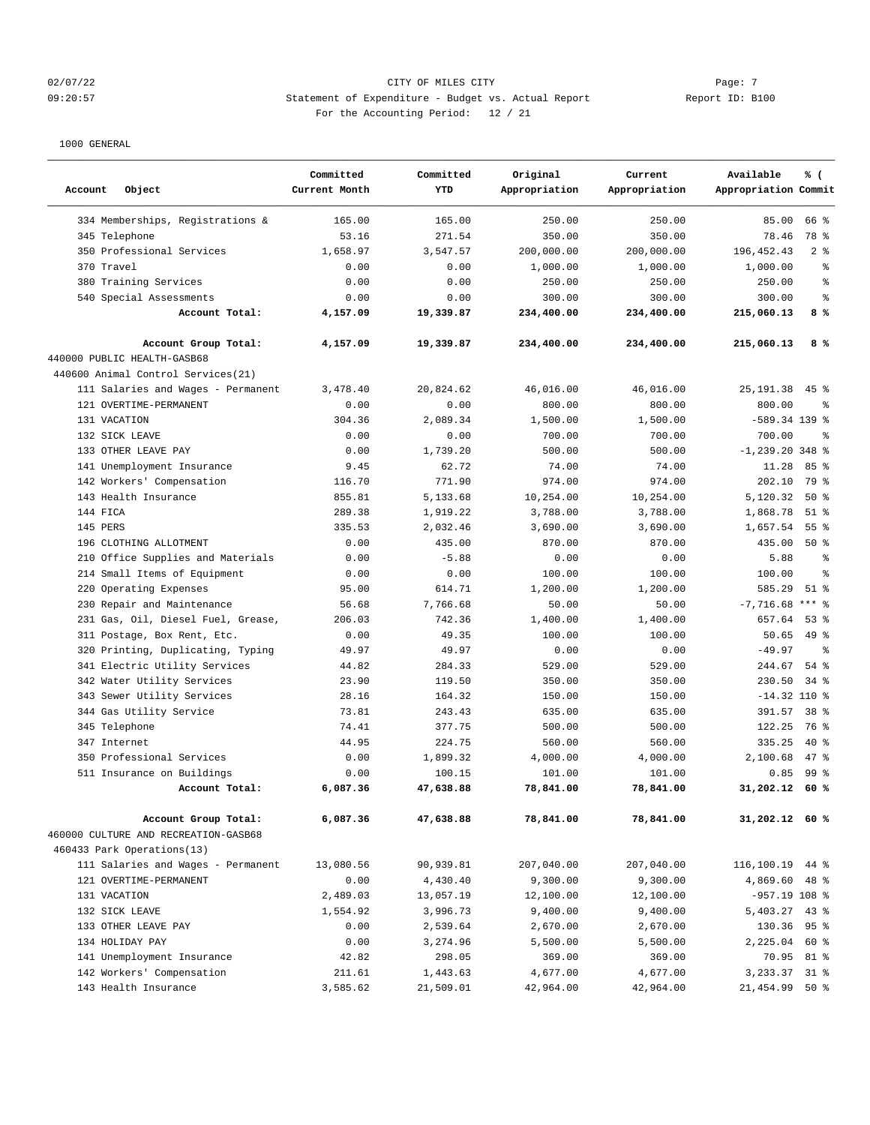## $O2/07/22$  Page: 7 09:20:57 Statement of Expenditure - Budget vs. Actual Report Changer Report ID: B100 For the Accounting Period: 12 / 21

| Object<br>Account                                                  | Committed<br>Current Month | Committed<br><b>YTD</b> | Original<br>Appropriation | Current<br>Appropriation | Available<br>% (<br>Appropriation Commit |
|--------------------------------------------------------------------|----------------------------|-------------------------|---------------------------|--------------------------|------------------------------------------|
| 334 Memberships, Registrations &                                   | 165.00                     | 165.00                  | 250.00                    | 250.00                   | 85.00<br>66 %                            |
| 345 Telephone                                                      | 53.16                      | 271.54                  | 350.00                    | 350.00                   | 78 %<br>78.46                            |
| 350 Professional Services                                          | 1,658.97                   | 3,547.57                | 200,000.00                | 200,000.00               | 196, 452.43<br>2 <sup>8</sup>            |
| 370 Travel                                                         | 0.00                       | 0.00                    | 1,000.00                  | 1,000.00                 | 1,000.00<br>$\approx$                    |
| 380 Training Services                                              | 0.00                       | 0.00                    | 250.00                    | 250.00                   | 250.00<br>る                              |
| 540 Special Assessments                                            | 0.00                       | 0.00                    | 300.00                    | 300.00                   | 300.00<br>နွ                             |
| Account Total:                                                     | 4,157.09                   | 19,339.87               | 234,400.00                | 234,400.00               | 8%<br>215,060.13                         |
| Account Group Total:                                               | 4,157.09                   | 19,339.87               | 234,400.00                | 234,400.00               | 8%<br>215,060.13                         |
| 440000 PUBLIC HEALTH-GASB68                                        |                            |                         |                           |                          |                                          |
| 440600 Animal Control Services (21)                                |                            |                         |                           |                          |                                          |
| 111 Salaries and Wages - Permanent                                 | 3,478.40                   | 20,824.62               | 46,016.00                 | 46,016.00                | $45$ $%$<br>25, 191.38                   |
| 121 OVERTIME-PERMANENT                                             | 0.00                       | 0.00                    | 800.00                    | 800.00                   | 800.00<br>昙                              |
| 131 VACATION                                                       | 304.36                     | 2,089.34                | 1,500.00                  | 1,500.00                 | $-589.34$ 139 %                          |
| 132 SICK LEAVE                                                     | 0.00                       | 0.00                    | 700.00                    | 700.00                   | 700.00<br>$\approx$                      |
| 133 OTHER LEAVE PAY                                                | 0.00                       | 1,739.20                | 500.00                    | 500.00                   | $-1, 239.20$ 348 %                       |
| 141 Unemployment Insurance                                         | 9.45                       | 62.72                   | 74.00                     | 74.00                    | 11.28<br>85%                             |
| 142 Workers' Compensation                                          | 116.70                     | 771.90                  | 974.00                    | 974.00                   | 79 %<br>202.10                           |
| 143 Health Insurance                                               | 855.81                     | 5,133.68                | 10,254.00                 | 10,254.00                | 5,120.32<br>$50*$                        |
| 144 FICA                                                           | 289.38                     | 1,919.22                | 3,788.00                  | 3,788.00                 | 1,868.78<br>$51$ %                       |
| 145 PERS                                                           | 335.53                     | 2,032.46                | 3,690.00                  | 3,690.00                 | 1,657.54<br>55%                          |
| 196 CLOTHING ALLOTMENT                                             | 0.00                       | 435.00                  | 870.00                    | 870.00                   | 435.00<br>$50*$                          |
| 210 Office Supplies and Materials                                  | 0.00                       | $-5.88$                 | 0.00                      | 0.00                     | 5.88<br>န္                               |
| 214 Small Items of Equipment                                       | 0.00                       | 0.00                    | 100.00                    | 100.00                   | 100.00<br>$\approx$                      |
| 220 Operating Expenses                                             | 95.00                      | 614.71                  | 1,200.00                  | 1,200.00                 | 585.29<br>51 %                           |
| 230 Repair and Maintenance                                         | 56.68                      | 7,766.68                | 50.00                     | 50.00                    | $-7,716.68$ *** %                        |
| 231 Gas, Oil, Diesel Fuel, Grease,                                 | 206.03                     | 742.36                  | 1,400.00                  | 1,400.00                 | 657.64<br>$53$ $\frac{6}{3}$             |
| 311 Postage, Box Rent, Etc.                                        | 0.00                       | 49.35                   | 100.00                    | 100.00                   | 49 %<br>50.65                            |
| 320 Printing, Duplicating, Typing                                  | 49.97                      | 49.97                   | 0.00                      | 0.00                     | $-49.97$<br>$\approx$                    |
| 341 Electric Utility Services                                      | 44.82                      | 284.33                  | 529.00                    | 529.00                   | 244.67<br>$54$ $%$                       |
| 342 Water Utility Services                                         | 23.90                      | 119.50                  | 350.00                    | 350.00                   | 230.50<br>34 %                           |
| 343 Sewer Utility Services                                         | 28.16                      | 164.32                  | 150.00                    | 150.00                   | $-14.32$ 110 %                           |
| 344 Gas Utility Service                                            | 73.81                      | 243.43                  | 635.00                    | 635.00                   | 391.57<br>38 <sup>8</sup>                |
| 345 Telephone                                                      | 74.41                      | 377.75                  | 500.00                    | 500.00                   | 122.25<br>76 %                           |
| 347 Internet                                                       | 44.95                      | 224.75                  | 560.00                    | 560.00                   | $40*$<br>335.25                          |
| 350 Professional Services                                          | 0.00                       | 1,899.32                | 4,000.00                  | 4,000.00                 | 2.100.68<br>$47$ %                       |
| 511 Insurance on Buildings                                         | 0.00                       | 100.15                  | 101.00                    | 101.00                   | 99 <sup>8</sup><br>0.85                  |
| Account Total:                                                     | 6,087.36                   | 47,638.88               | 78,841.00                 | 78,841.00                | 31,202.12<br>60 %                        |
| Account Group Total:                                               | 6,087.36                   | 47,638.88               | 78,841.00                 | 78,841.00                | $31,202.12$ 60 %                         |
| 460000 CULTURE AND RECREATION-GASB68<br>460433 Park Operations(13) |                            |                         |                           |                          |                                          |
| 111 Salaries and Wages - Permanent                                 | 13,080.56                  | 90,939.81               | 207,040.00                | 207,040.00               | 116,100.19<br>44 %                       |
| 121 OVERTIME-PERMANENT                                             | 0.00                       | 4,430.40                | 9,300.00                  | 9,300.00                 | 4,869.60 48 %                            |
| 131 VACATION                                                       | 2,489.03                   | 13,057.19               | 12,100.00                 | 12,100.00                | $-957.19$ 108 %                          |
| 132 SICK LEAVE                                                     | 1,554.92                   | 3,996.73                | 9,400.00                  | 9,400.00                 | 5,403.27 43 %                            |
| 133 OTHER LEAVE PAY                                                | 0.00                       | 2,539.64                | 2,670.00                  | 2,670.00                 | 130.36 95 %                              |
| 134 HOLIDAY PAY                                                    | 0.00                       | 3,274.96                | 5,500.00                  | 5,500.00                 | $60*$<br>2,225.04                        |
| 141 Unemployment Insurance                                         | 42.82                      | 298.05                  | 369.00                    | 369.00                   | 70.95 81 %                               |
| 142 Workers' Compensation                                          | 211.61                     | 1,443.63                | 4,677.00                  | 4,677.00                 | 3, 233.37 31 %                           |
| 143 Health Insurance                                               | 3,585.62                   | 21,509.01               | 42,964.00                 | 42,964.00                | 21,454.99 50 %                           |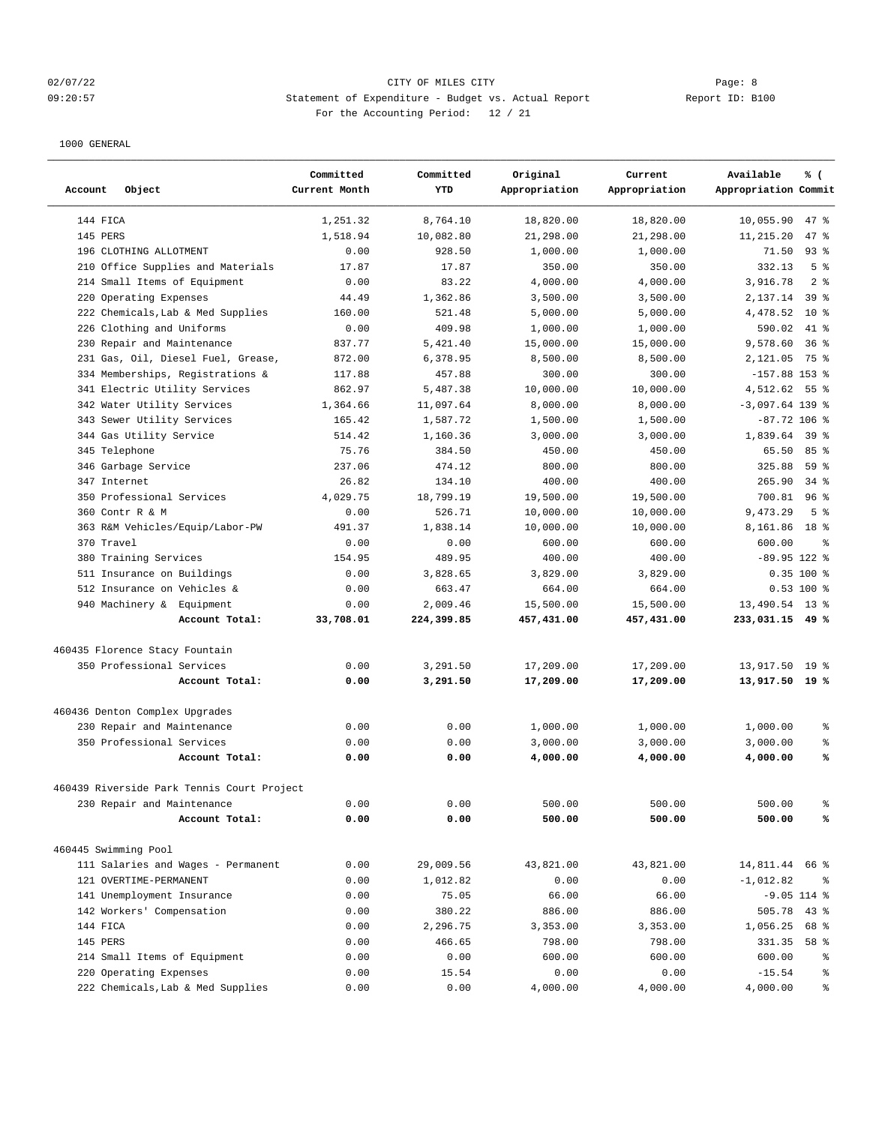## 02/07/22 Page: 8 CITY OF MILES CITY 09:20:57 Statement of Expenditure - Budget vs. Actual Report Changer Report ID: B100 For the Accounting Period: 12 / 21

| Account<br>Object                           | Committed<br>Current Month | Committed<br><b>YTD</b> | Original<br>Appropriation | Current<br>Appropriation | Available<br>% (<br>Appropriation Commit |
|---------------------------------------------|----------------------------|-------------------------|---------------------------|--------------------------|------------------------------------------|
| 144 FICA                                    | 1,251.32                   | 8,764.10                | 18,820.00                 | 18,820.00                | 10,055.90<br>47 %                        |
| 145 PERS                                    | 1,518.94                   | 10,082.80               | 21,298.00                 | 21,298.00                | 47 %<br>11,215.20                        |
| 196 CLOTHING ALLOTMENT                      | 0.00                       | 928.50                  | 1,000.00                  | 1,000.00                 | $93$ $%$<br>71.50                        |
| 210 Office Supplies and Materials           | 17.87                      | 17.87                   | 350.00                    | 350.00                   | 332.13<br>5 <sup>8</sup>                 |
| 214 Small Items of Equipment                | 0.00                       | 83.22                   | 4,000.00                  | 4,000.00                 | 3,916.78<br>2 <sup>8</sup>               |
| 220 Operating Expenses                      | 44.49                      | 1,362.86                | 3,500.00                  | 3,500.00                 | 2,137.14<br>39 %                         |
| 222 Chemicals, Lab & Med Supplies           | 160.00                     | 521.48                  | 5,000.00                  | 5,000.00                 | 4,478.52<br>$10*$                        |
| 226 Clothing and Uniforms                   | 0.00                       | 409.98                  | 1,000.00                  | 1,000.00                 | 590.02<br>41 %                           |
| 230 Repair and Maintenance                  | 837.77                     | 5,421.40                | 15,000.00                 | 15,000.00                | 9,578.60<br>36%                          |
| Gas, Oil, Diesel Fuel, Grease,<br>231       | 872.00                     | 6,378.95                | 8,500.00                  | 8,500.00                 | 2,121.05<br>75 %                         |
| 334 Memberships, Registrations &            | 117.88                     | 457.88                  | 300.00                    | 300.00                   | $-157.88$ 153 %                          |
| 341 Electric Utility Services               | 862.97                     | 5,487.38                | 10,000.00                 | 10,000.00                | 4,512.62 55 %                            |
| 342 Water Utility Services                  | 1,364.66                   | 11,097.64               | 8,000.00                  | 8,000.00                 | $-3,097.64$ 139 %                        |
| 343 Sewer Utility Services                  | 165.42                     | 1,587.72                | 1,500.00                  | 1,500.00                 | $-87.72$ 106 %                           |
| 344 Gas Utility Service                     | 514.42                     | 1,160.36                | 3,000.00                  | 3,000.00                 | 1,839.64<br>39 <sup>8</sup>              |
| 345 Telephone                               | 75.76                      | 384.50                  | 450.00                    | 450.00                   | 85%<br>65.50                             |
| 346 Garbage Service                         | 237.06                     | 474.12                  | 800.00                    | 800.00                   | 325.88<br>59%                            |
| 347 Internet                                | 26.82                      | 134.10                  | 400.00                    | 400.00                   | $34$ $%$<br>265.90                       |
| 350 Professional Services                   | 4,029.75                   | 18,799.19               | 19,500.00                 | 19,500.00                | 700.81<br>$96$ %                         |
| 360 Contr R & M                             | 0.00                       | 526.71                  | 10,000.00                 | 10,000.00                | 5 <sup>8</sup><br>9,473.29               |
| 363 R&M Vehicles/Equip/Labor-PW             | 491.37                     | 1,838.14                | 10,000.00                 | 10,000.00                | 8,161.86<br>18 %                         |
|                                             | 0.00                       |                         |                           |                          | န္                                       |
| 370 Travel<br>380 Training Services         | 154.95                     | 0.00<br>489.95          | 600.00<br>400.00          | 600.00<br>400.00         | 600.00<br>$-89.95$ 122 %                 |
|                                             | 0.00                       |                         |                           | 3,829.00                 | 0.35 100 %                               |
| 511 Insurance on Buildings                  |                            | 3,828.65<br>663.47      | 3,829.00<br>664.00        | 664.00                   | 0.53 100 %                               |
| 512 Insurance on Vehicles &                 | 0.00                       |                         |                           |                          |                                          |
| 940 Machinery & Equipment<br>Account Total: | 0.00                       | 2,009.46                | 15,500.00                 | 15,500.00                | 13,490.54 13 %                           |
|                                             | 33,708.01                  | 224,399.85              | 457,431.00                | 457,431.00               | 233,031.15 49 %                          |
| 460435 Florence Stacy Fountain              |                            |                         |                           |                          |                                          |
| 350 Professional Services                   | 0.00                       | 3,291.50                | 17,209.00                 | 17,209.00                | 19 <sup>°</sup><br>13,917.50             |
| Account Total:                              | 0.00                       | 3,291.50                | 17,209.00                 | 17,209.00                | 13,917.50<br>19 %                        |
| 460436 Denton Complex Upgrades              |                            |                         |                           |                          |                                          |
| 230 Repair and Maintenance                  | 0.00                       | 0.00                    | 1,000.00                  | 1,000.00                 | 1,000.00<br>နွ                           |
| 350 Professional Services                   | 0.00                       | 0.00                    | 3,000.00                  | 3,000.00                 | 3,000.00<br>್ಠಿ                          |
| Account Total:                              | 0.00                       | 0.00                    | 4,000.00                  | 4,000.00                 | 4,000.00<br>℁                            |
|                                             |                            |                         |                           |                          |                                          |
| 460439 Riverside Park Tennis Court Project  |                            |                         |                           |                          |                                          |
| 230 Repair and Maintenance                  | 0.00                       | 0.00                    | 500.00                    | 500.00                   | 500.00<br>る                              |
| Account Total:                              | 0.00                       | 0.00                    | 500.00                    | 500.00                   | 500.00<br>℁                              |
| 460445 Swimming Pool                        |                            |                         |                           |                          |                                          |
| 111 Salaries and Wages - Permanent          | 0.00                       | 29,009.56               | 43,821.00                 | 43,821.00                | 14,811.44<br>66 %                        |
| 121 OVERTIME-PERMANENT                      | 0.00                       | 1,012.82                | 0.00                      | 0.00                     | $-1,012.82$<br>ಿ                         |
| 141 Unemployment Insurance                  | 0.00                       | 75.05                   | 66.00                     | 66.00                    | $-9.05$ 114 %                            |
| 142 Workers' Compensation                   | 0.00                       | 380.22                  | 886.00                    | 886.00                   | $43$ %<br>505.78                         |
| 144 FICA                                    | 0.00                       | 2,296.75                | 3,353.00                  | 3,353.00                 | 1,056.25<br>68 %                         |
| 145 PERS                                    | 0.00                       | 466.65                  | 798.00                    | 798.00                   | 331.35<br>58 %                           |
| 214 Small Items of Equipment                | 0.00                       | 0.00                    | 600.00                    | 600.00                   | 600.00<br>ႜ                              |
| 220 Operating Expenses                      | 0.00                       | 15.54                   | 0.00                      | 0.00                     | $-15.54$<br>್ಠಿ                          |
| 222 Chemicals, Lab & Med Supplies           | 0.00                       | 0.00                    | 4,000.00                  | 4,000.00                 | 4,000.00<br>န့                           |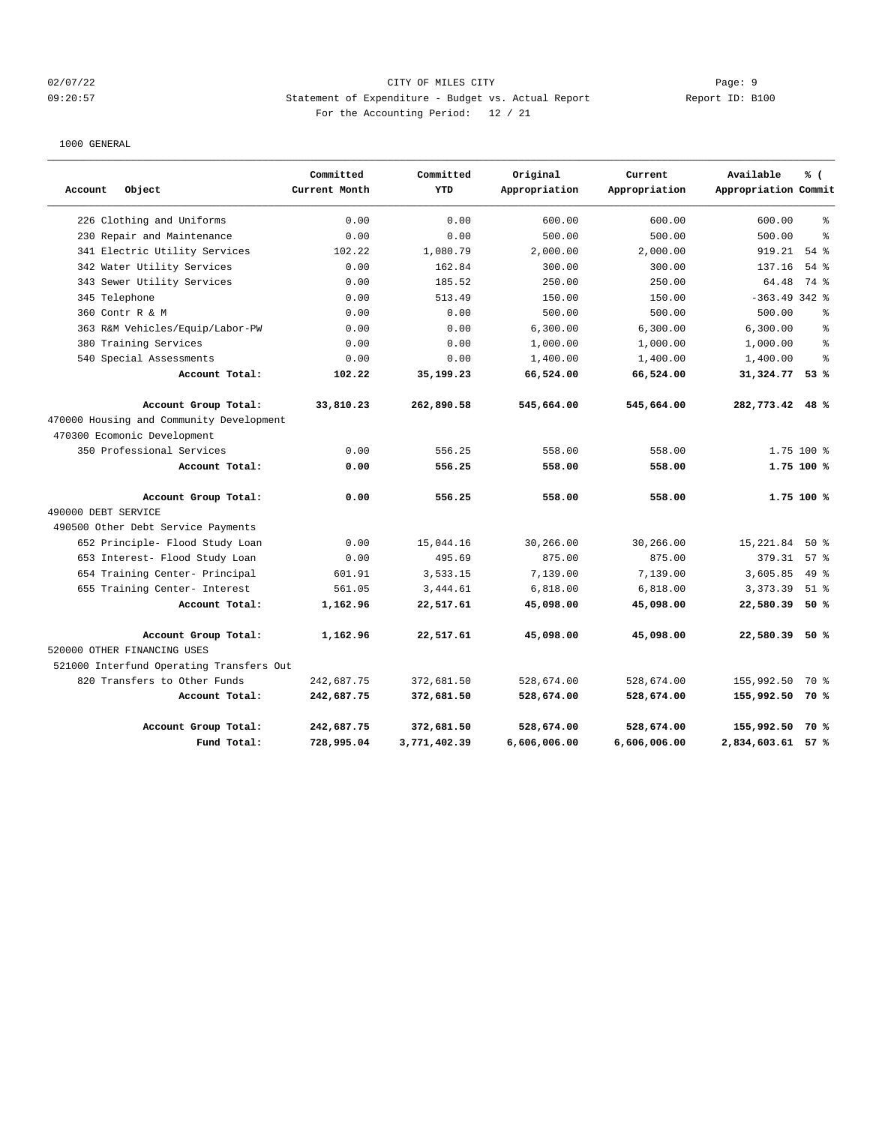## 02/07/22 Page: 9 09:20:57 Statement of Expenditure - Budget vs. Actual Report Changer Report ID: B100 For the Accounting Period: 12 / 21

|                                          | Committed     | Committed    | Original      | Current       | Available            | % (        |
|------------------------------------------|---------------|--------------|---------------|---------------|----------------------|------------|
| Object<br>Account                        | Current Month | YTD          | Appropriation | Appropriation | Appropriation Commit |            |
| 226 Clothing and Uniforms                | 0.00          | 0.00         | 600.00        | 600.00        | 600.00               | နွ         |
| 230 Repair and Maintenance               | 0.00          | 0.00         | 500.00        | 500.00        | 500.00               | $\approx$  |
| 341 Electric Utility Services            | 102.22        | 1,080.79     | 2,000.00      | 2,000.00      | 919.21               | 54%        |
| 342 Water Utility Services               | 0.00          | 162.84       | 300.00        | 300.00        | 137.16               | 54%        |
| 343 Sewer Utility Services               | 0.00          | 185.52       | 250.00        | 250.00        | 64.48                | 74 %       |
| 345 Telephone                            | 0.00          | 513.49       | 150.00        | 150.00        | $-363.49342$ %       |            |
| Contr R & M<br>360                       | 0.00          | 0.00         | 500.00        | 500.00        | 500.00               | $\epsilon$ |
| 363 R&M Vehicles/Equip/Labor-PW          | 0.00          | 0.00         | 6,300.00      | 6,300.00      | 6,300.00             | နွ         |
| 380 Training Services                    | 0.00          | 0.00         | 1,000.00      | 1,000.00      | 1,000.00             | $\approx$  |
| 540 Special Assessments                  | 0.00          | 0.00         | 1,400.00      | 1,400.00      | 1,400.00             | $\approx$  |
| Account Total:                           | 102.22        | 35,199.23    | 66,524.00     | 66,524.00     | 31,324.77            | 53%        |
| Account Group Total:                     | 33,810.23     | 262,890.58   | 545,664.00    | 545,664.00    | 282,773.42 48 %      |            |
| 470000 Housing and Community Development |               |              |               |               |                      |            |
| 470300 Ecomonic Development              |               |              |               |               |                      |            |
| 350 Professional Services                | 0.00          | 556.25       | 558.00        | 558.00        |                      | 1.75 100 % |
| Account Total:                           | 0.00          | 556.25       | 558.00        | 558.00        |                      | 1.75 100 % |
| Account Group Total:                     | 0.00          | 556.25       | 558.00        | 558.00        |                      | 1.75 100 % |
| 490000 DEBT SERVICE                      |               |              |               |               |                      |            |
| 490500 Other Debt Service Payments       |               |              |               |               |                      |            |
| 652 Principle- Flood Study Loan          | 0.00          | 15,044.16    | 30,266.00     | 30,266.00     | 15,221.84            | 50%        |
| 653 Interest- Flood Study Loan           | 0.00          | 495.69       | 875.00        | 875.00        | 379.31               | 57%        |
| 654 Training Center- Principal           | 601.91        | 3,533.15     | 7,139.00      | 7,139.00      | 3,605.85             | $49*$      |
| 655 Training Center- Interest            | 561.05        | 3,444.61     | 6,818.00      | 6,818.00      | 3,373.39             | $51$ %     |
| Account Total:                           | 1,162.96      | 22,517.61    | 45,098.00     | 45,098.00     | 22,580.39            | 50%        |
| Account Group Total:                     | 1,162.96      | 22,517.61    | 45,098.00     | 45,098.00     | 22,580.39            | 50 %       |
| 520000 OTHER FINANCING USES              |               |              |               |               |                      |            |
| 521000 Interfund Operating Transfers Out |               |              |               |               |                      |            |
| 820 Transfers to Other Funds             | 242,687.75    | 372,681.50   | 528,674.00    | 528,674.00    | 155,992.50           | 70 %       |
| Account Total:                           | 242,687.75    | 372,681.50   | 528,674.00    | 528,674.00    | 155,992.50 70 %      |            |
| Account Group Total:                     | 242,687.75    | 372,681.50   | 528,674.00    | 528,674.00    | 155,992.50           | 70 %       |
| Fund Total:                              | 728,995.04    | 3,771,402.39 | 6,606,006.00  | 6,606,006.00  | 2,834,603.61 57 %    |            |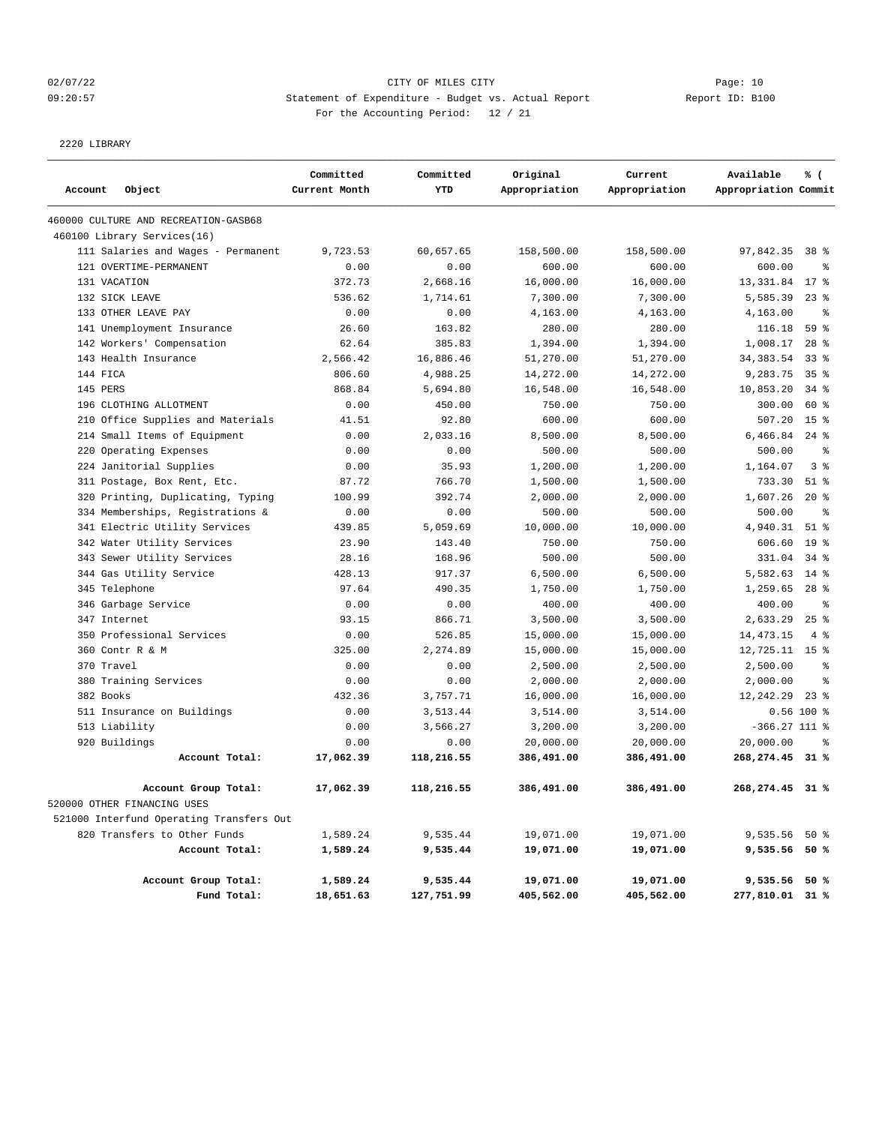## 02/07/22 Page: 10 09:20:57 Statement of Expenditure - Budget vs. Actual Report Report ID: B100 For the Accounting Period: 12 / 21

2220 LIBRARY

|                                          | Committed     | Committed  | Original      | Current       | Available            | % (                |
|------------------------------------------|---------------|------------|---------------|---------------|----------------------|--------------------|
| Account<br>Object                        | Current Month | YTD        | Appropriation | Appropriation | Appropriation Commit |                    |
| 460000 CULTURE AND RECREATION-GASB68     |               |            |               |               |                      |                    |
| 460100 Library Services(16)              |               |            |               |               |                      |                    |
| 111 Salaries and Wages - Permanent       | 9,723.53      | 60,657.65  | 158,500.00    | 158,500.00    | 97,842.35            | 38 <sup>8</sup>    |
| 121 OVERTIME-PERMANENT                   | 0.00          | 0.00       | 600.00        | 600.00        | 600.00               | နွ                 |
| 131 VACATION                             | 372.73        | 2,668.16   | 16,000.00     | 16,000.00     | 13,331.84            | $17*$              |
| 132 SICK LEAVE                           | 536.62        | 1,714.61   | 7,300.00      | 7,300.00      | 5,585.39             | $23$ %             |
| 133 OTHER LEAVE PAY                      | 0.00          | 0.00       | 4,163.00      | 4,163.00      | 4,163.00             | နွ                 |
| 141 Unemployment Insurance               | 26.60         | 163.82     | 280.00        | 280.00        | 116.18               | 59 %               |
| 142 Workers' Compensation                | 62.64         | 385.83     | 1,394.00      | 1,394.00      | 1,008.17             | $28$ %             |
| 143 Health Insurance                     | 2,566.42      | 16,886.46  | 51,270.00     | 51,270.00     | 34, 383.54           | $33$ $%$           |
| 144 FICA                                 | 806.60        | 4,988.25   | 14,272.00     | 14,272.00     | 9,283.75             | 35 <sup>8</sup>    |
| 145 PERS                                 | 868.84        | 5,694.80   | 16,548.00     | 16,548.00     | 10,853.20            | $34$ $8$           |
| 196 CLOTHING ALLOTMENT                   | 0.00          | 450.00     | 750.00        | 750.00        | 300.00               | 60 %               |
| 210 Office Supplies and Materials        | 41.51         | 92.80      | 600.00        | 600.00        | 507.20               | 15 <sup>8</sup>    |
| 214 Small Items of Equipment             | 0.00          | 2,033.16   | 8,500.00      | 8,500.00      | 6,466.84             | $24$ %             |
| Operating Expenses<br>220                | 0.00          | 0.00       | 500.00        | 500.00        | 500.00               | နွ                 |
| 224 Janitorial Supplies                  | 0.00          | 35.93      | 1,200.00      | 1,200.00      | 1,164.07             | 3%                 |
| 311 Postage, Box Rent, Etc.              | 87.72         | 766.70     | 1,500.00      | 1,500.00      | 733.30               | $51$ $\frac{6}{3}$ |
| Printing, Duplicating, Typing<br>320     | 100.99        | 392.74     | 2,000.00      | 2,000.00      | 1,607.26             | $20*$              |
| 334 Memberships, Registrations &         | 0.00          | 0.00       | 500.00        | 500.00        | 500.00               | နွ                 |
| 341 Electric Utility Services            | 439.85        | 5,059.69   | 10,000.00     | 10,000.00     | 4,940.31             | $51$ %             |
| 342 Water Utility Services               | 23.90         | 143.40     | 750.00        | 750.00        | 606.60               | 19 <sup>8</sup>    |
| 343 Sewer Utility Services               | 28.16         | 168.96     | 500.00        | 500.00        | 331.04               | $34$ $%$           |
| 344 Gas Utility Service                  | 428.13        | 917.37     | 6,500.00      | 6,500.00      | 5,582.63             | $14$ %             |
| 345 Telephone                            | 97.64         | 490.35     | 1,750.00      | 1,750.00      | 1,259.65             | $28$ %             |
| 346 Garbage Service                      | 0.00          | 0.00       | 400.00        | 400.00        | 400.00               | နွ                 |
| 347 Internet                             | 93.15         | 866.71     | 3,500.00      | 3,500.00      | 2,633.29             | $25$ $\frac{6}{5}$ |
| 350 Professional Services                | 0.00          | 526.85     | 15,000.00     | 15,000.00     | 14,473.15            | $4\degree$         |
| 360 Contr R & M                          | 325.00        | 2,274.89   | 15,000.00     | 15,000.00     | 12,725.11            | 15 <sup>8</sup>    |
| 370 Travel                               | 0.00          | 0.00       | 2,500.00      | 2,500.00      | 2,500.00             | $\epsilon$         |
| 380 Training Services                    | 0.00          | 0.00       | 2,000.00      | 2,000.00      | 2,000.00             | နွ                 |
| 382 Books                                | 432.36        | 3,757.71   | 16,000.00     | 16,000.00     | 12,242.29            | $23$ $\frac{6}{3}$ |
| 511 Insurance on Buildings               | 0.00          | 3,513.44   | 3,514.00      | 3,514.00      |                      | $0.56$ 100 %       |
| 513 Liability                            | 0.00          | 3,566.27   | 3,200.00      | 3,200.00      | $-366.27$ 111 %      |                    |
| 920 Buildings                            | 0.00          | 0.00       | 20,000.00     | 20,000.00     | 20,000.00            | နွ                 |
| Account Total:                           | 17,062.39     | 118,216.55 | 386,491.00    | 386,491.00    | 268,274.45           | 31 %               |
| Account Group Total:                     | 17,062.39     | 118,216.55 | 386,491.00    | 386,491.00    | 268,274.45           | $31*$              |
| 520000 OTHER FINANCING USES              |               |            |               |               |                      |                    |
| 521000 Interfund Operating Transfers Out |               |            |               |               |                      |                    |
| 820 Transfers to Other Funds             | 1,589.24      | 9,535.44   | 19,071.00     | 19,071.00     | 9,535.56 50 %        |                    |
| Account Total:                           | 1,589.24      | 9,535.44   | 19,071.00     | 19,071.00     | 9,535.56 50 %        |                    |
| Account Group Total:                     | 1,589.24      | 9,535.44   | 19,071.00     | 19,071.00     | $9,535.56$ 50 %      |                    |
| Fund Total:                              | 18,651.63     | 127,751.99 | 405,562.00    | 405,562.00    | 277,810.01 31 %      |                    |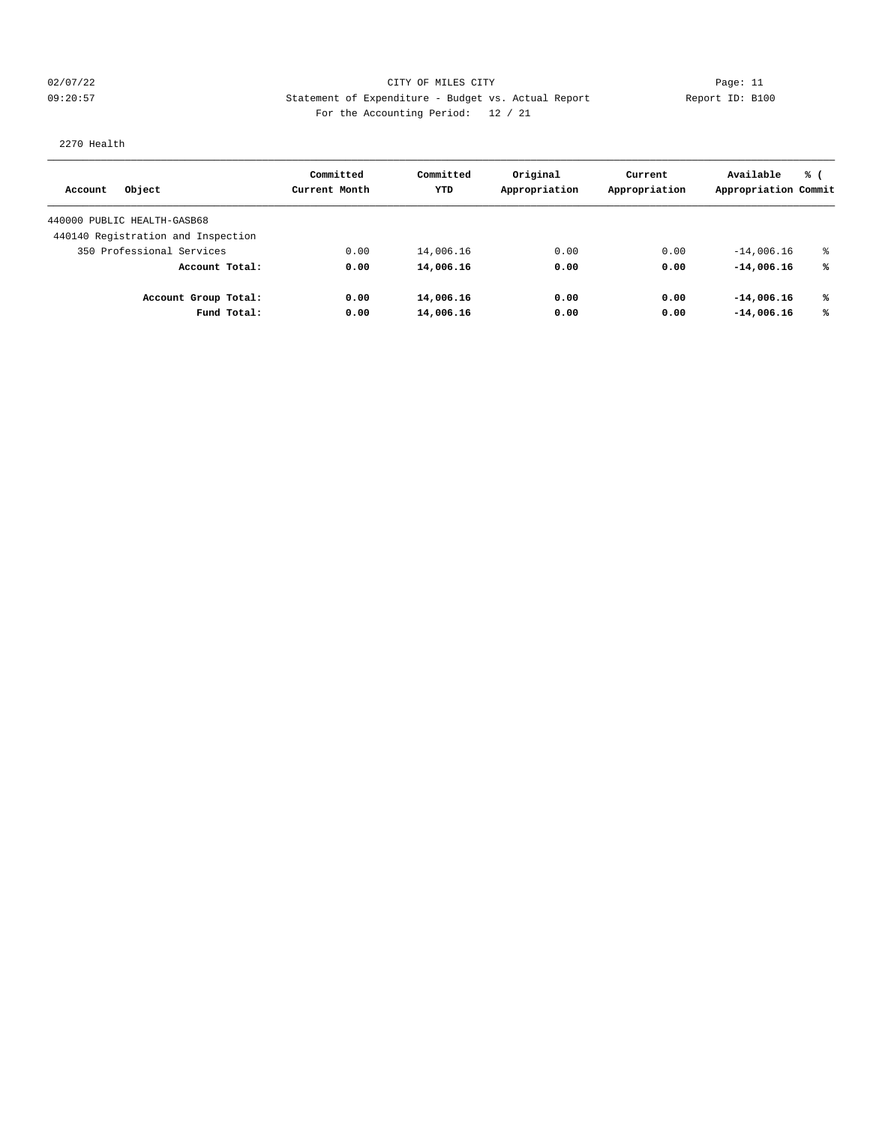## 02/07/22 Page: 11 CITY OF MILES CITY CONTROL Page: 11 09:20:57 Statement of Expenditure - Budget vs. Actual Report Changer Report ID: B100 For the Accounting Period: 12 / 21

# 2270 Health

| Object<br>Account                  | Committed<br>Current Month | Committed<br>YTD | Original<br>Appropriation | Current<br>Appropriation | Available<br>Appropriation Commit | % ( |
|------------------------------------|----------------------------|------------------|---------------------------|--------------------------|-----------------------------------|-----|
| 440000 PUBLIC HEALTH-GASB68        |                            |                  |                           |                          |                                   |     |
|                                    |                            |                  |                           |                          |                                   |     |
| 440140 Registration and Inspection |                            |                  |                           |                          |                                   |     |
| 350 Professional Services          | 0.00                       | 14,006.16        | 0.00                      | 0.00                     | $-14,006.16$                      | ႜ   |
| Account Total:                     | 0.00                       | 14,006.16        | 0.00                      | 0.00                     | $-14,006.16$                      | %ร  |
| Account Group Total:               | 0.00                       | 14,006.16        | 0.00                      | 0.00                     | $-14,006.16$                      | ℁   |
| Fund Total:                        | 0.00                       | 14,006.16        | 0.00                      | 0.00                     | $-14,006.16$                      | %ร  |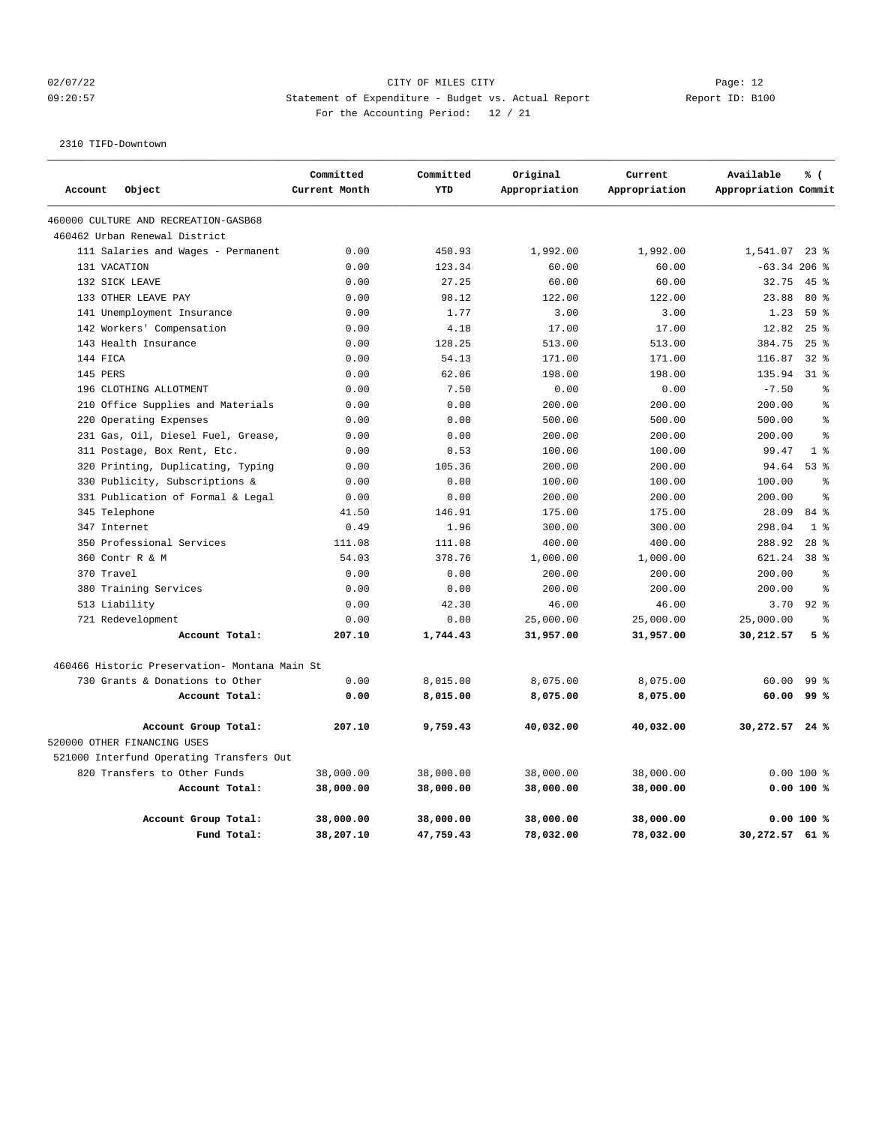## 02/07/22 Page: 12 09:20:57 Statement of Expenditure - Budget vs. Actual Report Changer Report ID: B100 For the Accounting Period: 12 / 21

2310 TIFD-Downtown

|              |                                               | Committed     | Committed | Original      | Current       | Available            | % (             |
|--------------|-----------------------------------------------|---------------|-----------|---------------|---------------|----------------------|-----------------|
| Account      | Object                                        | Current Month | YTD       | Appropriation | Appropriation | Appropriation Commit |                 |
|              | 460000 CULTURE AND RECREATION-GASB68          |               |           |               |               |                      |                 |
|              | 460462 Urban Renewal District                 |               |           |               |               |                      |                 |
|              | 111 Salaries and Wages - Permanent            | 0.00          | 450.93    | 1,992.00      | 1,992.00      | 1,541.07 23 %        |                 |
| 131 VACATION |                                               | 0.00          | 123.34    | 60.00         | 60.00         | $-63.34$ 206 %       |                 |
|              | 132 SICK LEAVE                                | 0.00          | 27.25     | 60.00         | 60.00         | 32.75                | 45%             |
|              | 133 OTHER LEAVE PAY                           | 0.00          | 98.12     | 122.00        | 122.00        | 23.88                | $80*$           |
|              | 141 Unemployment Insurance                    | 0.00          | 1.77      | 3.00          | 3.00          | 1.23                 | 59 %            |
|              | 142 Workers' Compensation                     | 0.00          | 4.18      | 17.00         | 17.00         | 12.82                | 25%             |
|              | 143 Health Insurance                          | 0.00          | 128.25    | 513.00        | 513.00        | 384.75               | $25$ $%$        |
| 144 FICA     |                                               | 0.00          | 54.13     | 171.00        | 171.00        | 116.87               | $32$ $%$        |
| 145 PERS     |                                               | 0.00          | 62.06     | 198.00        | 198.00        | 135.94               | $31*$           |
|              | 196 CLOTHING ALLOTMENT                        | 0.00          | 7.50      | 0.00          | 0.00          | $-7.50$              | $\approx$       |
|              | 210 Office Supplies and Materials             | 0.00          | 0.00      | 200.00        | 200.00        | 200.00               | $\approx$       |
| 220          | Operating Expenses                            | 0.00          | 0.00      | 500.00        | 500.00        | 500.00               | $\approx$       |
|              | 231 Gas, Oil, Diesel Fuel, Grease,            | 0.00          | 0.00      | 200.00        | 200.00        | 200.00               | $\approx$       |
|              | 311 Postage, Box Rent, Etc.                   | 0.00          | 0.53      | 100.00        | 100.00        | 99.47                | 1 <sup>8</sup>  |
|              | 320 Printing, Duplicating, Typing             | 0.00          | 105.36    | 200.00        | 200.00        | 94.64                | 53%             |
|              | 330 Publicity, Subscriptions &                | 0.00          | 0.00      | 100.00        | 100.00        | 100.00               | $\approx$       |
|              | 331 Publication of Formal & Legal             | 0.00          | 0.00      | 200.00        | 200.00        | 200.00               | $\mathsf{S}$    |
|              | 345 Telephone                                 | 41.50         | 146.91    | 175.00        | 175.00        | 28.09                | 84 %            |
| 347 Internet |                                               | 0.49          | 1.96      | 300.00        | 300.00        | 298.04               | 1 <sup>8</sup>  |
|              | 350 Professional Services                     | 111.08        | 111.08    | 400.00        | 400.00        | 288.92               | $28$ $%$        |
|              | 360 Contr R & M                               | 54.03         | 378.76    | 1,000.00      | 1,000.00      | 621.24               | 38 %            |
| 370 Travel   |                                               | 0.00          | 0.00      | 200.00        | 200.00        | 200.00               | $\approx$       |
|              | 380 Training Services                         | 0.00          | 0.00      | 200.00        | 200.00        | 200.00               | 昙               |
|              | 513 Liability                                 | 0.00          | 42.30     | 46.00         | 46.00         | 3.70                 | $92$ $%$        |
|              | 721 Redevelopment                             | 0.00          | 0.00      | 25,000.00     | 25,000.00     | 25,000.00            | $\approx$       |
|              | Account Total:                                | 207.10        | 1,744.43  | 31,957.00     | 31,957.00     | 30,212.57            | 5%              |
|              | 460466 Historic Preservation- Montana Main St |               |           |               |               |                      |                 |
|              | 730 Grants & Donations to Other               | 0.00          | 8,015.00  | 8,075.00      | 8,075.00      | 60.00                | 99 <sup>8</sup> |
|              | Account Total:                                | 0.00          | 8,015.00  | 8,075.00      | 8,075.00      | 60.00                | 99%             |
|              | Account Group Total:                          | 207.10        | 9,759.43  | 40,032.00     | 40,032.00     | 30,272.57 24 %       |                 |
|              | 520000 OTHER FINANCING USES                   |               |           |               |               |                      |                 |
|              | 521000 Interfund Operating Transfers Out      |               |           |               |               |                      |                 |
|              | 820 Transfers to Other Funds                  | 38,000.00     | 38,000.00 | 38,000.00     | 38,000.00     |                      | $0.00100$ %     |
|              | Account Total:                                | 38,000.00     | 38,000.00 | 38,000.00     | 38,000.00     |                      | $0.00100$ %     |
|              | Account Group Total:                          | 38,000.00     | 38,000.00 | 38,000.00     | 38,000.00     |                      | $0.00100$ %     |
|              | Fund Total:                                   | 38,207.10     | 47,759.43 | 78,032.00     | 78,032.00     | 30,272.57 61 %       |                 |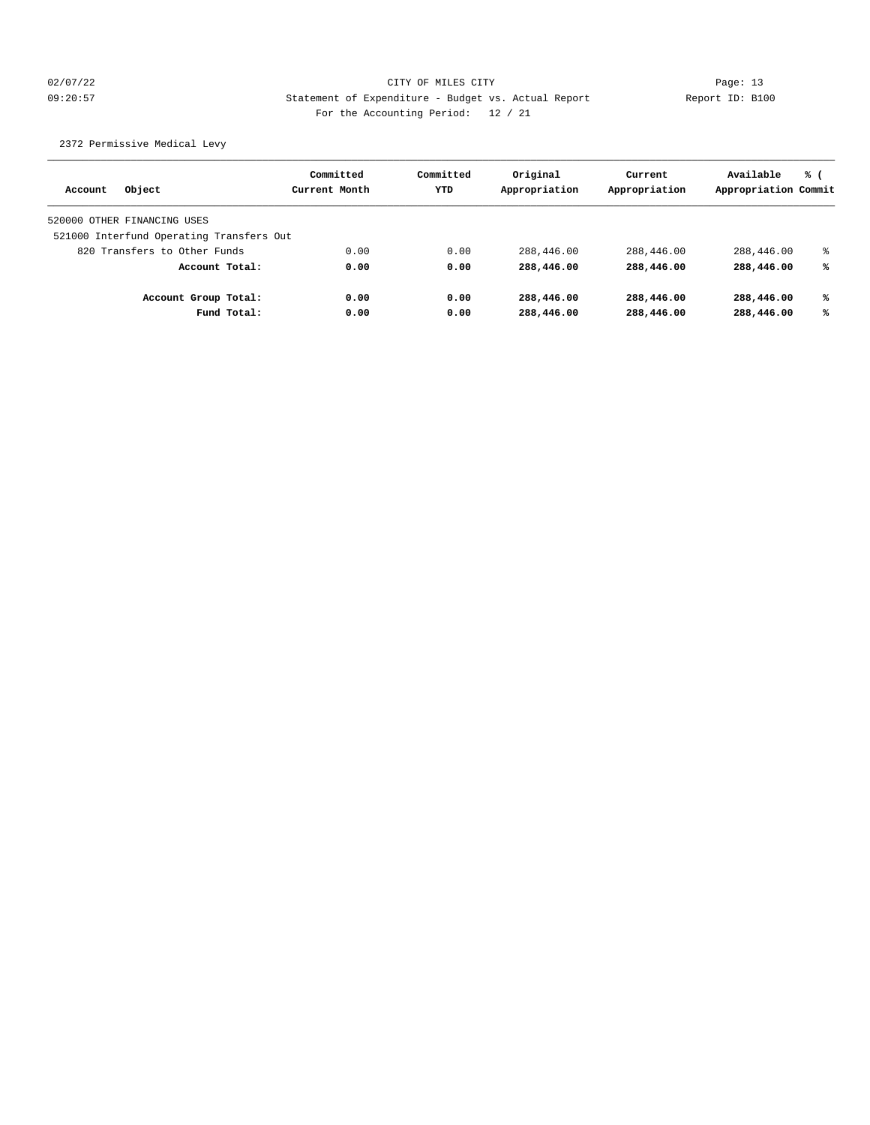## 02/07/22 Page: 13 09:20:57 Statement of Expenditure - Budget vs. Actual Report Report ID: B100 For the Accounting Period: 12 / 21

2372 Permissive Medical Levy

| Object<br>Account                        |             | Committed<br>Current Month | Committed<br>YTD | Original<br>Appropriation | Current<br>Appropriation | Available<br>Appropriation Commit | % ( |
|------------------------------------------|-------------|----------------------------|------------------|---------------------------|--------------------------|-----------------------------------|-----|
| 520000 OTHER FINANCING USES              |             |                            |                  |                           |                          |                                   |     |
| 521000 Interfund Operating Transfers Out |             |                            |                  |                           |                          |                                   |     |
| 820 Transfers to Other Funds             |             | 0.00                       | 0.00             | 288,446.00                | 288,446.00               | 288,446.00                        | ៖   |
| Account Total:                           |             | 0.00                       | 0.00             | 288,446.00                | 288,446.00               | 288,446.00                        | ℁   |
| Account Group Total:                     |             | 0.00                       | 0.00             | 288,446.00                | 288,446.00               | 288,446.00                        | ℁   |
|                                          | Fund Total: | 0.00                       | 0.00             | 288,446.00                | 288,446.00               | 288,446.00                        | ℁   |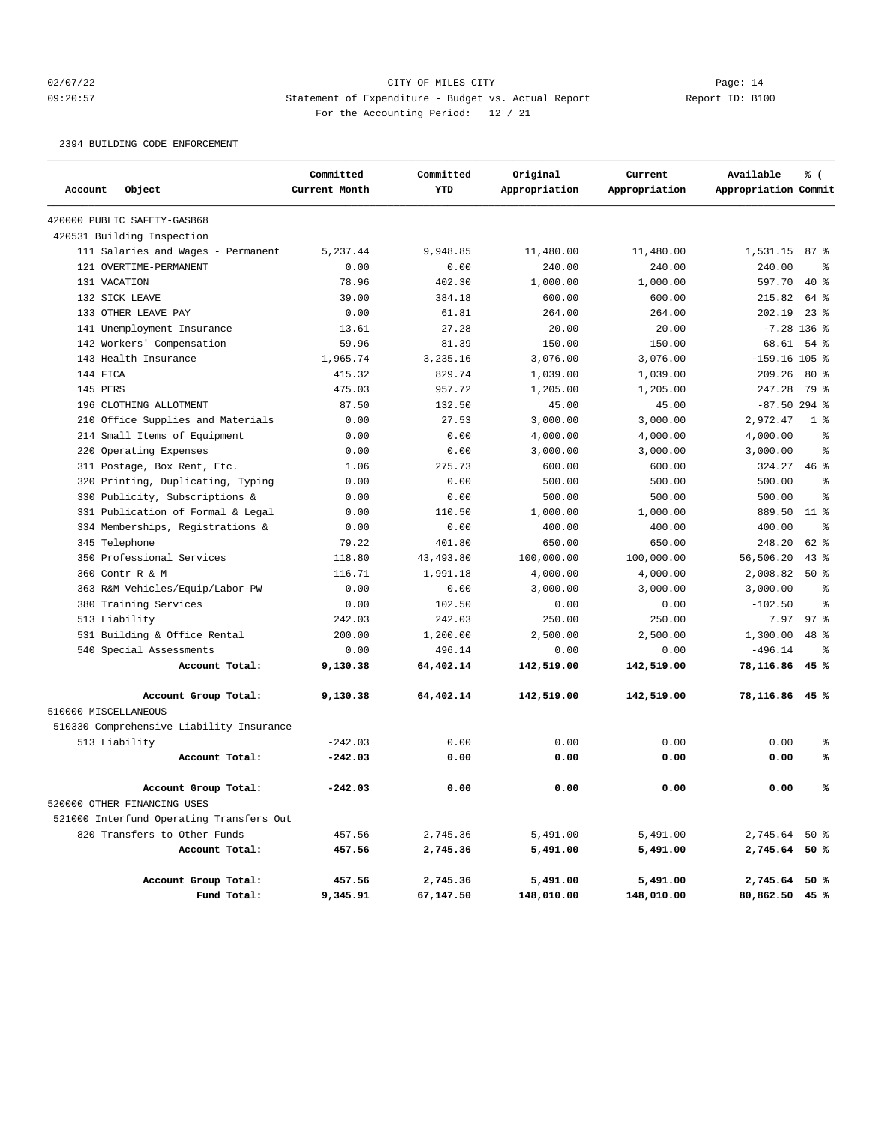## 02/07/22 Page: 14 09:20:57 Statement of Expenditure - Budget vs. Actual Report Report ID: B100 For the Accounting Period: 12 / 21

2394 BUILDING CODE ENFORCEMENT

|                      |                                                     | Committed     | Committed  | Original      | Current       | Available            | % (             |
|----------------------|-----------------------------------------------------|---------------|------------|---------------|---------------|----------------------|-----------------|
| Account              | Object                                              | Current Month | YTD        | Appropriation | Appropriation | Appropriation Commit |                 |
|                      | 420000 PUBLIC SAFETY-GASB68                         |               |            |               |               |                      |                 |
|                      | 420531 Building Inspection                          |               |            |               |               |                      |                 |
|                      | 111 Salaries and Wages - Permanent                  | 5.237.44      | 9,948.85   | 11,480.00     | 11,480.00     | 1,531.15             | 87e             |
|                      | 121 OVERTIME-PERMANENT                              | 0.00          | 0.00       | 240.00        | 240.00        | 240.00               | နွ              |
| 131 VACATION         |                                                     | 78.96         | 402.30     | 1,000.00      | 1,000.00      | 597.70               | $40*$           |
|                      | 132 SICK LEAVE                                      | 39.00         | 384.18     | 600.00        | 600.00        | 215.82               | 64 %            |
|                      | 133 OTHER LEAVE PAY                                 | 0.00          | 61.81      | 264.00        | 264.00        | 202.19               | 238             |
|                      | 141 Unemployment Insurance                          | 13.61         | 27.28      | 20.00         | 20.00         |                      | $-7.28$ 136 %   |
|                      | 142 Workers' Compensation                           | 59.96         | 81.39      | 150.00        | 150.00        | 68.61                | $54$ $%$        |
|                      | 143 Health Insurance                                | 1,965.74      | 3,235.16   | 3,076.00      | 3,076.00      | $-159.16$ 105 %      |                 |
| 144 FICA             |                                                     | 415.32        | 829.74     | 1,039.00      | 1,039.00      | 209.26               | $80*$           |
| 145 PERS             |                                                     | 475.03        | 957.72     | 1,205.00      | 1,205.00      | 247.28               | 79 %            |
|                      | 196 CLOTHING ALLOTMENT                              | 87.50         | 132.50     | 45.00         | 45.00         | $-87.50$ 294 %       |                 |
| 210                  | Office Supplies and Materials                       | 0.00          | 27.53      | 3,000.00      | 3,000.00      | 2,972.47             | 1 <sup>8</sup>  |
| 214                  | Small Items of Equipment                            | 0.00          | 0.00       | 4,000.00      | 4,000.00      | 4,000.00             | ి               |
| 220                  | Operating Expenses                                  | 0.00          | 0.00       | 3,000.00      | 3,000.00      | 3,000.00             | နွ              |
|                      | 311 Postage, Box Rent, Etc.                         | 1.06          | 275.73     | 600.00        | 600.00        | 324.27               | 46%             |
|                      | 320 Printing, Duplicating, Typing                   | 0.00          | 0.00       | 500.00        | 500.00        | 500.00               | နွ              |
| 330                  | Publicity, Subscriptions &                          | 0.00          | 0.00       | 500.00        | 500.00        | 500.00               | $\approx$       |
| 331                  | Publication of Formal & Legal                       | 0.00          | 110.50     | 1,000.00      | 1,000.00      | 889.50               | $11$ %          |
|                      | 334 Memberships, Registrations &                    | 0.00          | 0.00       | 400.00        | 400.00        | 400.00               | ి               |
|                      | 345 Telephone                                       | 79.22         | 401.80     | 650.00        | 650.00        | 248.20               | $62$ $%$        |
|                      | 350 Professional Services                           | 118.80        | 43, 493.80 | 100,000.00    | 100,000.00    | 56,506.20            | $43$ $%$        |
| 360                  | Contr R & M                                         | 116.71        | 1,991.18   | 4,000.00      | 4,000.00      | 2,008.82             | 50%             |
|                      | 363 R&M Vehicles/Equip/Labor-PW                     | 0.00          | 0.00       | 3,000.00      | 3,000.00      | 3,000.00             | ి               |
| 380                  | Training Services                                   | 0.00          | 102.50     | 0.00          | 0.00          | $-102.50$            | ి               |
|                      | 513 Liability                                       | 242.03        | 242.03     | 250.00        | 250.00        | 7.97                 | 97 <sup>8</sup> |
|                      | 531 Building & Office Rental                        | 200.00        | 1,200.00   | 2,500.00      | 2,500.00      | 1,300.00             | 48 %            |
|                      | 540 Special Assessments                             | 0.00          | 496.14     | 0.00          | 0.00          | $-496.14$            | နွ              |
|                      | Account Total:                                      | 9,130.38      | 64,402.14  | 142,519.00    | 142,519.00    | 78,116.86            | 45 %            |
| 510000 MISCELLANEOUS | Account Group Total:                                | 9,130.38      | 64,402.14  | 142,519.00    | 142,519.00    | 78,116.86 45 %       |                 |
|                      | 510330 Comprehensive Liability Insurance            |               |            |               |               |                      |                 |
|                      | 513 Liability                                       | $-242.03$     | 0.00       | 0.00          | 0.00          | 0.00                 | နွ              |
|                      | Account Total:                                      | $-242.03$     | 0.00       | 0.00          | 0.00          | 0.00                 | ℁               |
|                      |                                                     |               |            |               |               |                      |                 |
|                      | Account Group Total:<br>520000 OTHER FINANCING USES | $-242.03$     | 0.00       | 0.00          | 0.00          | 0.00                 | ℁               |
|                      | 521000 Interfund Operating Transfers Out            |               |            |               |               |                      |                 |
|                      | 820 Transfers to Other Funds                        | 457.56        | 2,745.36   | 5,491.00      | 5,491.00      | 2,745.64 50 %        |                 |
|                      | Account Total:                                      | 457.56        | 2,745.36   | 5,491.00      | 5,491.00      | 2,745.64 50 %        |                 |
|                      | Account Group Total:                                | 457.56        | 2,745.36   | 5,491.00      | 5,491.00      | 2,745.64 50 %        |                 |
|                      | Fund Total:                                         | 9,345.91      | 67,147.50  | 148,010.00    | 148,010.00    | 80,862.50 45 %       |                 |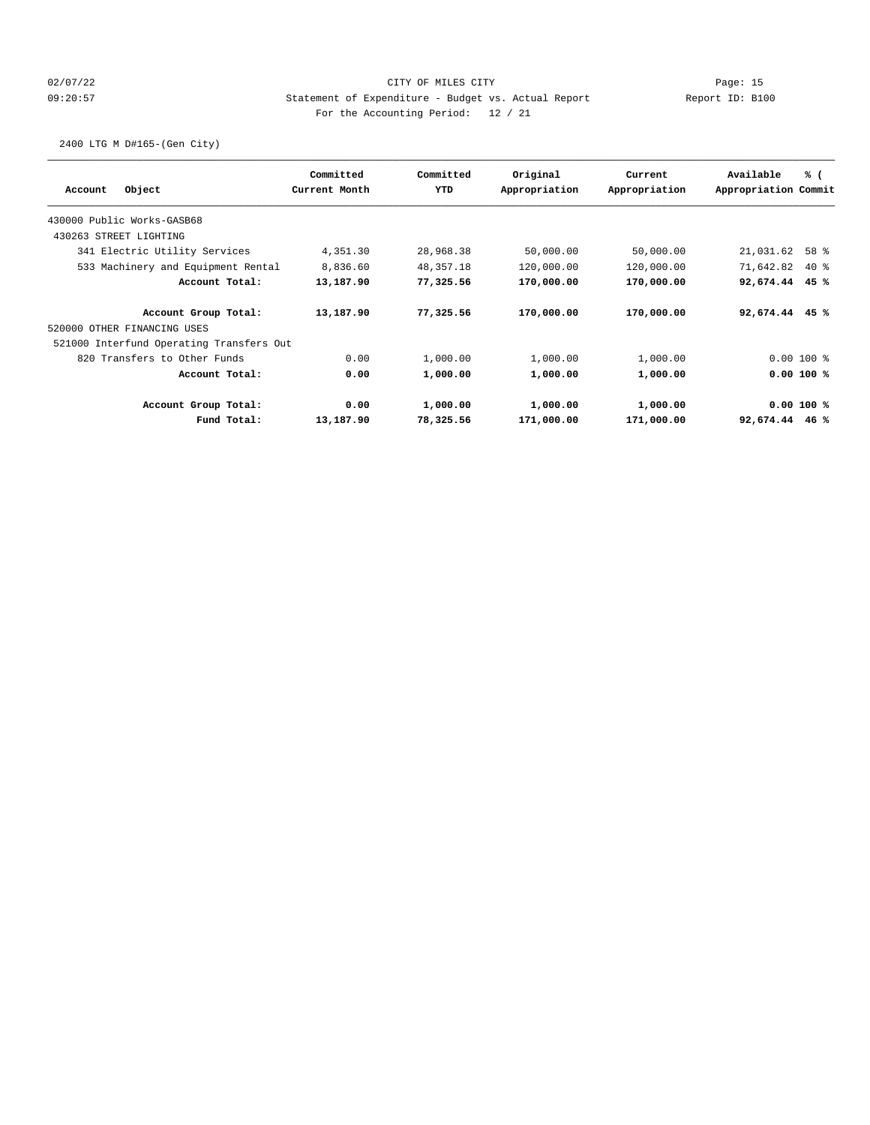## 02/07/22 Page: 15 09:20:57 Statement of Expenditure - Budget vs. Actual Report Report ID: B100 For the Accounting Period: 12 / 21

2400 LTG M D#165-(Gen City)

|                                          | Committed     | Committed   | Original      | Current       | Available            | % (         |
|------------------------------------------|---------------|-------------|---------------|---------------|----------------------|-------------|
| Object<br>Account                        | Current Month | YTD         | Appropriation | Appropriation | Appropriation Commit |             |
| 430000 Public Works-GASB68               |               |             |               |               |                      |             |
| 430263 STREET LIGHTING                   |               |             |               |               |                      |             |
| 341 Electric Utility Services            | 4,351.30      | 28,968.38   | 50,000.00     | 50,000.00     | 21,031.62            | 58 %        |
| 533 Machinery and Equipment Rental       | 8,836.60      | 48, 357. 18 | 120,000.00    | 120,000.00    | 71,642.82            | $40*$       |
| Account Total:                           | 13,187.90     | 77,325.56   | 170,000.00    | 170,000.00    | 92,674.44            | 45%         |
| Account Group Total:                     | 13,187.90     | 77,325.56   | 170,000.00    | 170,000.00    | 92,674.44            | 45 %        |
| 520000 OTHER FINANCING USES              |               |             |               |               |                      |             |
| 521000 Interfund Operating Transfers Out |               |             |               |               |                      |             |
| 820 Transfers to Other Funds             | 0.00          | 1,000.00    | 1,000.00      | 1,000.00      |                      | $0.00100$ % |
| Account Total:                           | 0.00          | 1,000.00    | 1,000.00      | 1,000.00      |                      | 0.00 100 %  |
| Account Group Total:                     | 0.00          | 1,000.00    | 1,000.00      | 1,000.00      |                      | 0.00 100 %  |
| Fund Total:                              | 13,187.90     | 78,325.56   | 171,000.00    | 171,000.00    | 92,674.44            | 46 %        |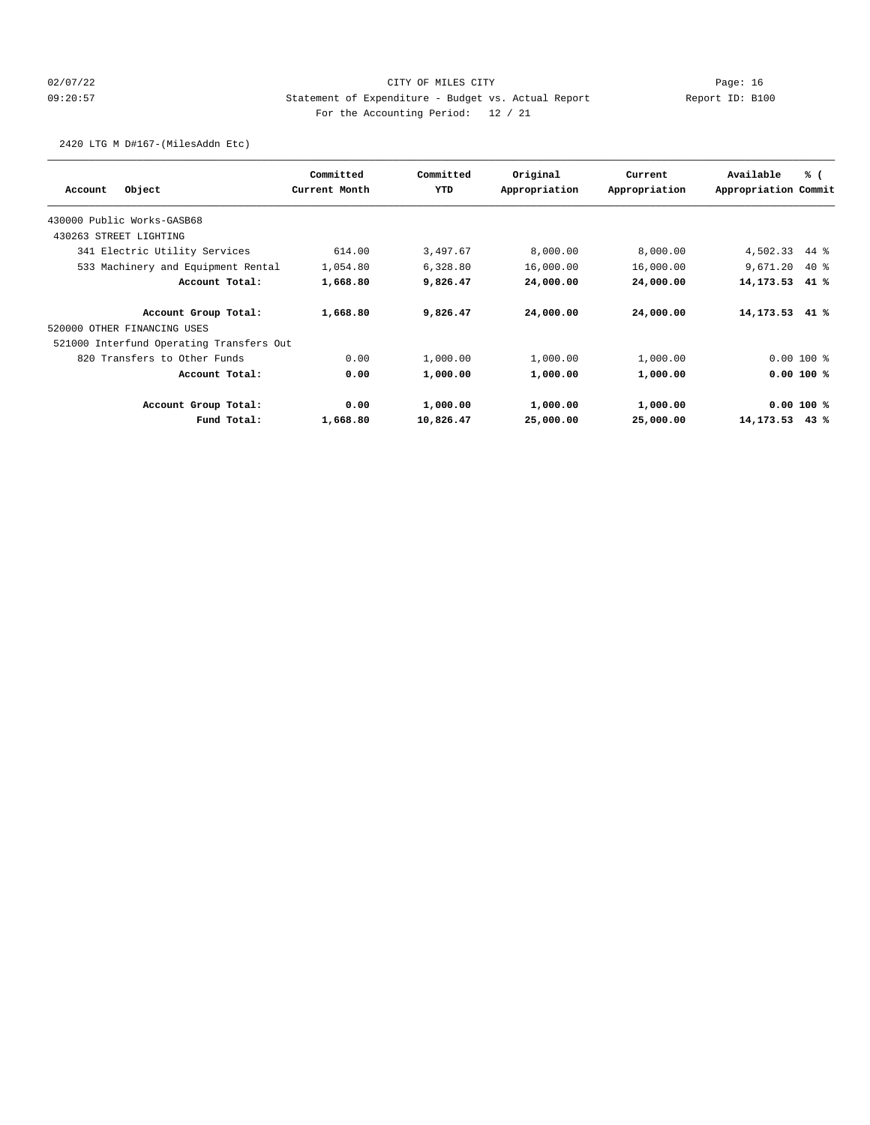## 02/07/22 Page: 16 09:20:57 Statement of Expenditure - Budget vs. Actual Report Report ID: B100 For the Accounting Period: 12 / 21

2420 LTG M D#167-(MilesAddn Etc)

| Object<br>Account                        | Committed<br>Current Month | Committed<br>YTD | Original<br>Appropriation | Current<br>Appropriation | Available<br>Appropriation Commit | % (         |
|------------------------------------------|----------------------------|------------------|---------------------------|--------------------------|-----------------------------------|-------------|
|                                          |                            |                  |                           |                          |                                   |             |
| 430000 Public Works-GASB68               |                            |                  |                           |                          |                                   |             |
| 430263 STREET LIGHTING                   |                            |                  |                           |                          |                                   |             |
| 341 Electric Utility Services            | 614.00                     | 3,497.67         | 8,000.00                  | 8,000.00                 | 4,502.33                          | $44*$       |
| 533 Machinery and Equipment Rental       | 1,054.80                   | 6,328.80         | 16,000.00                 | 16,000.00                | 9,671.20                          | 40%         |
| Account Total:                           | 1,668.80                   | 9,826.47         | 24,000.00                 | 24,000.00                | 14,173.53                         | 41%         |
| Account Group Total:                     | 1,668.80                   | 9,826.47         | 24,000.00                 | 24,000.00                | 14,173.53                         | 41 %        |
| 520000 OTHER FINANCING USES              |                            |                  |                           |                          |                                   |             |
| 521000 Interfund Operating Transfers Out |                            |                  |                           |                          |                                   |             |
| 820 Transfers to Other Funds             | 0.00                       | 1,000.00         | 1,000.00                  | 1,000.00                 |                                   | $0.00100$ % |
| Account Total:                           | 0.00                       | 1,000.00         | 1,000.00                  | 1,000.00                 |                                   | 0.00 100 %  |
| Account Group Total:                     | 0.00                       | 1,000.00         | 1,000.00                  | 1,000.00                 |                                   | 0.00 100 %  |
| Fund Total:                              | 1,668.80                   | 10,826.47        | 25,000.00                 | 25,000.00                | 14,173.53                         | 43%         |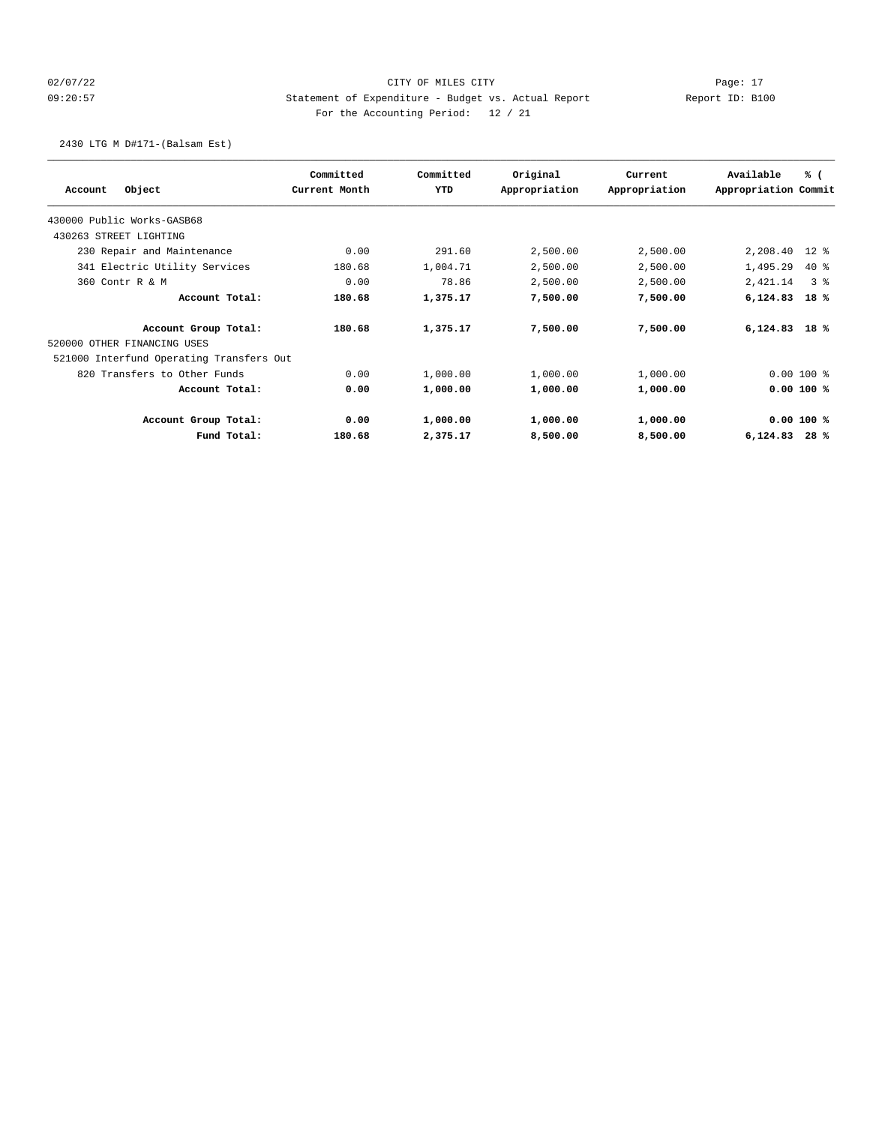## 02/07/22 Page: 17 CITY OF MILES CITY CONTROL Page: 17 09:20:57 Statement of Expenditure - Budget vs. Actual Report Report ID: B100 For the Accounting Period: 12 / 21

2430 LTG M D#171-(Balsam Est)

|                                          | Committed     | Committed | Original      | Current       | Available            | % (            |
|------------------------------------------|---------------|-----------|---------------|---------------|----------------------|----------------|
| Object<br>Account                        | Current Month | YTD       | Appropriation | Appropriation | Appropriation Commit |                |
| 430000 Public Works-GASB68               |               |           |               |               |                      |                |
| 430263 STREET LIGHTING                   |               |           |               |               |                      |                |
| 230 Repair and Maintenance               | 0.00          | 291.60    | 2,500.00      | 2,500.00      | 2,208.40             | $12$ %         |
| 341 Electric Utility Services            | 180.68        | 1,004.71  | 2,500.00      | 2,500.00      | 1,495.29             | $40*$          |
| 360 Contr R & M                          | 0.00          | 78.86     | 2,500.00      | 2,500.00      | 2,421.14             | 3 <sup>8</sup> |
| Account Total:                           | 180.68        | 1,375.17  | 7,500.00      | 7,500.00      | 6,124.83             | 18%            |
| Account Group Total:                     | 180.68        | 1,375.17  | 7,500.00      | 7,500.00      | $6,124.83$ 18 %      |                |
| 520000 OTHER FINANCING USES              |               |           |               |               |                      |                |
| 521000 Interfund Operating Transfers Out |               |           |               |               |                      |                |
| 820 Transfers to Other Funds             | 0.00          | 1,000.00  | 1,000.00      | 1,000.00      |                      | $0.00100$ %    |
| Account Total:                           | 0.00          | 1,000.00  | 1,000.00      | 1,000.00      |                      | $0.00100$ %    |
| Account Group Total:                     | 0.00          | 1,000.00  | 1,000.00      | 1,000.00      |                      | 0.00 100 %     |
| Fund Total:                              | 180.68        | 2,375.17  | 8,500.00      | 8,500.00      | 6,124.83             | 28%            |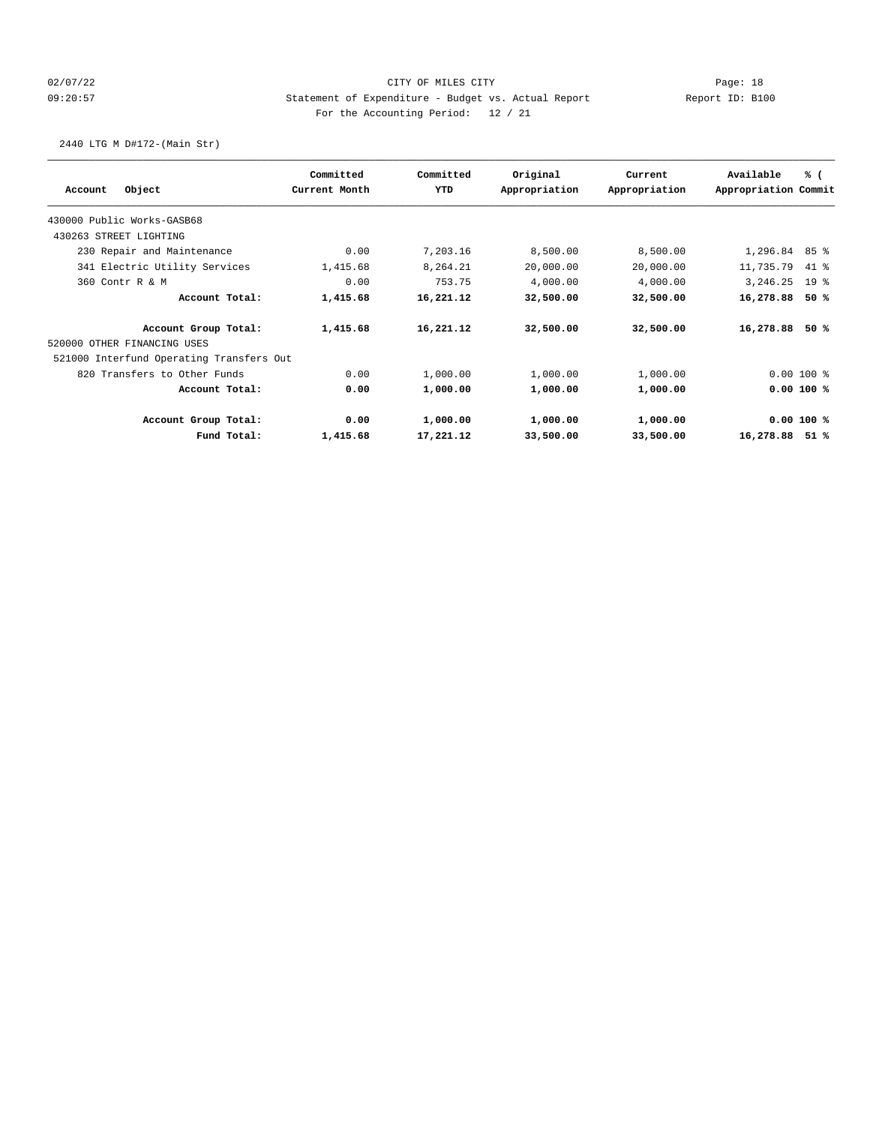## 02/07/22 Page: 18 09:20:57 Statement of Expenditure - Budget vs. Actual Report Report ID: B100 For the Accounting Period: 12 / 21

2440 LTG M D#172-(Main Str)

|                                          | Committed     | Committed | Original      | Current       | Available            | % (             |
|------------------------------------------|---------------|-----------|---------------|---------------|----------------------|-----------------|
| Object<br>Account                        | Current Month | YTD       | Appropriation | Appropriation | Appropriation Commit |                 |
| 430000 Public Works-GASB68               |               |           |               |               |                      |                 |
| 430263 STREET LIGHTING                   |               |           |               |               |                      |                 |
| 230 Repair and Maintenance               | 0.00          | 7,203.16  | 8,500.00      | 8,500.00      | 1,296.84             | 85%             |
| 341 Electric Utility Services            | 1,415.68      | 8,264.21  | 20,000.00     | 20,000.00     | 11,735.79            | 41 %            |
| 360 Contr R & M                          | 0.00          | 753.75    | 4,000.00      | 4,000.00      | 3,246.25             | 19 <sup>°</sup> |
| Account Total:                           | 1,415.68      | 16,221.12 | 32,500.00     | 32,500.00     | 16,278.88            | 50%             |
| Account Group Total:                     | 1,415.68      | 16,221.12 | 32,500.00     | 32,500.00     | 16,278.88            | 50%             |
| 520000 OTHER FINANCING USES              |               |           |               |               |                      |                 |
| 521000 Interfund Operating Transfers Out |               |           |               |               |                      |                 |
| 820 Transfers to Other Funds             | 0.00          | 1,000.00  | 1,000.00      | 1,000.00      |                      | $0.00100$ %     |
| Account Total:                           | 0.00          | 1,000.00  | 1,000.00      | 1,000.00      |                      | 0.00 100 %      |
| Account Group Total:                     | 0.00          | 1,000.00  | 1,000.00      | 1,000.00      |                      | 0.00 100 %      |
| Fund Total:                              | 1,415.68      | 17,221.12 | 33,500.00     | 33,500.00     | 16,278.88            | 51%             |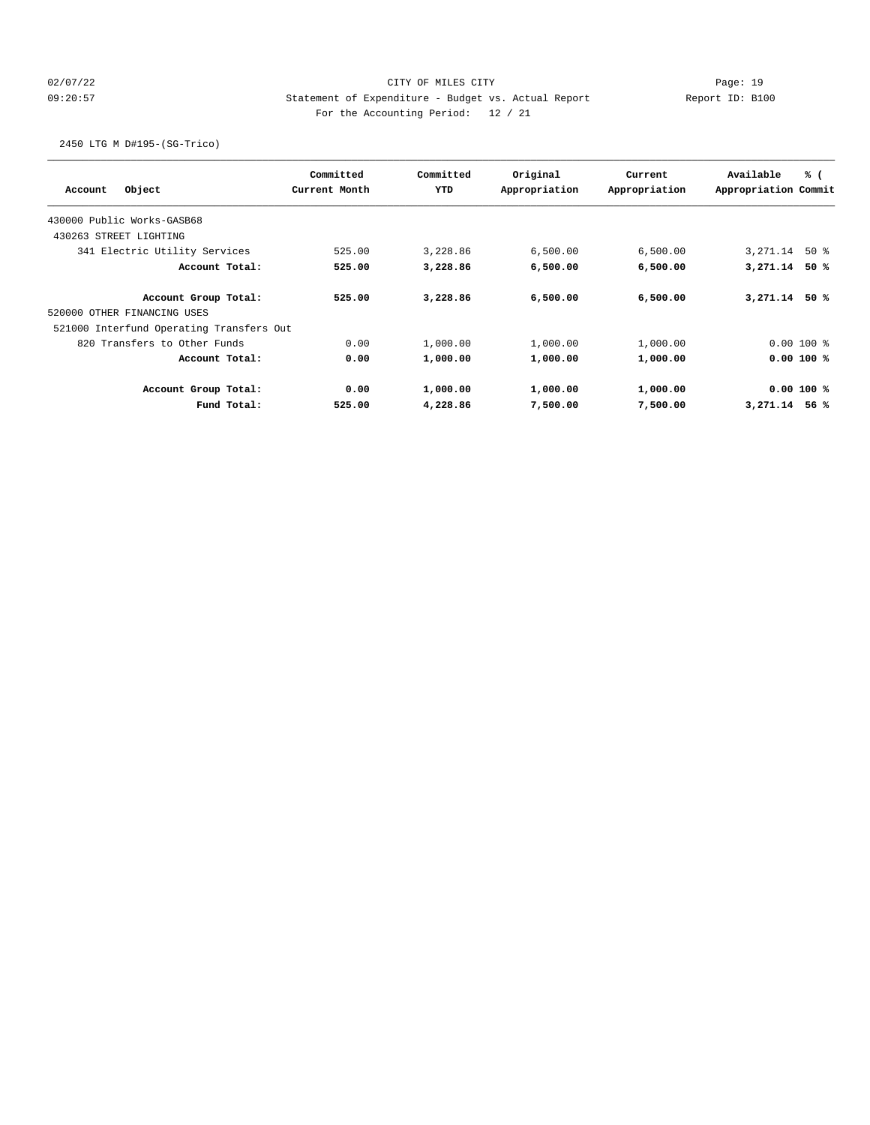## 02/07/22 Page: 19 09:20:57 Statement of Expenditure - Budget vs. Actual Report Report ID: B100 For the Accounting Period: 12 / 21

2450 LTG M D#195-(SG-Trico)

|         |                                          | Committed     | Committed | Original      | Current       | Available            | % (         |
|---------|------------------------------------------|---------------|-----------|---------------|---------------|----------------------|-------------|
| Account | Object                                   | Current Month | YTD       | Appropriation | Appropriation | Appropriation Commit |             |
|         | 430000 Public Works-GASB68               |               |           |               |               |                      |             |
|         | 430263 STREET LIGHTING                   |               |           |               |               |                      |             |
|         | 341 Electric Utility Services            | 525.00        | 3,228.86  | 6,500.00      | 6,500.00      | 3,271.14             | 50 %        |
|         | Account Total:                           | 525.00        | 3,228.86  | 6,500.00      | 6,500.00      | 3,271.14             | 50%         |
|         | Account Group Total:                     | 525.00        | 3,228.86  | 6,500.00      | 6,500.00      | 3,271.14             | 50 %        |
|         | 520000 OTHER FINANCING USES              |               |           |               |               |                      |             |
|         | 521000 Interfund Operating Transfers Out |               |           |               |               |                      |             |
|         | 820 Transfers to Other Funds             | 0.00          | 1,000.00  | 1,000.00      | 1,000.00      |                      | $0.00100$ % |
|         | Account Total:                           | 0.00          | 1,000.00  | 1,000.00      | 1,000.00      |                      | $0.00100$ % |
|         | Account Group Total:                     | 0.00          | 1,000.00  | 1,000.00      | 1,000.00      |                      | $0.00100$ % |
|         | Fund Total:                              | 525.00        | 4,228.86  | 7,500.00      | 7,500.00      | 3,271.14             | 56%         |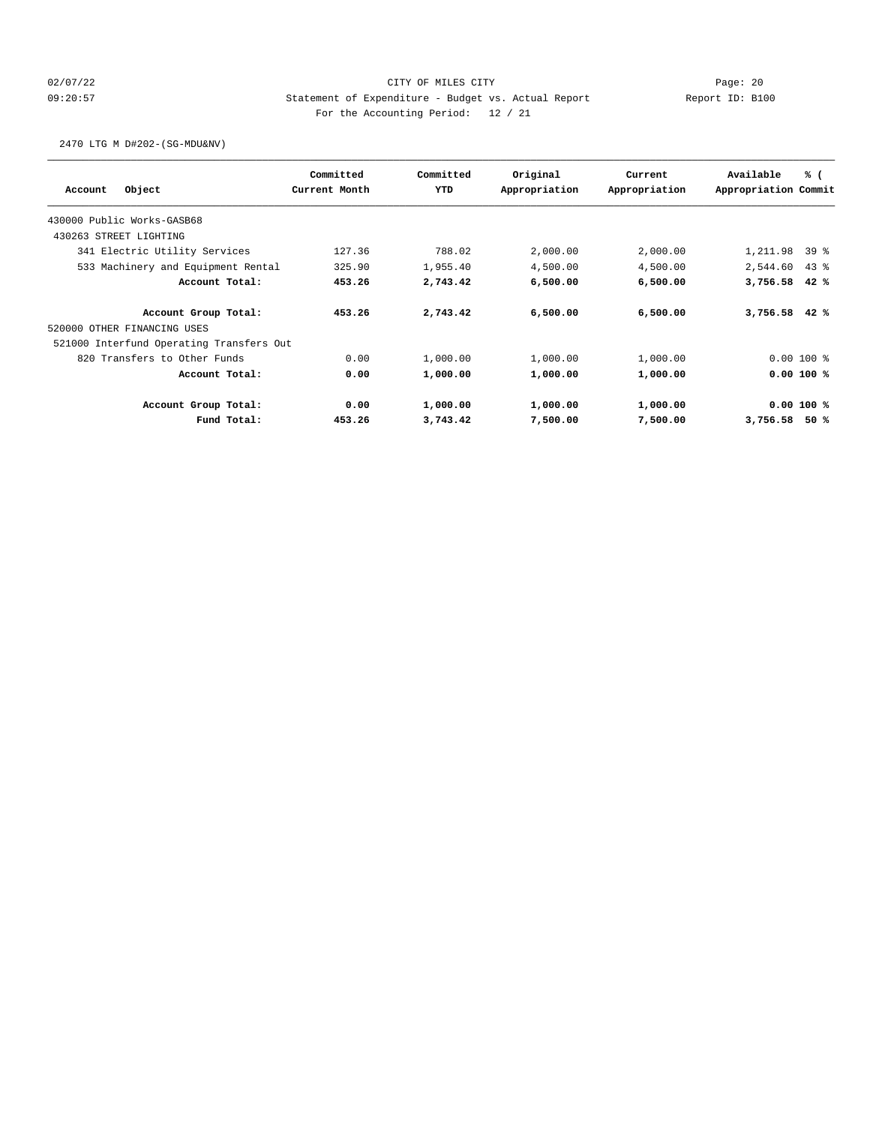## 02/07/22 Page: 20 09:20:57 Statement of Expenditure - Budget vs. Actual Report Changer Report ID: B100 For the Accounting Period: 12 / 21

2470 LTG M D#202-(SG-MDU&NV)

|         |                                          | Committed     | Committed | Original      | Current       | Available            | % (         |
|---------|------------------------------------------|---------------|-----------|---------------|---------------|----------------------|-------------|
| Account | Object                                   | Current Month | YTD       | Appropriation | Appropriation | Appropriation Commit |             |
|         | 430000 Public Works-GASB68               |               |           |               |               |                      |             |
|         | 430263 STREET LIGHTING                   |               |           |               |               |                      |             |
|         | 341 Electric Utility Services            | 127.36        | 788.02    | 2,000.00      | 2,000.00      | 1,211.98             | $39*$       |
|         | 533 Machinery and Equipment Rental       | 325.90        | 1,955.40  | 4,500.00      | 4,500.00      | 2,544.60             | $43$ %      |
|         | Account Total:                           | 453.26        | 2,743.42  | 6,500.00      | 6,500.00      | 3,756.58             | 42%         |
|         | Account Group Total:                     | 453.26        | 2,743.42  | 6,500.00      | 6,500.00      | 3,756.58             | 42%         |
|         | 520000 OTHER FINANCING USES              |               |           |               |               |                      |             |
|         | 521000 Interfund Operating Transfers Out |               |           |               |               |                      |             |
|         | 820 Transfers to Other Funds             | 0.00          | 1,000.00  | 1,000.00      | 1,000.00      |                      | $0.00100$ % |
|         | Account Total:                           | 0.00          | 1,000.00  | 1,000.00      | 1,000.00      |                      | 0.00 100 %  |
|         | Account Group Total:                     | 0.00          | 1,000.00  | 1,000.00      | 1,000.00      |                      | 0.00 100 %  |
|         | Fund Total:                              | 453.26        | 3,743.42  | 7,500.00      | 7,500.00      | 3,756.58             | 50%         |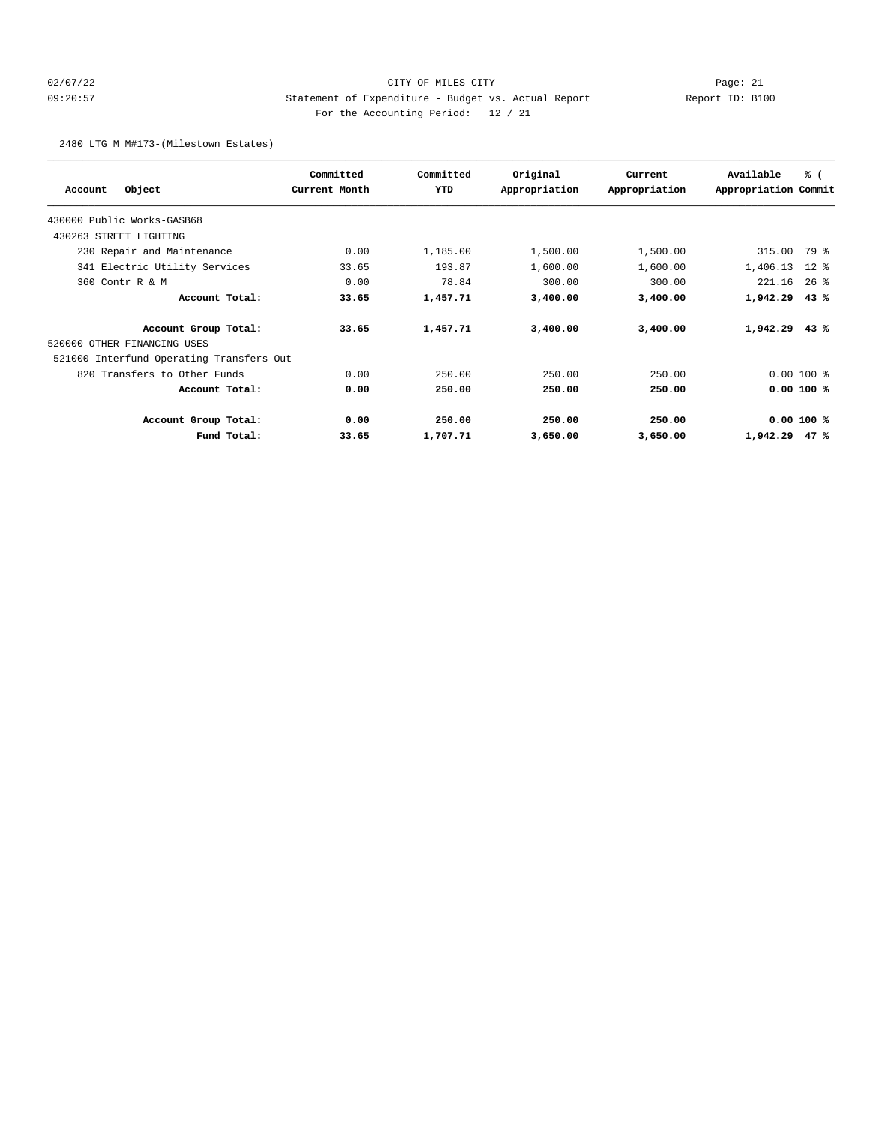## 02/07/22 Page: 21 CITY OF MILES CITY CONTROL Page: 21 09:20:57 Statement of Expenditure - Budget vs. Actual Report Report ID: B100 For the Accounting Period: 12 / 21

2480 LTG M M#173-(Milestown Estates)

|                                          | Committed     | Committed | Original      | Current       | Available            | % (         |
|------------------------------------------|---------------|-----------|---------------|---------------|----------------------|-------------|
| Object<br>Account                        | Current Month | YTD       | Appropriation | Appropriation | Appropriation Commit |             |
| 430000 Public Works-GASB68               |               |           |               |               |                      |             |
| 430263 STREET LIGHTING                   |               |           |               |               |                      |             |
| 230 Repair and Maintenance               | 0.00          | 1,185.00  | 1,500.00      | 1,500.00      | 315.00               | 79 %        |
| 341 Electric Utility Services            | 33.65         | 193.87    | 1,600.00      | 1,600.00      | 1,406.13             | $12*$       |
| 360 Contr R & M                          | 0.00          | 78.84     | 300.00        | 300.00        | 221.16               | $26$ %      |
| Account Total:                           | 33.65         | 1,457.71  | 3,400.00      | 3,400.00      | 1,942.29             | 43%         |
| Account Group Total:                     | 33.65         | 1,457.71  | 3,400.00      | 3,400.00      | $1,942.29$ 43 %      |             |
| 520000 OTHER FINANCING USES              |               |           |               |               |                      |             |
| 521000 Interfund Operating Transfers Out |               |           |               |               |                      |             |
| 820 Transfers to Other Funds             | 0.00          | 250.00    | 250.00        | 250.00        |                      | $0.00100$ % |
| Account Total:                           | 0.00          | 250.00    | 250.00        | 250.00        |                      | $0.00100$ % |
| Account Group Total:                     | 0.00          | 250.00    | 250.00        | 250.00        |                      | 0.00 100 %  |
| Fund Total:                              | 33.65         | 1,707.71  | 3,650.00      | 3,650.00      | 1,942.29             | 47%         |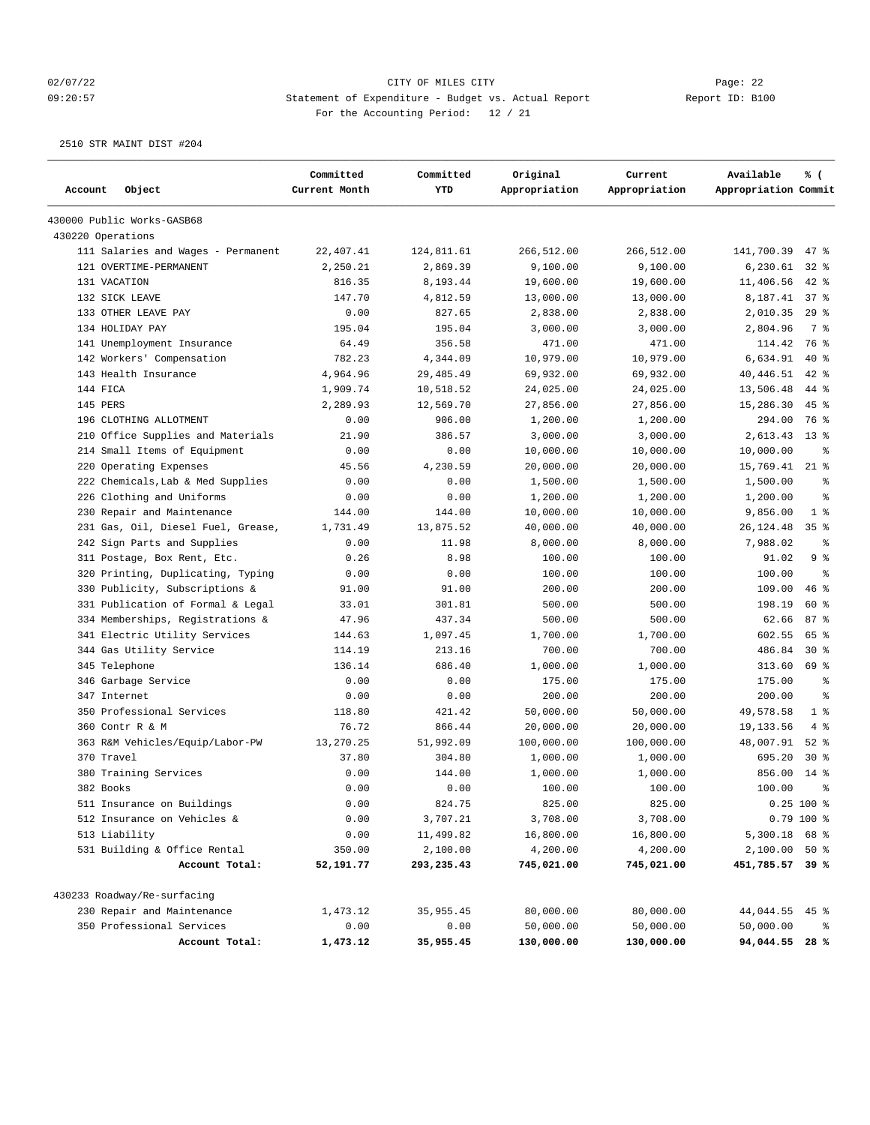## 02/07/22 Page: 22 09:20:57 Statement of Expenditure - Budget vs. Actual Report Report ID: B100 For the Accounting Period: 12 / 21

2510 STR MAINT DIST #204

| Account<br>Object                  | Committed<br>Current Month | Committed<br>YTD | Original<br>Appropriation | Current<br>Appropriation | Available<br>Appropriation Commit | % (             |
|------------------------------------|----------------------------|------------------|---------------------------|--------------------------|-----------------------------------|-----------------|
| 430000 Public Works-GASB68         |                            |                  |                           |                          |                                   |                 |
| 430220 Operations                  |                            |                  |                           |                          |                                   |                 |
| 111 Salaries and Wages - Permanent | 22,407.41                  | 124,811.61       | 266,512.00                | 266,512.00               | 141,700.39                        | $47$ %          |
| 121 OVERTIME-PERMANENT             | 2,250.21                   | 2,869.39         | 9,100.00                  | 9,100.00                 | 6,230.61                          | $32*$           |
| 131 VACATION                       | 816.35                     | 8,193.44         | 19,600.00                 | 19,600.00                | 11,406.56                         | $42$ %          |
| 132 SICK LEAVE                     | 147.70                     | 4,812.59         | 13,000.00                 | 13,000.00                | 8,187.41                          | 37%             |
| 133 OTHER LEAVE PAY                | 0.00                       | 827.65           | 2,838.00                  | 2,838.00                 | 2,010.35                          | $29$ %          |
| 134 HOLIDAY PAY                    | 195.04                     | 195.04           | 3,000.00                  | 3,000.00                 | 2,804.96                          | 7 %             |
| 141 Unemployment Insurance         | 64.49                      | 356.58           | 471.00                    | 471.00                   | 114.42                            | 76 %            |
| 142 Workers' Compensation          | 782.23                     | 4,344.09         | 10,979.00                 | 10,979.00                | 6,634.91                          | $40*$           |
| 143 Health Insurance               | 4,964.96                   | 29, 485.49       | 69,932.00                 | 69,932.00                | 40,446.51                         | $42$ %          |
| 144 FICA                           | 1,909.74                   | 10,518.52        | 24,025.00                 | 24,025.00                | 13,506.48                         | 44 %            |
| 145 PERS                           | 2,289.93                   | 12,569.70        | 27,856.00                 | 27,856.00                | 15,286.30                         | $45$ %          |
| 196 CLOTHING ALLOTMENT             | 0.00                       | 906.00           | 1,200.00                  | 1,200.00                 | 294.00                            | 76 %            |
| 210 Office Supplies and Materials  | 21.90                      | 386.57           | 3,000.00                  | 3,000.00                 | 2,613.43                          | $13*$           |
| 214 Small Items of Equipment       | 0.00                       | 0.00             | 10,000.00                 | 10,000.00                | 10,000.00                         | နွ              |
| 220 Operating Expenses             | 45.56                      | 4,230.59         | 20,000.00                 | 20,000.00                | 15,769.41                         | $21$ %          |
| 222 Chemicals, Lab & Med Supplies  | 0.00                       | 0.00             | 1,500.00                  | 1,500.00                 | 1,500.00                          | နွ              |
| 226 Clothing and Uniforms          | 0.00                       | 0.00             | 1,200.00                  | 1,200.00                 | 1,200.00                          | ి               |
| 230 Repair and Maintenance         | 144.00                     | 144.00           | 10,000.00                 | 10,000.00                | 9,856.00                          | 1 <sup>8</sup>  |
| 231 Gas, Oil, Diesel Fuel, Grease, | 1,731.49                   | 13,875.52        | 40,000.00                 | 40,000.00                | 26,124.48                         | 35 <sup>8</sup> |
| 242 Sign Parts and Supplies        | 0.00                       | 11.98            | 8,000.00                  | 8,000.00                 | 7,988.02                          | နွ              |
| 311 Postage, Box Rent, Etc.        | 0.26                       | 8.98             | 100.00                    | 100.00                   | 91.02                             | 9%              |
| 320 Printing, Duplicating, Typing  | 0.00                       | 0.00             | 100.00                    | 100.00                   | 100.00                            | $\approx$       |
| 330 Publicity, Subscriptions &     | 91.00                      | 91.00            | 200.00                    | 200.00                   | 109.00                            | $46$ %          |
| 331 Publication of Formal & Legal  | 33.01                      | 301.81           | 500.00                    | 500.00                   | 198.19                            | 60%             |
| 334 Memberships, Registrations &   | 47.96                      | 437.34           | 500.00                    | 500.00                   | 62.66                             | 87%             |
| 341 Electric Utility Services      | 144.63                     | 1,097.45         | 1,700.00                  | 1,700.00                 | 602.55                            | 65 %            |
| 344 Gas Utility Service            | 114.19                     | 213.16           | 700.00                    | 700.00                   | 486.84                            | $30*$           |
| 345 Telephone                      | 136.14                     | 686.40           | 1,000.00                  | 1,000.00                 | 313.60                            | 69 %            |
| 346 Garbage Service                | 0.00                       | 0.00             | 175.00                    | 175.00                   | 175.00                            | နွ              |
| 347 Internet                       | 0.00                       | 0.00             | 200.00                    | 200.00                   | 200.00                            | နွ              |
| 350 Professional Services          | 118.80                     | 421.42           | 50,000.00                 | 50,000.00                | 49,578.58                         | 1 <sup>8</sup>  |
| 360 Contr R & M                    | 76.72                      | 866.44           | 20,000.00                 | 20,000.00                | 19,133.56                         | 4%              |
| 363 R&M Vehicles/Equip/Labor-PW    | 13,270.25                  | 51,992.09        | 100,000.00                | 100,000.00               | 48,007.91                         | $52$ $%$        |
| 370 Travel                         | 37.80                      | 304.80           | 1,000.00                  | 1,000.00                 | 695.20                            | $30*$           |
| 380 Training Services              | 0.00                       | 144.00           | 1,000.00                  | 1,000.00                 | 856.00                            | $14$ %          |
| 382 Books                          | 0.00                       | 0.00             | 100.00                    | 100.00                   | 100.00                            | 昙               |
| 511 Insurance on Buildings         | 0.00                       | 824.75           | 825.00                    | 825.00                   |                                   | 0.25 100 %      |
| 512 Insurance on Vehicles &        | 0.00                       | 3,707.21         | 3,708.00                  | 3,708.00                 |                                   | $0.79$ 100 %    |
| 513 Liability                      | 0.00                       | 11,499.82        | 16,800.00                 | 16,800.00                | 5,300.18 68 %                     |                 |
| 531 Building & Office Rental       | 350.00                     | 2,100.00         | 4,200.00                  | 4,200.00                 | 2,100.00 50 %                     |                 |
| Account Total:                     | 52,191.77                  | 293,235.43       | 745,021.00                | 745,021.00               | 451,785.57 39 %                   |                 |
| 430233 Roadway/Re-surfacing        |                            |                  |                           |                          |                                   |                 |
| 230 Repair and Maintenance         | 1,473.12                   | 35, 955.45       | 80,000.00                 | 80,000.00                | 44,044.55                         | 45%             |
| 350 Professional Services          | 0.00                       | 0.00             | 50,000.00                 | 50,000.00                | 50,000.00                         | ႜ               |
| Account Total:                     | 1,473.12                   | 35,955.45        | 130,000.00                | 130,000.00               | 94,044.55 28 %                    |                 |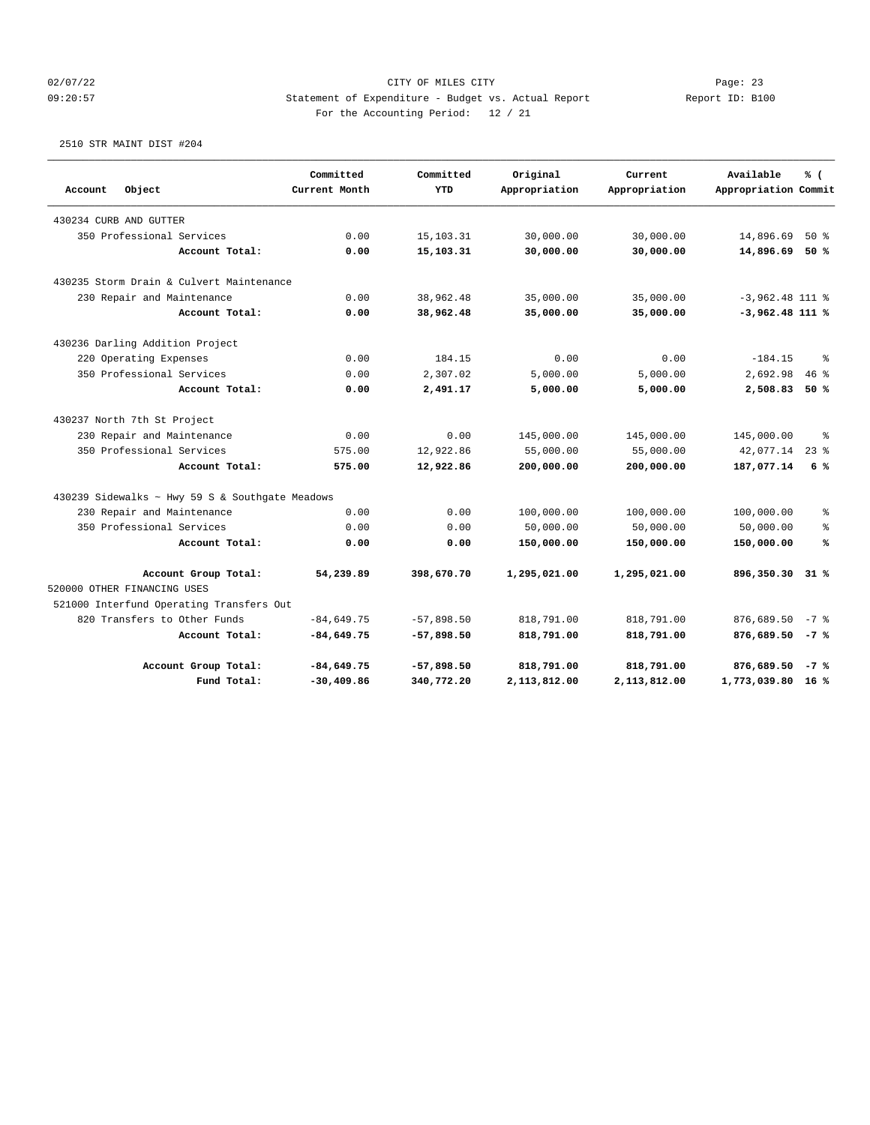## 02/07/22 Page: 23 09:20:57 Statement of Expenditure - Budget vs. Actual Report Report ID: B100 For the Accounting Period: 12 / 21

#### 2510 STR MAINT DIST #204

|         |                                                 | Committed     | Committed    | Original      | Current       | Available            | % (        |
|---------|-------------------------------------------------|---------------|--------------|---------------|---------------|----------------------|------------|
| Account | Object                                          | Current Month | <b>YTD</b>   | Appropriation | Appropriation | Appropriation Commit |            |
|         | 430234 CURB AND GUTTER                          |               |              |               |               |                      |            |
|         | 350 Professional Services                       | 0.00          | 15, 103. 31  | 30,000.00     | 30,000.00     | 14,896.69            | $50*$      |
|         | Account Total:                                  | 0.00          | 15,103.31    | 30,000.00     | 30,000.00     | 14,896.69            | 50%        |
|         | 430235 Storm Drain & Culvert Maintenance        |               |              |               |               |                      |            |
|         | 230 Repair and Maintenance                      | 0.00          | 38,962.48    | 35,000.00     | 35,000.00     | $-3,962.48$ 111 %    |            |
|         | Account Total:                                  | 0.00          | 38,962.48    | 35,000.00     | 35,000.00     | $-3,962.48$ 111 %    |            |
|         | 430236 Darling Addition Project                 |               |              |               |               |                      |            |
|         | 220 Operating Expenses                          | 0.00          | 184.15       | 0.00          | 0.00          | $-184.15$            | $\approx$  |
|         | 350 Professional Services                       | 0.00          | 2,307.02     | 5,000.00      | 5,000.00      | 2,692.98             | 46%        |
|         | Account Total:                                  | 0.00          | 2,491.17     | 5,000.00      | 5,000.00      | 2,508.83             | 50%        |
|         | 430237 North 7th St Project                     |               |              |               |               |                      |            |
|         | 230 Repair and Maintenance                      | 0.00          | 0.00         | 145,000.00    | 145,000.00    | 145,000.00           | နွ         |
|         | 350 Professional Services                       | 575.00        | 12,922.86    | 55,000.00     | 55,000.00     | 42,077.14            | $23$ %     |
|         | Account Total:                                  | 575.00        | 12,922.86    | 200,000.00    | 200,000.00    | 187,077.14           | 6%         |
|         | 430239 Sidewalks ~ Hwy 59 S & Southgate Meadows |               |              |               |               |                      |            |
|         | 230 Repair and Maintenance                      | 0.00          | 0.00         | 100,000.00    | 100,000.00    | 100,000.00           | နွ         |
|         | 350 Professional Services                       | 0.00          | 0.00         | 50,000.00     | 50,000.00     | 50,000.00            | $\epsilon$ |
|         | Account Total:                                  | 0.00          | 0.00         | 150,000.00    | 150,000.00    | 150,000.00           | ℁          |
|         | Account Group Total:                            | 54,239.89     | 398,670.70   | 1,295,021.00  | 1,295,021.00  | 896,350.30           | $31*$      |
|         | 520000 OTHER FINANCING USES                     |               |              |               |               |                      |            |
|         | 521000 Interfund Operating Transfers Out        |               |              |               |               |                      |            |
|         | 820 Transfers to Other Funds                    | $-84,649.75$  | $-57,898.50$ | 818,791.00    | 818,791.00    | 876,689.50           | $-7$ %     |
|         | Account Total:                                  | $-84,649.75$  | $-57,898.50$ | 818,791.00    | 818,791.00    | $876,689.50 - 7$ %   |            |
|         | Account Group Total:                            | $-84,649.75$  | $-57,898.50$ | 818,791.00    | 818,791.00    | 876,689.50           | $-7$ %     |
|         | Fund Total:                                     | $-30, 409.86$ | 340,772.20   | 2,113,812.00  | 2,113,812.00  | 1,773,039.80 16 %    |            |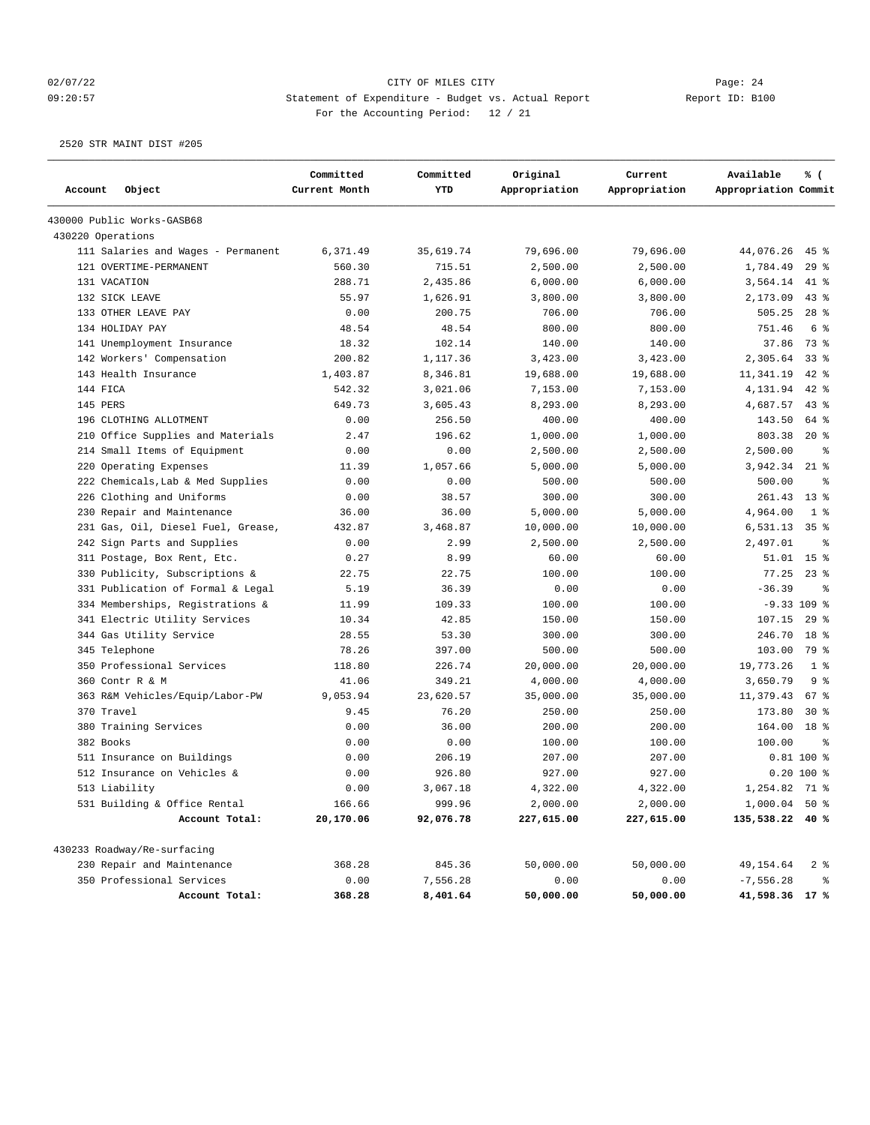## 02/07/22 Page: 24 09:20:57 Statement of Expenditure - Budget vs. Actual Report Report ID: B100 For the Accounting Period: 12 / 21

2520 STR MAINT DIST #205

|                   |                                    | Committed     | Committed | Original      | Current       | Available            | % (             |
|-------------------|------------------------------------|---------------|-----------|---------------|---------------|----------------------|-----------------|
| Account           | Object                             | Current Month | YTD       | Appropriation | Appropriation | Appropriation Commit |                 |
|                   | 430000 Public Works-GASB68         |               |           |               |               |                      |                 |
| 430220 Operations |                                    |               |           |               |               |                      |                 |
|                   | 111 Salaries and Wages - Permanent | 6,371.49      | 35,619.74 | 79,696.00     | 79,696.00     | 44,076.26            | $45$ %          |
|                   | 121 OVERTIME-PERMANENT             | 560.30        | 715.51    | 2,500.00      | 2,500.00      | 1,784.49             | $29$ %          |
|                   | 131 VACATION                       | 288.71        | 2,435.86  | 6,000.00      | 6,000.00      | 3,564.14             | 41 %            |
|                   | 132 SICK LEAVE                     | 55.97         | 1,626.91  | 3,800.00      | 3,800.00      | 2,173.09             | $43$ %          |
|                   | 133 OTHER LEAVE PAY                | 0.00          | 200.75    | 706.00        | 706.00        | 505.25               | $28$ $%$        |
|                   | 134 HOLIDAY PAY                    | 48.54         | 48.54     | 800.00        | 800.00        | 751.46               | 6 %             |
|                   | 141 Unemployment Insurance         | 18.32         | 102.14    | 140.00        | 140.00        | 37.86                | 73 %            |
|                   | 142 Workers' Compensation          | 200.82        | 1,117.36  | 3,423.00      | 3,423.00      | 2,305.64             | $33$ $%$        |
|                   | 143 Health Insurance               | 1,403.87      | 8,346.81  | 19,688.00     | 19,688.00     | 11,341.19            | $42$ %          |
| 144 FICA          |                                    | 542.32        | 3,021.06  | 7,153.00      | 7,153.00      | 4,131.94             | $42$ %          |
| 145 PERS          |                                    | 649.73        | 3,605.43  | 8,293.00      | 8,293.00      | 4,687.57             | $43$ $%$        |
|                   | 196 CLOTHING ALLOTMENT             | 0.00          | 256.50    | 400.00        | 400.00        | 143.50               | 64 %            |
| 210               | Office Supplies and Materials      | 2.47          | 196.62    | 1,000.00      | 1,000.00      | 803.38               | $20*$           |
|                   | 214 Small Items of Equipment       | 0.00          | 0.00      | 2,500.00      | 2,500.00      | 2,500.00             | နွ              |
|                   | 220 Operating Expenses             | 11.39         | 1,057.66  | 5,000.00      | 5,000.00      | 3,942.34             | $21$ %          |
|                   | 222 Chemicals, Lab & Med Supplies  | 0.00          | 0.00      | 500.00        | 500.00        | 500.00               | နွ              |
| 226               | Clothing and Uniforms              | 0.00          | 38.57     | 300.00        | 300.00        | 261.43               | $13*$           |
| 230               | Repair and Maintenance             | 36.00         | 36.00     | 5,000.00      | 5,000.00      | 4,964.00             | 1 <sup>8</sup>  |
|                   | 231 Gas, Oil, Diesel Fuel, Grease, | 432.87        | 3,468.87  | 10,000.00     | 10,000.00     | 6,531.13             | 35 <sup>8</sup> |
|                   | 242 Sign Parts and Supplies        | 0.00          | 2.99      | 2,500.00      | 2,500.00      | 2,497.01             | နွ              |
|                   | 311 Postage, Box Rent, Etc.        | 0.27          | 8.99      | 60.00         | 60.00         | 51.01                | 15 <sup>8</sup> |
|                   | 330 Publicity, Subscriptions &     | 22.75         | 22.75     | 100.00        | 100.00        | 77.25                | $23$ $%$        |
|                   | 331 Publication of Formal & Legal  | 5.19          | 36.39     | 0.00          | 0.00          | $-36.39$             | နွ              |
|                   | 334 Memberships, Registrations &   | 11.99         | 109.33    | 100.00        | 100.00        |                      | $-9.33109$ %    |
|                   | 341 Electric Utility Services      | 10.34         | 42.85     | 150.00        | 150.00        | 107.15               | $29$ %          |
|                   | 344 Gas Utility Service            | 28.55         | 53.30     | 300.00        | 300.00        | 246.70               | 18 <sup>8</sup> |
|                   | 345 Telephone                      | 78.26         | 397.00    | 500.00        | 500.00        | 103.00               | 79 %            |
|                   | 350 Professional Services          | 118.80        | 226.74    | 20,000.00     | 20,000.00     | 19,773.26            | 1 <sup>8</sup>  |
|                   | 360 Contr R & M                    | 41.06         | 349.21    | 4,000.00      | 4,000.00      | 3,650.79             | 9 <sup>8</sup>  |
|                   | 363 R&M Vehicles/Equip/Labor-PW    | 9,053.94      | 23,620.57 | 35,000.00     | 35,000.00     | 11,379.43            | 67 %            |
| 370 Travel        |                                    | 9.45          | 76.20     | 250.00        | 250.00        | 173.80               | $30*$           |
|                   | 380 Training Services              | 0.00          | 36.00     | 200.00        | 200.00        | 164.00               | 18 %            |
| 382 Books         |                                    | 0.00          | 0.00      | 100.00        | 100.00        | 100.00               | နွ              |
|                   | 511 Insurance on Buildings         | 0.00          | 206.19    | 207.00        | 207.00        |                      | $0.81$ 100 %    |
|                   | 512 Insurance on Vehicles &        | 0.00          | 926.80    | 927.00        | 927.00        |                      | $0.20 100$ %    |
|                   | 513 Liability                      | 0.00          | 3,067.18  | 4,322.00      | 4,322.00      | 1,254.82 71 %        |                 |
|                   | 531 Building & Office Rental       | 166.66        | 999.96    | 2,000.00      | 2,000.00      | 1,000.04 50 %        |                 |
|                   | Account Total:                     | 20,170.06     | 92,076.78 | 227,615.00    | 227,615.00    | 135,538.22 40 %      |                 |
|                   | 430233 Roadway/Re-surfacing        |               |           |               |               |                      |                 |
|                   | 230 Repair and Maintenance         | 368.28        | 845.36    | 50,000.00     | 50,000.00     | 49,154.64            | 2 <sup>8</sup>  |
|                   | 350 Professional Services          | 0.00          | 7,556.28  | 0.00          | 0.00          | $-7,556.28$          | နွ              |
|                   | Account Total:                     | 368.28        | 8,401.64  | 50,000.00     | 50,000.00     | 41,598.36 17 %       |                 |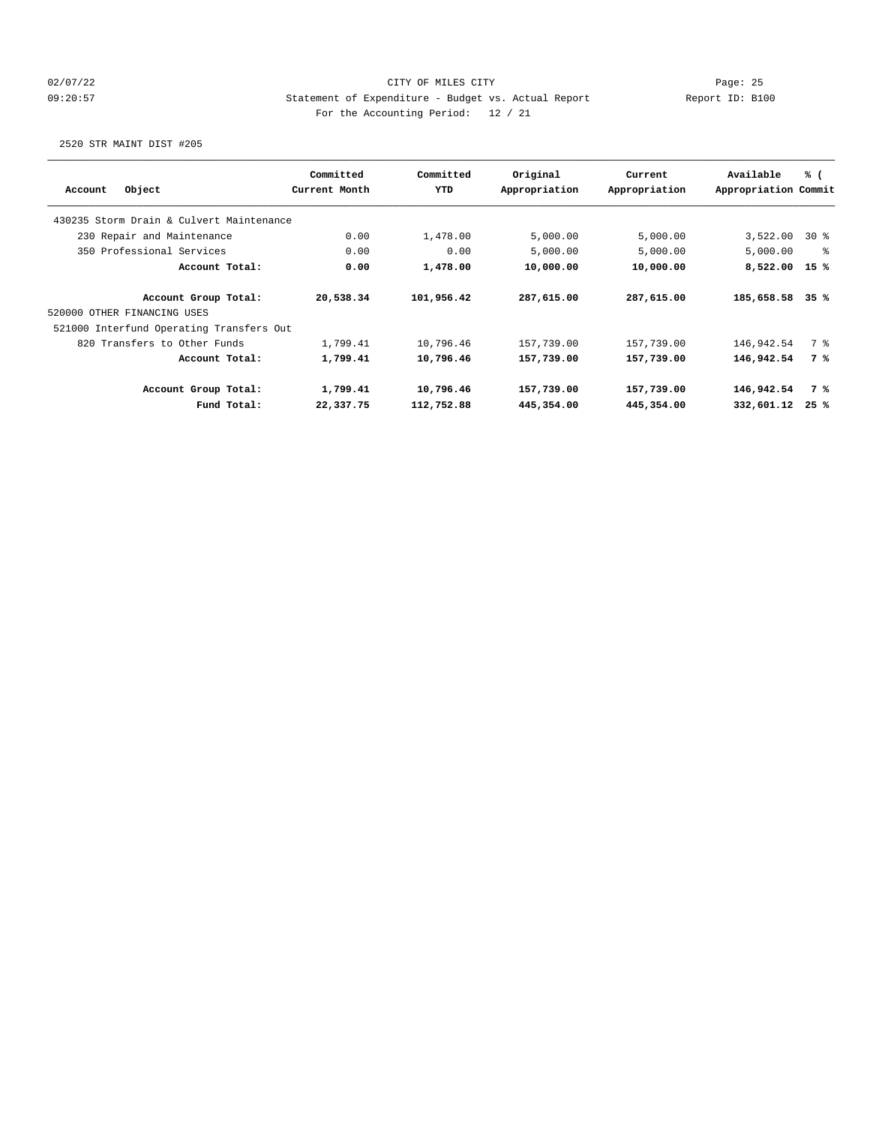## 02/07/22 Page: 25 09:20:57 Statement of Expenditure - Budget vs. Actual Report Report ID: B100 For the Accounting Period: 12 / 21

2520 STR MAINT DIST #205

| Object<br>Account                        | Committed<br>Current Month | Committed<br><b>YTD</b> | Original<br>Appropriation | Current<br>Appropriation | Available<br>Appropriation Commit | % (   |
|------------------------------------------|----------------------------|-------------------------|---------------------------|--------------------------|-----------------------------------|-------|
|                                          |                            |                         |                           |                          |                                   |       |
| 430235 Storm Drain & Culvert Maintenance |                            |                         |                           |                          |                                   |       |
| 230 Repair and Maintenance               | 0.00                       | 1,478.00                | 5,000.00                  | 5,000.00                 | 3,522.00                          | $30*$ |
| 350 Professional Services                | 0.00                       | 0.00                    | 5,000.00                  | 5,000.00                 | 5,000.00                          | - 옹   |
| Account Total:                           | 0.00                       | 1,478.00                | 10,000.00                 | 10,000.00                | 8,522.00                          | 15 %  |
| Account Group Total:                     | 20,538.34                  | 101,956.42              | 287,615.00                | 287,615.00               | 185,658.58                        | 35%   |
| 520000 OTHER FINANCING USES              |                            |                         |                           |                          |                                   |       |
| 521000 Interfund Operating Transfers Out |                            |                         |                           |                          |                                   |       |
| 820 Transfers to Other Funds             | 1,799.41                   | 10,796.46               | 157,739.00                | 157,739.00               | 146,942.54                        | 7 %   |
| Account Total:                           | 1,799.41                   | 10,796.46               | 157,739.00                | 157,739.00               | 146,942.54                        | 7 %   |
| Account Group Total:                     | 1,799.41                   | 10,796.46               | 157,739.00                | 157,739.00               | 146,942.54                        | 7 %   |
| Fund Total:                              | 22,337.75                  | 112,752.88              | 445,354.00                | 445,354.00               | 332,601.12                        | 25%   |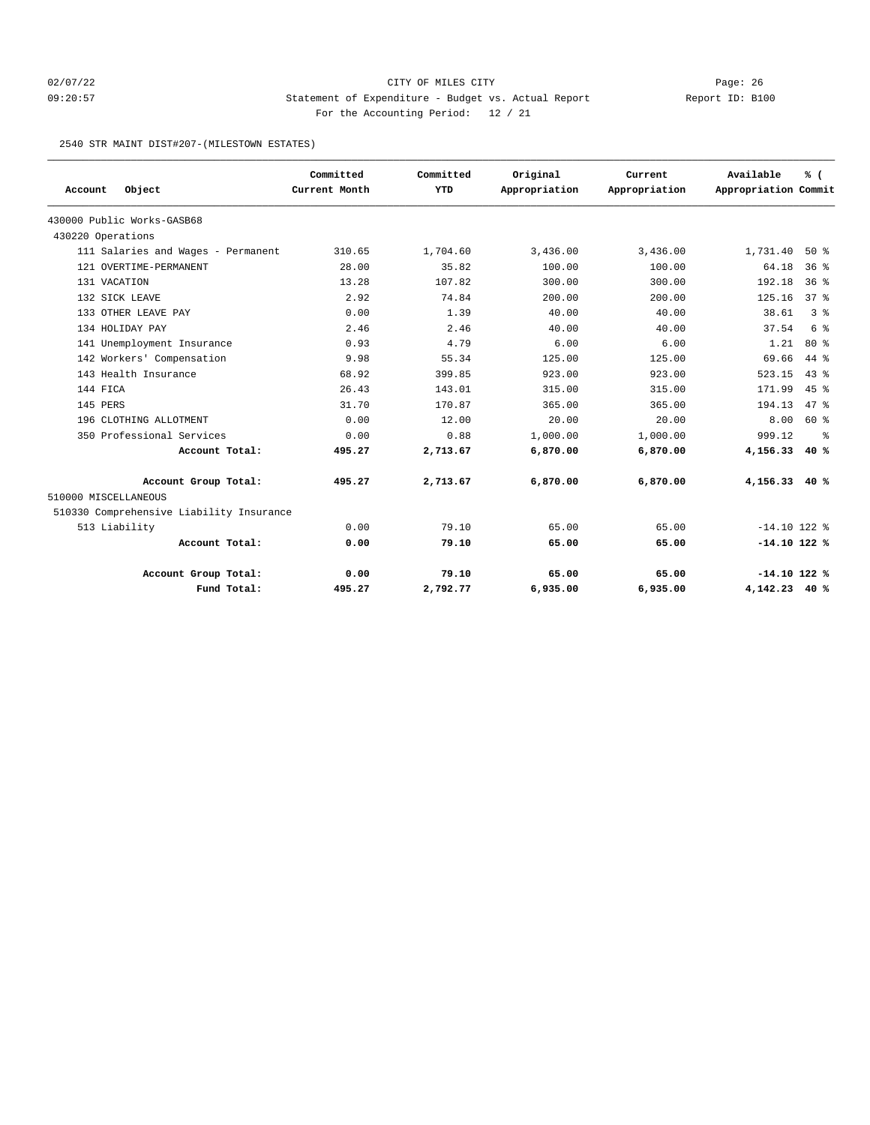## 02/07/22 Page: 26 09:20:57 Statement of Expenditure - Budget vs. Actual Report Report ID: B100 For the Accounting Period: 12 / 21

2540 STR MAINT DIST#207-(MILESTOWN ESTATES)

|                                          | Committed     | Committed  | Original      | Current       | Available            | % (             |
|------------------------------------------|---------------|------------|---------------|---------------|----------------------|-----------------|
| Object<br>Account                        | Current Month | <b>YTD</b> | Appropriation | Appropriation | Appropriation Commit |                 |
| 430000 Public Works-GASB68               |               |            |               |               |                      |                 |
| 430220 Operations                        |               |            |               |               |                      |                 |
| 111 Salaries and Wages - Permanent       | 310.65        | 1,704.60   | 3,436.00      | 3,436.00      | 1,731.40             | 50%             |
| 121 OVERTIME-PERMANENT                   | 28.00         | 35.82      | 100.00        | 100.00        | 64.18                | 36 <sup>8</sup> |
| 131 VACATION                             | 13.28         | 107.82     | 300.00        | 300.00        | 192.18               | 36%             |
| 132 SICK LEAVE                           | 2.92          | 74.84      | 200.00        | 200.00        | 125.16               | 37 <sup>8</sup> |
| 133 OTHER LEAVE PAY                      | 0.00          | 1.39       | 40.00         | 40.00         | 38.61                | 3 <sup>8</sup>  |
| 134 HOLIDAY PAY                          | 2.46          | 2.46       | 40.00         | 40.00         | 37.54                | 6 %             |
| 141 Unemployment Insurance               | 0.93          | 4.79       | 6.00          | 6.00          | 1.21                 | $80*$           |
| 142 Workers' Compensation                | 9.98          | 55.34      | 125.00        | 125.00        | 69.66                | $44*$           |
| 143 Health Insurance                     | 68.92         | 399.85     | 923.00        | 923.00        | 523.15               | $43*$           |
| 144 FICA                                 | 26.43         | 143.01     | 315.00        | 315.00        | 171.99               | $45$ $%$        |
| 145 PERS                                 | 31.70         | 170.87     | 365.00        | 365.00        | 194.13               | 47.8            |
| 196 CLOTHING ALLOTMENT                   | 0.00          | 12.00      | 20.00         | 20.00         | 8.00                 | 60 %            |
| 350 Professional Services                | 0.00          | 0.88       | 1,000.00      | 1,000.00      | 999.12               | ႜ               |
| Account Total:                           | 495.27        | 2,713.67   | 6,870.00      | 6,870.00      | 4,156.33             | 40%             |
| Account Group Total:                     | 495.27        | 2,713.67   | 6,870.00      | 6,870.00      | 4,156.33 40 %        |                 |
| 510000 MISCELLANEOUS                     |               |            |               |               |                      |                 |
| 510330 Comprehensive Liability Insurance |               |            |               |               |                      |                 |
| 513 Liability                            | 0.00          | 79.10      | 65.00         | 65.00         | $-14.10$ 122 %       |                 |
| Account Total:                           | 0.00          | 79.10      | 65.00         | 65.00         | $-14.10$ 122 %       |                 |
| Account Group Total:                     | 0.00          | 79.10      | 65.00         | 65.00         | $-14.10$ 122 %       |                 |
| Fund Total:                              | 495.27        | 2,792.77   | 6,935.00      | 6,935.00      | 4, 142. 23 40 %      |                 |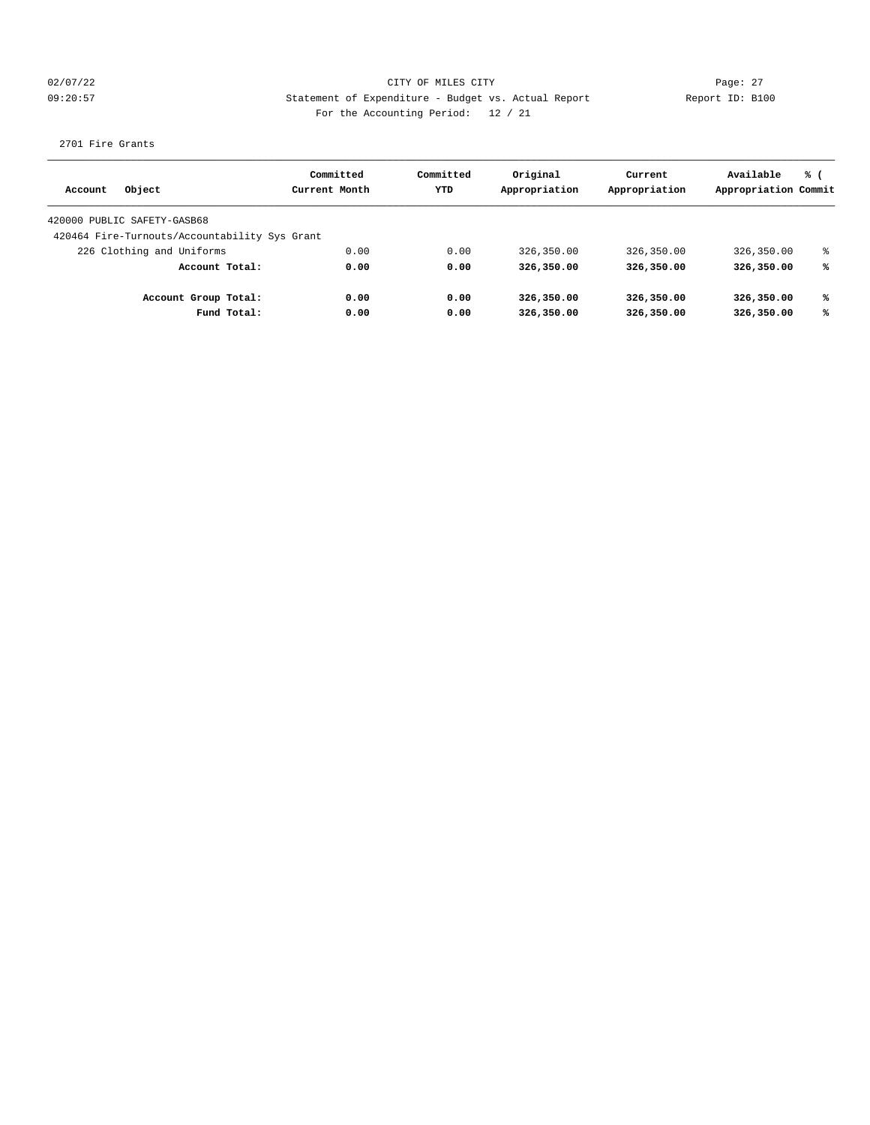02/07/22 Page: 27 09:20:57 Statement of Expenditure - Budget vs. Actual Report Changer Report ID: B100 For the Accounting Period: 12 / 21

2701 Fire Grants

| Object<br>Account                             |                | Committed<br>Current Month | Committed<br>YTD | Original<br>Appropriation | Current<br>Appropriation | Available<br>Appropriation Commit | % ( |
|-----------------------------------------------|----------------|----------------------------|------------------|---------------------------|--------------------------|-----------------------------------|-----|
|                                               |                |                            |                  |                           |                          |                                   |     |
| 420000 PUBLIC SAFETY-GASB68                   |                |                            |                  |                           |                          |                                   |     |
| 420464 Fire-Turnouts/Accountability Sys Grant |                |                            |                  |                           |                          |                                   |     |
| 226 Clothing and Uniforms                     |                | 0.00                       | 0.00             | 326,350.00                | 326,350.00               | 326,350.00                        | °   |
|                                               | Account Total: | 0.00                       | 0.00             | 326,350.00                | 326,350.00               | 326,350.00                        | ℁   |
| Account Group Total:                          |                | 0.00                       | 0.00             | 326,350.00                | 326,350.00               | 326,350.00                        | ℁   |
|                                               | Fund Total:    | 0.00                       | 0.00             | 326,350.00                | 326,350.00               | 326,350.00                        | ℁   |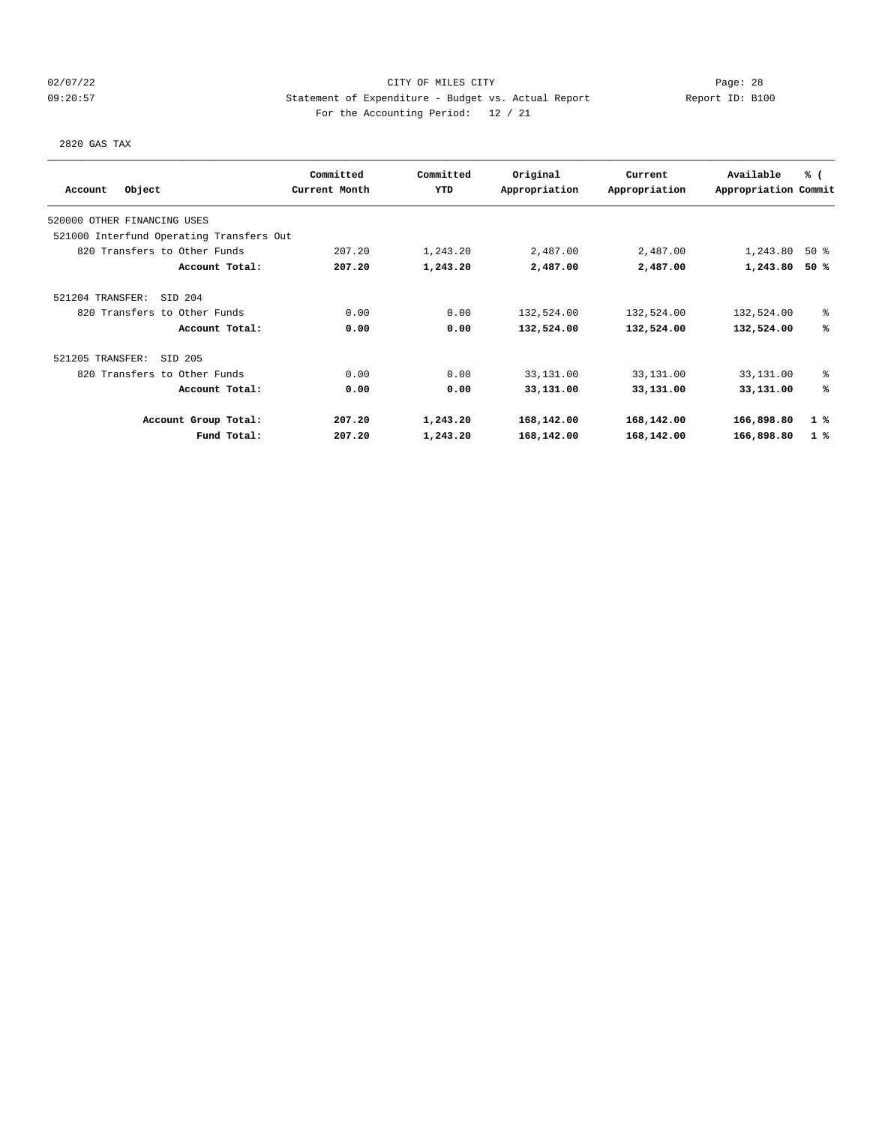## 02/07/22 Page: 28 09:20:57 Statement of Expenditure - Budget vs. Actual Report Changer Report ID: B100 For the Accounting Period: 12 / 21

2820 GAS TAX

|                             |                                          | Committed     | Committed  | Original      | Current       | Available            | % (            |
|-----------------------------|------------------------------------------|---------------|------------|---------------|---------------|----------------------|----------------|
| Account                     | Object                                   | Current Month | <b>YTD</b> | Appropriation | Appropriation | Appropriation Commit |                |
| 520000 OTHER FINANCING USES |                                          |               |            |               |               |                      |                |
|                             | 521000 Interfund Operating Transfers Out |               |            |               |               |                      |                |
|                             | 820 Transfers to Other Funds             | 207.20        | 1,243.20   | 2,487.00      | 2,487.00      | 1,243.80             | 50%            |
|                             | Account Total:                           | 207.20        | 1,243.20   | 2,487.00      | 2,487.00      | 1,243.80             | 50%            |
| 521204 TRANSFER:            | SID 204                                  |               |            |               |               |                      |                |
|                             | 820 Transfers to Other Funds             | 0.00          | 0.00       | 132,524.00    | 132,524.00    | 132,524.00           | နွ             |
|                             | Account Total:                           | 0.00          | 0.00       | 132,524.00    | 132,524.00    | 132,524.00           | ℁              |
| 521205 TRANSFER:            | SID 205                                  |               |            |               |               |                      |                |
|                             | 820 Transfers to Other Funds             | 0.00          | 0.00       | 33,131.00     | 33,131.00     | 33,131.00            | နွ             |
|                             | Account Total:                           | 0.00          | 0.00       | 33,131.00     | 33,131.00     | 33,131.00            | ℁              |
|                             | Account Group Total:                     | 207.20        | 1,243.20   | 168,142.00    | 168,142.00    | 166,898.80           | 1%             |
|                             | Fund Total:                              | 207.20        | 1,243.20   | 168,142.00    | 168,142.00    | 166,898.80           | 1 <sup>8</sup> |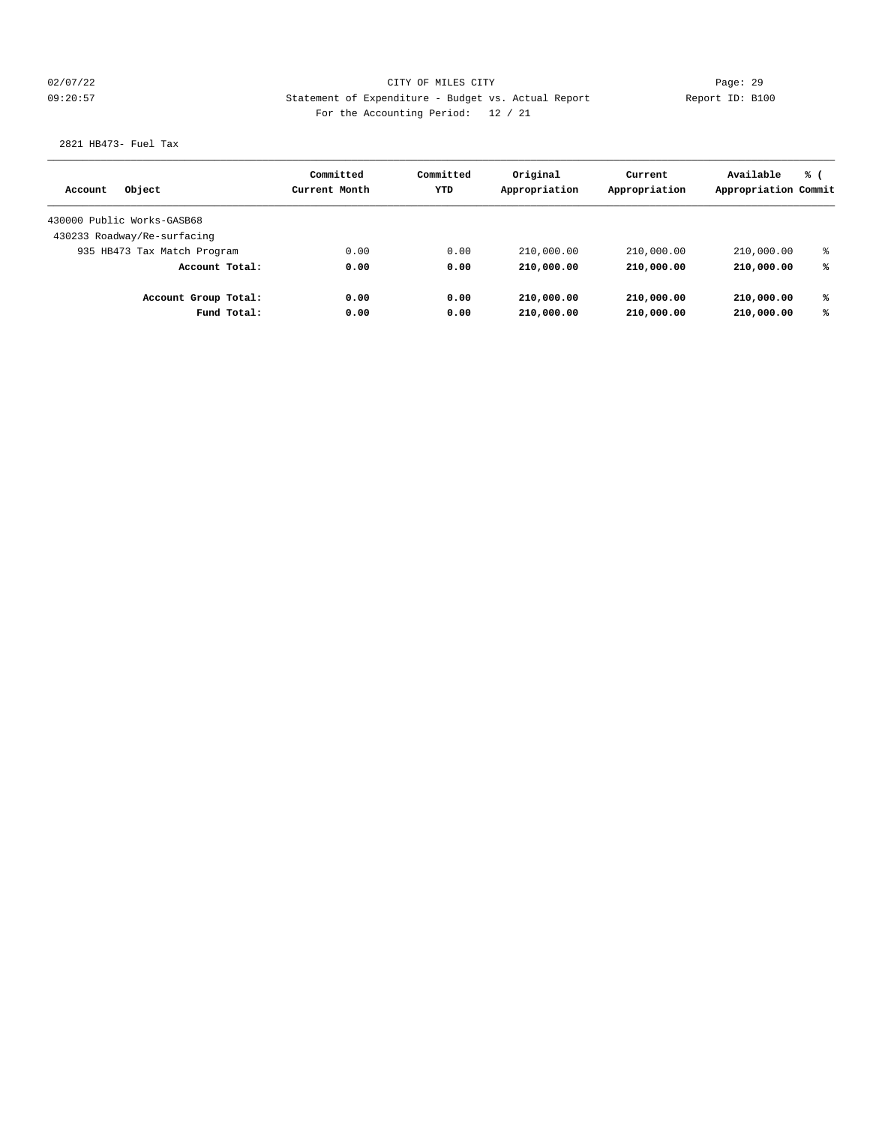## 02/07/22 Page: 29 09:20:57 Statement of Expenditure - Budget vs. Actual Report Report ID: B100 For the Accounting Period: 12 / 21

## 2821 HB473- Fuel Tax

|                             | Committed     | Committed | Original      | Current       | Available            | % ( |
|-----------------------------|---------------|-----------|---------------|---------------|----------------------|-----|
| Object<br>Account           | Current Month | YTD       | Appropriation | Appropriation | Appropriation Commit |     |
| 430000 Public Works-GASB68  |               |           |               |               |                      |     |
| 430233 Roadway/Re-surfacing |               |           |               |               |                      |     |
| 935 HB473 Tax Match Program | 0.00          | 0.00      | 210,000.00    | 210,000.00    | 210,000.00           | နွ  |
| Account Total:              | 0.00          | 0.00      | 210,000.00    | 210,000.00    | 210,000.00           | ℁   |
| Account Group Total:        | 0.00          | 0.00      | 210,000.00    | 210,000.00    | 210,000.00           | ℁   |
| Fund Total:                 | 0.00          | 0.00      | 210,000.00    | 210,000.00    | 210,000.00           | ℁   |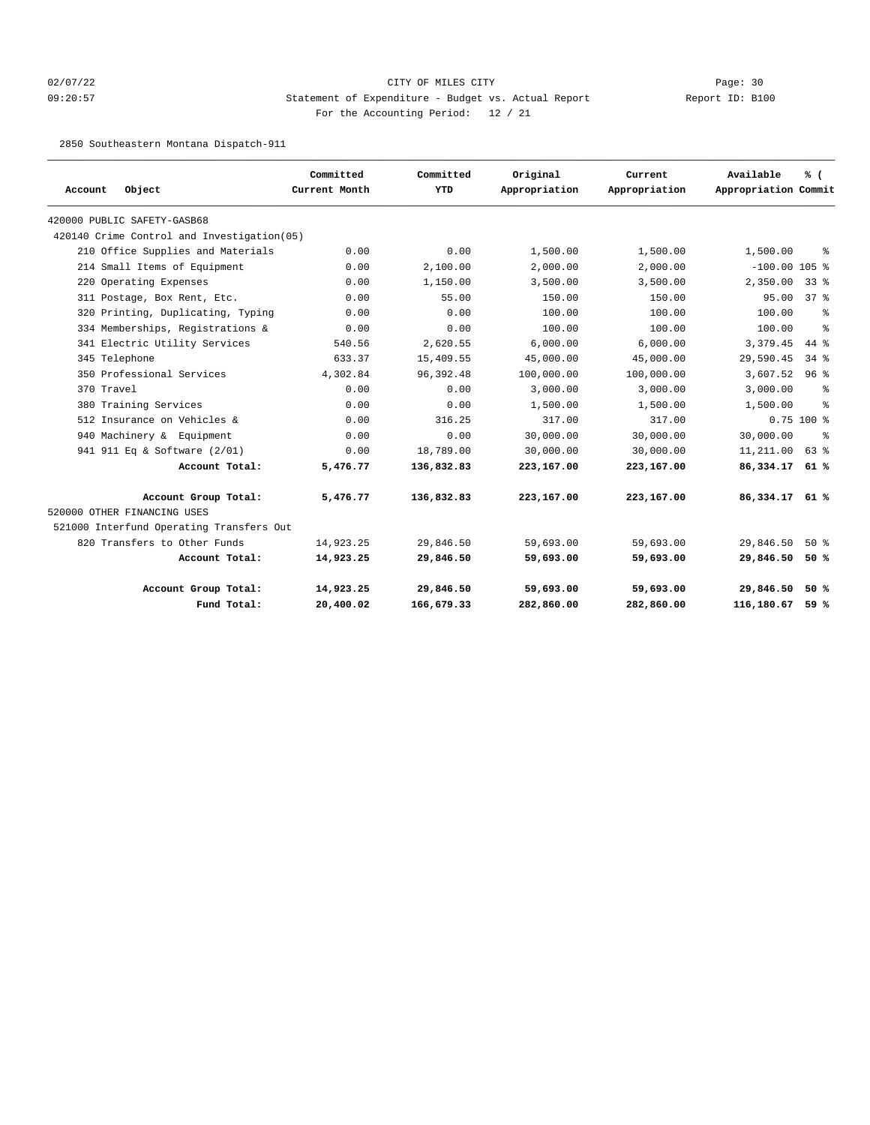## 02/07/22 Page: 30 09:20:57 Statement of Expenditure - Budget vs. Actual Report Changer Report ID: B100 For the Accounting Period: 12 / 21

2850 Southeastern Montana Dispatch-911

|                                             | Committed<br>Current Month | Committed<br><b>YTD</b> | Original<br>Appropriation | Current       | Available<br>Appropriation Commit | % (             |
|---------------------------------------------|----------------------------|-------------------------|---------------------------|---------------|-----------------------------------|-----------------|
| Object<br>Account                           |                            |                         |                           | Appropriation |                                   |                 |
| 420000 PUBLIC SAFETY-GASB68                 |                            |                         |                           |               |                                   |                 |
| 420140 Crime Control and Investigation (05) |                            |                         |                           |               |                                   |                 |
| 210 Office Supplies and Materials           | 0.00                       | 0.00                    | 1,500.00                  | 1,500.00      | 1,500.00                          | ႜ               |
| 214 Small Items of Equipment                | 0.00                       | 2,100.00                | 2,000.00                  | 2,000.00      | $-100.00$ 105 %                   |                 |
| 220 Operating Expenses                      | 0.00                       | 1,150.00                | 3,500.00                  | 3,500.00      | 2,350.00                          | $33*$           |
| 311 Postage, Box Rent, Etc.                 | 0.00                       | 55.00                   | 150.00                    | 150.00        | 95.00                             | 37 <sup>8</sup> |
| 320 Printing, Duplicating, Typing           | 0.00                       | 0.00                    | 100.00                    | 100.00        | 100.00                            | နွ              |
| 334 Memberships, Registrations &            | 0.00                       | 0.00                    | 100.00                    | 100.00        | 100.00                            | ್ಠಿ             |
| 341 Electric Utility Services               | 540.56                     | 2,620.55                | 6,000.00                  | 6,000.00      | 3,379.45                          | 44 %            |
| 345 Telephone                               | 633.37                     | 15,409.55               | 45,000.00                 | 45,000.00     | 29,590.45                         | $34$ $8$        |
| 350 Professional Services                   | 4,302.84                   | 96, 392.48              | 100,000.00                | 100,000.00    | 3,607.52                          | 96%             |
| 370 Travel                                  | 0.00                       | 0.00                    | 3,000.00                  | 3,000.00      | 3,000.00                          | ႜ               |
| 380 Training Services                       | 0.00                       | 0.00                    | 1,500.00                  | 1,500.00      | 1,500.00                          | န္              |
| 512 Insurance on Vehicles &                 | 0.00                       | 316.25                  | 317.00                    | 317.00        |                                   | $0.75$ 100 %    |
| 940 Machinery & Equipment                   | 0.00                       | 0.00                    | 30,000.00                 | 30,000.00     | 30,000.00                         | ႜ               |
| 941 911 Eq & Software (2/01)                | 0.00                       | 18,789.00               | 30,000.00                 | 30,000.00     | 11,211.00                         | 63 %            |
| Account Total:                              | 5,476.77                   | 136,832.83              | 223,167.00                | 223,167.00    | 86,334.17 61 %                    |                 |
| Account Group Total:                        | 5,476.77                   | 136,832.83              | 223,167.00                | 223,167.00    | 86,334.17 61 %                    |                 |
| 520000 OTHER FINANCING USES                 |                            |                         |                           |               |                                   |                 |
| 521000 Interfund Operating Transfers Out    |                            |                         |                           |               |                                   |                 |
| 820 Transfers to Other Funds                | 14,923.25                  | 29,846.50               | 59,693.00                 | 59,693.00     | 29,846.50                         | $50*$           |
| Account Total:                              | 14,923.25                  | 29,846.50               | 59,693.00                 | 59,693.00     | 29,846.50 50 %                    |                 |
| Account Group Total:                        | 14,923.25                  | 29,846.50               | 59,693.00                 | 59,693.00     | 29,846.50                         | 50%             |
| Fund Total:                                 | 20,400.02                  | 166,679.33              | 282,860.00                | 282,860.00    | 116,180.67                        | 59 %            |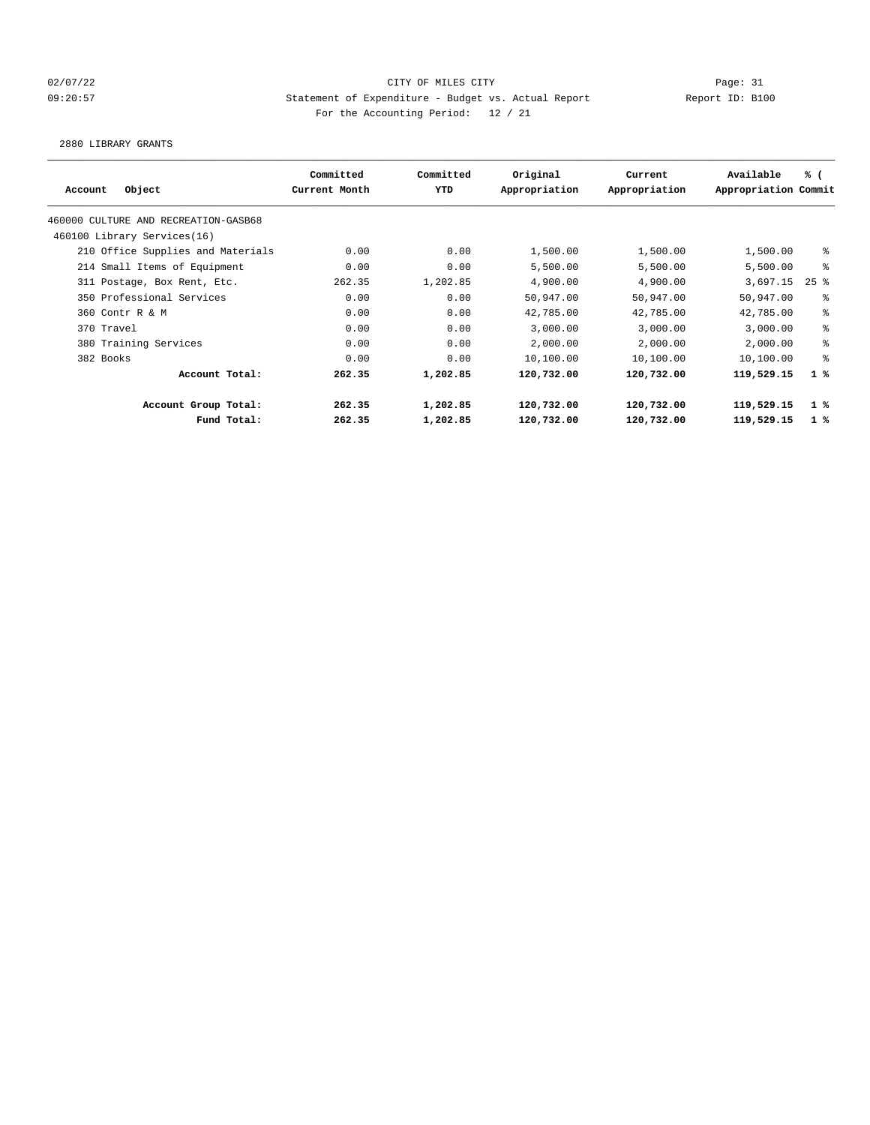## 02/07/22 Page: 31 09:20:57 Statement of Expenditure - Budget vs. Actual Report Changer Report ID: B100 For the Accounting Period: 12 / 21

2880 LIBRARY GRANTS

| Object<br>Account                    | Committed<br>Current Month | Committed<br>YTD | Original<br>Appropriation | Current<br>Appropriation | Available<br>Appropriation Commit | % (         |
|--------------------------------------|----------------------------|------------------|---------------------------|--------------------------|-----------------------------------|-------------|
|                                      |                            |                  |                           |                          |                                   |             |
| 460000 CULTURE AND RECREATION-GASB68 |                            |                  |                           |                          |                                   |             |
| 460100 Library Services(16)          |                            |                  |                           |                          |                                   |             |
| 210 Office Supplies and Materials    | 0.00                       | 0.00             | 1,500.00                  | 1,500.00                 | 1,500.00                          | ႜ           |
| 214 Small Items of Equipment         | 0.00                       | 0.00             | 5,500.00                  | 5,500.00                 | 5,500.00                          | ి           |
| 311 Postage, Box Rent, Etc.          | 262.35                     | 1,202.85         | 4,900.00                  | 4,900.00                 | 3,697.15                          | $25$ $%$    |
| 350 Professional Services            | 0.00                       | 0.00             | 50,947.00                 | 50,947.00                | 50,947.00                         | နွ          |
| 360 Contr R & M                      | 0.00                       | 0.00             | 42,785.00                 | 42,785.00                | 42,785.00                         | ి           |
| 370 Travel                           | 0.00                       | 0.00             | 3,000.00                  | 3,000.00                 | 3,000.00                          | ್ಠಿ         |
| 380 Training Services                | 0.00                       | 0.00             | 2,000.00                  | 2,000.00                 | 2,000.00                          | ್ಠಿ         |
| 382 Books                            | 0.00                       | 0.00             | 10,100.00                 | 10,100.00                | 10,100.00                         | ి           |
| Account Total:                       | 262.35                     | 1,202.85         | 120,732.00                | 120,732.00               | 119,529.15                        | 1%          |
| Account Group Total:                 | 262.35                     | 1,202.85         | 120,732.00                | 120,732.00               | 119,529.15                        | 1 %         |
| Fund Total:                          | 262.35                     | 1,202.85         | 120,732.00                | 120,732.00               | 119,529.15                        | $1 \degree$ |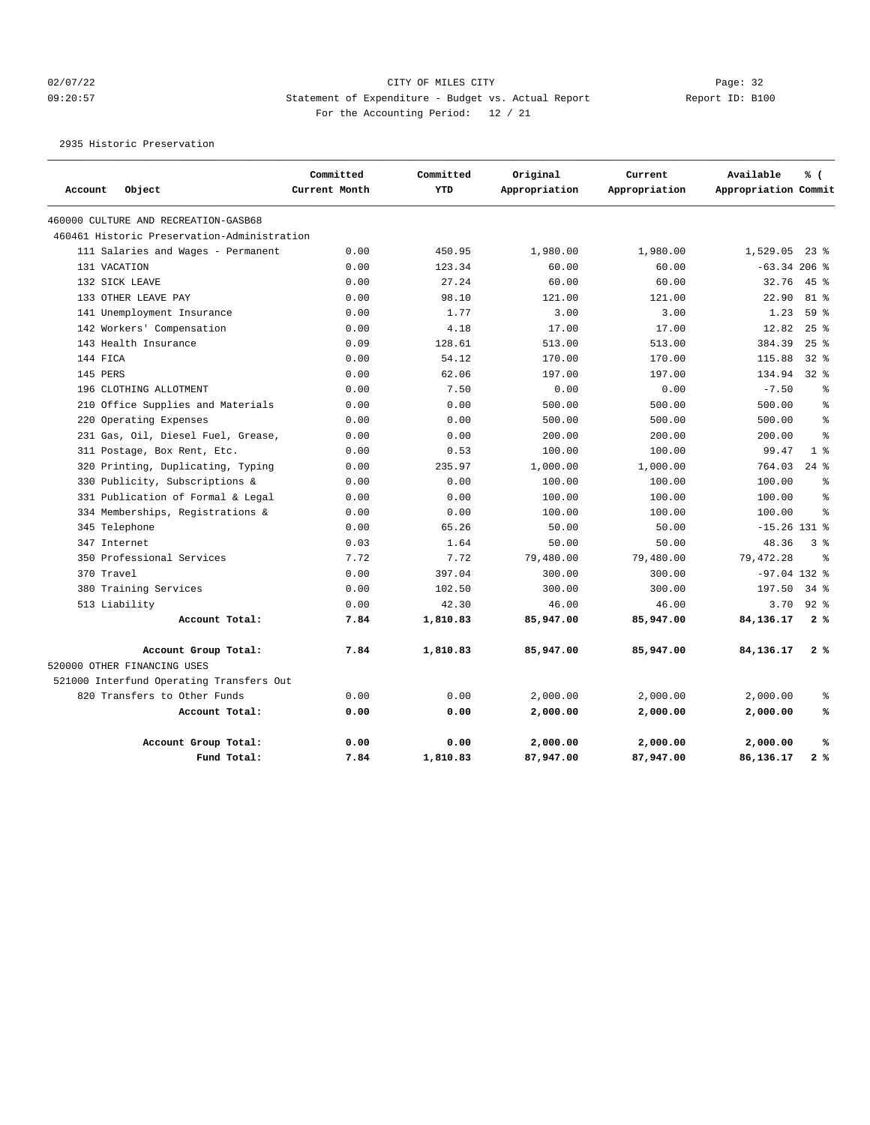## 02/07/22 Page: 32 09:20:57 Statement of Expenditure - Budget vs. Actual Report Changer Report ID: B100 For the Accounting Period: 12 / 21

2935 Historic Preservation

|              |                                             | Committed     | Committed | Original      | Current       | Available            | % (            |
|--------------|---------------------------------------------|---------------|-----------|---------------|---------------|----------------------|----------------|
| Account      | Object                                      | Current Month | YTD       | Appropriation | Appropriation | Appropriation Commit |                |
|              | 460000 CULTURE AND RECREATION-GASB68        |               |           |               |               |                      |                |
|              | 460461 Historic Preservation-Administration |               |           |               |               |                      |                |
|              | 111 Salaries and Wages - Permanent          | 0.00          | 450.95    | 1,980.00      | 1,980.00      | $1,529.05$ 23 %      |                |
| 131 VACATION |                                             | 0.00          | 123.34    | 60.00         | 60.00         | $-63.34$ 206 %       |                |
|              | 132 SICK LEAVE                              | 0.00          | 27.24     | 60.00         | 60.00         | 32.76                | $45$ %         |
|              | 133 OTHER LEAVE PAY                         | 0.00          | 98.10     | 121.00        | 121.00        | 22.90                | 81 %           |
|              | 141 Unemployment Insurance                  | 0.00          | 1.77      | 3.00          | 3.00          | 1.23                 | 59 %           |
|              | 142 Workers' Compensation                   | 0.00          | 4.18      | 17.00         | 17.00         | 12.82                | 25%            |
|              | 143 Health Insurance                        | 0.09          | 128.61    | 513.00        | 513.00        | 384.39               | 25%            |
| 144 FICA     |                                             | 0.00          | 54.12     | 170.00        | 170.00        | 115.88               | $32$ $%$       |
| 145 PERS     |                                             | 0.00          | 62.06     | 197.00        | 197.00        | 134.94               | $32*$          |
|              | 196 CLOTHING ALLOTMENT                      | 0.00          | 7.50      | 0.00          | 0.00          | $-7.50$              | ి              |
| 210          | Office Supplies and Materials               | 0.00          | 0.00      | 500.00        | 500.00        | 500.00               | $\approx$      |
|              | 220 Operating Expenses                      | 0.00          | 0.00      | 500.00        | 500.00        | 500.00               | နွ             |
|              | 231 Gas, Oil, Diesel Fuel, Grease,          | 0.00          | 0.00      | 200.00        | 200.00        | 200.00               | $\approx$      |
|              | 311 Postage, Box Rent, Etc.                 | 0.00          | 0.53      | 100.00        | 100.00        | 99.47                | 1 <sup>8</sup> |
|              | 320 Printing, Duplicating, Typing           | 0.00          | 235.97    | 1,000.00      | 1,000.00      | 764.03               | $24$ %         |
|              | 330 Publicity, Subscriptions &              | 0.00          | 0.00      | 100.00        | 100.00        | 100.00               | $\approx$      |
|              | 331 Publication of Formal & Legal           | 0.00          | 0.00      | 100.00        | 100.00        | 100.00               | $\approx$      |
|              | 334 Memberships, Registrations &            | 0.00          | 0.00      | 100.00        | 100.00        | 100.00               | $\approx$      |
|              | 345 Telephone                               | 0.00          | 65.26     | 50.00         | 50.00         | $-15.26$ 131 %       |                |
| 347 Internet |                                             | 0.03          | 1.64      | 50.00         | 50.00         | 48.36                | 38             |
|              | 350 Professional Services                   | 7.72          | 7.72      | 79,480.00     | 79,480.00     | 79,472.28            | $\approx$      |
| 370 Travel   |                                             | 0.00          | 397.04    | 300.00        | 300.00        | $-97.04$ 132 %       |                |
|              | 380 Training Services                       | 0.00          | 102.50    | 300.00        | 300.00        | 197.50               | 34 %           |
|              | 513 Liability                               | 0.00          | 42.30     | 46.00         | 46.00         | 3.70                 | $92$ $%$       |
|              | Account Total:                              | 7.84          | 1,810.83  | 85,947.00     | 85,947.00     | 84,136.17            | 2%             |
|              | Account Group Total:                        | 7.84          | 1,810.83  | 85,947.00     | 85,947.00     | 84,136.17            | 2%             |
|              | 520000 OTHER FINANCING USES                 |               |           |               |               |                      |                |
|              | 521000 Interfund Operating Transfers Out    |               |           |               |               |                      |                |
|              | 820 Transfers to Other Funds                | 0.00          | 0.00      | 2,000.00      | 2,000.00      | 2,000.00             | ್ಠಿ            |
|              | Account Total:                              | 0.00          | 0.00      | 2,000.00      | 2,000.00      | 2,000.00             | ℁              |
|              | Account Group Total:                        | 0.00          | 0.00      | 2,000.00      | 2,000.00      | 2,000.00             | ℁              |
|              | Fund Total:                                 | 7.84          | 1,810.83  | 87,947.00     | 87,947.00     | 86,136.17            | 2%             |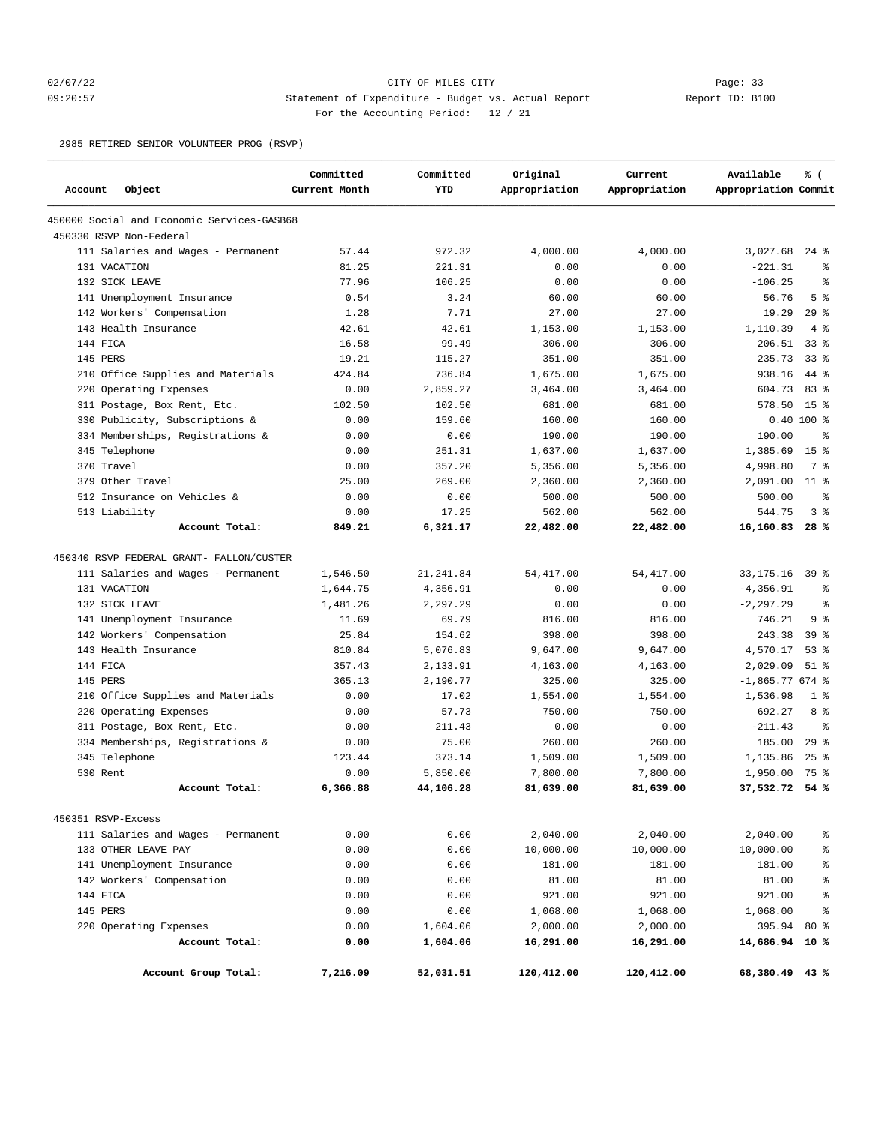## 02/07/22 Page: 33 09:20:57 Statement of Expenditure - Budget vs. Actual Report Report ID: B100 For the Accounting Period: 12 / 21

2985 RETIRED SENIOR VOLUNTEER PROG (RSVP)

| Account<br>Object                          | Committed<br>Current Month | Committed<br><b>YTD</b> | Original<br>Appropriation | Current<br>Appropriation | Available<br>Appropriation Commit | % (             |
|--------------------------------------------|----------------------------|-------------------------|---------------------------|--------------------------|-----------------------------------|-----------------|
| 450000 Social and Economic Services-GASB68 |                            |                         |                           |                          |                                   |                 |
| 450330 RSVP Non-Federal                    |                            |                         |                           |                          |                                   |                 |
| 111 Salaries and Wages - Permanent         | 57.44                      | 972.32                  | 4,000.00                  | 4,000.00                 | 3,027.68                          | $24$ %          |
| 131 VACATION                               | 81.25                      | 221.31                  | 0.00                      | 0.00                     | $-221.31$                         | $\approx$       |
| 132 SICK LEAVE                             | 77.96                      | 106.25                  | 0.00                      | 0.00                     | $-106.25$                         | $\approx$       |
| 141 Unemployment Insurance                 | 0.54                       | 3.24                    | 60.00                     | 60.00                    | 56.76                             | 5 <sup>8</sup>  |
| 142 Workers' Compensation                  | 1.28                       | 7.71                    | 27.00                     | 27.00                    | 19.29                             | 29%             |
| 143 Health Insurance                       | 42.61                      | 42.61                   | 1,153.00                  | 1,153.00                 | 1,110.39                          | 4%              |
| 144 FICA                                   | 16.58                      | 99.49                   | 306.00                    | 306.00                   | 206.51                            | 33 <sup>8</sup> |
| 145 PERS                                   | 19.21                      | 115.27                  | 351.00                    | 351.00                   | 235.73                            | 33 <sup>8</sup> |
| 210 Office Supplies and Materials          | 424.84                     | 736.84                  | 1,675.00                  | 1,675.00                 | 938.16                            | $44*$           |
| 220 Operating Expenses                     | 0.00                       | 2,859.27                | 3,464.00                  | 3,464.00                 | 604.73                            | 83%             |
| 311 Postage, Box Rent, Etc.                | 102.50                     | 102.50                  | 681.00                    | 681.00                   | 578.50                            | 15 <sup>°</sup> |
| Publicity, Subscriptions &<br>330          | 0.00                       | 159.60                  | 160.00                    | 160.00                   |                                   | $0.40 100$ %    |
| 334 Memberships, Registrations &           | 0.00                       | 0.00                    | 190.00                    | 190.00                   | 190.00                            | နွ              |
| 345 Telephone                              | 0.00                       | 251.31                  | 1,637.00                  | 1,637.00                 | 1,385.69                          | 15 <sup>8</sup> |
| 370 Travel                                 | 0.00                       | 357.20                  | 5,356.00                  | 5,356.00                 | 4,998.80                          | 7 %             |
| 379 Other Travel                           | 25.00                      | 269.00                  | 2,360.00                  | 2,360.00                 | 2,091.00                          | $11$ %          |
| 512 Insurance on Vehicles &                | 0.00                       | 0.00                    | 500.00                    | 500.00                   | 500.00                            | နွ              |
| 513 Liability                              | 0.00                       | 17.25                   | 562.00                    | 562.00                   | 544.75                            | 38              |
| Account Total:                             | 849.21                     | 6,321.17                | 22,482.00                 | 22,482.00                | 16,160.83                         | 28%             |
| 450340 RSVP FEDERAL GRANT- FALLON/CUSTER   |                            |                         |                           |                          |                                   |                 |
| 111 Salaries and Wages - Permanent         | 1,546.50                   | 21, 241.84              | 54, 417.00                | 54, 417.00               | 33, 175. 16                       | 39 %            |
| 131 VACATION                               | 1,644.75                   | 4,356.91                | 0.00                      | 0.00                     | $-4, 356.91$                      | ి               |
| 132 SICK LEAVE                             | 1,481.26                   | 2,297.29                | 0.00                      | 0.00                     | $-2, 297.29$                      | နွ              |
| 141 Unemployment Insurance                 | 11.69                      | 69.79                   | 816.00                    | 816.00                   | 746.21                            | 9 <sup>8</sup>  |
| 142 Workers' Compensation                  | 25.84                      | 154.62                  | 398.00                    | 398.00                   | 243.38                            | 39 <sup>8</sup> |
| 143 Health Insurance                       | 810.84                     | 5,076.83                | 9,647.00                  | 9,647.00                 | 4,570.17                          | 53%             |
| 144 FICA                                   | 357.43                     | 2,133.91                | 4,163.00                  | 4,163.00                 | 2,029.09                          | $51$ %          |
| 145 PERS                                   | 365.13                     | 2,190.77                | 325.00                    | 325.00                   | $-1,865.77674$ %                  |                 |
| 210 Office Supplies and Materials          | 0.00                       | 17.02                   | 1,554.00                  | 1,554.00                 | 1,536.98                          | 1 <sup>8</sup>  |
| 220 Operating Expenses                     | 0.00                       | 57.73                   | 750.00                    | 750.00                   | 692.27                            | 8 %             |
| 311 Postage, Box Rent, Etc.                | 0.00                       | 211.43                  | 0.00                      | 0.00                     | $-211.43$                         | $\approx$       |
| 334 Memberships, Registrations &           | 0.00                       | 75.00                   | 260.00                    | 260.00                   | 185.00                            | 29%             |
| 345 Telephone                              | 123.44                     | 373.14                  | 1,509.00                  | 1,509.00                 | 1,135.86                          | $25$ %          |
| 530 Rent                                   | 0.00                       | 5,850.00                | 7,800.00                  | 7,800.00                 | 1,950.00                          | 75 %            |
| Account Total:                             | 6,366.88                   | 44,106.28               | 81,639.00                 | 81,639.00                | 37,532.72                         | 54%             |
| 450351 RSVP-Excess                         |                            |                         |                           |                          |                                   |                 |
| 111 Salaries and Wages - Permanent         | 0.00                       | 0.00                    | 2,040.00                  | 2,040.00                 | 2,040.00                          | $\epsilon$      |
| 133 OTHER LEAVE PAY                        | 0.00                       | 0.00                    |                           |                          |                                   | န္              |
| 141 Unemployment Insurance                 | 0.00                       | 0.00                    | 10,000.00<br>181.00       | 10,000.00<br>181.00      | 10,000.00<br>181.00               | နွ              |
| 142 Workers' Compensation                  | 0.00                       | 0.00                    | 81.00                     | 81.00                    | 81.00                             | ್ಠಿ             |
| 144 FICA                                   | 0.00                       | 0.00                    | 921.00                    | 921.00                   | 921.00                            | ್ಠಿ             |
| 145 PERS                                   | 0.00                       | 0.00                    | 1,068.00                  | 1,068.00                 | 1,068.00                          | $\epsilon$      |
|                                            | 0.00                       | 1,604.06                |                           | 2,000.00                 |                                   |                 |
| 220 Operating Expenses<br>Account Total:   | 0.00                       | 1,604.06                | 2,000.00                  | 16,291.00                | 395.94 80 %<br>14,686.94 10 %     |                 |
|                                            |                            |                         | 16,291.00                 |                          |                                   |                 |
| Account Group Total:                       | 7,216.09                   | 52,031.51               | 120,412.00                | 120,412.00               | 68,380.49 43 %                    |                 |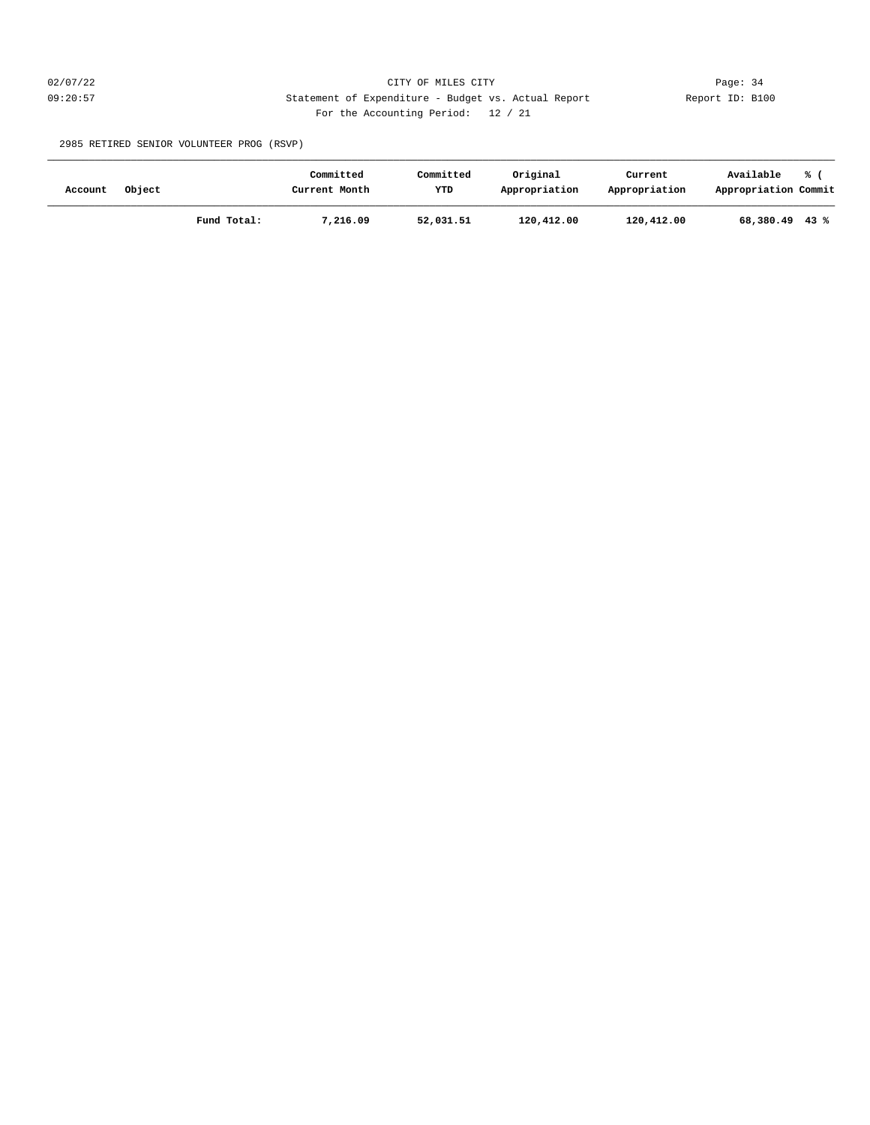## 02/07/22 Page: 34 09:20:57 Statement of Expenditure - Budget vs. Actual Report Report ID: B100 For the Accounting Period: 12 / 21

2985 RETIRED SENIOR VOLUNTEER PROG (RSVP)

| Account | Object |             | Committed<br>Current Month | Committed<br>YTD | Original<br>Appropriation | Current<br>Appropriation | Available<br>Appropriation Commit | ℁ |
|---------|--------|-------------|----------------------------|------------------|---------------------------|--------------------------|-----------------------------------|---|
|         |        | Fund Total: | 7,216.09                   | 52,031.51        | 120,412.00                | 120,412.00               | $68,380.49$ 43 %                  |   |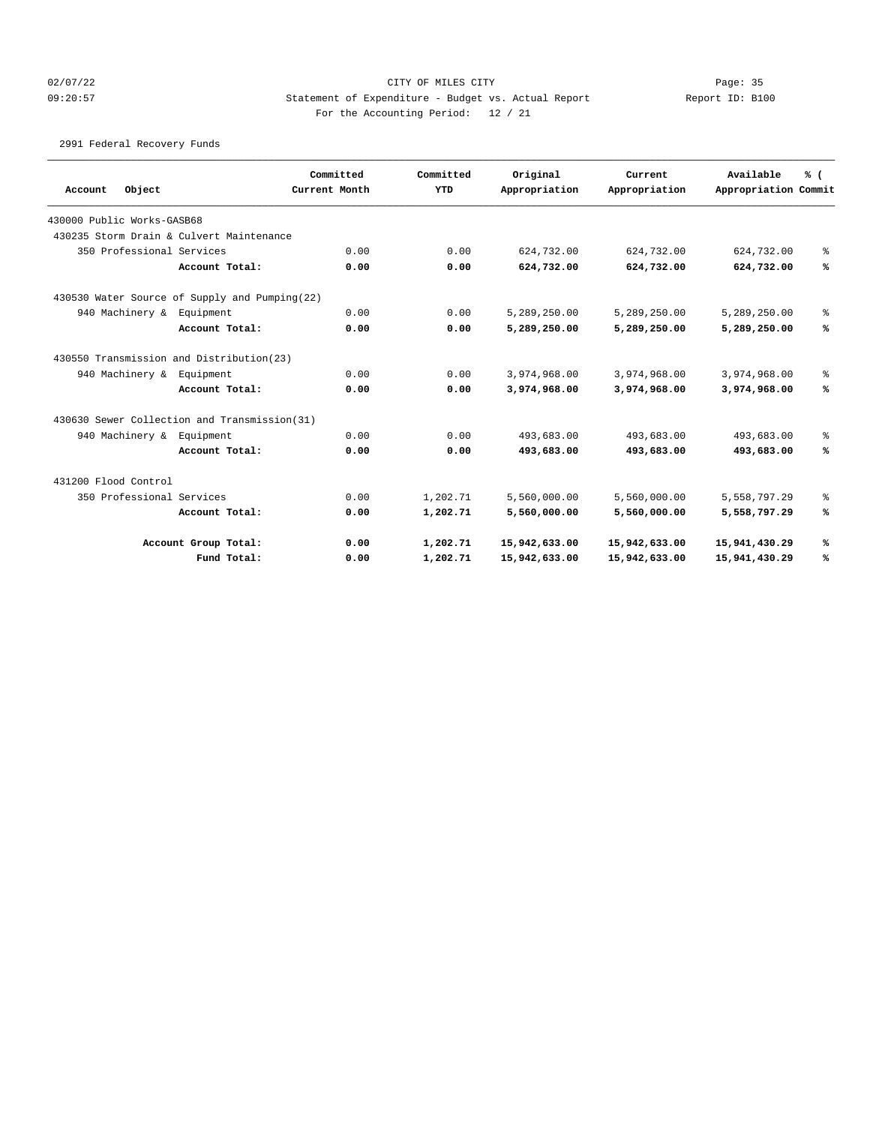## 02/07/22 Page: 35 09:20:57 Statement of Expenditure - Budget vs. Actual Report Changer Report ID: B100 For the Accounting Period: 12 / 21

2991 Federal Recovery Funds

|                                               |                      | Committed     | Committed  | Original      | Current       | Available            | % ( |
|-----------------------------------------------|----------------------|---------------|------------|---------------|---------------|----------------------|-----|
| Object<br>Account                             |                      | Current Month | <b>YTD</b> | Appropriation | Appropriation | Appropriation Commit |     |
| 430000 Public Works-GASB68                    |                      |               |            |               |               |                      |     |
| 430235 Storm Drain & Culvert Maintenance      |                      |               |            |               |               |                      |     |
| 350 Professional Services                     |                      | 0.00          | 0.00       | 624,732.00    | 624,732.00    | 624,732.00           | နွ  |
|                                               | Account Total:       | 0.00          | 0.00       | 624,732.00    | 624,732.00    | 624,732.00           | ℁   |
| 430530 Water Source of Supply and Pumping(22) |                      |               |            |               |               |                      |     |
| 940 Machinery &                               | Equipment            | 0.00          | 0.00       | 5,289,250.00  | 5,289,250.00  | 5,289,250.00         | နွ  |
|                                               | Account Total:       | 0.00          | 0.00       | 5,289,250.00  | 5,289,250.00  | 5,289,250.00         | ℁   |
| 430550 Transmission and Distribution(23)      |                      |               |            |               |               |                      |     |
| 940 Machinery &                               | Equipment            | 0.00          | 0.00       | 3,974,968.00  | 3,974,968.00  | 3,974,968.00         | နွ  |
|                                               | Account Total:       | 0.00          | 0.00       | 3,974,968.00  | 3,974,968.00  | 3,974,968.00         | ℁   |
| 430630 Sewer Collection and Transmission(31)  |                      |               |            |               |               |                      |     |
| 940 Machinery & Equipment                     |                      | 0.00          | 0.00       | 493,683.00    | 493,683.00    | 493,683.00           | る   |
|                                               | Account Total:       | 0.00          | 0.00       | 493,683.00    | 493,683.00    | 493,683.00           | ℁   |
| 431200 Flood Control                          |                      |               |            |               |               |                      |     |
| 350 Professional Services                     |                      | 0.00          | 1,202.71   | 5,560,000.00  | 5,560,000.00  | 5,558,797.29         | နွ  |
|                                               | Account Total:       | 0.00          | 1,202.71   | 5,560,000.00  | 5,560,000.00  | 5,558,797.29         | ℁   |
|                                               | Account Group Total: | 0.00          | 1,202.71   | 15,942,633.00 | 15,942,633.00 | 15,941,430.29        | ℁   |
|                                               | Fund Total:          | 0.00          | 1,202.71   | 15,942,633.00 | 15,942,633.00 | 15,941,430.29        | ℁   |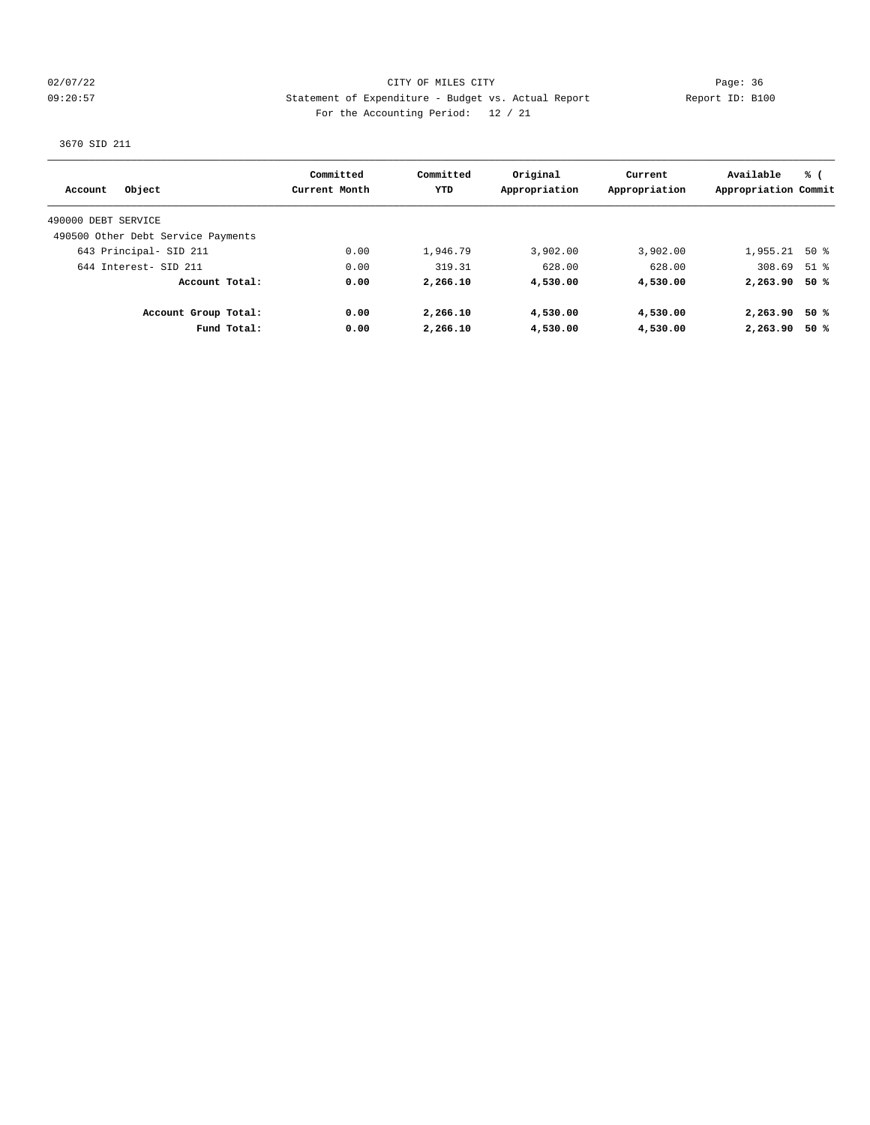02/07/22 Page: 36 09:20:57 Statement of Expenditure - Budget vs. Actual Report Changer Report ID: B100 For the Accounting Period: 12 / 21

3670 SID 211

| Object<br>Account                  | Committed<br>Current Month | Committed<br><b>YTD</b> | Original<br>Appropriation | Current<br>Appropriation | Available<br>Appropriation Commit | % (  |
|------------------------------------|----------------------------|-------------------------|---------------------------|--------------------------|-----------------------------------|------|
|                                    |                            |                         |                           |                          |                                   |      |
| 490000 DEBT SERVICE                |                            |                         |                           |                          |                                   |      |
| 490500 Other Debt Service Payments |                            |                         |                           |                          |                                   |      |
| 643 Principal- SID 211             | 0.00                       | 1,946.79                | 3,902.00                  | 3,902.00                 | $1,955.21$ 50 %                   |      |
| 644 Interest- SID 211              | 0.00                       | 319.31                  | 628.00                    | 628.00                   | $308.69$ 51 %                     |      |
| Account Total:                     | 0.00                       | 2,266.10                | 4,530.00                  | 4,530.00                 | 2,263.90                          | 50 % |
| Account Group Total:               | 0.00                       | 2,266.10                | 4,530.00                  | 4,530.00                 | 2,263.90                          | 50 % |
| Fund Total:                        | 0.00                       | 2,266.10                | 4,530.00                  | 4,530.00                 | 2,263.90                          | 50%  |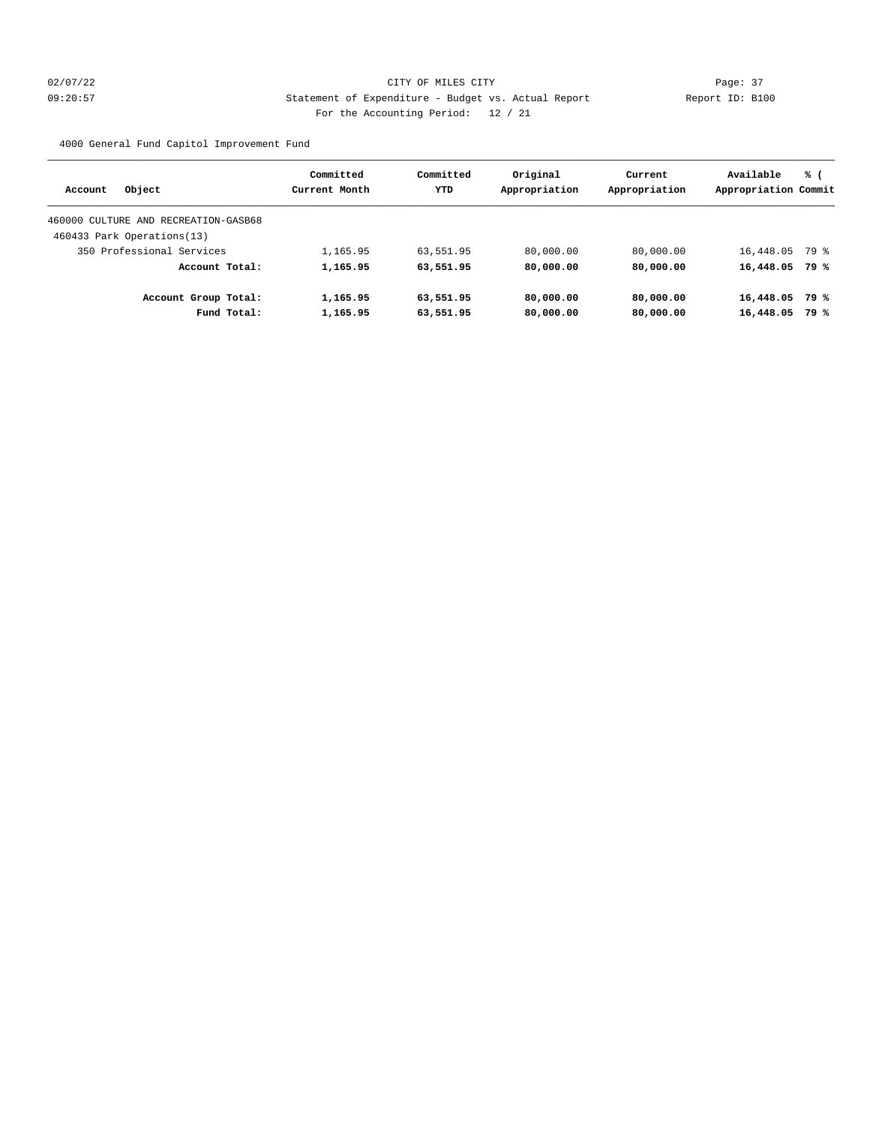## 02/07/22 Page: 37 09:20:57 Statement of Expenditure - Budget vs. Actual Report Changer Report ID: B100 For the Accounting Period: 12 / 21

4000 General Fund Capitol Improvement Fund

| Object<br>Account                    | Committed<br>Current Month | Committed<br>YTD | Original<br>Appropriation | Current<br>Appropriation | Available<br>Appropriation Commit | % (  |
|--------------------------------------|----------------------------|------------------|---------------------------|--------------------------|-----------------------------------|------|
| 460000 CULTURE AND RECREATION-GASB68 |                            |                  |                           |                          |                                   |      |
|                                      |                            |                  |                           |                          |                                   |      |
| 460433 Park Operations(13)           |                            |                  |                           |                          |                                   |      |
| 350 Professional Services            | 1,165.95                   | 63,551.95        | 80,000.00                 | 80,000.00                | 16,448.05                         | 79 % |
| Account Total:                       | 1,165.95                   | 63,551.95        | 80,000,00                 | 80,000,00                | 16,448.05                         | 79 % |
| Account Group Total:                 | 1,165.95                   | 63,551.95        | 80,000.00                 | 80,000.00                | 16,448.05                         | 79 % |
| Fund Total:                          | 1,165.95                   | 63,551.95        | 80,000,00                 | 80,000.00                | 16,448.05                         | 79 % |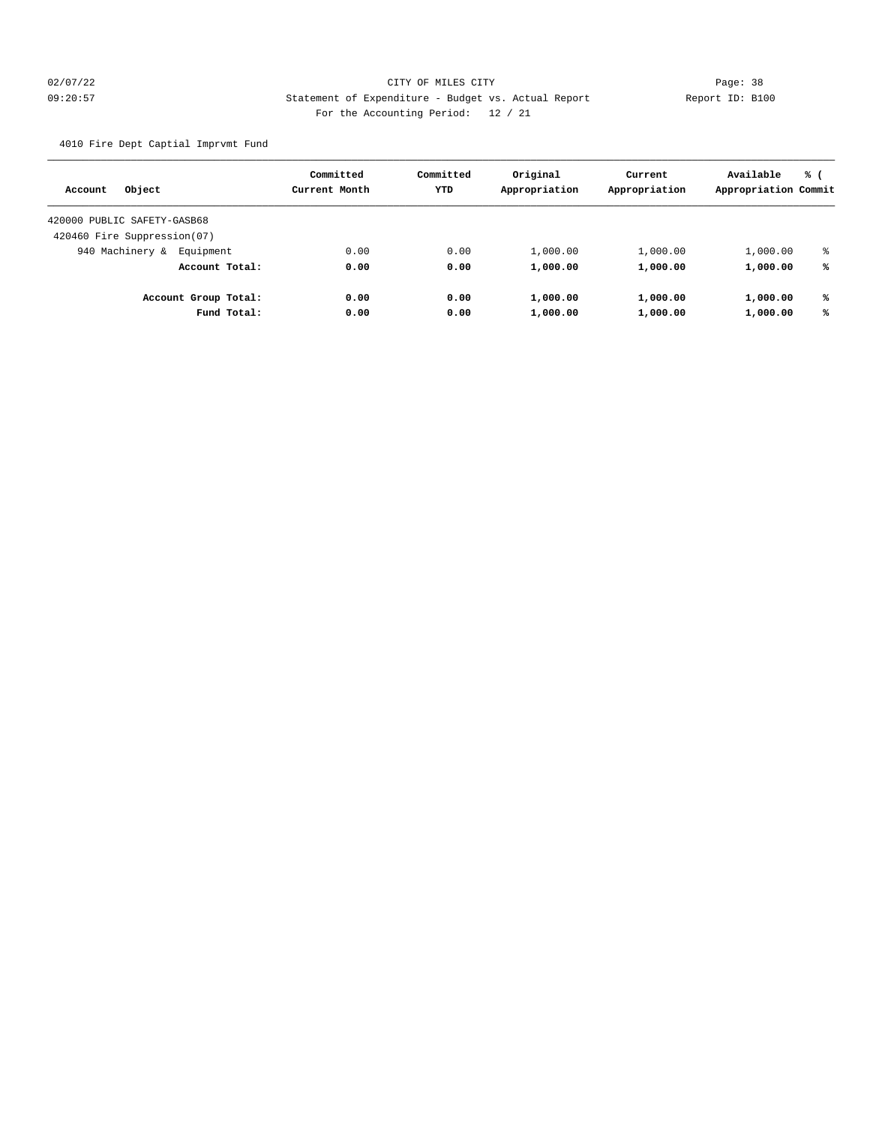## 02/07/22 Page: 38 09:20:57 Statement of Expenditure - Budget vs. Actual Report Changer Report ID: B100 For the Accounting Period: 12 / 21

4010 Fire Dept Captial Imprvmt Fund

| Object<br>Account           |                      | Committed<br>Current Month | Committed<br><b>YTD</b> | Original<br>Appropriation | Current<br>Appropriation | Available<br>Appropriation Commit | % ( |
|-----------------------------|----------------------|----------------------------|-------------------------|---------------------------|--------------------------|-----------------------------------|-----|
| 420000 PUBLIC SAFETY-GASB68 |                      |                            |                         |                           |                          |                                   |     |
| 420460 Fire Suppression(07) |                      |                            |                         |                           |                          |                                   |     |
| 940 Machinery &             | Equipment            | 0.00                       | 0.00                    | 1,000.00                  | 1,000.00                 | 1,000.00                          | ៖   |
|                             | Account Total:       | 0.00                       | 0.00                    | 1,000.00                  | 1,000.00                 | 1,000.00                          | ℁   |
|                             | Account Group Total: | 0.00                       | 0.00                    | 1,000.00                  | 1,000.00                 | 1,000.00                          | ℁   |
|                             | Fund Total:          | 0.00                       | 0.00                    | 1,000.00                  | 1,000.00                 | 1,000.00                          | ℁   |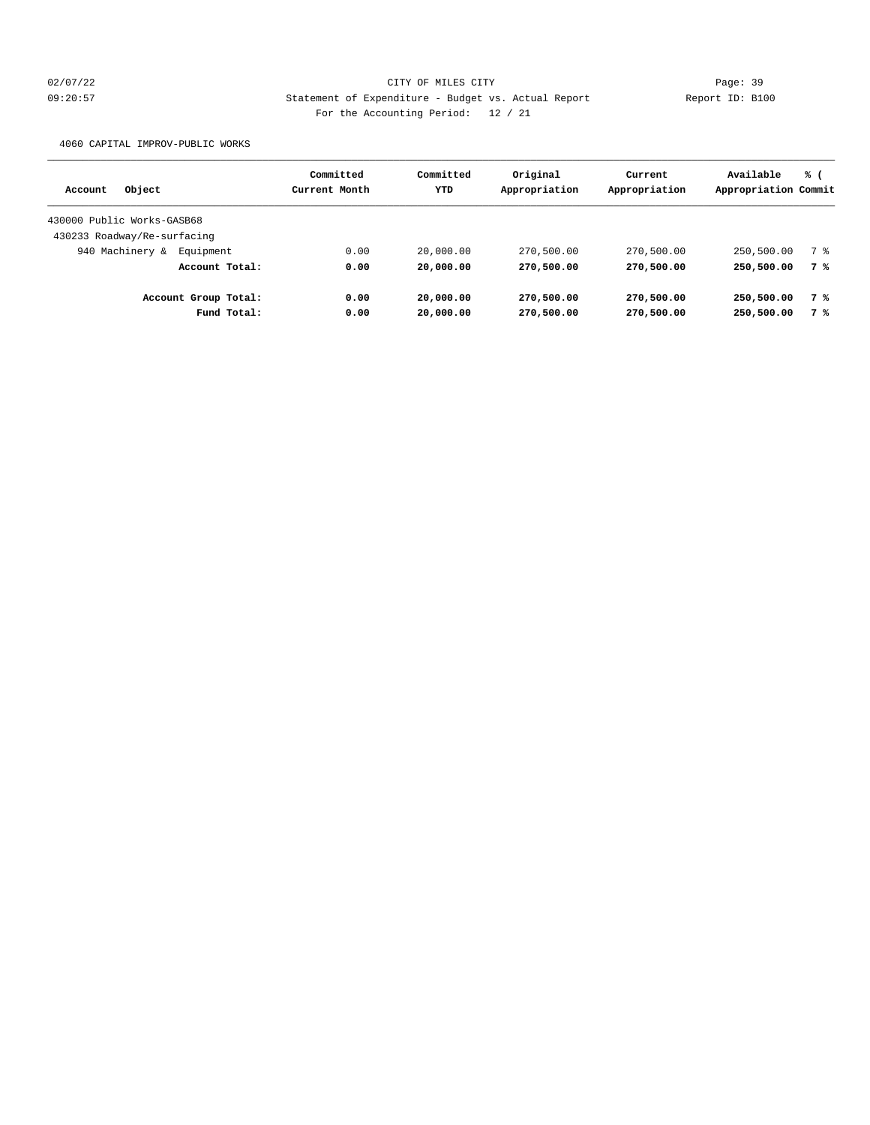## 02/07/22 Page: 39 09:20:57 Statement of Expenditure - Budget vs. Actual Report Report ID: B100 For the Accounting Period: 12 / 21

4060 CAPITAL IMPROV-PUBLIC WORKS

| Object<br>Account            |             | Committed<br>Current Month | Committed<br>YTD | Original<br>Appropriation | Current<br>Appropriation | Available<br>Appropriation Commit | % ( |
|------------------------------|-------------|----------------------------|------------------|---------------------------|--------------------------|-----------------------------------|-----|
| 430000 Public Works-GASB68   |             |                            |                  |                           |                          |                                   |     |
|                              |             |                            |                  |                           |                          |                                   |     |
| 430233 Roadway/Re-surfacing  |             |                            |                  |                           |                          |                                   |     |
| 940 Machinery &<br>Equipment |             | 0.00                       | 20,000.00        | 270,500.00                | 270,500.00               | 250,500.00                        | 7 % |
| Account Total:               |             | 0.00                       | 20,000.00        | 270,500.00                | 270,500.00               | 250,500.00                        | 7 % |
| Account Group Total:         |             | 0.00                       | 20,000.00        | 270,500.00                | 270,500.00               | 250,500.00                        | 7 % |
|                              | Fund Total: | 0.00                       | 20,000.00        | 270,500.00                | 270,500.00               | 250,500.00                        | 7 % |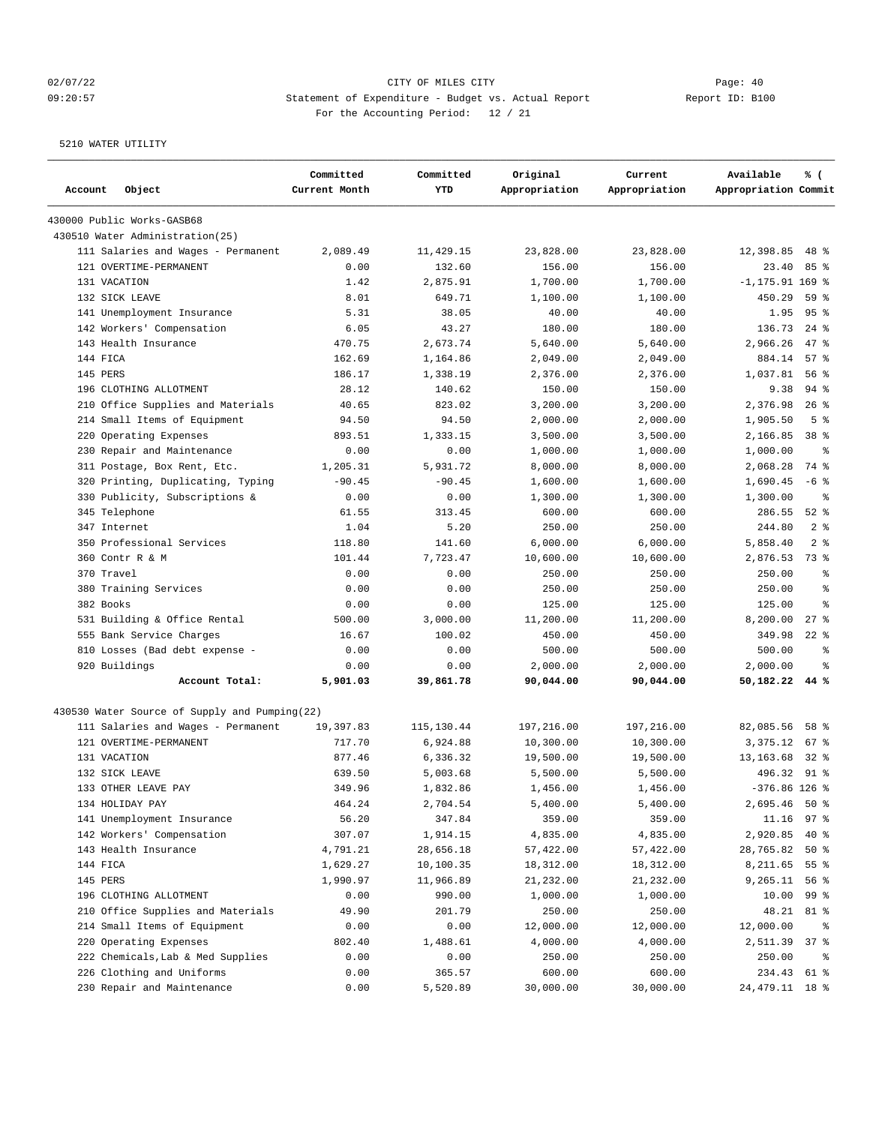## 02/07/22 Page: 40 09:20:57 Statement of Expenditure - Budget vs. Actual Report Report ID: B100 For the Accounting Period: 12 / 21

| Account<br>Object                                                                   | Committed<br>Current Month | Committed<br><b>YTD</b> | Original<br>Appropriation | Current<br>Appropriation | Available<br>Appropriation Commit | % (            |
|-------------------------------------------------------------------------------------|----------------------------|-------------------------|---------------------------|--------------------------|-----------------------------------|----------------|
| 430000 Public Works-GASB68                                                          |                            |                         |                           |                          |                                   |                |
| 430510 Water Administration (25)                                                    |                            |                         |                           |                          |                                   |                |
| 111 Salaries and Wages - Permanent                                                  | 2,089.49                   | 11,429.15               | 23,828.00                 | 23,828.00                | 12,398.85                         | $48*$          |
| 121 OVERTIME-PERMANENT                                                              | 0.00                       | 132.60                  | 156.00                    | 156.00                   | 23.40                             | 85 %           |
| 131 VACATION                                                                        | 1.42                       | 2,875.91                | 1,700.00                  | 1,700.00                 | $-1, 175.91 169$ %                |                |
| 132 SICK LEAVE                                                                      | 8.01                       | 649.71                  | 1,100.00                  | 1,100.00                 | 450.29                            | 59 %           |
| 141 Unemployment Insurance                                                          | 5.31                       | 38.05                   | 40.00                     | 40.00                    | 1.95                              | 95%            |
| 142 Workers' Compensation                                                           | 6.05                       | 43.27                   | 180.00                    | 180.00                   | 136.73                            | $24$ $%$       |
| 143 Health Insurance                                                                | 470.75                     | 2,673.74                | 5,640.00                  | 5,640.00                 | 2,966.26                          | $47$ %         |
| 144 FICA                                                                            | 162.69                     | 1,164.86                | 2,049.00                  | 2,049.00                 | 884.14                            | 57%            |
| 145 PERS                                                                            | 186.17                     | 1,338.19                | 2,376.00                  | 2,376.00                 | 1,037.81                          | 56 %           |
| 196 CLOTHING ALLOTMENT                                                              | 28.12                      | 140.62                  | 150.00                    | 150.00                   | 9.38                              | $94$ $%$       |
| 210 Office Supplies and Materials                                                   | 40.65                      | 823.02                  | 3,200.00                  | 3,200.00                 | 2,376.98                          | $26$ %         |
| 214 Small Items of Equipment                                                        | 94.50                      | 94.50                   | 2,000.00                  | 2,000.00                 | 1,905.50                          | 5 <sup>8</sup> |
| 220 Operating Expenses                                                              | 893.51                     | 1,333.15                | 3,500.00                  | 3,500.00                 | 2,166.85                          | 38 %           |
| 230 Repair and Maintenance                                                          | 0.00                       | 0.00                    | 1,000.00                  | 1,000.00                 | 1,000.00                          | နွ             |
| 311 Postage, Box Rent, Etc.                                                         | 1,205.31                   | 5,931.72                | 8,000.00                  | 8,000.00                 | 2,068.28                          | 74 %           |
| 320 Printing, Duplicating, Typing                                                   | $-90.45$                   | $-90.45$                | 1,600.00                  | 1,600.00                 | 1,690.45                          | $-6$ %         |
| 330 Publicity, Subscriptions &                                                      | 0.00                       | 0.00                    | 1,300.00                  | 1,300.00                 | 1,300.00                          | နွ             |
| 345 Telephone                                                                       | 61.55                      | 313.45                  | 600.00                    | 600.00                   | 286.55                            | $52$ $%$       |
| 347 Internet                                                                        | 1.04                       | 5.20                    | 250.00                    | 250.00                   | 244.80                            | 2 <sup>8</sup> |
| 350 Professional Services                                                           | 118.80                     | 141.60                  | 6,000.00                  | 6,000.00                 | 5,858.40                          | 2 <sup>8</sup> |
| 360 Contr R & M                                                                     | 101.44                     | 7,723.47                | 10,600.00                 | 10,600.00                | 2,876.53                          | 73 %           |
| 370 Travel                                                                          | 0.00                       | 0.00                    | 250.00                    | 250.00                   | 250.00                            | $\approx$      |
| 380 Training Services                                                               | 0.00                       | 0.00                    | 250.00                    | 250.00                   | 250.00                            | နွ             |
| 382 Books                                                                           | 0.00                       | 0.00                    | 125.00                    | 125.00                   | 125.00                            | ి              |
| 531 Building & Office Rental                                                        | 500.00                     | 3,000.00                | 11,200.00                 | 11,200.00                | 8,200.00                          | $27$ $%$       |
| 555 Bank Service Charges                                                            | 16.67                      | 100.02                  | 450.00                    | 450.00                   | 349.98                            | $22$ %         |
| 810 Losses (Bad debt expense -                                                      | 0.00                       | 0.00                    | 500.00                    | 500.00                   | 500.00                            | ి              |
| 920 Buildings                                                                       | 0.00                       | 0.00                    | 2,000.00                  | 2,000.00                 | 2,000.00                          | နွ             |
| Account Total:                                                                      | 5,901.03                   | 39,861.78               | 90,044.00                 | 90,044.00                | 50,182.22 44 %                    |                |
|                                                                                     |                            |                         |                           |                          |                                   |                |
| 430530 Water Source of Supply and Pumping(22)<br>111 Salaries and Wages - Permanent | 19,397.83                  | 115,130.44              | 197,216.00                | 197,216.00               | 82,085.56                         | 58 %           |
| 121 OVERTIME-PERMANENT                                                              | 717.70                     | 6,924.88                | 10,300.00                 | 10,300.00                | 3,375.12                          | 67 %           |
| 131 VACATION                                                                        | 877.46                     | 6,336.32                | 19,500.00                 | 19,500.00                | 13, 163.68                        | $32*$          |
| 132 SICK LEAVE                                                                      | 639.50                     | 5,003.68                | 5,500.00                  | 5,500.00                 | 496.32 91 %                       |                |
| 133 OTHER LEAVE PAY                                                                 | 349.96                     | 1,832.86                | 1,456.00                  | 1,456.00                 | $-376.86$ 126 %                   |                |
| 134 HOLIDAY PAY                                                                     | 464.24                     | 2,704.54                | 5,400.00                  | 5,400.00                 | 2,695.46 50 %                     |                |
| 141 Unemployment Insurance                                                          | 56.20                      | 347.84                  | 359.00                    | 359.00                   |                                   | 11.16 97 %     |
| 142 Workers' Compensation                                                           | 307.07                     | 1,914.15                | 4,835.00                  | 4,835.00                 | 2,920.85 40 %                     |                |
| 143 Health Insurance                                                                | 4,791.21                   | 28,656.18               | 57,422.00                 | 57,422.00                | 28,765.82 50 %                    |                |
| 144 FICA                                                                            | 1,629.27                   | 10,100.35               | 18,312.00                 | 18,312.00                | 8,211.65 55 %                     |                |
| 145 PERS                                                                            | 1,990.97                   | 11,966.89               | 21,232.00                 | 21,232.00                | 9,265.11 56 %                     |                |
| 196 CLOTHING ALLOTMENT                                                              | 0.00                       | 990.00                  | 1,000.00                  | 1,000.00                 | 10.00                             | 99 %           |
| 210 Office Supplies and Materials                                                   | 49.90                      | 201.79                  | 250.00                    | 250.00                   | 48.21                             | 81 %           |
|                                                                                     |                            |                         |                           |                          |                                   |                |
| 214 Small Items of Equipment<br>220 Operating Expenses                              | 0.00                       | 0.00                    | 12,000.00                 | 12,000.00                | 12,000.00                         | ႜ              |
|                                                                                     | 802.40                     | 1,488.61                | 4,000.00                  | 4,000.00                 | 2,511.39                          | 37%            |
| 222 Chemicals, Lab & Med Supplies                                                   | 0.00                       | 0.00                    | 250.00                    | 250.00                   | 250.00                            | နွ             |
| 226 Clothing and Uniforms                                                           | 0.00                       | 365.57                  | 600.00                    | 600.00                   | 234.43 61 %                       |                |
| 230 Repair and Maintenance                                                          | 0.00                       | 5,520.89                | 30,000.00                 | 30,000.00                | 24,479.11 18 %                    |                |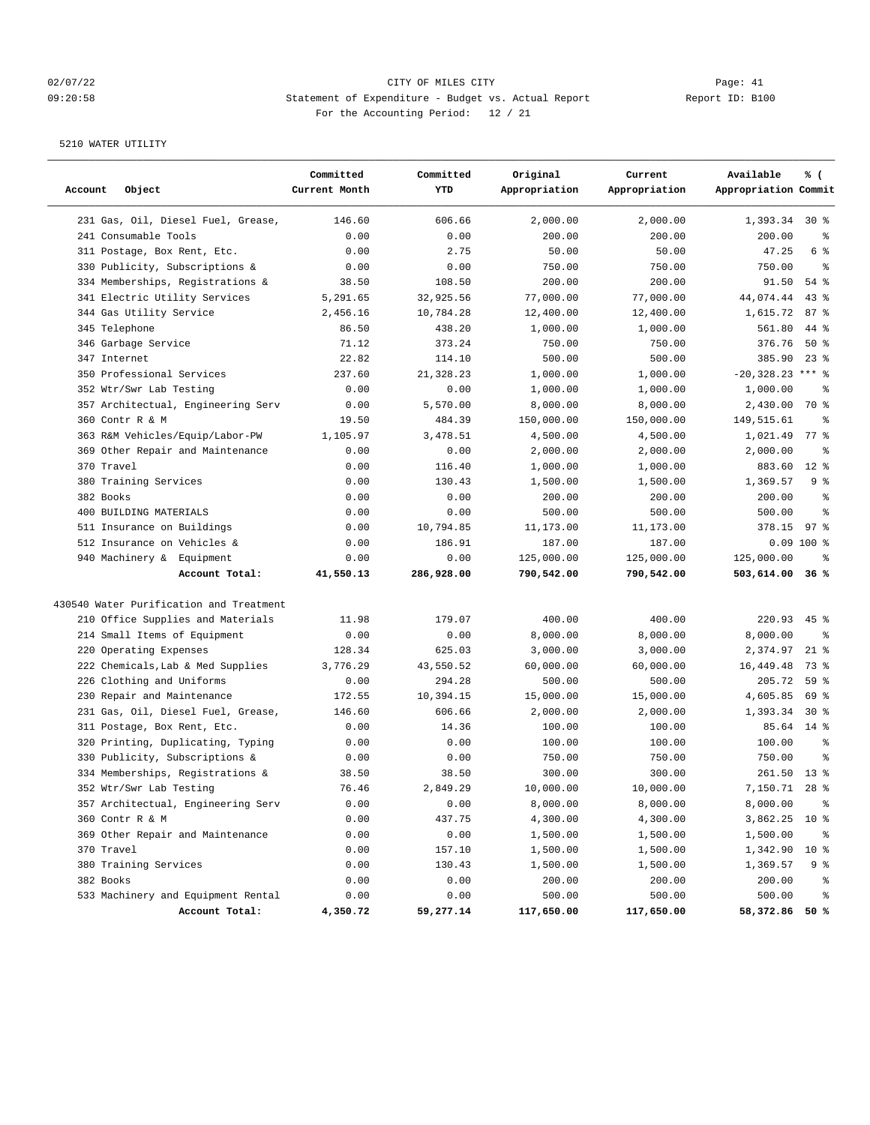## 02/07/22 Page: 41 CITY OF MILES CITY CONTROL Page: 41 09:20:58 Statement of Expenditure - Budget vs. Actual Report Report ID: B100 For the Accounting Period: 12 / 21

| Account<br>Object                       | Committed<br>Current Month | Committed<br>YTD | Original<br>Appropriation | Current<br>Appropriation | Available<br>Appropriation Commit | % (             |
|-----------------------------------------|----------------------------|------------------|---------------------------|--------------------------|-----------------------------------|-----------------|
|                                         |                            |                  |                           |                          |                                   |                 |
| 231 Gas, Oil, Diesel Fuel, Grease,      | 146.60                     | 606.66           | 2,000.00                  | 2,000.00                 | 1,393.34                          | $30*$           |
| 241 Consumable Tools                    | 0.00                       | 0.00             | 200.00                    | 200.00                   | 200.00                            | နွ              |
| 311 Postage, Box Rent, Etc.             | 0.00                       | 2.75             | 50.00                     | 50.00                    | 47.25                             | 6 %             |
| 330 Publicity, Subscriptions &          | 0.00                       | 0.00             | 750.00                    | 750.00                   | 750.00                            | ್ಠಿ             |
| 334 Memberships, Registrations &        | 38.50                      | 108.50           | 200.00                    | 200.00                   | 91.50                             | 54 %            |
| 341 Electric Utility Services           | 5,291.65                   | 32,925.56        | 77,000.00                 | 77,000.00                | 44,074.44                         | 43%             |
| 344 Gas Utility Service                 | 2,456.16                   | 10,784.28        | 12,400.00                 | 12,400.00                | 1,615.72                          | 87%             |
| 345 Telephone                           | 86.50                      | 438.20           | 1,000.00                  | 1,000.00                 | 561.80                            | 44 %            |
| 346 Garbage Service                     | 71.12                      | 373.24           | 750.00                    | 750.00                   | 376.76                            | $50*$           |
| 347 Internet                            | 22.82                      | 114.10           | 500.00                    | 500.00                   | 385.90                            | $23$ %          |
| 350 Professional Services               | 237.60                     | 21,328.23        | 1,000.00                  | 1,000.00                 | $-20,328.23$ *** %                |                 |
| 352 Wtr/Swr Lab Testing                 | 0.00                       | 0.00             | 1,000.00                  | 1,000.00                 | 1,000.00                          | ႜ               |
| 357 Architectual, Engineering Serv      | 0.00                       | 5,570.00         | 8,000.00                  | 8,000.00                 | 2,430.00                          | 70 %            |
| 360 Contr R & M                         | 19.50                      | 484.39           | 150,000.00                | 150,000.00               | 149,515.61                        | နွ              |
| 363 R&M Vehicles/Equip/Labor-PW         | 1,105.97                   | 3,478.51         | 4,500.00                  | 4,500.00                 | 1,021.49                          | 77 %            |
| 369 Other Repair and Maintenance        | 0.00                       | 0.00             | 2,000.00                  | 2,000.00                 | 2,000.00                          | နွ              |
| 370 Travel                              | 0.00                       | 116.40           | 1,000.00                  | 1,000.00                 | 883.60                            | $12*$           |
| 380 Training Services                   | 0.00                       | 130.43           | 1,500.00                  | 1,500.00                 | 1,369.57                          | 9 %             |
| 382 Books                               | 0.00                       | 0.00             | 200.00                    | 200.00                   | 200.00                            | နွ              |
| 400 BUILDING MATERIALS                  | 0.00                       | 0.00             | 500.00                    | 500.00                   | 500.00                            | နွ              |
| 511 Insurance on Buildings              | 0.00                       | 10,794.85        | 11,173.00                 | 11,173.00                | 378.15                            | 97%             |
| 512 Insurance on Vehicles &             | 0.00                       | 186.91           | 187.00                    | 187.00                   |                                   | $0.09$ 100 %    |
| 940 Machinery & Equipment               | 0.00                       | 0.00             | 125,000.00                | 125,000.00               | 125,000.00                        | နွ              |
| Account Total:                          | 41,550.13                  | 286,928.00       | 790,542.00                | 790,542.00               | 503,614.00                        | 36%             |
| 430540 Water Purification and Treatment |                            |                  |                           |                          |                                   |                 |
| 210 Office Supplies and Materials       | 11.98                      | 179.07           | 400.00                    | 400.00                   | 220.93                            | $45$ %          |
| 214 Small Items of Equipment            | 0.00                       | 0.00             | 8,000.00                  | 8,000.00                 | 8,000.00                          | နွ              |
| 220 Operating Expenses                  | 128.34                     | 625.03           | 3,000.00                  | 3,000.00                 | 2,374.97                          | $21$ %          |
| 222 Chemicals, Lab & Med Supplies       | 3,776.29                   | 43,550.52        | 60,000.00                 | 60,000.00                | 16,449.48                         | 73 %            |
| 226 Clothing and Uniforms               | 0.00                       | 294.28           | 500.00                    | 500.00                   | 205.72                            | 59 %            |
| 230 Repair and Maintenance              | 172.55                     | 10,394.15        | 15,000.00                 | 15,000.00                | 4,605.85                          | 69 %            |
| 231 Gas, Oil, Diesel Fuel, Grease,      | 146.60                     | 606.66           | 2,000.00                  | 2,000.00                 | 1,393.34                          | $30*$           |
| 311 Postage, Box Rent, Etc.             | 0.00                       | 14.36            | 100.00                    | 100.00                   | 85.64                             | $14$ %          |
| 320 Printing, Duplicating, Typing       | 0.00                       | 0.00             | 100.00                    | 100.00                   | 100.00                            | $\epsilon$      |
| 330 Publicity, Subscriptions &          | 0.00                       | 0.00             | 750.00                    | 750.00                   | 750.00                            | နွ              |
| 334 Memberships, Registrations &        | 38.50                      | 38.50            | 300.00                    | 300.00                   | 261.50                            | $13*$           |
| 352 Wtr/Swr Lab Testing                 | 76.46                      | 2,849.29         | 10,000.00                 | 10,000.00                | 7,150.71                          | $28*$           |
| 357 Architectual, Engineering Serv      | 0.00                       | 0.00             | 8,000.00                  | 8,000.00                 | 8,000.00                          | ိစ              |
| 360 Contr R & M                         | 0.00                       | 437.75           | 4,300.00                  | 4,300.00                 | 3,862.25                          | $10*$           |
| 369 Other Repair and Maintenance        | 0.00                       | 0.00             | 1,500.00                  | 1,500.00                 | 1,500.00                          | ႜ               |
| 370 Travel                              | 0.00                       | 157.10           | 1,500.00                  | 1,500.00                 | 1,342.90                          | 10 <sup>8</sup> |
| 380 Training Services                   | 0.00                       | 130.43           | 1,500.00                  | 1,500.00                 | 1,369.57                          | 9 %             |
| 382 Books                               | 0.00                       | 0.00             | 200.00                    | 200.00                   | 200.00                            | ႜ               |
| 533 Machinery and Equipment Rental      | 0.00                       | 0.00             | 500.00                    | 500.00                   | 500.00                            | နွ              |
| Account Total:                          | 4,350.72                   | 59,277.14        | 117,650.00                | 117,650.00               | 58,372.86 50 %                    |                 |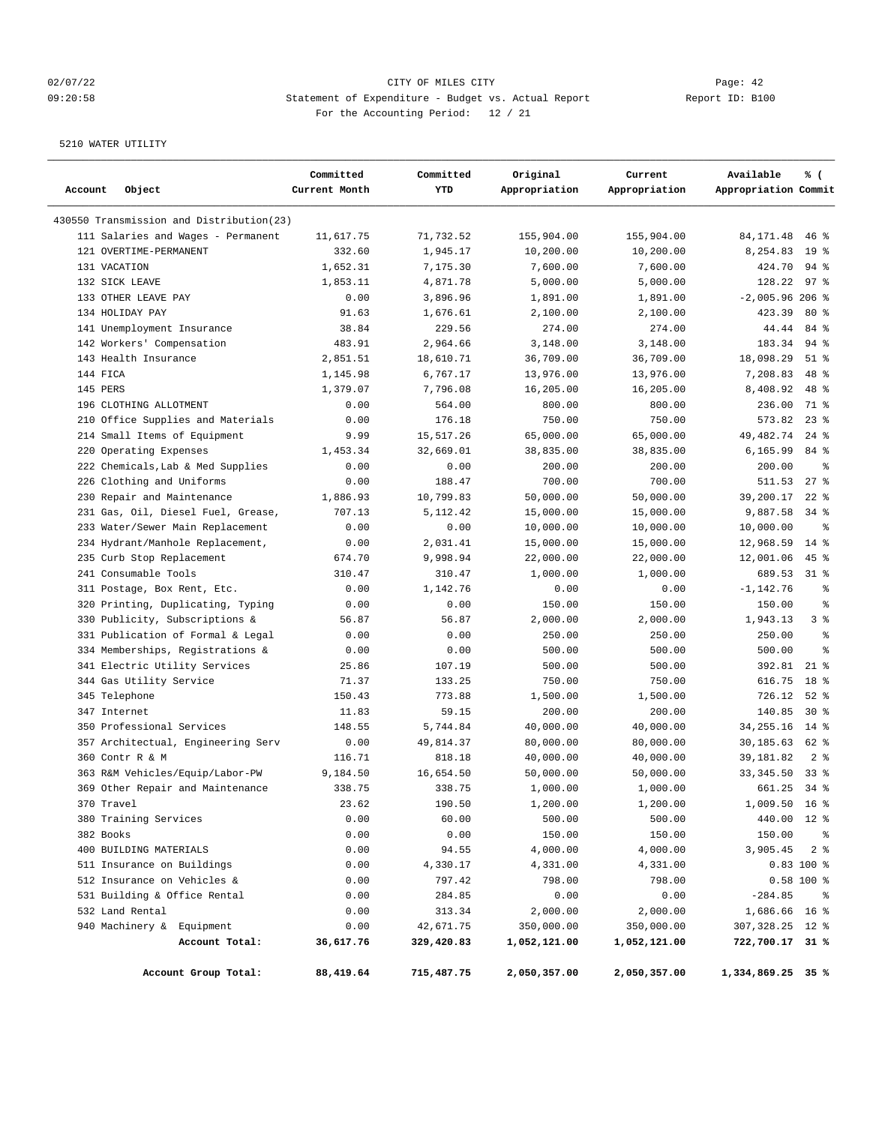## 02/07/22 Page: 42 09:20:58 Statement of Expenditure - Budget vs. Actual Report Report ID: B100 For the Accounting Period: 12 / 21

| Account<br>Object                        |                                    | Committed<br>Current Month | Committed<br>YTD | Original<br>Appropriation | Current<br>Appropriation | Available<br>% (<br>Appropriation Commit |
|------------------------------------------|------------------------------------|----------------------------|------------------|---------------------------|--------------------------|------------------------------------------|
| 430550 Transmission and Distribution(23) |                                    |                            |                  |                           |                          |                                          |
|                                          | 111 Salaries and Wages - Permanent | 11,617.75                  | 71,732.52        | 155,904.00                | 155,904.00               | 84, 171.48<br>$46$ %                     |
| 121 OVERTIME-PERMANENT                   |                                    | 332.60                     | 1,945.17         | 10,200.00                 | 10,200.00                | 8,254.83<br>19 <sup>°</sup>              |
| 131 VACATION                             |                                    | 1,652.31                   | 7,175.30         | 7,600.00                  | 7,600.00                 | 424.70<br>$94$ %                         |
| 132 SICK LEAVE                           |                                    | 1,853.11                   | 4,871.78         | 5,000.00                  | 5,000.00                 | 128.22<br>$97$ %                         |
| 133 OTHER LEAVE PAY                      |                                    | 0.00                       | 3,896.96         | 1,891.00                  | 1,891.00                 | $-2,005.96206$ %                         |
| 134 HOLIDAY PAY                          |                                    | 91.63                      | 1,676.61         | 2,100.00                  | 2,100.00                 | 423.39<br>$80*$                          |
| 141 Unemployment Insurance               |                                    | 38.84                      | 229.56           | 274.00                    | 274.00                   | 44.44<br>84 %                            |
| 142 Workers' Compensation                |                                    | 483.91                     | 2,964.66         | 3,148.00                  | 3,148.00                 | 183.34<br>$94$ %                         |
| 143 Health Insurance                     |                                    | 2,851.51                   | 18,610.71        | 36,709.00                 | 36,709.00                | $51$ %<br>18,098.29                      |
| 144 FICA                                 |                                    | 1,145.98                   | 6,767.17         | 13,976.00                 | 13,976.00                | 7,208.83<br>48 %                         |
| 145 PERS                                 |                                    | 1,379.07                   | 7,796.08         | 16,205.00                 | 16,205.00                | 8,408.92<br>48 %                         |
| 196 CLOTHING ALLOTMENT                   |                                    | 0.00                       | 564.00           | 800.00                    | 800.00                   | 71 %<br>236.00                           |
|                                          | 210 Office Supplies and Materials  | 0.00                       | 176.18           | 750.00                    | 750.00                   | 573.82<br>$23$ %                         |
| 214 Small Items of Equipment             |                                    | 9.99                       | 15,517.26        | 65,000.00                 | 65,000.00                | 49,482.74<br>$24$ %                      |
| 220 Operating Expenses                   |                                    | 1,453.34                   | 32,669.01        | 38,835.00                 | 38,835.00                | 6,165.99<br>84 %                         |
|                                          | 222 Chemicals, Lab & Med Supplies  | 0.00                       | 0.00             | 200.00                    | 200.00                   | 200.00<br>နွ                             |
| 226 Clothing and Uniforms                |                                    | 0.00                       | 188.47           | 700.00                    | 700.00                   | $27$ $%$<br>511.53                       |
| 230 Repair and Maintenance               |                                    | 1,886.93                   | 10,799.83        | 50,000.00                 | 50,000.00                | 39,200.17<br>$22$ %                      |
|                                          | 231 Gas, Oil, Diesel Fuel, Grease, | 707.13                     | 5,112.42         | 15,000.00                 | 15,000.00                | 9,887.58<br>$34$ $%$                     |
|                                          | 233 Water/Sewer Main Replacement   | 0.00                       | 0.00             | 10,000.00                 | 10,000.00                | 10,000.00<br>နွ                          |
|                                          | 234 Hydrant/Manhole Replacement,   | 0.00                       | 2,031.41         | 15,000.00                 | 15,000.00                | $14$ %<br>12,968.59                      |
| 235 Curb Stop Replacement                |                                    | 674.70                     | 9,998.94         | 22,000.00                 | 22,000.00                | $45$ %<br>12,001.06                      |
| 241 Consumable Tools                     |                                    | 310.47                     | 310.47           | 1,000.00                  | 1,000.00                 | 689.53<br>31 %                           |
| 311 Postage, Box Rent, Etc.              |                                    | 0.00                       | 1,142.76         | 0.00                      | 0.00                     | $-1, 142.76$<br>နွ                       |
|                                          | 320 Printing, Duplicating, Typing  | 0.00                       | 0.00             | 150.00                    | 150.00                   | 150.00<br>နွ                             |
| 330 Publicity, Subscriptions &           |                                    | 56.87                      | 56.87            | 2,000.00                  | 2,000.00                 | 3 <sup>8</sup><br>1,943.13               |
|                                          | 331 Publication of Formal & Legal  | 0.00                       | 0.00             | 250.00                    | 250.00                   | $\approx$<br>250.00                      |
|                                          | 334 Memberships, Registrations &   | 0.00                       | 0.00             | 500.00                    | 500.00                   | 500.00<br>$\approx$                      |
| 341 Electric Utility Services            |                                    | 25.86                      | 107.19           | 500.00                    | 500.00                   | 392.81<br>$21$ %                         |
| 344 Gas Utility Service                  |                                    | 71.37                      | 133.25           | 750.00                    | 750.00                   | 616.75<br>18 %                           |
| 345 Telephone                            |                                    | 150.43                     | 773.88           | 1,500.00                  | 1,500.00                 | 726.12<br>$52$ $%$                       |
| 347 Internet                             |                                    | 11.83                      | 59.15            | 200.00                    | 200.00                   | 140.85<br>$30*$                          |
| 350 Professional Services                |                                    | 148.55                     | 5,744.84         | 40,000.00                 | 40,000.00                | 34, 255. 16<br>$14*$                     |
|                                          | 357 Architectual, Engineering Serv | 0.00                       | 49,814.37        | 80,000.00                 | 80,000.00                | 30,185.63<br>62 %                        |
| 360 Contr R & M                          |                                    | 116.71                     | 818.18           | 40,000.00                 | 40,000.00                | 39, 181.82<br>2 <sub>8</sub>             |
| 363 R&M Vehicles/Equip/Labor-PW          |                                    | 9,184.50                   | 16,654.50        | 50,000.00                 | 50,000.00                | 33, 345.50<br>$33$ $%$                   |
|                                          | 369 Other Repair and Maintenance   | 338.75                     | 338.75           | 1,000.00                  | 1,000.00                 | 661.25<br>$34$ $%$                       |
| 370 Travel                               |                                    | 23.62                      | 190.50           | 1,200.00                  | 1,200.00                 | 1,009.50 16 %                            |
| 380 Training Services                    |                                    | 0.00                       | 60.00            | 500.00                    | 500.00                   | 440.00 12 %                              |
| 382 Books                                |                                    | 0.00                       | 0.00             | 150.00                    | 150.00                   | 150.00<br>$\frac{6}{3}$                  |
| 400 BUILDING MATERIALS                   |                                    | 0.00                       | 94.55            | 4,000.00                  | 4,000.00                 | 3,905.45<br>28                           |
| 511 Insurance on Buildings               |                                    | 0.00                       | 4,330.17         | 4,331.00                  | 4,331.00                 | $0.83$ 100 %                             |
| 512 Insurance on Vehicles &              |                                    | 0.00                       | 797.42           | 798.00                    | 798.00                   | $0.58 100$ %                             |
| 531 Building & Office Rental             |                                    | 0.00                       | 284.85           | 0.00                      | 0.00                     | $-284.85$<br>နွ                          |
| 532 Land Rental                          |                                    | 0.00                       | 313.34           | 2,000.00                  | 2,000.00                 | 1,686.66 16 %                            |
| 940 Machinery & Equipment                |                                    | 0.00                       | 42,671.75        | 350,000.00                | 350,000.00               | 307,328.25 12 %                          |
|                                          | Account Total:                     | 36,617.76                  | 329,420.83       | 1,052,121.00              | 1,052,121.00             | 722,700.17 31 %                          |
|                                          | Account Group Total:               | 88,419.64                  | 715,487.75       | 2,050,357.00              | 2,050,357.00             | 1,334,869.25 35 %                        |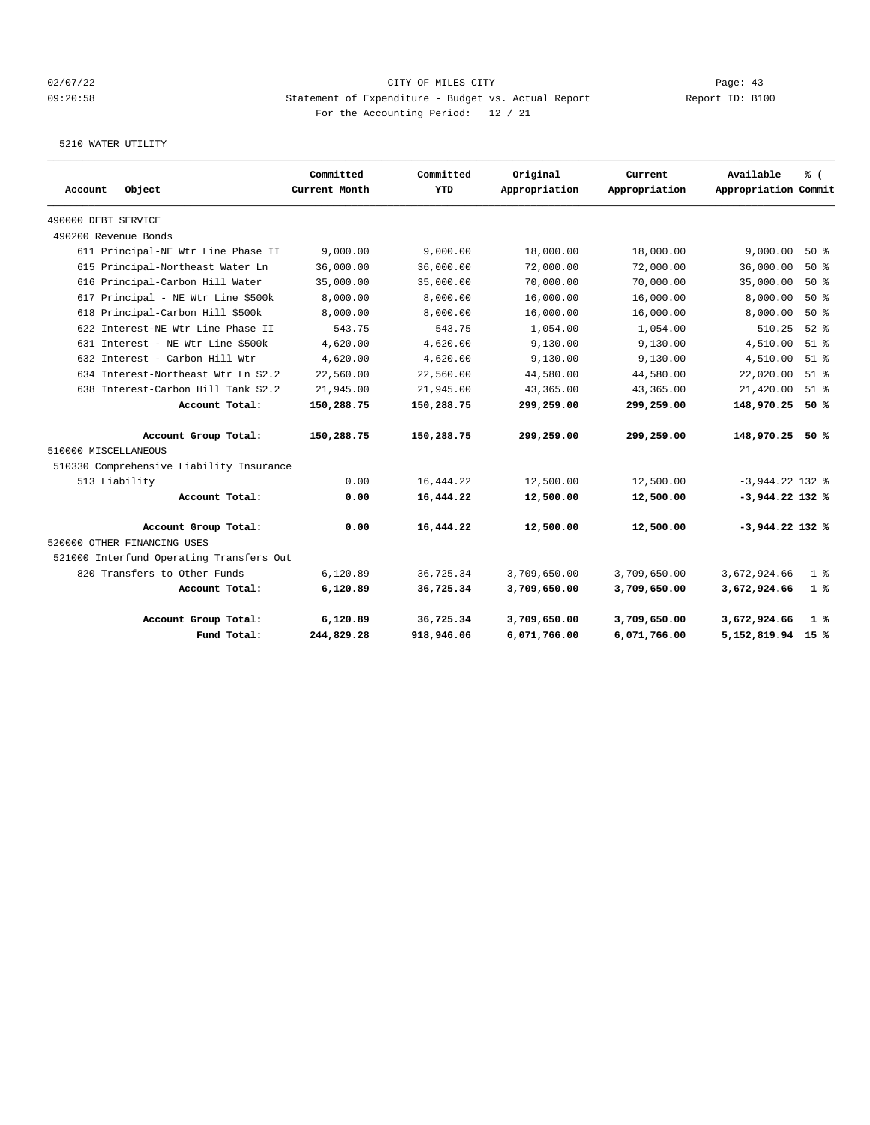## 02/07/22 Page: 43 09:20:58 Statement of Expenditure - Budget vs. Actual Report Report ID: B100 For the Accounting Period: 12 / 21

| Object<br>Account                           | Committed<br>Current Month | Committed<br>YTD | Original<br>Appropriation | Current<br>Appropriation | Available<br>Appropriation Commit | % (            |
|---------------------------------------------|----------------------------|------------------|---------------------------|--------------------------|-----------------------------------|----------------|
|                                             |                            |                  |                           |                          |                                   |                |
| 490000 DEBT SERVICE<br>490200 Revenue Bonds |                            |                  |                           |                          |                                   |                |
| 611 Principal-NE Wtr Line Phase II          | 9,000.00                   | 9,000.00         | 18,000.00                 | 18,000.00                | 9,000.00                          | 50%            |
|                                             | 36,000.00                  | 36,000.00        | 72,000.00                 | 72,000.00                | 36,000.00                         | $50*$          |
| 615 Principal-Northeast Water Ln            |                            |                  |                           |                          |                                   |                |
| 616 Principal-Carbon Hill Water             | 35,000.00                  | 35,000.00        | 70,000.00                 | 70,000.00                | 35,000.00                         | $50*$          |
| 617 Principal - NE Wtr Line \$500k          | 8,000.00                   | 8,000.00         | 16,000.00                 | 16,000.00                | 8,000.00                          | 50%            |
| 618 Principal-Carbon Hill \$500k            | 8,000.00                   | 8,000.00         | 16,000.00                 | 16,000.00                | 8,000.00                          | 50%            |
| 622 Interest-NE Wtr Line Phase II           | 543.75                     | 543.75           | 1,054.00                  | 1,054.00                 | 510.25                            | $52$ $%$       |
| 631 Interest - NE Wtr Line \$500k           | 4,620.00                   | 4,620.00         | 9.130.00                  | 9,130.00                 | 4,510.00                          | $51$ $\approx$ |
| 632 Interest - Carbon Hill Wtr              | 4,620.00                   | 4,620.00         | 9.130.00                  | 9,130.00                 | 4,510.00                          | $51$ %         |
| 634 Interest-Northeast Wtr Ln \$2.2         | 22,560.00                  | 22,560.00        | 44,580.00                 | 44,580.00                | 22,020.00                         | $51$ $%$       |
| 638 Interest-Carbon Hill Tank \$2.2         | 21,945.00                  | 21,945.00        | 43,365.00                 | 43,365.00                | 21,420.00                         | $51$ $%$       |
| Account Total:                              | 150,288.75                 | 150,288.75       | 299,259.00                | 299,259.00               | 148,970.25                        | 50 %           |
| Account Group Total:                        | 150,288.75                 | 150,288.75       | 299,259.00                | 299,259.00               | 148,970.25 50 %                   |                |
| 510000 MISCELLANEOUS                        |                            |                  |                           |                          |                                   |                |
| 510330 Comprehensive Liability Insurance    |                            |                  |                           |                          |                                   |                |
| 513 Liability                               | 0.00                       | 16, 444.22       | 12,500.00                 | 12,500.00                | $-3,944.22$ 132 %                 |                |
| Account Total:                              | 0.00                       | 16,444.22        | 12,500.00                 | 12,500.00                | $-3,944.22$ 132 %                 |                |
| Account Group Total:                        | 0.00                       | 16,444.22        | 12,500.00                 | 12,500.00                | $-3,944.22$ 132 %                 |                |
| 520000 OTHER FINANCING USES                 |                            |                  |                           |                          |                                   |                |
| 521000 Interfund Operating Transfers Out    |                            |                  |                           |                          |                                   |                |
| 820 Transfers to Other Funds                | 6,120.89                   | 36,725.34        | 3,709,650.00              | 3,709,650.00             | 3,672,924.66                      | $1 \approx$    |
| Account Total:                              | 6,120.89                   | 36,725.34        | 3,709,650.00              | 3,709,650.00             | 3,672,924.66                      | 1%             |
| Account Group Total:                        | 6,120.89                   | 36,725.34        | 3,709,650.00              | 3,709,650.00             | 3,672,924.66                      | $1\degree$     |
| Fund Total:                                 | 244,829.28                 | 918,946.06       | 6,071,766.00              | 6,071,766.00             | 5,152,819.94                      | 15 %           |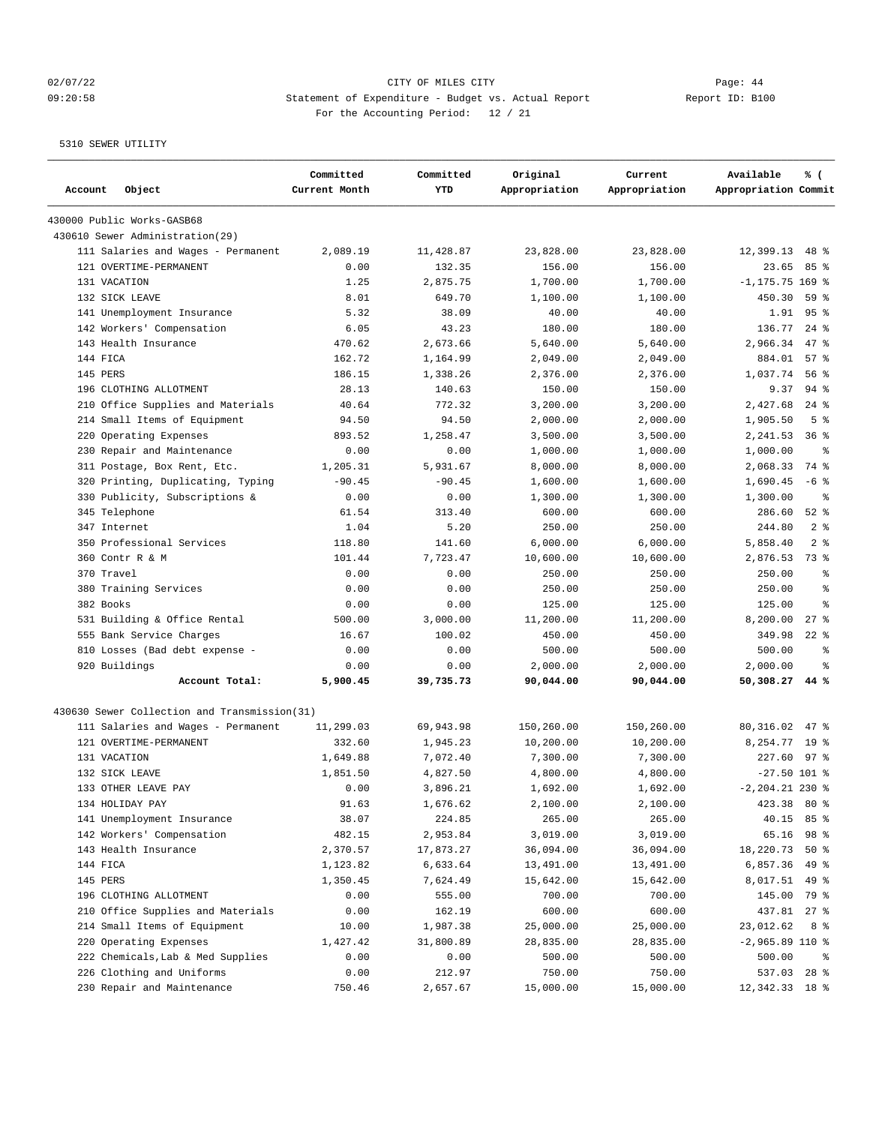## 02/07/22 Page: 44 09:20:58 Statement of Expenditure - Budget vs. Actual Report Changer Report ID: B100 For the Accounting Period: 12 / 21

| Account<br>Object                            | Committed<br>Current Month | Committed<br>YTD | Original<br>Appropriation | Current<br>Appropriation | % (<br>Available<br>Appropriation Commit |
|----------------------------------------------|----------------------------|------------------|---------------------------|--------------------------|------------------------------------------|
| 430000 Public Works-GASB68                   |                            |                  |                           |                          |                                          |
| 430610 Sewer Administration (29)             |                            |                  |                           |                          |                                          |
| 111 Salaries and Wages - Permanent           | 2,089.19                   | 11,428.87        | 23,828.00                 | 23,828.00                | 12,399.13<br>$48*$                       |
| 121 OVERTIME-PERMANENT                       | 0.00                       | 132.35           | 156.00                    | 156.00                   | 23.65<br>85 %                            |
| 131 VACATION                                 | 1.25                       | 2,875.75         | 1,700.00                  | 1,700.00                 | $-1, 175.75$ 169 %                       |
| 132 SICK LEAVE                               | 8.01                       | 649.70           | 1,100.00                  | 1,100.00                 | 450.30<br>59 %                           |
| 141 Unemployment Insurance                   | 5.32                       | 38.09            | 40.00                     | 40.00                    | 95%<br>1.91                              |
| 142 Workers' Compensation                    | 6.05                       | 43.23            | 180.00                    | 180.00                   | 136.77<br>$24$ $%$                       |
| 143 Health Insurance                         | 470.62                     | 2,673.66         | 5,640.00                  | 5,640.00                 | 2,966.34<br>$47$ %                       |
| 144 FICA                                     | 162.72                     | 1,164.99         | 2,049.00                  | 2,049.00                 | 884.01<br>57%                            |
| 145 PERS                                     | 186.15                     | 1,338.26         | 2,376.00                  | 2,376.00                 | 1,037.74<br>56 %                         |
| 196 CLOTHING ALLOTMENT                       | 28.13                      | 140.63           | 150.00                    | 150.00                   | 9.37<br>$94$ %                           |
| 210 Office Supplies and Materials            | 40.64                      | 772.32           | 3,200.00                  | 3,200.00                 | 2,427.68<br>$24$ %                       |
| 214 Small Items of Equipment                 | 94.50                      | 94.50            | 2,000.00                  | 2,000.00                 | 1,905.50<br>5 <sup>8</sup>               |
| Operating Expenses<br>220                    | 893.52                     | 1,258.47         | 3,500.00                  | 3,500.00                 | 2,241.53<br>$36$ $%$                     |
| 230 Repair and Maintenance                   | 0.00                       | 0.00             | 1,000.00                  | 1,000.00                 | 1,000.00<br>နွ                           |
| 311 Postage, Box Rent, Etc.                  | 1,205.31                   | 5,931.67         | 8,000.00                  | 8,000.00                 | 2,068.33<br>74 %                         |
| 320 Printing, Duplicating, Typing            | $-90.45$                   | $-90.45$         | 1,600.00                  | 1,600.00                 | $-6$ %<br>1,690.45                       |
| 330 Publicity, Subscriptions &               | 0.00                       | 0.00             | 1,300.00                  | 1,300.00                 | 1,300.00<br>နွ                           |
| 345 Telephone                                | 61.54                      | 313.40           | 600.00                    | 600.00                   | $52$ $%$<br>286.60                       |
| 347 Internet                                 | 1.04                       | 5.20             | 250.00                    | 250.00                   | 2 <sup>8</sup><br>244.80                 |
| 350 Professional Services                    | 118.80                     | 141.60           | 6,000.00                  | 6,000.00                 | 5,858.40<br>2 <sup>8</sup>               |
| 360 Contr R & M                              | 101.44                     | 7,723.47         | 10,600.00                 | 10,600.00                | 73 %<br>2,876.53                         |
| 370 Travel                                   | 0.00                       | 0.00             | 250.00                    | 250.00                   | 250.00<br>ి                              |
| 380 Training Services                        | 0.00                       | 0.00             | 250.00                    | 250.00                   | 250.00<br>ి                              |
| 382 Books                                    | 0.00                       | 0.00             | 125.00                    | 125.00                   | 125.00<br>ి                              |
| 531 Building & Office Rental                 | 500.00                     | 3,000.00         | 11,200.00                 | 11,200.00                | 8,200.00<br>$27$ $%$                     |
| 555 Bank Service Charges                     | 16.67                      | 100.02           | 450.00                    | 450.00                   | $22$ %<br>349.98                         |
| 810 Losses (Bad debt expense -               | 0.00                       | 0.00             | 500.00                    | 500.00                   | 500.00<br>ి                              |
| 920 Buildings                                | 0.00                       | 0.00             | 2,000.00                  | 2,000.00                 | 2,000.00<br>ి                            |
| Account Total:                               | 5,900.45                   | 39,735.73        | 90,044.00                 | 90,044.00                | 50,308.27<br>44 %                        |
| 430630 Sewer Collection and Transmission(31) |                            |                  |                           |                          |                                          |
| 111 Salaries and Wages - Permanent           | 11,299.03                  | 69,943.98        | 150,260.00                | 150,260.00               | 80, 316.02<br>47 %                       |
| 121 OVERTIME-PERMANENT                       | 332.60                     | 1,945.23         | 10,200.00                 | 10,200.00                | 8,254.77<br>19 <sup>°</sup>              |
| 131 VACATION                                 | 1,649.88                   | 7,072.40         | 7,300.00                  | 7,300.00                 | 97%<br>227.60                            |
| 132 SICK LEAVE                               | 1,851.50                   | 4,827.50         | 4,800.00                  | 4,800.00                 | $-27.50$ 101 %                           |
| 133 OTHER LEAVE PAY                          | 0.00                       | 3,896.21         | 1,692.00                  | 1,692.00                 | $-2, 204.21$ 230 %                       |
| 134 HOLIDAY PAY                              | 91.63                      | 1,676.62         | 2,100.00                  | 2,100.00                 | 423.38 80 %                              |
| 141 Unemployment Insurance                   | 38.07                      | 224.85           | 265.00                    | 265.00                   | 40.15 85 %                               |
| 142 Workers' Compensation                    | 482.15                     | 2,953.84         | 3,019.00                  | 3,019.00                 | 65.16 98 %                               |
| 143 Health Insurance                         | 2,370.57                   | 17,873.27        | 36,094.00                 | 36,094.00                | 18,220.73 50 %                           |
| 144 FICA                                     | 1,123.82                   | 6,633.64         | 13,491.00                 | 13,491.00                | 6,857.36<br>49 %                         |
| 145 PERS                                     | 1,350.45                   | 7,624.49         | 15,642.00                 | 15,642.00                | 8,017.51<br>49 %                         |
| 196 CLOTHING ALLOTMENT                       | 0.00                       | 555.00           | 700.00                    | 700.00                   | 145.00<br>79 %                           |
| 210 Office Supplies and Materials            | 0.00                       | 162.19           | 600.00                    | 600.00                   | 437.81<br>27%                            |
| 214 Small Items of Equipment                 | 10.00                      | 1,987.38         | 25,000.00                 | 25,000.00                | 23,012.62<br>8 %                         |
| 220 Operating Expenses                       | 1,427.42                   | 31,800.89        | 28,835.00                 | 28,835.00                | $-2,965.89$ 110 %                        |
| 222 Chemicals, Lab & Med Supplies            | 0.00                       | 0.00             | 500.00                    | 500.00                   | 500.00<br>ೆ                              |
| 226 Clothing and Uniforms                    | 0.00                       | 212.97           | 750.00                    | 750.00                   | 537.03 28 %                              |
| 230 Repair and Maintenance                   | 750.46                     | 2,657.67         | 15,000.00                 | 15,000.00                | 12,342.33 18 %                           |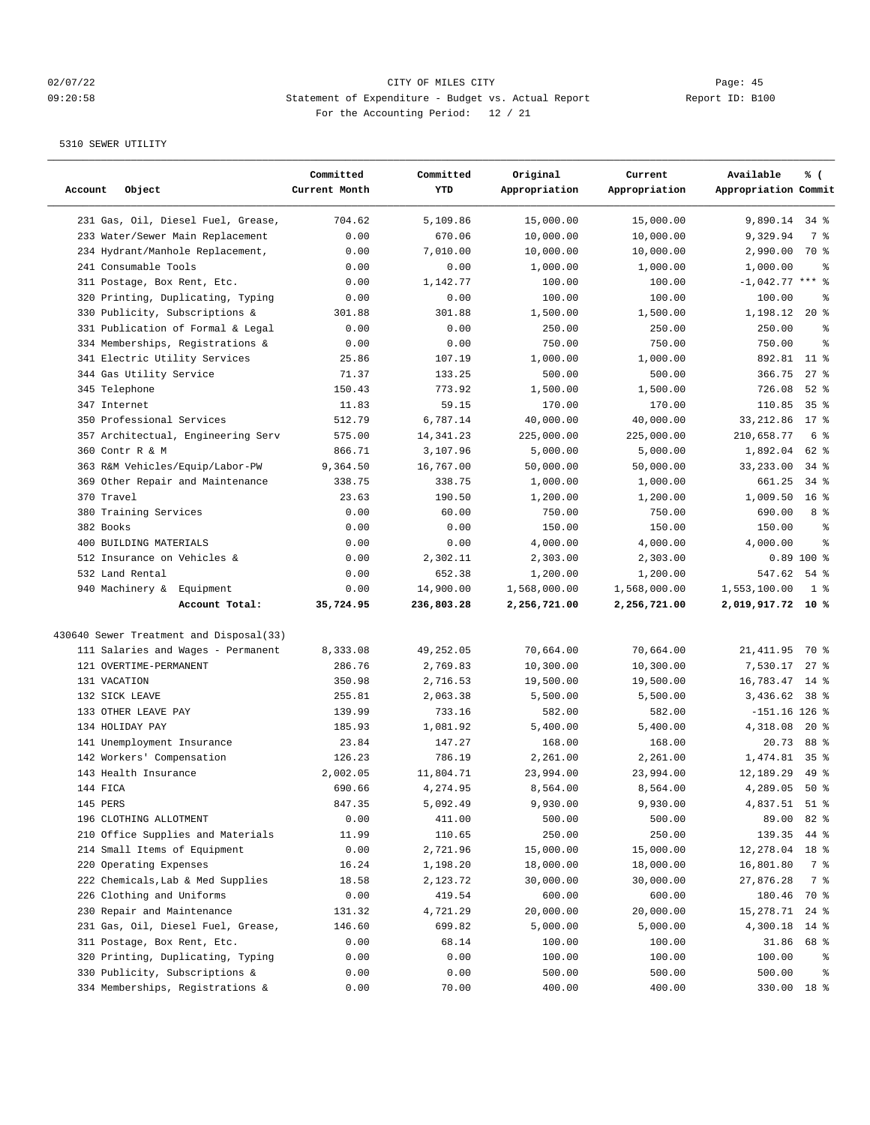## 02/07/22 Page: 45 09:20:58 Statement of Expenditure - Budget vs. Actual Report Changer Report ID: B100 For the Accounting Period: 12 / 21

| Account<br>Object                       | Committed<br>Current Month | Committed<br>YTD | Original<br>Appropriation | Current<br>Appropriation | Available<br>Appropriation Commit | % (             |
|-----------------------------------------|----------------------------|------------------|---------------------------|--------------------------|-----------------------------------|-----------------|
| 231 Gas, Oil, Diesel Fuel, Grease,      | 704.62                     | 5,109.86         | 15,000.00                 | 15,000.00                | 9,890.14 34 %                     |                 |
| 233 Water/Sewer Main Replacement        | 0.00                       | 670.06           | 10,000.00                 | 10,000.00                | 9,329.94                          | 7 %             |
| 234 Hydrant/Manhole Replacement,        | 0.00                       | 7,010.00         | 10,000.00                 | 10,000.00                | 2,990.00                          | 70 %            |
| 241 Consumable Tools                    | 0.00                       | 0.00             | 1,000.00                  | 1,000.00                 | 1,000.00                          | နွ              |
| 311 Postage, Box Rent, Etc.             | 0.00                       | 1,142.77         | 100.00                    | 100.00                   | $-1,042.77$ *** %                 |                 |
| 320 Printing, Duplicating, Typing       | 0.00                       | 0.00             | 100.00                    | 100.00                   | 100.00                            | る               |
| 330 Publicity, Subscriptions &          | 301.88                     | 301.88           | 1,500.00                  | 1,500.00                 | 1,198.12                          | $20*$           |
| 331 Publication of Formal & Legal       | 0.00                       | 0.00             | 250.00                    | 250.00                   | 250.00                            | နွ              |
| 334 Memberships, Registrations &        | 0.00                       | 0.00             | 750.00                    | 750.00                   | 750.00                            | $\approx$       |
| 341 Electric Utility Services           | 25.86                      | 107.19           | 1,000.00                  | 1,000.00                 | 892.81                            | $11$ %          |
| 344 Gas Utility Service                 | 71.37                      | 133.25           | 500.00                    | 500.00                   | 366.75                            | $27$ %          |
| 345 Telephone                           | 150.43                     | 773.92           | 1,500.00                  | 1,500.00                 | 726.08                            | $52$ $%$        |
| 347 Internet                            | 11.83                      | 59.15            | 170.00                    | 170.00                   | 110.85                            | 35 <sup>8</sup> |
| 350 Professional Services               | 512.79                     | 6,787.14         | 40,000.00                 | 40,000.00                | 33, 212.86                        | $17*$           |
| 357 Architectual, Engineering Serv      | 575.00                     | 14, 341.23       | 225,000.00                | 225,000.00               | 210,658.77                        | 6 <sup>°</sup>  |
| 360 Contr R & M                         | 866.71                     | 3,107.96         | 5,000.00                  | 5,000.00                 | 1,892.04                          | $62$ %          |
| 363 R&M Vehicles/Equip/Labor-PW         | 9,364.50                   | 16,767.00        | 50,000.00                 | 50,000.00                | 33,233.00                         | $34$ $%$        |
| 369 Other Repair and Maintenance        | 338.75                     | 338.75           | 1,000.00                  | 1,000.00                 | 661.25                            | $34$ $%$        |
| 370 Travel                              | 23.63                      | 190.50           | 1,200.00                  | 1,200.00                 | 1,009.50                          | 16 <sup>8</sup> |
| 380 Training Services                   | 0.00                       | 60.00            | 750.00                    | 750.00                   | 690.00                            | 8 %             |
| 382 Books                               | 0.00                       | 0.00             | 150.00                    | 150.00                   | 150.00                            | る               |
| 400 BUILDING MATERIALS                  | 0.00                       | 0.00             | 4,000.00                  | 4,000.00                 | 4,000.00                          | ి               |
| 512 Insurance on Vehicles &             | 0.00                       | 2,302.11         | 2,303.00                  | 2,303.00                 |                                   | $0.89$ 100 %    |
| 532 Land Rental                         | 0.00                       | 652.38           | 1,200.00                  | 1,200.00                 | 547.62                            | $54$ $%$        |
| 940 Machinery & Equipment               | 0.00                       | 14,900.00        | 1,568,000.00              | 1,568,000.00             | 1,553,100.00                      | 1 <sup>8</sup>  |
| Account Total:                          | 35,724.95                  | 236,803.28       | 2,256,721.00              | 2,256,721.00             | 2,019,917.72 10 %                 |                 |
|                                         |                            |                  |                           |                          |                                   |                 |
| 430640 Sewer Treatment and Disposal(33) |                            |                  |                           |                          |                                   |                 |
| 111 Salaries and Wages - Permanent      | 8,333.08                   | 49,252.05        | 70,664.00                 | 70,664.00                | 21, 411.95                        | 70 %            |
| 121 OVERTIME-PERMANENT                  | 286.76                     | 2,769.83         | 10,300.00                 | 10,300.00                | 7,530.17                          | $27$ %          |
| 131 VACATION                            | 350.98                     | 2,716.53         | 19,500.00                 | 19,500.00                | 16,783.47                         | $14*$           |
| 132 SICK LEAVE                          | 255.81                     | 2,063.38         | 5,500.00                  | 5,500.00                 | 3,436.62                          | 38 <sup>8</sup> |
| 133 OTHER LEAVE PAY                     | 139.99                     | 733.16           | 582.00                    | 582.00                   | $-151.16$ 126 %                   |                 |
| 134 HOLIDAY PAY                         | 185.93                     | 1,081.92         | 5,400.00                  | 5,400.00                 | 4,318.08                          | $20*$           |
| 141 Unemployment Insurance              | 23.84                      | 147.27           | 168.00                    | 168.00                   | 20.73                             | 88 %            |
| 142 Workers' Compensation               | 126.23                     | 786.19           | 2,261.00                  | 2,261.00                 | 1,474.81                          | 35 <sup>8</sup> |
| 143 Health Insurance                    | 2,002.05                   | 11,804.71        | 23,994.00                 | 23,994.00                | 12,189.29                         | 49 %            |
| 144 FICA                                | 690.66                     | 4,274.95         | 8,564.00                  | 8,564.00                 | 4,289.05                          | $50*$           |
| 145 PERS                                | 847.35                     | 5,092.49         | 9,930.00                  | 9,930.00                 | 4,837.51 51 %                     |                 |
| 196 CLOTHING ALLOTMENT                  | 0.00                       | 411.00           | 500.00                    | 500.00                   | 89.00                             | 82 %            |
| 210 Office Supplies and Materials       | 11.99                      | 110.65           | 250.00                    | 250.00                   | 139.35                            | 44 %            |
| 214 Small Items of Equipment            | 0.00                       | 2,721.96         | 15,000.00                 | 15,000.00                | 12,278.04                         | 18 <sup>8</sup> |
| 220 Operating Expenses                  | 16.24                      | 1,198.20         | 18,000.00                 | 18,000.00                | 16,801.80                         | 7 %             |
| 222 Chemicals, Lab & Med Supplies       | 18.58                      | 2,123.72         | 30,000.00                 | 30,000.00                | 27,876.28                         | 7 %             |
| 226 Clothing and Uniforms               | 0.00                       | 419.54           | 600.00                    | 600.00                   | 180.46                            | 70 %            |
| 230 Repair and Maintenance              | 131.32                     | 4,721.29         | 20,000.00                 | 20,000.00                | 15,278.71                         | $24$ %          |
| 231 Gas, Oil, Diesel Fuel, Grease,      | 146.60                     | 699.82           | 5,000.00                  | 5,000.00                 | 4,300.18                          | $14*$           |
| 311 Postage, Box Rent, Etc.             | 0.00                       | 68.14            | 100.00                    | 100.00                   | 31.86                             | 68 %            |
| 320 Printing, Duplicating, Typing       | 0.00                       | 0.00             | 100.00                    | 100.00                   | 100.00                            | ႜွ              |
| 330 Publicity, Subscriptions &          | 0.00                       | 0.00             | 500.00                    | 500.00                   | 500.00                            | နွ              |
| 334 Memberships, Registrations &        | 0.00                       | 70.00            | 400.00                    | 400.00                   |                                   | 330.00 18 %     |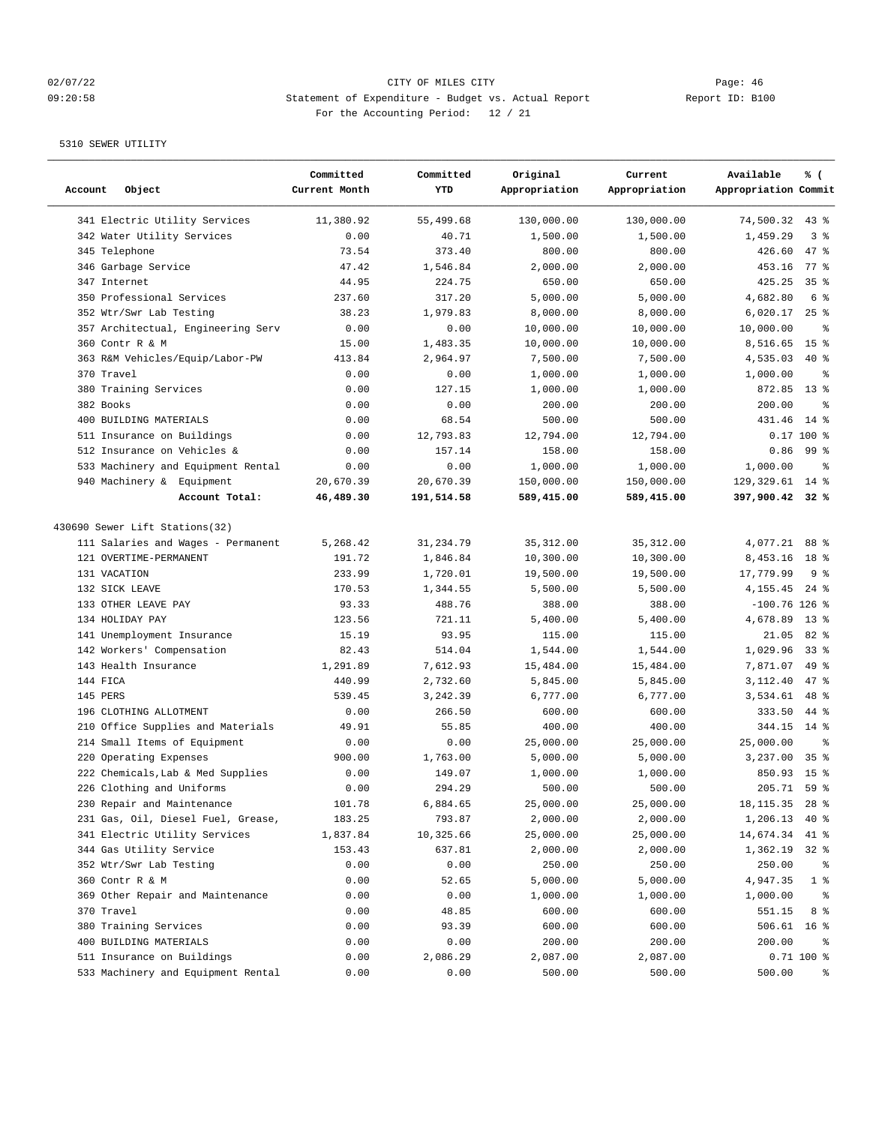## 02/07/22 Page: 46 09:20:58 Statement of Expenditure - Budget vs. Actual Report Changer Report ID: B100 For the Accounting Period: 12 / 21

| Account   | Object                             | Committed<br>Current Month | Committed<br>YTD | Original<br>Appropriation | Current<br>Appropriation | Available<br>Appropriation Commit | % (             |
|-----------|------------------------------------|----------------------------|------------------|---------------------------|--------------------------|-----------------------------------|-----------------|
|           | 341 Electric Utility Services      | 11,380.92                  | 55,499.68        | 130,000.00                | 130,000.00               | 74,500.32                         | $43$ %          |
|           | 342 Water Utility Services         | 0.00                       | 40.71            | 1,500.00                  | 1,500.00                 | 1,459.29                          | 3%              |
|           | 345 Telephone                      | 73.54                      | 373.40           | 800.00                    | 800.00                   | 426.60                            | 47 %            |
|           | 346 Garbage Service                | 47.42                      | 1,546.84         | 2,000.00                  | 2,000.00                 | 453.16                            | 77.8            |
|           | 347 Internet                       | 44.95                      | 224.75           | 650.00                    | 650.00                   | 425.25                            | 35%             |
|           | 350 Professional Services          | 237.60                     | 317.20           | 5,000.00                  | 5.000.00                 | 4,682.80                          | 6 <sup>°</sup>  |
|           | 352 Wtr/Swr Lab Testing            | 38.23                      | 1,979.83         | 8,000.00                  | 8,000.00                 | 6,020.17                          | 25%             |
|           | 357 Architectual, Engineering Serv | 0.00                       | 0.00             | 10,000.00                 | 10,000.00                | 10,000.00                         | နွ              |
|           | 360 Contr R & M                    | 15.00                      | 1,483.35         | 10,000.00                 | 10,000.00                | 8,516.65                          | 15 <sup>°</sup> |
|           | 363 R&M Vehicles/Equip/Labor-PW    | 413.84                     | 2,964.97         | 7,500.00                  | 7,500.00                 | 4,535.03                          | $40*$           |
|           | 370 Travel                         | 0.00                       | 0.00             | 1,000.00                  | 1,000.00                 | 1,000.00                          | る               |
|           | 380 Training Services              | 0.00                       | 127.15           | 1,000.00                  | 1,000.00                 | 872.85                            | $13*$           |
| 382 Books |                                    | 0.00                       | 0.00             | 200.00                    | 200.00                   | 200.00                            | $\approx$       |
|           | 400 BUILDING MATERIALS             | 0.00                       | 68.54            | 500.00                    | 500.00                   | 431.46                            | $14*$           |
|           | 511 Insurance on Buildings         | 0.00                       | 12,793.83        | 12,794.00                 | 12,794.00                |                                   | 0.17 100 %      |
|           | 512 Insurance on Vehicles &        | 0.00                       | 157.14           | 158.00                    | 158.00                   | 0.86                              | 99 %            |
|           | 533 Machinery and Equipment Rental | 0.00                       | 0.00             | 1,000.00                  | 1,000.00                 | 1,000.00                          | နွ              |
|           | 940 Machinery & Equipment          | 20,670.39                  | 20,670.39        | 150,000.00                | 150,000.00               | 129,329.61                        | $14*$           |
|           | Account Total:                     | 46,489.30                  | 191,514.58       | 589,415.00                | 589,415.00               | 397,900.42 32 %                   |                 |
|           | 430690 Sewer Lift Stations (32)    |                            |                  |                           |                          |                                   |                 |
|           | 111 Salaries and Wages - Permanent | 5,268.42                   | 31, 234.79       | 35, 312.00                | 35, 312.00               | 4,077.21                          | 88 %            |
|           | 121 OVERTIME-PERMANENT             | 191.72                     | 1,846.84         | 10,300.00                 | 10,300.00                | 8,453.16                          | 18 <sup>°</sup> |
|           | 131 VACATION                       | 233.99                     | 1,720.01         | 19,500.00                 | 19,500.00                | 17,779.99                         | 9%              |
|           | 132 SICK LEAVE                     | 170.53                     | 1,344.55         | 5,500.00                  | 5,500.00                 | 4,155.45                          | $24$ %          |
|           | 133 OTHER LEAVE PAY                | 93.33                      | 488.76           | 388.00                    | 388.00                   | $-100.76$ 126 %                   |                 |
|           | 134 HOLIDAY PAY                    | 123.56                     | 721.11           | 5,400.00                  | 5,400.00                 | 4,678.89                          | $13*$           |
|           | 141 Unemployment Insurance         | 15.19                      | 93.95            | 115.00                    | 115.00                   | 21.05                             | 82 %            |
|           | 142 Workers' Compensation          | 82.43                      | 514.04           | 1,544.00                  | 1,544.00                 | 1,029.96                          | $33$ $%$        |
|           | 143 Health Insurance               | 1,291.89                   | 7,612.93         | 15,484.00                 | 15,484.00                | 7,871.07                          | 49 %            |
| 144 FICA  |                                    | 440.99                     | 2,732.60         | 5,845.00                  | 5,845.00                 | 3,112.40                          | $47$ %          |
| 145 PERS  |                                    | 539.45                     | 3,242.39         | 6,777.00                  | 6,777.00                 | 3,534.61                          | 48 %            |
|           | 196 CLOTHING ALLOTMENT             | 0.00                       | 266.50           | 600.00                    | 600.00                   | 333.50                            | 44 %            |
|           | 210 Office Supplies and Materials  | 49.91                      | 55.85            | 400.00                    | 400.00                   | 344.15                            | $14*$           |
|           | 214 Small Items of Equipment       | 0.00                       | 0.00             | 25,000.00                 | 25,000.00                | 25,000.00                         | နွ              |
|           | 220 Operating Expenses             | 900.00                     | 1,763.00         | 5,000.00                  | 5,000.00                 | 3,237.00                          | 35 <sup>8</sup> |
|           | 222 Chemicals, Lab & Med Supplies  | 0.00                       | 149.07           | 1,000.00                  | 1,000.00                 | 850.93                            | 15 <sup>8</sup> |
|           | 226 Clothing and Uniforms          | 0.00                       | 294.29           | 500.00                    | 500.00                   | 205.71                            | 59%             |
|           | 230 Repair and Maintenance         | 101.78                     | 6,884.65         | 25,000.00                 | 25,000.00                | 18,115.35                         | $28$ %          |
|           | 231 Gas, Oil, Diesel Fuel, Grease, | 183.25                     | 793.87           | 2,000.00                  | 2,000.00                 | 1,206.13                          | 40 %            |
|           | 341 Electric Utility Services      | 1,837.84                   | 10,325.66        | 25,000.00                 | 25,000.00                | 14,674.34                         | 41 %            |
|           | 344 Gas Utility Service            | 153.43                     | 637.81           | 2,000.00                  | 2,000.00                 | 1,362.19                          | $32*$           |
|           | 352 Wtr/Swr Lab Testing            | 0.00                       | 0.00             | 250.00                    | 250.00                   | 250.00                            | နွ              |
|           | 360 Contr R & M                    | 0.00                       | 52.65            | 5,000.00                  | 5,000.00                 | 4,947.35                          | 1 <sup>8</sup>  |
|           | 369 Other Repair and Maintenance   | 0.00                       | 0.00             | 1,000.00                  | 1,000.00                 | 1,000.00                          | ႜ               |
|           | 370 Travel                         | 0.00                       | 48.85            | 600.00                    | 600.00                   | 551.15                            | 8 %             |
|           | 380 Training Services              | 0.00                       | 93.39            | 600.00                    | 600.00                   | 506.61                            | 16 <sup>8</sup> |
|           | 400 BUILDING MATERIALS             | 0.00                       | 0.00             | 200.00                    | 200.00                   | 200.00                            | ႜ               |
|           | 511 Insurance on Buildings         | 0.00                       | 2,086.29         | 2,087.00                  | 2,087.00                 |                                   | $0.71$ 100 %    |
|           | 533 Machinery and Equipment Rental | 0.00                       | 0.00             | 500.00                    | 500.00                   | 500.00                            | ိစ              |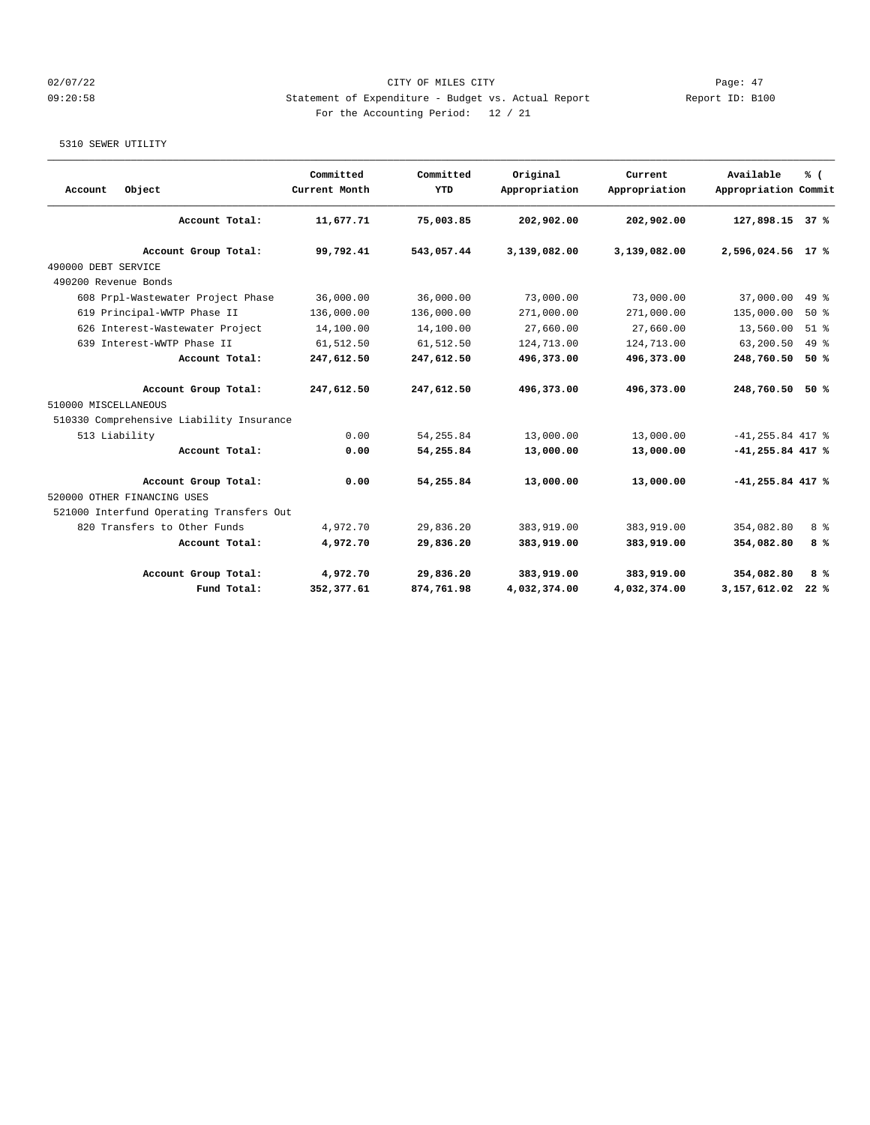## 02/07/22 Page: 47 09:20:58 Statement of Expenditure - Budget vs. Actual Report Changer Report ID: B100 For the Accounting Period: 12 / 21

| Object<br>Account                        | Committed<br>Current Month | Committed<br><b>YTD</b> | Original<br>Appropriation | Current<br>Appropriation | Available<br>Appropriation Commit | % (    |
|------------------------------------------|----------------------------|-------------------------|---------------------------|--------------------------|-----------------------------------|--------|
| Account Total:                           | 11,677.71                  | 75,003.85               | 202,902.00                | 202,902.00               | 127,898.15                        | 37%    |
| Account Group Total:                     | 99,792.41                  | 543,057.44              | 3,139,082.00              | 3,139,082.00             | 2,596,024.56 17 %                 |        |
| 490000 DEBT SERVICE                      |                            |                         |                           |                          |                                   |        |
| 490200 Revenue Bonds                     |                            |                         |                           |                          |                                   |        |
| 608 Prpl-Wastewater Project Phase        | 36,000.00                  | 36,000.00               | 73,000.00                 | 73,000.00                | 37,000.00                         | 49 %   |
| 619 Principal-WWTP Phase II              | 136,000.00                 | 136,000.00              | 271,000.00                | 271,000.00               | 135,000.00                        | 50%    |
| 626 Interest-Wastewater Project          | 14,100.00                  | 14,100.00               | 27,660.00                 | 27,660.00                | 13,560.00                         | $51$ % |
| 639 Interest-WWTP Phase II               | 61,512.50                  | 61,512.50               | 124,713.00                | 124,713.00               | 63,200.50                         | $49*$  |
| Account Total:                           | 247,612.50                 | 247,612.50              | 496,373.00                | 496,373.00               | 248,760.50                        | 50%    |
| Account Group Total:                     | 247,612.50                 | 247,612.50              | 496,373.00                | 496,373.00               | 248,760.50                        | 50%    |
| 510000 MISCELLANEOUS                     |                            |                         |                           |                          |                                   |        |
| 510330 Comprehensive Liability Insurance |                            |                         |                           |                          |                                   |        |
| 513 Liability                            | 0.00                       | 54, 255.84              | 13,000.00                 | 13,000.00                | $-41, 255.84$ 417 %               |        |
| Account Total:                           | 0.00                       | 54,255.84               | 13,000.00                 | 13,000.00                | $-41, 255.84$ 417 %               |        |
| Account Group Total:                     | 0.00                       | 54,255.84               | 13,000.00                 | 13,000.00                | $-41,255.84$ 417 %                |        |
| 520000 OTHER FINANCING USES              |                            |                         |                           |                          |                                   |        |
| 521000 Interfund Operating Transfers Out |                            |                         |                           |                          |                                   |        |
| 820 Transfers to Other Funds             | 4,972.70                   | 29,836.20               | 383,919.00                | 383,919.00               | 354,082.80                        | 8 %    |
| Account Total:                           | 4,972.70                   | 29,836.20               | 383,919.00                | 383,919.00               | 354,082.80                        | 8%     |
| Account Group Total:                     | 4,972.70                   | 29,836.20               | 383,919.00                | 383,919.00               | 354,082.80                        | 8%     |
|                                          | Fund Total:<br>352,377.61  | 874,761.98              | 4,032,374.00              | 4,032,374.00             | 3,157,612.02                      | 22%    |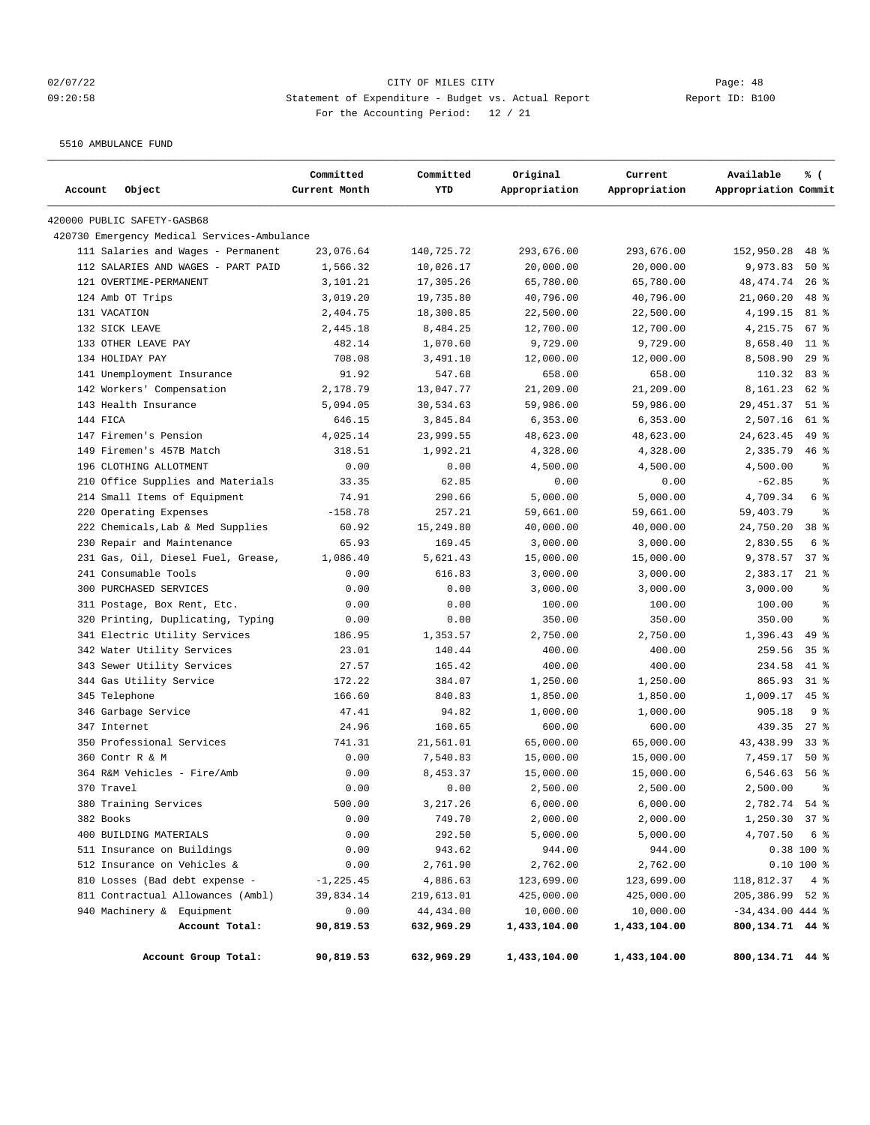## 02/07/22 Page: 48 09:20:58 Statement of Expenditure - Budget vs. Actual Report Changer Report ID: B100 For the Accounting Period: 12 / 21

5510 AMBULANCE FUND

| Account<br>Object                           | Committed<br>Current Month | Committed<br>YTD | Original<br>Appropriation | Current<br>Appropriation | Available<br>Appropriation Commit | % (                      |
|---------------------------------------------|----------------------------|------------------|---------------------------|--------------------------|-----------------------------------|--------------------------|
| 420000 PUBLIC SAFETY-GASB68                 |                            |                  |                           |                          |                                   |                          |
| 420730 Emergency Medical Services-Ambulance |                            |                  |                           |                          |                                   |                          |
| 111 Salaries and Wages - Permanent          | 23,076.64                  | 140,725.72       | 293,676.00                | 293,676.00               | 152,950.28                        | $48$ %                   |
| 112 SALARIES AND WAGES - PART PAID          | 1,566.32                   | 10,026.17        | 20,000.00                 | 20,000.00                | 9,973.83                          | 50%                      |
| 121 OVERTIME-PERMANENT                      | 3,101.21                   | 17,305.26        | 65,780.00                 | 65,780.00                | 48, 474.74                        | $26$ %                   |
| 124 Amb OT Trips                            | 3,019.20                   | 19,735.80        | 40,796.00                 | 40,796.00                | 21,060.20                         | 48 %                     |
| 131 VACATION                                | 2,404.75                   | 18,300.85        | 22,500.00                 | 22,500.00                | 4,199.15                          | 81 %                     |
| 132 SICK LEAVE                              | 2,445.18                   | 8,484.25         | 12,700.00                 | 12,700.00                | 4,215.75                          | 67%                      |
| 133 OTHER LEAVE PAY                         | 482.14                     | 1,070.60         | 9,729.00                  | 9,729.00                 | 8,658.40                          | $11$ %                   |
| 134 HOLIDAY PAY                             | 708.08                     | 3,491.10         | 12,000.00                 | 12,000.00                | 8,508.90                          | 29%                      |
| 141 Unemployment Insurance                  | 91.92                      | 547.68           | 658.00                    | 658.00                   | 110.32                            | 83%                      |
| 142 Workers' Compensation                   | 2,178.79                   | 13,047.77        | 21,209.00                 | 21,209.00                | 8,161.23                          | $62$ $%$                 |
| 143 Health Insurance                        | 5,094.05                   | 30,534.63        | 59,986.00                 | 59,986.00                | 29, 451.37                        | $51$ %                   |
| 144 FICA                                    | 646.15                     | 3,845.84         | 6, 353.00                 | 6,353.00                 | 2,507.16                          | 61 %                     |
| 147 Firemen's Pension                       | 4,025.14                   | 23,999.55        | 48,623.00                 | 48,623.00                | 24,623.45                         | 49 %                     |
| 149 Firemen's 457B Match                    | 318.51                     | 1,992.21         | 4,328.00                  | 4,328.00                 | 2,335.79                          | 46%                      |
| 196 CLOTHING ALLOTMENT                      | 0.00                       | 0.00             | 4,500.00                  | 4,500.00                 | 4,500.00                          | နွ                       |
| 210 Office Supplies and Materials           | 33.35                      | 62.85            | 0.00                      | 0.00                     | $-62.85$                          | နွ                       |
| 214 Small Items of Equipment                | 74.91                      | 290.66           | 5,000.00                  | 5,000.00                 | 4,709.34                          | 6 %                      |
| 220 Operating Expenses                      | $-158.78$                  | 257.21           | 59,661.00                 | 59,661.00                | 59,403.79                         | $\epsilon$               |
| 222 Chemicals, Lab & Med Supplies           | 60.92                      | 15,249.80        | 40,000.00                 | 40,000.00                | 24,750.20                         | 38 <sup>8</sup>          |
| 230 Repair and Maintenance                  | 65.93                      | 169.45           | 3,000.00                  | 3,000.00                 | 2,830.55                          | 6 %                      |
| 231 Gas, Oil, Diesel Fuel, Grease,          | 1,086.40                   | 5,621.43         | 15,000.00                 | 15,000.00                | 9,378.57                          | 37%                      |
| 241 Consumable Tools                        | 0.00                       | 616.83           | 3,000.00                  | 3,000.00                 | 2,383.17                          | $21$ %                   |
| 300 PURCHASED SERVICES                      | 0.00                       | 0.00             | 3,000.00                  | 3,000.00                 | 3,000.00                          | $\,{}^{\circ}\!\!\delta$ |
| 311 Postage, Box Rent, Etc.                 | 0.00                       | 0.00             | 100.00                    | 100.00                   | 100.00                            | ి                        |
| 320 Printing, Duplicating, Typing           | 0.00                       | 0.00             | 350.00                    | 350.00                   | 350.00                            | $\approx$                |
| 341 Electric Utility Services               | 186.95                     | 1,353.57         | 2,750.00                  | 2,750.00                 | 1,396.43                          | $49*$                    |
| 342 Water Utility Services                  | 23.01                      | 140.44           | 400.00                    | 400.00                   | 259.56                            | 35 <sup>8</sup>          |
| 343 Sewer Utility Services                  | 27.57                      | 165.42           | 400.00                    | 400.00                   | 234.58                            | 41 %                     |
| 344 Gas Utility Service                     | 172.22                     | 384.07           | 1,250.00                  | 1,250.00                 | 865.93                            | $31*$                    |
| 345 Telephone                               | 166.60                     | 840.83           | 1,850.00                  | 1,850.00                 | 1,009.17                          | $45$ %                   |
| 346 Garbage Service                         | 47.41                      | 94.82            | 1,000.00                  | 1,000.00                 | 905.18                            | 9 %                      |
| 347 Internet                                | 24.96                      | 160.65           | 600.00                    | 600.00                   | 439.35                            | $27*$                    |
| 350 Professional Services                   | 741.31                     | 21,561.01        | 65,000.00                 | 65,000.00                | 43, 438.99                        | $33$ $%$                 |
| 360 Contr R & M                             | 0.00                       | 7,540.83         | 15,000.00                 | 15,000.00                | 7,459.17                          | 50%                      |
| 364 R&M Vehicles - Fire/Amb                 | 0.00                       | 8,453.37         | 15,000.00                 | 15,000.00                | 6,546.63                          | 56%                      |
| 370 Travel                                  | 0.00                       | 0.00             | 2,500.00                  | 2,500.00                 | 2,500.00                          | နွ                       |
| 380 Training Services                       | 500.00                     | 3,217.26         | 6,000.00                  | 6,000.00                 | 2,782.74 54 %                     |                          |
| 382 Books                                   | 0.00                       | 749.70           | 2,000.00                  | 2,000.00                 | 1,250.30 37 %                     |                          |
| 400 BUILDING MATERIALS                      | 0.00                       | 292.50           | 5,000.00                  | 5,000.00                 | 4,707.50                          | 6 %                      |
| 511 Insurance on Buildings                  | 0.00                       | 943.62           | 944.00                    | 944.00                   |                                   | $0.38 100$ %             |
| 512 Insurance on Vehicles &                 | 0.00                       | 2,761.90         | 2,762.00                  | 2,762.00                 |                                   | $0.10 100$ %             |
| 810 Losses (Bad debt expense -              | $-1, 225.45$               | 4,886.63         | 123,699.00                | 123,699.00               | 118,812.37                        | $4 \text{ }$ $\text{*}$  |
| 811 Contractual Allowances (Ambl)           | 39,834.14                  | 219,613.01       | 425,000.00                | 425,000.00               | 205,386.99 52 %                   |                          |
| 940 Machinery & Equipment                   | 0.00                       | 44, 434.00       | 10,000.00                 | 10,000.00                | $-34,434.00$ 444 %                |                          |
| Account Total:                              | 90,819.53                  | 632,969.29       | 1,433,104.00              | 1,433,104.00             | 800,134.71 44 %                   |                          |
| Account Group Total:                        | 90,819.53                  | 632,969.29       | 1,433,104.00              | 1,433,104.00             | 800,134.71 44 %                   |                          |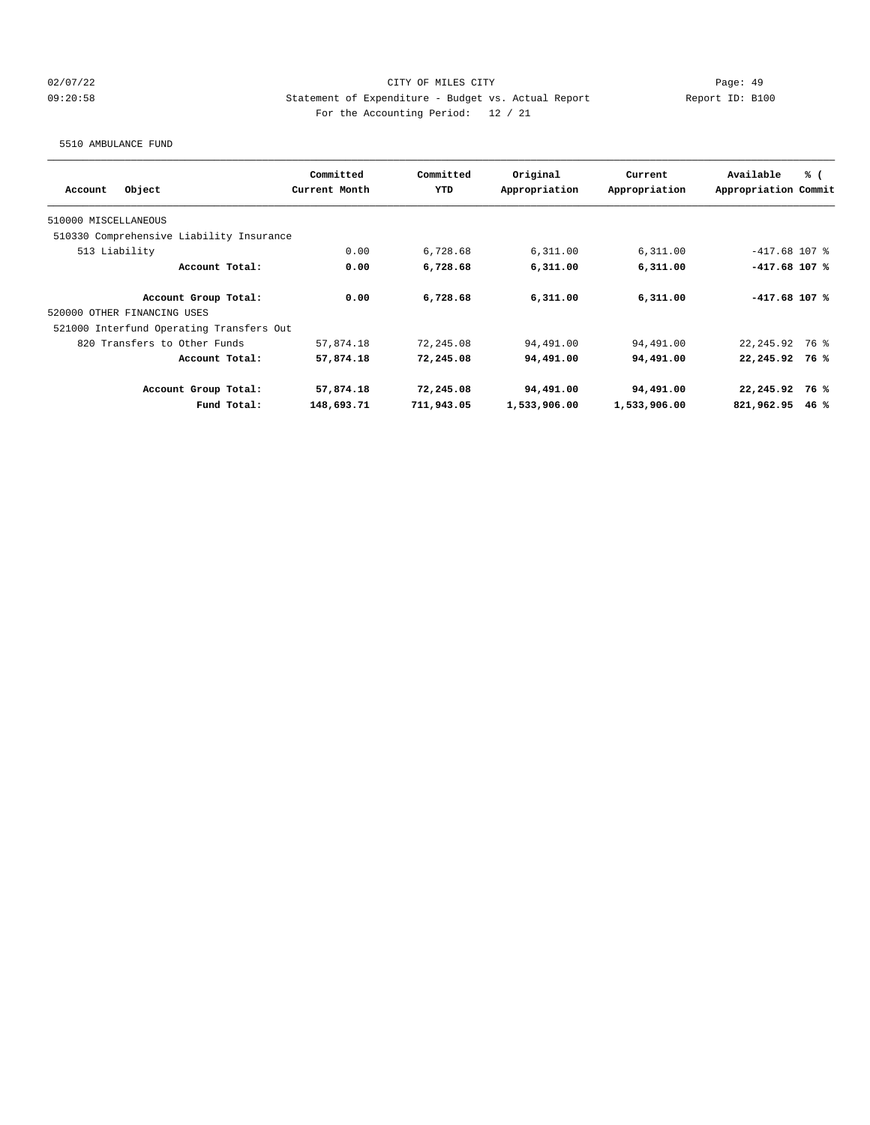## 02/07/22 Page: 49 09:20:58 Statement of Expenditure - Budget vs. Actual Report Changer (Report ID: B100 For the Accounting Period: 12 / 21

5510 AMBULANCE FUND

|                                          | Committed     | Committed  | Original      | Current       | Available            | % (  |
|------------------------------------------|---------------|------------|---------------|---------------|----------------------|------|
| Object<br>Account                        | Current Month | <b>YTD</b> | Appropriation | Appropriation | Appropriation Commit |      |
| 510000 MISCELLANEOUS                     |               |            |               |               |                      |      |
| 510330 Comprehensive Liability Insurance |               |            |               |               |                      |      |
| 513 Liability                            | 0.00          | 6,728.68   | 6,311.00      | 6,311.00      | $-417.68$ 107 %      |      |
| Account Total:                           | 0.00          | 6,728.68   | 6,311.00      | 6,311.00      | $-417.68$ 107 %      |      |
| Account Group Total:                     | 0.00          | 6,728.68   | 6,311.00      | 6,311.00      | $-417.68$ 107 %      |      |
| 520000 OTHER FINANCING USES              |               |            |               |               |                      |      |
| 521000 Interfund Operating Transfers Out |               |            |               |               |                      |      |
| 820 Transfers to Other Funds             | 57,874.18     | 72,245.08  | 94,491.00     | 94,491.00     | 22, 245.92 76 %      |      |
| Account Total:                           | 57,874.18     | 72,245.08  | 94,491.00     | 94,491.00     | 22,245.92 76 %       |      |
| Account Group Total:                     | 57,874.18     | 72,245.08  | 94,491.00     | 94,491.00     | $22,245.92$ 76 %     |      |
| Fund Total:                              | 148,693.71    | 711,943.05 | 1,533,906.00  | 1,533,906.00  | 821,962.95           | 46 % |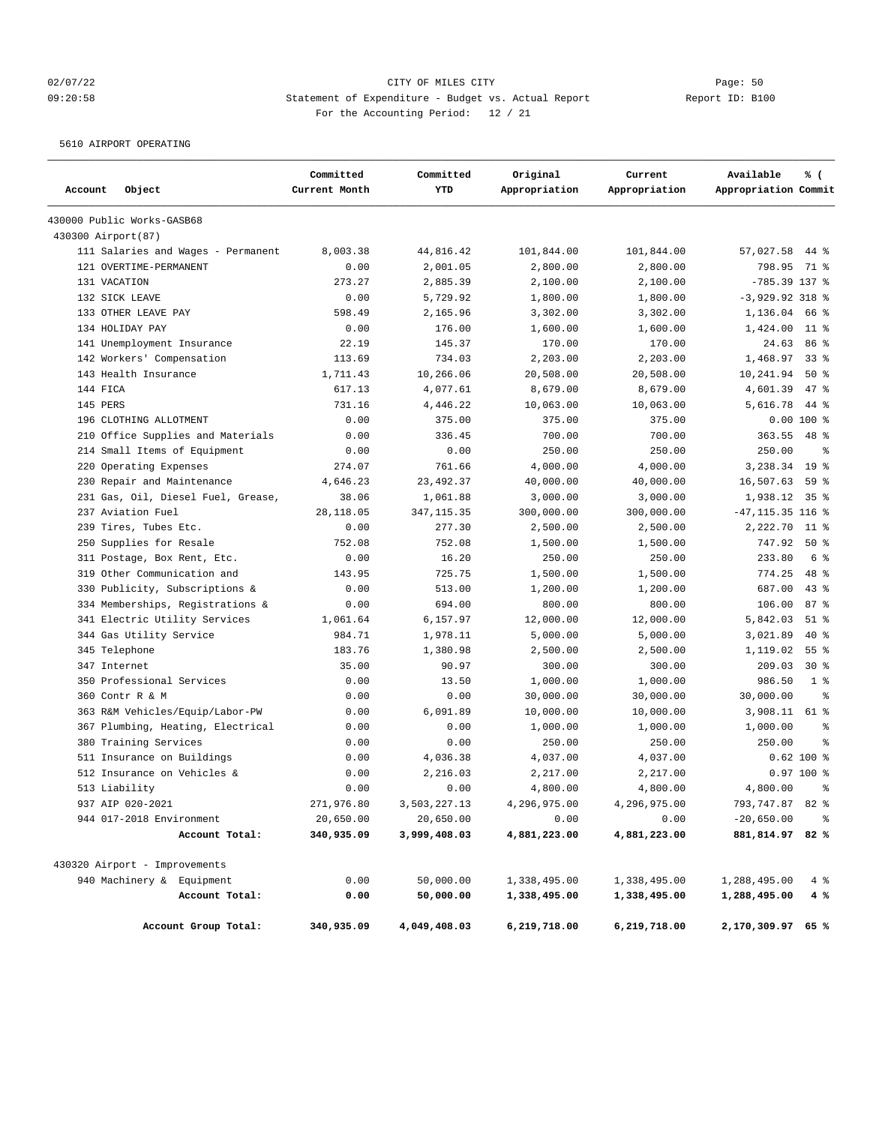## 02/07/22 Page: 50 09:20:58 Statement of Expenditure - Budget vs. Actual Report Changer Report ID: B100 For the Accounting Period: 12 / 21

5610 AIRPORT OPERATING

|                     |                                    | Committed     | Committed    | Original      | Current       | Available            | % (             |
|---------------------|------------------------------------|---------------|--------------|---------------|---------------|----------------------|-----------------|
| Account             | Object                             | Current Month | YTD          | Appropriation | Appropriation | Appropriation Commit |                 |
|                     | 430000 Public Works-GASB68         |               |              |               |               |                      |                 |
| 430300 Airport (87) |                                    |               |              |               |               |                      |                 |
|                     | 111 Salaries and Wages - Permanent | 8,003.38      | 44,816.42    | 101,844.00    | 101,844.00    | 57,027.58            | 44 %            |
|                     | 121 OVERTIME-PERMANENT             | 0.00          | 2,001.05     | 2,800.00      | 2,800.00      | 798.95               | 71 %            |
|                     | 131 VACATION                       | 273.27        | 2,885.39     | 2,100.00      | 2,100.00      | $-785.39$ 137 %      |                 |
|                     | 132 SICK LEAVE                     | 0.00          | 5,729.92     | 1,800.00      | 1,800.00      | $-3,929.92$ 318 %    |                 |
|                     | 133 OTHER LEAVE PAY                | 598.49        | 2,165.96     | 3,302.00      | 3,302.00      | 1,136.04 66 %        |                 |
|                     | 134 HOLIDAY PAY                    | 0.00          | 176.00       | 1,600.00      | 1,600.00      | 1,424.00             | $11$ %          |
|                     | 141 Unemployment Insurance         | 22.19         | 145.37       | 170.00        | 170.00        | 24.63                | 86 %            |
|                     | 142 Workers' Compensation          | 113.69        | 734.03       | 2,203.00      | 2,203.00      | 1,468.97             | 33%             |
|                     | 143 Health Insurance               | 1,711.43      | 10,266.06    | 20,508.00     | 20,508.00     | 10,241.94            | 50%             |
| 144 FICA            |                                    | 617.13        | 4,077.61     | 8,679.00      | 8,679.00      | 4,601.39             | $47$ %          |
| 145 PERS            |                                    | 731.16        | 4,446.22     | 10,063.00     | 10,063.00     | 5,616.78             | $44*$           |
|                     | 196 CLOTHING ALLOTMENT             | 0.00          | 375.00       | 375.00        | 375.00        |                      | $0.00100$ %     |
|                     | 210 Office Supplies and Materials  | 0.00          | 336.45       | 700.00        | 700.00        | 363.55               | $48$ %          |
|                     | 214 Small Items of Equipment       | 0.00          | 0.00         | 250.00        | 250.00        | 250.00               | ి               |
|                     | 220 Operating Expenses             | 274.07        | 761.66       | 4,000.00      | 4,000.00      | 3,238.34             | 19 <sup>°</sup> |
|                     | 230 Repair and Maintenance         | 4,646.23      | 23, 492.37   | 40,000.00     | 40,000.00     | 16,507.63            | 59%             |
|                     | 231 Gas, Oil, Diesel Fuel, Grease, | 38.06         | 1,061.88     | 3,000.00      | 3,000.00      | 1,938.12 35 %        |                 |
|                     | 237 Aviation Fuel                  | 28,118.05     | 347, 115.35  | 300,000.00    | 300,000.00    | $-47, 115.35$ 116 %  |                 |
|                     | 239 Tires, Tubes Etc.              | 0.00          | 277.30       | 2,500.00      | 2,500.00      | 2,222.70             | $11$ %          |
|                     | 250 Supplies for Resale            | 752.08        | 752.08       | 1,500.00      | 1,500.00      | 747.92               | $50*$           |
|                     | 311 Postage, Box Rent, Etc.        | 0.00          | 16.20        | 250.00        | 250.00        | 233.80               | 6 %             |
|                     | 319 Other Communication and        | 143.95        | 725.75       | 1,500.00      | 1,500.00      | 774.25               | $48$ %          |
|                     | 330 Publicity, Subscriptions &     | 0.00          | 513.00       | 1,200.00      | 1,200.00      | 687.00               | 43%             |
|                     | 334 Memberships, Registrations &   | 0.00          | 694.00       | 800.00        | 800.00        | 106.00               | 87%             |
|                     | 341 Electric Utility Services      | 1,061.64      | 6,157.97     | 12,000.00     | 12,000.00     | 5,842.03             | $51$ %          |
|                     | 344 Gas Utility Service            | 984.71        | 1,978.11     | 5,000.00      | 5,000.00      | 3,021.89             | $40*$           |
|                     | 345 Telephone                      | 183.76        | 1,380.98     | 2,500.00      | 2,500.00      | 1,119.02             | 55 <sup>8</sup> |
|                     | 347 Internet                       | 35.00         | 90.97        | 300.00        | 300.00        | 209.03               | $30*$           |
|                     | 350 Professional Services          | 0.00          | 13.50        | 1,000.00      | 1,000.00      | 986.50               | 1 <sup>8</sup>  |
|                     | 360 Contr R & M                    | 0.00          | 0.00         | 30,000.00     | 30,000.00     | 30,000.00            | နွ              |
|                     | 363 R&M Vehicles/Equip/Labor-PW    | 0.00          | 6,091.89     | 10,000.00     | 10,000.00     | 3,908.11             | 61 %            |
|                     | 367 Plumbing, Heating, Electrical  | 0.00          | 0.00         | 1,000.00      | 1,000.00      | 1,000.00             | နွ              |
|                     | 380 Training Services              | 0.00          | 0.00         | 250.00        | 250.00        | 250.00               | နွ              |
|                     | 511 Insurance on Buildings         | 0.00          | 4,036.38     | 4,037.00      | 4,037.00      |                      | 0.62 100 %      |
|                     | 512 Insurance on Vehicles &        | 0.00          | 2,216.03     | 2,217.00      | 2,217.00      |                      | $0.97100$ %     |
|                     | 513 Liability                      | 0.00          | 0.00         | 4,800.00      | 4,800.00      | 4,800.00             | $\approx$       |
|                     | 937 AIP 020-2021                   | 271,976.80    | 3,503,227.13 | 4,296,975.00  | 4,296,975.00  | 793,747.87 82 %      |                 |
|                     | 944 017-2018 Environment           | 20,650.00     | 20,650.00    | 0.00          | 0.00          | $-20,650.00$         | $\frac{6}{6}$   |
|                     | Account Total:                     | 340,935.09    | 3,999,408.03 | 4,881,223.00  | 4,881,223.00  | 881,814.97 82 %      |                 |
|                     | 430320 Airport - Improvements      |               |              |               |               |                      |                 |
|                     | 940 Machinery & Equipment          | 0.00          | 50,000.00    | 1,338,495.00  | 1,338,495.00  | 1,288,495.00         | 4%              |
|                     | Account Total:                     | 0.00          | 50,000.00    | 1,338,495.00  | 1,338,495.00  | 1,288,495.00         | 4%              |
|                     | Account Group Total:               | 340,935.09    | 4,049,408.03 | 6,219,718.00  | 6,219,718.00  | 2,170,309.97 65 %    |                 |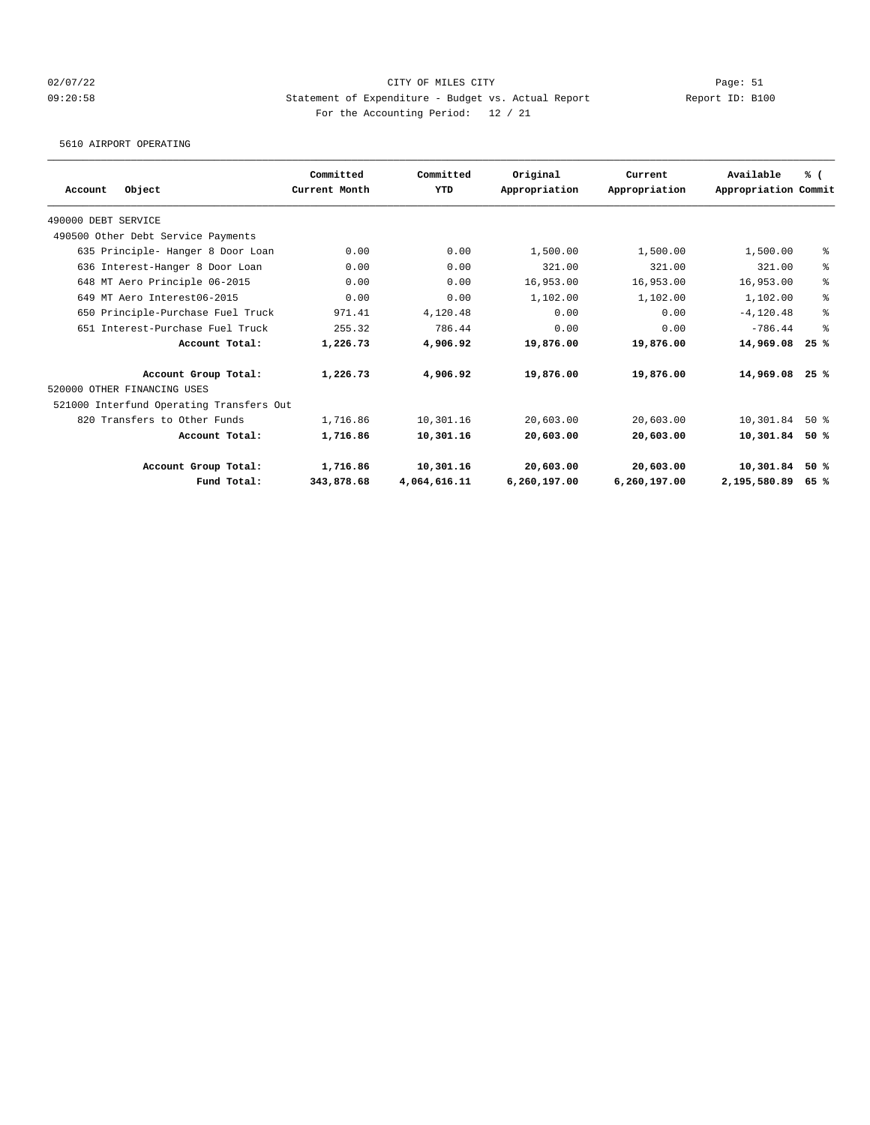## 02/07/22 Page: 51 09:20:58 Statement of Expenditure - Budget vs. Actual Report Report ID: B100 For the Accounting Period: 12 / 21

5610 AIRPORT OPERATING

| Object<br>Account                        | Committed<br>Current Month | Committed<br><b>YTD</b> | Original<br>Appropriation | Current<br>Appropriation | Available<br>Appropriation Commit | % (  |
|------------------------------------------|----------------------------|-------------------------|---------------------------|--------------------------|-----------------------------------|------|
| 490000 DEBT SERVICE                      |                            |                         |                           |                          |                                   |      |
| 490500 Other Debt Service Payments       |                            |                         |                           |                          |                                   |      |
|                                          | 0.00                       | 0.00                    |                           |                          |                                   |      |
| 635 Principle- Hanger 8 Door Loan        |                            |                         | 1,500.00                  | 1,500.00                 | 1,500.00                          | ៖    |
| 636 Interest-Hanger 8 Door Loan          | 0.00                       | 0.00                    | 321.00                    | 321.00                   | 321.00                            | ి    |
| 648 MT Aero Principle 06-2015            | 0.00                       | 0.00                    | 16,953.00                 | 16,953.00                | 16,953.00                         | ి    |
| 649 MT Aero Interest06-2015              | 0.00                       | 0.00                    | 1,102.00                  | 1,102.00                 | 1,102.00                          | ి    |
| 650 Principle-Purchase Fuel Truck        | 971.41                     | 4,120.48                | 0.00                      | 0.00                     | $-4.120.48$                       | ዿ    |
| 651 Interest-Purchase Fuel Truck         | 255.32                     | 786.44                  | 0.00                      | 0.00                     | $-786.44$                         | နွ   |
| Account Total:                           | 1,226.73                   | 4,906.92                | 19,876.00                 | 19,876.00                | 14,969.08                         | 25%  |
| Account Group Total:                     | 1,226.73                   | 4,906.92                | 19,876.00                 | 19,876.00                | 14,969.08                         | 25%  |
| 520000 OTHER FINANCING USES              |                            |                         |                           |                          |                                   |      |
| 521000 Interfund Operating Transfers Out |                            |                         |                           |                          |                                   |      |
| 820 Transfers to Other Funds             | 1,716.86                   | 10,301.16               | 20,603.00                 | 20,603.00                | 10,301.84                         | 50%  |
| Account Total:                           | 1,716.86                   | 10,301.16               | 20,603.00                 | 20,603.00                | 10,301.84                         | 50 % |
| Account Group Total:                     | 1,716.86                   | 10,301.16               | 20,603.00                 | 20,603.00                | 10,301.84                         | 50%  |
| Fund Total:                              | 343,878.68                 | 4,064,616.11            | 6,260,197.00              | 6,260,197.00             | 2,195,580.89                      | 65%  |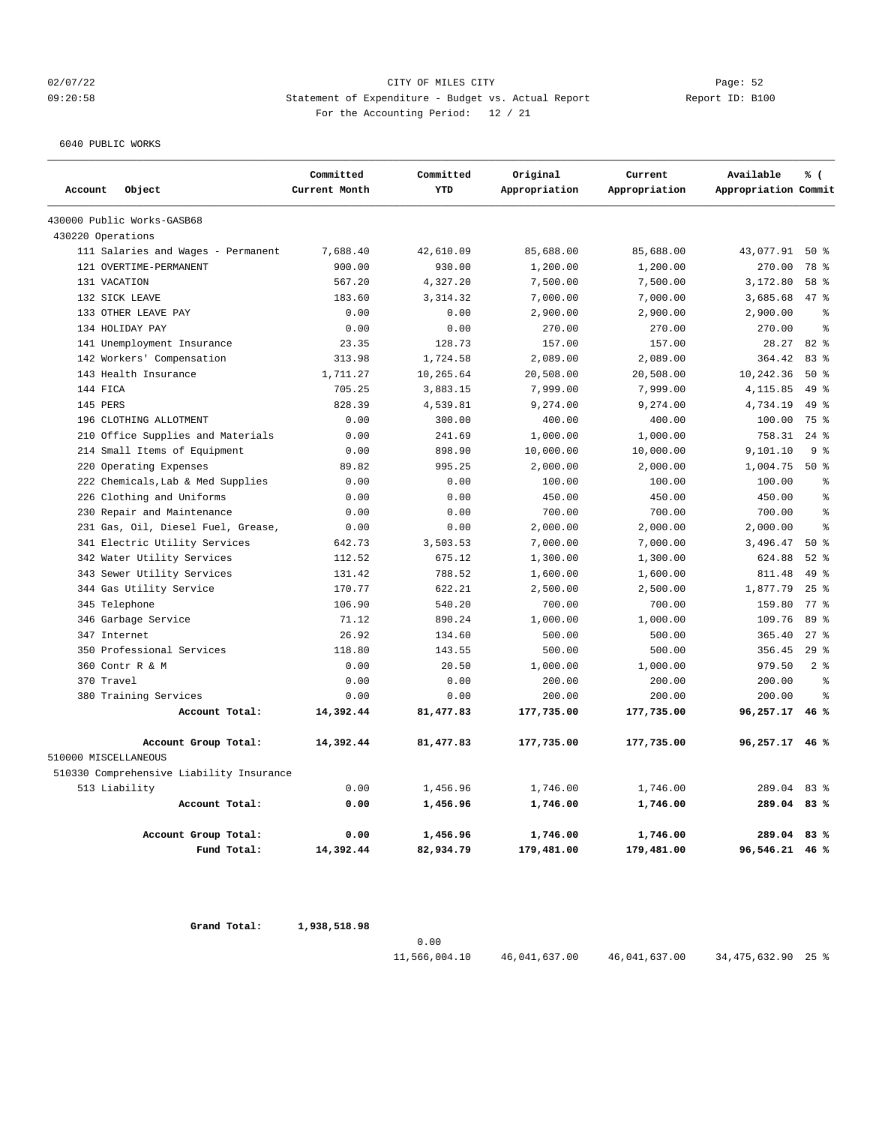## 02/07/22 Page: 52 09:20:58 Statement of Expenditure - Budget vs. Actual Report Report ID: B100 For the Accounting Period: 12 / 21

6040 PUBLIC WORKS

|                      |                                          | Committed     | Committed  | Original      | Current       | Available            | $\%$ (         |
|----------------------|------------------------------------------|---------------|------------|---------------|---------------|----------------------|----------------|
| Account              | Object                                   | Current Month | YTD        | Appropriation | Appropriation | Appropriation Commit |                |
|                      | 430000 Public Works-GASB68               |               |            |               |               |                      |                |
| 430220 Operations    |                                          |               |            |               |               |                      |                |
|                      | 111 Salaries and Wages - Permanent       | 7,688.40      | 42,610.09  | 85,688.00     | 85,688.00     | 43,077.91            | 50%            |
|                      | 121 OVERTIME-PERMANENT                   | 900.00        | 930.00     | 1,200.00      | 1,200.00      | 270.00               | 78 %           |
| 131 VACATION         |                                          | 567.20        | 4,327.20   | 7,500.00      | 7,500.00      | 3,172.80             | 58 %           |
|                      | 132 SICK LEAVE                           | 183.60        | 3, 314.32  | 7,000.00      | 7,000.00      | 3,685.68             | 47.8           |
|                      | 133 OTHER LEAVE PAY                      | 0.00          | 0.00       | 2,900.00      | 2,900.00      | 2,900.00             | နွ             |
|                      | 134 HOLIDAY PAY                          | 0.00          | 0.00       | 270.00        | 270.00        | 270.00               | $\approx$      |
|                      | 141 Unemployment Insurance               | 23.35         | 128.73     | 157.00        | 157.00        | 28.27                | 82%            |
|                      | 142 Workers' Compensation                | 313.98        | 1,724.58   | 2,089.00      | 2,089.00      | 364.42               | $83$ $%$       |
|                      | 143 Health Insurance                     | 1,711.27      | 10,265.64  | 20,508.00     | 20,508.00     | 10,242.36            | $50*$          |
| 144 FICA             |                                          | 705.25        | 3,883.15   | 7,999.00      | 7,999.00      | 4,115.85             | $49*$          |
| 145 PERS             |                                          | 828.39        | 4,539.81   | 9,274.00      | 9,274.00      | 4,734.19             | $49*$          |
|                      | 196 CLOTHING ALLOTMENT                   | 0.00          | 300.00     | 400.00        | 400.00        | 100.00               | 75 %           |
| 210                  | Office Supplies and Materials            | 0.00          | 241.69     | 1,000.00      | 1,000.00      | 758.31               | $24$ $%$       |
|                      | 214 Small Items of Equipment             | 0.00          | 898.90     | 10,000.00     | 10,000.00     | 9,101.10             | 9%             |
| 220                  | Operating Expenses                       | 89.82         | 995.25     | 2,000.00      | 2,000.00      | 1,004.75             | 50%            |
| 222                  | Chemicals, Lab & Med Supplies            | 0.00          | 0.00       | 100.00        | 100.00        | 100.00               | နွ             |
| 226                  | Clothing and Uniforms                    | 0.00          | 0.00       | 450.00        | 450.00        | 450.00               | $\approx$      |
| 230                  | Repair and Maintenance                   | 0.00          | 0.00       | 700.00        | 700.00        | 700.00               | ႜ              |
|                      | 231 Gas, Oil, Diesel Fuel, Grease,       | 0.00          | 0.00       | 2,000.00      | 2,000.00      | 2,000.00             | ş              |
|                      | 341 Electric Utility Services            | 642.73        | 3,503.53   | 7,000.00      | 7,000.00      | 3,496.47             | $50*$          |
|                      | 342 Water Utility Services               | 112.52        | 675.12     | 1,300.00      | 1,300.00      | 624.88               | $52$ $%$       |
|                      | 343 Sewer Utility Services               | 131.42        | 788.52     | 1,600.00      | 1,600.00      | 811.48               | $49*$          |
|                      | 344 Gas Utility Service                  | 170.77        | 622.21     | 2,500.00      | 2,500.00      | 1,877.79             | 25%            |
|                      | 345 Telephone                            | 106.90        | 540.20     | 700.00        | 700.00        | 159.80               | 77.8           |
|                      | 346 Garbage Service                      | 71.12         | 890.24     | 1,000.00      | 1,000.00      | 109.76               | 89 %           |
| 347 Internet         |                                          | 26.92         | 134.60     | 500.00        | 500.00        | 365.40               | $27$ $%$       |
|                      | 350 Professional Services                | 118.80        | 143.55     | 500.00        | 500.00        | 356.45               | 29%            |
|                      | 360 Contr R & M                          | 0.00          | 20.50      | 1,000.00      | 1,000.00      | 979.50               | 2 <sup>8</sup> |
| 370 Travel           |                                          | 0.00          | 0.00       | 200.00        | 200.00        | 200.00               | $\approx$      |
|                      | 380 Training Services                    | 0.00          | 0.00       | 200.00        | 200.00        | 200.00               | နွ             |
|                      | Account Total:                           | 14,392.44     | 81, 477.83 | 177,735.00    | 177,735.00    | 96,257.17            | 46%            |
|                      | Account Group Total:                     | 14,392.44     | 81, 477.83 | 177,735.00    | 177,735.00    | 96,257.17            | 46%            |
| 510000 MISCELLANEOUS |                                          |               |            |               |               |                      |                |
|                      | 510330 Comprehensive Liability Insurance |               |            |               |               |                      |                |
|                      | 513 Liability                            | 0.00          | 1,456.96   | 1,746.00      | 1,746.00      | 289.04               | 83%            |
|                      | Account Total:                           | 0.00          | 1,456.96   | 1,746.00      | 1,746.00      | 289.04               | 83%            |
|                      | Account Group Total:                     | 0.00          | 1,456.96   | 1,746.00      | 1,746.00      | 289.04               | 83%            |
|                      | Fund Total:                              | 14,392.44     | 82,934.79  | 179,481.00    | 179,481.00    | 96,546.21            | 46%            |

 **Grand Total: 1,938,518.98**

0.00

11,566,004.10 46,041,637.00 46,041,637.00 34,475,632.90 25 %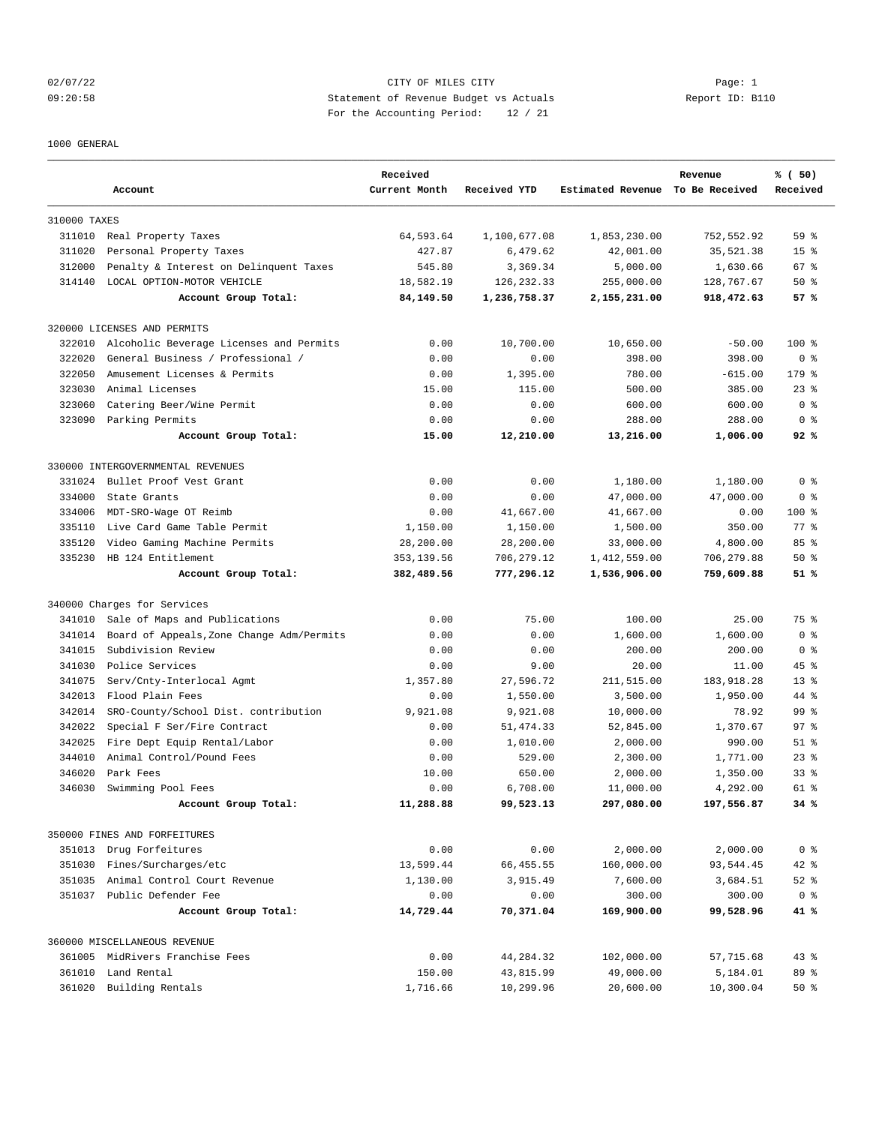## 02/07/22 Page: 1 CITY OF MILES CITY 09:20:58 Statement of Revenue Budget vs Actuals Report ID: B110 For the Accounting Period: 12 / 21

#### 1000 GENERAL

|              | Account                                   | Received<br>Current Month | Received YTD | Estimated Revenue To Be Received | Revenue    | % (50)<br>Received |
|--------------|-------------------------------------------|---------------------------|--------------|----------------------------------|------------|--------------------|
| 310000 TAXES |                                           |                           |              |                                  |            |                    |
|              | 311010 Real Property Taxes                | 64,593.64                 | 1,100,677.08 | 1,853,230.00                     | 752,552.92 | 59 <sup>8</sup>    |
| 311020       | Personal Property Taxes                   | 427.87                    | 6,479.62     | 42,001.00                        | 35,521.38  | 15 <sup>8</sup>    |
| 312000       | Penalty & Interest on Delinquent Taxes    | 545.80                    | 3,369.34     | 5,000.00                         | 1,630.66   | 67 %               |
| 314140       | LOCAL OPTION-MOTOR VEHICLE                | 18,582.19                 | 126, 232.33  | 255,000.00                       | 128,767.67 | 50%                |
|              | Account Group Total:                      | 84,149.50                 | 1,236,758.37 | 2,155,231.00                     | 918,472.63 | 57%                |
|              | 320000 LICENSES AND PERMITS               |                           |              |                                  |            |                    |
| 322010       | Alcoholic Beverage Licenses and Permits   | 0.00                      | 10,700.00    | 10,650.00                        | $-50.00$   | $100$ %            |
| 322020       | General Business / Professional /         | 0.00                      | 0.00         | 398.00                           | 398.00     | 0 <sup>8</sup>     |
| 322050       | Amusement Licenses & Permits              | 0.00                      | 1,395.00     | 780.00                           | $-615.00$  | 179 %              |
| 323030       | Animal Licenses                           | 15.00                     | 115.00       | 500.00                           | 385.00     | $23$ %             |
| 323060       | Catering Beer/Wine Permit                 | 0.00                      | 0.00         | 600.00                           | 600.00     | 0 <sup>8</sup>     |
|              | 323090 Parking Permits                    | 0.00                      | 0.00         | 288.00                           | 288.00     | 0 <sup>8</sup>     |
|              | Account Group Total:                      | 15.00                     | 12,210.00    | 13,216.00                        | 1,006.00   | 92%                |
|              | 330000 INTERGOVERNMENTAL REVENUES         |                           |              |                                  |            |                    |
| 331024       | Bullet Proof Vest Grant                   | 0.00                      | 0.00         | 1,180.00                         | 1,180.00   | 0 <sup>8</sup>     |
| 334000       | State Grants                              | 0.00                      | 0.00         | 47,000.00                        | 47,000.00  | 0 <sup>8</sup>     |
| 334006       | MDT-SRO-Wage OT Reimb                     | 0.00                      | 41,667.00    | 41,667.00                        | 0.00       | $100$ %            |
| 335110       | Live Card Game Table Permit               | 1,150.00                  | 1,150.00     | 1,500.00                         | 350.00     | $77$ $%$           |
| 335120       | Video Gaming Machine Permits              | 28,200.00                 | 28,200.00    | 33,000.00                        | 4,800.00   | 85%                |
| 335230       | HB 124 Entitlement                        | 353, 139.56               | 706,279.12   | 1,412,559.00                     | 706,279.88 | $50*$              |
|              | Account Group Total:                      | 382,489.56                | 777,296.12   | 1,536,906.00                     | 759,609.88 | 51%                |
|              | 340000 Charges for Services               |                           |              |                                  |            |                    |
| 341010       | Sale of Maps and Publications             | 0.00                      | 75.00        | 100.00                           | 25.00      | 75 %               |
| 341014       | Board of Appeals, Zone Change Adm/Permits | 0.00                      | 0.00         | 1,600.00                         | 1,600.00   | 0 %                |
| 341015       | Subdivision Review                        | 0.00                      | 0.00         | 200.00                           | 200.00     | 0 <sup>8</sup>     |
| 341030       | Police Services                           | 0.00                      | 9.00         | 20.00                            | 11.00      | 45 %               |
| 341075       | Serv/Cnty-Interlocal Agmt                 | 1,357.80                  | 27,596.72    | 211,515.00                       | 183,918.28 | $13*$              |
| 342013       | Flood Plain Fees                          | 0.00                      | 1,550.00     | 3,500.00                         | 1,950.00   | 44 %               |
| 342014       | SRO-County/School Dist. contribution      | 9,921.08                  | 9,921.08     | 10,000.00                        | 78.92      | 99 <sub>8</sub>    |
| 342022       | Special F Ser/Fire Contract               | 0.00                      | 51, 474.33   | 52,845.00                        | 1,370.67   | 97%                |
| 342025       | Fire Dept Equip Rental/Labor              | 0.00                      | 1,010.00     | 2,000.00                         | 990.00     | $51$ %             |
| 344010       | Animal Control/Pound Fees                 | 0.00                      | 529.00       | 2,300.00                         | 1,771.00   | $23$ $%$           |
| 346020       | Park Fees                                 | 10.00                     | 650.00       | 2,000.00                         | 1,350.00   | 33 <sup>8</sup>    |
| 346030       | Swimming Pool Fees                        | 0.00                      | 6,708.00     | 11,000.00                        | 4,292.00   | $61$ $%$           |
|              | Account Group Total:                      | 11,288.88                 | 99,523.13    | 297,080.00                       | 197,556.87 | 34%                |
|              | 350000 FINES AND FORFEITURES              |                           |              |                                  |            |                    |
|              | 351013 Drug Forfeitures                   | 0.00                      | 0.00         | 2,000.00                         | 2,000.00   | 0 <sup>8</sup>     |
| 351030       | Fines/Surcharges/etc                      | 13,599.44                 | 66,455.55    | 160,000.00                       | 93,544.45  | $42$ %             |
| 351035       | Animal Control Court Revenue              | 1,130.00                  | 3,915.49     | 7,600.00                         | 3,684.51   | $52$ $%$           |
|              | 351037 Public Defender Fee                | 0.00                      | 0.00         | 300.00                           | 300.00     | 0 <sup>8</sup>     |
|              | Account Group Total:                      | 14,729.44                 | 70,371.04    | 169,900.00                       | 99,528.96  | 41 %               |
|              | 360000 MISCELLANEOUS REVENUE              |                           |              |                                  |            |                    |
|              | 361005 MidRivers Franchise Fees           | 0.00                      | 44,284.32    | 102,000.00                       | 57,715.68  | $43$ %             |
|              | 361010 Land Rental                        | 150.00                    | 43,815.99    | 49,000.00                        | 5,184.01   | 89 %               |
| 361020       | Building Rentals                          | 1,716.66                  | 10,299.96    | 20,600.00                        | 10,300.04  | 50%                |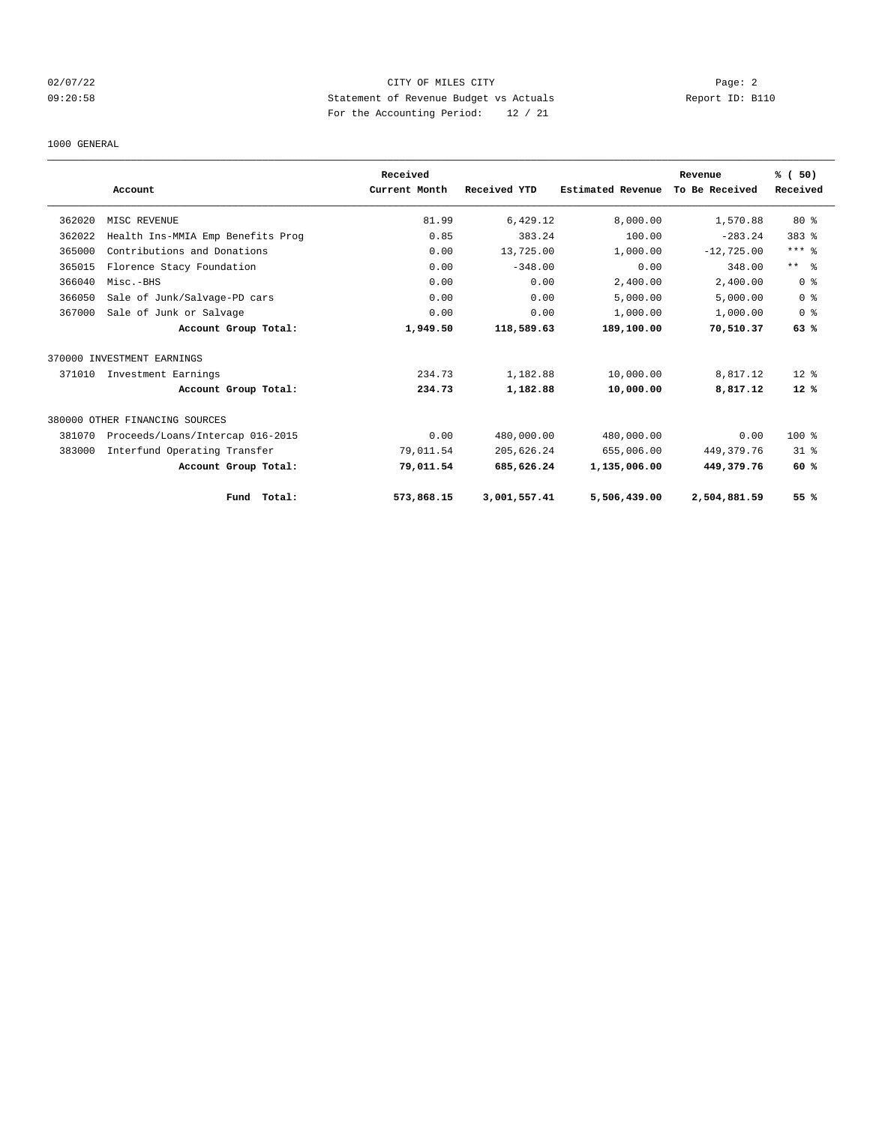# 02/07/22 Page: 2 09:20:58 Statement of Revenue Budget vs Actuals Report ID: B110 For the Accounting Period: 12 / 21

### 1000 GENERAL

|        |                                   | Received      |              |                   | Revenue        | % (50)         |
|--------|-----------------------------------|---------------|--------------|-------------------|----------------|----------------|
|        | Account                           | Current Month | Received YTD | Estimated Revenue | To Be Received | Received       |
| 362020 | MISC REVENUE                      | 81.99         | 6,429.12     | 8,000.00          | 1,570.88       | $80*$          |
| 362022 | Health Ins-MMIA Emp Benefits Prog | 0.85          | 383.24       | 100.00            | $-283.24$      | $383$ $%$      |
| 365000 | Contributions and Donations       | 0.00          | 13,725.00    | 1,000.00          | $-12,725.00$   | $***$ $_{8}$   |
| 365015 | Florence Stacy Foundation         | 0.00          | $-348.00$    | 0.00              | 348.00         | $***$ $ -$     |
| 366040 | Misc.-BHS                         | 0.00          | 0.00         | 2,400.00          | 2,400.00       | 0 <sup>8</sup> |
| 366050 | Sale of Junk/Salvage-PD cars      | 0.00          | 0.00         | 5,000.00          | 5,000.00       | 0 <sup>8</sup> |
| 367000 | Sale of Junk or Salvage           | 0.00          | 0.00         | 1,000.00          | 1,000.00       | 0 <sup>8</sup> |
|        | Account Group Total:              | 1,949.50      | 118,589.63   | 189,100.00        | 70,510.37      | 63%            |
|        | 370000 INVESTMENT EARNINGS        |               |              |                   |                |                |
| 371010 | Investment Earnings               | 234.73        | 1,182.88     | 10,000.00         | 8,817.12       | $12*$          |
|        | Account Group Total:              | 234.73        | 1,182.88     | 10,000.00         | 8,817.12       | $12*$          |
|        | 380000 OTHER FINANCING SOURCES    |               |              |                   |                |                |
| 381070 | Proceeds/Loans/Intercap 016-2015  | 0.00          | 480,000.00   | 480,000.00        | 0.00           | $100$ %        |
| 383000 | Interfund Operating Transfer      | 79,011.54     | 205,626.24   | 655,006.00        | 449, 379. 76   | $31*$          |
|        | Account Group Total:              | 79,011.54     | 685,626.24   | 1,135,006.00      | 449,379.76     | 60%            |
|        | Fund Total:                       | 573,868.15    | 3,001,557.41 | 5,506,439.00      | 2,504,881.59   | 55 %           |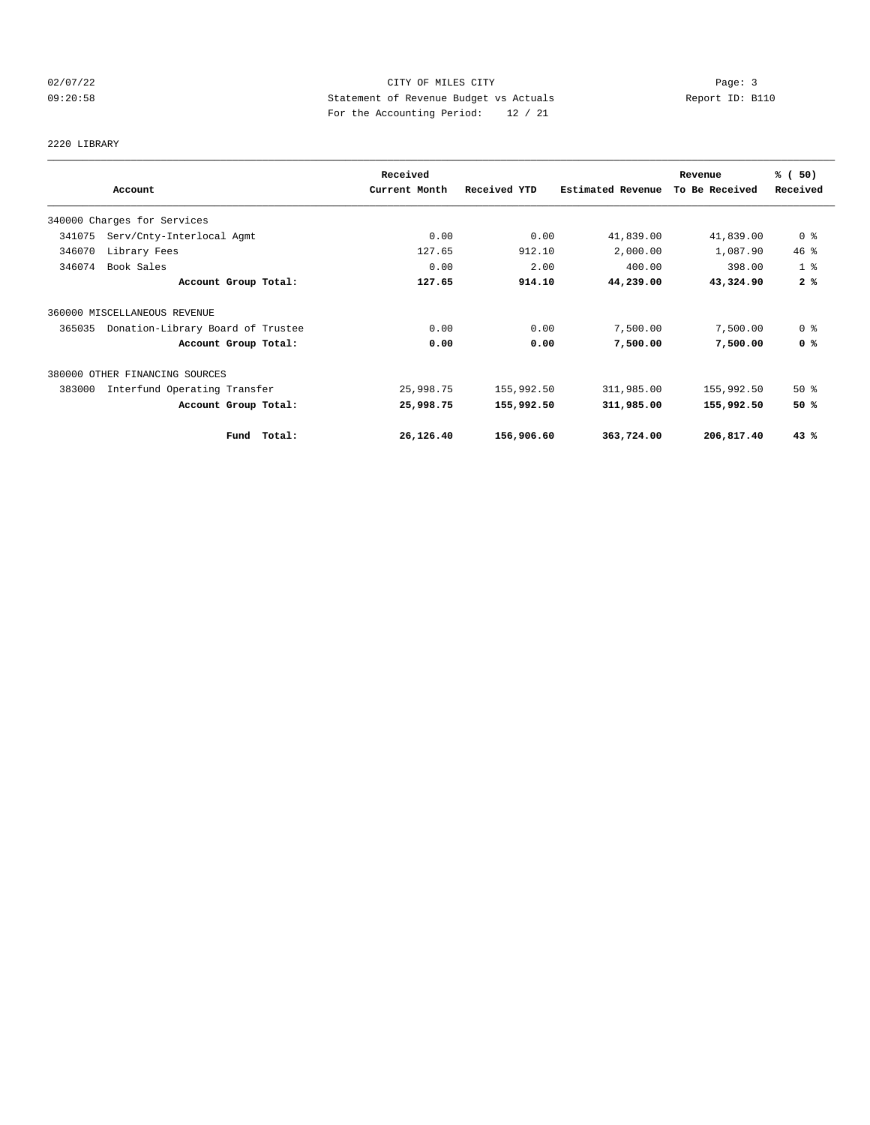# 02/07/22 Page: 3 Page: 3 Page: 3 09:20:58 Statement of Revenue Budget vs Actuals Report ID: B110 For the Accounting Period: 12 / 21

# 2220 LIBRARY

|        |                                   | Received      |              |                   | Revenue        | % (50)         |
|--------|-----------------------------------|---------------|--------------|-------------------|----------------|----------------|
|        | Account                           | Current Month | Received YTD | Estimated Revenue | To Be Received | Received       |
|        | 340000 Charges for Services       |               |              |                   |                |                |
| 341075 | Serv/Cnty-Interlocal Agmt         | 0.00          | 0.00         | 41,839.00         | 41,839.00      | 0 <sup>8</sup> |
| 346070 | Library Fees                      | 127.65        | 912.10       | 2,000.00          | 1,087.90       | 46%            |
| 346074 | Book Sales                        | 0.00          | 2.00         | 400.00            | 398.00         | 1 <sup>8</sup> |
|        | Account Group Total:              | 127.65        | 914.10       | 44,239.00         | 43,324.90      | 2%             |
|        | 360000 MISCELLANEOUS REVENUE      |               |              |                   |                |                |
| 365035 | Donation-Library Board of Trustee | 0.00          | 0.00         | 7,500.00          | 7,500.00       | 0 <sup>8</sup> |
|        | Account Group Total:              | 0.00          | 0.00         | 7,500.00          | 7,500.00       | 0 <sup>8</sup> |
|        | 380000 OTHER FINANCING SOURCES    |               |              |                   |                |                |
| 383000 | Interfund Operating Transfer      | 25,998.75     | 155,992.50   | 311,985.00        | 155,992.50     | $50*$          |
|        | Account Group Total:              | 25,998.75     | 155,992.50   | 311,985.00        | 155,992.50     | 50%            |
|        | Fund Total:                       | 26,126.40     | 156,906.60   | 363,724.00        | 206,817.40     | 43%            |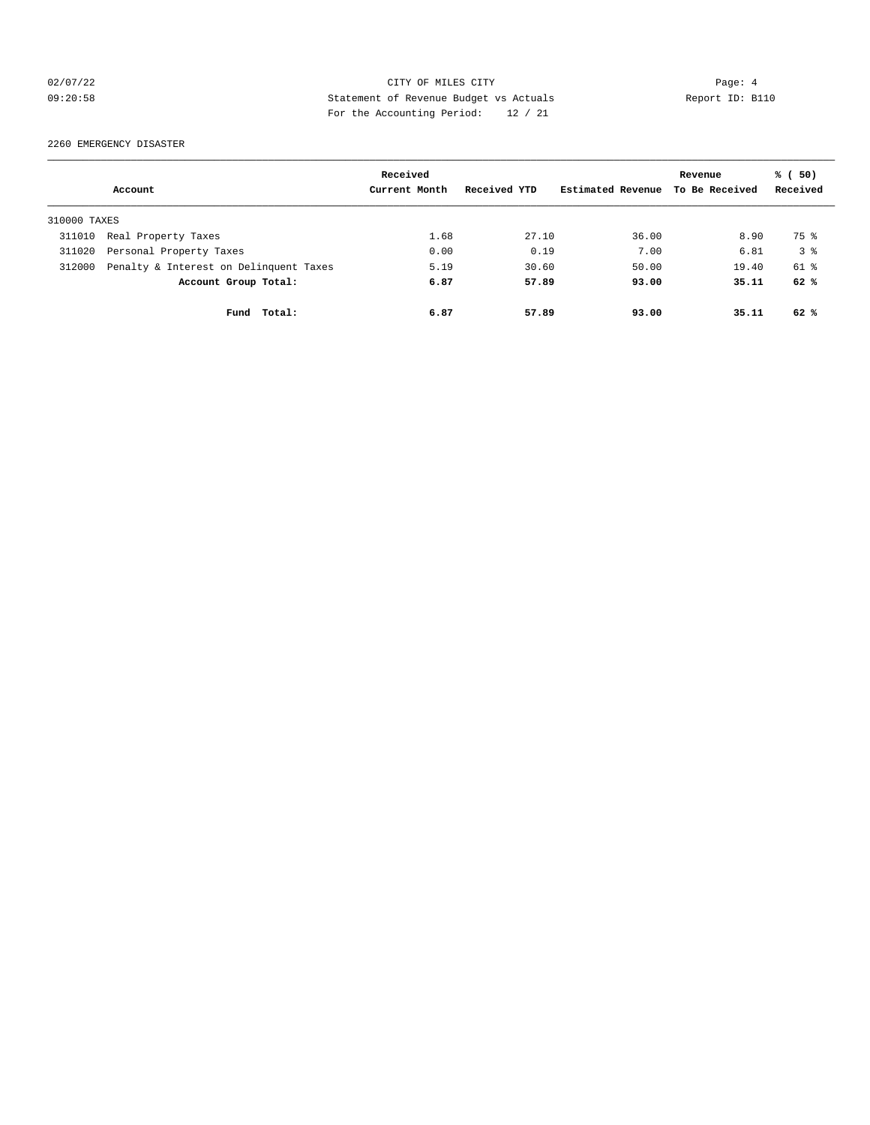# 02/07/22 Page: 4 CITY OF MILES CITY 09:20:58 Statement of Revenue Budget vs Actuals Report ID: B110 For the Accounting Period: 12 / 21

2260 EMERGENCY DISASTER

|              |                                        | Received      |              |                   | Revenue        | % (50)         |
|--------------|----------------------------------------|---------------|--------------|-------------------|----------------|----------------|
|              | Account                                | Current Month | Received YTD | Estimated Revenue | To Be Received | Received       |
| 310000 TAXES |                                        |               |              |                   |                |                |
| 311010       | Real Property Taxes                    | 1.68          | 27.10        | 36.00             | 8.90           | 75 %           |
| 311020       | Personal Property Taxes                | 0.00          | 0.19         | 7.00              | 6.81           | 3 <sup>8</sup> |
| 312000       | Penalty & Interest on Delinquent Taxes | 5.19          | 30.60        | 50.00             | 19.40          | $61$ $%$       |
|              | Account Group Total:                   | 6.87          | 57.89        | 93.00             | 35.11          | 62%            |
|              | Total:<br>Fund                         | 6.87          | 57.89        | 93.00             | 35.11          | 62%            |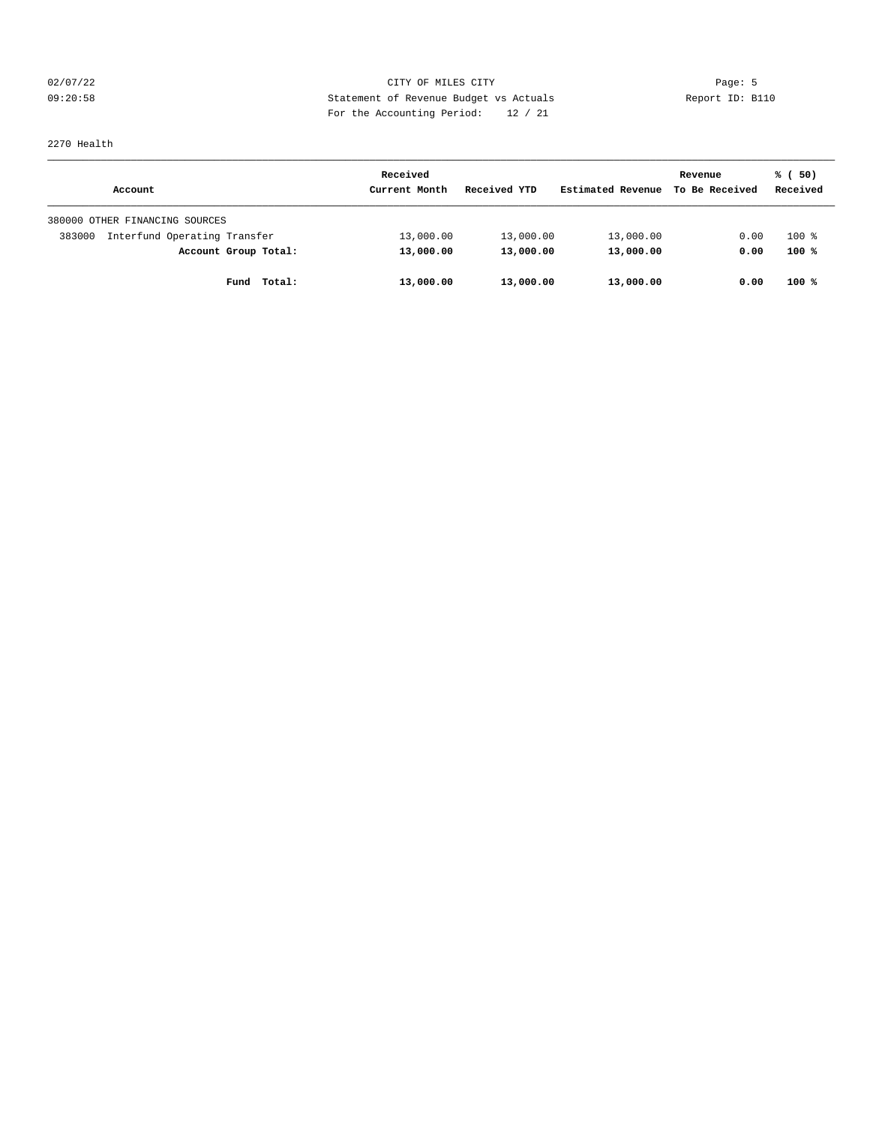# 02/07/22 Page: 5 Page: 5 Page: 5 Page: 5 Page: 5 Page: 5 Page: 5 Page: 5 Page: 5 Page: 5 09:20:58 Statement of Revenue Budget vs Actuals Report ID: B110 For the Accounting Period: 12 / 21

# 2270 Health

|                                        | Received      |              |                   | Revenue        | % (50)   |
|----------------------------------------|---------------|--------------|-------------------|----------------|----------|
| Account                                | Current Month | Received YTD | Estimated Revenue | To Be Received | Received |
| 380000 OTHER FINANCING SOURCES         |               |              |                   |                |          |
| Interfund Operating Transfer<br>383000 | 13,000.00     | 13,000.00    | 13,000.00         | 0.00           | $100$ %  |
| Account Group Total:                   | 13,000.00     | 13,000.00    | 13,000.00         | 0.00           | 100%     |
| Total:<br>Fund                         | 13,000.00     | 13,000.00    | 13,000.00         | 0.00           | $100*$   |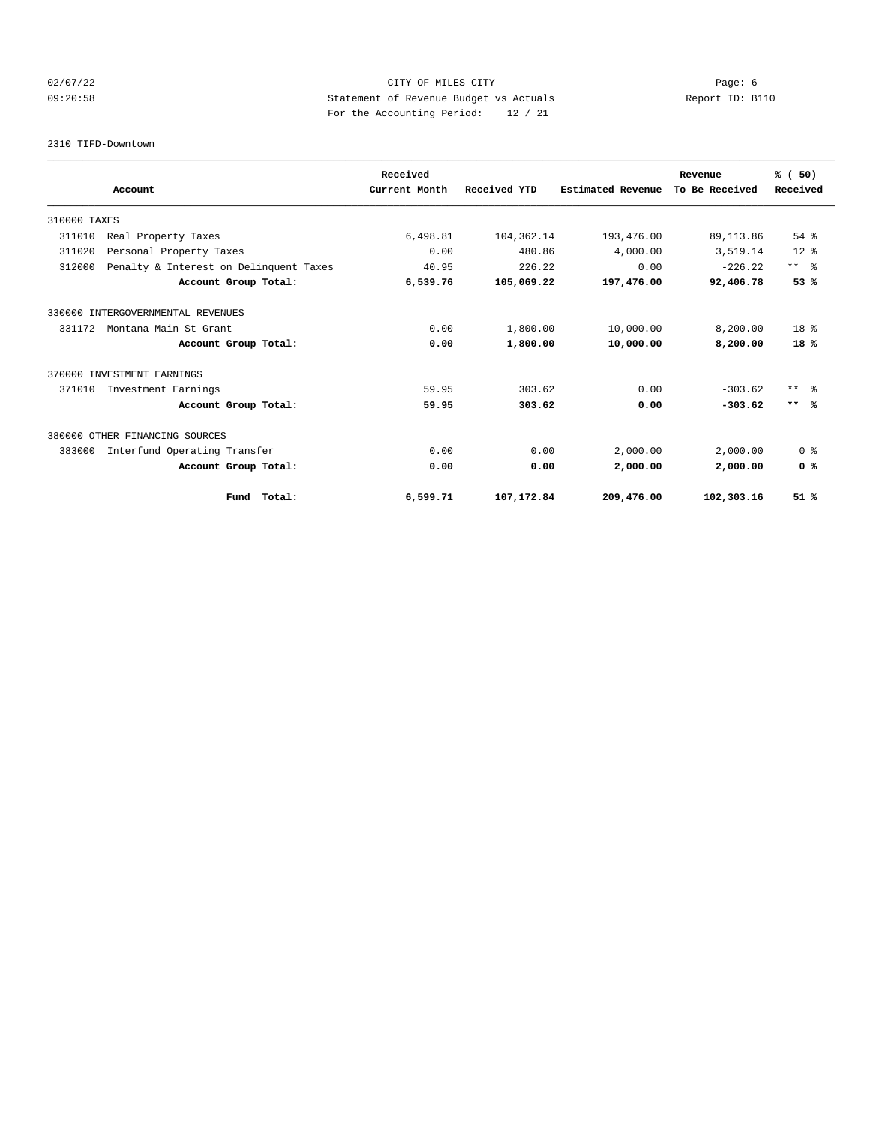# 02/07/22 Page: 6 Page: 6 Page: 6 Page: 6 Page: 6 Page: 6 Page: 6 Page: 6 Page: 6 Page: 6 Page: 6 Page: 6 Page: 6 Page: 6 Page: 6 Page: 6 Page: 6 Page: 6 Page: 6 Page: 6 Page: 6 Page: 6 Page: 6 Page: 6 Page: 6 Page: 6 Page: 09:20:58 Statement of Revenue Budget vs Actuals Report ID: B110 For the Accounting Period: 12 / 21

#### 2310 TIFD-Downtown

|              |                                        |             | Received      |              |                          | Revenue        | % (50)          |
|--------------|----------------------------------------|-------------|---------------|--------------|--------------------------|----------------|-----------------|
|              | Account                                |             | Current Month | Received YTD | <b>Estimated Revenue</b> | To Be Received | Received        |
| 310000 TAXES |                                        |             |               |              |                          |                |                 |
| 311010       | Real Property Taxes                    |             | 6,498.81      | 104,362.14   | 193,476.00               | 89, 113.86     | 54 %            |
| 311020       | Personal Property Taxes                |             | 0.00          | 480.86       | 4,000.00                 | 3,519.14       | $12*$           |
| 312000       | Penalty & Interest on Delinquent Taxes |             | 40.95         | 226.22       | 0.00                     | $-226.22$      | $***$ $ -$      |
|              | Account Group Total:                   |             | 6,539.76      | 105,069.22   | 197,476.00               | 92,406.78      | 53%             |
|              | 330000 INTERGOVERNMENTAL REVENUES      |             |               |              |                          |                |                 |
| 331172       | Montana Main St Grant                  |             | 0.00          | 1,800.00     | 10,000.00                | 8,200.00       | 18 <sup>8</sup> |
|              | Account Group Total:                   |             | 0.00          | 1,800.00     | 10,000.00                | 8,200.00       | 18%             |
|              | 370000 INVESTMENT EARNINGS             |             |               |              |                          |                |                 |
| 371010       | Investment Earnings                    |             | 59.95         | 303.62       | 0.00                     | $-303.62$      | $***$ 8         |
|              | Account Group Total:                   |             | 59.95         | 303.62       | 0.00                     | $-303.62$      | $***$ %         |
|              | 380000 OTHER FINANCING SOURCES         |             |               |              |                          |                |                 |
| 383000       | Interfund Operating Transfer           |             | 0.00          | 0.00         | 2,000.00                 | 2,000.00       | 0 <sup>8</sup>  |
|              | Account Group Total:                   |             | 0.00          | 0.00         | 2,000.00                 | 2,000.00       | 0 <sup>8</sup>  |
|              |                                        | Fund Total: | 6,599.71      | 107,172.84   | 209,476.00               | 102,303.16     | 51%             |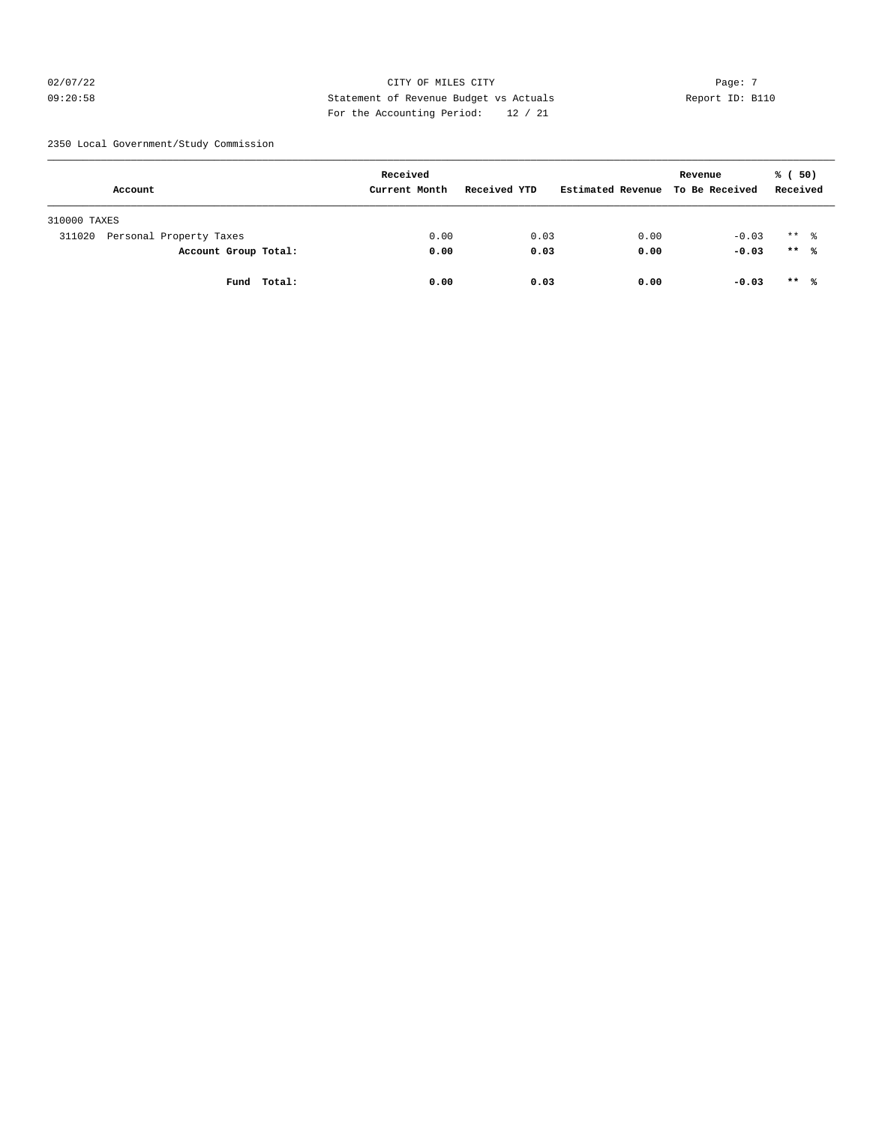# $O2/07/22$  Page: 7 09:20:58 Statement of Revenue Budget vs Actuals Report ID: B110 For the Accounting Period: 12 / 21

2350 Local Government/Study Commission

| Received                          |               |              |                   | Revenue        | % (50)               |
|-----------------------------------|---------------|--------------|-------------------|----------------|----------------------|
| Account                           | Current Month | Received YTD | Estimated Revenue | To Be Received | Received             |
| 310000 TAXES                      |               |              |                   |                |                      |
| 311020<br>Personal Property Taxes | 0.00          | 0.03         | 0.00              | $-0.03$        | $***$ $\frac{6}{10}$ |
| Account Group Total:              | 0.00          | 0.03         | 0.00              | $-0.03$        | $***$ %              |
| Total:<br>Fund                    | 0.00          | 0.03         | 0.00              | $-0.03$        | $***$ %              |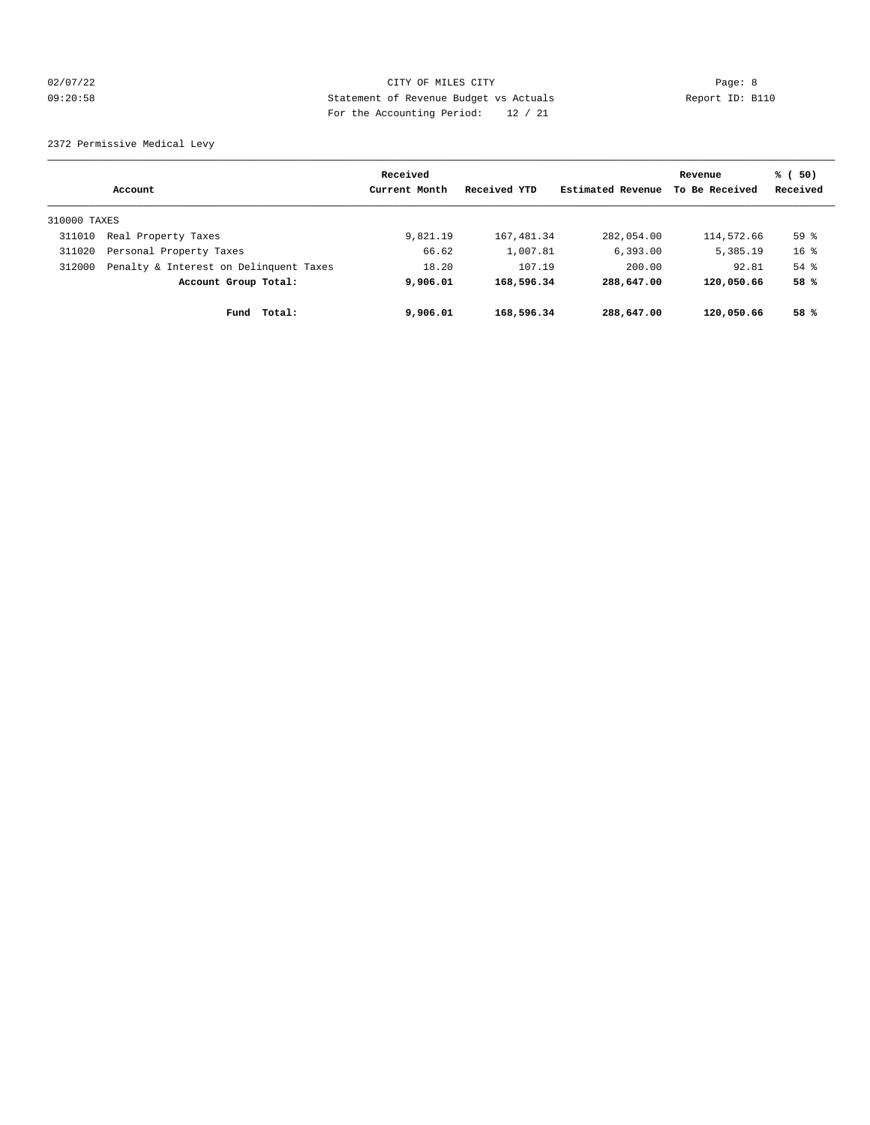# 02/07/22 Page: 8 CITY OF MILES CITY 09:20:58 Statement of Revenue Budget vs Actuals Report ID: B110 For the Accounting Period: 12 / 21

2372 Permissive Medical Levy

|              | Account                                | Received<br>Current Month | Received YTD | Estimated Revenue | Revenue<br>To Be Received | % (50)<br>Received |
|--------------|----------------------------------------|---------------------------|--------------|-------------------|---------------------------|--------------------|
| 310000 TAXES |                                        |                           |              |                   |                           |                    |
| 311010       | Real Property Taxes                    | 9,821.19                  | 167,481.34   | 282,054.00        | 114,572.66                | 59 <sup>°</sup>    |
| 311020       | Personal Property Taxes                | 66.62                     | 1,007.81     | 6, 393.00         | 5,385.19                  | $16*$              |
| 312000       | Penalty & Interest on Delinquent Taxes | 18.20                     | 107.19       | 200.00            | 92.81                     | $54$ $%$           |
|              | Account Group Total:                   | 9,906.01                  | 168,596.34   | 288,647.00        | 120,050.66                | 58 %               |
|              | Total:<br>Fund                         | 9,906.01                  | 168,596.34   | 288,647.00        | 120,050.66                | 58 %               |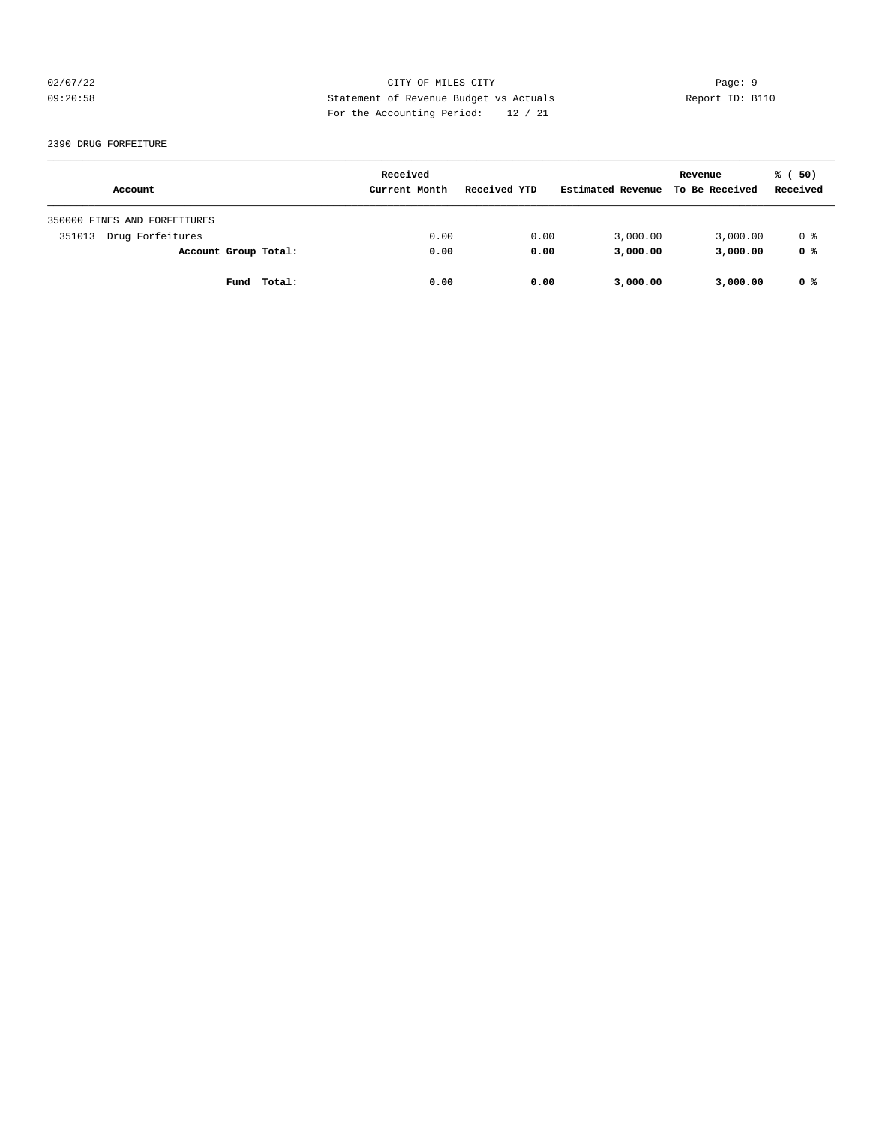# 02/07/22 Page: 9 09:20:58 Statement of Revenue Budget vs Actuals Report ID: B110 For the Accounting Period: 12 / 21

#### 2390 DRUG FORFEITURE

| Account                      | Received<br>Current Month | Received YTD | Estimated Revenue | Revenue<br>To Be Received | % (50)<br>Received |
|------------------------------|---------------------------|--------------|-------------------|---------------------------|--------------------|
| 350000 FINES AND FORFEITURES |                           |              |                   |                           |                    |
| Drug Forfeitures<br>351013   | 0.00                      | 0.00         | 3,000.00          | 3,000.00                  | 0 %                |
| Account Group Total:         | 0.00                      | 0.00         | 3,000.00          | 3,000.00                  | 0 %                |
| Fund Total:                  | 0.00                      | 0.00         | 3,000.00          | 3,000.00                  | 0 %                |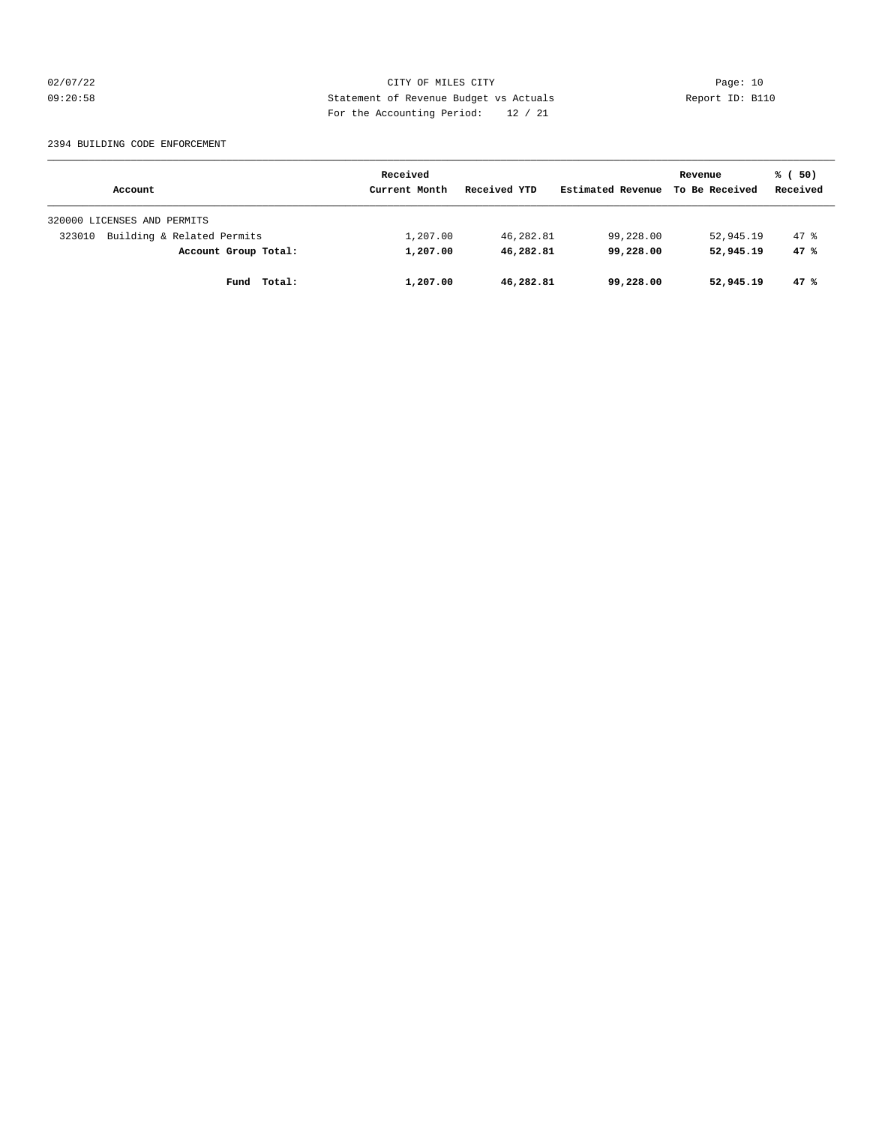02/07/22 Page: 10 09:20:58 Statement of Revenue Budget vs Actuals Report ID: B110 For the Accounting Period: 12 / 21

#### 2394 BUILDING CODE ENFORCEMENT

|                                      | Received      |              |                   | Revenue        | % (50)   |
|--------------------------------------|---------------|--------------|-------------------|----------------|----------|
| Account                              | Current Month | Received YTD | Estimated Revenue | To Be Received | Received |
| 320000 LICENSES AND PERMITS          |               |              |                   |                |          |
| Building & Related Permits<br>323010 | 1,207.00      | 46,282.81    | 99,228.00         | 52,945.19      | 47.8     |
| Account Group Total:                 | 1,207.00      | 46,282.81    | 99,228.00         | 52,945.19      | 47%      |
| Total:<br>Fund                       | 1,207.00      | 46,282.81    | 99,228.00         | 52,945.19      | 47%      |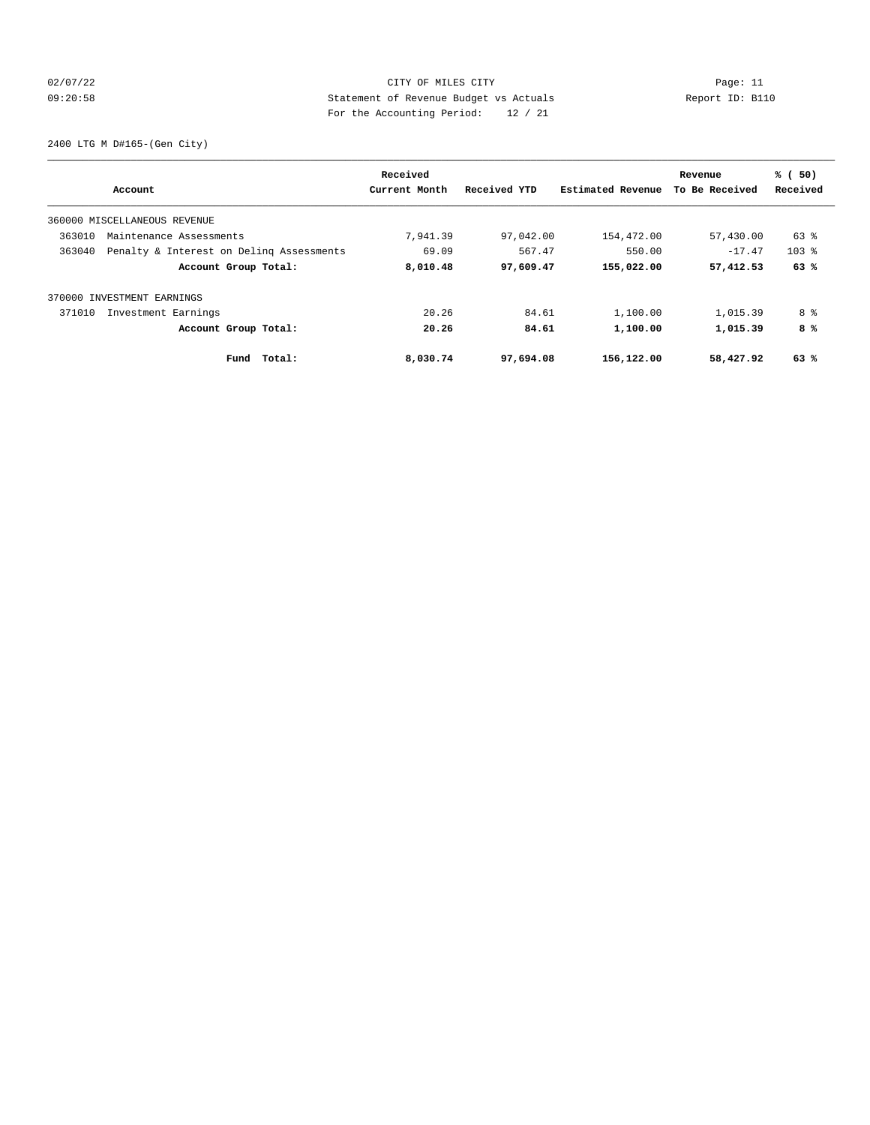# 02/07/22 Page: 11 CITY OF MILES CITY CONTROL Page: 11 09:20:58 Statement of Revenue Budget vs Actuals Report ID: B110 For the Accounting Period: 12 / 21

2400 LTG M D#165-(Gen City)

|        | Account                                  | Received<br>Current Month | Received YTD | Estimated Revenue | Revenue<br>To Be Received | % (50)<br>Received |
|--------|------------------------------------------|---------------------------|--------------|-------------------|---------------------------|--------------------|
|        | 360000 MISCELLANEOUS REVENUE             |                           |              |                   |                           |                    |
| 363010 | Maintenance Assessments                  | 7,941.39                  | 97,042.00    | 154,472.00        | 57,430.00                 | $63$ $%$           |
| 363040 | Penalty & Interest on Deling Assessments | 69.09                     | 567.47       | 550.00            | $-17.47$                  | $103$ $%$          |
|        | Account Group Total:                     | 8,010.48                  | 97,609.47    | 155,022.00        | 57,412.53                 | 63%                |
|        | 370000 INVESTMENT EARNINGS               |                           |              |                   |                           |                    |
| 371010 | Investment Earnings                      | 20.26                     | 84.61        | 1,100.00          | 1,015.39                  | 8 %                |
|        | Account Group Total:                     | 20.26                     | 84.61        | 1,100.00          | 1,015.39                  | 8%                 |
|        | Total:<br>Fund                           | 8,030.74                  | 97,694.08    | 156,122.00        | 58,427.92                 | 63%                |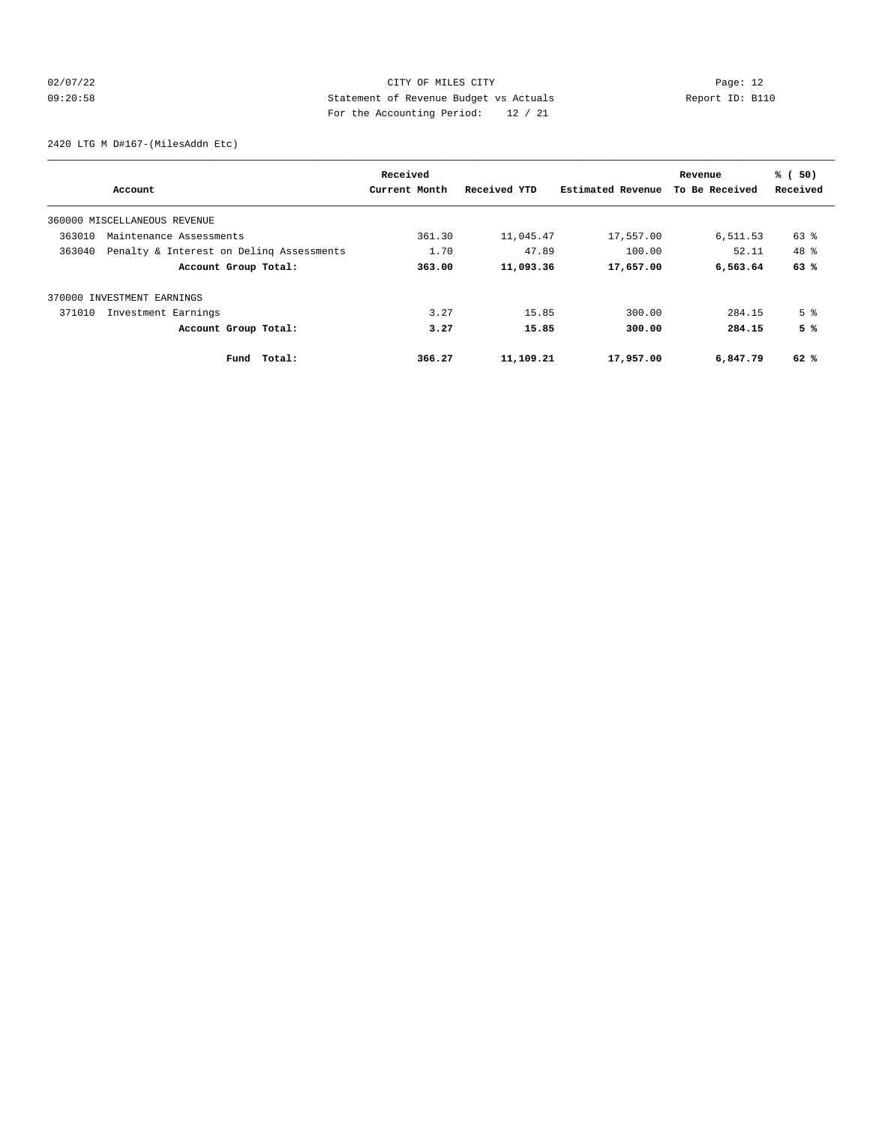# 02/07/22 Page: 12 09:20:58 Statement of Revenue Budget vs Actuals Report ID: B110 For the Accounting Period: 12 / 21

2420 LTG M D#167-(MilesAddn Etc)

| Account                                            | Received<br>Current Month | Received YTD | Estimated Revenue | Revenue<br>To Be Received | % (50)<br>Received |
|----------------------------------------------------|---------------------------|--------------|-------------------|---------------------------|--------------------|
|                                                    |                           |              |                   |                           |                    |
| 360000 MISCELLANEOUS REVENUE                       |                           |              |                   |                           |                    |
| 363010<br>Maintenance Assessments                  | 361.30                    | 11,045.47    | 17,557.00         | 6,511.53                  | 63 %               |
| 363040<br>Penalty & Interest on Deling Assessments | 1.70                      | 47.89        | 100.00            | 52.11                     | 48 %               |
| Account Group Total:                               | 363.00                    | 11,093.36    | 17,657.00         | 6,563.64                  | 63%                |
| 370000 INVESTMENT EARNINGS                         |                           |              |                   |                           |                    |
| 371010<br>Investment Earnings                      | 3.27                      | 15.85        | 300.00            | 284.15                    | 5 <sup>8</sup>     |
| Account Group Total:                               | 3.27                      | 15.85        | 300.00            | 284.15                    | 5%                 |
| Fund Total:                                        | 366.27                    | 11,109.21    | 17,957.00         | 6,847.79                  | 62 %               |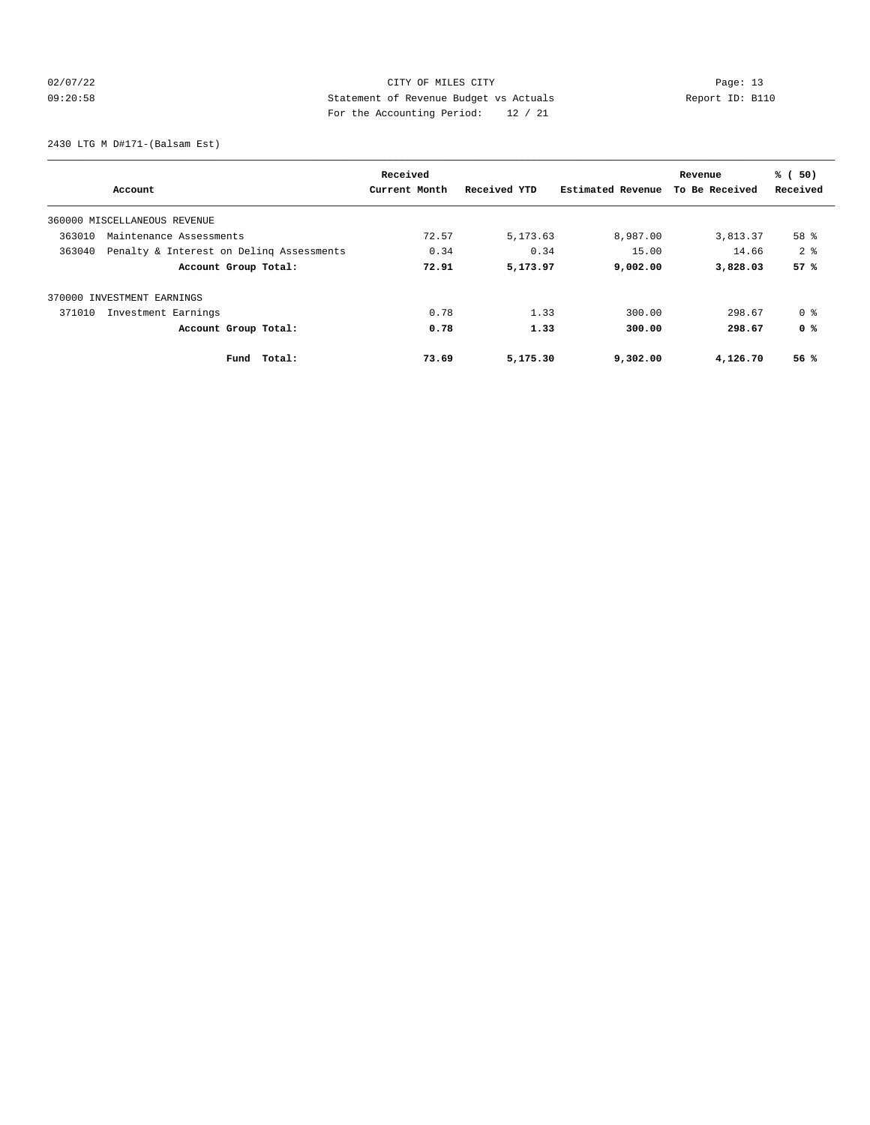# 02/07/22 Page: 13 09:20:58 Statement of Revenue Budget vs Actuals Report ID: B110 For the Accounting Period: 12 / 21

2430 LTG M D#171-(Balsam Est)

| Account                                            | Received<br>Current Month | Received YTD | Estimated Revenue | Revenue<br>To Be Received | % (50)<br>Received |
|----------------------------------------------------|---------------------------|--------------|-------------------|---------------------------|--------------------|
|                                                    |                           |              |                   |                           |                    |
| 360000 MISCELLANEOUS REVENUE                       |                           |              |                   |                           |                    |
| 363010<br>Maintenance Assessments                  | 72.57                     | 5,173.63     | 8,987.00          | 3,813.37                  | 58 %               |
| 363040<br>Penalty & Interest on Deling Assessments | 0.34                      | 0.34         | 15.00             | 14.66                     | 2 <sup>8</sup>     |
| Account Group Total:                               | 72.91                     | 5,173.97     | 9,002.00          | 3,828.03                  | 57%                |
| 370000 INVESTMENT EARNINGS                         |                           |              |                   |                           |                    |
| 371010<br>Investment Earnings                      | 0.78                      | 1.33         | 300.00            | 298.67                    | 0 %                |
| Account Group Total:                               | 0.78                      | 1.33         | 300.00            | 298.67                    | 0 <sup>8</sup>     |
| Fund Total:                                        | 73.69                     | 5,175.30     | 9,302.00          | 4,126.70                  | 56%                |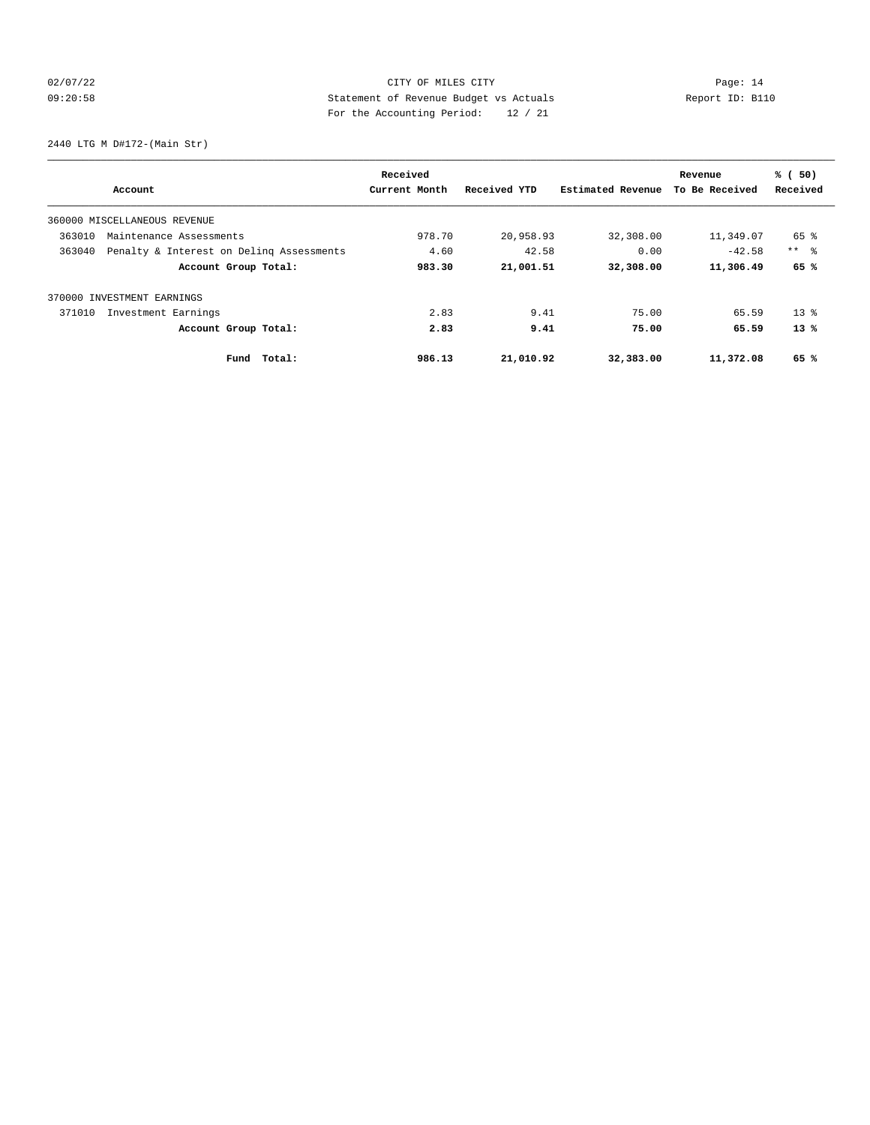# 02/07/22 Page: 14 09:20:58 Statement of Revenue Budget vs Actuals Report ID: B110 For the Accounting Period: 12 / 21

2440 LTG M D#172-(Main Str)

| Account                                            | Received<br>Current Month | Received YTD | Estimated Revenue | Revenue<br>To Be Received | % (50)<br>Received |
|----------------------------------------------------|---------------------------|--------------|-------------------|---------------------------|--------------------|
| 360000 MISCELLANEOUS REVENUE                       |                           |              |                   |                           |                    |
| 363010<br>Maintenance Assessments                  | 978.70                    | 20,958.93    | 32,308.00         | 11,349.07                 | 65 %               |
| 363040<br>Penalty & Interest on Deling Assessments | 4.60                      | 42.58        | 0.00              | $-42.58$                  | $***$ $\approx$    |
| Account Group Total:                               | 983.30                    | 21,001.51    | 32,308.00         | 11,306.49                 | 65 %               |
| 370000 INVESTMENT EARNINGS                         |                           |              |                   |                           |                    |
| 371010<br>Investment Earnings                      | 2.83                      | 9.41         | 75.00             | 65.59                     | $13*$              |
| Account Group Total:                               | 2.83                      | 9.41         | 75.00             | 65.59                     | $13*$              |
| Fund Total:                                        | 986.13                    | 21,010.92    | 32,383.00         | 11,372.08                 | 65 %               |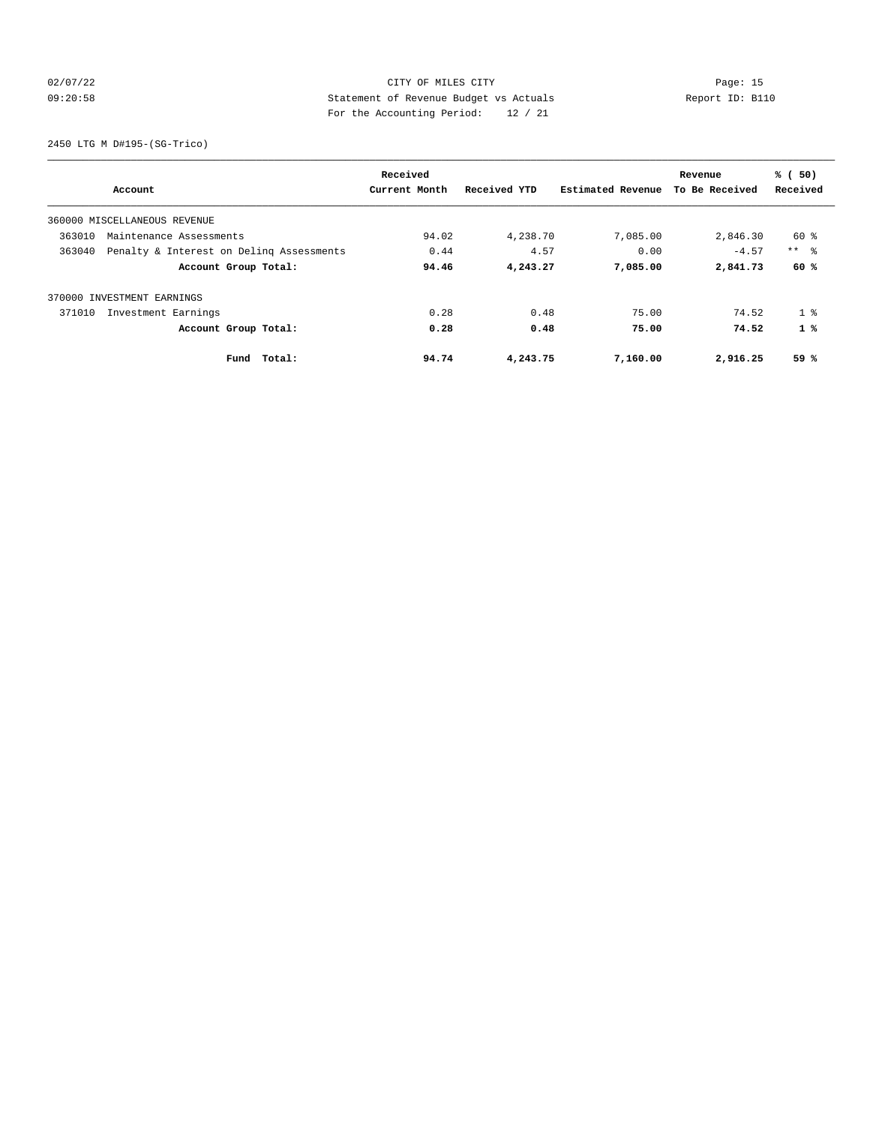# 02/07/22 Page: 15 09:20:58 Statement of Revenue Budget vs Actuals Report ID: B110 For the Accounting Period: 12 / 21

2450 LTG M D#195-(SG-Trico)

| Account                                            | Received<br>Current Month | Received YTD | Estimated Revenue | Revenue<br>To Be Received | % (50)<br>Received |
|----------------------------------------------------|---------------------------|--------------|-------------------|---------------------------|--------------------|
|                                                    |                           |              |                   |                           |                    |
| 360000 MISCELLANEOUS REVENUE                       |                           |              |                   |                           |                    |
| 363010<br>Maintenance Assessments                  | 94.02                     | 4,238.70     | 7,085.00          | 2,846.30                  | $60*$              |
| 363040<br>Penalty & Interest on Deling Assessments | 0.44                      | 4.57         | 0.00              | $-4.57$                   | $***$ $ -$         |
| Account Group Total:                               | 94.46                     | 4,243.27     | 7,085.00          | 2,841.73                  | 60%                |
| 370000 INVESTMENT EARNINGS                         |                           |              |                   |                           |                    |
| 371010<br>Investment Earnings                      | 0.28                      | 0.48         | 75.00             | 74.52                     | 1 <sup>8</sup>     |
| Account Group Total:                               | 0.28                      | 0.48         | 75.00             | 74.52                     | $1 \times$         |
| Total:<br>Fund                                     | 94.74                     | 4,243.75     | 7,160.00          | 2,916.25                  | 59 %               |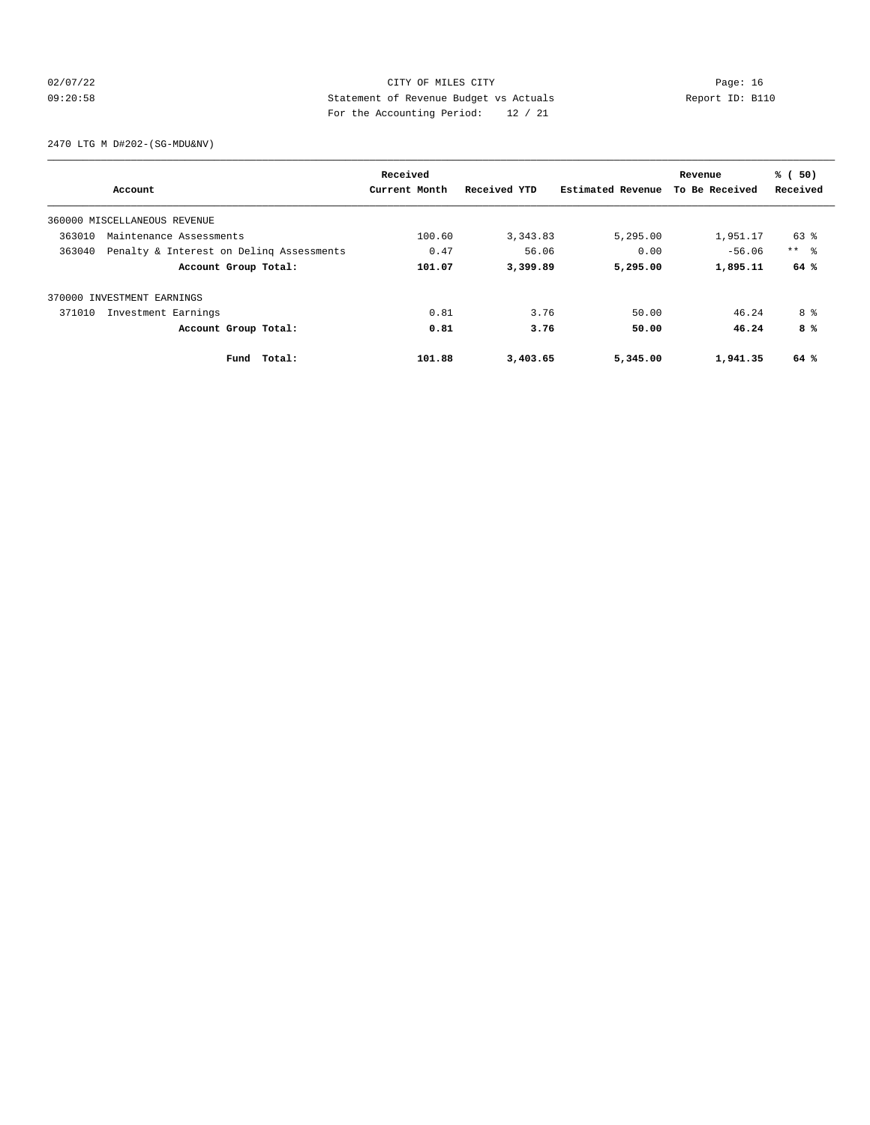# 02/07/22 Page: 16 09:20:58 Statement of Revenue Budget vs Actuals Report ID: B110 For the Accounting Period: 12 / 21

2470 LTG M D#202-(SG-MDU&NV)

| Account                                            | Received<br>Current Month | Received YTD | Estimated Revenue | Revenue<br>To Be Received | % (50)<br>Received |
|----------------------------------------------------|---------------------------|--------------|-------------------|---------------------------|--------------------|
| 360000 MISCELLANEOUS REVENUE                       |                           |              |                   |                           |                    |
| 363010<br>Maintenance Assessments                  | 100.60                    | 3, 343.83    | 5,295.00          | 1,951.17                  | 63 %               |
| 363040<br>Penalty & Interest on Deling Assessments | 0.47                      | 56.06        | 0.00              | $-56.06$                  | $***$ $ -$         |
| Account Group Total:                               | 101.07                    | 3,399.89     | 5,295.00          | 1,895.11                  | 64 %               |
| 370000 INVESTMENT EARNINGS                         |                           |              |                   |                           |                    |
| 371010<br>Investment Earnings                      | 0.81                      | 3.76         | 50.00             | 46.24                     | 8 %                |
| Account Group Total:                               | 0.81                      | 3.76         | 50.00             | 46.24                     | 8 %                |
| Fund Total:                                        | 101.88                    | 3,403.65     | 5,345.00          | 1,941.35                  | 64 %               |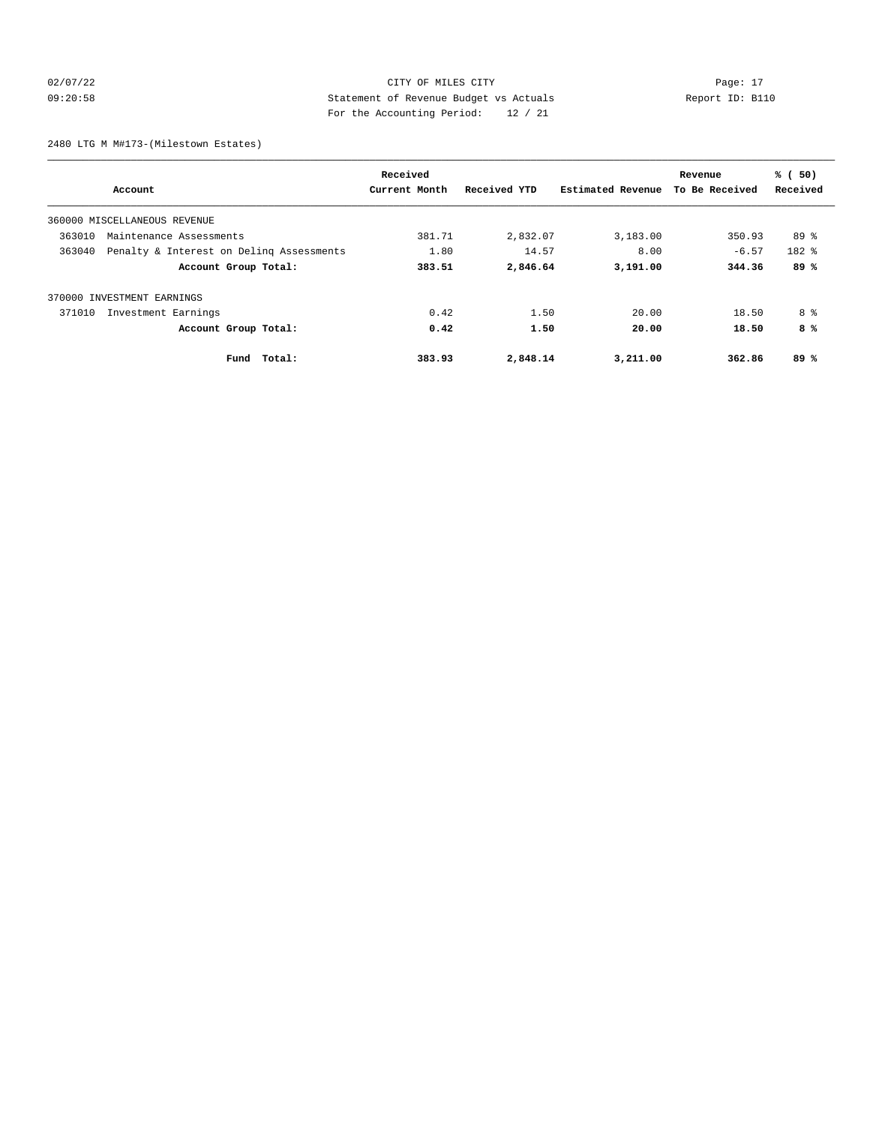# 02/07/22 Page: 17 CITY OF MILES CITY CONTROL Page: 17 09:20:58 Statement of Revenue Budget vs Actuals Report ID: B110 For the Accounting Period: 12 / 21

2480 LTG M M#173-(Milestown Estates)

|        |                                          | Received      |              |                   | Revenue        | % (50)    |
|--------|------------------------------------------|---------------|--------------|-------------------|----------------|-----------|
|        | Account                                  | Current Month | Received YTD | Estimated Revenue | To Be Received | Received  |
|        | 360000 MISCELLANEOUS REVENUE             |               |              |                   |                |           |
| 363010 | Maintenance Assessments                  | 381.71        | 2,832.07     | 3,183.00          | 350.93         | $89*$     |
| 363040 | Penalty & Interest on Deling Assessments | 1.80          | 14.57        | 8.00              | $-6.57$        | $182$ $%$ |
|        | Account Group Total:                     | 383.51        | 2,846.64     | 3,191.00          | 344.36         | 89%       |
|        | 370000 INVESTMENT EARNINGS               |               |              |                   |                |           |
| 371010 | Investment Earnings                      | 0.42          | 1.50         | 20.00             | 18.50          | 8 %       |
|        | Account Group Total:                     | 0.42          | 1.50         | 20.00             | 18.50          | 8%        |
|        | Total:<br>Fund                           | 383.93        | 2,848.14     | 3,211.00          | 362.86         | 89%       |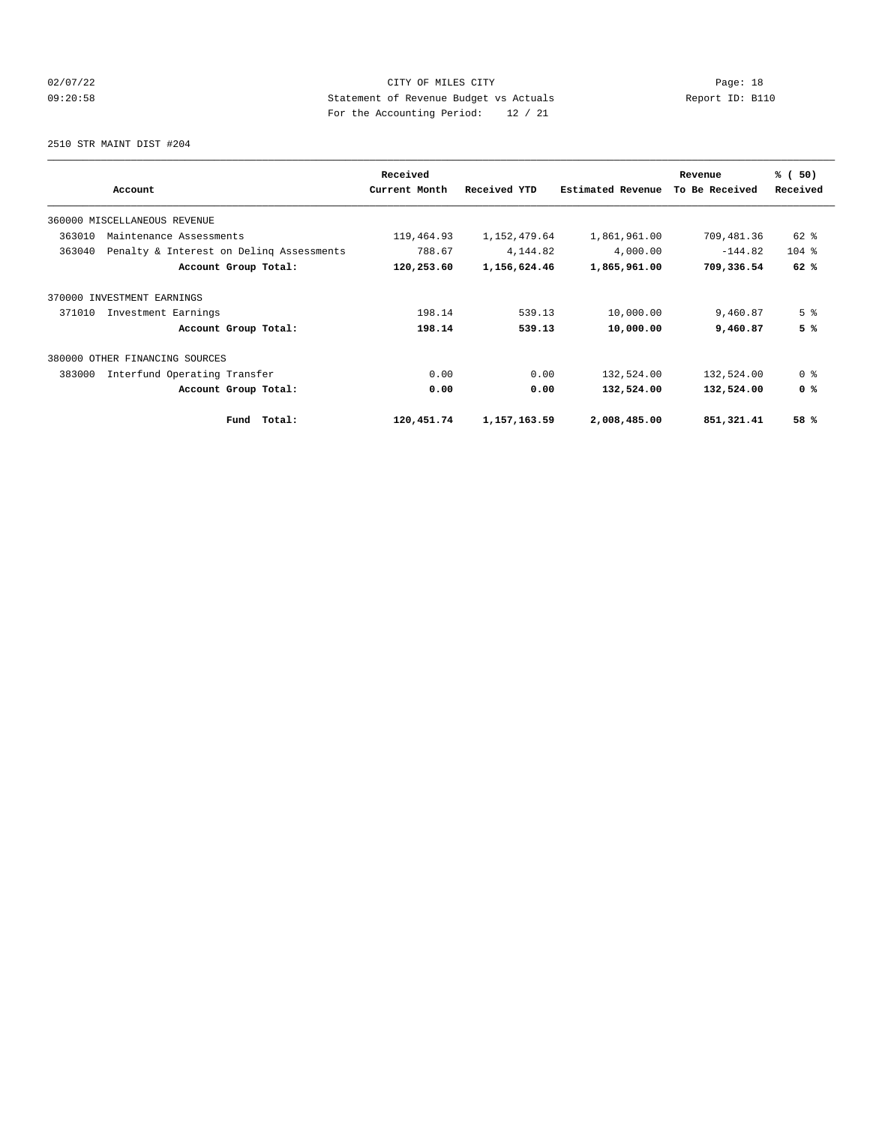# 02/07/22 Page: 18 09:20:58 Statement of Revenue Budget vs Actuals Report ID: B110 For the Accounting Period: 12 / 21

2510 STR MAINT DIST #204

|                                                    | Received      |              |                   | Revenue        | % (50)         |
|----------------------------------------------------|---------------|--------------|-------------------|----------------|----------------|
| Account                                            | Current Month | Received YTD | Estimated Revenue | To Be Received | Received       |
| 360000 MISCELLANEOUS REVENUE                       |               |              |                   |                |                |
| 363010<br>Maintenance Assessments                  | 119,464.93    | 1,152,479.64 | 1,861,961.00      | 709,481.36     | 62 %           |
| 363040<br>Penalty & Interest on Delinq Assessments | 788.67        | 4,144.82     | 4,000.00          | $-144.82$      | $104$ %        |
| Account Group Total:                               | 120,253.60    | 1,156,624.46 | 1,865,961.00      | 709,336.54     | 62%            |
| 370000 INVESTMENT EARNINGS                         |               |              |                   |                |                |
| 371010<br>Investment Earnings                      | 198.14        | 539.13       | 10,000.00         | 9,460.87       | 5 <sup>8</sup> |
| Account Group Total:                               | 198.14        | 539.13       | 10,000.00         | 9,460.87       | 5%             |
| 380000 OTHER FINANCING SOURCES                     |               |              |                   |                |                |
| Interfund Operating Transfer<br>383000             | 0.00          | 0.00         | 132,524.00        | 132,524.00     | 0 <sup>8</sup> |
| Account Group Total:                               | 0.00          | 0.00         | 132,524.00        | 132,524.00     | 0 <sup>8</sup> |
| Total:<br>Fund                                     | 120,451.74    | 1,157,163.59 | 2,008,485.00      | 851,321.41     | 58 %           |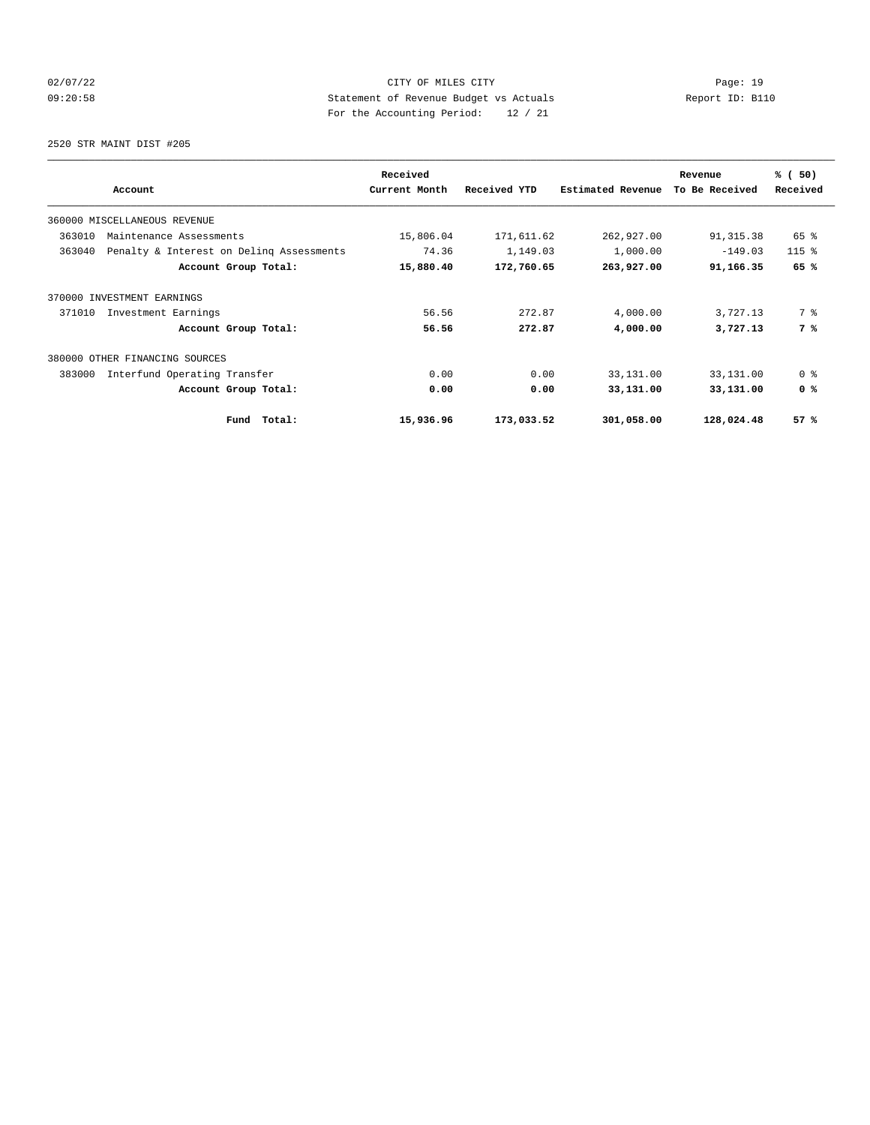# 02/07/22 Page: 19 09:20:58 Statement of Revenue Budget vs Actuals Report ID: B110 For the Accounting Period: 12 / 21

2520 STR MAINT DIST #205

|                                                    | Received      |              |                   | Revenue        | % (50)         |
|----------------------------------------------------|---------------|--------------|-------------------|----------------|----------------|
| Account                                            | Current Month | Received YTD | Estimated Revenue | To Be Received | Received       |
| 360000 MISCELLANEOUS REVENUE                       |               |              |                   |                |                |
| 363010<br>Maintenance Assessments                  | 15,806.04     | 171,611.62   | 262,927.00        | 91, 315.38     | 65 %           |
| 363040<br>Penalty & Interest on Deling Assessments | 74.36         | 1,149.03     | 1,000.00          | $-149.03$      | $115$ $%$      |
| Account Group Total:                               | 15,880.40     | 172,760.65   | 263,927.00        | 91,166.35      | 65 %           |
| 370000 INVESTMENT EARNINGS                         |               |              |                   |                |                |
| 371010<br>Investment Earnings                      | 56.56         | 272.87       | 4,000.00          | 3,727.13       | 7 %            |
| Account Group Total:                               | 56.56         | 272.87       | 4,000.00          | 3,727.13       | 7 %            |
| 380000 OTHER FINANCING SOURCES                     |               |              |                   |                |                |
| 383000<br>Interfund Operating Transfer             | 0.00          | 0.00         | 33,131.00         | 33,131.00      | 0 <sup>8</sup> |
| Account Group Total:                               | 0.00          | 0.00         | 33,131.00         | 33,131.00      | 0 <sup>8</sup> |
| Total:<br>Fund                                     | 15,936.96     | 173,033.52   | 301,058.00        | 128,024.48     | 57%            |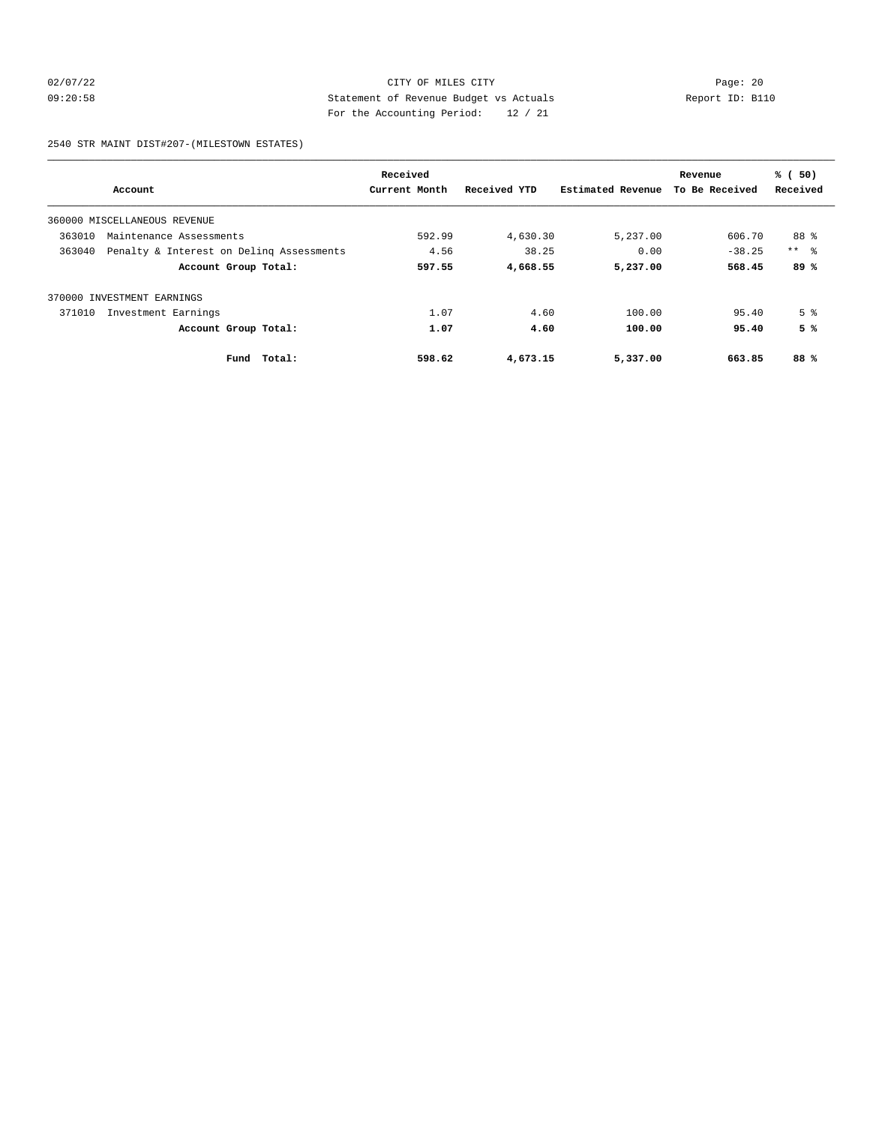# 02/07/22 Page: 20 09:20:58 Statement of Revenue Budget vs Actuals Report ID: B110 For the Accounting Period: 12 / 21

2540 STR MAINT DIST#207-(MILESTOWN ESTATES)

|                            |                                          | Received      |              |                   | Revenue        | % (50)          |
|----------------------------|------------------------------------------|---------------|--------------|-------------------|----------------|-----------------|
|                            | Account                                  | Current Month | Received YTD | Estimated Revenue | To Be Received | Received        |
|                            | 360000 MISCELLANEOUS REVENUE             |               |              |                   |                |                 |
| 363010                     | Maintenance Assessments                  | 592.99        | 4,630.30     | 5,237.00          | 606.70         | 88 %            |
| 363040                     | Penalty & Interest on Deling Assessments | 4.56          | 38.25        | 0.00              | $-38.25$       | $***$ $\approx$ |
|                            | Account Group Total:                     | 597.55        | 4,668.55     | 5,237.00          | 568.45         | 89%             |
| 370000 INVESTMENT EARNINGS |                                          |               |              |                   |                |                 |
| 371010                     | Investment Earnings                      | 1.07          | 4.60         | 100.00            | 95.40          | 5 <sup>8</sup>  |
|                            | Account Group Total:                     | 1.07          | 4.60         | 100.00            | 95.40          | 5%              |
|                            | Total:<br>Fund                           | 598.62        | 4,673.15     | 5,337.00          | 663.85         | 88%             |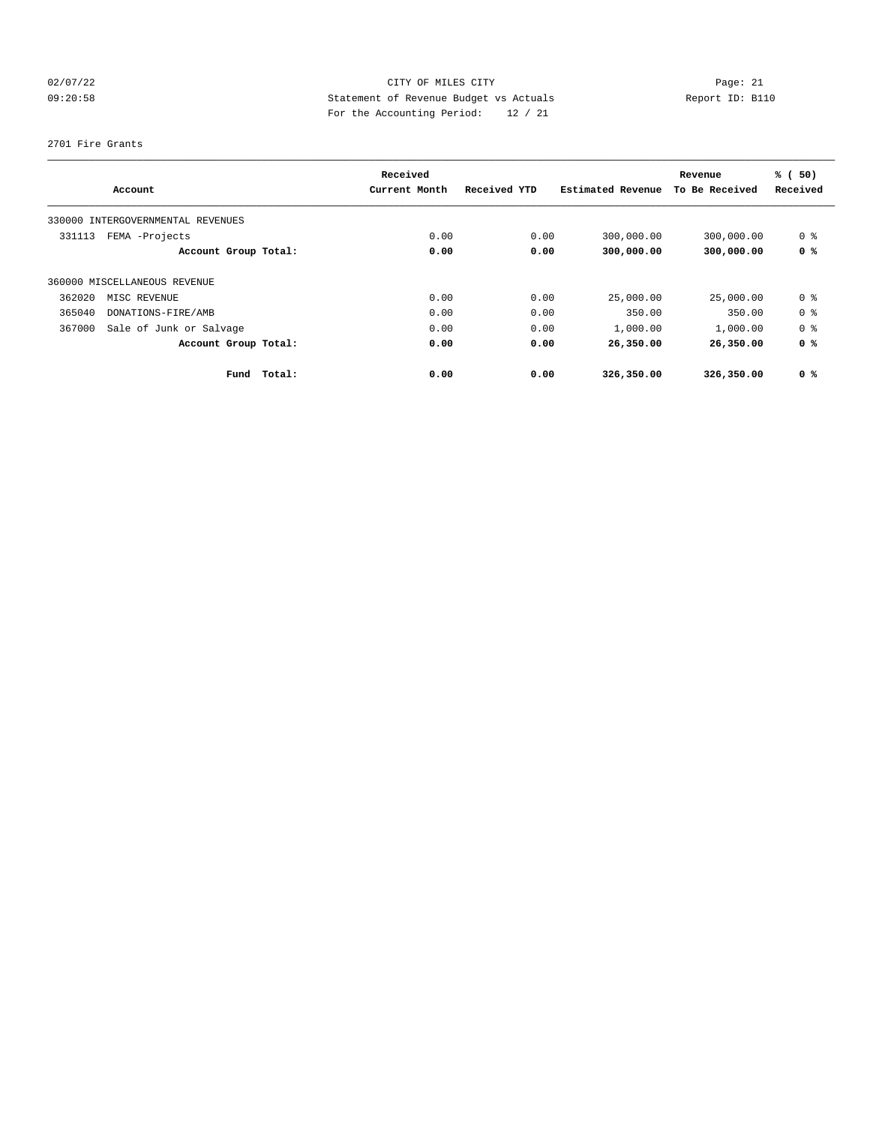# 02/07/22 Page: 21 CITY OF MILES CITY CONTROL Page: 21 09:20:58 Statement of Revenue Budget vs Actuals Report ID: B110 For the Accounting Period: 12 / 21

#### 2701 Fire Grants

|        |                                   | Received      |              |                   | Revenue        | % (50)         |
|--------|-----------------------------------|---------------|--------------|-------------------|----------------|----------------|
|        | Account                           | Current Month | Received YTD | Estimated Revenue | To Be Received | Received       |
|        | 330000 INTERGOVERNMENTAL REVENUES |               |              |                   |                |                |
| 331113 | FEMA -Projects                    | 0.00          | 0.00         | 300,000.00        | 300,000.00     | 0 <sup>8</sup> |
|        | Account Group Total:              | 0.00          | 0.00         | 300,000.00        | 300,000.00     | 0 <sup>8</sup> |
|        | 360000 MISCELLANEOUS REVENUE      |               |              |                   |                |                |
| 362020 | MISC REVENUE                      | 0.00          | 0.00         | 25,000.00         | 25,000.00      | 0 <sup>8</sup> |
| 365040 | DONATIONS-FIRE/AMB                | 0.00          | 0.00         | 350.00            | 350.00         | 0 <sup>8</sup> |
| 367000 | Sale of Junk or Salvage           | 0.00          | 0.00         | 1,000.00          | 1,000.00       | 0 <sup>8</sup> |
|        | Account Group Total:              | 0.00          | 0.00         | 26,350.00         | 26,350.00      | 0 <sup>8</sup> |
|        | Total:<br>Fund                    | 0.00          | 0.00         | 326,350.00        | 326,350.00     | 0 <sup>8</sup> |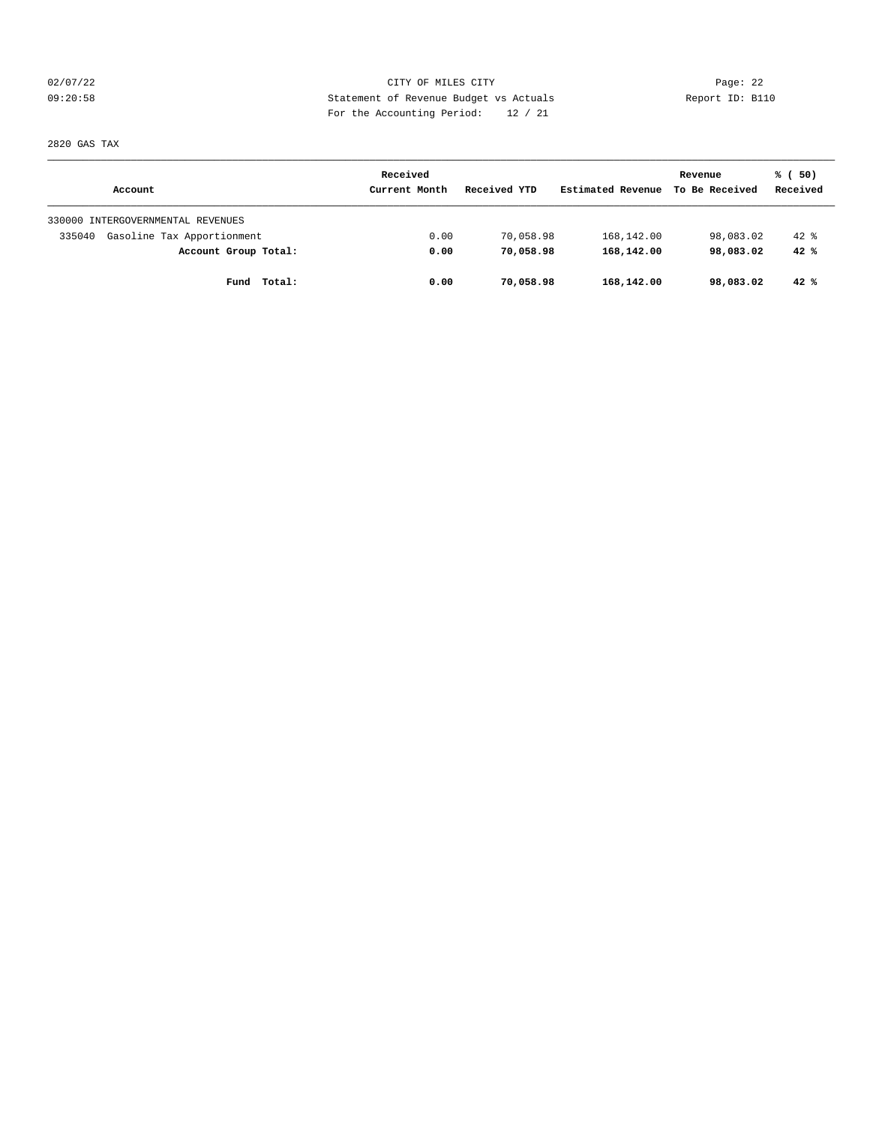02/07/22 Page: 22 09:20:58 Statement of Revenue Budget vs Actuals Report ID: B110 For the Accounting Period: 12 / 21

2820 GAS TAX

|                                      | Received      |              |                   | Revenue        | % (50)   |
|--------------------------------------|---------------|--------------|-------------------|----------------|----------|
| Account                              | Current Month | Received YTD | Estimated Revenue | To Be Received | Received |
| 330000 INTERGOVERNMENTAL REVENUES    |               |              |                   |                |          |
| Gasoline Tax Apportionment<br>335040 | 0.00          | 70,058.98    | 168,142.00        | 98,083.02      | $42$ $%$ |
| Account Group Total:                 | 0.00          | 70,058.98    | 168,142.00        | 98,083.02      | 42%      |
| Fund<br>Total:                       | 0.00          | 70,058.98    | 168,142.00        | 98,083.02      | 42%      |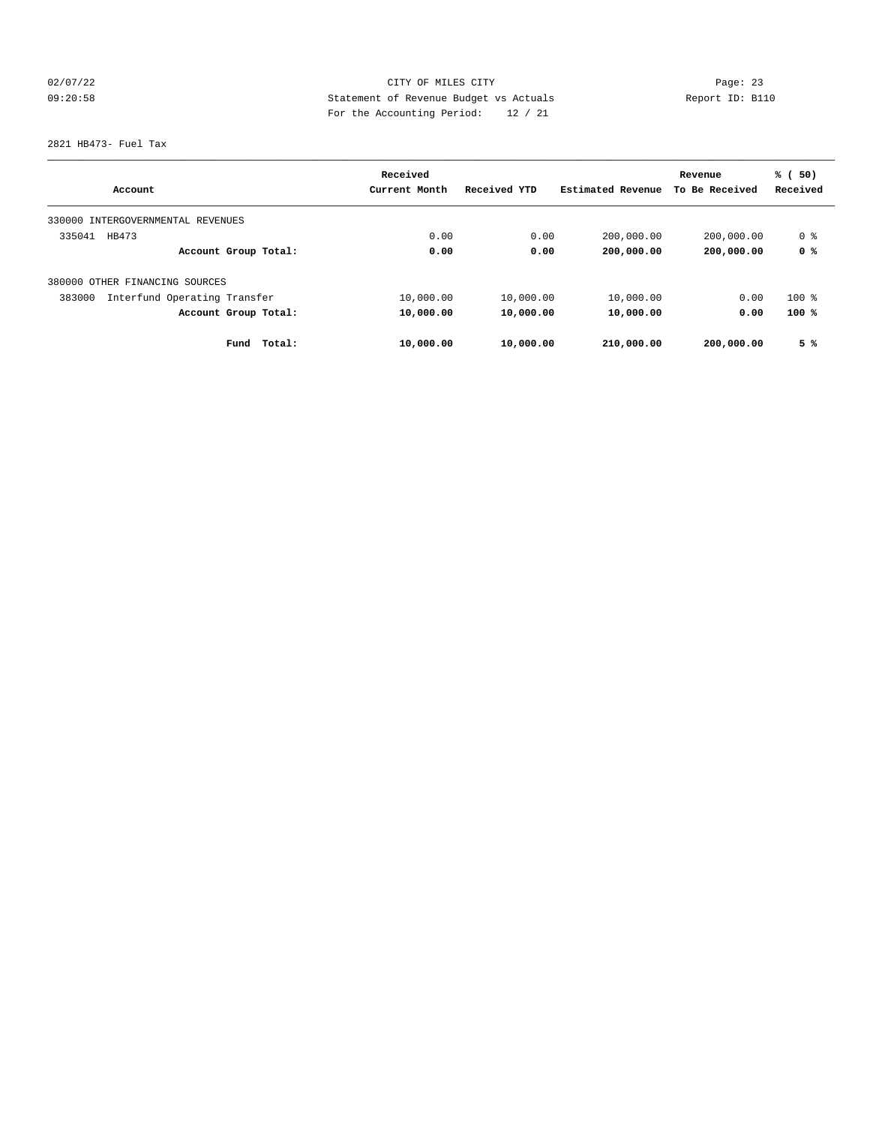# 02/07/22 Page: 23 09:20:58 Statement of Revenue Budget vs Actuals Report ID: B110 For the Accounting Period: 12 / 21

2821 HB473- Fuel Tax

|                                        | Received      |              |                   | Revenue        | % (50)   |
|----------------------------------------|---------------|--------------|-------------------|----------------|----------|
| Account                                | Current Month | Received YTD | Estimated Revenue | To Be Received | Received |
| 330000 INTERGOVERNMENTAL REVENUES      |               |              |                   |                |          |
| 335041<br>HB473                        | 0.00          | 0.00         | 200,000.00        | 200,000.00     | 0 %      |
| Account Group Total:                   | 0.00          | 0.00         | 200,000.00        | 200,000.00     | 0 %      |
| 380000 OTHER FINANCING SOURCES         |               |              |                   |                |          |
| Interfund Operating Transfer<br>383000 | 10,000.00     | 10,000.00    | 10,000.00         | 0.00           | $100$ %  |
| Account Group Total:                   | 10,000.00     | 10,000.00    | 10,000.00         | 0.00           | 100%     |
| Total:<br>Fund                         | 10,000.00     | 10,000.00    | 210,000.00        | 200,000.00     | 5%       |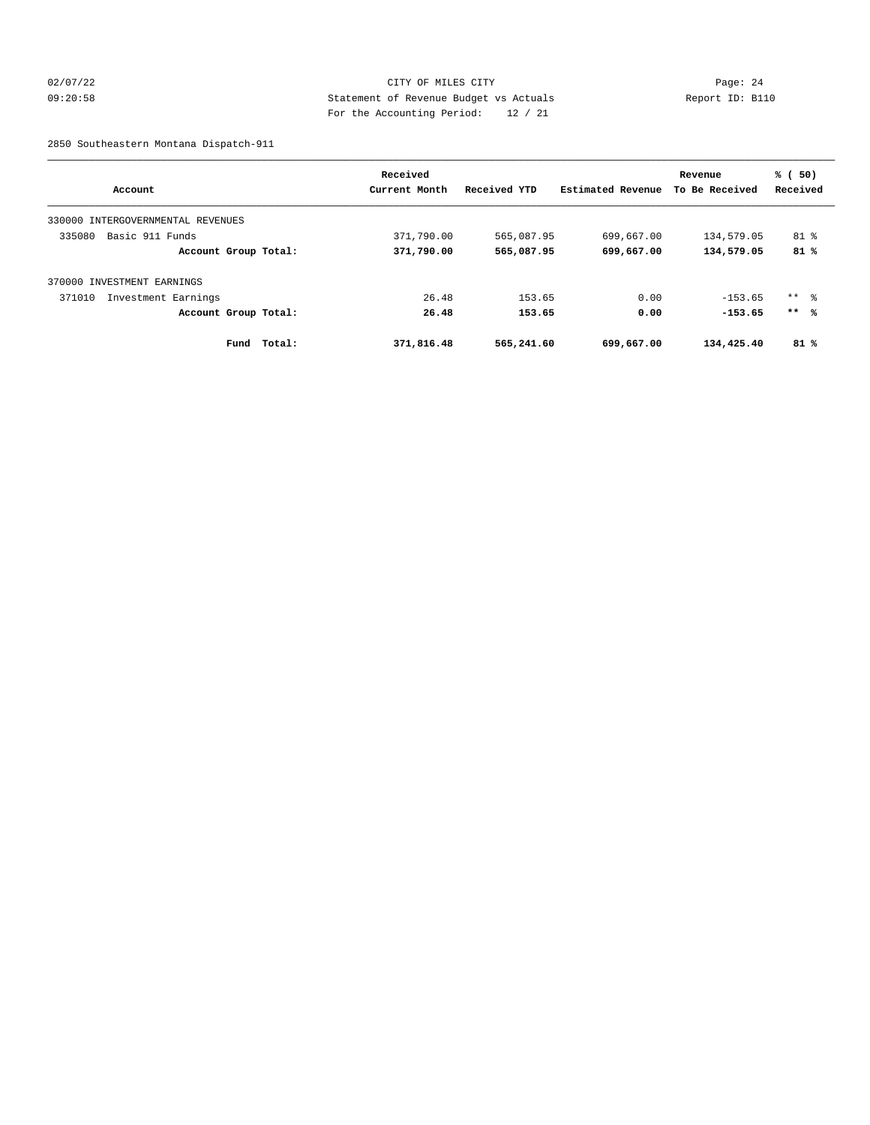# 02/07/22 Page: 24 09:20:58 Statement of Revenue Budget vs Actuals Report ID: B110 For the Accounting Period: 12 / 21

2850 Southeastern Montana Dispatch-911

|                                      | Received      |              |                   | Revenue        | % (50)   |
|--------------------------------------|---------------|--------------|-------------------|----------------|----------|
| Account                              | Current Month | Received YTD | Estimated Revenue | To Be Received | Received |
| INTERGOVERNMENTAL REVENUES<br>330000 |               |              |                   |                |          |
| 335080<br>Basic 911 Funds            | 371,790.00    | 565,087.95   | 699,667.00        | 134,579.05     | $81$ %   |
| Account Group Total:                 | 371,790.00    | 565,087.95   | 699,667.00        | 134,579.05     | 81%      |
| 370000 INVESTMENT EARNINGS           |               |              |                   |                |          |
| 371010<br>Investment Earnings        | 26.48         | 153.65       | 0.00              | $-153.65$      | ** %     |
| Account Group Total:                 | 26.48         | 153.65       | 0.00              | $-153.65$      | $***$ %  |
| Fund<br>Total:                       | 371,816.48    | 565,241.60   | 699,667.00        | 134,425.40     | 81%      |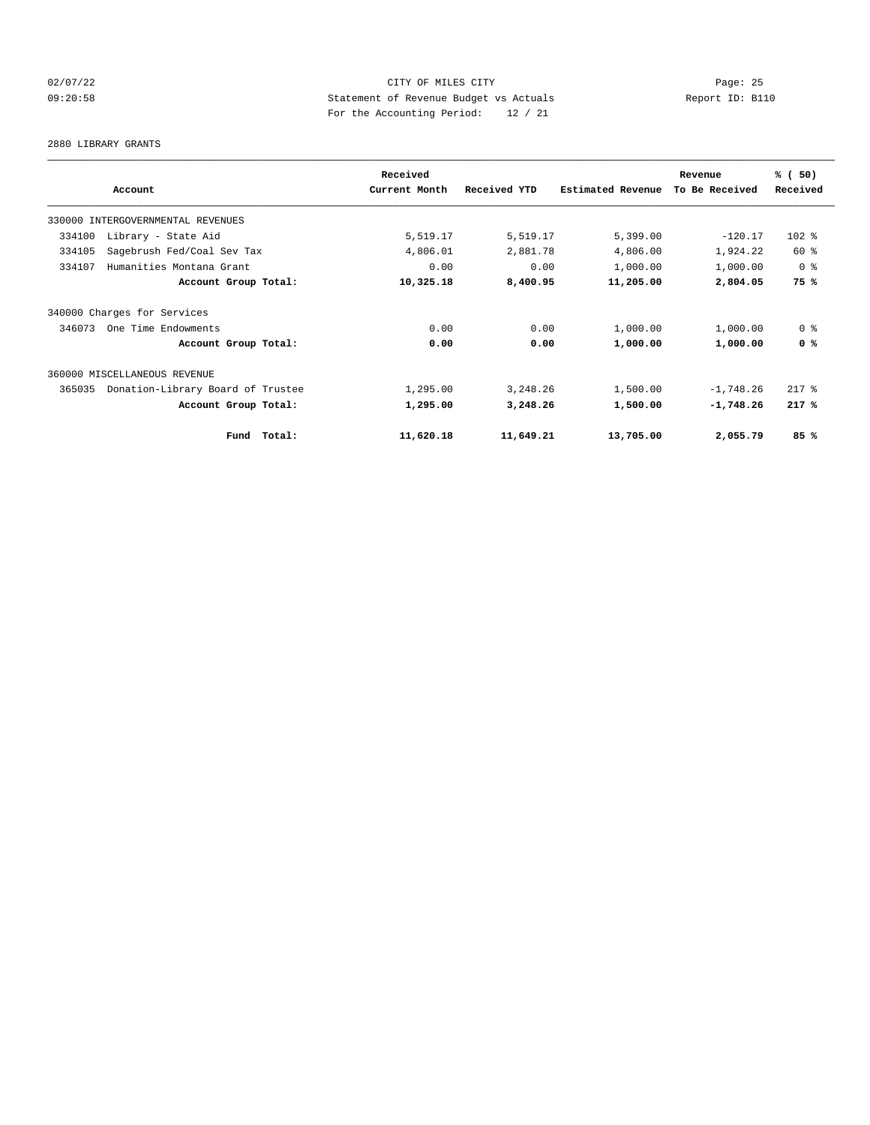# 02/07/22 Page: 25 09:20:58 Statement of Revenue Budget vs Actuals Report ID: B110 For the Accounting Period: 12 / 21

#### 2880 LIBRARY GRANTS

|                                             | Received      |              |                   | Revenue        | % (50)         |
|---------------------------------------------|---------------|--------------|-------------------|----------------|----------------|
| Account                                     | Current Month | Received YTD | Estimated Revenue | To Be Received | Received       |
| 330000 INTERGOVERNMENTAL REVENUES           |               |              |                   |                |                |
| Library - State Aid<br>334100               | 5,519.17      | 5,519.17     | 5,399.00          | $-120.17$      | $102$ %        |
| 334105<br>Sagebrush Fed/Coal Sev Tax        | 4,806.01      | 2,881.78     | 4,806.00          | 1,924.22       | 60 %           |
| 334107<br>Humanities Montana Grant          | 0.00          | 0.00         | 1,000.00          | 1,000.00       | 0 %            |
| Account Group Total:                        | 10,325.18     | 8,400.95     | 11,205.00         | 2,804.05       | 75 %           |
| 340000 Charges for Services                 |               |              |                   |                |                |
| 346073<br>One Time Endowments               | 0.00          | 0.00         | 1,000.00          | 1,000.00       | 0 <sup>8</sup> |
| Account Group Total:                        | 0.00          | 0.00         | 1,000.00          | 1,000.00       | 0 <sup>8</sup> |
| 360000 MISCELLANEOUS REVENUE                |               |              |                   |                |                |
| Donation-Library Board of Trustee<br>365035 | 1,295.00      | 3,248.26     | 1,500.00          | $-1,748.26$    | $217$ %        |
| Account Group Total:                        | 1,295.00      | 3,248.26     | 1,500.00          | $-1,748.26$    | $217*$         |
| Fund Total:                                 | 11,620.18     | 11,649.21    | 13,705.00         | 2,055.79       | 85%            |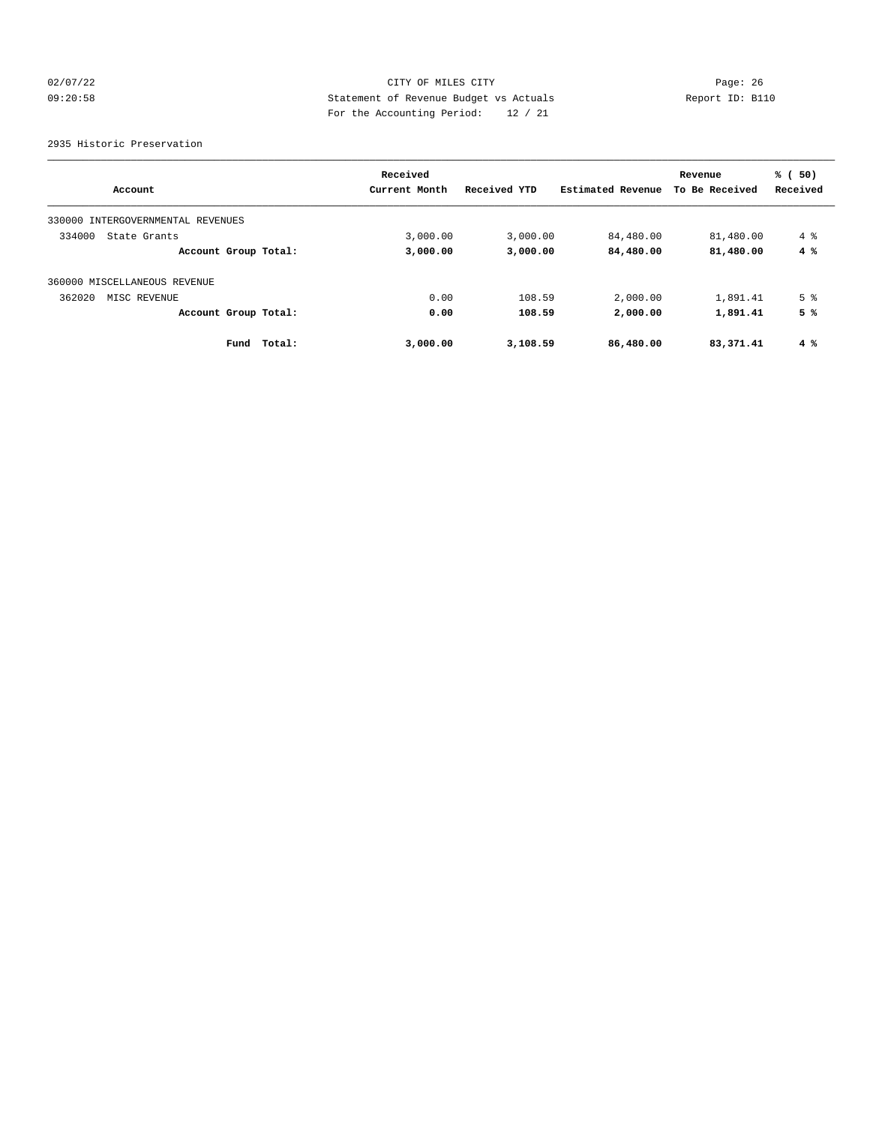# 02/07/22 Page: 26 09:20:58 Statement of Revenue Budget vs Actuals Report ID: B110 For the Accounting Period: 12 / 21

#### 2935 Historic Preservation

|                                   | Received      |              |                   | Revenue        | % (50)         |
|-----------------------------------|---------------|--------------|-------------------|----------------|----------------|
| Account                           | Current Month | Received YTD | Estimated Revenue | To Be Received | Received       |
| 330000 INTERGOVERNMENTAL REVENUES |               |              |                   |                |                |
| 334000<br>State Grants            | 3,000.00      | 3,000.00     | 84,480.00         | 81,480.00      | $4 \text{ }$   |
| Account Group Total:              | 3,000.00      | 3,000.00     | 84,480.00         | 81,480.00      | 4%             |
| 360000 MISCELLANEOUS REVENUE      |               |              |                   |                |                |
| 362020<br>MISC REVENUE            | 0.00          | 108.59       | 2,000.00          | 1,891.41       | 5 <sup>8</sup> |
| Account Group Total:              | 0.00          | 108.59       | 2,000.00          | 1,891.41       | 5%             |
| Total:<br>Fund                    | 3,000.00      | 3,108.59     | 86,480.00         | 83,371.41      | 4%             |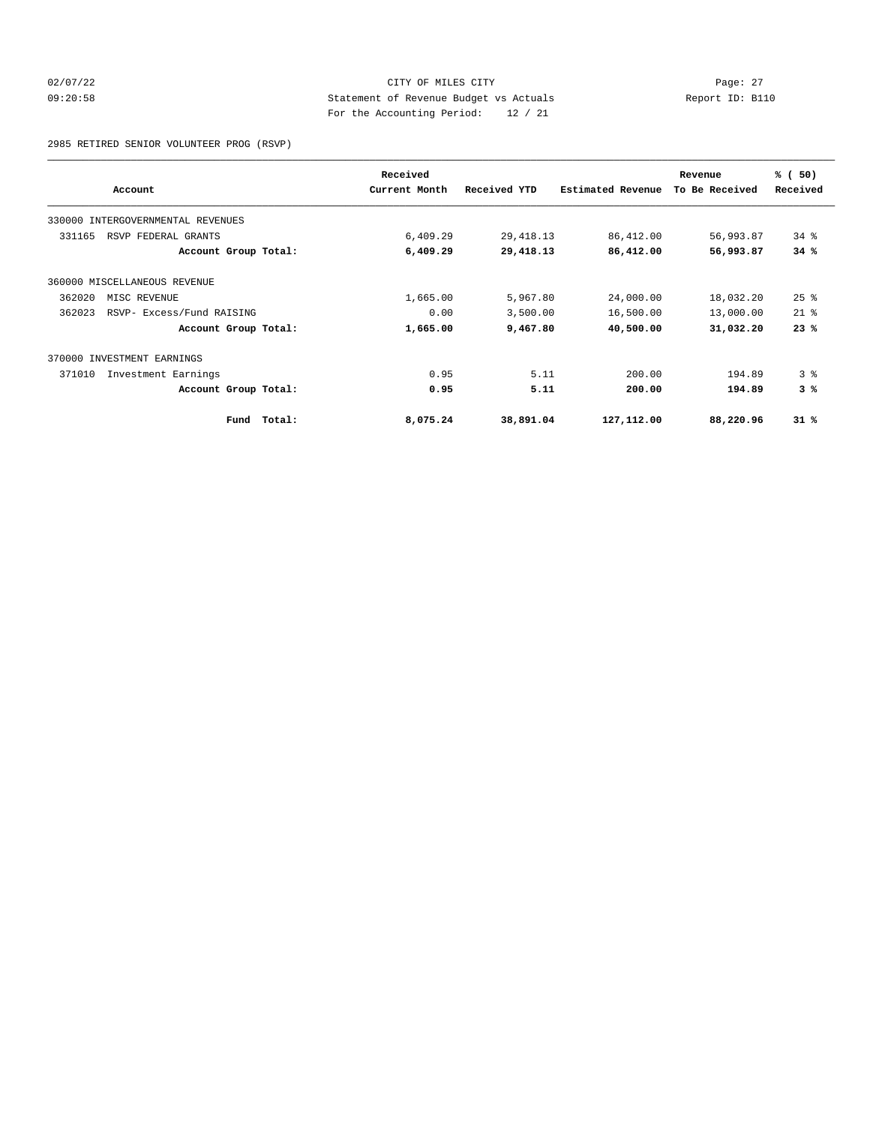# 02/07/22 Page: 27 09:20:58 Statement of Revenue Budget vs Actuals Report ID: B110 For the Accounting Period: 12 / 21

2985 RETIRED SENIOR VOLUNTEER PROG (RSVP)

|        |                                   |        | Received      |              |                          | Revenue        | % (50)             |
|--------|-----------------------------------|--------|---------------|--------------|--------------------------|----------------|--------------------|
|        | Account                           |        | Current Month | Received YTD | <b>Estimated Revenue</b> | To Be Received | Received           |
|        | 330000 INTERGOVERNMENTAL REVENUES |        |               |              |                          |                |                    |
| 331165 | RSVP FEDERAL GRANTS               |        | 6,409.29      | 29, 418.13   | 86,412.00                | 56,993.87      | $34$ $%$           |
|        | Account Group Total:              |        | 6,409.29      | 29,418.13    | 86,412.00                | 56,993.87      | 34%                |
|        | 360000 MISCELLANEOUS REVENUE      |        |               |              |                          |                |                    |
| 362020 | MISC REVENUE                      |        | 1,665.00      | 5,967.80     | 24,000.00                | 18,032.20      | $25$ $\frac{6}{5}$ |
| 362023 | RSVP- Excess/Fund RAISING         |        | 0.00          | 3,500.00     | 16,500.00                | 13,000.00      | $21*$              |
|        | Account Group Total:              |        | 1,665.00      | 9,467.80     | 40,500.00                | 31,032.20      | 23%                |
|        | 370000 INVESTMENT EARNINGS        |        |               |              |                          |                |                    |
| 371010 | Investment Earnings               |        | 0.95          | 5.11         | 200.00                   | 194.89         | 3 <sup>8</sup>     |
|        | Account Group Total:              |        | 0.95          | 5.11         | 200.00                   | 194.89         | 3%                 |
|        | Fund                              | Total: | 8,075.24      | 38,891.04    | 127,112.00               | 88,220.96      | $31$ %             |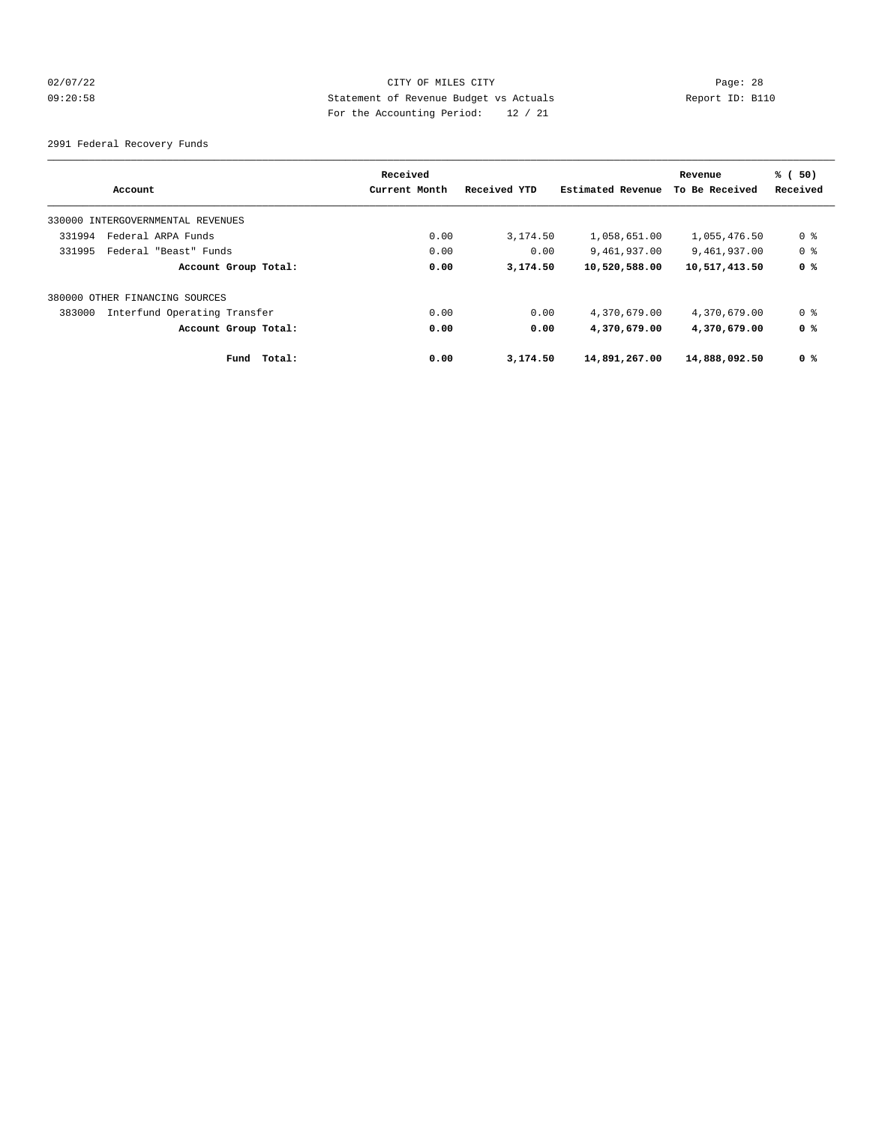# 02/07/22 Page: 28 09:20:58 Statement of Revenue Budget vs Actuals Report ID: B110 For the Accounting Period: 12 / 21

2991 Federal Recovery Funds

| Account                                | Received<br>Current Month | Received YTD | Estimated Revenue | Revenue<br>To Be Received | % (50)<br>Received |
|----------------------------------------|---------------------------|--------------|-------------------|---------------------------|--------------------|
| 330000 INTERGOVERNMENTAL REVENUES      |                           |              |                   |                           |                    |
| 331994<br>Federal ARPA Funds           | 0.00                      | 3,174.50     | 1,058,651.00      | 1,055,476.50              | 0 %                |
| 331995<br>Federal "Beast" Funds        | 0.00                      | 0.00         | 9,461,937.00      | 9,461,937.00              | 0 %                |
| Account Group Total:                   | 0.00                      | 3,174.50     | 10,520,588.00     | 10,517,413.50             | 0 %                |
| 380000 OTHER FINANCING SOURCES         |                           |              |                   |                           |                    |
| 383000<br>Interfund Operating Transfer | 0.00                      | 0.00         | 4,370,679.00      | 4,370,679.00              | 0 %                |
| Account Group Total:                   | 0.00                      | 0.00         | 4,370,679.00      | 4,370,679.00              | 0 %                |
| Fund Total:                            | 0.00                      | 3,174.50     | 14,891,267.00     | 14,888,092.50             | 0 %                |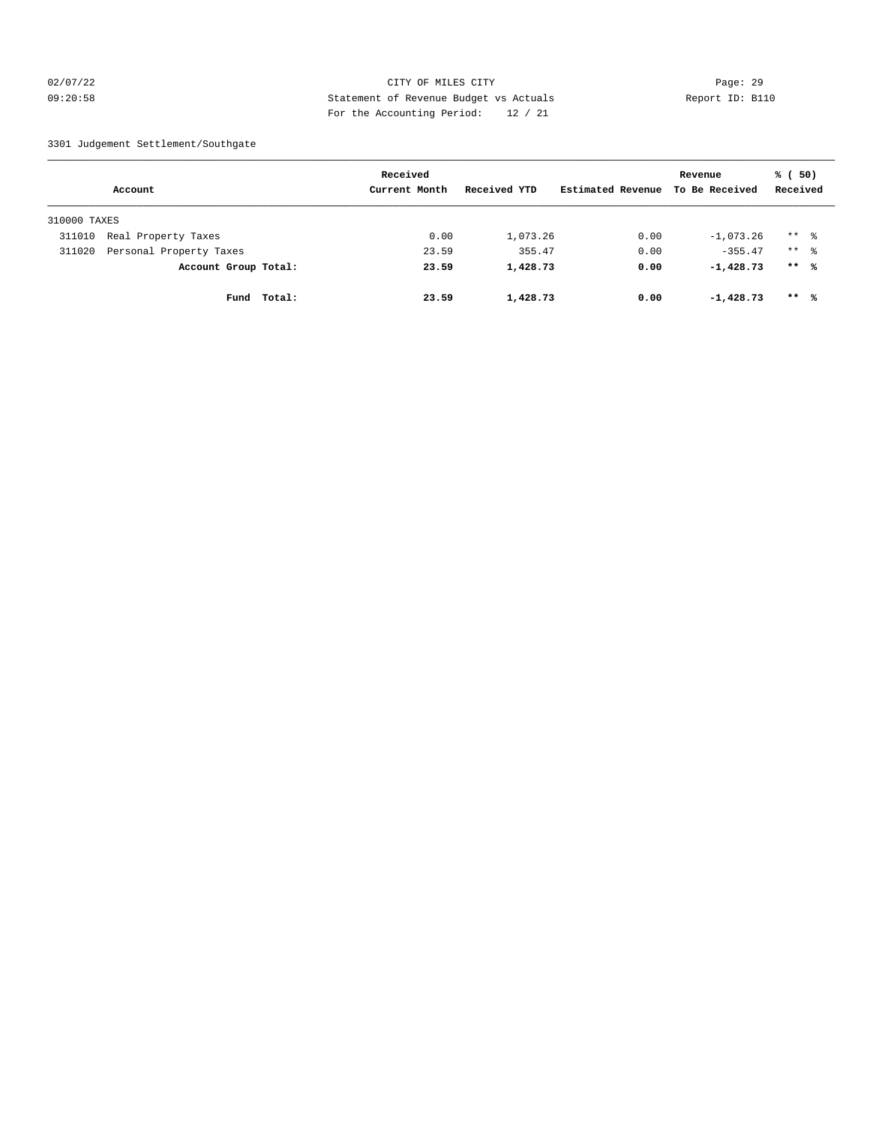#### 02/07/22 Page: 29 09:20:58 Statement of Revenue Budget vs Actuals Report ID: B110 For the Accounting Period: 12 / 21

#### 3301 Judgement Settlement/Southgate

|              |                         |        | Received      |              |                   | Revenue        | % (50)              |  |
|--------------|-------------------------|--------|---------------|--------------|-------------------|----------------|---------------------|--|
|              | Account                 |        | Current Month | Received YTD | Estimated Revenue | To Be Received | Received            |  |
| 310000 TAXES |                         |        |               |              |                   |                |                     |  |
| 311010       | Real Property Taxes     |        | 0.00          | 1,073.26     | 0.00              | $-1,073.26$    | $***$ $\frac{6}{6}$ |  |
| 311020       | Personal Property Taxes |        | 23.59         | 355.47       | 0.00              | $-355.47$      | $***$ 8             |  |
|              | Account Group Total:    |        | 23.59         | 1,428.73     | 0.00              | $-1,428,73$    | $***$ 8             |  |
|              | Fund                    | Total: | 23.59         | 1,428.73     | 0.00              | $-1,428,73$    | $***$ %             |  |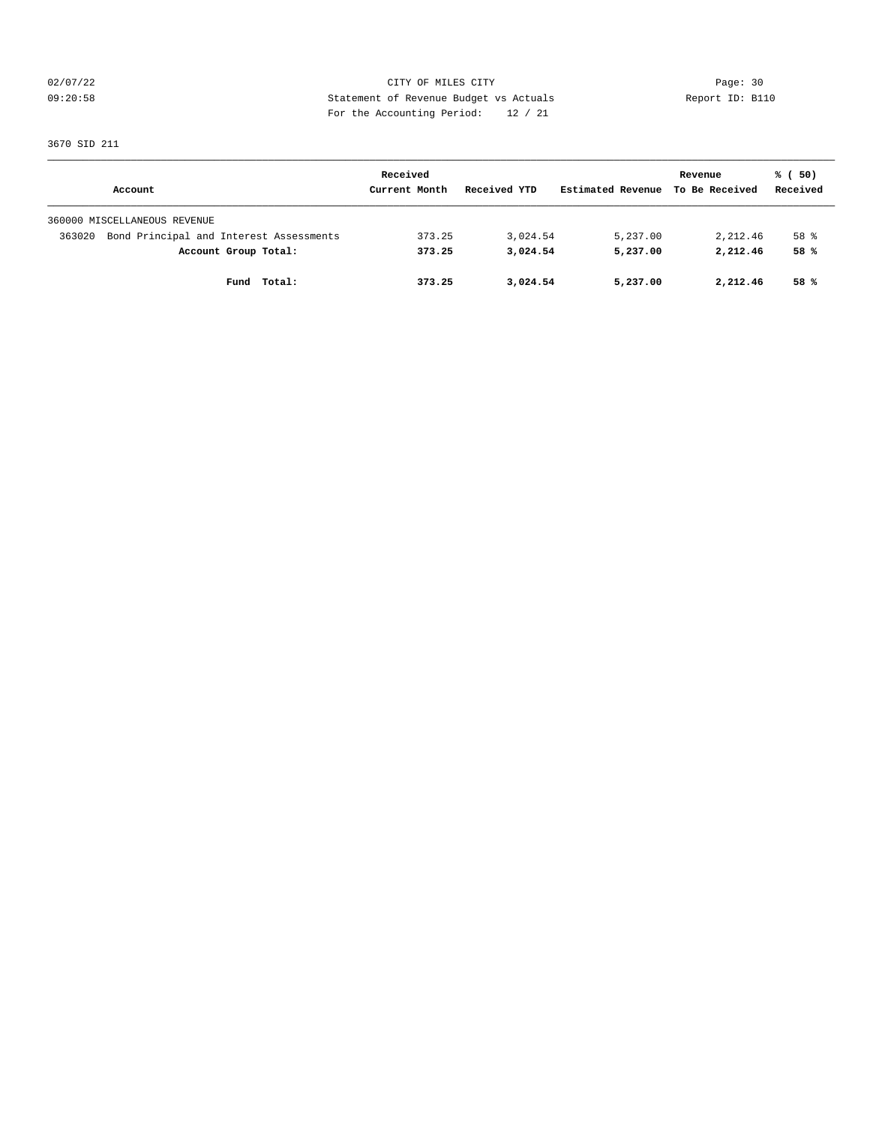02/07/22 Page: 30 09:20:58 Statement of Revenue Budget vs Actuals Report ID: B110 For the Accounting Period: 12 / 21

3670 SID 211

|                                                   | Received      |              |                   | Revenue        | % (50)   |
|---------------------------------------------------|---------------|--------------|-------------------|----------------|----------|
| Account                                           | Current Month | Received YTD | Estimated Revenue | To Be Received | Received |
| 360000 MISCELLANEOUS REVENUE                      |               |              |                   |                |          |
| Bond Principal and Interest Assessments<br>363020 | 373.25        | 3,024.54     | 5,237.00          | 2,212.46       | 58 %     |
| Account Group Total:                              | 373.25        | 3,024.54     | 5,237.00          | 2,212.46       | 58 %     |
| Fund Total:                                       | 373.25        | 3,024.54     | 5,237.00          | 2,212.46       | 58%      |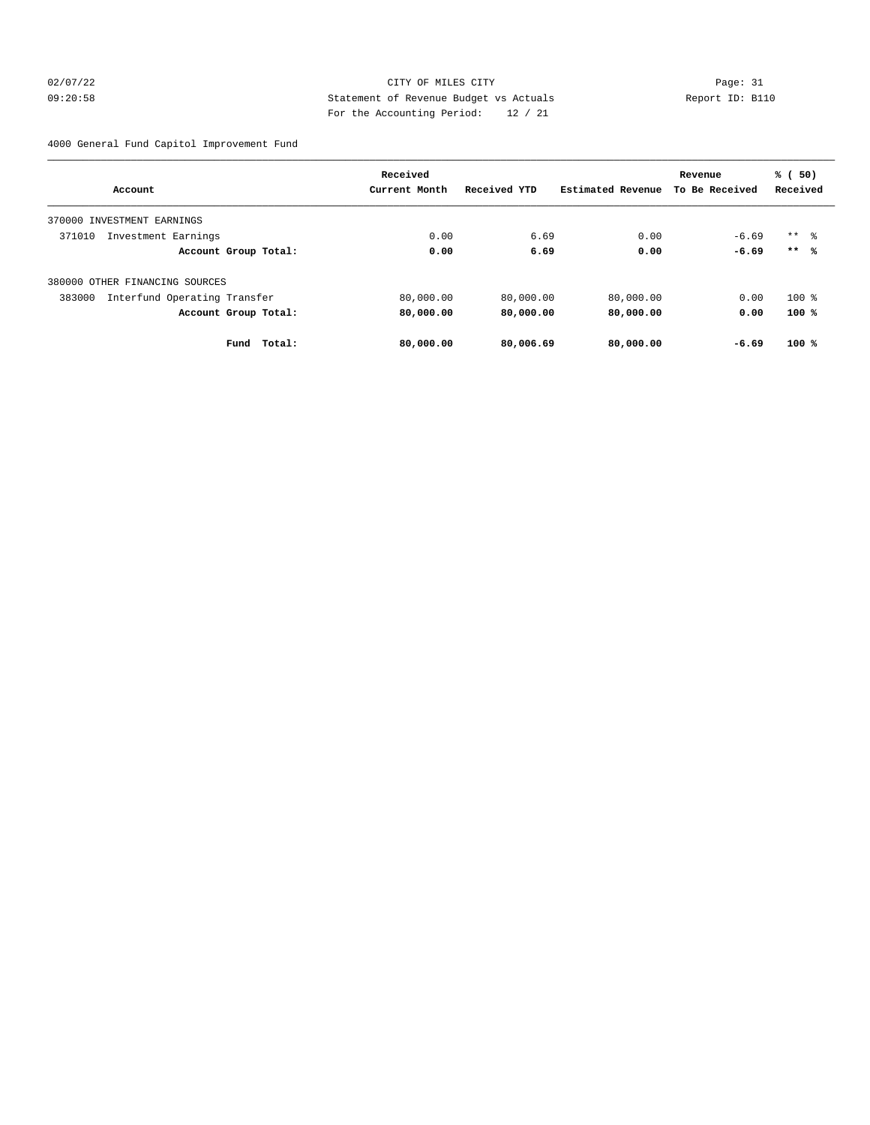# 02/07/22 Page: 31 09:20:58 Statement of Revenue Budget vs Actuals Report ID: B110 For the Accounting Period: 12 / 21

4000 General Fund Capitol Improvement Fund

|                                        | Received      |              |                   | Revenue        | % (50)   |
|----------------------------------------|---------------|--------------|-------------------|----------------|----------|
| Account                                | Current Month | Received YTD | Estimated Revenue | To Be Received | Received |
| 370000 INVESTMENT EARNINGS             |               |              |                   |                |          |
| 371010<br>Investment Earnings          | 0.00          | 6.69         | 0.00              | $-6.69$        | $***$ %  |
| Account Group Total:                   | 0.00          | 6.69         | 0.00              | $-6.69$        | $***$ %  |
| 380000 OTHER FINANCING SOURCES         |               |              |                   |                |          |
| 383000<br>Interfund Operating Transfer | 80,000.00     | 80,000.00    | 80,000.00         | 0.00           | $100$ %  |
| Account Group Total:                   | 80,000.00     | 80,000.00    | 80,000.00         | 0.00           | 100%     |
| Fund<br><b>Total:</b>                  | 80,000.00     | 80,006.69    | 80,000.00         | $-6.69$        | $100*$   |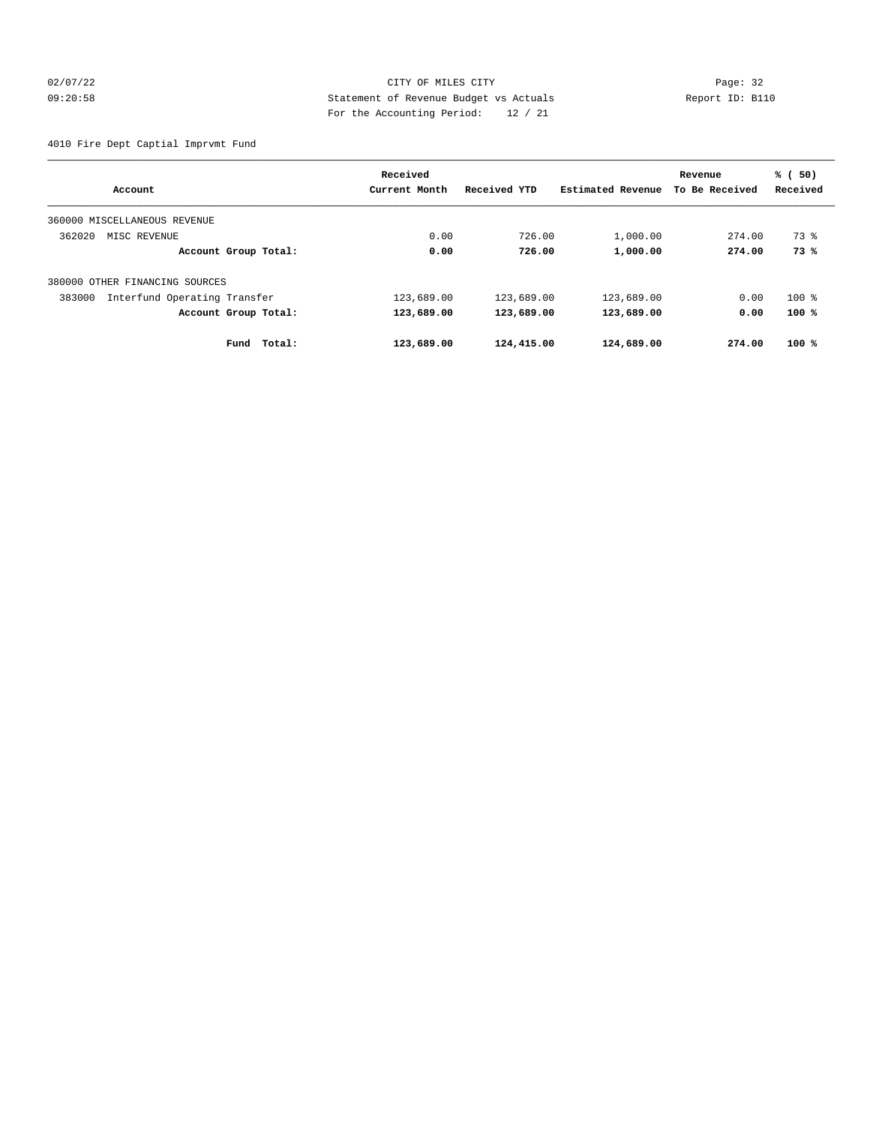# 02/07/22 Page: 32 09:20:58 Statement of Revenue Budget vs Actuals Report ID: B110 For the Accounting Period: 12 / 21

4010 Fire Dept Captial Imprvmt Fund

|                                        | Received      |              |                   | Revenue        | % (50)   |
|----------------------------------------|---------------|--------------|-------------------|----------------|----------|
| Account                                | Current Month | Received YTD | Estimated Revenue | To Be Received | Received |
| 360000 MISCELLANEOUS REVENUE           |               |              |                   |                |          |
| 362020<br>MISC REVENUE                 | 0.00          | 726.00       | 1,000.00          | 274.00         | 73 %     |
| Account Group Total:                   | 0.00          | 726.00       | 1,000.00          | 274.00         | 73%      |
| 380000 OTHER FINANCING SOURCES         |               |              |                   |                |          |
| Interfund Operating Transfer<br>383000 | 123,689.00    | 123,689.00   | 123,689.00        | 0.00           | $100$ %  |
| Account Group Total:                   | 123,689.00    | 123,689.00   | 123,689.00        | 0.00           | 100%     |
| Total:<br>Fund                         | 123,689.00    | 124,415.00   | 124,689.00        | 274.00         | $100*$   |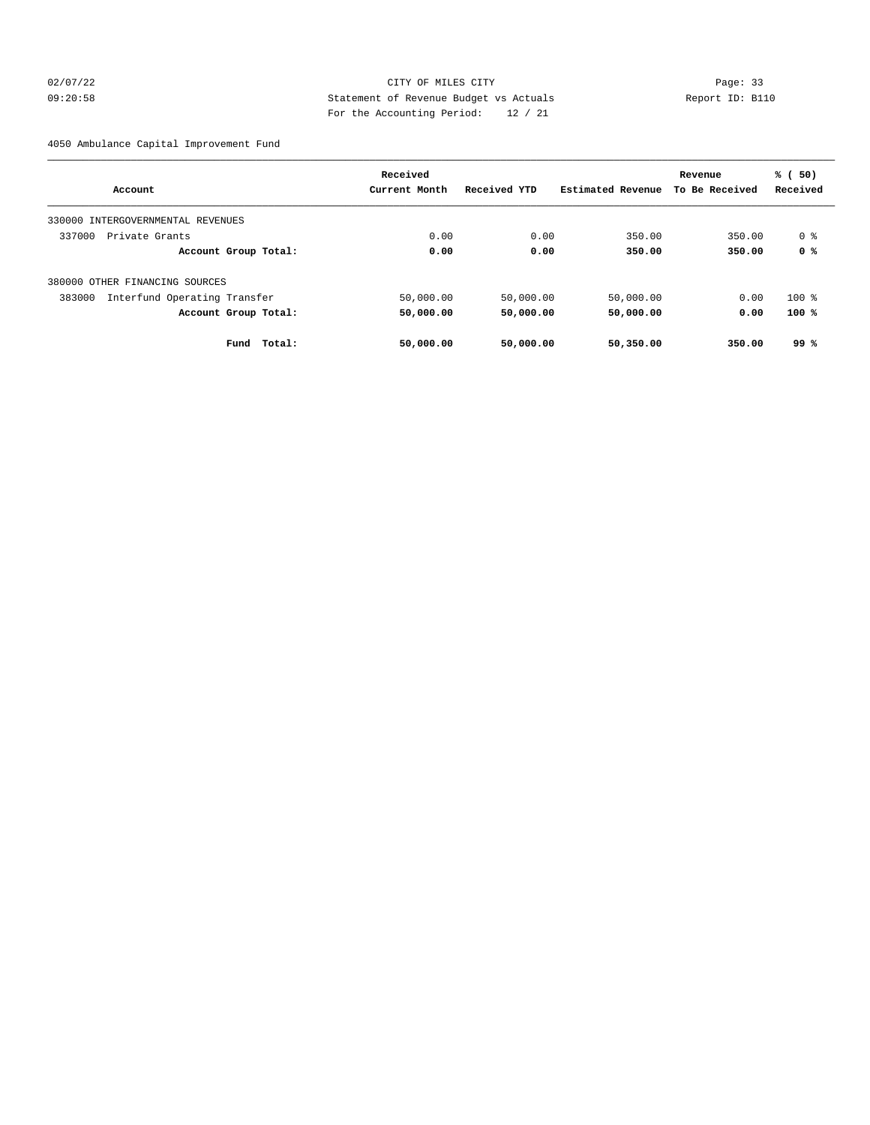# 02/07/22 Page: 33 09:20:58 Statement of Revenue Budget vs Actuals Report ID: B110 For the Accounting Period: 12 / 21

4050 Ambulance Capital Improvement Fund

|                                        | Received      |              |                   | Revenue        | % (50)   |
|----------------------------------------|---------------|--------------|-------------------|----------------|----------|
| Account                                | Current Month | Received YTD | Estimated Revenue | To Be Received | Received |
| 330000<br>INTERGOVERNMENTAL REVENUES   |               |              |                   |                |          |
| 337000<br>Private Grants               | 0.00          | 0.00         | 350.00            | 350.00         | 0 %      |
| Account Group Total:                   | 0.00          | 0.00         | 350.00            | 350.00         | 0 %      |
| 380000 OTHER FINANCING SOURCES         |               |              |                   |                |          |
| Interfund Operating Transfer<br>383000 | 50,000.00     | 50,000.00    | 50,000.00         | 0.00           | $100$ %  |
| Account Group Total:                   | 50,000.00     | 50,000.00    | 50,000.00         | 0.00           | 100%     |
| Total:<br>Fund                         | 50,000.00     | 50,000.00    | 50,350.00         | 350.00         | 99%      |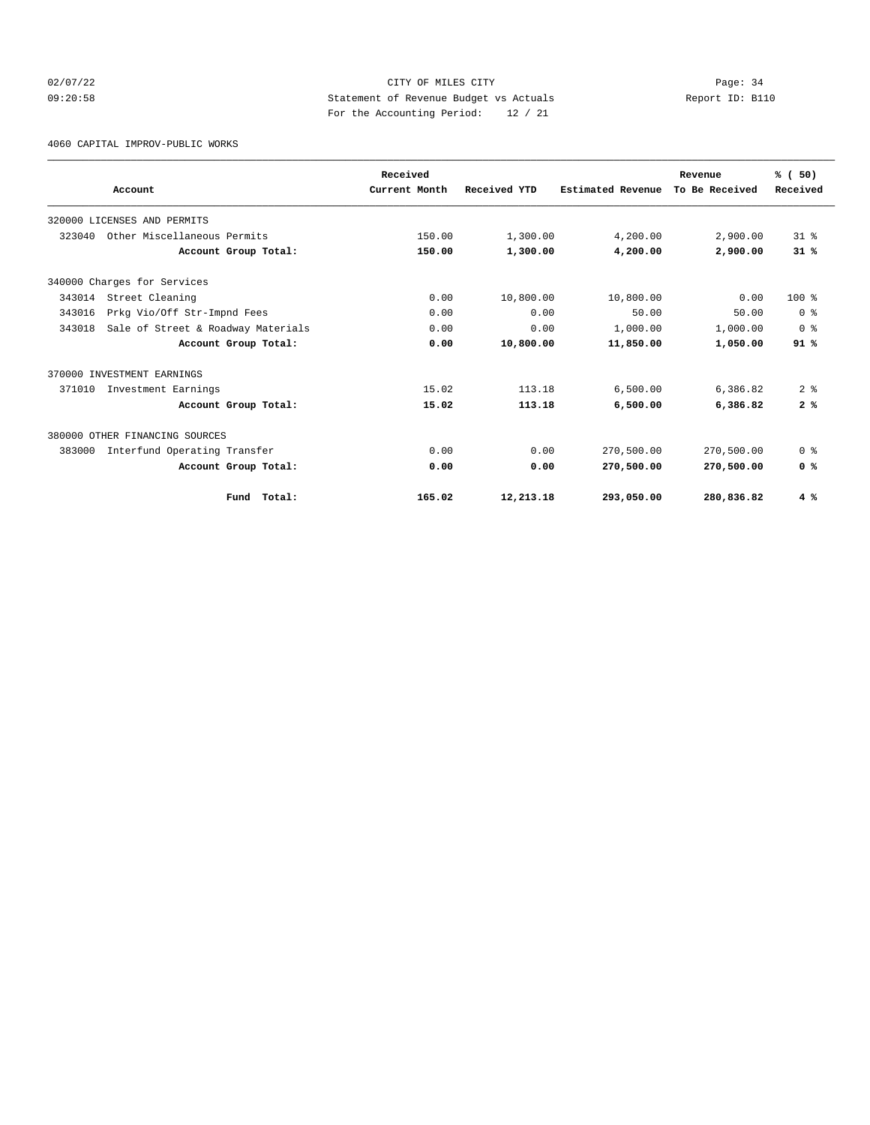# 02/07/22 Page: 34 09:20:58 Statement of Revenue Budget vs Actuals Report ID: B110 For the Accounting Period: 12 / 21

4060 CAPITAL IMPROV-PUBLIC WORKS

|        | Account                            | Received<br>Current Month | Received YTD | Estimated Revenue | Revenue<br>To Be Received | % (50)<br>Received |
|--------|------------------------------------|---------------------------|--------------|-------------------|---------------------------|--------------------|
|        |                                    |                           |              |                   |                           |                    |
|        | 320000 LICENSES AND PERMITS        |                           |              |                   |                           |                    |
| 323040 | Other Miscellaneous Permits        | 150.00                    | 1,300.00     | 4,200.00          | 2,900.00                  | 318                |
|        | Account Group Total:               | 150.00                    | 1,300.00     | 4,200.00          | 2,900.00                  | 31%                |
|        | 340000 Charges for Services        |                           |              |                   |                           |                    |
| 343014 | Street Cleaning                    | 0.00                      | 10,800.00    | 10,800.00         | 0.00                      | $100*$             |
| 343016 | Prkg Vio/Off Str-Impnd Fees        | 0.00                      | 0.00         | 50.00             | 50.00                     | 0 <sup>8</sup>     |
| 343018 | Sale of Street & Roadway Materials | 0.00                      | 0.00         | 1,000.00          | 1,000.00                  | 0 <sup>8</sup>     |
|        | Account Group Total:               | 0.00                      | 10,800.00    | 11,850.00         | 1,050.00                  | 91%                |
|        | 370000 INVESTMENT EARNINGS         |                           |              |                   |                           |                    |
| 371010 | Investment Earnings                | 15.02                     | 113.18       | 6.500.00          | 6,386.82                  | 2 <sup>8</sup>     |
|        | Account Group Total:               | 15.02                     | 113.18       | 6,500.00          | 6,386.82                  | 2%                 |
|        | 380000 OTHER FINANCING SOURCES     |                           |              |                   |                           |                    |
| 383000 | Interfund Operating Transfer       | 0.00                      | 0.00         | 270,500.00        | 270,500.00                | 0 <sup>8</sup>     |
|        | Account Group Total:               | 0.00                      | 0.00         | 270,500.00        | 270,500.00                | 0 <sup>8</sup>     |
|        | Fund Total:                        | 165.02                    | 12,213.18    | 293,050.00        | 280,836.82                | 4%                 |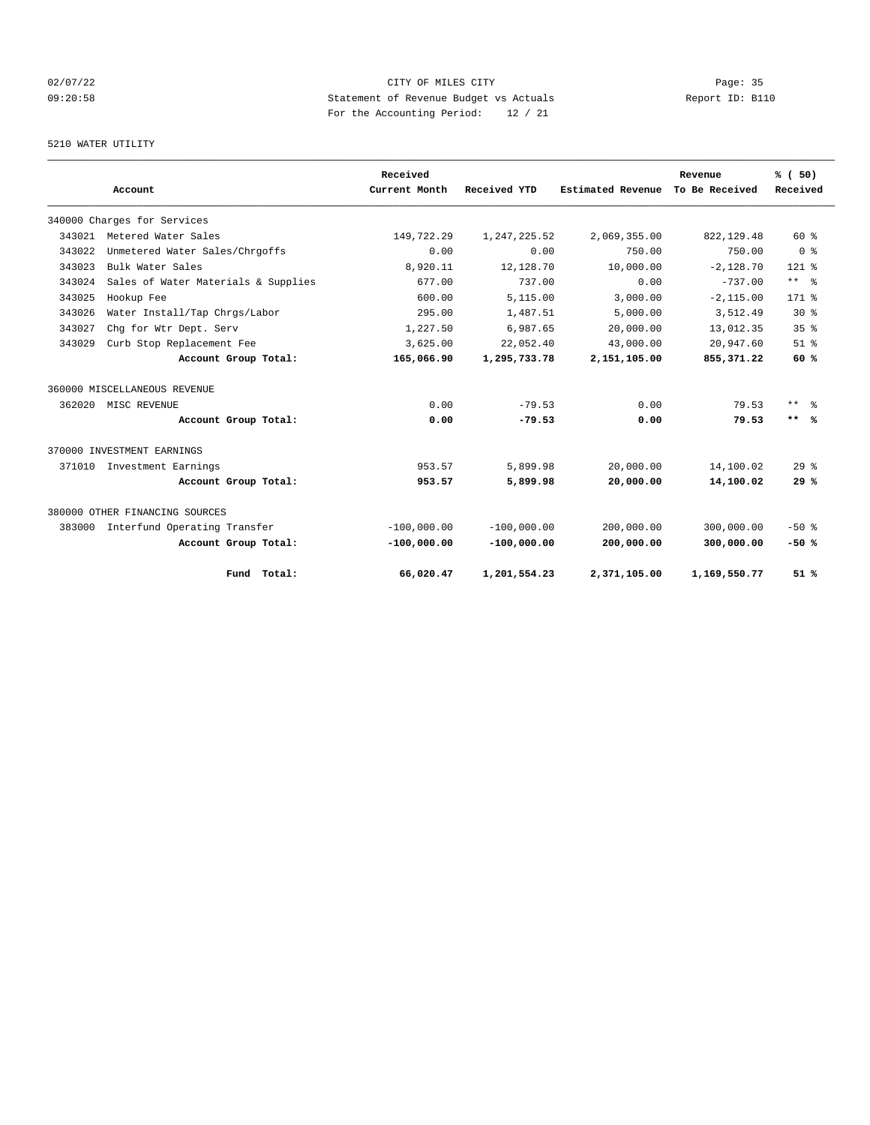# 02/07/22 Page: 35 09:20:58 Statement of Revenue Budget vs Actuals Report ID: B110 For the Accounting Period: 12 / 21

#### 5210 WATER UTILITY

|        |                                     |                      | Received      |               |                   | Revenue        | % (50)          |
|--------|-------------------------------------|----------------------|---------------|---------------|-------------------|----------------|-----------------|
|        | Account                             |                      | Current Month | Received YTD  | Estimated Revenue | To Be Received | Received        |
|        | 340000 Charges for Services         |                      |               |               |                   |                |                 |
| 343021 | Metered Water Sales                 |                      | 149,722.29    | 1,247,225.52  | 2,069,355.00      | 822, 129.48    | $60*$           |
| 343022 | Unmetered Water Sales/Chrgoffs      |                      | 0.00          | 0.00          | 750.00            | 750.00         | 0 <sup>8</sup>  |
| 343023 | Bulk Water Sales                    |                      | 8,920.11      | 12,128.70     | 10,000.00         | $-2.128.70$    | $121$ %         |
| 343024 | Sales of Water Materials & Supplies |                      | 677.00        | 737.00        | 0.00              | $-737.00$      | $***$ $=$       |
| 343025 | Hookup Fee                          |                      | 600.00        | 5,115.00      | 3.000.00          | $-2, 115.00$   | $171$ %         |
| 343026 | Water Install/Tap Chrgs/Labor       |                      | 295.00        | 1,487.51      | 5.000.00          | 3,512.49       | $30*$           |
| 343027 | Chg for Wtr Dept. Serv              |                      | 1,227.50      | 6,987.65      | 20,000.00         | 13,012.35      | 35 <sup>8</sup> |
| 343029 | Curb Stop Replacement Fee           |                      | 3,625.00      | 22,052.40     | 43,000.00         | 20,947.60      | $51$ $%$        |
|        |                                     | Account Group Total: | 165,066.90    | 1,295,733.78  | 2,151,105.00      | 855, 371, 22   | 60 %            |
|        | 360000 MISCELLANEOUS REVENUE        |                      |               |               |                   |                |                 |
| 362020 | MISC REVENUE                        |                      | 0.00          | $-79.53$      | 0.00              | 79.53          | $***$ $ -$      |
|        |                                     | Account Group Total: | 0.00          | $-79.53$      | 0.00              | 79.53          | $***$ %         |
|        | 370000 INVESTMENT EARNINGS          |                      |               |               |                   |                |                 |
| 371010 | Investment Earnings                 |                      | 953.57        | 5,899.98      | 20,000.00         | 14,100.02      | $29$ $%$        |
|        |                                     | Account Group Total: | 953.57        | 5,899.98      | 20,000.00         | 14,100.02      | 29%             |
|        | 380000 OTHER FINANCING SOURCES      |                      |               |               |                   |                |                 |
| 383000 | Interfund Operating Transfer        |                      | $-100.000.00$ | $-100.000.00$ | 200,000.00        | 300,000.00     | $-50$ %         |
|        |                                     | Account Group Total: | $-100,000.00$ | $-100,000.00$ | 200,000.00        | 300,000.00     | $-50%$          |
|        |                                     | Fund Total:          | 66,020.47     | 1,201,554.23  | 2,371,105.00      | 1,169,550.77   | 51%             |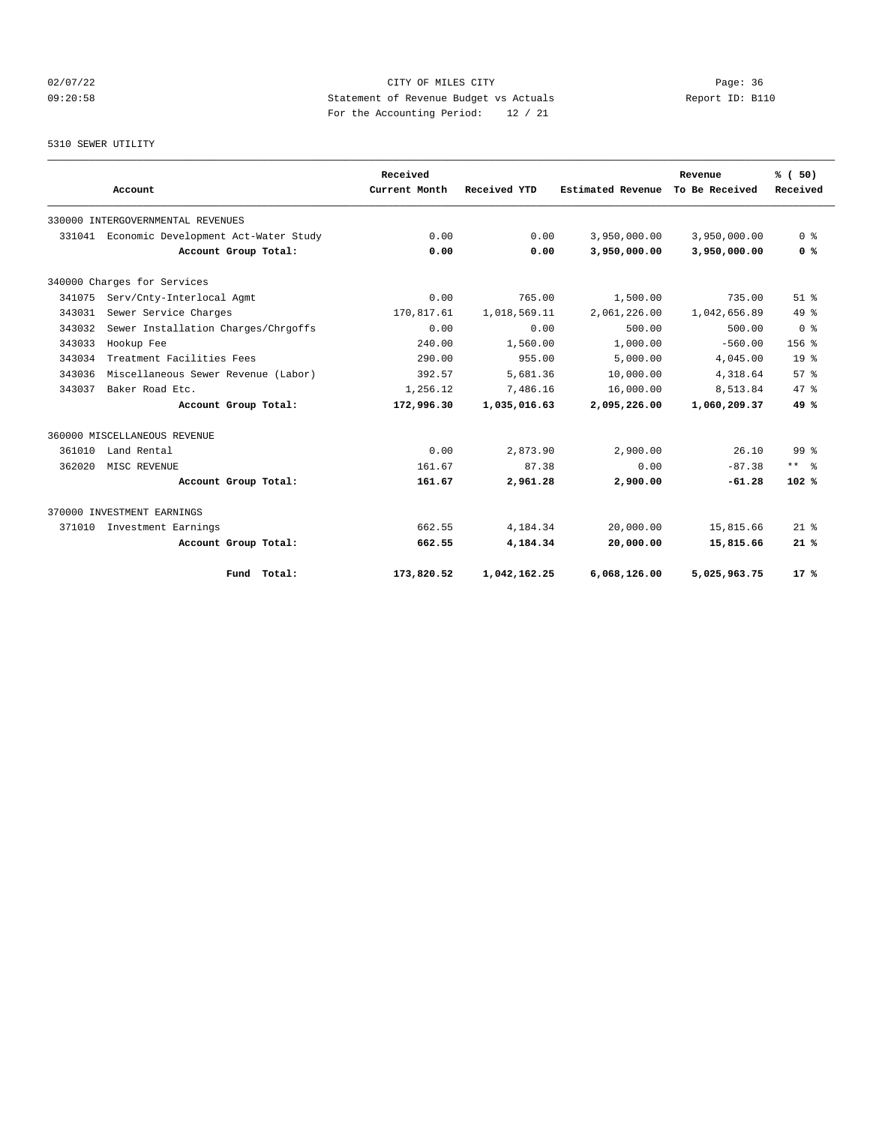# 02/07/22 Page: 36 09:20:58 Statement of Revenue Budget vs Actuals Report ID: B110 For the Accounting Period: 12 / 21

#### 5310 SEWER UTILITY

|        |                                      |                      | Received      |              |                   | Revenue        | % (50)           |
|--------|--------------------------------------|----------------------|---------------|--------------|-------------------|----------------|------------------|
|        | Account                              |                      | Current Month | Received YTD | Estimated Revenue | To Be Received | Received         |
|        | 330000 INTERGOVERNMENTAL REVENUES    |                      |               |              |                   |                |                  |
| 331041 | Economic Development Act-Water Study |                      | 0.00          | 0.00         | 3,950,000.00      | 3,950,000.00   | 0 <sup>8</sup>   |
|        |                                      | Account Group Total: | 0.00          | 0.00         | 3,950,000.00      | 3,950,000.00   | 0 %              |
|        | 340000 Charges for Services          |                      |               |              |                   |                |                  |
| 341075 | Serv/Cnty-Interlocal Agmt            |                      | 0.00          | 765.00       | 1,500.00          | 735.00         | $51$ $%$         |
| 343031 | Sewer Service Charges                |                      | 170,817.61    | 1,018,569.11 | 2,061,226.00      | 1,042,656.89   | $49*$            |
| 343032 | Sewer Installation Charges/Chrgoffs  |                      | 0.00          | 0.00         | 500.00            | 500.00         | 0 <sup>8</sup>   |
| 343033 | Hookup Fee                           |                      | 240.00        | 1,560.00     | 1,000.00          | $-560.00$      | 156 <sub>8</sub> |
| 343034 | Treatment Facilities Fees            |                      | 290.00        | 955.00       | 5,000.00          | 4,045.00       | 19 <sup>°</sup>  |
| 343036 | Miscellaneous Sewer Revenue (Labor)  |                      | 392.57        | 5,681.36     | 10,000.00         | 4,318.64       | $57*$            |
| 343037 | Baker Road Etc.                      |                      | 1,256.12      | 7,486.16     | 16,000.00         | 8,513.84       | $47*$            |
|        |                                      | Account Group Total: | 172,996.30    | 1,035,016.63 | 2,095,226.00      | 1,060,209.37   | 49%              |
|        | 360000 MISCELLANEOUS REVENUE         |                      |               |              |                   |                |                  |
| 361010 | Land Rental                          |                      | 0.00          | 2,873.90     | 2,900.00          | 26.10          | 99 %             |
| 362020 | MISC REVENUE                         |                      | 161.67        | 87.38        | 0.00              | $-87.38$       | $***$ 2          |
|        |                                      | Account Group Total: | 161.67        | 2,961.28     | 2,900.00          | $-61.28$       | 102%             |
|        | 370000 INVESTMENT EARNINGS           |                      |               |              |                   |                |                  |
| 371010 | Investment Earnings                  |                      | 662.55        | 4.184.34     | 20,000.00         | 15,815.66      | $21$ %           |
|        |                                      | Account Group Total: | 662.55        | 4,184.34     | 20,000.00         | 15,815.66      | 21%              |
|        |                                      | Fund Total:          | 173,820.52    | 1,042,162.25 | 6.068.126.00      | 5,025,963.75   | $17*$            |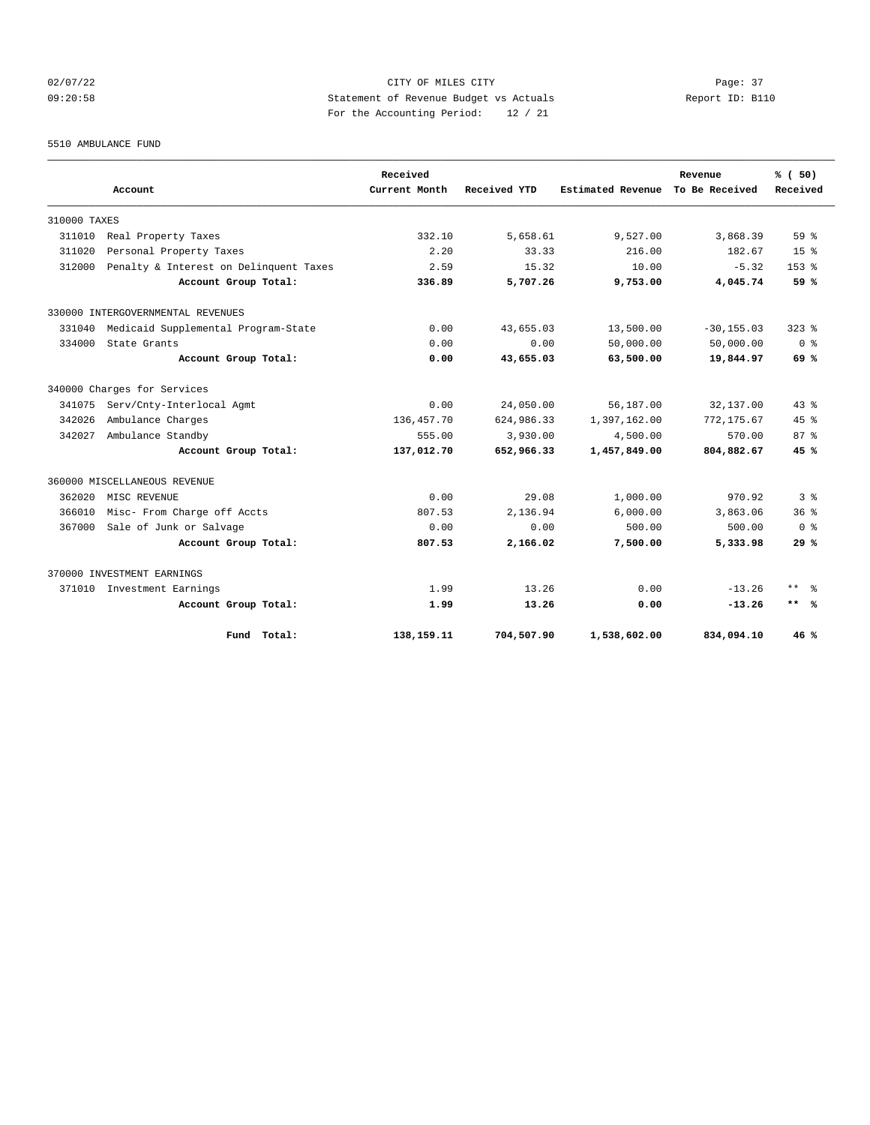# 02/07/22 Page: 37 09:20:58 Statement of Revenue Budget vs Actuals Report ID: B110 For the Accounting Period: 12 / 21

5510 AMBULANCE FUND

|              | Account                                | Received<br>Current Month | Received YTD | <b>Estimated Revenue</b> | Revenue<br>To Be Received | % (50)<br>Received      |
|--------------|----------------------------------------|---------------------------|--------------|--------------------------|---------------------------|-------------------------|
|              |                                        |                           |              |                          |                           |                         |
| 310000 TAXES |                                        |                           |              |                          |                           |                         |
| 311010       | Real Property Taxes                    | 332.10                    | 5,658.61     | 9,527.00                 | 3,868.39                  | 59 %                    |
| 311020       | Personal Property Taxes                | 2.20                      | 33.33        | 216.00                   | 182.67                    | 15 <sup>8</sup>         |
| 312000       | Penalty & Interest on Delinquent Taxes | 2.59                      | 15.32        | 10.00                    | $-5.32$                   | $153$ $%$               |
|              | Account Group Total:                   | 336.89                    | 5,707.26     | 9,753.00                 | 4,045.74                  | 59 %                    |
|              | 330000 INTERGOVERNMENTAL REVENUES      |                           |              |                          |                           |                         |
| 331040       | Medicaid Supplemental Program-State    | 0.00                      | 43,655.03    | 13,500.00                | $-30, 155.03$             | $323$ $%$               |
| 334000       | State Grants                           | 0.00                      | 0.00         | 50,000.00                | 50,000.00                 | ი ჵ                     |
|              | Account Group Total:                   | 0.00                      | 43,655.03    | 63,500.00                | 19,844.97                 | 69 %                    |
|              | 340000 Charges for Services            |                           |              |                          |                           |                         |
| 341075       | Serv/Cnty-Interlocal Agmt              | 0.00                      | 24,050.00    | 56,187.00                | 32,137.00                 | $43*$                   |
| 342026       | Ambulance Charges                      | 136, 457. 70              | 624,986.33   | 1,397,162.00             | 772, 175.67               | $45*$                   |
| 342027       | Ambulance Standby                      | 555.00                    | 3,930.00     | 4,500.00                 | 570.00                    | $87*$                   |
|              | Account Group Total:                   | 137,012.70                | 652,966.33   | 1,457,849.00             | 804,882.67                | 45%                     |
|              | 360000 MISCELLANEOUS REVENUE           |                           |              |                          |                           |                         |
| 362020       | MISC REVENUE                           | 0.00                      | 29.08        | 1,000.00                 | 970.92                    | 3 <sup>8</sup>          |
| 366010       | Misc- From Charge off Accts            | 807.53                    | 2,136.94     | 6,000.00                 | 3,863.06                  | $36*$                   |
| 367000       | Sale of Junk or Salvage                | 0.00                      | 0.00         | 500.00                   | 500.00                    | $0 \text{ }$ $\text{ }$ |
|              | Account Group Total:                   | 807.53                    | 2,166.02     | 7,500.00                 | 5,333.98                  | 29%                     |
|              | 370000 INVESTMENT EARNINGS             |                           |              |                          |                           |                         |
|              | 371010 Investment Earnings             | 1.99                      | 13.26        | 0.00                     | $-13.26$                  | ** 응                    |
|              | Account Group Total:                   | 1.99                      | 13.26        | 0.00                     | $-13.26$                  | $***$ %                 |
|              | Fund Total:                            | 138,159.11                | 704,507.90   | 1,538,602.00             | 834,094.10                | 46%                     |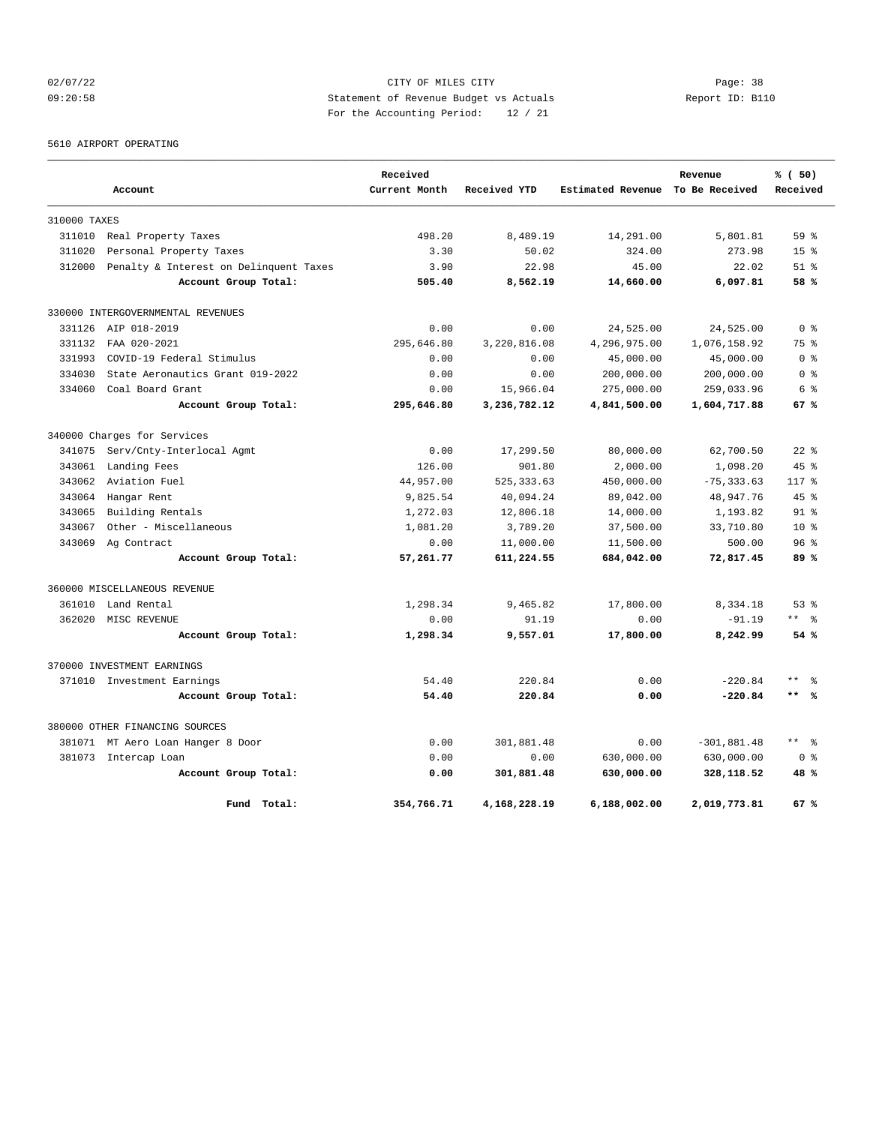# 02/07/22 Page: 38 09:20:58 Statement of Revenue Budget vs Actuals Report ID: B110 For the Accounting Period: 12 / 21

5610 AIRPORT OPERATING

|              |                                        | Received      |              |                   | Revenue        | % (50)              |
|--------------|----------------------------------------|---------------|--------------|-------------------|----------------|---------------------|
|              | Account                                | Current Month | Received YTD | Estimated Revenue | To Be Received | Received            |
| 310000 TAXES |                                        |               |              |                   |                |                     |
| 311010       | Real Property Taxes                    | 498.20        | 8,489.19     | 14,291.00         | 5,801.81       | 59 <sup>8</sup>     |
| 311020       | Personal Property Taxes                | 3.30          | 50.02        | 324.00            | 273.98         | 15 <sup>8</sup>     |
| 312000       | Penalty & Interest on Delinquent Taxes | 3.90          | 22.98        | 45.00             | 22.02          | $51$ $%$            |
|              | Account Group Total:                   | 505.40        | 8,562.19     | 14,660.00         | 6,097.81       | 58 %                |
|              | 330000 INTERGOVERNMENTAL REVENUES      |               |              |                   |                |                     |
| 331126       | AIP 018-2019                           | 0.00          | 0.00         | 24,525.00         | 24,525.00      | 0 <sup>8</sup>      |
| 331132       | FAA 020-2021                           | 295,646.80    | 3,220,816.08 | 4,296,975.00      | 1,076,158.92   | 75 %                |
| 331993       | COVID-19 Federal Stimulus              | 0.00          | 0.00         | 45,000.00         | 45,000.00      | 0 %                 |
| 334030       | State Aeronautics Grant 019-2022       | 0.00          | 0.00         | 200,000.00        | 200,000.00     | 0 %                 |
| 334060       | Coal Board Grant                       | 0.00          | 15,966.04    | 275,000.00        | 259,033.96     | 6 %                 |
|              | Account Group Total:                   | 295,646.80    | 3,236,782.12 | 4,841,500.00      | 1,604,717.88   | 67 %                |
|              | 340000 Charges for Services            |               |              |                   |                |                     |
| 341075       | Serv/Cnty-Interlocal Agmt              | 0.00          | 17,299.50    | 80,000.00         | 62,700.50      | $22$ $%$            |
| 343061       | Landing Fees                           | 126.00        | 901.80       | 2,000.00          | 1,098.20       | 45%                 |
| 343062       | Aviation Fuel                          | 44,957.00     | 525, 333.63  | 450,000.00        | $-75, 333.63$  | $117*$              |
| 343064       | Hangar Rent                            | 9,825.54      | 40,094.24    | 89,042.00         | 48,947.76      | 45%                 |
| 343065       | Building Rentals                       | 1,272.03      | 12,806.18    | 14,000.00         | 1,193.82       | $91$ %              |
| 343067       | Other - Miscellaneous                  | 1,081.20      | 3,789.20     | 37,500.00         | 33,710.80      | 10 <sup>8</sup>     |
| 343069       | Ag Contract                            | 0.00          | 11,000.00    | 11,500.00         | 500.00         | 96 <sup>8</sup>     |
|              | Account Group Total:                   | 57,261.77     | 611,224.55   | 684,042.00        | 72,817.45      | 89%                 |
|              | 360000 MISCELLANEOUS REVENUE           |               |              |                   |                |                     |
| 361010       | Land Rental                            | 1,298.34      | 9,465.82     | 17,800.00         | 8,334.18       | $53$ $%$            |
| 362020       | MISC REVENUE                           | 0.00          | 91.19        | 0.00              | $-91.19$       | ** %                |
|              | Account Group Total:                   | 1,298.34      | 9,557.01     | 17,800.00         | 8,242.99       | 54%                 |
|              | 370000 INVESTMENT EARNINGS             |               |              |                   |                |                     |
|              | 371010 Investment Earnings             | 54.40         | 220.84       | 0.00              | $-220.84$      | $***$               |
|              | Account Group Total:                   | 54.40         | 220.84       | 0.00              | $-220.84$      | $***$ 8             |
|              | 380000 OTHER FINANCING SOURCES         |               |              |                   |                |                     |
|              | 381071 MT Aero Loan Hanger 8 Door      | 0.00          | 301,881.48   | 0.00              | $-301,881.48$  | $\star\star$<br>- 옹 |
| 381073       | Intercap Loan                          | 0.00          | 0.00         | 630,000.00        | 630,000.00     | 0 <sup>8</sup>      |
|              | Account Group Total:                   | 0.00          | 301,881.48   | 630,000.00        | 328,118.52     | 48 %                |
|              | Fund Total:                            | 354,766.71    | 4,168,228.19 | 6,188,002.00      | 2,019,773.81   | 67%                 |